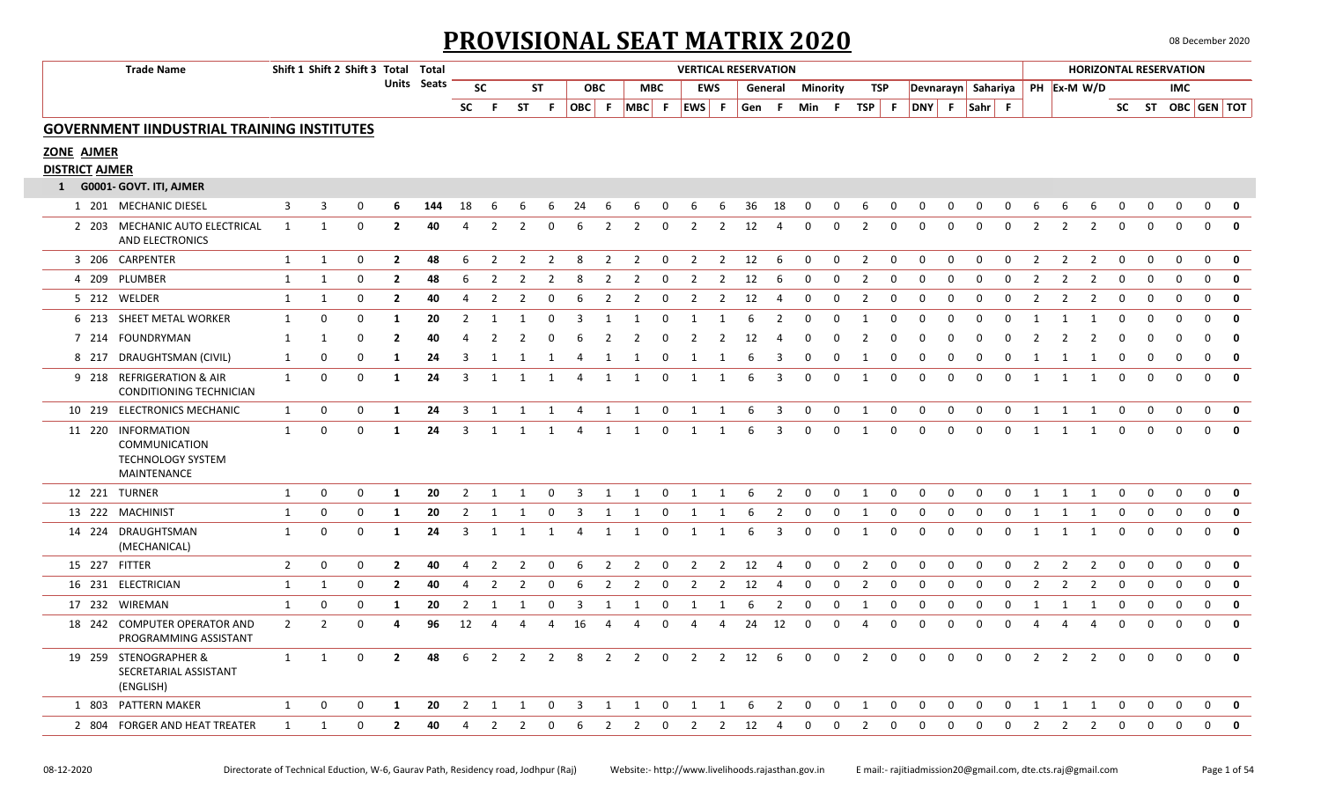## **PROVISIONAL SEAT MATRIX 2020** 08 December 2020

| <b>Trade Name</b>                                                              |                | Shift 1 Shift 2 Shift 3 Total Total |             |                |             |                |                |                |                |                |                |                |              |                |                | <b>VERTICAL RESERVATION</b> |         |              |                 |                |             |                    |              |             |             |                |                |                |             |             | <b>HORIZONTAL RESERVATION</b> |              |              |
|--------------------------------------------------------------------------------|----------------|-------------------------------------|-------------|----------------|-------------|----------------|----------------|----------------|----------------|----------------|----------------|----------------|--------------|----------------|----------------|-----------------------------|---------|--------------|-----------------|----------------|-------------|--------------------|--------------|-------------|-------------|----------------|----------------|----------------|-------------|-------------|-------------------------------|--------------|--------------|
|                                                                                |                |                                     |             |                | Units Seats |                | <b>SC</b>      |                | <b>ST</b>      |                | <b>OBC</b>     |                | <b>MBC</b>   |                | <b>EWS</b>     |                             | General |              | <b>Minority</b> | TSP            |             | Devnarayn Sahariya |              |             |             |                | PH Ex-M W/D    |                |             |             | IMC.                          |              |              |
|                                                                                |                |                                     |             |                |             | <b>SC</b>      | - F            | <b>ST</b>      | - F            |                |                | OBC F MBC F    |              | EWS F          |                |                             | Gen F   |              | Min F           | TSP F          |             | DNY F Sahr F       |              |             |             |                |                |                |             |             | SC ST OBC GEN TOT             |              |              |
| <b>GOVERNMENT IINDUSTRIAL TRAINING INSTITUTES</b>                              |                |                                     |             |                |             |                |                |                |                |                |                |                |              |                |                |                             |         |              |                 |                |             |                    |              |             |             |                |                |                |             |             |                               |              |              |
| <b>ZONE AJMER</b>                                                              |                |                                     |             |                |             |                |                |                |                |                |                |                |              |                |                |                             |         |              |                 |                |             |                    |              |             |             |                |                |                |             |             |                               |              |              |
| <b>DISTRICT AJMER</b>                                                          |                |                                     |             |                |             |                |                |                |                |                |                |                |              |                |                |                             |         |              |                 |                |             |                    |              |             |             |                |                |                |             |             |                               |              |              |
| 1 G0001- GOVT. ITI, AJMER                                                      |                |                                     |             |                |             |                |                |                |                |                |                |                |              |                |                |                             |         |              |                 |                |             |                    |              |             |             |                |                |                |             |             |                               |              |              |
| 1 201 MECHANIC DIESEL                                                          | 3              | 3                                   | $\Omega$    | 6              | 144         | 18             | 6              | 6              | 6              | 24             | 6              | 6              | 0            | 6              | 6              | 36                          | 18      | $\mathbf 0$  | $\mathbf 0$     | -6             | 0           | 0                  | 0            | 0           | 0           | 6              | 6              | -6             | 0           | 0           | 0                             | $\mathbf{0}$ | 0            |
| 2 203 MECHANIC AUTO ELECTRICAL<br>AND ELECTRONICS                              | 1              | 1                                   | $\mathbf 0$ | $\overline{2}$ | 40          | $\overline{4}$ | $\overline{2}$ | $\overline{2}$ | $\mathbf 0$    | 6              | $\overline{2}$ | $\overline{2}$ | $\mathbf 0$  | 2              | $\overline{2}$ | 12                          | 4       | $\mathbf{0}$ | $\mathbf 0$     | $\overline{2}$ | $\mathbf 0$ | $\Omega$           | $\mathbf 0$  | $\mathbf 0$ | $\mathbf 0$ | $\overline{2}$ | $\overline{2}$ | $\overline{2}$ | $\mathbf 0$ | $\mathbf 0$ | $\mathbf 0$                   | $\mathbf{0}$ | $\mathbf 0$  |
| 3 206 CARPENTER                                                                | 1              | 1                                   | $\Omega$    | $\mathbf{2}$   | 48          | 6              | $\overline{2}$ | 2              | 2              | 8              | 2              | 2              | 0            | 2              | $\overline{2}$ | 12                          | 6       | 0            | $\mathbf 0$     | 2              | $\Omega$    | $\Omega$           | 0            | 0           | $\Omega$    | 2              | $\overline{2}$ | 2              | 0           | 0           | 0                             | $\mathbf{0}$ | $\mathbf 0$  |
| 4 209 PLUMBER                                                                  | 1              | 1                                   | 0           | $\mathbf{2}$   | 48          | 6              | $\overline{2}$ | 2              | 2              | 8              | $\overline{2}$ | 2              | 0            | 2              | 2              | 12                          | 6       | 0            | 0               | 2              | 0           | 0                  | 0            | $\mathbf 0$ | 0           | 2              | $\overline{2}$ | 2              | 0           | 0           | $\mathbf 0$                   | 0            | $\mathbf 0$  |
| 5 212 WELDER                                                                   | $\mathbf{1}$   | $\mathbf{1}$                        | 0           | $\mathbf{2}$   | 40          | 4              | $\overline{2}$ | $\overline{2}$ | 0              | 6              | $\overline{2}$ | $\overline{2}$ | 0            | 2              | $\overline{2}$ | 12                          | 4       | $\Omega$     | 0               | $\overline{2}$ | 0           | $\Omega$           | $\mathsf 0$  | 0           | 0           | $\overline{2}$ | $\overline{2}$ | $\overline{2}$ | 0           | 0           | $\mathsf 0$                   | 0            | $\mathbf 0$  |
| 6 213 SHEET METAL WORKER                                                       | 1              | 0                                   | $\Omega$    | 1              | 20          | $\overline{2}$ | -1             | -1             | 0              | 3              | -1             | 1              | 0            | -1             | 1              |                             | 2       |              | $\Omega$        | 1              | $\Omega$    |                    | n            | 0           | $\Omega$    |                | -1             | -1             | 0           | 0           | $\Omega$                      | 0            | $\mathbf 0$  |
| 7 214 FOUNDRYMAN                                                               | 1              | 1                                   | 0           | $\overline{2}$ | 40          |                | $\mathcal{P}$  |                | 0              | 6              | $\mathcal{P}$  | $\mathcal{P}$  | <sup>0</sup> |                |                | 12                          | Δ       |              | $\Omega$        |                | n           |                    | n            | n           | $\Omega$    |                | $\mathcal{P}$  | $\mathcal{P}$  | $\Omega$    | ŋ           | $\Omega$                      | $\Omega$     | $\mathbf 0$  |
| 8 217 DRAUGHTSMAN (CIVIL)                                                      | -1             | 0                                   | $\Omega$    | 1              | 24          | З              |                |                |                |                |                |                | <sup>0</sup> |                |                |                             | 3       |              |                 |                |             |                    | <sup>0</sup> | $\Omega$    | $\Omega$    |                |                |                | 0           | 0           | $\Omega$                      | $\Omega$     | $\mathbf{0}$ |
| 9 218 REFRIGERATION & AIR<br>CONDITIONING TECHNICIAN                           | 1              | 0                                   | $\Omega$    | 1              | 24          | 3              | 1              | $\mathbf{1}$   | 1              | 4              | 1              | 1              | 0            | 1              | 1              | 6                           | 3       | $\Omega$     | $\mathbf 0$     | 1              | $\Omega$    | $\Omega$           | 0            | $\mathbf 0$ | $\mathbf 0$ | 1              | 1              | 1              | $\mathbf 0$ | $\Omega$    | $\mathbf 0$                   | $\mathbf 0$  | $\mathbf 0$  |
| 10 219 ELECTRONICS MECHANIC                                                    | 1              | 0                                   | 0           | 1              | 24          | 3              | 1              | 1              | 1              | 4              | 1              | 1              | 0            | 1              | 1              | 6                           | 3       | 0            | $\mathbf 0$     | 1              | 0           | $\mathbf 0$        | 0            | 0           | 0           | 1              | 1              | 1              | $\mathbf 0$ | $\mathbf 0$ | $\mathbf 0$                   | $\mathbf 0$  | $\mathbf 0$  |
| 11 220 INFORMATION<br>COMMUNICATION<br><b>TECHNOLOGY SYSTEM</b><br>MAINTENANCE | $\mathbf{1}$   | 0                                   | $\Omega$    | 1              | 24          | 3              | 1              | -1             | $\mathbf 1$    | 4              | 1              | 1              | 0            | 1              | 1              | 6                           | 3       | $\Omega$     | $\mathbf{0}$    | 1              | $\Omega$    | $\Omega$           | $\Omega$     | 0           | $\mathbf 0$ | $\mathbf{1}$   | 1              | 1              | $\mathbf 0$ | $\Omega$    | $\Omega$                      | $\mathbf 0$  | $\mathbf{0}$ |
| 12 221 TURNER                                                                  | 1              | 0                                   | 0           | -1             | 20          | 2              | $\mathbf{1}$   | -1             | 0              | 3              | 1              | 1              | 0            | $\mathbf{1}$   | $\mathbf{1}$   |                             | 2       | $\Omega$     | $\Omega$        | 1              | $\Omega$    | $\Omega$           | $\Omega$     | $\Omega$    | 0           | $\mathbf{1}$   | -1             | $\mathbf{1}$   | $\Omega$    | $\Omega$    | $\Omega$                      | $\mathbf 0$  | 0            |
| 13 222 MACHINIST                                                               | 1              | 0                                   | 0           | 1              | 20          | $\overline{2}$ | 1              | $\mathbf{1}$   | 0              | 3              | 1              | 1              | 0            | 1              | 1              | 6                           | 2       | 0            | 0               | 1              | $\Omega$    | 0                  | 0            | 0           | 0           | 1              | 1              | 1              | 0           | 0           | 0                             | 0            | 0            |
| 14 224 DRAUGHTSMAN<br>(MECHANICAL)                                             | 1              | 0                                   | 0           | 1              | 24          | 3              | 1              | $\mathbf{1}$   | 1              | 4              | $\mathbf{1}$   | 1              | $\mathbf 0$  | 1              | 1              | -6                          | 3       | $\mathbf 0$  | $\mathbf 0$     | 1              | $\mathbf 0$ | 0                  | $\mathbf 0$  | 0           | $\mathbf 0$ | 1              | 1              | 1              | 0           | $\mathbf 0$ | $\mathbf 0$                   | $\mathbf 0$  | $\mathbf 0$  |
| 15 227 FITTER                                                                  | $\overline{2}$ | 0                                   | 0           | $\mathbf{2}$   | 40          | 4              | 2              | $\overline{2}$ | 0              | 6              | $\overline{2}$ | $\overline{2}$ | 0            | $\mathcal{P}$  | $\overline{2}$ | 12                          | 4       | $\Omega$     | 0               | $\overline{2}$ | $\Omega$    | $\Omega$           | 0            | $\mathbf 0$ | 0           | $\overline{2}$ | $\overline{2}$ | 2              | 0           | 0           | 0                             | $\mathbf 0$  | $\mathbf 0$  |
| 16 231 ELECTRICIAN                                                             | $\mathbf{1}$   | 1                                   | 0           | $\overline{2}$ | 40          | 4              | $\overline{2}$ | $\overline{2}$ | 0              | 6              | $\overline{2}$ | $\overline{2}$ | 0            | $\overline{2}$ | $\overline{2}$ | 12                          | 4       | $\Omega$     | 0               | $\overline{2}$ | $\Omega$    | $\Omega$           | $\mathbf 0$  | $\mathbf 0$ | 0           | $\overline{2}$ | $\overline{2}$ | $\overline{2}$ | $\Omega$    | $\Omega$    | $\mathbf 0$                   | $\mathbf 0$  | $\mathbf 0$  |
| 17 232 WIREMAN                                                                 | $\mathbf{1}$   | 0                                   | 0           | 1              | 20          | $\overline{2}$ | 1              | $\mathbf{1}$   | 0              | $\overline{3}$ | 1              | 1              | 0            | 1              | 1              | -6                          | 2       | 0            | $\mathbf 0$     | 1              | 0           | 0                  | $\mathbf 0$  | 0           | 0           | 1              | 1              | 1              | 0           | 0           | 0                             | 0            | $\mathbf 0$  |
| 18 242 COMPUTER OPERATOR AND<br>PROGRAMMING ASSISTANT                          | $\overline{2}$ | $\overline{2}$                      | 0           | 4              | 96          | 12             | 4              | 4              | 4              | 16             | 4              | 4              | $\Omega$     |                | 4              | 24                          | 12      | $\Omega$     | $\Omega$        | 4              | $\Omega$    | $\Omega$           | $\mathbf 0$  | $\Omega$    | 0           |                |                | 4              | $\Omega$    | 0           | 0                             | $\mathbf 0$  | $\mathbf 0$  |
| 19 259 STENOGRAPHER &<br>SECRETARIAL ASSISTANT<br>(ENGLISH)                    | 1              | 1                                   | 0           | $\overline{2}$ | 48          | 6              | $\overline{2}$ | $\overline{2}$ | $\overline{2}$ | 8              | $\overline{2}$ | $\overline{2}$ | 0            | $\overline{2}$ | 2              | 12                          | 6       | $\mathbf 0$  | $\mathbf 0$     | $\overline{2}$ | $\Omega$    | 0                  | $\mathbf 0$  | $\mathbf 0$ | $\mathbf 0$ | $\overline{2}$ | $\overline{2}$ | 2              | $\mathbf 0$ | $\Omega$    | $\mathbf 0$                   | $\mathbf 0$  | 0            |
| 1 803 PATTERN MAKER                                                            | 1              | 0                                   | $\Omega$    | 1              | 20          | 2              | 1              | 1              | $\Omega$       | 3              | 1              | 1              | $\Omega$     | 1              | 1              | 6                           | 2       | $\Omega$     | $\mathbf 0$     | 1              | $\Omega$    | $\Omega$           | 0            | $\mathbf 0$ | 0           | 1              | 1              | 1              | $\mathbf 0$ | 0           | $\mathbf 0$                   | $\mathbf 0$  | 0            |
| 2 804 FORGER AND HEAT TREATER                                                  | $\mathbf{1}$   | $\mathbf{1}$                        | $\mathbf 0$ | $\mathbf{2}$   | 40          | 4              | $\overline{2}$ | $\overline{2}$ | 0              | 6              | $\overline{2}$ | $\overline{2}$ | 0            | $\overline{2}$ | $\overline{2}$ | 12                          | 4       | $\mathbf 0$  | $\mathbf 0$     | $\overline{2}$ | 0           | 0                  | 0            | 0           | $\mathbf 0$ | $\overline{2}$ | $\overline{2}$ | $\overline{2}$ | 0           | $\mathbf 0$ | $\mathsf 0$                   | $\mathbf 0$  | $\mathbf 0$  |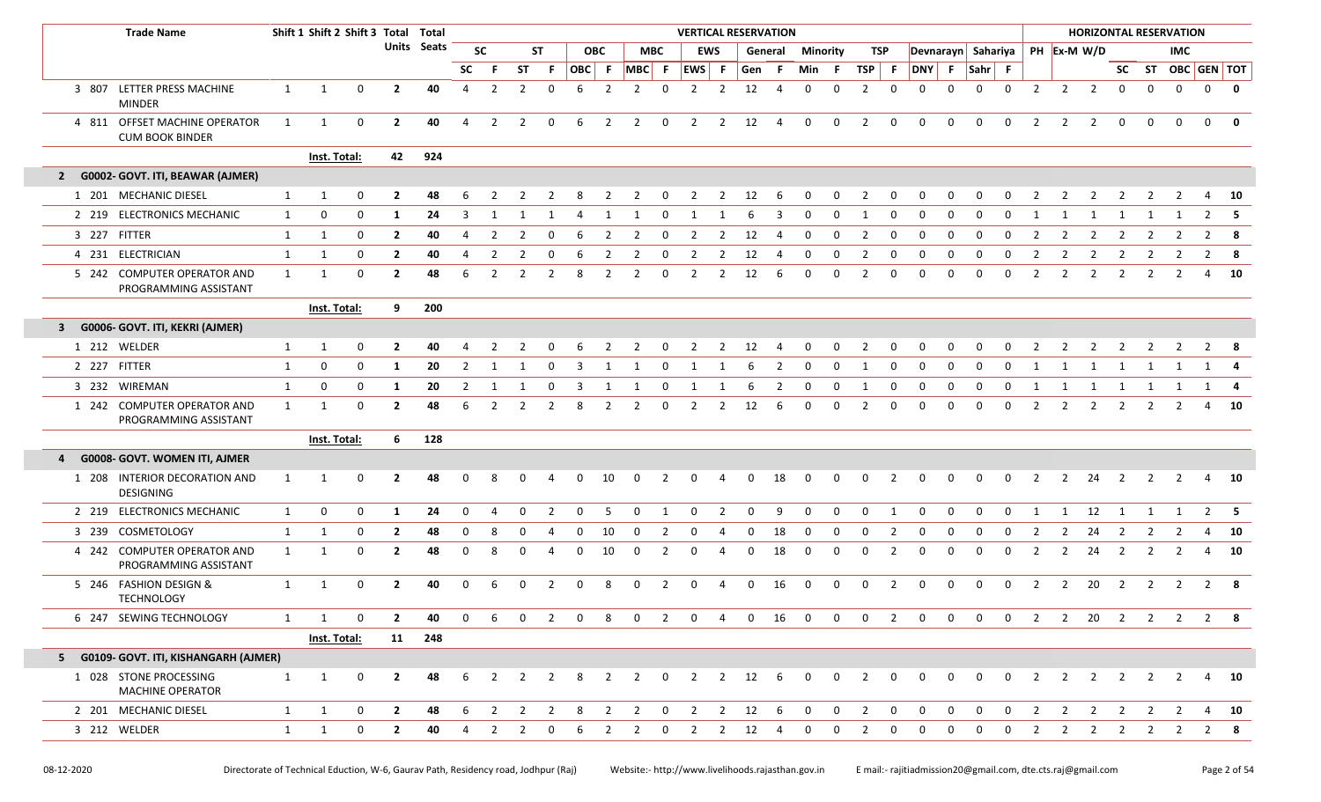|              | <b>Trade Name</b>                                       |              | Shift 1 Shift 2 Shift 3 Total Total |             |                |             |                |                |                |                |              |                |                |                         |                              |                |             | <b>VERTICAL RESERVATION</b> |                         |                 |                |                |                |                |                    |                         |                |                |                |                         |                         | <b>HORIZONTAL RESERVATION</b>  |                |                         |
|--------------|---------------------------------------------------------|--------------|-------------------------------------|-------------|----------------|-------------|----------------|----------------|----------------|----------------|--------------|----------------|----------------|-------------------------|------------------------------|----------------|-------------|-----------------------------|-------------------------|-----------------|----------------|----------------|----------------|----------------|--------------------|-------------------------|----------------|----------------|----------------|-------------------------|-------------------------|--------------------------------|----------------|-------------------------|
|              |                                                         |              |                                     |             |                | Units Seats |                | <b>SC</b>      |                | <b>ST</b>      |              | <b>OBC</b>     |                | <b>MBC</b>              |                              | <b>EWS</b>     |             | General                     |                         | <b>Minority</b> | TSP            |                |                |                | Devnarayn Sahariya |                         |                |                | PH Ex-M W/D    |                         |                         | <b>IMC</b>                     |                |                         |
|              |                                                         |              |                                     |             |                |             | <b>SC</b>      | -F.            | <b>ST</b>      | F.             | OBC F        |                | MBC F          |                         | EWS F                        |                | Gen F       |                             | Min                     | - F             | TSP F          |                | DNY F          |                | Sahr F             |                         |                |                |                |                         |                         | SC ST OBC GEN TOT              |                |                         |
|              | 3 807 LETTER PRESS MACHINE<br><b>MINDER</b>             | 1            | 1                                   | $\mathbf 0$ | $\mathbf{2}$   | 40          | $\overline{4}$ | $\overline{2}$ | $\overline{2}$ | 0              | 6            | $\overline{2}$ | $\overline{2}$ | $\mathbf 0$             | 2                            | $\overline{2}$ | 12          | $\overline{4}$              | $\mathbf 0$             | $\mathbf 0$     | $\overline{2}$ | 0              | $\Omega$       | $\Omega$       | $\Omega$           | $\Omega$                | 2              | $\overline{2}$ | $\overline{2}$ | $\mathbf 0$             | $\Omega$                | $\Omega$                       | $\mathbf 0$    | $\overline{\mathbf{0}}$ |
|              | 4 811 OFFSET MACHINE OPERATOR<br><b>CUM BOOK BINDER</b> | 1            | 1                                   | $\mathbf 0$ | $\overline{2}$ | 40          | $\overline{4}$ | $\overline{2}$ | $\overline{2}$ | 0              | 6            | $\overline{2}$ | $2^{\circ}$    | $\overline{\mathbf{0}}$ | $\overline{2}$               |                | $2 \t 12$   | $\overline{4}$              | $\mathbf 0$             | 0               | $\overline{2}$ | $\mathbf 0$    | $\mathbf 0$    | 0              | $\mathbf 0$        | $\mathbf 0$             | 2              | $\overline{2}$ | 2              | $\mathbf 0$             | $\Omega$                | $\Omega$                       | $\mathbf 0$    | 0                       |
|              |                                                         |              | Inst. Total:                        |             | 42             | 924         |                |                |                |                |              |                |                |                         |                              |                |             |                             |                         |                 |                |                |                |                |                    |                         |                |                |                |                         |                         |                                |                |                         |
| $\mathbf{2}$ | G0002- GOVT. ITI, BEAWAR (AJMER)                        |              |                                     |             |                |             |                |                |                |                |              |                |                |                         |                              |                |             |                             |                         |                 |                |                |                |                |                    |                         |                |                |                |                         |                         |                                |                |                         |
|              | 1 201 MECHANIC DIESEL                                   | 1            | 1                                   | 0           | $\mathbf{2}$   | 48          |                |                |                |                |              |                |                |                         |                              | 2              | 12          | 6                           | $\Omega$                | $\Omega$        |                | n              |                |                |                    |                         |                |                |                |                         |                         |                                | 4              | 10                      |
|              | 2 219 ELECTRONICS MECHANIC                              | 1            | 0                                   | $\mathbf 0$ | -1             | 24          | $\overline{3}$ | 1              | 1              | 1              | 4            | 1              | 1              | $\mathbf 0$             | 1                            | 1              | -6          | 3                           | $\mathbf 0$             | 0               | 1              | $\mathbf{0}$   | $\mathbf 0$    | $\mathbf 0$    | $\mathbf 0$        | $\Omega$                | 1              | 1              | 1              | 1                       | 1                       |                                |                | $2 \quad 5$             |
|              | 3 227 FITTER                                            | $\mathbf{1}$ | 1                                   | $\mathbf 0$ | $\overline{2}$ | 40          |                | $\overline{2}$ | 2              | $\Omega$       |              |                |                | $\Omega$                | 2                            | 2              | 12          | 4                           | 0                       | 0               | $\overline{2}$ | $\Omega$       | $\Omega$       | 0              | റ                  | $\Omega$                | -2             | 2              | -2             |                         |                         |                                | $\overline{2}$ | - 8                     |
|              | 4 231 ELECTRICIAN                                       | 1            | 1                                   | 0           | $\overline{2}$ | 40          | 4              | $\overline{2}$ | $\overline{2}$ | $\Omega$       | 6            | 2              |                | 0                       | 2                            | 2              | 12          | 4                           | 0                       | 0               | $\overline{2}$ | 0              | $\Omega$       | 0              | $\Omega$           | $\Omega$                | $\overline{2}$ | 2              | $\overline{2}$ | $\overline{2}$          | 2                       | 2                              | 2              | 8                       |
|              | 5 242 COMPUTER OPERATOR AND<br>PROGRAMMING ASSISTANT    | 1            | 1                                   | 0           | $\overline{2}$ | 48          | 6              | $\overline{2}$ | 2              | 2              | -8           | 2              | 2              | 0                       | 2                            | 2              | 12          | 6                           | $\Omega$                | 0               | 2              | 0              | $\Omega$       | <sup>0</sup>   | $\Omega$           | 0                       | 2              | $\overline{2}$ | $\overline{2}$ | 2                       | 2                       | 2                              | 4              | 10                      |
|              |                                                         |              | Inst. Total:                        |             | 9              | 200         |                |                |                |                |              |                |                |                         |                              |                |             |                             |                         |                 |                |                |                |                |                    |                         |                |                |                |                         |                         |                                |                |                         |
| $\mathbf{3}$ | G0006- GOVT. ITI, KEKRI (AJMER)                         |              |                                     |             |                |             |                |                |                |                |              |                |                |                         |                              |                |             |                             |                         |                 |                |                |                |                |                    |                         |                |                |                |                         |                         |                                |                |                         |
|              | 1 212 WELDER                                            | $\mathbf{1}$ | 1                                   | 0           | $\mathbf{2}$   | 40          |                |                |                |                |              |                | 2              | 0                       | 2                            | 2              | 12          | -4                          | 0                       | 0               | 2              | 0              | <sup>0</sup>   | 0              | <sup>0</sup>       | <sup>0</sup>            |                | 2              |                |                         |                         | 2                              | 2              | - 8                     |
|              | 2 227 FITTER                                            | 1            | 0                                   | 0           | -1             | 20          | $\overline{2}$ | 1              |                | $\Omega$       | 3            | -1             |                | 0                       | -1                           |                |             | 2                           | 0                       | 0               | -1             | 0              | $\Omega$       | 0              | 0                  | 0                       | 1              | 1              | 1              | 1                       | -1                      |                                |                | 1 4                     |
|              | 3 232 WIREMAN                                           | 1            | 0                                   | $\mathbf 0$ | 1              | 20          | $\overline{2}$ | 1              | -1             | 0              | 3            | 1              | 1              | 0                       | 1                            | 1              | 6           | 2                           | $\mathbf 0$             | 0               | 1              | 0              | 0              | 0              | 0                  | 0                       | 1              | 1              | 1              | 1                       | 1                       | $\mathbf{1}$                   |                | 1 4                     |
|              | 1 242 COMPUTER OPERATOR AND<br>PROGRAMMING ASSISTANT    | $\mathbf{1}$ | 1                                   | $\mathbf 0$ | $\mathbf{2}$   | 48          | 6              | 2              | 2              | 2              | 8            | 2              | 2              | 0                       | 2                            | 2              | 12          | 6                           | 0                       | 0               | 2              | 0              | $\Omega$       | 0              | $\Omega$           | $\Omega$                | 2              | 2              | 2              | 2                       | 2                       | 2                              | 4              | - 10                    |
|              |                                                         |              | Inst. Total:                        |             | 6              | 128         |                |                |                |                |              |                |                |                         |                              |                |             |                             |                         |                 |                |                |                |                |                    |                         |                |                |                |                         |                         |                                |                |                         |
| 4            | G0008- GOVT. WOMEN ITI, AJMER                           |              |                                     |             |                |             |                |                |                |                |              |                |                |                         |                              |                |             |                             |                         |                 |                |                |                |                |                    |                         |                |                |                |                         |                         |                                |                |                         |
|              | 1 208 INTERIOR DECORATION AND<br><b>DESIGNING</b>       | 1            | 1                                   | 0           | $\mathbf{2}$   | 48          | ŋ              |                |                |                |              | 10             |                |                         |                              |                | O           | 18                          | 0                       | 0               | 0              |                |                |                | n                  | O                       |                | 2              | 24             | 2                       |                         |                                | 4              | 10                      |
|              | 2 219 ELECTRONICS MECHANIC                              | $\mathbf{1}$ | 0                                   | $\mathbf 0$ | -1             | 24          | $\mathbf 0$    | 4              | 0              | 2              | $\mathbf 0$  | -5             | 0              | 1                       | $\mathbf 0$                  | 2              | 0           | 9                           | $\mathbf 0$             | 0               | $\mathbf 0$    | 1              | 0              | 0              | 0                  | 0                       | 1              | 1              | 12             | <sup>1</sup>            | 1                       | 1                              |                | $2 \quad 5$             |
|              | 3 239 COSMETOLOGY                                       | $\mathbf{1}$ | 1                                   | $\mathbf 0$ | $\mathbf{2}$   | 48          | 0              | 8              | 0              | -4             | 0            | 10             | $\Omega$       | 2                       | 0                            | 4              | O           | 18                          | 0                       | 0               | 0              | 2              | 0              | 0              | $\Omega$           | $\Omega$                | 2              | 2              | 24             | 2                       | 2                       | 2                              | 4              | - 10                    |
|              | 4 242 COMPUTER OPERATOR AND<br>PROGRAMMING ASSISTANT    | 1            | $\mathbf{1}$                        | $\mathbf 0$ | $\mathbf{2}$   | 48          | 0              | 8              | O              | 4              | 0            | 10             | $\Omega$       | 2                       | 0                            | 4              | $\Omega$    | 18                          | 0                       | 0               | 0              | 2              | 0              | 0              | 0                  | 0                       | 2              | $\overline{2}$ | 24             | 2                       | 2                       | 2                              | 4              | - 10                    |
|              | 5 246 FASHION DESIGN &<br><b>TECHNOLOGY</b>             | $\mathbf{1}$ | $\mathbf{1}$                        | $\mathbf 0$ | $\mathbf{2}$   | 40          | 0              | 6              | $\Omega$       | $\overline{2}$ | $\Omega$     | 8              | $\Omega$       | 2                       | $\mathbf 0$                  | 4              | $\Omega$    | 16                          | $\mathbf 0$             | 0               | $\mathbf 0$    | 2              | $\mathbf 0$    | $\mathbf{0}$   | $\mathbf 0$        | $\mathbf 0$             | $\overline{2}$ | $\overline{2}$ | 20             | $\overline{\mathbf{2}}$ | $\overline{2}$          | $\overline{2}$                 |                | $2 \times 8$            |
|              | 6 247 SEWING TECHNOLOGY                                 | $\mathbf{1}$ | 1                                   | 0           | $\overline{2}$ | 40          | $\mathbf 0$    | 6              | $\mathbf 0$    | 2              | $\mathbf{0}$ | 8              | $\mathbf 0$    | $\overline{2}$          | $\mathbf 0$                  | 4              | $\mathbf 0$ | 16                          | $\overline{0}$          | $\mathbf 0$     | $\mathbf 0$    | $\overline{2}$ | $\mathbf 0$    | $\mathbf 0$    | $\mathbf 0$        | $\mathbf 0$             | 2              | $\overline{2}$ |                | 20 2                    | $\overline{\mathbf{2}}$ | $\overline{2}$                 |                | 2 8                     |
|              |                                                         |              | Inst. Total:                        |             |                | 11 248      |                |                |                |                |              |                |                |                         |                              |                |             |                             |                         |                 |                |                |                |                |                    |                         |                |                |                |                         |                         |                                |                |                         |
|              | 5 G0109- GOVT. ITI, KISHANGARH (AJMER)                  |              |                                     |             |                |             |                |                |                |                |              |                |                |                         |                              |                |             |                             |                         |                 |                |                |                |                |                    |                         |                |                |                |                         |                         |                                |                |                         |
|              | 1 028 STONE PROCESSING<br>MACHINE OPERATOR              | $\mathbf{1}$ | 1                                   | $\mathbf 0$ | $\mathbf{2}$   | 48          | 6              | 2              |                | $2 \quad 2$    | 8            | 2              |                |                         | 2 0 2 2 12 6                 |                |             |                             | $\overline{0}$          | $\mathbf 0$     | $\overline{2}$ | $\overline{0}$ | $\mathbf{0}$   | $\mathbf 0$    | $\mathbf{0}$       | $\mathbf 0$             | 2              |                | $2 \quad 2$    | $\overline{2}$          |                         | $2 \quad 2$                    |                | 4 10                    |
|              | 2 201 MECHANIC DIESEL                                   | 1            | $\mathbf{1}$                        | $\mathbf 0$ | $\overline{2}$ | 48          | 6              |                |                |                |              |                |                |                         | 2 2 2 8 2 2 0 2 2 12 6 0 0 2 |                |             |                             |                         |                 |                | $\overline{0}$ | $\overline{0}$ | $\overline{0}$ | $\overline{0}$     | $\overline{\mathbf{0}}$ | $\overline{2}$ |                |                |                         |                         | 2 2 2 2 2 4 10                 |                |                         |
|              | 3 212 WELDER                                            | $\mathbf{1}$ | 1                                   | $\mathbf 0$ | $\overline{2}$ | 40          | $\overline{4}$ | $\overline{2}$ | 2              | $\mathbf 0$    | -6           | 2              | 2              | $\overline{0}$          | $\overline{\mathbf{2}}$      |                | 2 12 4      |                             | $\overline{\mathbf{0}}$ | $\mathbf 0$     | $\overline{2}$ | $\mathbf 0$    | $\mathbf 0$    | $\mathbf{0}$   | $\mathbf 0$        | $\mathbf 0$             | 2              | $2^{\circ}$    |                |                         |                         | $2 \qquad 2 \qquad 2 \qquad 2$ |                | $2 \times 8$            |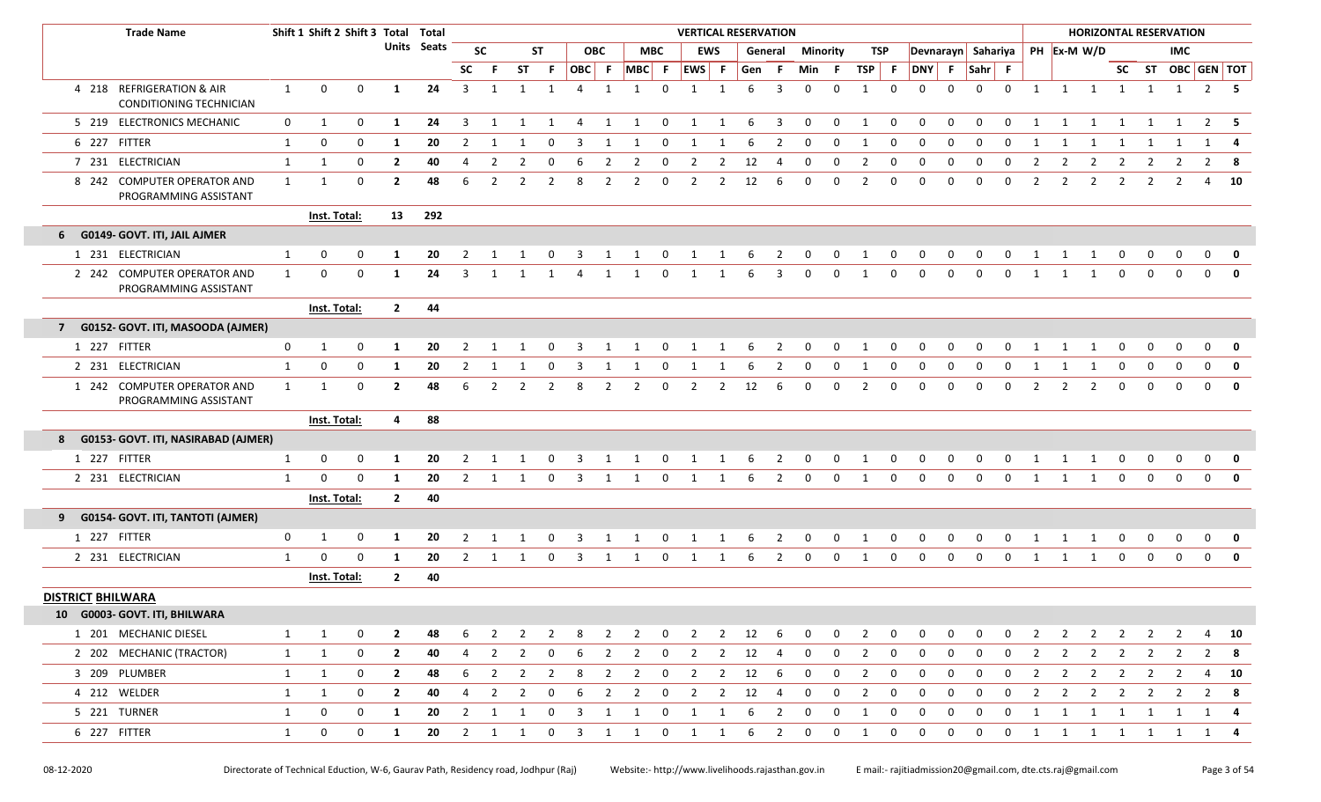|                          | <b>Trade Name</b>                                    |                   | Shift 1 Shift 2 Shift 3 Total Total |             |                                |                    |                |                |                     |                               |                              |                     |                |                            | <b>VERTICAL RESERVATION</b> |                |          |                         |                 |              |                     |                  |                            |                  |                                |                            |                     |                |                |                |                | <b>HORIZONTAL RESERVATION</b> |                |                      |
|--------------------------|------------------------------------------------------|-------------------|-------------------------------------|-------------|--------------------------------|--------------------|----------------|----------------|---------------------|-------------------------------|------------------------------|---------------------|----------------|----------------------------|-----------------------------|----------------|----------|-------------------------|-----------------|--------------|---------------------|------------------|----------------------------|------------------|--------------------------------|----------------------------|---------------------|----------------|----------------|----------------|----------------|-------------------------------|----------------|----------------------|
|                          |                                                      |                   |                                     |             |                                | <b>Units</b> Seats |                | <b>SC</b>      |                     | <b>ST</b>                     |                              | <b>OBC</b>          |                | <b>MBC</b>                 |                             | <b>EWS</b>     |          | General                 | <b>Minority</b> |              | TSP                 |                  |                            |                  | Devnarayn Sahariya PH Ex-M W/D |                            |                     |                |                |                |                | <b>IMC</b>                    |                |                      |
|                          |                                                      |                   |                                     |             |                                |                    | <b>SC</b>      | -F             | <b>ST</b>           | F.                            | OBC F                        |                     | $MBC$ F        |                            | EWS F                       |                | Gen      | - F                     | Min             | - F          | $TSP$ F             |                  | DNY F                      |                  | $Sahr$ F                       |                            |                     |                |                |                |                | SC ST OBC GEN TOT             |                |                      |
|                          | 4 218 REFRIGERATION & AIR<br>CONDITIONING TECHNICIAN | 1                 | $\mathbf 0$                         | 0           | 1                              | 24                 | $\overline{3}$ | 1              | 1                   | 1                             | $\overline{a}$               | $\overline{1}$      | $\mathbf{1}$   | $\Omega$                   | $\overline{1}$              | $\mathbf{1}$   | 6        | 3                       | $\Omega$        | $\Omega$     | $\mathbf{1}$        | $\Omega$         | $\Omega$                   | $\Omega$         | $\Omega$                       | $\Omega$                   | 1                   |                | 1 1            | $\overline{1}$ |                | $1 \quad 1$                   |                | $2 \quad 5$          |
|                          | 5 219 ELECTRONICS MECHANIC                           | $\mathbf{0}$      | 1                                   | 0           | 1                              | 24                 | 3              | 1              | 1                   | 1                             | 4                            | 1                   | 1              | 0                          | 1                           | 1              | -6       | $\overline{\mathbf{3}}$ | $\mathbf 0$     | 0            | 1                   | $\mathbf 0$      | $\mathbf 0$                | $\mathbf 0$      | $\mathbf 0$                    | $\mathbf 0$                | 1                   | 1              | 1              | 1              | 1              | 1                             |                | $2 \quad 5$          |
|                          | 6 227 FITTER                                         | 1                 | 0                                   | 0           | 1                              | 20                 | 2              |                |                     |                               | 3                            |                     |                |                            |                             |                |          | 2                       |                 | 0            |                     | 0                | $\Omega$                   | 0                |                                |                            |                     |                |                |                |                |                               | 1              | 4                    |
|                          | 7 231 ELECTRICIAN                                    | $\mathbf{1}$      | 1                                   | 0           | $\mathbf{2}$                   | 40                 | 4              | $\overline{2}$ | 2                   | $\Omega$                      | 6                            | 2                   | $\overline{2}$ | 0                          | $\overline{2}$              | $\overline{2}$ | 12       | 4                       | $\Omega$        | 0            | 2                   | 0                | 0                          | $\mathbf 0$      | $\Omega$                       | 0                          | $\overline{2}$      | 2              | $\overline{2}$ | 2              | $\overline{2}$ | 2                             | $\overline{2}$ | - 8                  |
|                          | 8 242 COMPUTER OPERATOR AND<br>PROGRAMMING ASSISTANT | $\mathbf{1}$      | $\mathbf{1}$                        | 0           | $\mathbf{2}$                   | 48                 | 6              | 2              | 2                   | $\overline{2}$                | 8                            | 2                   | 2              | $\mathbf{0}$               | 2                           | $\overline{2}$ | 12       | 6                       | $\Omega$        | 0            | $\overline{2}$      | 0                | $\Omega$                   | $\Omega$         | $\Omega$                       | $\Omega$                   | $\overline{2}$      | $\overline{2}$ | $\overline{2}$ | 2              | 2              | 2                             | 4              | 10                   |
|                          |                                                      |                   | Inst. Total:                        |             | 13                             | 292                |                |                |                     |                               |                              |                     |                |                            |                             |                |          |                         |                 |              |                     |                  |                            |                  |                                |                            |                     |                |                |                |                |                               |                |                      |
|                          | 6 G0149- GOVT. ITI, JAIL AJMER                       |                   |                                     |             |                                |                    |                |                |                     |                               |                              |                     |                |                            |                             |                |          |                         |                 |              |                     |                  |                            |                  |                                |                            |                     |                |                |                |                |                               |                |                      |
|                          | 1 231 ELECTRICIAN                                    | 1                 | 0                                   | 0           | -1                             | 20                 | 2              | -1             |                     | $\Omega$                      | 3                            | 1                   | 1              | $\mathbf 0$                | $\overline{1}$              | 1              | 6        | $\overline{2}$          | $\mathbf 0$     | 0            | 1                   | $\mathbf 0$      | $\mathbf 0$                | 0                | $\mathbf 0$                    | $\mathbf 0$                | -1                  | -1             | 1              | 0              | $\mathbf 0$    | $\mathbf 0$                   | $\mathbf 0$    | 0                    |
|                          | 2 242 COMPUTER OPERATOR AND<br>PROGRAMMING ASSISTANT | $\mathbf{1}$      | 0                                   | $\mathbf 0$ | 1                              | 24                 | 3              | -1             |                     |                               |                              | 1                   | 1              | 0                          | 1                           | 1              | 6        | 3                       | $\Omega$        | $\mathbf{0}$ | $\mathbf{1}$        | $\mathbf 0$      | $\Omega$                   | $\Omega$         | $\mathbf 0$                    | $\mathbf 0$                | 1                   |                | 1              | $\Omega$       | $\Omega$       | $\Omega$                      | $\Omega$       |                      |
|                          |                                                      |                   | Inst. Total:                        |             | $2^{\circ}$                    | 44                 |                |                |                     |                               |                              |                     |                |                            |                             |                |          |                         |                 |              |                     |                  |                            |                  |                                |                            |                     |                |                |                |                |                               |                |                      |
| 7 <sup>7</sup>           | G0152- GOVT. ITI, MASOODA (AJMER)                    |                   |                                     |             |                                |                    |                |                |                     |                               |                              |                     |                |                            |                             |                |          |                         |                 |              |                     |                  |                            |                  |                                |                            |                     |                |                |                |                |                               |                |                      |
|                          | 1 227 FITTER                                         | $\mathbf{0}$      | 1                                   | 0           | -1                             | 20                 | 2              |                |                     |                               |                              |                     |                | $\Omega$                   |                             |                | 6        | 2                       |                 | 0            |                     | 0                |                            | O                |                                |                            |                     |                |                | 0              | 0              | 0                             | $\Omega$       | 0                    |
|                          | 2 231 ELECTRICIAN                                    | $\mathbf{1}$      | 0                                   | 0           | 1                              | 20                 | $\overline{2}$ |                |                     | $\Omega$                      | 3                            |                     |                | $\Omega$                   | 1                           |                |          | 2                       | $\Omega$        | 0            | -1                  | 0                | 0                          | $\Omega$         | $\Omega$                       | 0                          |                     |                |                | $\Omega$       | $\mathbf 0$    | 0                             | $\mathbf 0$    | $\mathbf 0$          |
|                          | 1 242 COMPUTER OPERATOR AND<br>PROGRAMMING ASSISTANT | $\mathbf{1}$      | $\mathbf{1}$                        | 0           | $\mathbf{2}$                   | 48                 | 6              | 2              | 2                   | $\overline{2}$                | 8                            | 2                   | 2              | 0                          | 2                           | 2              | 12       | 6                       | 0               | 0            | $\overline{2}$      | 0                | $\Omega$                   | $\Omega$         | $\Omega$                       | 0                          | $\overline{2}$      | 2              | $\overline{2}$ | $\Omega$       | 0              | $\Omega$                      | $\mathbf 0$    | $\mathbf{0}$         |
|                          |                                                      |                   | Inst. Total:                        |             | 4                              | 88                 |                |                |                     |                               |                              |                     |                |                            |                             |                |          |                         |                 |              |                     |                  |                            |                  |                                |                            |                     |                |                |                |                |                               |                |                      |
|                          | 8 G0153- GOVT. ITI, NASIRABAD (AJMER)                |                   |                                     |             |                                |                    |                |                |                     |                               |                              |                     |                |                            |                             |                |          |                         |                 |              |                     |                  |                            |                  |                                |                            |                     |                |                |                |                |                               |                |                      |
|                          | 1 227 FITTER                                         | 1                 | $\mathbf 0$                         | $\mathbf 0$ | -1                             | 20                 | 2              | -1             |                     | 0                             | -3                           | -1                  |                | 0                          | 1                           | 1              | -6       | $\overline{2}$          | $\mathbf 0$     | 0            | -1                  | $\mathbf 0$      | $\mathbf 0$                | 0                | 0                              | 0                          | -1                  |                | 1              | 0              | $\mathbf 0$    | 0                             | 0              | 0                    |
|                          | 2 231 ELECTRICIAN                                    | $\mathbf{1}$      | $\Omega$                            | $\Omega$    | 1                              | 20                 | 2              | -1             |                     | 0                             | -3                           |                     |                | $\Omega$                   |                             |                | -6       | 2                       | $\Omega$        | $\Omega$     | $\mathbf{1}$        | $\Omega$         | $\Omega$                   | 0                | $\Omega$                       | O                          |                     |                |                | $\Omega$       | 0              | $\Omega$                      | 0              | $\mathbf{0}$         |
|                          |                                                      |                   | Inst. Total:                        |             | $\overline{2}$                 | 40                 |                |                |                     |                               |                              |                     |                |                            |                             |                |          |                         |                 |              |                     |                  |                            |                  |                                |                            |                     |                |                |                |                |                               |                |                      |
|                          | 9 G0154- GOVT. ITI, TANTOTI (AJMER)                  |                   |                                     |             |                                |                    |                |                |                     |                               |                              |                     |                |                            |                             |                |          |                         |                 |              |                     |                  |                            |                  |                                |                            |                     |                |                |                |                |                               |                |                      |
|                          | 1 227 FITTER                                         | $\mathbf 0$       | 1                                   | $\mathbf 0$ | -1                             | 20                 | 2              | 1              | -1                  | $\Omega$                      | -3                           | -1                  | 1              | 0                          | 1                           | 1              | -6       | 2                       | 0               | $\mathbf{0}$ | 1                   | $\mathbf 0$      | $\mathbf 0$                | 0                | 0                              | $\Omega$                   | -1                  | -1             | 1              | 0              | 0              | 0                             | $\Omega$       | 0                    |
|                          | 2 231 ELECTRICIAN                                    | $\mathbf{1}$      | 0                                   | $\mathbf 0$ | 1                              | 20                 | 2              | -1             |                     | 0                             | 3                            | -1                  |                | 0                          | 1                           |                | 6        | 2                       | <sup>0</sup>    | $\Omega$     | -1                  | 0                | $\Omega$                   | $\Omega$         | 0                              | O                          |                     |                |                | $\Omega$       | 0              | $\Omega$                      | $\mathbf 0$    | $\mathbf{0}$         |
|                          |                                                      |                   | Inst. Total:                        |             | $\overline{2}$                 | 40                 |                |                |                     |                               |                              |                     |                |                            |                             |                |          |                         |                 |              |                     |                  |                            |                  |                                |                            |                     |                |                |                |                |                               |                |                      |
| <b>DISTRICT BHILWARA</b> |                                                      |                   |                                     |             |                                |                    |                |                |                     |                               |                              |                     |                |                            |                             |                |          |                         |                 |              |                     |                  |                            |                  |                                |                            |                     |                |                |                |                |                               |                |                      |
|                          | 10 G0003- GOVT. ITI, BHILWARA                        |                   |                                     |             |                                |                    |                |                |                     |                               |                              |                     |                |                            |                             |                |          |                         |                 |              |                     |                  |                            |                  |                                |                            |                     |                |                |                |                |                               |                |                      |
|                          | 1 201 MECHANIC DIESEL                                | $\mathbf{1}$      | 1                                   | 0           | $\overline{2}$                 | 48                 | 6              | 2              | $\overline{2}$      | $\overline{2}$                | 8                            | $\overline{2}$      | $\overline{2}$ | $\mathbf 0$                | $\overline{2}$              | $\overline{2}$ | 12 6     |                         | $\mathbf 0$     | 0            | 2                   | $\mathbf 0$      | $\mathbf 0$                | $\mathbf 0$      | $\mathbf{0}$                   | $\mathbf 0$                | 2                   | $\overline{2}$ |                | $2 \t2 \t2$    |                | $\overline{2}$                |                | 4 10                 |
|                          | 2 202 MECHANIC (TRACTOR)                             | $\mathbf{1}$      | $\mathbf{1}$                        | $\mathbf 0$ | $\mathbf{2}$                   | 40                 | 4              | $\overline{2}$ | $\overline{2}$      | $\mathbf{0}$                  | 6                            | 2                   | $\overline{2}$ | $\mathbf 0$                | $\overline{2}$              | $\overline{2}$ | 12       | $\overline{4}$          | 0               | 0            | $\mathbf{2}$        | $\mathbf 0$      | $\mathbf 0$                | $\mathbf 0$      | $\mathbf{0}$                   | $\mathbf 0$                | 2                   | $\overline{2}$ | $2^{\circ}$    | $\overline{2}$ | 2              | 2                             |                | $2^8$                |
|                          | 3 209 PLUMBER                                        | $\mathbf{1}$      | 1                                   | 0<br>0      | $\overline{2}$<br>$\mathbf{2}$ | 48<br>40           | 6<br>4         | 2<br>2         | $\overline{2}$<br>2 | $\overline{2}$<br>$\mathbf 0$ | 8                            | $\overline{2}$      | $\overline{2}$ | $\mathbf 0$<br>$\mathbf 0$ | $\overline{2}$              | $\overline{2}$ | 12<br>12 | -6<br>$\overline{4}$    | 0<br>0          | 0<br>0       | 2<br>$\overline{2}$ | 0<br>$\mathbf 0$ | $\mathbf 0$<br>$\mathbf 0$ | $\mathbf 0$<br>0 | 0<br>$\mathbf 0$               | $\mathbf 0$<br>$\mathbf 0$ | $\overline{2}$      | $\overline{2}$ | $\overline{2}$ | $\overline{2}$ | $\overline{2}$ | 2                             |                | 4 10<br>$2 \times 8$ |
|                          | 4 212 WELDER<br>5 221 TURNER                         | $\mathbf{1}$<br>1 | 1<br>0                              | 0           | 1                              | 20                 | $\overline{2}$ | 1              | 1                   | $\mathbf 0$                   | 6<br>$\overline{\mathbf{3}}$ | $\overline{2}$<br>1 | $\overline{2}$ | 0                          | $\overline{2}$              | $\overline{2}$ | 6        | $\overline{\mathbf{2}}$ | $\mathbf 0$     | 0            | 1                   | $\mathbf 0$      | $\mathbf{0}$               | $\mathbf{0}$     | $\mathbf 0$                    | $\mathbf 0$                | $\overline{2}$<br>1 | $\overline{2}$ | $\overline{2}$ | $\overline{2}$ | $\overline{2}$ | $\overline{2}$                |                | 1 4                  |
|                          |                                                      |                   |                                     |             |                                |                    |                |                |                     |                               |                              |                     | 1              |                            | 1                           | $\mathbf{1}$   |          |                         |                 |              |                     |                  |                            |                  |                                |                            |                     | 1              | $\mathbf{1}$   | 1              | 1              | 1                             |                |                      |
|                          | 6 227 FITTER                                         | $\mathbf{1}$      | 0                                   | 0           | 1                              | 20                 | $\overline{2}$ | 1              | 1                   | 0                             | $\overline{3}$               | 1                   | 1              | 0                          | 1                           | 1              | 6        | $\overline{2}$          | 0               | 0            | 1                   | 0                | 0                          | 0                | 0                              | 0                          | -1                  | 1              | 1              | 1              | 1              | 1                             |                | 1 4                  |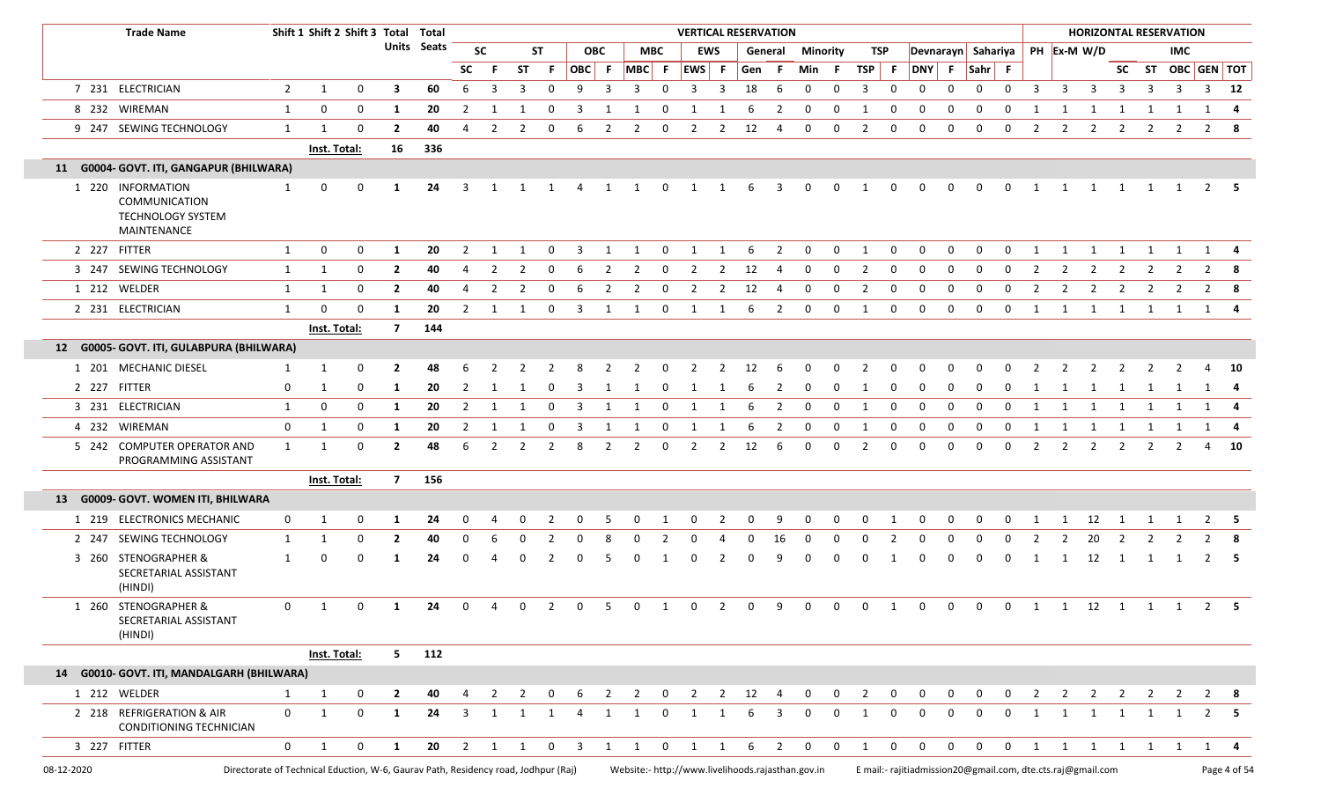|            | <b>Trade Name</b>                                                             |             | Shift 1 Shift 2 Shift 3 Total Total                                                |              |                |                |                |                         |                         |                |                         |                         |                |              | <b>VERTICAL RESERVATION</b> |                         |              |                |              |                 |                |              |                                                                                                              |              |                    |                |                |                |                         |                | <b>HORIZONTAL RESERVATION</b>                     |                |                   |                |
|------------|-------------------------------------------------------------------------------|-------------|------------------------------------------------------------------------------------|--------------|----------------|----------------|----------------|-------------------------|-------------------------|----------------|-------------------------|-------------------------|----------------|--------------|-----------------------------|-------------------------|--------------|----------------|--------------|-----------------|----------------|--------------|--------------------------------------------------------------------------------------------------------------|--------------|--------------------|----------------|----------------|----------------|-------------------------|----------------|---------------------------------------------------|----------------|-------------------|----------------|
|            |                                                                               |             |                                                                                    |              |                | Units Seats    |                | <b>SC</b>               |                         | <b>ST</b>      |                         | <b>OBC</b>              |                | <b>MBC</b>   |                             | <b>EWS</b>              |              | General        |              | <b>Minority</b> | TSP            |              |                                                                                                              |              | Devnarayn Sahariya |                |                | PH Ex-M W/D    |                         |                |                                                   | <b>IMC</b>     |                   |                |
|            |                                                                               |             |                                                                                    |              |                |                | SC.            | -F                      | ST                      | -F.            | OBC F                   |                         | $MBC$ F        |              | EWS F                       |                         | Gen F        |                | Min F        |                 | TSP F          |              | DNY F                                                                                                        |              | Sahr F             |                |                |                |                         |                |                                                   |                | SC ST OBC GEN TOT |                |
|            | 7 231 ELECTRICIAN                                                             | 2           | 1                                                                                  | $\mathbf 0$  | 3              | 60             | 6              | 3                       | 3                       | $\Omega$       | 9                       | 3                       | 3              | $\mathbf 0$  | 3                           | 3                       | 18           | 6              | $\mathbf 0$  | 0               | 3              | $\mathbf 0$  | $\mathbf{0}$                                                                                                 | $\Omega$     | 0                  | $\mathbf 0$    | 3              | 3              | $\overline{\mathbf{3}}$ | 3              | 3                                                 | 3              |                   | $3$ 12         |
|            | 8 232 WIREMAN                                                                 | 1           | 0                                                                                  | 0            | 1              | 20             | 2              | -1                      | -1                      | 0              | 3                       |                         |                | 0            |                             |                         | 6            | -2             | 0            | 0               | -1             | 0            | 0                                                                                                            | $\Omega$     | 0                  | 0              |                |                | 1                       |                |                                                   | 1              | 1                 | -4             |
|            | 9 247 SEWING TECHNOLOGY                                                       | 1           | -1                                                                                 | 0            | $\overline{2}$ | 40             | 4              | $\overline{2}$          | $\overline{2}$          | 0              | 6                       | $\overline{2}$          | $\overline{2}$ | 0            | $\overline{2}$              | $\overline{2}$          | 12           | 4              | $\mathbf{0}$ | 0               | $\overline{2}$ | $\mathbf 0$  | $\mathbf{0}$                                                                                                 | $\mathbf 0$  | $\mathbf 0$        | $\mathbf 0$    | $\overline{2}$ | $\overline{2}$ | $\overline{2}$          | $\overline{2}$ | 2                                                 | $\overline{2}$ |                   | $2 \times 8$   |
|            |                                                                               |             | Inst. Total:                                                                       |              | 16             | 336            |                |                         |                         |                |                         |                         |                |              |                             |                         |              |                |              |                 |                |              |                                                                                                              |              |                    |                |                |                |                         |                |                                                   |                |                   |                |
|            | 11 G0004- GOVT. ITI, GANGAPUR (BHILWARA)                                      |             |                                                                                    |              |                |                |                |                         |                         |                |                         |                         |                |              |                             |                         |              |                |              |                 |                |              |                                                                                                              |              |                    |                |                |                |                         |                |                                                   |                |                   |                |
|            | 1 220 INFORMATION<br>COMMUNICATION<br><b>TECHNOLOGY SYSTEM</b><br>MAINTENANCE | 1           | 0                                                                                  | <sup>0</sup> | -1             | 24             |                |                         |                         |                |                         |                         |                |              |                             |                         |              | 3              | 0            | 0               |                |              |                                                                                                              |              |                    |                |                |                |                         |                |                                                   |                | 2                 | - 5            |
|            | 2 227 FITTER                                                                  | 1           | 0                                                                                  | 0            | 1              | 20             | 2              | 1                       | -1                      | 0              | 3                       | 1                       | -1             | 0            | -1                          | -1                      | -6           | 2              | $\mathbf 0$  | 0               | 1              | $\mathbf 0$  | 0                                                                                                            | 0            | $\mathbf 0$        | 0              | 1              | 1              | 1                       | 1              | 1                                                 | 1              | 1                 | - 4            |
|            | 3 247 SEWING TECHNOLOGY                                                       | 1           | -1                                                                                 | 0            | $\overline{2}$ | 40             |                | 2                       | 2                       | 0              | 6                       | 2                       | 2              | 0            | -2                          | -2                      | 12           | 4              | 0            | 0               | 2              | 0            | 0                                                                                                            | <sup>0</sup> | <sup>0</sup>       | - 0            | 2              | 2              | 2                       | 2              | 2                                                 | 2              | $\overline{2}$    | -8             |
|            | 1 212 WELDER                                                                  | 1           | 1                                                                                  | 0            | $\overline{2}$ | 40             | 4              | $\overline{2}$          | $\overline{2}$          | $\Omega$       | 6                       | $\overline{2}$          | $\overline{2}$ | 0            | 2                           | $\overline{2}$          | 12           | -4             | 0            | $\mathbf 0$     | 2              | 0            | 0                                                                                                            | 0            | $\Omega$           | 0              | 2              | $\overline{2}$ | 2                       | $\overline{2}$ | 2                                                 | 2              | $\overline{2}$    |                |
|            | 2 231 ELECTRICIAN                                                             | 1           | $\Omega$                                                                           | 0            | 1              | 20             | $\overline{2}$ | $\overline{\mathbf{1}}$ | 1                       | 0              | 3                       | $\overline{1}$          | 1              | $\mathbf 0$  | 1                           | 1                       | 6            | 2              | $\mathbf 0$  | $\mathbf 0$     | 1              | $\mathbf 0$  | $\mathbf 0$                                                                                                  | $\mathbf 0$  | $\mathbf 0$        | $\mathbf 0$    | 1              | 1              | $\overline{\mathbf{1}}$ | 1              |                                                   |                | 1 1 1 4           |                |
|            |                                                                               |             | Inst. Total:                                                                       |              | $\overline{7}$ | 144            |                |                         |                         |                |                         |                         |                |              |                             |                         |              |                |              |                 |                |              |                                                                                                              |              |                    |                |                |                |                         |                |                                                   |                |                   |                |
|            | 12 G0005- GOVT. ITI, GULABPURA (BHILWARA)                                     |             |                                                                                    |              |                |                |                |                         |                         |                |                         |                         |                |              |                             |                         |              |                |              |                 |                |              |                                                                                                              |              |                    |                |                |                |                         |                |                                                   |                |                   |                |
|            | 1 201 MECHANIC DIESEL                                                         |             | -1                                                                                 | 0            | $\overline{2}$ | 48             | 6              |                         |                         |                |                         |                         |                |              |                             |                         | 12           |                |              |                 |                |              |                                                                                                              |              |                    |                |                |                |                         |                |                                                   |                |                   | - 10           |
|            | 2 227 FITTER                                                                  | 0           | -1                                                                                 | 0            | 1              | 20             | 2              | -1                      |                         |                | 3                       |                         |                | $\Omega$     |                             |                         | -6           | 2              | 0            | 0               | -1             | 0            | 0                                                                                                            | 0            | 0                  | 0              | 1              | 1              | 1                       | $\mathbf{1}$   | 1                                                 | 1              | 1                 | - 4            |
|            | 3 231 ELECTRICIAN                                                             | 1           | 0                                                                                  | $\mathbf{0}$ | 1              | 20             | 2              | -1                      |                         | $\Omega$       | 3                       |                         |                | $\Omega$     |                             |                         | 6            | 2              | 0            | 0               | -1             | 0            | 0                                                                                                            | $\Omega$     | $\Omega$           | 0              | 1              | -1             | 1                       | 1              | 1                                                 | 1              | 1                 | -4             |
|            | 4 232 WIREMAN                                                                 | $\mathbf 0$ | -1                                                                                 | 0            | 1              | 20             | 2              | -1                      |                         | $\Omega$       | 3                       |                         | -1             | 0            | -1                          |                         | 6            | $\overline{2}$ | 0            | 0               | 1              | 0            | 0                                                                                                            | 0            | 0                  | 0              | 1              | 1              | 1                       | 1              | 1                                                 | 1              | 1                 | -4             |
|            | 5 242 COMPUTER OPERATOR AND<br>PROGRAMMING ASSISTANT                          | 1           | -1                                                                                 | $\Omega$     | $\overline{2}$ | 48             | 6              | $\overline{2}$          | $\overline{2}$          | $\overline{2}$ | 8                       | $\overline{2}$          | $\overline{2}$ | $\mathbf 0$  | 2                           | $\overline{2}$          | 12           | 6              | 0            | 0               | $\overline{2}$ | 0            | $\Omega$                                                                                                     | $\Omega$     | 0                  | 0              | 2              | $\overline{2}$ | 2                       | 2              | 2                                                 | 2              | 4                 | 10             |
|            |                                                                               |             | Inst. Total:                                                                       |              | $\overline{7}$ | 156            |                |                         |                         |                |                         |                         |                |              |                             |                         |              |                |              |                 |                |              |                                                                                                              |              |                    |                |                |                |                         |                |                                                   |                |                   |                |
| 13         | G0009- GOVT. WOMEN ITI, BHILWARA                                              |             |                                                                                    |              |                |                |                |                         |                         |                |                         |                         |                |              |                             |                         |              |                |              |                 |                |              |                                                                                                              |              |                    |                |                |                |                         |                |                                                   |                |                   |                |
|            | 1 219 ELECTRONICS MECHANIC                                                    | 0           | -1                                                                                 | 0            | 1              | 24             | 0              |                         |                         |                |                         | 5                       | 0              |              | 0                           |                         | 0            | 9              | 0            | 0               | 0              |              |                                                                                                              |              |                    |                | -1             | 1              | 12                      | -1             | 1                                                 |                | 2                 | - 5            |
| 2 247      | SEWING TECHNOLOGY                                                             | 1           | -1                                                                                 | 0            | $\overline{2}$ | 40             | 0              | 6                       | 0                       | 2              | $\Omega$                | 8                       | 0              | 2            | 0                           |                         | $\Omega$     | 16             | 0            | $\Omega$        | 0              | -2           | 0                                                                                                            |              | 0                  | 0              | 2              | $\overline{2}$ | 20                      | $\overline{2}$ | 2                                                 |                | $\overline{2}$    | - 8            |
|            | 3 260 STENOGRAPHER &<br>SECRETARIAL ASSISTANT<br>(HINDI)                      | 1           | 0                                                                                  | 0            | -1             | 24             | $\Omega$       |                         | 0                       |                |                         | 5                       |                |              |                             |                         | 0            | 9              |              |                 | 0              |              |                                                                                                              |              | 0                  | 0              |                | 1              | 12                      | 1              | 1                                                 | 1              | 2                 | - 5            |
|            | 1 260 STENOGRAPHER &<br>SECRETARIAL ASSISTANT<br>(HINDI)                      | 0           | 1                                                                                  | 0            | -1             | 24             | 0              | 4                       | $\mathbf{0}$            | 2              | 0                       | -5                      | 0              | -1           | 0                           | -2                      | $\mathbf{0}$ | 9              | 0            | 0               | $\mathbf 0$    | -1           | 0                                                                                                            | 0            | $\mathbf{0}$       | $\overline{0}$ |                |                |                         |                | $1 \qquad 1 \qquad 12 \qquad 1 \qquad 1 \qquad 1$ |                | $\overline{2}$    | - 5            |
|            |                                                                               |             | Inst. Total:                                                                       |              |                | $5 \qquad 112$ |                |                         |                         |                |                         |                         |                |              |                             |                         |              |                |              |                 |                |              |                                                                                                              |              |                    |                |                |                |                         |                |                                                   |                |                   |                |
|            | 14 G0010- GOVT. ITI, MANDALGARH (BHILWARA)                                    |             |                                                                                    |              |                |                |                |                         |                         |                |                         |                         |                |              |                             |                         |              |                |              |                 |                |              |                                                                                                              |              |                    |                |                |                |                         |                |                                                   |                |                   |                |
|            | 1 212 WELDER                                                                  | 1           | 1                                                                                  | $\mathbf{0}$ | $\mathbf{2}$   | 40             | 4              | $\overline{2}$          | $\overline{\mathbf{2}}$ | $\overline{0}$ | 6                       | $\overline{\mathbf{c}}$ |                |              | 2 0 2 2 12 4                |                         |              |                |              |                 | 0 0 2 0        |              | $\overline{0}$                                                                                               |              |                    |                |                |                |                         |                | 0 0 0 2 2 2 2 2 2                                 |                |                   | 2 8            |
|            | 2 218 REFRIGERATION & AIR<br>CONDITIONING TECHNICIAN                          | $\mathbf 0$ | 1                                                                                  | $\mathbf{0}$ | <b>1</b>       | 24             | 3              |                         |                         |                |                         |                         | 1              | $\Omega$     |                             | -1                      | 6            | 3              | $\Omega$     | $\mathbf 0$     | 1              | $\mathbf 0$  | 0                                                                                                            | $\Omega$     | $\Omega$           | $\mathbf 0$    | 1              | 1              | 1                       | 1              |                                                   | 1              |                   | $2 \quad 5$    |
|            | 3 227 FITTER                                                                  | 0           | 1                                                                                  | $\mathbf 0$  | 1              | 20             | $2 \quad 1$    |                         | $\mathbf{1}$            | $\mathbf{0}$   | $\overline{\mathbf{3}}$ | $\mathbf{1}$            | 1              | $\mathbf{0}$ | 1                           | $\overline{\mathbf{1}}$ | 6            | $\overline{2}$ | $\mathbf{0}$ | $\mathbf{0}$    | 1              | $\mathbf{0}$ | $\mathbf{0}$                                                                                                 | $\mathbf 0$  | $\mathbf 0$        | $\mathbf 0$    | $\mathbf{1}$   | 1              | 1                       | 1              | 1                                                 | $\overline{1}$ | 1                 | $\overline{4}$ |
| 08-12-2020 |                                                                               |             | Directorate of Technical Eduction, W-6, Gaurav Path, Residency road, Jodhpur (Raj) |              |                |                |                |                         |                         |                |                         |                         |                |              |                             |                         |              |                |              |                 |                |              | Website:- http://www.livelihoods.rajasthan.gov.in Email:- rajitiadmission20@gmail.com, dte.cts.raj@gmail.com |              |                    |                |                |                |                         |                |                                                   |                |                   | Page 4 of 54   |

r.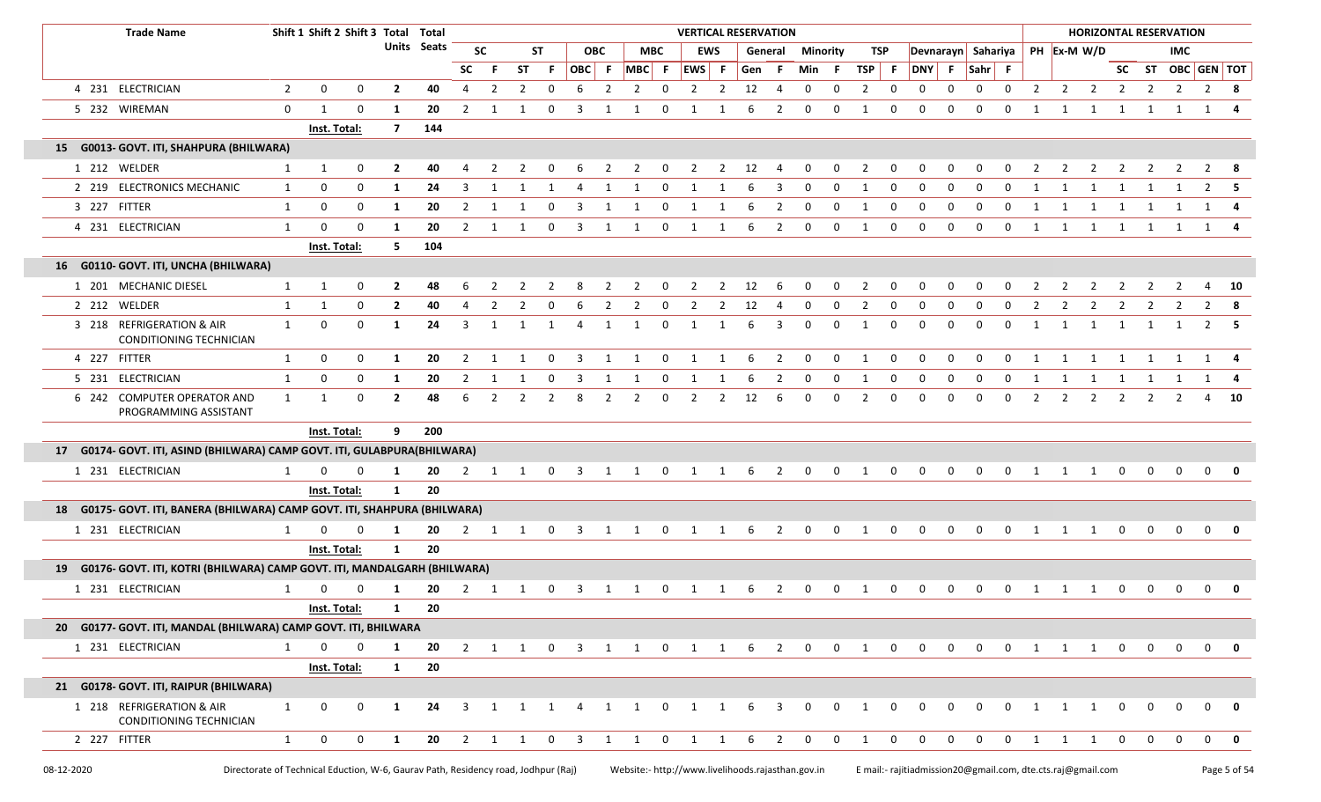|    | <b>Trade Name</b>                                                           |              | Shift 1 Shift 2 Shift 3 Total Total |             |                |                    |                |                |                |             |                |                |                         |                | <b>VERTICAL RESERVATION</b>                                    |                |                        |                |                |              |                |                |              |                |                     |              |                                     |                |                     |                | <b>HORIZONTAL RESERVATION</b> |                |                          |             |
|----|-----------------------------------------------------------------------------|--------------|-------------------------------------|-------------|----------------|--------------------|----------------|----------------|----------------|-------------|----------------|----------------|-------------------------|----------------|----------------------------------------------------------------|----------------|------------------------|----------------|----------------|--------------|----------------|----------------|--------------|----------------|---------------------|--------------|-------------------------------------|----------------|---------------------|----------------|-------------------------------|----------------|--------------------------|-------------|
|    |                                                                             |              |                                     |             |                | <b>Units</b> Seats |                | <b>SC</b>      |                | <b>ST</b>   |                | <b>OBC</b>     | <b>MBC</b>              |                |                                                                | EWS            | General                |                |                | Minority     | TSP            |                |              |                | Devnarayn Sahariya  |              |                                     |                | PH Ex-M W/D         |                |                               | <b>IMC</b>     |                          |             |
|    |                                                                             |              |                                     |             |                |                    | <b>SC</b>      | -F.            | <b>ST</b>      | - F         | OBC F          |                | $MBC$ F                 |                | EWS F                                                          |                | Gen F                  |                | Min            | - F          | TSP            | - F            | <b>DNY</b>   | - F -          | $Sahr$ F            |              |                                     |                |                     |                |                               |                | SC ST OBC GEN TOT        |             |
|    | 4 231 ELECTRICIAN                                                           | 2            | $\mathbf 0$                         | $\mathbf 0$ | $\overline{2}$ | 40                 | 4              | 2              | 2              | $\mathbf 0$ | 6              | 2              | 2                       | $\mathbf 0$    | $\overline{2}$                                                 | $\overline{2}$ | 12                     | 4              | 0              | $\mathbf 0$  | $\overline{2}$ | $\mathbf 0$    | 0            | $\mathbf 0$    | $\mathbf 0$         | $\mathbf 0$  | $\overline{2}$                      |                | $2 \quad 2$         | $\overline{2}$ | $\overline{2}$                | $\overline{2}$ |                          | 2 8         |
|    | 5 232 WIREMAN                                                               | $\mathbf 0$  | 1                                   | $\mathbf 0$ | 1              | 20                 | 2              |                |                | 0           |                |                |                         | 0              |                                                                |                | 6                      | $\overline{2}$ | 0              | 0            | 1              | 0              | 0            | 0              | 0                   | $\Omega$     |                                     | 1              | 1                   |                |                               |                |                          |             |
|    |                                                                             |              | Inst. Total:                        |             | $\overline{7}$ | 144                |                |                |                |             |                |                |                         |                |                                                                |                |                        |                |                |              |                |                |              |                |                     |              |                                     |                |                     |                |                               |                |                          |             |
| 15 | G0013- GOVT. ITI, SHAHPURA (BHILWARA)                                       |              |                                     |             |                |                    |                |                |                |             |                |                |                         |                |                                                                |                |                        |                |                |              |                |                |              |                |                     |              |                                     |                |                     |                |                               |                |                          |             |
|    | 1 212 WELDER                                                                | 1            | $\mathbf{1}$                        | 0           | $\overline{2}$ | 40                 | 4              | $\overline{2}$ | $\overline{2}$ | $\mathbf 0$ | 6              |                | $2 \quad 2$             | $\overline{0}$ |                                                                |                | $2 \quad 2 \quad 12$   | $\overline{4}$ | $\mathbf{0}$   | $\mathbf{0}$ | $\overline{2}$ | $\mathbf 0$    | $\mathbf{0}$ | $\mathbf{0}$   | $\mathbf 0$         | $\mathbf{0}$ | $\overline{2}$                      |                | $2 \quad 2$         | $\overline{2}$ |                               | $2 \quad 2$    |                          | 2 8         |
|    | 2 219 ELECTRONICS MECHANIC                                                  | 1            | 0                                   | $\mathbf 0$ | 1              | 24                 | 3              |                |                |             | 4              | -1             | -1                      | $\mathbf 0$    |                                                                |                | 6                      | 3              | 0              | $\mathbf 0$  | 1              | 0              | $\mathbf 0$  | $\Omega$       | 0                   | $\Omega$     |                                     |                |                     |                |                               |                |                          |             |
|    | 3 227 FITTER                                                                | 1            | 0                                   | 0           | 1              | 20                 | $\overline{2}$ | -1             | 1              | $\mathbf 0$ | 3              | 1              | $\mathbf{1}$            | $\mathbf 0$    | 1                                                              | -1             | 6                      | $\overline{2}$ | 0              | 0            | 1              | 0              | 0            | $\mathbf 0$    | $\mathbf 0$         | $\mathbf{0}$ | $\mathbf{1}$                        | 1              | 1                   | 1              | 1                             | 1              | 1                        |             |
|    | 4 231 ELECTRICIAN                                                           | 1            | $\Omega$                            | $\mathbf 0$ | 1              | 20                 | 2              | 1              | -1             | $\mathbf 0$ | 3              | -1             | 1                       | $\mathbf 0$    | 1                                                              | 1              | 6                      | $\overline{2}$ | 0              | $\mathbf 0$  | 1              | $\mathbf 0$    | $\mathbf 0$  | $\mathbf 0$    | $\Omega$            | $\mathbf 0$  | 1                                   | 1              | 1                   | 1              | 1                             | 1              |                          |             |
|    |                                                                             |              | Inst. Total:                        |             | 5              | 104                |                |                |                |             |                |                |                         |                |                                                                |                |                        |                |                |              |                |                |              |                |                     |              |                                     |                |                     |                |                               |                |                          |             |
|    | 16 G0110- GOVT. ITI, UNCHA (BHILWARA)                                       |              |                                     |             |                |                    |                |                |                |             |                |                |                         |                |                                                                |                |                        |                |                |              |                |                |              |                |                     |              |                                     |                |                     |                |                               |                |                          |             |
|    | 1 201 MECHANIC DIESEL                                                       | 1            | 1                                   | 0           | $\overline{2}$ | 48                 | 6              | 2              | $\overline{2}$ | 2           | 8              | $\overline{2}$ | $\overline{\mathbf{2}}$ | $\overline{0}$ |                                                                |                | $2 \qquad 2 \qquad 12$ | - 6            | $\mathbf{0}$   | $\mathbf{0}$ | $\overline{2}$ | $\mathbf 0$    | $\mathbf 0$  | $\mathbf 0$    | $\mathbf 0$         | $\mathbf 0$  | $\overline{2}$                      | $\overline{2}$ | $\overline{2}$      | $\overline{2}$ | 2                             | $\overline{2}$ |                          | 4 10        |
|    | 2 212 WELDER                                                                | 1            | 1                                   | 0           | $\mathbf{2}$   | 40                 | 4              | 2              | 2              | 0           | 6              | 2              | $\overline{2}$          | $\mathbf 0$    | $\overline{2}$                                                 | $\overline{2}$ | 12                     | 4              | 0              | $\mathbf 0$  | $\overline{2}$ | 0              | 0            | 0              | 0                   | 0            | $\overline{2}$                      | $\overline{2}$ | $\overline{2}$      | $\overline{2}$ | 2                             | 2              | $\overline{2}$           |             |
|    | 3 218 REFRIGERATION & AIR<br>CONDITIONING TECHNICIAN                        | $\mathbf{1}$ | $\mathbf 0$                         | $\mathbf 0$ | 1              | 24                 | 3              | $\overline{1}$ | $\mathbf{1}$   | 1           | $\overline{4}$ | 1              | 1                       | $\mathbf 0$    | 1                                                              | 1              | 6                      | 3              | 0              | $\mathbf{0}$ | 1              | 0              | 0            | $\mathbf{0}$   | $\mathbf 0$         | $\mathbf{0}$ | 1                                   | 1              | $\overline{1}$      | 1              | 1                             | 1              |                          | $2 \quad 5$ |
|    | 4 227 FITTER                                                                | 1            | 0                                   | 0           | 1              | 20                 | $\overline{2}$ | 1              | -1             | $\mathbf 0$ | 3              | 1              | $\overline{1}$          | $\mathbf 0$    | 1                                                              | 1              | 6                      | 2              | $\mathbf 0$    | $\mathbf{0}$ | 1              | $\mathbf 0$    | 0            | 0              | $\mathbf 0$         | 0            | 1                                   | 1              | 1                   | 1              | 1                             | 1              |                          | 1 4         |
|    | 5 231 ELECTRICIAN                                                           | 1            | 0                                   | 0           | 1              | 20                 | 2              | -1             | -1             | $\mathbf 0$ | 3              | 1              | $\mathbf{1}$            | $\mathbf{0}$   | 1                                                              | -1             | 6                      | $\overline{2}$ | 0              | $\mathbf 0$  | 1              | 0              | 0            | 0              | 0                   | 0            | 1                                   | 1              | 1                   | $\mathbf{1}$   | 1                             | 1              |                          | 1 4         |
|    | 6 242 COMPUTER OPERATOR AND<br>PROGRAMMING ASSISTANT                        | 1            | 1                                   | 0           | $\mathbf{2}$   | 48                 | 6              | 2              | 2              | 2           | 8              | 2              | $\overline{2}$          | $\mathbf 0$    | 2                                                              | 2              | 12                     | - 6            | 0              | $\mathbf 0$  | 2              | 0              | 0            | $\mathbf{0}$   | $\mathbf 0$         | $\mathbf 0$  | 2                                   | 2              | $\overline{2}$      | $\overline{2}$ | 2                             | 2              |                          | 4 10        |
|    |                                                                             |              | Inst. Total:                        |             | 9              | 200                |                |                |                |             |                |                |                         |                |                                                                |                |                        |                |                |              |                |                |              |                |                     |              |                                     |                |                     |                |                               |                |                          |             |
|    | 17 G0174- GOVT. ITI, ASIND (BHILWARA) CAMP GOVT. ITI, GULABPURA(BHILWARA)   |              |                                     |             |                |                    |                |                |                |             |                |                |                         |                |                                                                |                |                        |                |                |              |                |                |              |                |                     |              |                                     |                |                     |                |                               |                |                          |             |
|    | 1 231 ELECTRICIAN                                                           | 1            |                                     |             | 1              | 20                 | 2              | 1              | $\overline{1}$ | $\mathbf 0$ | $\overline{3}$ | 1              | $\overline{1}$          | $\mathbf{0}$   | $\overline{\mathbf{1}}$                                        | 1              | 6                      | $\overline{2}$ | $\mathbf 0$    | $\mathbf 0$  | 1              | $\mathbf 0$    | $\mathbf 0$  | $\Omega$       | $\Omega$            | $\Omega$     | 1                                   | 1              | 1                   | $\Omega$       | $\Omega$                      | $\Omega$       | $\mathbf 0$              |             |
|    |                                                                             |              | Inst. Total:                        |             | $\mathbf{1}$   | 20                 |                |                |                |             |                |                |                         |                |                                                                |                |                        |                |                |              |                |                |              |                |                     |              |                                     |                |                     |                |                               |                |                          |             |
|    | 18 G0175- GOVT. ITI, BANERA (BHILWARA) CAMP GOVT. ITI, SHAHPURA (BHILWARA)  |              |                                     |             |                |                    |                |                |                |             |                |                |                         |                |                                                                |                |                        |                |                |              |                |                |              |                |                     |              |                                     |                |                     |                |                               |                |                          |             |
|    | 1 231 ELECTRICIAN                                                           | 1            | 0                                   | 0           | 1              | 20                 |                |                |                |             |                |                |                         |                | 2 1 1 0 3 1 1 0 1 1 6 2 0 0 1                                  |                |                        |                |                |              |                | $\overline{0}$ |              |                | $0\qquad 0\qquad 0$ |              | $\begin{matrix}0&1&1&1\end{matrix}$ |                |                     | $\overline{0}$ | $\overline{0}$                | $\overline{0}$ |                          | $0$ 0       |
|    |                                                                             |              | Inst. Total:                        |             | $\mathbf{1}$   | 20                 |                |                |                |             |                |                |                         |                |                                                                |                |                        |                |                |              |                |                |              |                |                     |              |                                     |                |                     |                |                               |                |                          |             |
|    | 19 G0176- GOVT. ITI, KOTRI (BHILWARA) CAMP GOVT. ITI, MANDALGARH (BHILWARA) |              |                                     |             |                |                    |                |                |                |             |                |                |                         |                |                                                                |                |                        |                |                |              |                |                |              |                |                     |              |                                     |                |                     |                |                               |                |                          |             |
|    | 1 231 ELECTRICIAN                                                           |              |                                     |             | -1             | 20                 | 2              | -1             | 1              | $\mathbf 0$ | 3              | 1              | 1                       | $\mathbf 0$    | 1                                                              | -1             | 6                      | 2              | 0              | $\mathbf 0$  | 1              | $\mathbf 0$    | $\mathbf 0$  | $\mathbf{0}$   | 0                   | 0            |                                     | 1              | 1                   | 0              | 0                             | $\mathbf 0$    | 0                        |             |
|    |                                                                             |              | Inst. Total:                        |             | 1 20           |                    |                |                |                |             |                |                |                         |                |                                                                |                |                        |                |                |              |                |                |              |                |                     |              |                                     |                |                     |                |                               |                |                          |             |
|    | 20 G0177- GOVT. ITI, MANDAL (BHILWARA) CAMP GOVT. ITI, BHILWARA             |              |                                     |             |                |                    |                |                |                |             |                |                |                         |                |                                                                |                |                        |                |                |              |                |                |              |                |                     |              |                                     |                |                     |                |                               |                |                          |             |
|    | 1 231 ELECTRICIAN                                                           | 1            | $\mathbf 0$                         | $\mathbf 0$ | $\mathbf{1}$   |                    |                |                |                |             |                |                |                         |                | 20 2 1 1 0 3 1 1 0 1 1 6 2 0 0 1 0 0 0 0 0 0 1 1 1 0 0 0 0 0 0 |                |                        |                |                |              |                |                |              |                |                     |              |                                     |                |                     |                |                               |                |                          |             |
|    |                                                                             |              | Inst. Total:                        |             | $\mathbf{1}$   | 20                 |                |                |                |             |                |                |                         |                |                                                                |                |                        |                |                |              |                |                |              |                |                     |              |                                     |                |                     |                |                               |                |                          |             |
|    | 21 G0178- GOVT. ITI, RAIPUR (BHILWARA)                                      |              |                                     |             |                |                    |                |                |                |             |                |                |                         |                |                                                                |                |                        |                |                |              |                |                |              |                |                     |              |                                     |                |                     |                |                               |                |                          |             |
|    | 1 218 REFRIGERATION & AIR<br>CONDITIONING TECHNICIAN                        | 1            | 0                                   | 0           | $\mathbf{1}$   | 24                 |                |                |                |             |                |                | 3 1 1 1 4 1 1           |                | $0 \t1 \t1 \t6 \t3$                                            |                |                        |                | $\overline{0}$ |              | $0\qquad 1$    | $\overline{0}$ | $\mathbf{0}$ | $\overline{0}$ | $\mathbf{0}$        | $\mathbf{0}$ |                                     |                | $1 \quad 1 \quad 1$ | $\overline{0}$ | $\mathbf{0}$                  | $\mathbf{0}$   | $\mathbf{0}$             | 0           |
|    | 2 227 FITTER                                                                | $\mathbf{1}$ | $\mathbf 0$                         | 0           | $\mathbf{1}$   |                    |                |                |                |             |                |                |                         |                | 20 2 1 1 0 3 1 1 0 1 1 6 2 0 0 1 0 0 0 0 0 0 1 1 1 0           |                |                        |                |                |              |                |                |              |                |                     |              |                                     |                |                     |                |                               |                | $0\quad 0\quad 0\quad 0$ |             |
|    |                                                                             |              |                                     |             |                |                    |                |                |                |             |                |                |                         |                |                                                                |                |                        |                |                |              |                |                |              |                |                     |              |                                     |                |                     |                |                               |                |                          |             |

**The State**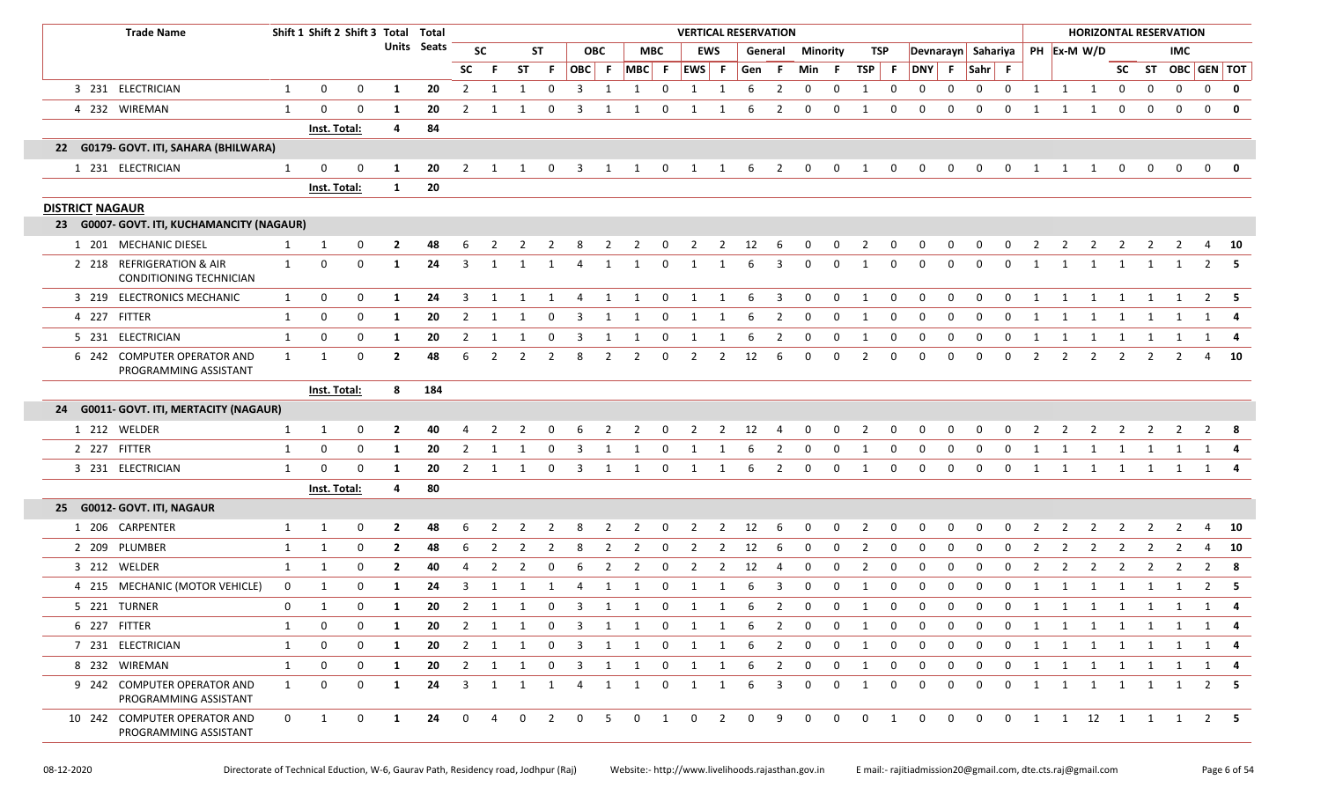| <b>Trade Name</b>                                           |              | Shift 1 Shift 2 Shift 3 Total Total |          |                |             |                         |                |           |                |                         |                |                               |                         | <b>VERTICAL RESERVATION</b>    |                |           |                         |                         |              |                |                |                |              |                    |                         |                |                | <b>HORIZONTAL RESERVATION</b> |                         |                |                   |             |              |
|-------------------------------------------------------------|--------------|-------------------------------------|----------|----------------|-------------|-------------------------|----------------|-----------|----------------|-------------------------|----------------|-------------------------------|-------------------------|--------------------------------|----------------|-----------|-------------------------|-------------------------|--------------|----------------|----------------|----------------|--------------|--------------------|-------------------------|----------------|----------------|-------------------------------|-------------------------|----------------|-------------------|-------------|--------------|
|                                                             |              |                                     |          |                | Units Seats |                         | <b>SC</b>      |           | ST             |                         | <b>OBC</b>     |                               | <b>MBC</b>              |                                | <b>EWS</b>     |           |                         | <b>General Minority</b> |              | TSP            |                |                |              | Devnarayn Sahariya |                         |                |                | PH Ex-M W/D                   |                         |                | <b>IMC</b>        |             |              |
|                                                             |              |                                     |          |                |             | <b>SC</b>               |                | <b>ST</b> | -F.            |                         |                | $ OBC $ F $ MBC $ F $ EWS $ F |                         |                                |                | Gen       | - F                     | Min F                   |              | TSP F          |                | DNY F          |              | Sahr F             |                         |                |                |                               |                         |                | SC ST OBC GEN TOT |             |              |
| 3 231 ELECTRICIAN                                           | 1            | 0                                   | 0        | 1              | 20          | 2                       | 1              |           | $\Omega$       | 3                       |                |                               | $\Omega$                | 1                              | -1             | 6         | $\overline{2}$          | $\mathbf 0$             | 0            | -1             | 0              | 0              | $\Omega$     | 0                  | $\mathbf 0$             | 1              | 1              | 1                             | $\mathbf 0$             | 0              | $\mathbf 0$       | $\mathbf 0$ | $\mathbf 0$  |
| 4 232 WIREMAN                                               | $\mathbf{1}$ | 0                                   | 0        | -1             | 20          | $\overline{2}$          | -1             |           |                | 3                       |                |                               | $\Omega$                | 1                              | 1              |           | 2                       | $\Omega$                | 0            | -1             | 0              | $\Omega$       | $\Omega$     | $\Omega$           | $\Omega$                |                |                | 1                             | $\mathbf 0$             | $\Omega$       |                   | $\Omega$    | $\mathbf 0$  |
|                                                             |              | <b>Inst. Total:</b>                 |          | 4              | 84          |                         |                |           |                |                         |                |                               |                         |                                |                |           |                         |                         |              |                |                |                |              |                    |                         |                |                |                               |                         |                |                   |             |              |
| 22 G0179- GOVT. ITI, SAHARA (BHILWARA)                      |              |                                     |          |                |             |                         |                |           |                |                         |                |                               |                         |                                |                |           |                         |                         |              |                |                |                |              |                    |                         |                |                |                               |                         |                |                   |             |              |
| 1 231 ELECTRICIAN                                           | 1            | 0                                   | 0        | 1              | 20          | 2                       |                |           | 0              | 3                       | 1              | 1                             | 0                       | 1                              | 1              | - 6       | $\overline{2}$          | $\mathbf 0$             | 0            | 1              | 0              | 0              | 0            | 0                  | 0                       | 1              | 1              | 1                             | $\mathbf 0$             | 0              | $\mathbf 0$       | $\mathbf 0$ | $\mathbf{0}$ |
|                                                             |              | Inst. Total:                        |          | $\mathbf{1}$   | 20          |                         |                |           |                |                         |                |                               |                         |                                |                |           |                         |                         |              |                |                |                |              |                    |                         |                |                |                               |                         |                |                   |             |              |
| <b>DISTRICT NAGAUR</b>                                      |              |                                     |          |                |             |                         |                |           |                |                         |                |                               |                         |                                |                |           |                         |                         |              |                |                |                |              |                    |                         |                |                |                               |                         |                |                   |             |              |
| 23 G0007- GOVT. ITI, KUCHAMANCITY (NAGAUR)                  |              |                                     |          |                |             |                         |                |           |                |                         |                |                               |                         |                                |                |           |                         |                         |              |                |                |                |              |                    |                         |                |                |                               |                         |                |                   |             |              |
| 1 201 MECHANIC DIESEL                                       | 1            | 1                                   | 0        | $\mathbf{2}$   | 48          | 6                       | 2              | 2         | $\overline{2}$ | 8                       | $\overline{2}$ | $\overline{2}$                | $\overline{\mathbf{0}}$ | $\overline{\mathbf{c}}$        |                | 2 12      | $6\overline{6}$         | $\overline{0}$          | $\mathbf 0$  | $\overline{2}$ | $\overline{0}$ | $\mathbf 0$    | $\mathbf 0$  | $\mathbf 0$        | $\overline{\mathbf{0}}$ | $\overline{2}$ | $\overline{2}$ | $\overline{\mathbf{2}}$       | $\overline{\mathbf{2}}$ | $\overline{2}$ | 2                 |             | 4 10         |
| 2 218 REFRIGERATION & AIR<br><b>CONDITIONING TECHNICIAN</b> | $\mathbf{1}$ | 0                                   | 0        | 1              | 24          | 3                       | -1             |           | 1              |                         | -1             |                               | $\Omega$                |                                |                |           | 3                       | 0                       | $\Omega$     | -1             | 0              | $\Omega$       | 0            | $\Omega$           | $\Omega$                | 1              |                | 1                             |                         | 1              |                   | 2           |              |
| 3 219 ELECTRONICS MECHANIC                                  | $\mathbf{1}$ | 0                                   | 0        | -1             | 24          | 3                       |                |           | 1              | 4                       | 1              | 1                             | $\mathbf 0$             | 1                              | 1              | 6         | 3                       | $\mathbf 0$             | 0            | -1             | 0              | 0              | 0            | 0                  | 0                       |                | -1             | 1                             | 1                       | 1              | 1                 |             | $2 \quad 5$  |
| 4 227 FITTER                                                | 1            | 0                                   | 0        | 1              | 20          | $\overline{2}$          |                |           | $\Omega$       | 3                       |                |                               | $\Omega$                | 1                              |                |           | 2                       | 0                       | 0            | -1             | 0              | $\Omega$       | $\Omega$     | $\Omega$           | $\Omega$                | 1              |                | -1                            |                         |                |                   | 1           |              |
| 5 231 ELECTRICIAN                                           | $\mathbf{1}$ | 0                                   | 0        | -1             | 20          | $\overline{2}$          |                |           |                |                         |                |                               | $\Omega$                | 1                              |                |           | 2                       | 0                       | 0            | -1             | 0              | 0              | 0            |                    | 0                       |                |                | -1                            |                         |                |                   |             |              |
| 6 242 COMPUTER OPERATOR AND<br>PROGRAMMING ASSISTANT        | $\mathbf{1}$ | 1                                   | 0        | $\mathbf{2}$   | 48          | 6                       | 2              | 2         | 2              | 8                       | 2              | 2                             | 0                       | $\overline{2}$                 | 2              | 12        | 6                       | $\Omega$                | 0            | $\overline{2}$ | 0              | $\Omega$       | $\Omega$     | 0                  | 0                       | 2              | $\overline{2}$ | 2                             | 2                       | 2              | 2                 |             | 4 10         |
|                                                             |              | Inst. Total:                        |          | 8              | 184         |                         |                |           |                |                         |                |                               |                         |                                |                |           |                         |                         |              |                |                |                |              |                    |                         |                |                |                               |                         |                |                   |             |              |
| 24 G0011- GOVT. ITI, MERTACITY (NAGAUR)                     |              |                                     |          |                |             |                         |                |           |                |                         |                |                               |                         |                                |                |           |                         |                         |              |                |                |                |              |                    |                         |                |                |                               |                         |                |                   |             |              |
| 1 212 WELDER                                                | 1            | 1                                   | 0        | $\mathbf{2}$   | 40          |                         |                |           |                |                         |                |                               |                         |                                | $\mathcal{P}$  | 12        |                         |                         | $\Omega$     |                |                |                |              |                    |                         |                |                |                               |                         |                |                   |             |              |
| 2 227 FITTER                                                | 1            | 0                                   | 0        | -1             | 20          | 2                       | 1              |           | $\Omega$       | $\overline{3}$          | 1              | -1                            | $\mathbf 0$             | 1                              | 1              | 6         | 2                       | $\mathbf 0$             | $\mathbf 0$  | 1              | 0              | $\mathbf 0$    | $\mathbf 0$  | $\mathbf 0$        | $\mathbf 0$             | 1              | 1              | 1                             | 1                       | 1              |                   |             | 1 4          |
| 3 231 ELECTRICIAN                                           | 1            | $\mathbf 0$                         | $\Omega$ | -1             | 20          | 2                       | -1             |           | 0              | -3                      | -1             |                               | $\Omega$                | 1                              | 1              | 6         | 2                       | $\Omega$                | $\Omega$     | - 1            | 0              | 0              | $\Omega$     | $\Omega$           | $\Omega$                | 1              | 1              | 1                             | 1                       | 1              | 1                 |             | 1 4          |
|                                                             |              | Inst. Total:                        |          | 4              | 80          |                         |                |           |                |                         |                |                               |                         |                                |                |           |                         |                         |              |                |                |                |              |                    |                         |                |                |                               |                         |                |                   |             |              |
| 25 G0012- GOVT. ITI, NAGAUR                                 |              |                                     |          |                |             |                         |                |           |                |                         |                |                               |                         |                                |                |           |                         |                         |              |                |                |                |              |                    |                         |                |                |                               |                         |                |                   |             |              |
| 1 206 CARPENTER                                             | $\mathbf{1}$ | 1                                   | 0        | $\mathbf{2}$   | 48          | 6                       | 2              | 2         | $\overline{2}$ | 8                       | $\overline{2}$ | $\overline{2}$                | $\overline{0}$          | $\overline{\mathbf{2}}$        |                | $2 \t 12$ | $6\overline{6}$         | $\overline{0}$          | $\mathbf{0}$ | $\overline{2}$ | $\overline{0}$ | $\mathbf{0}$   | $\mathbf{0}$ | $\mathbf{0}$       | $\overline{0}$          | $\overline{2}$ | $\overline{2}$ | $\overline{2}$                | $\overline{2}$          | $\overline{2}$ | $\overline{2}$    | 4           | <b>10</b>    |
| 2 209 PLUMBER                                               | $\mathbf{1}$ | 1                                   | 0        | $\overline{2}$ | 48          | 6                       | 2              | 2         | 2              | 8                       | 2              | 2                             | $\Omega$                | 2                              | 2              | 12        | -6                      | $\Omega$                | $\mathbf 0$  | 2              | $\mathbf 0$    | $\mathbf 0$    | $\Omega$     | $\Omega$           | $\Omega$                | 2              | 2              | 2                             | -2                      | 2              | 2                 | 4           | 10           |
| 3 212 WELDER                                                | 1            | 1                                   | 0        | $\mathbf{2}$   | 40          | 4                       | 2              | 2         | $\Omega$       | -6                      | 2              | 2                             | $\mathbf 0$             | 2                              | 2              | 12        | 4                       | 0                       | 0            | 2              | 0              | 0              | 0            | $\Omega$           | 0                       | 2              | 2              | 2                             | 2                       | 2              |                   | 2           | 8            |
| 4 215 MECHANIC (MOTOR VEHICLE)                              | 0            | 1                                   | 0        | -1             | 24          | 3                       | 1              |           | 1              | -4                      | 1              | -1                            | 0                       | 1                              | 1              | 6         | 3                       | 0                       | $\mathbf 0$  | -1             | 0              | $\mathbf 0$    | $\mathbf 0$  | $\mathbf 0$        | $\mathbf 0$             | 1              | 1              | 1                             |                         |                |                   | 2           | - 5          |
| 5 221 TURNER                                                | $\mathbf 0$  | 1                                   | 0        | 1              | 20          |                         |                |           |                |                         |                | 2 1 1 0 3 1 1 0 1 1 6 2       |                         |                                |                |           |                         | $\mathbf 0$             | $\mathbf 0$  | $\mathbf{1}$   | $\mathbf 0$    | $\mathbf{0}$   | $\mathbf{0}$ |                    |                         |                |                | 0 0 1 1 1 1 1 1 1 1           |                         |                |                   |             |              |
| 6 227 FITTER                                                | 1            | 0                                   | 0        | -1             | 20          | $\overline{2}$          | 1              | 1         | $\mathbf 0$    | $\overline{\mathbf{3}}$ | $\overline{1}$ | 1                             | $\mathbf 0$             | $\mathbf{1}$                   | 1              | - 6       | $\overline{2}$          | $\mathbf 0$             | $\mathbf 0$  | 1              | 0              | 0              | $\mathbf 0$  | $\mathbf 0$        | $\mathbf 0$             | 1              | 1              | $\overline{1}$                | $\overline{1}$          | 1              | 1                 |             | 1 4          |
| 7 231 ELECTRICIAN                                           | 1            | 0                                   | 0        | 1              | 20          |                         | $2 \quad 1$    | 1         | $\overline{0}$ |                         |                | 3 1 1                         |                         | $0\qquad 1$                    | $\overline{1}$ | - 6       | $\overline{\mathbf{2}}$ | $\overline{0}$          | $\mathbf 0$  | $\overline{1}$ | $\mathbf 0$    | $\mathbf 0$    | $\mathbf 0$  | $\mathbf 0$        | $\mathbf 0$             | 1              |                | 1 1 1 1 1 1 4                 |                         |                |                   |             |              |
| 8 232 WIREMAN                                               | $\mathbf{1}$ | 0                                   | 0        | 1              | 20          | $\overline{2}$          | 1              | 1         | 0              | $\overline{\mathbf{3}}$ | 1              | 1                             | 0                       | $\mathbf{1}$                   | 1              | -6        | $\overline{2}$          | $\mathbf 0$             | $\mathbf 0$  | 1              | 0              | $\mathbf{0}$   | 0            | $\mathbf 0$        | $\mathbf 0$             | 1              | $\mathbf{1}$   | $\mathbf{1}$                  | $\overline{1}$          | 1              | $\mathbf{1}$      |             | 1 4          |
| 9 242 COMPUTER OPERATOR AND<br>PROGRAMMING ASSISTANT        | 1            | 0                                   | 0        | 1              | 24          | $\overline{\mathbf{3}}$ | 1              | 1         | 1              | 4                       | 1              | 1                             | 0                       | 1                              | 1              | 6         | 3                       | 0                       | $\mathbf 0$  | 1              | 0              | $\mathbf{0}$   | 0            | $\mathbf 0$        | $\mathbf{0}$            | 1              | $\mathbf{1}$   | $\overline{1}$                | $\overline{1}$          | 1              | 1                 |             | $2 \quad 5$  |
| 10 242 COMPUTER OPERATOR AND<br>PROGRAMMING ASSISTANT       | $\mathbf{0}$ | $\mathbf{1}$                        | 0        | $\mathbf{1}$   | 24          | $\overline{0}$          | $\overline{4}$ |           | $0\qquad 2$    | $\overline{0}$          | 5 <sub>5</sub> |                               |                         | $0 \qquad 1 \qquad 0 \qquad 2$ |                | $0$ 9     |                         | $\overline{0}$          | $\mathbf 0$  | $\overline{0}$ | $\overline{1}$ | $\overline{0}$ |              |                    |                         |                |                | 0 0 0 1 1 12 1 1 1 2 5        |                         |                |                   |             |              |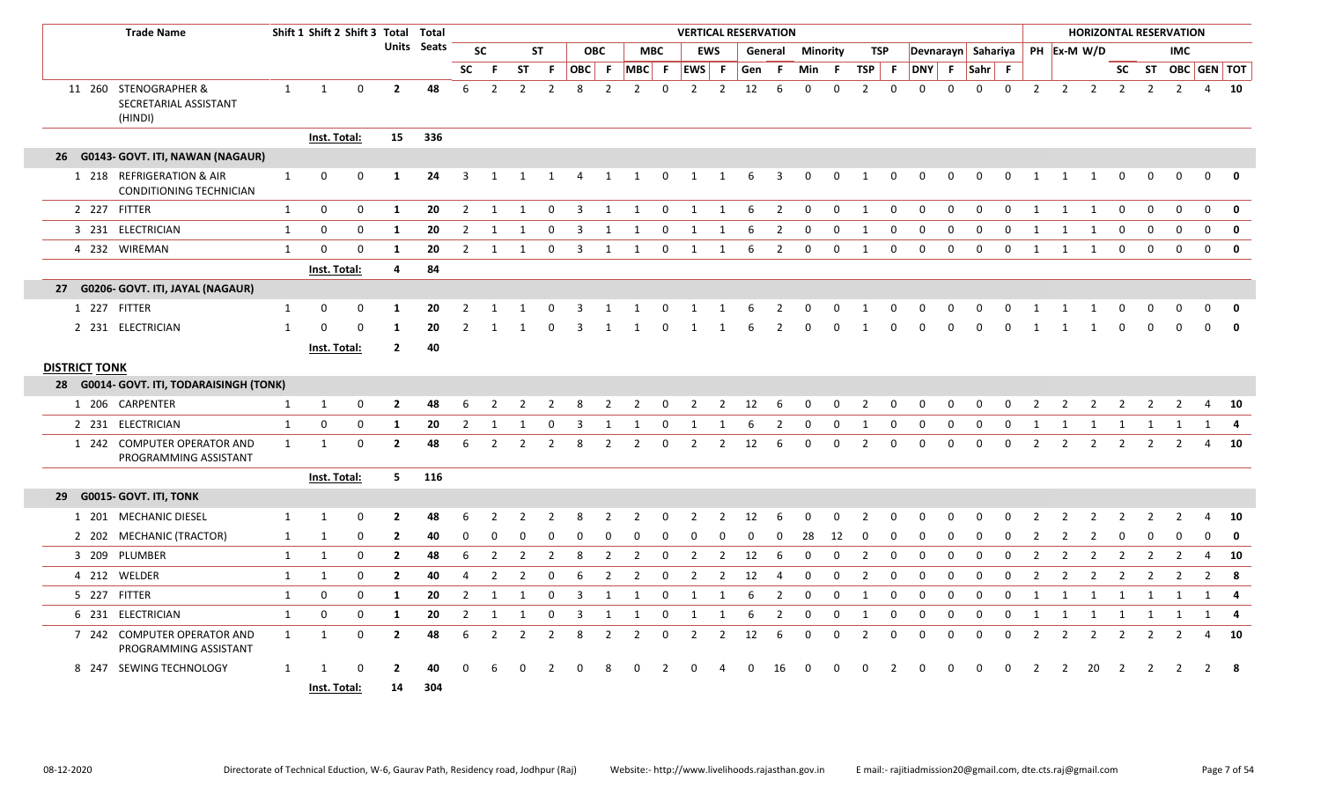| <b>Trade Name</b>                                         |              | Shift 1 Shift 2 Shift 3 Total Total |             |                      |             |                |                |                |                |       |                |                |              | <b>VERTICAL RESERVATION</b> |                |     |                         |             |             |                |              |                    |             |             |              |                |                |                 |                |                | <b>HORIZONTAL RESERVATION</b> |                |              |
|-----------------------------------------------------------|--------------|-------------------------------------|-------------|----------------------|-------------|----------------|----------------|----------------|----------------|-------|----------------|----------------|--------------|-----------------------------|----------------|-----|-------------------------|-------------|-------------|----------------|--------------|--------------------|-------------|-------------|--------------|----------------|----------------|-----------------|----------------|----------------|-------------------------------|----------------|--------------|
|                                                           |              |                                     |             |                      | Units Seats |                | <b>SC</b>      | <b>ST</b>      |                |       | <b>OBC</b>     | <b>MBC</b>     |              | <b>EWS</b>                  |                |     | General                 | Minority    |             | TSP            |              | Devnarayn Sahariya |             |             |              |                |                | PH Ex-M W/D     |                |                | <b>IMC</b>                    |                |              |
|                                                           |              |                                     |             |                      |             | <b>SC</b>      | -F             | ST             | F.             | OBC F |                | $ MBC $ F      |              | <b>EWS</b>                  | - F            | Gen | -F.                     | Min         | - F         | TSP F          |              | <b>DNY</b>         | -F.         | Sahr F      |              |                |                |                 |                |                | SC ST OBC GEN TOT             |                |              |
| 11 260 STENOGRAPHER &<br>SECRETARIAL ASSISTANT<br>(HINDI) | $\mathbf{1}$ | $\mathbf{1}$                        | $\mathbf 0$ | $\overline{2}$       | 48          | 6              | $\overline{2}$ | $\overline{2}$ | $\overline{2}$ | 8     | 2              | 2              | $\mathbf 0$  | $\overline{2}$              | $\overline{2}$ | 12  | 6                       | $\mathbf 0$ | 0           | $\overline{2}$ | $\mathbf 0$  | $\mathbf 0$        | $\Omega$    | $\Omega$    | $\mathbf 0$  |                |                | $2$ $2$ $2$ $2$ |                | $\overline{2}$ | $\overline{2}$                |                | $4$ 10       |
|                                                           |              | Inst. Total:                        |             | 15                   | 336         |                |                |                |                |       |                |                |              |                             |                |     |                         |             |             |                |              |                    |             |             |              |                |                |                 |                |                |                               |                |              |
| 26 G0143- GOVT. ITI, NAWAN (NAGAUR)                       |              |                                     |             |                      |             |                |                |                |                |       |                |                |              |                             |                |     |                         |             |             |                |              |                    |             |             |              |                |                |                 |                |                |                               |                |              |
| 1 218 REFRIGERATION & AIR<br>CONDITIONING TECHNICIAN      | $\mathbf{1}$ | 0                                   | 0           | 1                    | 24          | 3              | 1              | 1              | 1              | 4     | 1              | $\mathbf{1}$   | $\mathbf 0$  | 1                           | 1              | 6   | $\overline{\mathbf{3}}$ | 0           | $\mathbf 0$ | 1              | 0            | 0                  | 0           | 0           | 0            | 1              | 1              | 1               | 0              | 0              | $\mathbf 0$                   | 0              | 0            |
| 2 227 FITTER                                              | $\mathbf{1}$ | $\mathbf 0$                         | 0           | 1                    | 20          | $\overline{2}$ | 1              | 1              | $\Omega$       | 3     | 1              | 1              | $\mathbf 0$  | 1                           | 1              | 6   | $\overline{2}$          | $\mathbf 0$ | $\mathbf 0$ | 1              | $\mathbf 0$  | $\overline{0}$     | 0           | $\Omega$    | $\mathbf 0$  | 1              | 1              | 1               | $\Omega$       | $\Omega$       | $\mathbf 0$                   | $\mathbf 0$    | $\mathbf 0$  |
| 3 231 ELECTRICIAN                                         | $\mathbf{1}$ | $\mathbf 0$                         | $\mathbf 0$ | -1                   | 20          | 2              | -1             |                |                |       |                |                | $\Omega$     | -1                          | -1             |     | $\mathcal{P}$           | $\Omega$    | $\Omega$    | -1             | $\Omega$     | $\Omega$           | $\Omega$    | $\Omega$    | $\Omega$     |                |                |                 | $\Omega$       | $\Omega$       | $\Omega$                      | $\Omega$       | $\mathbf{0}$ |
| 4 232 WIREMAN                                             | $\mathbf{1}$ | $\mathbf 0$                         | $\mathbf 0$ | -1                   | 20          | $\overline{2}$ | 1              | -1             | $\Omega$       | 3     | 1              | 1              | 0            | 1                           | -1             | 6   | 2                       | 0           | 0           | 1              | $\Omega$     | $\Omega$           | $\Omega$    | $\Omega$    | $\Omega$     | 1              | 1              | 1               | 0              | $\Omega$       | $\Omega$                      | $\mathbf 0$    | 0            |
|                                                           |              | Inst. Total:                        |             | $\overline{4}$       | 84          |                |                |                |                |       |                |                |              |                             |                |     |                         |             |             |                |              |                    |             |             |              |                |                |                 |                |                |                               |                |              |
| 27 G0206- GOVT. ITI, JAYAL (NAGAUR)                       |              |                                     |             |                      |             |                |                |                |                |       |                |                |              |                             |                |     |                         |             |             |                |              |                    |             |             |              |                |                |                 |                |                |                               |                |              |
| 1 227 FITTER                                              | 1            | 0                                   | 0           | -1                   | 20          |                |                |                |                |       |                |                |              |                             |                |     |                         |             |             |                |              |                    |             |             |              |                |                |                 |                |                |                               | 0              | $\mathbf 0$  |
| 2 231 ELECTRICIAN                                         | $\mathbf{1}$ | $\Omega$                            | $\Omega$    | 1                    | 20          | $\mathcal{P}$  |                |                |                |       |                |                | $\Omega$     | -1                          |                | 6   | 2                       | $\Omega$    | $\Omega$    | $\mathbf{1}$   | $\Omega$     | $\Omega$           | $\Omega$    | $\Omega$    | $\Omega$     |                |                | 1               | 0              | $\Omega$       | $\Omega$                      | $\Omega$       | $\mathbf 0$  |
|                                                           |              | <b>Inst. Total:</b>                 |             | $\overline{2}$       | 40          |                |                |                |                |       |                |                |              |                             |                |     |                         |             |             |                |              |                    |             |             |              |                |                |                 |                |                |                               |                |              |
| <b>DISTRICT TONK</b>                                      |              |                                     |             |                      |             |                |                |                |                |       |                |                |              |                             |                |     |                         |             |             |                |              |                    |             |             |              |                |                |                 |                |                |                               |                |              |
| 28 G0014- GOVT. ITI, TODARAISINGH (TONK)                  |              |                                     |             |                      |             |                |                |                |                |       |                |                |              |                             |                |     |                         |             |             |                |              |                    |             |             |              |                |                |                 |                |                |                               |                |              |
| 1 206 CARPENTER                                           | 1            | 1                                   | 0           | $\overline{2}$       | 48          | 6              | 2              | $\overline{2}$ | 2              | 8     | 2              | 2              | $\mathbf 0$  | $\overline{2}$              | $\overline{2}$ | 12  | 6                       | 0           | $\mathbf 0$ | $\overline{2}$ | 0            | 0                  | 0           | 0           | $\mathbf 0$  | 2              | 2              | $\overline{2}$  | 2              | 2              | 2                             | 4              | 10           |
| 2 231 ELECTRICIAN                                         | 1            | $\mathbf 0$                         | 0           | 1                    | 20          | 2              | 1              | 1              | $\Omega$       | 3     | -1             | -1             | 0            | -1                          | -1             | 6   | 2                       | 0           | 0           | 1              | 0            | 0                  | 0           | $\Omega$    | $\Omega$     | 1              | 1              | 1               | 1              | 1              | - 1                           | 1              | 4            |
| 1 242 COMPUTER OPERATOR AND<br>PROGRAMMING ASSISTANT      | $\mathbf{1}$ | 1                                   | $\mathbf 0$ | $\overline{2}$       | 48          | 6              | 2              | 2              | 2              |       | 2              | 2              | $\Omega$     | 2                           | $\overline{2}$ | 12  | -6                      | $\Omega$    | $\Omega$    | $\overline{2}$ | $\Omega$     | $\Omega$           | $\Omega$    | $\Omega$    | $\Omega$     | 2              | 2              | 2               | 2              | 2              | 2                             | 4              | 10           |
|                                                           |              | Inst. Total:                        |             | 5 <sub>1</sub>       | 116         |                |                |                |                |       |                |                |              |                             |                |     |                         |             |             |                |              |                    |             |             |              |                |                |                 |                |                |                               |                |              |
| 29 G0015- GOVT. ITI, TONK                                 |              |                                     |             |                      |             |                |                |                |                |       |                |                |              |                             |                |     |                         |             |             |                |              |                    |             |             |              |                |                |                 |                |                |                               |                |              |
| 1 201 MECHANIC DIESEL                                     | $\mathbf{1}$ | 1                                   | 0           | $\overline{2}$       | 48          | 6              |                |                |                |       |                |                | $\Omega$     |                             | $\mathcal{P}$  | 12  | 6                       |             | U           | 2              | <sup>0</sup> | $\Omega$           | O           |             |              |                |                | $\mathcal{P}$   |                |                |                               | Δ              | - 10         |
| 2 202 MECHANIC (TRACTOR)                                  | 1            | 1                                   | 0           | $\overline{2}$       | 40          | $\Omega$       |                |                |                |       |                |                | <sup>0</sup> |                             | O              |     | O                       | 28          | 12          | $\Omega$       | $\Omega$     | - 0                | O           |             |              |                |                | $\mathcal{P}$   |                |                |                               |                | 0            |
| 3 209 PLUMBER                                             | $\mathbf{1}$ | 1                                   | 0           | $\overline{2}$       | 48          | 6              | $\overline{2}$ | $\overline{2}$ | $\overline{2}$ | 8     | 2              | $\overline{2}$ | $\mathbf 0$  | 2                           | $\overline{2}$ | 12  | 6                       | 0           | $\mathbf 0$ | $\overline{2}$ | 0            | $\mathbf 0$        | $\mathbf 0$ | $\Omega$    | $\mathbf{0}$ | 2              | 2              | 2               | 2              | 2              | 2                             | 4              | 10           |
| 4 212 WELDER                                              | $\mathbf{1}$ | 1                                   | 0           | $\overline{2}$       | 40          | 4              | $\overline{2}$ | $\overline{2}$ | 0              | 6     | $\overline{2}$ | $\overline{2}$ | 0            | 2                           | $\overline{2}$ | 12  | $\overline{4}$          | $\mathbf 0$ | 0           | $\overline{2}$ | 0            | 0                  | $\mathbf 0$ | $\mathbf 0$ | $\Omega$     | $\overline{2}$ | $\overline{2}$ | 2               | 2              | 2              | 2                             | $\overline{2}$ | - 8          |
| 5 227 FITTER                                              | 1            | 0                                   | 0           | 1                    | 20          | $\overline{2}$ | 1              | 1              | $\Omega$       | 3     | 1              | 1              | 0            | $\mathbf{1}$                | 1              | 6   | $\overline{2}$          | 0           | 0           | 1              | 0            | 0                  | 0           | 0           | $\mathbf{0}$ | 1              | 1              | 1               | 1              | 1              | 1                             | 1              | 4            |
| 6 231 ELECTRICIAN                                         | 1            | $\mathbf 0$                         | 0           | 1                    | 20          | $\overline{2}$ | 1              | 1              | $\Omega$       | 3     | $\mathbf 1$    | 1              | 0            | 1                           | 1              | 6   | 2                       | 0           | 0           | 1              | 0            | 0                  | 0           | $\Omega$    | $\Omega$     | 1              | 1              | 1               | 1              | 1              | 1                             | 1              | 4            |
| 7 242 COMPUTER OPERATOR AND<br>PROGRAMMING ASSISTANT      | $\mathbf{1}$ | 1                                   | 0           | $\overline{2}$       | 48          | 6              | $\overline{2}$ | $\overline{2}$ | $\overline{2}$ | 8     | 2              | 2              | 0            | $\overline{2}$              | $\overline{2}$ | 12  | 6                       | $\Omega$    | 0           | $\overline{2}$ | 0            | $\mathbf 0$        | 0           | $\Omega$    | $\mathbf{0}$ | 2              | $\overline{2}$ | 2               | 2              | 2              | 2                             | $\overline{4}$ | 10           |
| 8 247 SEWING TECHNOLOGY                                   | 1            | Inst. Total:                        |             | $\overline{2}$<br>14 | 40<br>304   | $\Omega$       | -6             |                |                |       |                |                |              |                             |                | n   | 16                      | 0           |             | n              | 2            | $\Omega$           | $\Omega$    | റ           | $\Omega$     | 2              | 2              | 20              | $\overline{2}$ | 2              | $\overline{2}$                | 2              | - 8          |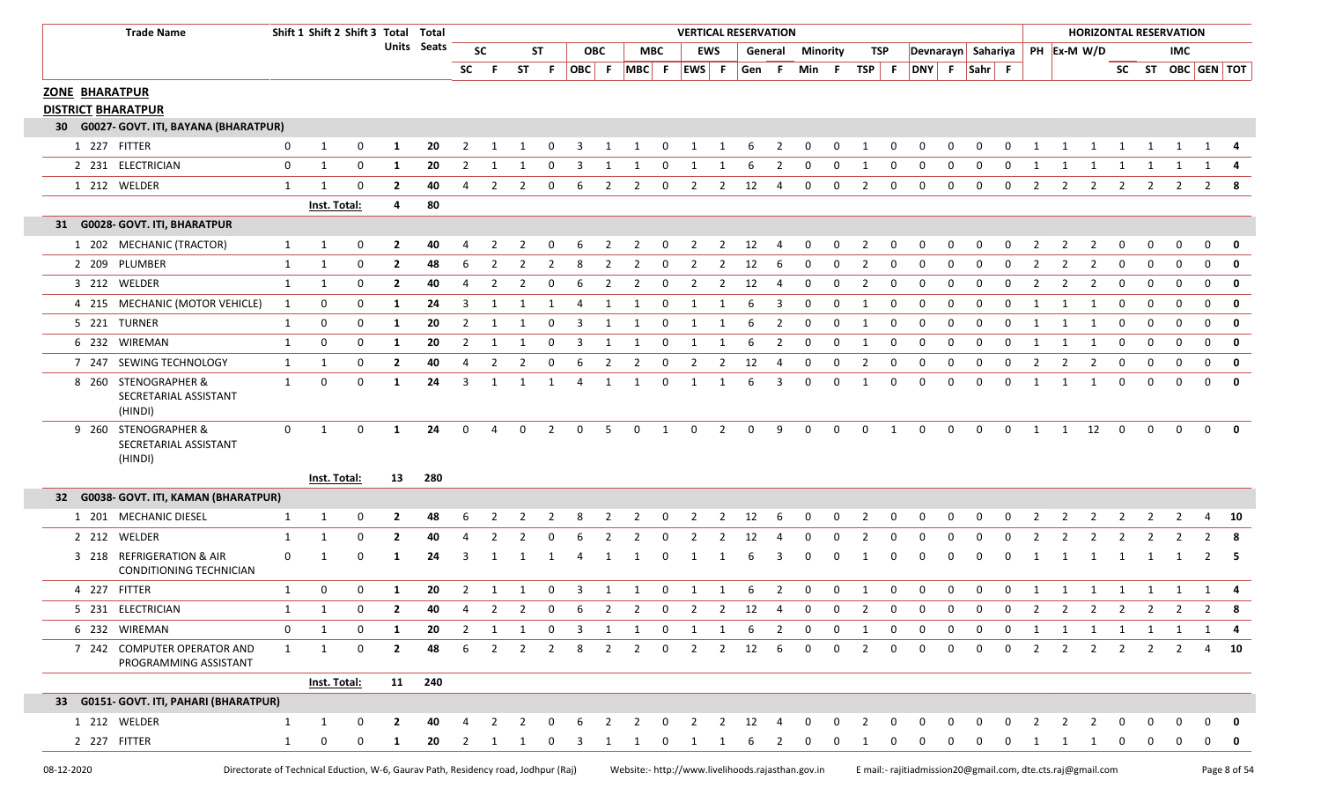| <b>Trade Name</b>                                           |              | Shift 1 Shift 2 Shift 3 Total Total |             |                |             |                |                |                |                |                 |            |                |                         | <b>VERTICAL RESERVATION</b> |                |                        |                |              |             |                |                |                    |             |             |             |                |                | <b>HORIZONTAL RESERVATION</b> |                |             |              |                   |              |
|-------------------------------------------------------------|--------------|-------------------------------------|-------------|----------------|-------------|----------------|----------------|----------------|----------------|-----------------|------------|----------------|-------------------------|-----------------------------|----------------|------------------------|----------------|--------------|-------------|----------------|----------------|--------------------|-------------|-------------|-------------|----------------|----------------|-------------------------------|----------------|-------------|--------------|-------------------|--------------|
|                                                             |              |                                     |             |                | Units Seats |                | <b>SC</b>      |                | <b>ST</b>      |                 | <b>OBC</b> |                | MBC                     |                             | <b>EWS</b>     |                        | General        | Minority     |             |                | TSP            | Devnarayn Sahariya |             |             |             |                |                | PH Ex-M W/D                   |                |             | IMC.         |                   |              |
|                                                             |              |                                     |             |                |             | <b>SC</b>      | -F.            | <b>ST</b>      | - F            | OBC F           |            | MBC F          |                         | EWS F                       |                | Gen F                  |                | Min F        |             | $TSP$ F        |                | DNY F Sahr F       |             |             |             |                |                |                               |                |             |              | SC ST OBC GEN TOT |              |
| <b>ZONE BHARATPUR</b>                                       |              |                                     |             |                |             |                |                |                |                |                 |            |                |                         |                             |                |                        |                |              |             |                |                |                    |             |             |             |                |                |                               |                |             |              |                   |              |
| <b>DISTRICT BHARATPUR</b>                                   |              |                                     |             |                |             |                |                |                |                |                 |            |                |                         |                             |                |                        |                |              |             |                |                |                    |             |             |             |                |                |                               |                |             |              |                   |              |
| 30 G0027- GOVT. ITI, BAYANA (BHARATPUR)                     |              |                                     |             |                |             |                |                |                |                |                 |            |                |                         |                             |                |                        |                |              |             |                |                |                    |             |             |             |                |                |                               |                |             |              |                   |              |
| 1 227 FITTER                                                | 0            | 1                                   | 0           | 1              | 20          | 2              |                |                |                | 3               |            | $\mathbf 1$    | $\Omega$                | 1                           | 1              | 6                      | 2              | 0            | 0           | 1              | 0              | 0                  | $\Omega$    | 0           | 0           | 1              | 1              | 1                             | 1              | 1           | 1            | 1                 |              |
| 2 231 ELECTRICIAN                                           | 0            | $\mathbf{1}$                        | 0           | 1              | 20          | 2              |                | -1             | 0              | 3               |            | -1             | 0                       |                             |                | 6                      | 2              | 0            | 0           | 1              | 0              | 0                  | $\Omega$    | 0           | 0           | 1              |                | 1                             | 1              | 1           | 1            | 1                 |              |
| 1 212 WELDER                                                | 1            | -1                                  | 0           | $\overline{2}$ | 40          | 4              | 2              | 2              | 0              | 6               | 2          | 2              | 0                       | $\overline{2}$              | 2              | 12                     | 4              | 0            | $\mathbf 0$ | 2              | $\mathbf 0$    | 0                  | $\mathbf 0$ | 0           | $\mathbf 0$ | 2              | 2              | $\overline{2}$                | 2              | 2           | 2            | $2^{\circ}$       | 8            |
|                                                             |              | Inst. Total:                        |             | 4              | 80          |                |                |                |                |                 |            |                |                         |                             |                |                        |                |              |             |                |                |                    |             |             |             |                |                |                               |                |             |              |                   |              |
| 31 G0028- GOVT. ITI, BHARATPUR                              |              |                                     |             |                |             |                |                |                |                |                 |            |                |                         |                             |                |                        |                |              |             |                |                |                    |             |             |             |                |                |                               |                |             |              |                   |              |
| 1 202 MECHANIC (TRACTOR)                                    | 1            | 1                                   | 0           | $\mathbf{2}$   | 40          |                |                |                |                |                 |            | $\mathcal{L}$  |                         | 2                           | 2              | 12                     |                | 0            | 0           | 2              |                |                    |             | 0           |             |                |                |                               |                | O           | O            | $\Omega$          |              |
| 2 209 PLUMBER                                               | 1            | 1                                   | 0           | $\overline{2}$ | 48          | 6              | 2              | 2              | 2              | 8               | 2          | $\overline{2}$ | 0                       | $\overline{2}$              | 2              | 12                     | -6             | 0            | 0           | $\overline{2}$ | 0              | 0                  | $\mathbf 0$ | 0           | 0           | 2              | 2              | 2                             | 0              | 0           | $\mathbf{0}$ | 0                 | $\mathbf 0$  |
| 3 212 WELDER                                                | 1            | 1                                   | 0           | $\mathbf{2}$   | 40          | 4              | $\mathcal{P}$  | 2              | 0              | 6               | 2          | 2              | 0                       | 2                           | 2              | 12                     | -4             | 0            | 0           | 2              | $\Omega$       | 0                  | $\Omega$    | 0           | $\Omega$    | 2              | 2              | 2                             | 0              | 0           | $\Omega$     | $\mathbf 0$       | $\mathbf 0$  |
| 4 215 MECHANIC (MOTOR VEHICLE)                              | 1            | 0                                   | 0           | 1              | 24          | 3              |                |                |                |                 | 1          | 1              | 0                       | 1                           |                | 6                      | 3              | 0            | 0           | 1              | 0              | 0                  | $\Omega$    | $\Omega$    | 0           | 1              |                | 1                             | $\Omega$       | 0           | 0            | $\mathbf 0$       | $\mathbf 0$  |
| 5 221 TURNER                                                | 1            | 0                                   | 0           | 1              | 20          | 2              |                | 1              | 0              | 3               |            | 1              | 0                       |                             |                | 6                      | 2              | 0            | 0           | 1              | 0              | 0                  | $\Omega$    | 0           | $\Omega$    | 1              |                | 1                             | 0              | 0           | $\Omega$     | $\mathbf 0$       | $\mathbf 0$  |
| 6 232 WIREMAN                                               | $\mathbf{1}$ | 0                                   | 0           | 1              | 20          | $\overline{2}$ | 1              | 1              | 0              | 3               | 1          | 1              | 0                       | 1                           | 1              | 6                      | $\overline{2}$ | 0            | 0           | 1              | 0              | 0                  | $\mathbf 0$ | 0           | 0           | 1              | 1              | 1                             | 0              | 0           | $\mathbf 0$  | 0                 | $\mathbf{0}$ |
| 7 247 SEWING TECHNOLOGY                                     | 1            | 1                                   | 0           | $\overline{2}$ | 40          | 4              | 2              | 2              | 0              | 6               |            | 2              | 0                       | 2                           |                | 12                     |                | 0            | 0           | $\overline{2}$ | $\Omega$       | 0                  | $\Omega$    | $\Omega$    | $\Omega$    | 2              | 2              | 2                             | 0              | 0           | $\Omega$     | $\mathbf 0$       | $\mathbf 0$  |
| STENOGRAPHER &<br>8 260<br>SECRETARIAL ASSISTANT<br>(HINDI) | 1            | 0                                   | 0           | 1              | 24          | 3              | $\mathbf{1}$   | 1              | 1              | 4               | 1          | 1              | $\mathbf 0$             | 1                           | 1              | 6                      | 3              | 0            | $\mathbf 0$ | 1              | $\mathbf 0$    | 0                  | $\Omega$    | 0           | $\mathbf 0$ | 1              | 1              | 1                             | 0              | $\mathbf 0$ | $\Omega$     | $\mathbf 0$       | 0            |
| 9 260 STENOGRAPHER &<br>SECRETARIAL ASSISTANT<br>(HINDI)    | 0            | 1                                   | 0           | $\mathbf{1}$   | 24          | 0              | 4              | 0              | 2              | 0               | 5          | 0              | $\mathbf{1}$            | $\mathbf 0$                 | $\overline{2}$ | 0                      | 9              | 0            | $\mathbf 0$ | $\mathsf{O}$   | 1              | $\mathsf{O}$       | $\mathbf 0$ | 0           | $\mathbf 0$ | 1              | 1              | 12                            | $\mathbf 0$    | 0           | $\mathbf{0}$ | $\mathbf 0$       | $\mathbf{0}$ |
|                                                             |              | <b>Inst. Total:</b>                 |             | 13             | 280         |                |                |                |                |                 |            |                |                         |                             |                |                        |                |              |             |                |                |                    |             |             |             |                |                |                               |                |             |              |                   |              |
| 32 G0038- GOVT. ITI, KAMAN (BHARATPUR)                      |              |                                     |             |                |             |                |                |                |                |                 |            |                |                         |                             |                |                        |                |              |             |                |                |                    |             |             |             |                |                |                               |                |             |              |                   |              |
| 1 201 MECHANIC DIESEL                                       | 1            | 1                                   | 0           | $\mathbf{2}$   | 48          | 6              |                |                |                | 8               |            | 2              | 0                       | 2                           | 2              | 12                     | -6             | 0            | 0           | 2              | 0              | 0                  | 0           | 0           |             |                |                | 2                             |                | 2           |              | 4                 | 10           |
| 2 212 WELDER                                                | 1            | -1                                  | $\Omega$    | $\mathbf{2}$   | 40          |                |                |                |                |                 |            | 2              |                         |                             |                | 12                     |                | $\Omega$     |             | 2              |                | O                  |             | $\Omega$    |             |                |                |                               |                |             |              | 2                 | - 8          |
| 3 218 REFRIGERATION & AIR<br>CONDITIONING TECHNICIAN        | 0            |                                     | $\Omega$    | 1              | 24          | 3              |                |                |                |                 |            |                |                         |                             |                |                        |                | $\Omega$     |             | 1              |                | 0                  |             | 0           | n           |                |                | -1                            | -1             | 1           | -1           | 2                 | - 5          |
| 4 227 FITTER                                                | 1            | 0                                   | 0           | 1              | 20          | 2              |                |                |                |                 |            |                | $\Omega$                |                             |                | 6                      | 2              | $\Omega$     | 0           | 1              | 0              | 0                  | 0           | 0           | 0           |                |                |                               |                |             |              |                   |              |
| 5 231 ELECTRICIAN                                           | 1            | 1                                   | $\Omega$    | $\mathbf{2}$   | 40          |                | 4 2 2          |                |                | $0 \t6 \t2 \t2$ |            |                |                         |                             |                |                        |                | 0 2 2 12 4 0 |             | $0\qquad 2$    | $\overline{0}$ | $\Omega$           |             | $0\quad 0$  |             |                |                |                               |                |             |              | 0 2 2 2 2 2 2 2 2 | -8           |
| 6 232 WIREMAN                                               | 0            | 1                                   | 0           |                | 20          | 2              |                |                | 0              | 3               |            | 1              | 0                       |                             |                | -6                     |                | $\Omega$     |             |                |                |                    |             | 0           |             | 1              | 1              | 1                             | 1              | 1           | 1            |                   |              |
| 7 242 COMPUTER OPERATOR AND<br>PROGRAMMING ASSISTANT        | $\mathbf{1}$ | $\mathbf{1}$                        | $\mathbf 0$ | $\overline{2}$ | 48          | 6              |                | $2 \quad 2$    | $\overline{2}$ | 8               |            | $2 \quad 2$    | $\overline{0}$          | $\overline{2}$              |                | 2 12                   | - 6            | $\mathbf 0$  | $\mathbf 0$ | $\overline{2}$ | 0              | 0                  | 0           | $\mathbf 0$ | $\mathbf 0$ | $\overline{2}$ | $\overline{2}$ | $\overline{2}$                | $\overline{2}$ | 2           | 2            | 4                 | - 10         |
|                                                             |              | <b>Inst. Total:</b>                 |             |                | 11 240      |                |                |                |                |                 |            |                |                         |                             |                |                        |                |              |             |                |                |                    |             |             |             |                |                |                               |                |             |              |                   |              |
| 33 G0151- GOVT. ITI, PAHARI (BHARATPUR)                     |              |                                     |             |                |             |                |                |                |                |                 |            |                |                         |                             |                |                        |                |              |             |                |                |                    |             |             |             |                |                |                               |                |             |              |                   |              |
| 1 212 WELDER                                                | 1            | 1                                   | 0           | $\overline{2}$ | 40          |                | $\overline{2}$ | $\overline{2}$ | 0              | 6               |            | $2 \quad 2$    | $\overline{\mathbf{0}}$ | $\overline{2}$              |                | $2 \qquad 12 \qquad 4$ |                | $\mathbf 0$  | 0           | 2              | 0              | 0                  |             | 0           | 0           | 2              | $\overline{2}$ | $\overline{\mathbf{2}}$       | 0              |             |              |                   |              |
| 2 227 FITTER                                                | 1            | $\mathbf 0$                         | 0           | $\mathbf{1}$   | 20          | 2              | 1 1            |                | 0              | 3               | 1          | 1              | 0                       | 1                           |                | 6                      | <sup>2</sup>   | $\Omega$     | n           | 1              |                | 0                  | 0           | 0           | 0           | $\mathbf{1}$   |                | 1 1                           | 0              | 0           |              |                   |              |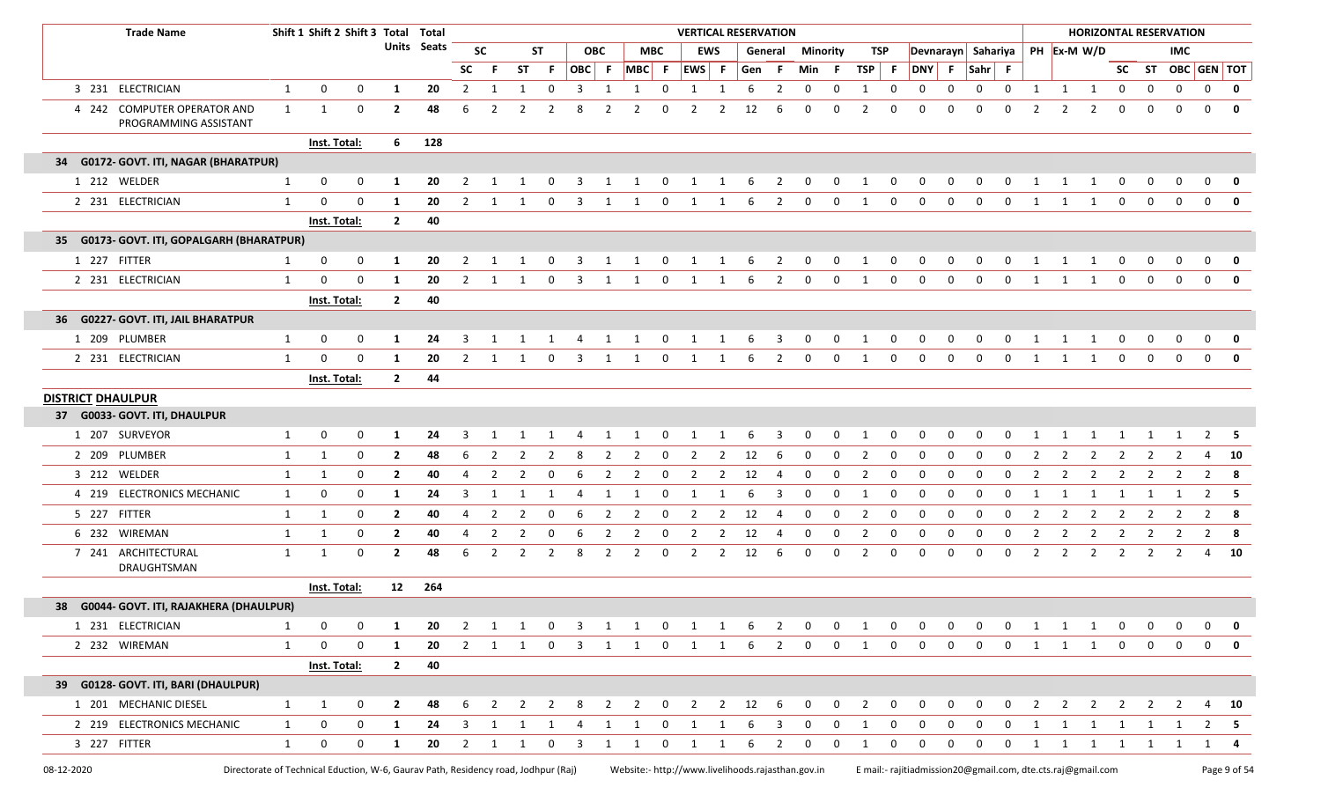| <b>Trade Name</b>                                    |              | Shift 1 Shift 2 Shift 3 Total Total |              |                |                    |                |                         |                |                |                         |                |                     |                         | <b>VERTICAL RESERVATION</b> |                |                 |                         |                         |              |                |                |             |              |                                |                |                |                |                         |                         |                | <b>HORIZONTAL RESERVATION</b> |                   |              |
|------------------------------------------------------|--------------|-------------------------------------|--------------|----------------|--------------------|----------------|-------------------------|----------------|----------------|-------------------------|----------------|---------------------|-------------------------|-----------------------------|----------------|-----------------|-------------------------|-------------------------|--------------|----------------|----------------|-------------|--------------|--------------------------------|----------------|----------------|----------------|-------------------------|-------------------------|----------------|-------------------------------|-------------------|--------------|
|                                                      |              |                                     |              |                | <b>Units Seats</b> |                | <b>SC</b>               |                | <b>ST</b>      |                         | <b>OBC</b>     |                     | <b>MBC</b>              |                             | <b>EWS</b>     |                 | General                 | <b>Minority</b>         |              |                | TSP            |             |              | Devnarayn Sahariya PH Ex-M W/D |                |                |                |                         |                         |                | <b>IMC</b>                    |                   |              |
|                                                      |              |                                     |              |                |                    | <b>SC</b>      | -F                      | ST             | -F.            | OBC F                   |                | MBC F EWS F         |                         |                             |                | Gen F           |                         | Min                     | - F          | TSP F          |                | DNY F       |              | $\vert$ Sahr $\vert$ F         |                |                |                |                         |                         |                |                               | SC ST OBC GEN TOT |              |
| 3 231 ELECTRICIAN                                    | $\mathbf{1}$ | 0                                   | $\mathbf 0$  | 1              | 20                 | $\overline{2}$ | 1                       | $\mathbf{1}$   | 0              | 3                       | 1              | 1                   | 0                       | $\mathbf{1}$                | 1              | 6               | $\overline{2}$          | $\mathbf 0$             | 0            | $\mathbf{1}$   | $\mathbf 0$    | $\mathbf 0$ | 0            | 0                              | $\mathbf 0$    | 1              |                | $1 \quad 1$             | $\mathbf 0$             | 0              | $\mathbf 0$                   | $\mathbf 0$       | $\mathbf{0}$ |
| 4 242 COMPUTER OPERATOR AND<br>PROGRAMMING ASSISTANT | 1            | 1                                   | 0            | $\overline{2}$ | 48                 | 6              | 2                       | 2              | 2              | 8                       |                |                     | $\Omega$                | 2                           | 2              | 12              | 6                       | $\mathbf 0$             | 0            | 2              | $\mathbf{0}$   | $\Omega$    | $\Omega$     | 0                              | $\Omega$       | 2              | 2              | 2                       | 0                       | 0              | $\Omega$                      | $\mathbf 0$       | $\mathbf 0$  |
|                                                      |              | Inst. Total:                        |              | 6              | 128                |                |                         |                |                |                         |                |                     |                         |                             |                |                 |                         |                         |              |                |                |             |              |                                |                |                |                |                         |                         |                |                               |                   |              |
| 34 G0172- GOVT. ITI, NAGAR (BHARATPUR)               |              |                                     |              |                |                    |                |                         |                |                |                         |                |                     |                         |                             |                |                 |                         |                         |              |                |                |             |              |                                |                |                |                |                         |                         |                |                               |                   |              |
| 1 212 WELDER                                         | $\mathbf{1}$ | $\mathbf{0}$                        | $\mathbf 0$  | 1              | 20                 | $\overline{2}$ |                         |                | 0              | 3                       | 1              | 1                   | 0                       | 1                           | 1              | 6               | $\overline{2}$          | $\mathbf 0$             | $\mathbf{0}$ | 1              | $\mathbf{0}$   | 0           | 0            | 0                              | 0              | 1              | 1              | 1                       | 0                       | 0              | 0                             | 0                 | 0            |
| 2 231 ELECTRICIAN                                    | $\mathbf{1}$ | $\mathbf 0$                         | $\mathbf 0$  | 1              | 20                 | 2              | -1                      | -1             | 0              | 3                       | 1              | 1                   | $\Omega$                | 1                           | -1             | 6               | 2                       | $\Omega$                | 0            | 1              | 0              | $\Omega$    | $\Omega$     | 0                              | $\Omega$       | 1              | 1              | 1                       | 0                       | $\mathbf 0$    | $\Omega$                      | $\mathbf{0}$      | $\mathbf 0$  |
|                                                      |              | Inst. Total:                        |              | $\mathbf{2}$   | 40                 |                |                         |                |                |                         |                |                     |                         |                             |                |                 |                         |                         |              |                |                |             |              |                                |                |                |                |                         |                         |                |                               |                   |              |
| 35 G0173- GOVT. ITI, GOPALGARH (BHARATPUR)           |              |                                     |              |                |                    |                |                         |                |                |                         |                |                     |                         |                             |                |                 |                         |                         |              |                |                |             |              |                                |                |                |                |                         |                         |                |                               |                   |              |
| 1 227 FITTER                                         | 1            | 0                                   | $\mathbf 0$  | 1              | 20                 | 2              | -1                      | -1             | 0              | 3                       | 1              | 1                   | $\mathbf{0}$            | $\mathbf{1}$                | $\mathbf{1}$   | 6               | $\overline{2}$          | $\mathbf 0$             | $\mathbf{0}$ | 1              | $\mathbf{0}$   | $\mathbf 0$ | $\mathbf 0$  | $\mathbf{0}$                   | $\mathbf 0$    | 1              | $\mathbf{1}$   | $\mathbf{1}$            | $\mathbf 0$             | $\mathbf{0}$   | 0                             | $\mathbf 0$       | 0            |
| 2 231 ELECTRICIAN                                    | $\mathbf{1}$ | $\mathbf 0$                         | $\mathbf 0$  | -1             | 20                 | $\overline{2}$ | -1                      | 1              | 0              | 3                       | 1              | 1                   | $\mathbf 0$             | 1                           | 1              | 6               | 2                       | $\mathbf 0$             | 0            | 1              | $\mathbf{0}$   | $\mathbf 0$ | $\Omega$     | 0                              | $\mathbf 0$    | 1              | 1              | 1                       | 0                       | $\mathbf 0$    | $\mathbf 0$                   | $\mathbf 0$       | $\mathbf 0$  |
|                                                      |              | Inst. Total:                        |              | $\mathbf{2}$   | 40                 |                |                         |                |                |                         |                |                     |                         |                             |                |                 |                         |                         |              |                |                |             |              |                                |                |                |                |                         |                         |                |                               |                   |              |
| 36 G0227- GOVT. ITI, JAIL BHARATPUR                  |              |                                     |              |                |                    |                |                         |                |                |                         |                |                     |                         |                             |                |                 |                         |                         |              |                |                |             |              |                                |                |                |                |                         |                         |                |                               |                   |              |
| 1 209 PLUMBER                                        | $\mathbf{1}$ | $\mathbf 0$                         | $\mathbf 0$  | 1              | 24                 | 3              |                         |                | 1              | 4                       | 1              | 1                   | 0                       | 1                           | 1              | 6               | $\overline{\mathbf{3}}$ | $\mathbf 0$             | 0            | 1              | $\mathbf{0}$   | 0           | 0            | 0                              | 0              | 1              |                | 1                       | 0                       | 0              | 0                             | 0                 | 0            |
| 2 231 ELECTRICIAN                                    | 1            | $\Omega$                            | $\mathbf 0$  | 1              | 20                 | $\overline{2}$ | 1                       | 1              | 0              | 3                       | 1              | 1                   | $\mathbf 0$             | 1                           | 1              | 6               | 2                       | 0                       | 0            | 1              | $\mathbf{0}$   | $\Omega$    | $\mathbf 0$  | 0                              | $\mathbf 0$    | 1              | 1              | 1                       | 0                       | $\mathbf 0$    | $\Omega$                      | $\mathbf 0$       | $\mathbf 0$  |
|                                                      |              | Inst. Total:                        |              | $\mathbf{2}$   | 44                 |                |                         |                |                |                         |                |                     |                         |                             |                |                 |                         |                         |              |                |                |             |              |                                |                |                |                |                         |                         |                |                               |                   |              |
| <b>DISTRICT DHAULPUR</b>                             |              |                                     |              |                |                    |                |                         |                |                |                         |                |                     |                         |                             |                |                 |                         |                         |              |                |                |             |              |                                |                |                |                |                         |                         |                |                               |                   |              |
| 37 G0033- GOVT. ITI, DHAULPUR                        |              |                                     |              |                |                    |                |                         |                |                |                         |                |                     |                         |                             |                |                 |                         |                         |              |                |                |             |              |                                |                |                |                |                         |                         |                |                               |                   |              |
| 1 207 SURVEYOR                                       | 1            | 0                                   | 0            | 1              | 24                 | 3              | 1                       | 1              | $\overline{1}$ | $\overline{4}$          | $\overline{1}$ | $\mathbf{1}$        | $\overline{\mathbf{0}}$ | $1 \quad 1$                 |                | 6               | $\overline{\mathbf{3}}$ | $\overline{\mathbf{0}}$ | $\mathbf{0}$ | $\overline{1}$ | $\overline{0}$ | $\mathbf 0$ | $\mathbf{0}$ | $\overline{0}$                 | $\overline{0}$ | $\overline{1}$ |                |                         |                         | 1 1 1 1 1      |                               | $2 \quad 5$       |              |
| 2 209 PLUMBER                                        | $\mathbf{1}$ | 1                                   | $\mathbf 0$  | $\overline{2}$ | 48                 | 6              | $\overline{2}$          | 2              | 2              | 8                       | 2              | 2                   | 0                       | 2                           | 2              | 12              | 6                       | $\mathbf 0$             | 0            | 2              | $\mathbf 0$    | $\mathbf 0$ | 0            | 0                              | 0              | 2              |                | 2                       | 2                       | 2              | 2                             | 4                 | <b>10</b>    |
| 3 212 WELDER                                         | $\mathbf{1}$ | 1                                   | 0            | $\overline{2}$ | 40                 | $\overline{4}$ | $\overline{2}$          | $\overline{2}$ | 0              | 6                       | $\overline{2}$ | $\overline{2}$      | 0                       | $\overline{2}$              | $\overline{2}$ | 12              | -4                      | $\mathbf 0$             | $\mathbf 0$  | $\overline{2}$ | 0              | 0           | 0            | 0                              | 0              | $\overline{2}$ | $\overline{2}$ | $\overline{2}$          | $\overline{2}$          | 2              | $\overline{2}$                | $2 \times 8$      |              |
| 4 219 ELECTRONICS MECHANIC                           | $\mathbf{1}$ | 0                                   | $\mathbf 0$  | 1              | 24                 | 3              | $\overline{\mathbf{1}}$ |                | 1              | 4                       | 1              |                     | $\Omega$                |                             |                | 6               | 3                       | 0                       | 0            | $\mathbf{1}$   | 0              | 0           | 0            | $\mathbf 0$                    | $\mathbf 0$    |                |                |                         |                         |                |                               | $\overline{2}$    | - 5          |
| 5 227 FITTER                                         | $\mathbf{1}$ | 1                                   | 0            | $\overline{2}$ | 40                 | $\overline{4}$ | $\overline{2}$          | $\overline{2}$ | 0              | 6                       | $\overline{2}$ | $\overline{2}$      | $\overline{0}$          | $\overline{2}$              | $\overline{2}$ | 12              | $\overline{4}$          | $\mathbf 0$             | $\mathbf 0$  | $\overline{2}$ | $\mathbf 0$    | $\mathbf 0$ | 0            | $\mathbf 0$                    | $\mathbf 0$    | $\overline{2}$ | $\overline{2}$ | $\overline{\mathbf{2}}$ | $\overline{2}$          | 2              | $\overline{2}$                | $2 \times 8$      |              |
| 6 232 WIREMAN                                        | $\mathbf{1}$ | 1                                   | 0            | $\mathbf{2}$   | 40                 | 4              | 2                       | 2              | 0              | 6                       | -2             |                     | $\Omega$                | $\mathcal{P}$               | 2              | 12              | -4                      | $\mathbf 0$             | 0            | $\overline{2}$ | 0              | 0           | $\Omega$     | 0                              | 0              | 2              |                | 2                       | 2                       | 2              | 2                             | $\overline{2}$    | - 8          |
| 7 241 ARCHITECTURAL<br>DRAUGHTSMAN                   | $\mathbf{1}$ | 1                                   | 0            | $\overline{2}$ | 48                 | 6              | 2                       | $\overline{2}$ | $\overline{2}$ | 8                       | $\overline{2}$ | 2                   | 0                       | 2                           | 2              | 12              | 6                       | 0                       | 0            | $\overline{2}$ | 0              | 0           | 0            | 0                              | 0              | $\overline{2}$ | $\overline{2}$ | $\overline{2}$          | $\overline{2}$          | 2              | 2                             |                   | 4 10         |
|                                                      |              | Inst. Total:                        |              |                | 12 264             |                |                         |                |                |                         |                |                     |                         |                             |                |                 |                         |                         |              |                |                |             |              |                                |                |                |                |                         |                         |                |                               |                   |              |
| 38 G0044- GOVT. ITI, RAJAKHERA (DHAULPUR)            |              |                                     |              |                |                    |                |                         |                |                |                         |                |                     |                         |                             |                |                 |                         |                         |              |                |                |             |              |                                |                |                |                |                         |                         |                |                               |                   |              |
| 1 231 ELECTRICIAN                                    | 1            | 0                                   | $\mathbf 0$  | 1              | 20                 | $\overline{2}$ | $\overline{\mathbf{1}}$ | $\mathbf{1}$   | $\mathbf 0$    | $\overline{\mathbf{3}}$ |                | 1 1 0 1 1           |                         |                             |                | $6\overline{6}$ | $\overline{2}$          | $\mathbf{0}$            | $\mathbf 0$  | 1              | $\mathbf 0$    | $\mathbf 0$ | 0            | $\mathbf 0$                    | $\mathbf{0}$   | 1              | $\mathbf{1}$   | $\overline{1}$          | $\overline{\mathbf{0}}$ | 0              | 0                             | 0                 | 0            |
| 2 232 WIREMAN                                        | 1            | $\mathbf 0$                         | $\mathbf{0}$ | 1              | 20                 |                | 2 1 1 0                 |                |                | $\overline{\mathbf{3}}$ |                | $1 \quad 1 \quad 0$ |                         | $\overline{1}$              | 1              |                 | 6 2                     | $\overline{0}$          | $\mathbf 0$  | 1              | $\mathbf 0$    | $\mathbf 0$ | $\mathbf 0$  | $\mathbf 0$                    | $\mathbf 0$    | 1              |                | 1 1 0                   |                         | $\mathbf 0$    | $\mathbf 0$                   | $\mathbf 0$       | 0            |
|                                                      |              | <b>Inst. Total:</b>                 |              | $\overline{2}$ | 40                 |                |                         |                |                |                         |                |                     |                         |                             |                |                 |                         |                         |              |                |                |             |              |                                |                |                |                |                         |                         |                |                               |                   |              |
| 39 G0128- GOVT. ITI, BARI (DHAULPUR)                 |              |                                     |              |                |                    |                |                         |                |                |                         |                |                     |                         |                             |                |                 |                         |                         |              |                |                |             |              |                                |                |                |                |                         |                         |                |                               |                   |              |
| 1 201 MECHANIC DIESEL                                | $\mathbf{1}$ | 1                                   | 0            | $\mathbf{2}$   | 48                 | 6              | $\overline{2}$          | $\overline{2}$ | $\overline{2}$ | 8                       | $\overline{2}$ |                     | 2 0                     | 2 2 12 6                    |                |                 |                         | $\mathbf 0$             | $\mathbf{0}$ | $\overline{2}$ | $\mathbf 0$    | 0           | 0            | 0                              | $\mathbf 0$    | $\overline{2}$ | $\overline{2}$ | $\overline{2}$          | $\overline{2}$          | $\overline{2}$ | $\overline{2}$                |                   | 4 10         |
| 2 219 ELECTRONICS MECHANIC                           | $\mathbf{1}$ | 0                                   | 0            | 1              | 24                 | 3              | 1                       | 1              | 1              | 4                       | 1              | 1                   | $\overline{\mathbf{0}}$ | 1                           | 1              | 6               | $\overline{\mathbf{3}}$ | $\mathbf{0}$            | 0            | 1              | $\mathbf 0$    | 0           | 0            | 0                              | 0              | 1              | 1              | $\overline{\mathbf{1}}$ | $\mathbf{1}$            | 1              | 1                             |                   | $2 \quad 5$  |
| 3 227 FITTER                                         | $\mathbf{1}$ | $\mathbf 0$                         | $\mathbf 0$  | $\mathbf{1}$   | 20                 | $\overline{2}$ | 1                       | 1              | 0              | 3                       | 1              | $\mathbf{1}$        | 0                       | $\mathbf{1}$                | $\mathbf{1}$   | 6               | $\overline{2}$          | $\mathbf 0$             | $\mathbf 0$  | 1              | $\mathbf{0}$   | $\mathbf 0$ | $\mathbf 0$  | $\mathbf 0$                    | $\mathbf{0}$   | 1              |                |                         |                         | 1 1 1 1 1      |                               |                   | 1 4          |
|                                                      |              |                                     |              |                |                    |                |                         |                |                |                         |                |                     |                         |                             |                |                 |                         |                         |              |                |                |             |              |                                |                |                |                |                         |                         |                |                               |                   |              |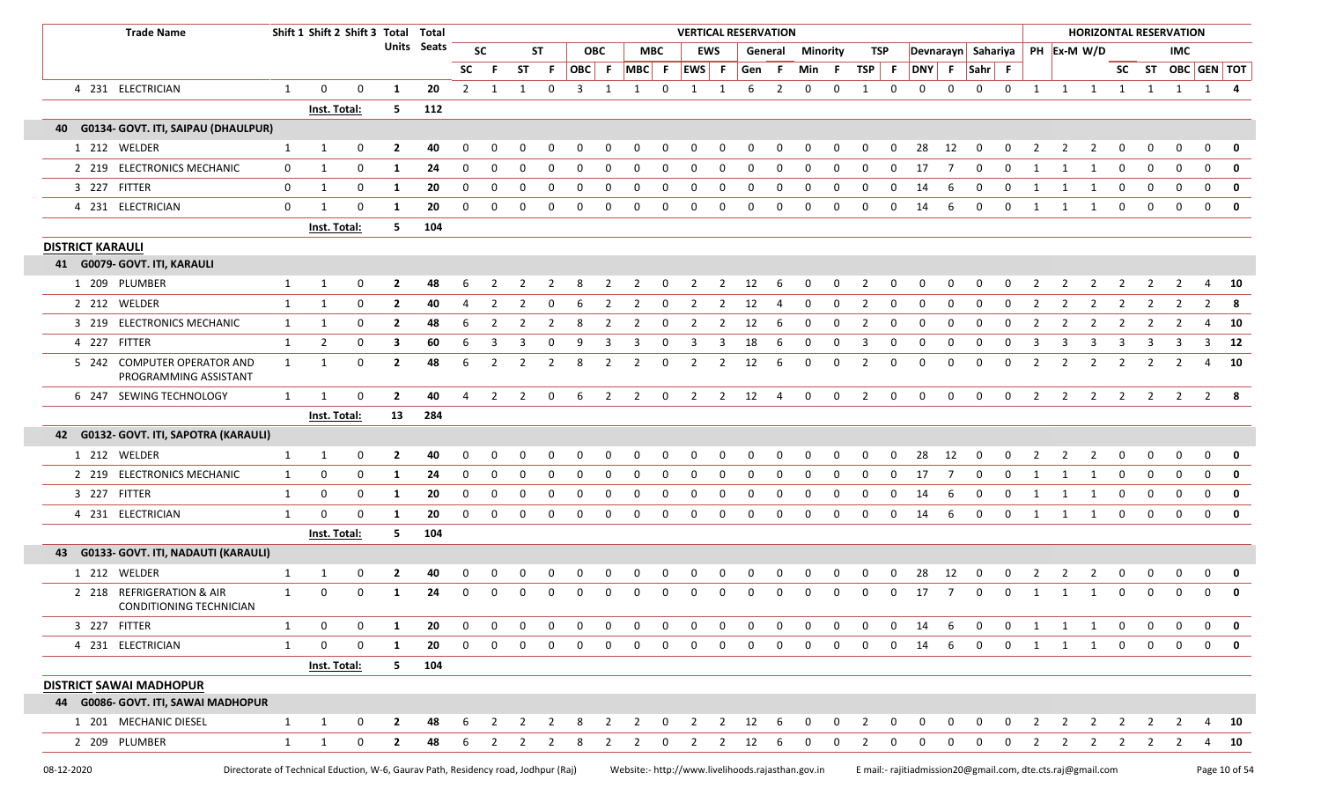| <b>Trade Name</b>                                    |              | Shift 1 Shift 2 Shift 3 Total Total |             |                    |     |              |               |                       |              |              |               |                  |                | <b>VERTICAL RESERVATION</b> |                |              |              |                 |              |                         |                |              |                |                    |             |                |                         |                |             |              | <b>HORIZONTAL RESERVATION</b>                    |              |              |
|------------------------------------------------------|--------------|-------------------------------------|-------------|--------------------|-----|--------------|---------------|-----------------------|--------------|--------------|---------------|------------------|----------------|-----------------------------|----------------|--------------|--------------|-----------------|--------------|-------------------------|----------------|--------------|----------------|--------------------|-------------|----------------|-------------------------|----------------|-------------|--------------|--------------------------------------------------|--------------|--------------|
|                                                      |              |                                     |             | <b>Units Seats</b> |     |              | <b>SC</b>     |                       | <b>ST</b>    |              | <b>OBC</b>    |                  | <b>MBC</b>     | <b>EWS</b>                  |                |              | General      | <b>Minority</b> |              | TSP                     |                |              |                | Devnarayn Sahariya |             |                |                         | PH Ex-M W/D    |             |              | IMC.                                             |              |              |
|                                                      |              |                                     |             |                    |     | <b>SC</b>    | -F.           | <b>ST</b>             | - F          | OBC F        |               | $MBC$ F          |                | EWS F                       |                | Gen F        |              | Min F           |              | TSP                     | - F            |              |                | DNY F Sahr F       |             |                |                         |                |             |              | SC ST OBC GEN TOT                                |              |              |
| 4 231 ELECTRICIAN                                    | $\mathbf{1}$ | $\mathbf 0$                         | $\mathbf 0$ | -1                 | 20  | 2            | 1             | 1                     | $\mathbf 0$  | $\mathbf{3}$ | 1             | 1                | 0              | $\mathbf{1}$                | 1              | 6            | 2            | $\mathbf 0$     | $\mathbf 0$  | 1                       | $\mathbf 0$    | 0            | $\mathbf 0$    | $\mathbf 0$        | $\mathbf 0$ |                |                         |                |             |              | 1 1 1 1 1 1 1 4                                  |              |              |
|                                                      |              | Inst. Total:                        |             | 5.                 | 112 |              |               |                       |              |              |               |                  |                |                             |                |              |              |                 |              |                         |                |              |                |                    |             |                |                         |                |             |              |                                                  |              |              |
| 40 G0134- GOVT. ITI, SAIPAU (DHAULPUR)               |              |                                     |             |                    |     |              |               |                       |              |              |               |                  |                |                             |                |              |              |                 |              |                         |                |              |                |                    |             |                |                         |                |             |              |                                                  |              |              |
| 1 212 WELDER                                         | 1            | 1                                   | 0           | $\overline{2}$     | 40  |              |               |                       | <sup>0</sup> |              |               |                  | ŋ              | $\Omega$                    | $\Omega$       |              |              |                 |              | $\Omega$                | $\Omega$       | 28           | 12             | n                  | O           |                |                         |                |             |              | $\Omega$                                         | $\Omega$     | 0            |
| 2 219 ELECTRONICS MECHANIC                           | $\mathbf 0$  | 1                                   | $\mathbf 0$ | 1                  | 24  | 0            | 0             | 0                     | 0            | $\mathbf 0$  | 0             | $\mathbf{0}$     | 0              | 0                           | $\mathbf 0$    | 0            | 0            | 0               | 0            | 0                       | $\mathbf 0$    | 17           | $\overline{7}$ | $\mathbf 0$        | 0           | 1              | 1                       | 1              | $\mathbf 0$ | 0            | $\mathbf 0$                                      | $\mathbf 0$  | 0            |
| 3 227 FITTER                                         | 0            | 1                                   | 0           | 1                  | 20  | $\Omega$     | 0             | <sup>0</sup>          | 0            | 0            | <sup>0</sup>  | 0                | 0              | 0                           | $\Omega$       |              |              |                 | <sup>0</sup> | $\Omega$                | <sup>0</sup>   | 14           |                | <sup>0</sup>       | $\Omega$    |                |                         |                | $\Omega$    | 0            | 0                                                | $\mathbf 0$  | 0            |
| 4 231 ELECTRICIAN                                    | $\mathbf{0}$ | -1                                  | $\Omega$    | 1                  | 20  | $\Omega$     | 0             | 0                     | 0            | 0            | 0             | 0                | 0              | 0                           | 0              | 0            | 0            | $\mathbf 0$     | 0            | 0                       | $\mathbf 0$    | 14           | 6              | $\mathbf 0$        | $\mathbf 0$ | 1              | 1                       | 1              | $\mathbf 0$ | 0            | $\mathbf 0$                                      | $\mathbf 0$  | 0            |
|                                                      |              | Inst. Total:                        |             | 5                  | 104 |              |               |                       |              |              |               |                  |                |                             |                |              |              |                 |              |                         |                |              |                |                    |             |                |                         |                |             |              |                                                  |              |              |
| <b>DISTRICT KARAULI</b>                              |              |                                     |             |                    |     |              |               |                       |              |              |               |                  |                |                             |                |              |              |                 |              |                         |                |              |                |                    |             |                |                         |                |             |              |                                                  |              |              |
| 41 G0079- GOVT. ITI, KARAULI                         |              |                                     |             |                    |     |              |               |                       |              |              |               |                  |                |                             |                |              |              |                 |              |                         |                |              |                |                    |             |                |                         |                |             |              |                                                  |              |              |
| 1 209 PLUMBER                                        | 1            | $\mathbf{1}$                        | 0           | $\mathbf{2}$       | 48  |              | $\mathcal{L}$ |                       |              |              |               |                  | 0              |                             | 2              | 12           | 6            | 0               | 0            | 2                       | <sup>0</sup>   | 0            | <sup>0</sup>   | $\Omega$           | -0          | 2              |                         |                |             |              |                                                  |              | 10           |
| 2 212 WELDER                                         | 1            | 1                                   | 0           | $\overline{2}$     | 40  | -4           | 2             |                       | 0            | -6           | 2             | 2                | 0              | 2                           | 2              | 12           |              | 0               | 0            | 2                       | 0              | 0            | <sup>0</sup>   | 0                  | 0           | $\overline{2}$ | 2                       | 2              | 2           |              |                                                  | 2            | - 8          |
| 3 219 ELECTRONICS MECHANIC                           | $\mathbf{1}$ | 1                                   | 0           | $\overline{2}$     | 48  | 6            | 2             | 2                     | 2            | -8           | 2             | $\overline{2}$   | $\mathbf 0$    | 2                           | 2              | 12           | 6            | 0               | 0            | $\overline{2}$          | 0              | 0            | 0              | 0                  | 0           | $\overline{2}$ | $\overline{2}$          | 2              | 2           | 2            | 2                                                | 4            | 10           |
| 4 227 FITTER                                         | $\mathbf{1}$ | $\overline{2}$                      | 0           | 3                  | 60  | 6            | 3             | 3                     | 0            | 9            | 3             | 3                | 0              | 3                           | 3              | 18           | 6            | 0               | 0            | 3                       | 0              | 0            | $\Omega$       | 0                  | 0           | 3              | 3                       | 3              | 3           |              | 3                                                | $\mathbf{3}$ | - 12         |
| 5 242 COMPUTER OPERATOR AND<br>PROGRAMMING ASSISTANT | 1            | -1                                  | 0           | $\overline{2}$     | 48  | 6            | 2             | 2                     | 2            | 8            | 2             | 2                | 0              | $\overline{2}$              | 2              | 12           | 6            | 0               | 0            | 2                       | 0              | 0            | $\Omega$       | $\mathbf 0$        | $\Omega$    | $\overline{2}$ | 2                       | 2              | 2           |              | 2                                                | 4            | - 10         |
| 6 247 SEWING TECHNOLOGY                              | 1            | $\overline{\mathbf{1}}$             | $\mathbf 0$ | $\overline{2}$     | 40  | 4            |               | $2 \qquad 2 \qquad 0$ |              |              |               | 6 2 2 0 2 2 12 4 |                |                             |                |              |              | $\mathbf 0$     | $\mathbf 0$  | $\frac{1}{2}$           | $\mathbf 0$    | $\mathsf{o}$ | $\mathbf 0$    | $\mathbf 0$        | $\mathbf 0$ |                |                         |                |             |              | 2 2 2 2 2 2 2 8                                  |              |              |
|                                                      |              | Inst. Total:                        |             | 13                 | 284 |              |               |                       |              |              |               |                  |                |                             |                |              |              |                 |              |                         |                |              |                |                    |             |                |                         |                |             |              |                                                  |              |              |
| 42 G0132- GOVT. ITI, SAPOTRA (KARAULI)               |              |                                     |             |                    |     |              |               |                       |              |              |               |                  |                |                             |                |              |              |                 |              |                         |                |              |                |                    |             |                |                         |                |             |              |                                                  |              |              |
| 1 212 WELDER                                         | 1            | 1                                   | 0           | $\overline{2}$     | 40  |              | <sup>0</sup>  |                       | n            |              |               |                  | O              | -0                          | 0              |              |              |                 |              | <sup>0</sup>            |                | 28           | 12             |                    |             |                |                         |                |             |              | $\Omega$                                         | $\Omega$     | 0            |
| 2 219 ELECTRONICS MECHANIC                           | 1            | 0                                   | 0           | 1                  | 24  | $\Omega$     | 0             | <sup>0</sup>          | 0            | 0            | <sup>0</sup>  | <sup>0</sup>     | 0              | 0                           | 0              | <sup>0</sup> | $\Omega$     | $\Omega$        | $\Omega$     | $\Omega$                | 0              | 17           |                | 0                  | $\Omega$    | 1              | -1                      |                |             | $\Omega$     | 0                                                | $\mathbf 0$  | 0            |
| 3 227 FITTER                                         | 1            | $\mathbf 0$                         | 0           | 1                  | 20  | $\Omega$     | 0             | $\Omega$              | 0            | 0            | 0             | 0                | 0              | 0                           | 0              | $\Omega$     | <sup>0</sup> | $\Omega$        | $\Omega$     | 0                       | $\Omega$       | 14           |                | 0                  | $\Omega$    |                |                         |                |             | 0            | 0                                                | $\mathbf 0$  | 0            |
| 4 231 ELECTRICIAN                                    | 1            | $\mathbf 0$                         | $\mathbf 0$ | -1                 | 20  | $\mathbf{0}$ | 0             | $\mathbf 0$           | $\mathbf 0$  | $\mathbf 0$  | $\mathbf 0$   | $\mathbf 0$      | $\mathbf 0$    | $\mathbf 0$                 | $\mathbf 0$    | $\mathbf 0$  | $\mathbf 0$  | $\mathbf 0$     | $\mathbf 0$  | $\mathbf 0$             | $\mathbf{0}$   | 14           | 6              | $\mathbf 0$        | $\mathbf 0$ | $\mathbf{1}$   | $\overline{\mathbf{1}}$ | $\mathbf{1}$   | $\mathbf 0$ | $\mathbf{0}$ | $\mathbf 0$                                      | $\mathbf 0$  | $\mathbf{0}$ |
|                                                      |              | Inst. Total:                        |             | 5                  | 104 |              |               |                       |              |              |               |                  |                |                             |                |              |              |                 |              |                         |                |              |                |                    |             |                |                         |                |             |              |                                                  |              |              |
| 43 G0133- GOVT. ITI, NADAUTI (KARAULI)               |              |                                     |             |                    |     |              |               |                       |              |              |               |                  |                |                             |                |              |              |                 |              |                         |                |              |                |                    |             |                |                         |                |             |              |                                                  |              |              |
| 1 212 WELDER                                         | $\mathbf{1}$ | - 1                                 | 0           | $\overline{2}$     | 40  |              |               |                       |              |              |               |                  |                |                             |                |              |              |                 |              | <sup>0</sup>            |                | 28           |                |                    |             |                |                         |                |             |              |                                                  | 0            | 0            |
| 2 218 REFRIGERATION & AIR<br>CONDITIONING TECHNICIAN | 1            | $\mathbf 0$                         | 0           | -1                 | 24  | $\Omega$     | 0             | 0                     | 0            | 0            | <sup>0</sup>  | 0                | 0              | 0                           | 0              | $\Omega$     | $\Omega$     | 0               | 0            | 0                       | 0              | 17           | 7              | 0                  | $\mathbf 0$ | 1              | 1                       | 1              | $\Omega$    | 0            | $\mathbf 0$                                      | $\mathbf 0$  | 0            |
| 3 227 FITTER                                         | $\mathbf{1}$ | $\mathbf 0$                         | 0           | 1                  | 20  | $\mathbf 0$  | 0             | $\mathbf 0$           | 0            | $\mathbf 0$  | 0             | $\mathbf{0}$     | $\mathbf 0$    | $\mathbf 0$                 | $\mathbf 0$    | 0            | $\mathbf 0$  | $\mathbf 0$     | $\mathbf 0$  | 0                       | $\mathbf{0}$   | 14           | 6              | $\mathbf 0$        | 0           | 1              | 1                       | 1              | $\mathbf 0$ | $\mathbf 0$  | $\mathbf 0$                                      | $\mathbf 0$  | $\mathbf 0$  |
| 4 231 ELECTRICIAN                                    | $\mathbf{1}$ | $\mathbf 0$                         | 0           | 1                  | 20  | $\mathbf 0$  | 0             | 0                     | $\mathbf 0$  | $\mathbf 0$  | 0             | $\mathbf 0$      | $\mathbf 0$    | 0                           | $\mathbf 0$    | $\mathbf 0$  | $\mathbf 0$  | $\mathbf 0$     | $\mathbf{0}$ | 0                       | $\mathbf{0}$   | 14           | 6              | $\mathbf 0$        | $\mathbf 0$ | $\mathbf{1}$   | 1                       | $\overline{1}$ | $\mathbf 0$ | $\mathbf{0}$ | $\mathbf 0$                                      | $\mathbf 0$  | 0            |
|                                                      |              | Inst. Total:                        |             | 5                  | 104 |              |               |                       |              |              |               |                  |                |                             |                |              |              |                 |              |                         |                |              |                |                    |             |                |                         |                |             |              |                                                  |              |              |
| <b>DISTRICT SAWAI MADHOPUR</b>                       |              |                                     |             |                    |     |              |               |                       |              |              |               |                  |                |                             |                |              |              |                 |              |                         |                |              |                |                    |             |                |                         |                |             |              |                                                  |              |              |
| 44 G0086- GOVT. ITI, SAWAI MADHOPUR                  |              |                                     |             |                    |     |              |               |                       |              |              |               |                  |                |                             |                |              |              |                 |              |                         |                |              |                |                    |             |                |                         |                |             |              |                                                  |              |              |
| 1 201 MECHANIC DIESEL                                | $\mathbf{1}$ | -1                                  | 0           | $\overline{2}$     | 48  | -6           | 2             |                       |              | 8            | $\mathcal{P}$ | 2                | $\mathbf 0$    | 2                           | $\overline{2}$ | 12           | -6           | $\Omega$        | $\Omega$     | 2                       | 0              | $\Omega$     | n              | 0                  | 0           | $\overline{2}$ | 2                       | 2              | 2           |              |                                                  | 4            | - 10         |
|                                                      |              |                                     |             |                    |     |              |               |                       | 6 2 2 2 8    |              |               |                  | 2 2 0 2 2 12 6 |                             |                |              |              |                 | $\mathbf{0}$ | $\overline{\mathbf{2}}$ | $\overline{0}$ | $\mathsf{o}$ | $\overline{0}$ | $\mathbf 0$        | $\mathbf 0$ |                |                         |                |             |              | $2 \qquad 2 \qquad 2 \qquad 2 \qquad 2 \qquad 2$ | 4            | <b>10</b>    |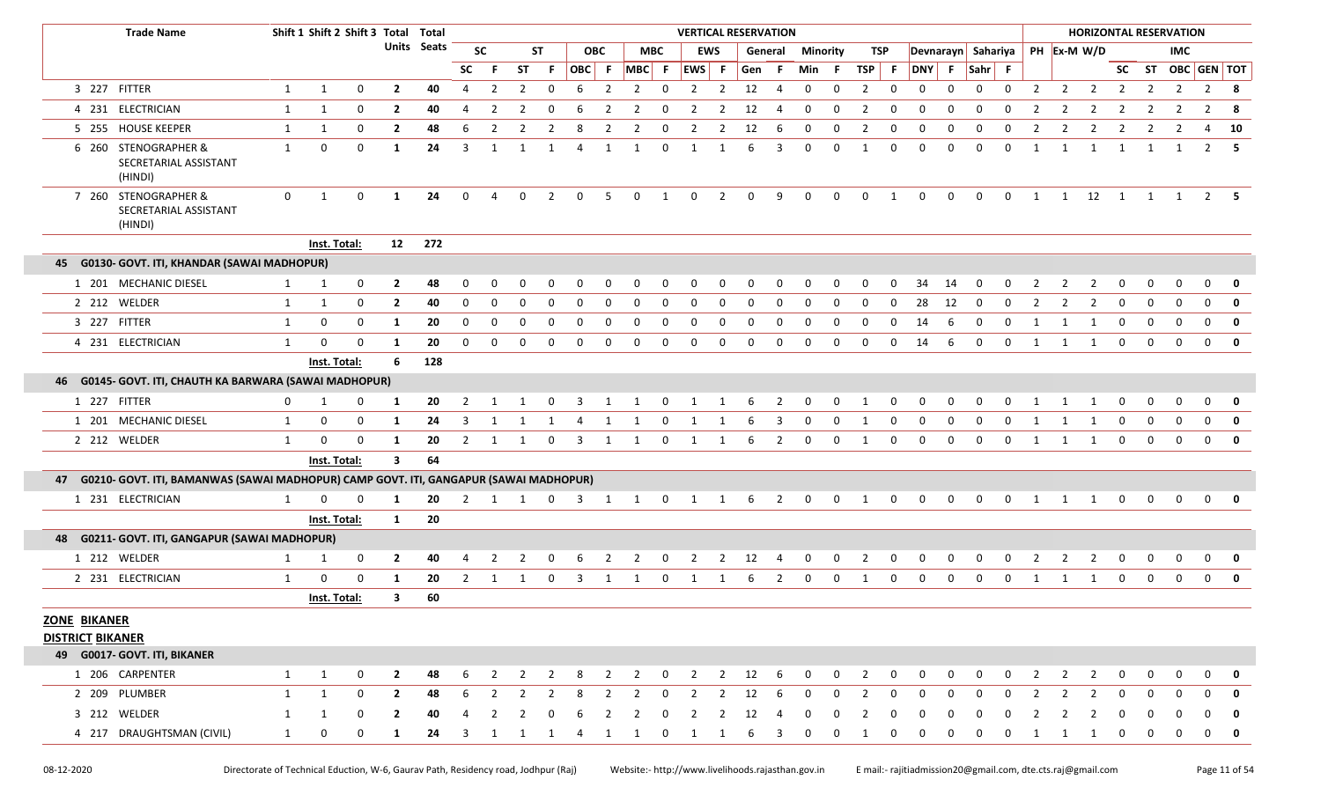|                         | <b>Trade Name</b>                                                                     |              | Shift 1 Shift 2 Shift 3 Total Total |             |                         |             |                |                       |                |                |                |              |                                 |                         | <b>VERTICAL RESERVATION</b> |                         |                |                         |                         |             |                |              |                |              |                    |                |                |                |                         |                |              | <b>HORIZONTAL RESERVATION</b> |                   |                         |
|-------------------------|---------------------------------------------------------------------------------------|--------------|-------------------------------------|-------------|-------------------------|-------------|----------------|-----------------------|----------------|----------------|----------------|--------------|---------------------------------|-------------------------|-----------------------------|-------------------------|----------------|-------------------------|-------------------------|-------------|----------------|--------------|----------------|--------------|--------------------|----------------|----------------|----------------|-------------------------|----------------|--------------|-------------------------------|-------------------|-------------------------|
|                         |                                                                                       |              |                                     |             |                         | Units Seats |                | <b>SC</b>             |                | <b>ST</b>      |                | <b>OBC</b>   |                                 | <b>MBC</b>              | EWS                         |                         |                | General                 | Minority                |             | TSP            |              |                |              | Devnarayn Sahariya |                |                |                | PH Ex-M W/D             |                |              | IMC.                          |                   |                         |
|                         |                                                                                       |              |                                     |             |                         |             | <b>SC</b>      | -F.                   | ST             | -F             | OBC F          |              | MBC F EWS F                     |                         |                             |                         | Gen F          |                         | Min F                   |             | $TSP$ F        |              | DNY F          |              | Sahr F             |                |                |                |                         |                |              |                               | SC ST OBC GEN TOT |                         |
|                         | 3 227 FITTER                                                                          | 1            | 1                                   | 0           | $\mathbf{2}$            | 40          | 4              | 2                     | $\overline{2}$ | 0              | 6              | 2            | 2                               | $\overline{\mathbf{0}}$ | 2                           | 2                       | 12             | $\overline{4}$          | $\mathbf 0$             | 0           | $\overline{2}$ | $\mathbf 0$  | 0              | $\mathbf 0$  | $\mathbf 0$        | $\mathbf 0$    | $\overline{2}$ | $\overline{2}$ | 2                       | 2              | 2            | $\overline{2}$                |                   | $2 \times 8$            |
|                         | 4 231 ELECTRICIAN                                                                     | $\mathbf{1}$ | 1                                   | $\mathbf 0$ | $\mathbf{2}$            | 40          | 4              | 2                     | 2              | $\Omega$       | 6              | 2            | 2                               | $\Omega$                | 2                           | 2                       | 12             | 4                       | $\mathbf 0$             | 0           | 2              | $\mathbf 0$  | 0              | 0            | $\mathbf 0$        | $\Omega$       | 2              | 2              | 2                       | 2              | 2            | 2                             | 2                 | - 8                     |
|                         | 5 255 HOUSE KEEPER                                                                    | 1            | 1                                   | 0           | $\mathbf{2}$            | 48          | 6              | 2                     | 2              | -2             |                | 2            | 2                               | 0                       | 2                           | 2                       | 12             | 6                       | 0                       | 0           | 2              | 0            | <sup>0</sup>   | 0            | $\Omega$           | <sup>0</sup>   |                | 2              | $\overline{2}$          | 2              | 2            | 2                             | 4                 | - 10                    |
|                         | 6 260 STENOGRAPHER &<br>SECRETARIAL ASSISTANT<br>(HINDI)                              | 1            | 0                                   | $\mathbf 0$ | 1                       | 24          | $\mathbf{3}$   | 1                     | 1              | 1              | 4              | 1            | 1                               | $\mathbf 0$             | 1                           | 1                       | 6              | 3                       | 0                       | 0           | 1              | 0            | 0              | $\Omega$     | $\mathbf 0$        | $\Omega$       | -1             | 1              | 1                       | $\overline{1}$ | 1            | 1                             |                   | $2 \quad 5$             |
|                         | 7 260 STENOGRAPHER &<br>SECRETARIAL ASSISTANT<br>(HINDI)                              | $\mathbf 0$  | 1                                   | $\mathbf 0$ | 1                       | 24          | $\mathbf 0$    | $\overline{4}$        | $\mathbf 0$    | $\overline{2}$ | $\mathbf 0$    | -5           |                                 | $0 \quad 1 \quad 0$     |                             | $\overline{\mathbf{c}}$ | $\overline{0}$ | 9                       | $\overline{0}$          | $\mathbf 0$ |                | $0\qquad 1$  | $\overline{0}$ | $\mathbf 0$  | $\overline{0}$     | $\overline{0}$ |                |                |                         |                |              |                               | 1 1 1 2 1 1 1 2 5 |                         |
|                         |                                                                                       |              | Inst. Total:                        |             |                         | 12 272      |                |                       |                |                |                |              |                                 |                         |                             |                         |                |                         |                         |             |                |              |                |              |                    |                |                |                |                         |                |              |                               |                   |                         |
|                         | 45 G0130- GOVT. ITI, KHANDAR (SAWAI MADHOPUR)                                         |              |                                     |             |                         |             |                |                       |                |                |                |              |                                 |                         |                             |                         |                |                         |                         |             |                |              |                |              |                    |                |                |                |                         |                |              |                               |                   |                         |
|                         | 1 201 MECHANIC DIESEL                                                                 | $\mathbf{1}$ | 1                                   | $\mathbf 0$ | $\mathbf{2}$            | 48          |                |                       |                |                |                |              |                                 | <sup>0</sup>            |                             | $\Omega$                |                | <sup>0</sup>            |                         |             |                | <sup>0</sup> | 34             | 14           |                    |                |                |                |                         |                |              |                               |                   | 0                       |
|                         | 2 212 WELDER                                                                          | 1            | 1                                   | $\mathbf 0$ | $\overline{2}$          | 40          | $\Omega$       | $\Omega$              | $\Omega$       | $\Omega$       | <sup>0</sup>   | $\Omega$     | <sup>0</sup>                    | $\Omega$                | 0                           | 0                       | O              | 0                       | 0                       | 0           | 0              | $\Omega$     | 28             | 12           | $\Omega$           | $\Omega$       | 2              | 2              | $\overline{2}$          | $\Omega$       | $\Omega$     | $\Omega$                      | $\Omega$          | $\mathbf{0}$            |
|                         | 3 227 FITTER                                                                          | 1            | 0                                   | $\mathbf 0$ | 1                       | 20          | 0              | $\mathbf 0$           | $\Omega$       | 0              | 0              | $\Omega$     | $\Omega$                        | 0                       | $\Omega$                    | 0                       | O              | 0                       | 0                       | 0           | 0              | $\mathbf{0}$ | 14             | 6            | $\Omega$           | $\Omega$       | $\mathbf{1}$   |                | 1                       | 0              | $\Omega$     | $\Omega$                      | $\Omega$          | $\mathbf 0$             |
|                         | 4 231 ELECTRICIAN                                                                     | 1            | 0                                   | $\mathbf 0$ | 1                       | 20          | $\mathbf 0$    | 0                     | $\mathbf 0$    | $\mathbf 0$    | $\mathsf{o}$   | $\mathbf 0$  | $\mathbf 0$                     | 0                       | $\mathbf 0$                 | 0                       | $\mathbf 0$    | 0                       | $\mathbf 0$             | 0           | $\mathbf 0$    | $\mathbf 0$  | 14             | 6            | $\mathbf 0$        | $\mathbf 0$    | $\mathbf{1}$   | $\mathbf{1}$   | $\overline{\mathbf{1}}$ | $\mathbf 0$    | $\mathbf 0$  | $\mathbf 0$                   |                   | $0$ 0                   |
|                         |                                                                                       |              | Inst. Total:                        |             | 6                       | 128         |                |                       |                |                |                |              |                                 |                         |                             |                         |                |                         |                         |             |                |              |                |              |                    |                |                |                |                         |                |              |                               |                   |                         |
|                         | 46 G0145- GOVT. ITI, CHAUTH KA BARWARA (SAWAI MADHOPUR)                               |              |                                     |             |                         |             |                |                       |                |                |                |              |                                 |                         |                             |                         |                |                         |                         |             |                |              |                |              |                    |                |                |                |                         |                |              |                               |                   |                         |
|                         | 1 227 FITTER                                                                          | 0            | 1                                   | 0           | -1                      | 20          | 2              |                       |                |                |                |              |                                 |                         |                             |                         |                |                         | $\Omega$                | U           |                |              |                |              |                    |                |                |                |                         |                |              |                               |                   | 0                       |
|                         | 1 201 MECHANIC DIESEL                                                                 | 1            | 0                                   | $\mathbf 0$ | 1                       | 24          | $\overline{3}$ | 1                     | 1              | -1             | $\overline{4}$ | 1            | 1                               | $\mathbf 0$             | 1                           | 1                       | 6              | $\overline{\mathbf{3}}$ | $\overline{0}$          | $\mathbf 0$ | 1              | $\mathbf 0$  | $\mathbf 0$    | $\mathbf 0$  | $\mathbf 0$        | $\mathbf 0$    | 1              | 1              | 1                       | $\mathbf 0$    | $\Omega$     | $\mathbf 0$                   | $\mathbf{0}$      | $\overline{\mathbf{0}}$ |
|                         | 2 212 WELDER                                                                          | 1            | $\mathbf{0}$                        | $\mathbf 0$ | -1                      | 20          | 2              | 1                     | 1              | 0              | 3              | 1            | 1                               | $\mathbf 0$             | 1                           | 1                       | -6             | 2                       | $\mathbf 0$             | $\mathbf 0$ | -1             | $\mathbf{0}$ | $\mathbf 0$    | $\Omega$     | $\Omega$           | $\Omega$       | 1              | 1              | 1                       | $\Omega$       | $\Omega$     | $\Omega$                      | $\Omega$          | 0                       |
|                         |                                                                                       |              | Inst. Total:                        |             | $\overline{\mathbf{3}}$ | 64          |                |                       |                |                |                |              |                                 |                         |                             |                         |                |                         |                         |             |                |              |                |              |                    |                |                |                |                         |                |              |                               |                   |                         |
| 47                      | G0210- GOVT. ITI, BAMANWAS (SAWAI MADHOPUR) CAMP GOVT. ITI, GANGAPUR (SAWAI MADHOPUR) |              |                                     |             |                         |             |                |                       |                |                |                |              |                                 |                         |                             |                         |                |                         |                         |             |                |              |                |              |                    |                |                |                |                         |                |              |                               |                   |                         |
|                         | 1 231 ELECTRICIAN                                                                     | 1            | 0                                   | $\mathbf 0$ | 1                       | 20          |                |                       |                |                |                |              | 2 1 1 0 3 1 1 0 1 1 6 2 0 0 1 0 |                         |                             |                         |                |                         |                         |             |                |              |                |              | 0 0 0 0 1 1 1 0    |                |                |                |                         |                | $\mathbf{0}$ |                               | $0\quad 0\quad 0$ |                         |
|                         |                                                                                       |              | Inst. Total:                        |             | $\mathbf{1}$            | 20          |                |                       |                |                |                |              |                                 |                         |                             |                         |                |                         |                         |             |                |              |                |              |                    |                |                |                |                         |                |              |                               |                   |                         |
|                         | 48 G0211- GOVT. ITI, GANGAPUR (SAWAI MADHOPUR)                                        |              |                                     |             |                         |             |                |                       |                |                |                |              |                                 |                         |                             |                         |                |                         |                         |             |                |              |                |              |                    |                |                |                |                         |                |              |                               |                   |                         |
|                         | 1 212 WELDER                                                                          | 1            | 1                                   | 0           | $\mathbf{2}$            | 40          |                |                       |                |                |                |              |                                 |                         |                             |                         | 12             |                         | $\Omega$                | 0           |                |              |                |              |                    |                |                |                |                         |                |              |                               |                   |                         |
|                         | 2 231 ELECTRICIAN                                                                     | 1            | 0                                   | $\mathbf 0$ | 1                       | 20          |                | $2 \qquad 1 \qquad 1$ |                | $\mathbf 0$    | $\overline{3}$ | 1            | 1                               | $\overline{0}$          | $\mathbf{1}$                | 1                       | 6              | $\overline{\mathbf{2}}$ | $\overline{\mathbf{0}}$ | $\mathbf 0$ | $\overline{1}$ | $\mathbf{0}$ | $\mathbf 0$    | $\mathbf{0}$ | $\mathbf 0$        | $\mathbf 0$    | 1              | 1              | $\overline{1}$          | $\mathbf 0$    | $\Omega$     | $\Omega$                      | $\mathbf{0}$      | 0                       |
|                         |                                                                                       |              | Inst. Total:                        |             | 3                       | 60          |                |                       |                |                |                |              |                                 |                         |                             |                         |                |                         |                         |             |                |              |                |              |                    |                |                |                |                         |                |              |                               |                   |                         |
| <b>ZONE BIKANER</b>     |                                                                                       |              |                                     |             |                         |             |                |                       |                |                |                |              |                                 |                         |                             |                         |                |                         |                         |             |                |              |                |              |                    |                |                |                |                         |                |              |                               |                   |                         |
| <b>DISTRICT BIKANER</b> |                                                                                       |              |                                     |             |                         |             |                |                       |                |                |                |              |                                 |                         |                             |                         |                |                         |                         |             |                |              |                |              |                    |                |                |                |                         |                |              |                               |                   |                         |
|                         | 49 G0017- GOVT. ITI, BIKANER                                                          |              |                                     |             |                         |             |                |                       |                |                |                |              |                                 |                         |                             |                         |                |                         |                         |             |                |              |                |              |                    |                |                |                |                         |                |              |                               |                   |                         |
|                         | 1 206 CARPENTER                                                                       | $\mathbf{1}$ | $\mathbf{1}$                        | 0           | $\overline{2}$          | 48          | 6              | 2                     | $\overline{2}$ | $\overline{2}$ | 8              | 2            | $2 \t 0$                        |                         | $\overline{2}$              |                         | $2 \t 12$      | $6\overline{6}$         | $\mathbf 0$             | $\mathbf 0$ | $\overline{2}$ | $\mathbf 0$  | $\mathbf 0$    | 0            | 0                  | 0              | 2              | $\overline{2}$ | 2                       | $\mathbf 0$    |              | 0                             | 0                 | $\mathbf 0$             |
|                         | 2 209 PLUMBER                                                                         | 1            | 1                                   | $\mathbf 0$ | $\overline{2}$          | 48          | 6              | 2                     | 2              | 2              | 8              | 2            | $\mathbf{2}$                    | $\mathbf 0$             | 2                           | 2                       | 12             | 6                       | $\Omega$                | 0           |                | 0            |                |              |                    | 0              | 2              | 2              | 2                       | $\Omega$       |              |                               |                   | 0                       |
|                         | 3 212 WELDER                                                                          | 1            | 1                                   | 0           | $\mathbf{2}$            | 40          | 4              | 2                     | 2              | 0              |                |              |                                 | <sup>0</sup>            | 2                           | 2                       | 12             | 4                       | 0                       | 0           |                | 0            | 0              | $^{(1)}$     | 0                  | 0              |                | 2              | 2                       | 0              |              |                               |                   | $\mathbf{0}$            |
|                         | 4 217 DRAUGHTSMAN (CIVIL)                                                             | 1            | 0                                   | 0           | 1                       | 24          | 3              | 1                     | 1              | 1              | 4              | $\mathbf{1}$ | 1                               | 0                       | 1                           | -1                      | 6              | 3                       | 0                       | 0           | -1             | 0            | 0              | 0            | 0                  | 0              | 1              | 1              | 1                       | 0              |              |                               | 0                 | 0                       |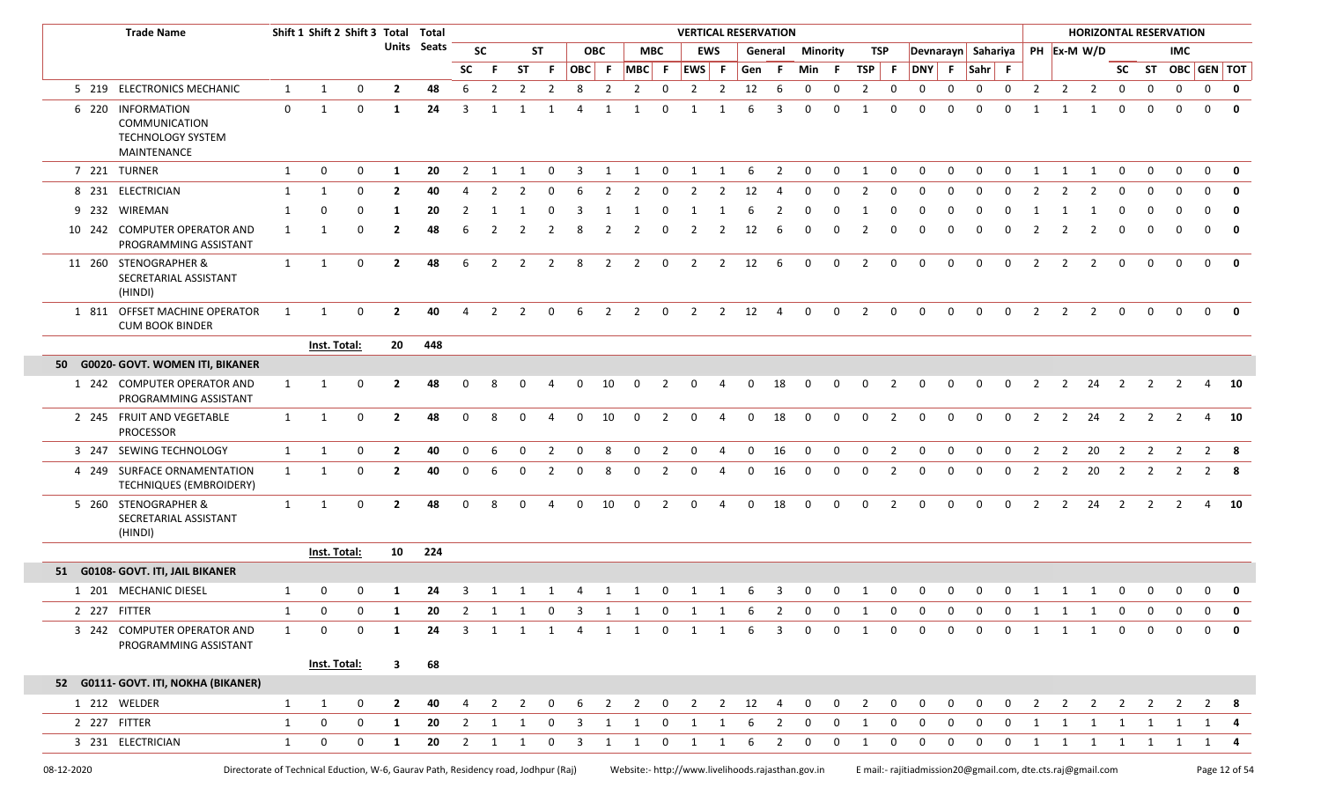|              | <b>Trade Name</b>                                                                  |              | Shift 1 Shift 2 Shift 3 Total Total |                |                         |             |                |                |                |                |                |            |                |                | <b>VERTICAL RESERVATION</b>                       |                |             |                |              |                 |                |                |                                                                |              |                    |             |                |                         |                |                |                | <b>HORIZONTAL RESERVATION</b> |                |              |
|--------------|------------------------------------------------------------------------------------|--------------|-------------------------------------|----------------|-------------------------|-------------|----------------|----------------|----------------|----------------|----------------|------------|----------------|----------------|---------------------------------------------------|----------------|-------------|----------------|--------------|-----------------|----------------|----------------|----------------------------------------------------------------|--------------|--------------------|-------------|----------------|-------------------------|----------------|----------------|----------------|-------------------------------|----------------|--------------|
|              |                                                                                    |              |                                     |                |                         | Units Seats |                | <b>SC</b>      |                | ST             |                | <b>OBC</b> |                | <b>MBC</b>     |                                                   | <b>EWS</b>     |             | General        |              | <b>Minority</b> | TSP            |                |                                                                |              | Devnarayn Sahariya |             |                | PH Ex-M W/D             |                |                |                | <b>IMC</b>                    |                |              |
|              |                                                                                    |              |                                     |                |                         |             | SC             | -F.            | <b>ST</b>      | -F.            |                | OBC F      | $MBC$ F        |                | EWS                                               | $\mathsf{F}$   | Gen F       |                | Min F        |                 | <b>TSP</b>     | -F             |                                                                |              | DNY F Sahr F       |             |                |                         |                | <b>SC</b>      |                |                               | ST OBC GEN TOT |              |
|              | 5 219 ELECTRONICS MECHANIC                                                         | $\mathbf{1}$ | $\mathbf{1}$                        | $\mathbf 0$    | $\overline{2}$          | 48          | 6              | $\overline{2}$ | $\overline{2}$ | $\overline{2}$ | 8              | 2          | 2              | 0              | $\overline{2}$                                    | $\overline{2}$ | 12          | 6              | 0            | 0               | $\overline{2}$ | $\mathbf 0$    | $\Omega$                                                       | $\Omega$     | $\mathbf 0$        | $\mathbf 0$ | $\overline{2}$ | $\overline{2}$          | $\overline{2}$ | 0              | 0              | $\mathsf{O}$                  | $\mathbf 0$    | 0            |
|              | 6 220 INFORMATION<br>COMMUNICATION<br>TECHNOLOGY SYSTEM<br>MAINTENANCE             | $\mathbf 0$  | -1                                  | 0              | 1                       | 24          | 3              |                |                |                | $\Delta$       |            |                | $\Omega$       |                                                   |                | 6           |                | $\Omega$     | $\Omega$        | -1             | $\Omega$       |                                                                |              | $\Omega$           | $\Omega$    |                |                         |                |                |                | $\Omega$                      | $\Omega$       | $\mathbf{0}$ |
|              | 7 221 TURNER                                                                       | $\mathbf{1}$ | 0                                   | 0              | 1                       | 20          | 2              |                | -1             | 0              | 3              |            | 1              | $\mathbf 0$    | $\mathbf{1}$                                      |                | 6           | 2              | 0            | 0               | - 1            | $\mathbf 0$    | $\Omega$                                                       | $\Omega$     | 0                  | $\Omega$    |                | $\mathbf 1$             |                | 0              | 0              | $\mathbf 0$                   | $\Omega$       | 0            |
|              | 8 231 ELECTRICIAN                                                                  | 1            | 1                                   | 0              | $\overline{2}$          | 40          |                | 2              |                | 0              |                |            | $\overline{2}$ | $\Omega$       | $\overline{2}$                                    |                | 12          |                | 0            |                 | 2              | $\Omega$       |                                                                |              | 0                  | $\Omega$    |                |                         |                |                |                | $\Omega$                      | $\Omega$       | 0            |
|              | 9 232 WIREMAN                                                                      | 1            | 0                                   | <sup>0</sup>   | 1                       | 20          |                |                |                |                |                |            |                |                |                                                   |                |             |                | $\Omega$     |                 |                |                |                                                                |              |                    |             |                |                         |                |                |                | O                             | $\Omega$       | $\mathbf 0$  |
|              | 10 242 COMPUTER OPERATOR AND<br>PROGRAMMING ASSISTANT                              | 1            |                                     | 0              | $\mathbf{2}$            | 48          |                |                |                |                |                |            | 2              | $\Omega$       | 2                                                 |                | 12          | 6              | $\Omega$     |                 | 2              |                |                                                                |              | $\Omega$           | $\Omega$    |                | -2                      |                |                | $\Omega$       | 0                             | $\mathbf 0$    | 0            |
|              | 11 260 STENOGRAPHER &<br>SECRETARIAL ASSISTANT<br>(HINDI)                          | $\mathbf{1}$ | 1                                   | $\mathbf 0$    | $\overline{2}$          | 48          | 6              | 2              | 2              | 2              | -8             | 2          | 2              | $\mathbf 0$    | 2                                                 | $\overline{2}$ | 12          | -6             | $\mathbf 0$  | $\mathbf{0}$    | 2              | 0              | 0                                                              | $\Omega$     | $\Omega$           | $\Omega$    | $\overline{2}$ | 2                       | 2              | $\mathbf 0$    | 0              | $\Omega$                      | $\Omega$       | 0            |
|              | 1 811 OFFSET MACHINE OPERATOR<br><b>CUM BOOK BINDER</b>                            | 1            | 1                                   | 0              | $\overline{2}$          | 40          |                | $\mathcal{L}$  | $\mathcal{P}$  | 0              | 6              | 2          | 2              | $\mathbf 0$    | $\overline{2}$                                    | 2              | 12          | $\overline{4}$ | $\Omega$     | $\Omega$        | 2              | $\Omega$       | $\Omega$                                                       | $\Omega$     | $\Omega$           | $\Omega$    | 2              | 2                       | 2              | $\Omega$       | $\Omega$       | $\Omega$                      | $\Omega$       | 0            |
|              |                                                                                    |              | Inst. Total:                        |                | 20 <sub>2</sub>         | 448         |                |                |                |                |                |            |                |                |                                                   |                |             |                |              |                 |                |                |                                                                |              |                    |             |                |                         |                |                |                |                               |                |              |
|              | 50 G0020- GOVT. WOMEN ITI, BIKANER                                                 |              |                                     |                |                         |             |                |                |                |                |                |            |                |                |                                                   |                |             |                |              |                 |                |                |                                                                |              |                    |             |                |                         |                |                |                |                               |                |              |
|              | 1 242 COMPUTER OPERATOR AND<br>PROGRAMMING ASSISTANT                               | 1            | 1                                   | $\mathbf 0$    | $\overline{2}$          | 48          |                | 8              |                |                |                | 10         | $\Omega$       | 2              | $\Omega$                                          | 4              | $\Omega$    | 18             | 0            | <sup>n</sup>    | 0              |                | 0                                                              | 0            | 0                  | 0           | 2              | 2                       | 24             | 2              | 2              |                               |                | 10           |
|              | 2 245 FRUIT AND VEGETABLE<br><b>PROCESSOR</b>                                      | 1            | 1                                   | $\mathbf 0$    | $\overline{2}$          | 48          | $\Omega$       | 8              | $\Omega$       | 4              | $\mathbf 0$    | 10         | $\mathbf 0$    | $\overline{2}$ | 0                                                 | 4              | $\Omega$    | 18             | $\Omega$     | $\Omega$        | $\mathbf 0$    | 2              | 0                                                              | $\Omega$     | $\mathbf 0$        | $\Omega$    | 2              | $\overline{2}$          | 24             | 2              | 2              | $\overline{\mathbf{2}}$       |                | 4 10         |
|              | 3 247 SEWING TECHNOLOGY                                                            | $\mathbf{1}$ | 1                                   | $\mathbf 0$    | $\overline{2}$          | 40          | $\mathbf 0$    | 6              | 0              | $\overline{2}$ | $\mathbf 0$    | 8          | 0              | $\overline{2}$ | $\mathbf 0$                                       | $\overline{4}$ | $\mathbf 0$ | 16             | $\mathbf 0$  | 0               | $\mathbf 0$    | $\overline{2}$ | 0                                                              | 0            | $\mathsf{o}$       | $\mathbf 0$ | $\overline{2}$ | 2                       | 20             | $\overline{2}$ | $\overline{2}$ | $\overline{2}$                | $\overline{2}$ | - 8          |
|              | 4 249 SURFACE ORNAMENTATION<br>TECHNIQUES (EMBROIDERY)                             | 1            | -1                                  | $\mathbf 0$    | $\overline{2}$          | 40          |                | 6              |                | 2              |                |            | $\Omega$       | 2              | $\Omega$                                          |                |             | 16             | 0            |                 | 0              |                | 0                                                              |              | 0                  | $\Omega$    | 2              | 2                       | 20             | 2              | 2              | 2                             | 2              | -8           |
|              | 5 260 STENOGRAPHER &<br>SECRETARIAL ASSISTANT<br>(HINDI)                           | $\mathbf{1}$ | 1                                   | $\mathbf 0$    | $\overline{2}$          | 48          | $\Omega$       | 8              | $\Omega$       |                | $\Omega$       | 10         | $\Omega$       | $\overline{2}$ | $\mathbf{0}$                                      |                | $\Omega$    | 18             | $\Omega$     | $\Omega$        | $\mathbf 0$    | 2              | $\Omega$                                                       | $\Omega$     | $\Omega$           | $\Omega$    | $\overline{2}$ | $\overline{2}$          | 24             | $\overline{2}$ | 2              | $\overline{2}$                |                | 4 10         |
|              |                                                                                    |              | Inst. Total:                        |                | 10                      | 224         |                |                |                |                |                |            |                |                |                                                   |                |             |                |              |                 |                |                |                                                                |              |                    |             |                |                         |                |                |                |                               |                |              |
|              | 51 G0108- GOVT. ITI, JAIL BIKANER                                                  |              |                                     |                |                         |             |                |                |                |                |                |            |                |                |                                                   |                |             |                |              |                 |                |                |                                                                |              |                    |             |                |                         |                |                |                |                               |                |              |
|              | 1 201 MECHANIC DIESEL                                                              | 1            | $\mathbf{0}$                        | $\mathbf 0$    | 1                       | 24          | 3              |                | 1 1            | $\overline{1}$ |                |            | 4 1 1          | $\overline{0}$ | 1 1                                               |                | 6           | 3              | 0            | $\mathbf{0}$    | $\mathbf{1}$   | $\mathbf 0$    | $\mathbf{0}$                                                   | $\mathbf{0}$ | $\mathbf 0$        | 0           | 1              | $\overline{\mathbf{1}}$ | $\mathbf{1}$   | 0              | $\mathbf 0$    | $\mathbf 0$                   | $\mathbf 0$    | 0            |
| 2 227 FITTER |                                                                                    | 1            | $\overline{\mathbf{0}}$             | $\overline{0}$ | $\mathbf{1}$            |             |                |                |                |                |                |            |                |                |                                                   |                |             |                |              |                 |                |                | 20 2 1 1 0 3 1 1 0 1 1 6 2 0 0 1 0 0 0 0 0 0 1 1 1 0 0 0 0 0 0 |              |                    |             |                |                         |                |                |                |                               |                |              |
|              | 3 242 COMPUTER OPERATOR AND<br>PROGRAMMING ASSISTANT                               | 1            | $\mathbf 0$                         | $\mathbf 0$    | 1                       | 24          | 3              | $\mathbf{1}$   | 1              | $\overline{1}$ | $\overline{4}$ | 1          | 1              | $\mathbf 0$    | $\mathbf{1}$                                      | 1              | 6           | 3              | $\mathbf{0}$ | $\mathbf{0}$    | 1              | $\mathbf{0}$   | $\mathbf{0}$                                                   | $\mathbf{0}$ | $\mathbf 0$        | $\mathbf 0$ | 1              | 1                       | 1              | $\mathbf 0$    | $\mathbf{0}$   | $\mathbf 0$                   | $\Omega$       | 0            |
|              |                                                                                    |              | Inst. Total:                        |                | $\overline{\mathbf{3}}$ | 68          |                |                |                |                |                |            |                |                |                                                   |                |             |                |              |                 |                |                |                                                                |              |                    |             |                |                         |                |                |                |                               |                |              |
|              | 52 G0111- GOVT. ITI, NOKHA (BIKANER)                                               |              |                                     |                |                         |             |                |                |                |                |                |            |                |                |                                                   |                |             |                |              |                 |                |                |                                                                |              |                    |             |                |                         |                |                |                |                               |                |              |
|              | 1 212 WELDER                                                                       | 1            | $\mathbf{1}$                        | 0              | $\mathbf{2}$            | 40          |                | 2              | 2              | 0              | 6              | 2          | $\overline{2}$ | $\mathbf 0$    | $\overline{2}$                                    | $\overline{2}$ | 12          | -4             | 0            | 0               | $\overline{2}$ | 0              | 0                                                              | 0            | 0                  | 0           | $\overline{2}$ | $\overline{2}$          | $\overline{2}$ | $\overline{2}$ | 2              | 2                             | $\mathbf{2}$   | -8           |
| 2 227 FITTER |                                                                                    | 1            | 0                                   | $\mathbf 0$    | 1                       | 20          | 2              | 1              | -1             | 0              | 3              | 1          | 1              | $\mathbf 0$    | 1                                                 | 1              | 6           | $\mathbf{2}$   | 0            | 0               | 1              | $\mathbf 0$    | 0                                                              | 0            | 0                  | 0           | 1              | 1                       | 1              | 1              | 1              | $\mathbf{1}$                  | 1              | 4            |
|              | 3 231 ELECTRICIAN                                                                  | $\mathbf{1}$ | 0                                   | $\mathbf 0$    | 1                       | 20          | $\overline{2}$ | 1              | 1              | 0              | -3             | 1          | 1              | $\mathbf{0}$   | 1                                                 | 1              | 6           | 2              | 0            | 0               | 1              | $\mathbf 0$    | 0                                                              | 0            | 0                  | 0           | 1              | 1                       | 1              | 1              | 1              | 1                             | 1              | -4           |
| 08-12-2020   | Directorate of Technical Eduction, W-6, Gaurav Path, Residency road, Jodhpur (Raj) |              |                                     |                |                         |             |                |                |                |                |                |            |                |                | Website:- http://www.livelihoods.rajasthan.gov.in |                |             |                |              |                 |                |                | E mail:- rajitiadmission20@gmail.com, dte.cts.raj@gmail.com    |              |                    |             |                |                         |                |                |                |                               | Page 12 of 54  |              |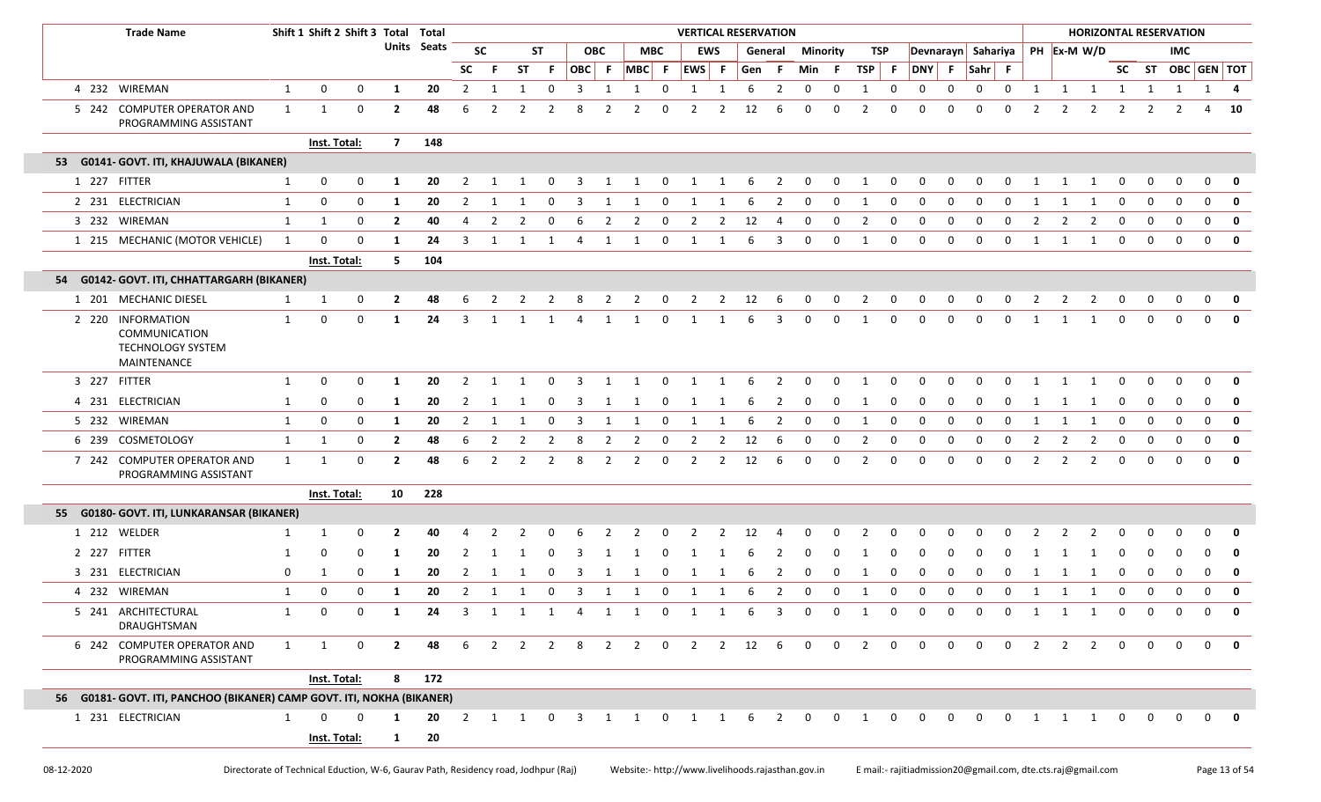| <b>Trade Name</b>                                                             |                        | Shift 1 Shift 2 Shift 3 Total Total |             |                |             |                         |              |              |             |       |              |                           |                         |              |              | <b>VERTICAL RESERVATION</b> |                         |                         |              |                   |                |                |              |                     |                |              |              |                       |              |             | <b>HORIZONTAL RESERVATION</b> |                           |  |
|-------------------------------------------------------------------------------|------------------------|-------------------------------------|-------------|----------------|-------------|-------------------------|--------------|--------------|-------------|-------|--------------|---------------------------|-------------------------|--------------|--------------|-----------------------------|-------------------------|-------------------------|--------------|-------------------|----------------|----------------|--------------|---------------------|----------------|--------------|--------------|-----------------------|--------------|-------------|-------------------------------|---------------------------|--|
|                                                                               |                        |                                     |             |                | Units Seats |                         | <b>SC</b>    |              | ST          |       | <b>OBC</b>   |                           | <b>MBC</b>              |              | <b>EWS</b>   |                             | General                 | <b>Minority</b>         |              | TSP               |                |                |              | Devnarayn Sahariya  |                |              |              | PH Ex-M W/D           |              |             | <b>IMC</b>                    |                           |  |
|                                                                               |                        |                                     |             |                |             | <b>SC</b>               | F.           | ST           | F.          | OBC F |              | $ MBC $ F $ EWS $ F       |                         |              |              | Gen F                       |                         | Min                     | - F          | TSP F             |                | DNY F          |              | $Sahr$ F            |                |              |              |                       |              |             | SC ST OBC GEN TOT             |                           |  |
| 4 232 WIREMAN                                                                 | $\mathbf{1}$           | 0                                   | 0           | 1              | 20          | $\overline{2}$          | 1            | 1            | 0           | 3     | 1            | 1                         | 0                       | $\mathbf{1}$ | 1            | 6                           | $\overline{2}$          | 0                       | 0            | $\mathbf{1}$      | 0              | 0              | $\mathbf 0$  | $\mathbf 0$         | $\mathbf 0$    | 1            | $\mathbf{1}$ | $\mathbf{1}$          | 1            | 1           | $\mathbf{1}$                  | $1 \quad 4$               |  |
| 5 242 COMPUTER OPERATOR AND<br>PROGRAMMING ASSISTANT                          | 1                      | 1                                   | 0           | $\mathbf{2}$   | 48          | 6                       | 2            |              |             |       |              |                           | 0                       |              | 2            | 12                          | 6                       | $\Omega$                | 0            | 2                 | $\Omega$       |                |              | $\Omega$            | $\Omega$       |              | 2            | 2                     | 2            | 2           |                               | 4                         |  |
|                                                                               |                        | Inst. Total:                        |             | $\overline{7}$ | 148         |                         |              |              |             |       |              |                           |                         |              |              |                             |                         |                         |              |                   |                |                |              |                     |                |              |              |                       |              |             |                               |                           |  |
| 53 G0141- GOVT. ITI, KHAJUWALA (BIKANER)                                      |                        |                                     |             |                |             |                         |              |              |             |       |              |                           |                         |              |              |                             |                         |                         |              |                   |                |                |              |                     |                |              |              |                       |              |             |                               |                           |  |
| 1 227 FITTER                                                                  | 1                      | 0                                   | $\mathbf 0$ | -1             | 20          | $\overline{2}$          | 1            | 1            | $\mathbf 0$ | 3     | $\mathbf{1}$ | $\mathbf{1}$              | $\overline{\mathbf{0}}$ | $\mathbf{1}$ | 1            | 6                           | $\overline{\mathbf{2}}$ | $\overline{0}$          | $\mathbf{0}$ | 1                 | $\overline{0}$ | 0              | $\mathbf 0$  | $\mathbf 0$         | $\mathbf 0$    | 1            | 1            | 1                     | - 0          |             | 0                             | $\Omega$                  |  |
| 2 231 ELECTRICIAN                                                             | 1                      | 0                                   | $\mathbf 0$ | -1             | 20          | 2                       | 1            |              | 0           | 3     | 1            |                           | 0                       |              |              | 6                           | 2                       | 0                       | 0            | -1                | <sup>0</sup>   | 0              | 0            | - 0                 | <sup>0</sup>   |              |              |                       | 0            |             |                               | $\Omega$                  |  |
| 3 232 WIREMAN                                                                 | 1                      | 1                                   | $\mathbf 0$ | $\overline{2}$ | 40          | 4                       | 2            | 2            | 0           | -6    | 2            | 2                         | $\mathbf 0$             | 2            | 2            | 12                          | 4                       | 0                       | 0            | 2                 | 0              | 0              | 0            | - 0                 | <sup>0</sup>   |              |              | 2                     | $\Omega$     | റ           | $\Omega$                      | $\Omega$                  |  |
| 1 215 MECHANIC (MOTOR VEHICLE)                                                | 1                      | $\Omega$                            | $\mathbf 0$ | -1             | 24          | 3                       | -1           |              | 1           | 4     | 1            | 1                         | $\mathbf 0$             | 1            | 1            | -6                          | 3                       | $\mathbf 0$             | $\mathbf 0$  | 1                 | 0              | $\mathbf 0$    | $\Omega$     | $\Omega$            | $\Omega$       | 1            | -1           | 1                     | $\mathbf 0$  | $\mathbf 0$ | $\Omega$                      | $\Omega$                  |  |
|                                                                               |                        | Inst. Total:                        |             | 5              | 104         |                         |              |              |             |       |              |                           |                         |              |              |                             |                         |                         |              |                   |                |                |              |                     |                |              |              |                       |              |             |                               |                           |  |
| 54 G0142- GOVT. ITI, CHHATTARGARH (BIKANER)                                   |                        |                                     |             |                |             |                         |              |              |             |       |              |                           |                         |              |              |                             |                         |                         |              |                   |                |                |              |                     |                |              |              |                       |              |             |                               |                           |  |
| 1 201 MECHANIC DIESEL                                                         | 1                      | 1                                   | $\mathbf 0$ | $\mathbf{2}$   | 48          |                         |              |              |             | 8     | 2            | 2                         | $\mathbf 0$             | 2            | 2            | 12                          | -6                      | 0                       | 0            | 2                 | 0              | 0              | 0            | 0                   | 0              |              |              | 2                     |              |             |                               | $\Omega$                  |  |
| 2 220 INFORMATION<br>COMMUNICATION<br><b>TECHNOLOGY SYSTEM</b><br>MAINTENANCE | 1                      | 0                                   | $\mathbf 0$ | -1             | 24          | 3                       | 1            |              | 1           | 4     | 1            |                           | $\Omega$                | -1           |              |                             | 3                       | $\Omega$                | $\Omega$     | -1                | 0              | $\Omega$       | <sup>0</sup> | $\Omega$            | 0              | 1            |              | 1                     | $\Omega$     | $\Omega$    |                               | $\Omega$                  |  |
| 3 227 FITTER                                                                  | 1                      | 0                                   | 0           | 1              | 20          | 2                       | 1            | $\mathbf{1}$ | $\Omega$    | 3     | 1            | 1                         | $\Omega$                | 1            | 1            | 6                           | 2                       | $\Omega$                | $\Omega$     | 1                 | 0              | <sup>0</sup>   | <sup>0</sup> | $\Omega$            | $\Omega$       | 1            | 1            | $\mathbf{1}$          | $\Omega$     |             |                               | $\Omega$                  |  |
| 4 231 ELECTRICIAN                                                             | $\mathbf{1}$           | 0                                   | 0           | 1              | 20          | $\overline{2}$          | 1            | 1            | 0           | -3    | 1            | 1                         | 0                       | 1            | 1            | 6                           | 2                       | 0                       | 0            | -1                | 0              | 0              | 0            | - 0                 | <sup>0</sup>   | 1            | 1            | 1                     | 0            |             |                               | $\Omega$                  |  |
| 5 232 WIREMAN                                                                 | $\mathbf{1}$           | 0                                   | $\mathbf 0$ | -1             | 20          | $\overline{2}$          | 1            | 1            | 0           | 3     | 1            | 1                         | 0                       | 1            | 1            |                             | 2                       | $\Omega$                | 0            | 1                 | 0              | <sup>0</sup>   | 0            | - 0                 | n              | 1            | 1            | 1                     | 0            | $\Omega$    | $\Omega$                      | $\Omega$                  |  |
| 6 239 COSMETOLOGY                                                             | $\mathbf{1}$           | 1                                   | 0           | $\mathbf{2}$   | 48          | 6                       | 2            | 2            | 2           | -8    | 2            | 2                         | 0                       | 2            | 2            | 12                          | 6                       | 0                       | 0            | 2                 | 0              |                |              |                     |                |              |              | 2                     | $\Omega$     | റ           |                               | $\Omega$                  |  |
| 7 242 COMPUTER OPERATOR AND<br>PROGRAMMING ASSISTANT                          | $\mathbf{1}$           | $\mathbf{1}$                        | 0           | $\mathbf{2}$   | 48          | 6                       | 2            | 2            | 2           | 8     | 2            | 2                         | $\mathbf 0$             | 2            | 2            | 12                          | 6                       | 0                       | 0            | 2                 | 0              | $\Omega$       | 0            | $\Omega$            | $\Omega$       | 2            | 2            | $\overline{2}$        | 0            | $\Omega$    | $\Omega$                      | $\Omega$                  |  |
|                                                                               |                        | Inst. Total:                        |             | 10             | 228         |                         |              |              |             |       |              |                           |                         |              |              |                             |                         |                         |              |                   |                |                |              |                     |                |              |              |                       |              |             |                               |                           |  |
| 55 G0180- GOVT. ITI, LUNKARANSAR (BIKANER)                                    |                        |                                     |             |                |             |                         |              |              |             |       |              |                           |                         |              |              |                             |                         |                         |              |                   |                |                |              |                     |                |              |              |                       |              |             |                               |                           |  |
| 1 212 WELDER                                                                  |                        | 1                                   | 0           | -2             | 40          |                         |              |              |             |       |              |                           |                         |              |              |                             |                         |                         |              |                   |                |                |              |                     |                |              |              |                       |              |             |                               |                           |  |
| 2 227 FITTER                                                                  |                        | 0                                   | 0           | -1             | 20          |                         |              |              |             |       |              |                           |                         |              |              |                             |                         |                         |              |                   |                |                |              |                     |                |              |              |                       |              |             |                               |                           |  |
| 3 231 ELECTRICIAN                                                             | 0                      | 1                                   | 0           | -1             | 20          | 2                       |              |              | 0           |       |              |                           |                         |              |              |                             | 2                       | 0                       | 0            |                   | <sup>0</sup>   |                |              |                     |                |              |              |                       |              |             |                               |                           |  |
| 4 232 WIREMAN                                                                 | $\mathbf{1}$           | 0                                   | 0           | -1             | 20          | $\overline{2}$          | $\mathbf{1}$ | 1            | 0           | 3     | 1            |                           | 0                       | 1            | 1            | 6                           | $\overline{2}$          | 0                       | 0            | 1                 | 0              | $\mathbf 0$    | 0            | $\mathbf 0$         | 0              | 1            | $\mathbf{1}$ | $\mathbf{1}$          | 0            | 0           | 0                             | $\mathbf{0}$              |  |
| 5 241 ARCHITECTURAL<br>DRAUGHTSMAN                                            |                        | $\Omega$                            | $\mathbf 0$ |                | 24          | $\overline{\mathbf{3}}$ | $\mathbf{1}$ |              |             |       |              | 1 1 4 1 1 0               |                         | $\mathbf{1}$ | $\mathbf{1}$ | $6^{\circ}$                 | $\overline{\mathbf{3}}$ | $\overline{\mathbf{0}}$ |              |                   |                | 0 1 0 0 0 0    |              |                     | $\overline{0}$ | $\mathbf{1}$ |              | $1 \quad 1$           |              | $0\qquad 0$ | $\overline{0}$                | $0$ 0                     |  |
| 6 242 COMPUTER OPERATOR AND<br>PROGRAMMING ASSISTANT                          | $1 \quad \blacksquare$ | 1                                   | $\mathbf 0$ | $\mathbf{2}$   | 48          | 6                       |              |              |             |       |              | 2 2 2 8 2 2 0 2 2 12 6    |                         |              |              |                             |                         | $\overline{0}$          |              | $0\quad 2\quad 0$ |                | $\overline{0}$ |              | $0 \quad 0 \quad 0$ |                | 2            |              | $2 \quad 2$           | $\mathbf{0}$ | $\Omega$    |                               | $\mathbf{0}$ $\mathbf{0}$ |  |
|                                                                               |                        | Inst. Total:                        |             |                | 8 172       |                         |              |              |             |       |              |                           |                         |              |              |                             |                         |                         |              |                   |                |                |              |                     |                |              |              |                       |              |             |                               |                           |  |
| 56 G0181- GOVT. ITI, PANCHOO (BIKANER) CAMP GOVT. ITI, NOKHA (BIKANER)        |                        |                                     |             |                |             |                         |              |              |             |       |              |                           |                         |              |              |                             |                         |                         |              |                   |                |                |              |                     |                |              |              |                       |              |             |                               |                           |  |
| 1 231 ELECTRICIAN                                                             | 1                      | $\Omega$                            | $\Omega$    | 1              | 20          |                         |              |              |             |       |              | 2 1 1 0 3 1 1 0 1 1 6 2 0 |                         |              |              |                             |                         |                         |              |                   |                |                |              |                     |                |              |              | 0 1 0 0 0 0 0 1 1 1 0 |              |             | $0\quad 0\quad 0\quad 0$      |                           |  |
|                                                                               |                        | Inst. Total:                        |             | $\mathbf{1}$   | 20          |                         |              |              |             |       |              |                           |                         |              |              |                             |                         |                         |              |                   |                |                |              |                     |                |              |              |                       |              |             |                               |                           |  |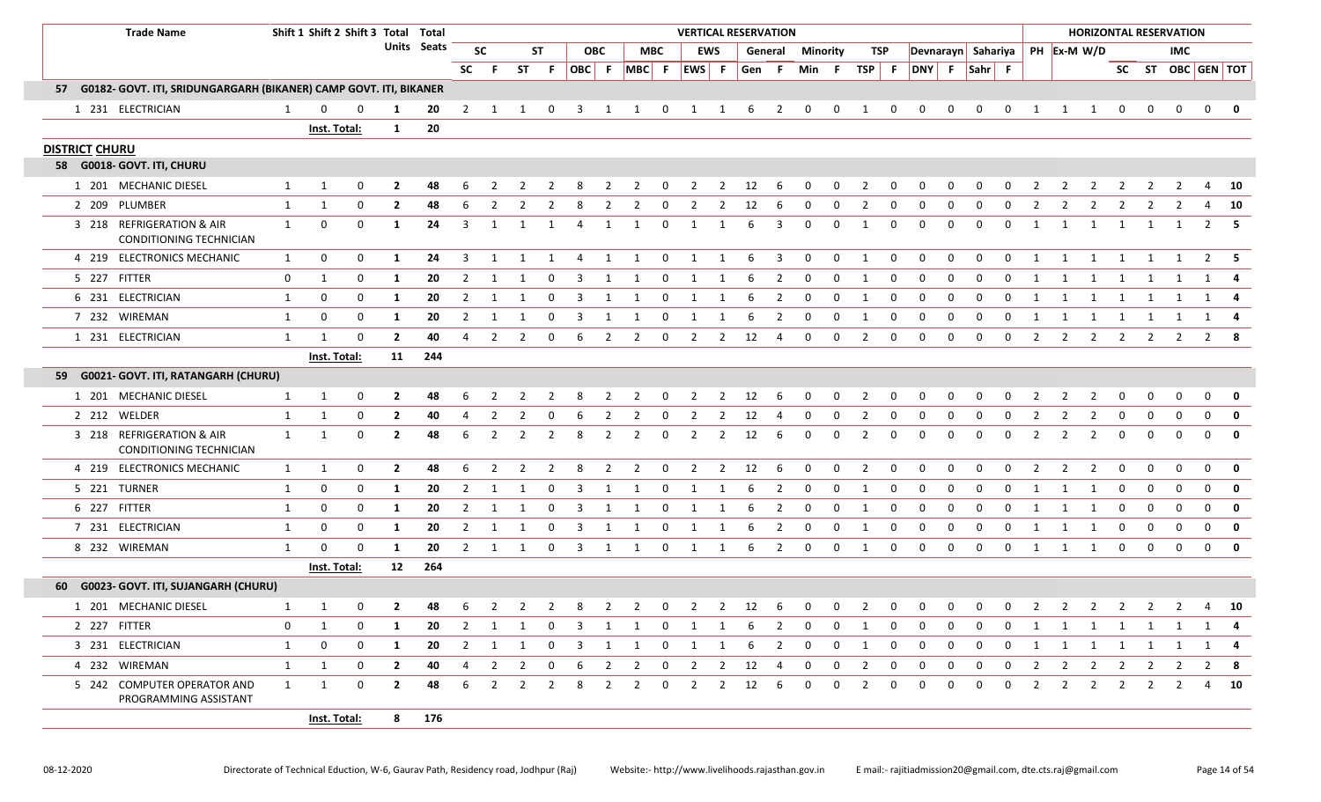|  | <b>Trade Name</b>                                                    |              | Shift 1 Shift 2 Shift 3 Total Total |              |                |             |                |                |                         |                |                     |                |                         |              | <b>VERTICAL RESERVATION</b> |                |       |                |                |              |                |                |                                |                |             |             |                |                |                |                         |                | <b>HORIZONTAL RESERVATION</b> |              |                         |
|--|----------------------------------------------------------------------|--------------|-------------------------------------|--------------|----------------|-------------|----------------|----------------|-------------------------|----------------|---------------------|----------------|-------------------------|--------------|-----------------------------|----------------|-------|----------------|----------------|--------------|----------------|----------------|--------------------------------|----------------|-------------|-------------|----------------|----------------|----------------|-------------------------|----------------|-------------------------------|--------------|-------------------------|
|  |                                                                      |              |                                     |              |                | Units Seats | <b>SC</b>      |                |                         | <b>ST</b>      |                     | <b>OBC</b>     |                         | <b>MBC</b>   |                             | EWS            |       | General        | Minority       |              | TSP            |                | Devnarayn Sahariya PH Ex-M W/D |                |             |             |                |                |                |                         |                | <b>IMC</b>                    |              |                         |
|  |                                                                      |              |                                     |              |                |             | <b>SC</b>      | F.             | <b>ST</b>               |                | $F$ OBC $F$ MBC $F$ |                |                         |              | EWS F                       |                | Gen F |                | Min F          |              | TSP            | - F            | DNY F Sahr F                   |                |             |             |                |                |                |                         |                |                               |              | SC ST OBC GEN TOT       |
|  | 57 G0182- GOVT. ITI, SRIDUNGARGARH (BIKANER) CAMP GOVT. ITI, BIKANER |              |                                     |              |                |             |                |                |                         |                |                     |                |                         |              |                             |                |       |                |                |              |                |                |                                |                |             |             |                |                |                |                         |                |                               |              |                         |
|  | 1 231 ELECTRICIAN                                                    | 1            |                                     |              | 1              | 20          | $\mathbf{2}$   | 1              |                         | 0              | 3                   | 1              | 1                       | 0            | 1                           |                | 6     | $\overline{2}$ | 0              | $\mathbf{0}$ | 1              | $\mathbf 0$    | 0                              | 0              | 0           | 0           |                |                |                | 0                       | 0              | 0                             | $\mathbf 0$  | 0                       |
|  |                                                                      |              | Inst. Total:                        |              | $\mathbf{1}$   | 20          |                |                |                         |                |                     |                |                         |              |                             |                |       |                |                |              |                |                |                                |                |             |             |                |                |                |                         |                |                               |              |                         |
|  | <b>DISTRICT CHURU</b>                                                |              |                                     |              |                |             |                |                |                         |                |                     |                |                         |              |                             |                |       |                |                |              |                |                |                                |                |             |             |                |                |                |                         |                |                               |              |                         |
|  | 58 G0018- GOVT. ITI, CHURU                                           |              |                                     |              |                |             |                |                |                         |                |                     |                |                         |              |                             |                |       |                |                |              |                |                |                                |                |             |             |                |                |                |                         |                |                               |              |                         |
|  | 1 201 MECHANIC DIESEL                                                | 1            | 1                                   | 0            | $\mathbf{2}$   | 48          |                |                |                         |                |                     |                | 2                       | $\Omega$     | 2                           | 2              | 12    | -6             | 0              | 0            | 2              | 0              | 0                              | $\Omega$       | $\Omega$    |             |                |                |                |                         |                |                               |              | 10                      |
|  | 2 209 PLUMBER                                                        | $\mathbf{1}$ | 1                                   | 0            | $\mathbf{2}$   | 48          | 6              | 2              | 2                       |                | 8                   | 2              | 2                       | 0            | 2                           | 2              | 12    | -6             | 0              | 0            | 2              | <sup>0</sup>   | 0                              | <sup>0</sup>   | $\Omega$    |             | $\mathcal{L}$  |                | 2              | 2                       |                | 2                             | 4            | 10                      |
|  | 3 218 REFRIGERATION & AIR<br><b>CONDITIONING TECHNICIAN</b>          | $\mathbf{1}$ | 0                                   | $\mathbf{0}$ | 1              | 24          | 3              | 1              | 1                       | 1              | 4                   | -1             | 1                       | 0            | 1                           | -1             | 6     | 3              | 0              | 0            | 1              | 0              | 0                              | $\mathbf 0$    | 0           | 0           | 1              | 1              | 1              | 1                       | 1              |                               |              | $2 \quad 5$             |
|  | 4 219 ELECTRONICS MECHANIC                                           | 1            | 0                                   | $\mathbf 0$  | 1              | 24          | 3              | 1              |                         | 1              | 4                   | 1              | 1                       | $\mathbf 0$  | 1                           |                | 6     | -3             | 0              | $\mathbf 0$  | 1              | $\mathbf 0$    | $\mathbf 0$                    | $\Omega$       | 0           | 0           | $\mathbf{1}$   |                |                |                         |                |                               | 2            |                         |
|  | 5 227 FITTER                                                         | 0            | 1                                   | $\mathbf 0$  | 1              | 20          | $\overline{2}$ | $\overline{1}$ | 1                       | 0              | 3                   | $\overline{1}$ | $\mathbf{1}$            | $\mathbf 0$  | 1                           | 1              | 6     | $\overline{2}$ | $\mathbf 0$    | $\mathbf 0$  | $\overline{1}$ | $\mathbf 0$    | $\mathbf 0$                    | $\mathbf 0$    | 0           | $\mathbf 0$ | $\mathbf{1}$   | 1              | $\mathbf{1}$   | $\overline{\mathbf{1}}$ | 1              | 1                             |              | 1 4                     |
|  | 6 231 ELECTRICIAN                                                    | 1            | 0                                   | $\mathbf 0$  | 1              | 20          | $\overline{2}$ | 1              | -1                      | 0              | 3                   | 1              | 1                       | 0            |                             |                | 6     | $\overline{2}$ | 0              | $\mathbf 0$  | 1              | $\mathbf 0$    | 0                              | $\Omega$       | 0           | 0           |                |                |                |                         |                |                               | 1            |                         |
|  | 7 232 WIREMAN                                                        | 1            | 0                                   | 0            | 1              | 20          | $\overline{2}$ | $\mathbf{1}$   | 1                       | 0              | 3                   | $\mathbf{1}$   | 1                       | 0            | 1                           |                | 6     | $\overline{2}$ | 0              | 0            | $\mathbf{1}$   | 0              | 0                              | 0              | 0           | 0           | 1              |                | 1              | 1                       | 1              | 1                             |              | $1 \quad 4$             |
|  | 1 231 ELECTRICIAN                                                    | $\mathbf{1}$ | 1                                   | $\Omega$     | $\mathbf{2}$   | 40          | 4              | 2              | 2                       | 0              | 6                   | 2              | 2                       | 0            | $\overline{2}$              | $\overline{2}$ | 12    | $\overline{4}$ | 0              | $\mathbf 0$  | 2              | 0              | 0                              | 0              | 0           | 0           | 2              | 2              | 2              | 2                       | $\overline{2}$ | 2                             | $2^{\circ}$  | -8                      |
|  |                                                                      |              | Inst. Total:                        |              | 11             | 244         |                |                |                         |                |                     |                |                         |              |                             |                |       |                |                |              |                |                |                                |                |             |             |                |                |                |                         |                |                               |              |                         |
|  | 59 G0021- GOVT. ITI, RATANGARH (CHURU)                               |              |                                     |              |                |             |                |                |                         |                |                     |                |                         |              |                             |                |       |                |                |              |                |                |                                |                |             |             |                |                |                |                         |                |                               |              |                         |
|  | 1 201 MECHANIC DIESEL                                                | 1            | $\mathbf{1}$                        | 0            | $\mathbf{2}$   | 48          | 6              | $\overline{2}$ | 2                       | $\overline{2}$ | 8                   | $\overline{2}$ | $\overline{2}$          | 0            | $\overline{2}$              | $\overline{2}$ | 12    | 6              | 0              | $\mathbf{0}$ | $\overline{2}$ | 0              | 0                              | 0              | 0           | 0           | $\overline{2}$ | 2              | 2              | 0                       | 0              | 0                             | $\mathbf{0}$ | $\mathbf{0}$            |
|  | 2 212 WELDER                                                         | 1            | $\mathbf{1}$                        | 0            | $\overline{2}$ | 40          | 4              | $\overline{2}$ |                         | 0              | 6                   | $\overline{2}$ | $\overline{2}$          | 0            | $\overline{2}$              | $\overline{2}$ | 12    | 4              | 0              | 0            | 2              | 0              | 0                              | 0              | 0           | 0           | $\overline{2}$ |                |                | 0                       | 0              | 0                             | 0            | $\mathbf 0$             |
|  | 3 218 REFRIGERATION & AIR<br>CONDITIONING TECHNICIAN                 | $\mathbf{1}$ | 1                                   | $\mathbf{0}$ | $\overline{2}$ | 48          | 6              | 2              | 2                       | $\overline{2}$ | 8                   | $\overline{2}$ | $\overline{2}$          | 0            | $\overline{2}$              | $\overline{2}$ | 12    | 6              | 0              | $\mathbf 0$  | $\overline{2}$ | 0              | 0                              | $\mathbf 0$    | 0           | 0           | $\overline{2}$ | 2              | 2              | $\mathbf 0$             | 0              | 0                             | $\mathbf 0$  | $\mathbf{0}$            |
|  | 4 219 ELECTRONICS MECHANIC                                           | 1            | 1                                   | $\mathbf 0$  | $\overline{2}$ | 48          | 6              | 2              | 2                       | 2              | 8                   | 2              | 2                       | 0            | 2                           | 2              | 12    | 6              | 0              | $\mathbf 0$  | 2              | $\mathbf 0$    | 0                              | $\mathbf 0$    | 0           | 0           | 2              | 2              | 2              | $\mathbf 0$             | $\mathbf 0$    | $\mathbf{0}$                  | $\mathbf 0$  | $\overline{\mathbf{0}}$ |
|  | 5 221 TURNER                                                         | 1            | 0                                   | 0            | 1              | 20          | $\mathbf{2}$   | 1              | 1                       | 0              | 3                   | -1             | 1                       | 0            | 1                           | -1             | 6     | 2              | 0              | $\mathbf 0$  | 1              | $\mathbf 0$    | 0                              | 0              | 0           | 0           | 1              | 1              | 1              | 0                       | 0              | 0                             | 0            | 0                       |
|  | 6 227 FITTER                                                         | 1            | 0                                   | 0            | 1              | 20          | $\mathbf{2}$   | 1              | -1                      | 0              | 3                   | 1              | 1                       | 0            | 1                           | 1              | 6     | $\overline{2}$ | 0              | $\mathbf 0$  | 1              | $\mathbf 0$    | 0                              | $\mathbf 0$    | 0           | 0           | 1              | 1              | 1              | $\mathbf 0$             | $\mathbf 0$    | 0                             | 0            | $\mathbf 0$             |
|  | 7 231 ELECTRICIAN                                                    | 1            | 0                                   | 0            | 1              | 20          | $\mathbf{2}$   | $\mathbf{1}$   | 1                       | $\mathbf 0$    | 3                   | 1              | 1                       | $\mathbf 0$  | 1                           | 1              | 6     | $\overline{2}$ | 0              | $\mathbf 0$  | 1              | $\mathbf 0$    | 0                              | $\mathbf 0$    | $\mathbf 0$ | 0           | 1              | 1              | 1              | 0                       | 0              | $\mathbf 0$                   | $\mathbf 0$  | 0                       |
|  | 8 232 WIREMAN                                                        | $\mathbf{1}$ | $\Omega$                            | $\Omega$     | 1              | 20          | 2              | $\overline{1}$ | $\overline{1}$          | 0              | 3                   | 1              | 1                       | 0            | 1                           | 1              | 6     | 2              | 0              | $\mathbf{0}$ | 1              | $\mathbf 0$    | $\mathbf 0$                    | $\Omega$       | $\mathbf 0$ | 0           | 1              | 1              | 1              | $\mathbf 0$             | $\mathbf 0$    | $\Omega$                      | $\mathbf 0$  | $\overline{\mathbf{0}}$ |
|  |                                                                      |              | Inst. Total:                        |              | 12             | 264         |                |                |                         |                |                     |                |                         |              |                             |                |       |                |                |              |                |                |                                |                |             |             |                |                |                |                         |                |                               |              |                         |
|  | 60 G0023- GOVT. ITI, SUJANGARH (CHURU)                               |              |                                     |              |                |             |                |                |                         |                |                     |                |                         |              |                             |                |       |                |                |              |                |                |                                |                |             |             |                |                |                |                         |                |                               |              |                         |
|  | 1 201 MECHANIC DIESEL                                                | 1            | $\mathbf{1}$                        | $\mathbf{0}$ | $\mathbf{2}$   | 48          |                | $6\qquad2$     |                         | $2 \quad 2$    |                     |                |                         |              | 8 2 2 0 2 2 12 6            |                |       |                | $\overline{0}$ |              | $0\qquad 2$    | $\overline{0}$ | 0                              | $\overline{0}$ | $\mathbf 0$ |             |                |                |                |                         |                | 0 2 2 2 2 2 2                 |              | 4 10                    |
|  | 2 227 FITTER                                                         | $\mathbf 0$  | 1                                   | 0            | 1              | 20          | $\overline{2}$ | $\mathbf{1}$   | 1                       | $\mathbf 0$    | $\mathbf{3}$        | $\overline{1}$ | $\overline{\mathbf{1}}$ | $\mathbf{0}$ | 1                           | 1              | 6     | 2              | 0              | $\mathbf 0$  | 1              | $\mathbf 0$    | 0                              | 0              | 0           | 0           | 1              |                | 1 1 1          |                         | $\overline{1}$ | $\overline{1}$                |              | 1 4                     |
|  | 3 231 ELECTRICIAN                                                    | 1            | 0                                   | $\mathbf 0$  | 1              | 20          | 2              | $\overline{1}$ | $\overline{\mathbf{1}}$ | $\mathbf 0$    | 3                   | 1              | 1                       | 0            | 1                           | $\mathbf{1}$   | -6    | 2              | $\mathbf 0$    | $\mathbf 0$  | 1              | $\mathbf 0$    | 0                              | 0              | 0           | 0           | $\mathbf{1}$   |                | 1 1 1          |                         | $\mathbf{1}$   | $\overline{1}$                |              | 1 4                     |
|  | 4 232 WIREMAN                                                        | $\mathbf{1}$ | 1                                   | $\mathbf 0$  | $\overline{2}$ | 40          | 4              | $\overline{2}$ | $\overline{2}$          | $\mathbf 0$    | 6                   | 2              | $\overline{2}$          | 0            | $\overline{2}$              | $\overline{2}$ | 12    | -4             | 0              | 0            | $\overline{2}$ | $\mathbf 0$    | 0                              | $\mathbf 0$    | 0           | 0           | $\overline{2}$ | $\overline{2}$ | $\overline{2}$ | $\overline{2}$          | $\overline{2}$ | $\overline{2}$                |              | $2 \times 8$            |
|  | 5 242 COMPUTER OPERATOR AND<br>PROGRAMMING ASSISTANT                 | $\mathbf{1}$ | 1                                   | $\mathbf 0$  | $\overline{2}$ | 48          | 6              | 2              | $\overline{2}$          | 2              | 8                   | 2              | $\overline{2}$          | 0            | $\mathbf{2}$                | $\overline{2}$ | 12    | -6             | 0              | 0            | 2              | 0              | 0                              | 0              | 0           | 0           | 2              | 2              | $\overline{2}$ | $\overline{2}$          | 2              | $\mathbf{2}$                  | 4            | <b>10</b>               |
|  |                                                                      |              | <b>Inst. Total:</b>                 |              | 8              | 176         |                |                |                         |                |                     |                |                         |              |                             |                |       |                |                |              |                |                |                                |                |             |             |                |                |                |                         |                |                               |              |                         |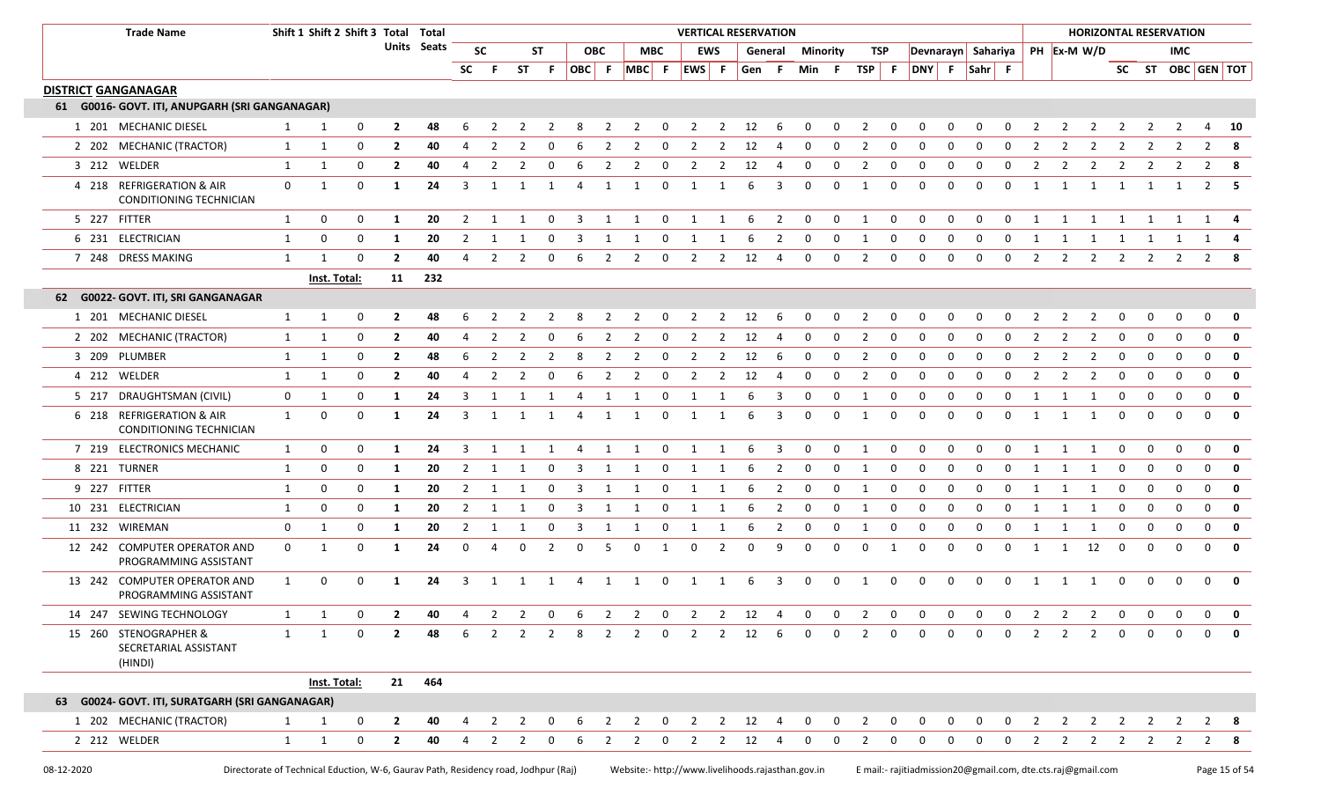|                            | <b>Trade Name</b>                                         |              | Shift 1 Shift 2 Shift 3 Total Total |             |                |             |                         |                |    |          |    |              |             |                | <b>VERTICAL RESERVATION</b> |                |       |                         |              |             |                |             |                    |              |              |              |                |    | <b>HORIZONTAL RESERVATION</b>                                           |                |                |              |                         |              |
|----------------------------|-----------------------------------------------------------|--------------|-------------------------------------|-------------|----------------|-------------|-------------------------|----------------|----|----------|----|--------------|-------------|----------------|-----------------------------|----------------|-------|-------------------------|--------------|-------------|----------------|-------------|--------------------|--------------|--------------|--------------|----------------|----|-------------------------------------------------------------------------|----------------|----------------|--------------|-------------------------|--------------|
|                            |                                                           |              |                                     |             |                | Units Seats |                         | <b>SC</b>      |    | ST       |    | <b>OBC</b>   |             | MBC            |                             | <b>EWS</b>     |       | General                 | Minority     |             | TSP            |             | Devnarayn Sahariya |              |              |              |                |    | PH Ex-M W/D                                                             |                |                | IMC.         |                         |              |
|                            |                                                           |              |                                     |             |                |             | <b>SC</b>               | - F            | ST | -F       |    |              | OBC F MBC F |                | EWS F                       |                | Gen F |                         | Min F        |             | TSP            | F           | DNY F Sahr F       |              |              |              |                |    |                                                                         |                |                |              | SC ST OBC GEN TOT       |              |
| <b>DISTRICT GANGANAGAR</b> |                                                           |              |                                     |             |                |             |                         |                |    |          |    |              |             |                |                             |                |       |                         |              |             |                |             |                    |              |              |              |                |    |                                                                         |                |                |              |                         |              |
|                            | 61 G0016- GOVT. ITI, ANUPGARH (SRI GANGANAGAR)            |              |                                     |             |                |             |                         |                |    |          |    |              |             |                |                             |                |       |                         |              |             |                |             |                    |              |              |              |                |    |                                                                         |                |                |              |                         |              |
|                            | 1 201 MECHANIC DIESEL                                     |              | 1                                   | 0           | 2              | 48          |                         |                |    |          |    |              |             | $\Omega$       |                             | 2              | 12    | 6                       |              | 0           |                | 0           |                    |              |              |              |                |    |                                                                         |                |                |              |                         | 10           |
|                            | 2 202 MECHANIC (TRACTOR)                                  | 1            | $\mathbf{1}$                        | $\mathbf 0$ | $\overline{2}$ | 40          |                         | $\overline{2}$ |    |          |    | 2            | 2           | 0              | 2                           | 2              | 12    | 4                       | 0            | 0           | $\overline{2}$ | $\mathbf 0$ | 0                  | $\Omega$     | $\Omega$     | $\Omega$     | 2              |    | 2                                                                       |                |                | 2            | $\overline{2}$          | - 8          |
| 3 212 WELDER               |                                                           | $\mathbf{1}$ | $\mathbf{1}$                        | $\mathbf 0$ | $\overline{2}$ | 40          | 4                       | 2              |    | $\Omega$ |    | 2            | 2           | $\mathbf 0$    | $\overline{2}$              | 2              | 12    | -4                      | 0            | 0           | $\overline{2}$ | 0           | 0                  | $\Omega$     | $\Omega$     | 0            | $\overline{2}$ | 2  | $\overline{2}$                                                          | 2              |                |              | 2                       | -8           |
|                            | 4 218 REFRIGERATION & AIR<br>CONDITIONING TECHNICIAN      | $\mathbf 0$  | 1                                   | $\mathbf 0$ | 1              | 24          | $\overline{3}$          | 1              | 1  | 1        | 4  | $\mathbf{1}$ | 1           | $\mathbf 0$    | 1                           | 1              | 6     | 3                       | $\mathbf 0$  | 0           | 1              | 0           | $\mathbf 0$        | $\Omega$     | $\mathbf 0$  | 0            | 1              | 1  | 1                                                                       | 1              | 1              | 1            | $2 \quad 5$             |              |
| 5 227 FITTER               |                                                           | 1            | 0                                   | $\mathbf 0$ | -1             | 20          | 2                       | 1              | 1  | 0        | 3  | 1            | 1           | $\mathbf 0$    | 1                           | 1              | 6     | $\overline{2}$          | $\mathbf 0$  | $\mathbf 0$ | 1              | $\mathbf 0$ | 0                  | 0            | 0            | 0            | 1              | 1  | 1                                                                       | -1             | 1              | 1            | 1                       |              |
|                            | 6 231 ELECTRICIAN                                         | 1            | 0                                   | 0           | -1             | 20          | $\overline{2}$          | -1             |    | 0        | 3  | 1            | 1           | 0              | -1                          | -1             | 6     | $\overline{2}$          | 0            | 0           | 1              | $\mathbf 0$ | 0                  | <sup>0</sup> | 0            | 0            | 1              | 1  | 1                                                                       | 1              | 1              | 1            | 1                       |              |
|                            | 7 248 DRESS MAKING                                        | 1            | $\mathbf{1}$                        | $\mathbf 0$ | $\mathbf{2}$   | 40          | 4                       | 2              | 2  | $\Omega$ | -6 | 2            | 2           | $\mathbf 0$    | 2                           | $\overline{2}$ | 12    | -4                      | $\mathbf 0$  | $\mathbf 0$ | 2              | $\mathbf 0$ | 0                  | $\mathbf 0$  | $\mathbf 0$  | 0            | 2              | 2  | 2                                                                       | $\overline{2}$ | 2              | 2            | 2                       |              |
|                            |                                                           |              | Inst. Total:                        |             | 11             | 232         |                         |                |    |          |    |              |             |                |                             |                |       |                         |              |             |                |             |                    |              |              |              |                |    |                                                                         |                |                |              |                         |              |
|                            | 62 G0022- GOVT. ITI, SRI GANGANAGAR                       |              |                                     |             |                |             |                         |                |    |          |    |              |             |                |                             |                |       |                         |              |             |                |             |                    |              |              |              |                |    |                                                                         |                |                |              |                         |              |
|                            | 1 201 MECHANIC DIESEL                                     | $\mathbf{1}$ | 1                                   | 0           | $\mathbf{2}$   | 48          |                         |                |    |          |    | 2            | 2           | - 0            | 2                           | 2              | 12    | - 6                     | 0            | 0           | 2              | 0           | - 0                | $\Omega$     | $\Omega$     |              | 2              |    | 2                                                                       |                | 0              | 0            | 0                       | - 0          |
|                            | 2 202 MECHANIC (TRACTOR)                                  | $\mathbf{1}$ | 1                                   | $\mathbf 0$ | $\mathbf{2}$   | 40          | 4                       |                |    |          |    | 2            | 2           | 0              | 2                           | 2              | 12    | -4                      | 0            | 0           | 2              | $\mathbf 0$ | - 0                | $\Omega$     | $\Omega$     | <sup>0</sup> | 2              |    | 2                                                                       | $\Omega$       | $\Omega$       | <sup>0</sup> | $\Omega$                | 0            |
|                            | 3 209 PLUMBER                                             | $\mathbf{1}$ | 1                                   | $\mathbf 0$ | $\mathbf{2}$   | 48          | 6                       | 2              | 2  | 2        | 8  | 2            | 2           | $\overline{0}$ | 2                           | 2              | 12    | - 6                     | $\mathbf 0$  | $\mathbf 0$ | 2              | $\mathbf 0$ | 0                  | $\Omega$     | $\Omega$     | 0            | 2              | 2  | 2                                                                       | 0              | $\Omega$       | 0            | $\mathbf{0}$            | 0            |
|                            | 4 212 WELDER                                              | $\mathbf{1}$ | 1                                   | $\mathbf 0$ | $\mathbf{2}$   | 40          | 4                       | 2              | 2  | $\Omega$ |    | 2            | 2           | 0              | 2                           | 2              | 12    | -4                      | 0            | $\Omega$    | 2              | 0           | 0                  | $\Omega$     | $\Omega$     | <sup>0</sup> | 2              | 2  | 2                                                                       | 0              | $\Omega$       | 0            | 0                       | 0            |
|                            | 5 217 DRAUGHTSMAN (CIVIL)                                 | 0            | 1                                   | 0           | 1              | 24          | 3                       | 1              |    |          |    | 1            | 1           | 0              | -1                          | 1              | 6     | 3                       | 0            | $\Omega$    | -1             | 0           | $\Omega$           | <sup>n</sup> | $\Omega$     | $\Omega$     |                | -1 | 1                                                                       | 0              | <sup>0</sup>   | <sup>0</sup> | $\mathbf 0$             | 0            |
|                            | 6 218 REFRIGERATION & AIR<br>CONDITIONING TECHNICIAN      | $\mathbf{1}$ | 0                                   | 0           | -1             | 24          | 3                       | 1              |    | -1       |    | 1            | 1           | 0              | 1                           | 1              | 6     | 3                       | 0            | $\Omega$    | 1              | $\mathbf 0$ | 0                  | $\Omega$     | $\Omega$     | $\Omega$     | 1              | 1  | 1                                                                       | 0              | $\Omega$       | 0            | $\mathbf 0$             | $\mathbf 0$  |
|                            | 7 219 ELECTRONICS MECHANIC                                | $\mathbf{1}$ | 0                                   | $\mathbf 0$ | -1             | 24          | 3                       |                |    |          |    |              |             | 0              | -1                          |                | 6     | 3                       | $\mathbf 0$  | 0           | 1              | 0           | $\Omega$           | $\Omega$     | $\Omega$     | $\Omega$     | $\mathbf{1}$   | -1 | -1                                                                      | $\Omega$       |                | $\mathbf 0$  | $\mathbf{0}$            | $\mathbf 0$  |
| 8 221 TURNER               |                                                           | $\mathbf{1}$ | 0                                   | $\mathbf 0$ | 1              | 20          | 2                       | 1              | 1  | $\Omega$ | 3  | 1            | 1           | $\mathbf 0$    | 1                           | 1              | 6     | 2                       | $\mathbf 0$  | $\mathbf 0$ | 1              | 0           | $\mathbf 0$        | $\Omega$     | $\mathbf 0$  | $\mathbf 0$  | 1              | 1  | -1                                                                      | 0              | 0              | $\mathbf 0$  | $\mathbf 0$             | 0            |
| 9 227 FITTER               |                                                           | 1            | 0                                   | $\mathbf 0$ | -1             | 20          | 2                       | $\mathbf{1}$   |    | $\Omega$ |    |              |             | 0              | -1                          | 1              | 6     | $\overline{2}$          | 0            | 0           | 1              | 0           | $\Omega$           | $\Omega$     | $\Omega$     | $\Omega$     | 1              | -1 | -1                                                                      | 0              |                | $\Omega$     | $\mathbf 0$             | $\mathbf 0$  |
|                            | 10 231 ELECTRICIAN                                        | 1            | 0                                   | 0           | 1              | 20          | $\overline{2}$          | 1              |    | 0        | 3  | -1           | -1          | 0              | 1                           | -1             | 6     | $\overline{2}$          | 0            | 0           | 1              | 0           | 0                  | 0            | 0            | $\mathbf 0$  | 1              | 1  | 1                                                                       | 0              | 0              | 0            | $\mathbf{0}$            | 0            |
|                            | 11 232 WIREMAN                                            | 0            | 1                                   | $\mathbf 0$ | -1             | 20          | 2                       | 1              |    | 0        | 3  | -1           |             | 0              | -1                          |                | 6     | $\overline{2}$          | 0            | 0           | 1              | 0           | 0                  | $\Omega$     | $\Omega$     | 0            | 1              | -1 | 1                                                                       | 0              | 0              | 0            | $\mathbf 0$             | $\mathbf 0$  |
|                            | 12 242 COMPUTER OPERATOR AND<br>PROGRAMMING ASSISTANT     | $\mathbf 0$  | 1                                   | 0           | -1             | 24          | $\mathbf 0$             | 4              | 0  | 2        | 0  | 5            | 0           | 1              | $\mathbf 0$                 | 2              | 0     | 9                       | $\mathbf 0$  | $\mathbf 0$ | 0              | 1           | 0                  | $\Omega$     | $\mathbf 0$  | 0            | 1              | 1  | 12                                                                      | $\mathbf 0$    | 0              | $\mathbf 0$  | $\mathbf 0$             | 0            |
|                            | 13 242 COMPUTER OPERATOR AND<br>PROGRAMMING ASSISTANT     | 1            | 0                                   | 0           | -1             | 24          | $\overline{\mathbf{3}}$ | 1              | 1  | 1        | -4 | 1            | 1           | $\mathbf 0$    | 1                           | 1              | -6    | $\overline{\mathbf{3}}$ | $\mathbf{0}$ | $\mathbf 0$ | 1              | $\mathbf 0$ | $\mathbf 0$        | $\Omega$     | $\Omega$     | 0            | 1              | 1  | 1                                                                       | 0              | $\Omega$       | $\Omega$     | $\Omega$                | 0            |
|                            | 14 247 SEWING TECHNOLOGY                                  |              | $\mathbf{1}$                        | $\mathbf 0$ |                | 40          |                         |                |    |          |    |              |             |                |                             |                |       |                         |              |             |                |             |                    |              |              |              |                |    | 4  2  2  0  6  2  2  0  2  2  12  4  0  0  2  0  0  0  0  0  2  2  2  0 |                | $0\qquad 0$    |              | $\overline{\mathbf{0}}$ | 0            |
|                            | 15 260 STENOGRAPHER &<br>SECRETARIAL ASSISTANT<br>(HINDI) | $\mathbf{1}$ | 1                                   | $\mathbf 0$ | $\mathbf{2}$   | 48          | 6                       | 2              | 2  | 2        | 8  | 2            | 2           | $\mathbf 0$    | 2                           | $\overline{2}$ | 12    | 6                       | $\mathbf 0$  | 0           | 2              | $\mathbf 0$ | $\Omega$           | $\Omega$     | $\Omega$     | $\Omega$     | 2              |    | $\overline{2}$                                                          | $\mathbf{0}$   | 0              | $\Omega$     | $\Omega$                | 0            |
|                            |                                                           |              | Inst. Total:                        |             |                | 21 464      |                         |                |    |          |    |              |             |                |                             |                |       |                         |              |             |                |             |                    |              |              |              |                |    |                                                                         |                |                |              |                         |              |
|                            | 63 G0024- GOVT. ITI, SURATGARH (SRI GANGANAGAR)           |              |                                     |             |                |             |                         |                |    |          |    |              |             |                |                             |                |       |                         |              |             |                |             |                    |              |              |              |                |    |                                                                         |                |                |              |                         |              |
|                            | 1 202 MECHANIC (TRACTOR)                                  | $\mathbf{1}$ | 1                                   | 0           | $\mathbf{2}$   | 40          |                         |                |    |          |    | 2            | 2           | 0              | 2                           | $\overline{2}$ | 12    | -4                      |              | 0           | 2              | 0           |                    |              |              |              | 2              | 2  | 2                                                                       | 2              | 2              |              | $\overline{2}$          | - 8          |
| 2 212 WELDER               |                                                           | $\mathbf{1}$ | $\mathbf{1}$                        | $\mathbf 0$ | $\mathbf{2}$   | 40          |                         | 2              |    |          |    | 2            | 2           | 0              | 2                           | $\mathbf{2}$   | 12    | -4                      | $\Omega$     | 0           | 2              | 0           | - 0                |              | <sup>0</sup> | 0            | 2              | 2  | $\overline{2}$                                                          | $\overline{2}$ | $\overline{2}$ | 2            |                         | $2 \times 8$ |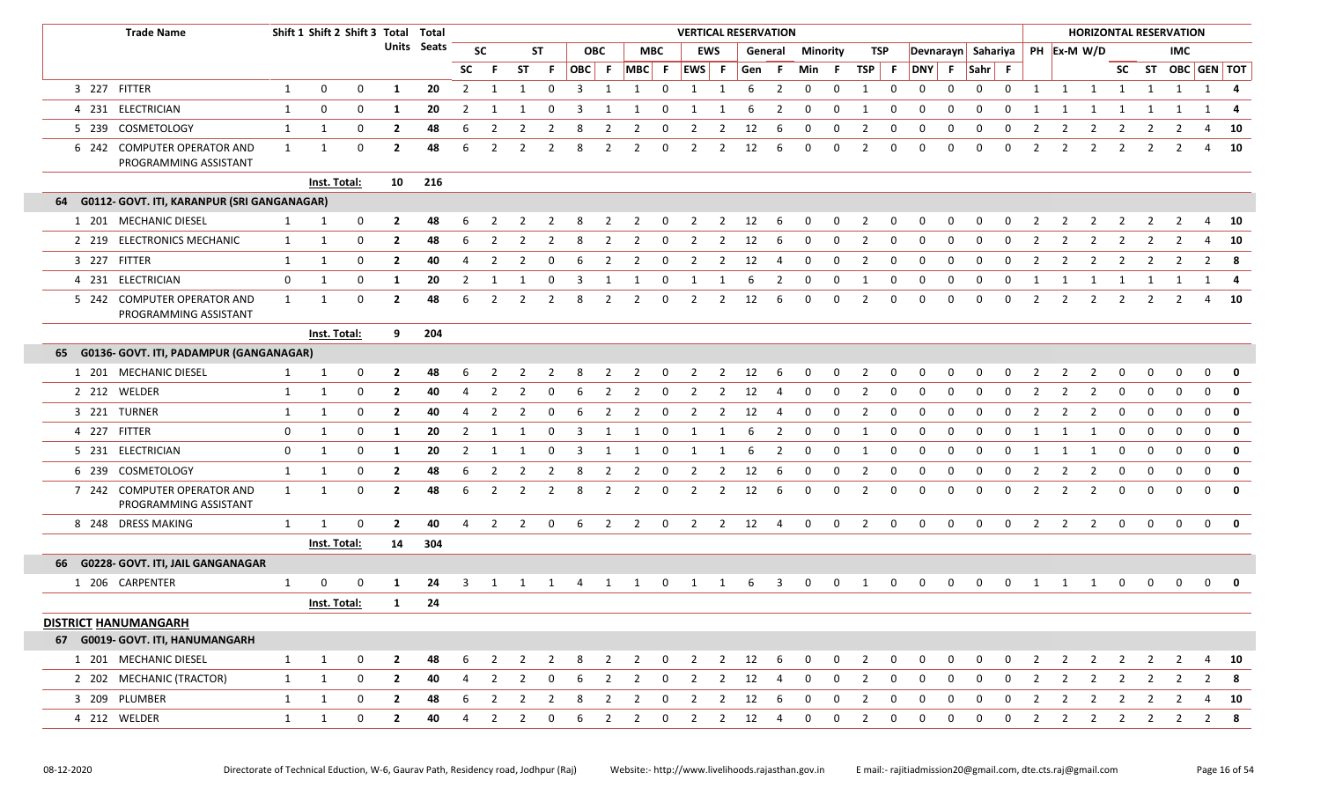|    | <b>Trade Name</b>                                    |              | Shift 1 Shift 2 Shift 3 Total Total |             |                |             |                |                |                |                |                |                |                |                         |                         |                | <b>VERTICAL RESERVATION</b> |                |                         |              |                |             |                    |              |             |              |                |                |                |                |                | <b>HORIZONTAL RESERVATION</b> |                |              |
|----|------------------------------------------------------|--------------|-------------------------------------|-------------|----------------|-------------|----------------|----------------|----------------|----------------|----------------|----------------|----------------|-------------------------|-------------------------|----------------|-----------------------------|----------------|-------------------------|--------------|----------------|-------------|--------------------|--------------|-------------|--------------|----------------|----------------|----------------|----------------|----------------|-------------------------------|----------------|--------------|
|    |                                                      |              |                                     |             |                | Units Seats |                | <b>SC</b>      |                | <b>ST</b>      |                | <b>OBC</b>     |                | <b>MBC</b>              |                         | <b>EWS</b>     |                             | General        | <b>Minority</b>         |              | TSP            |             | Devnarayn Sahariya |              |             |              |                |                | PH Ex-M W/D    |                |                | IMC.                          |                |              |
|    |                                                      |              |                                     |             |                |             | <b>SC</b>      | -F             | <b>ST</b>      | -F.            | OBC F          |                | MBC F          |                         | EWS F                   |                | Gen F                       |                | Min F                   |              | TSP F          |             | DNY F              |              | Sahr F      |              |                |                |                |                |                | SC ST OBC GEN TOT             |                |              |
|    | 3 227 FITTER                                         | $\mathbf{1}$ | 0                                   | 0           | 1              | 20          | $\overline{2}$ | 1              | 1              | $\mathbf 0$    | $\overline{3}$ | 1              | 1              | $\mathbf 0$             | 1                       | 1              | -6                          | $\overline{2}$ | 0                       | 0            | -1             | 0           | 0                  | $\mathbf 0$  | $\mathbf 0$ | $\mathbf 0$  | 1              | 1              | $\overline{1}$ | $\overline{1}$ | 1              | 1                             |                | $1 \quad 4$  |
|    | 4 231 ELECTRICIAN                                    | 1            | $\mathbf 0$                         | $\mathbf 0$ | -1             | 20          | 2              | 1              |                | $\Omega$       | 3              |                |                | $\Omega$                |                         | -1             | 6                           | 2              | 0                       | 0            | -1             | 0           | 0                  | $\Omega$     | 0           | $\Omega$     | -1             |                | -1             |                |                |                               | 1              | -4           |
|    | 5 239 COSMETOLOGY                                    | 1            | 1                                   | $\mathbf 0$ | $\overline{2}$ | 48          | 6              | 2              |                | -2             | 8              | $\mathcal{L}$  |                | $\Omega$                | 2                       | 2              | 12                          | 6              | 0                       | 0            | 2              | 0           | 0                  | 0            | $\Omega$    | <sup>0</sup> | 2              | 2              | 2              | 2              | 2              | 2                             | 4              | 10           |
|    | 6 242 COMPUTER OPERATOR AND<br>PROGRAMMING ASSISTANT | 1            | 1                                   | 0           | $\overline{2}$ | 48          | 6              | $\overline{2}$ | 2              | 2              | 8              | 2              | 2              | $\mathbf 0$             | 2                       | 2              | 12                          | 6              | $\mathbf 0$             | 0            | 2              | $\Omega$    | $\mathbf 0$        | $\Omega$     | $\mathbf 0$ | 0            | $\overline{2}$ | 2              | $\overline{2}$ | $\overline{2}$ | 2              | 2                             | 4              | 10           |
|    |                                                      |              | Inst. Total:                        |             | 10             | 216         |                |                |                |                |                |                |                |                         |                         |                |                             |                |                         |              |                |             |                    |              |             |              |                |                |                |                |                |                               |                |              |
| 64 | G0112- GOVT. ITI, KARANPUR (SRI GANGANAGAR)          |              |                                     |             |                |             |                |                |                |                |                |                |                |                         |                         |                |                             |                |                         |              |                |             |                    |              |             |              |                |                |                |                |                |                               |                |              |
|    | 1 201 MECHANIC DIESEL                                | 1            | 1                                   | 0           | $\overline{2}$ | 48          |                |                |                |                |                |                |                | 0                       |                         | 2              | 12                          | 6              |                         | 0            |                | 0           |                    |              |             |              |                |                |                |                |                |                               | 4              | 10           |
|    | 2 219 ELECTRONICS MECHANIC                           | $\mathbf{1}$ | 1                                   | $\mathbf 0$ | $\overline{2}$ | 48          | 6              | $\overline{2}$ |                |                | 8              | $\overline{2}$ | 2              | 0                       | $\overline{2}$          | 2              | 12                          | 6              | 0                       | 0            | $\overline{2}$ | $\Omega$    | $\Omega$           | 0            | 0           | $\Omega$     | $\overline{2}$ | 2              | $\overline{2}$ | 2              | $\overline{2}$ |                               | 4              | 10           |
|    | 3 227 FITTER                                         | $\mathbf{1}$ | $\mathbf{1}$                        | $\mathbf 0$ | $\overline{2}$ | 40          | 4              | $\overline{2}$ |                | 0              | 6              | $\overline{2}$ | $\overline{2}$ | 0                       | $\overline{2}$          | 2              | 12                          | 4              | 0                       | 0            | $\overline{2}$ | $\Omega$    | $\Omega$           | $\Omega$     | 0           | $\Omega$     | $\overline{2}$ | $\overline{2}$ | $\overline{2}$ | -2             | 2              |                               | 2              | - 8          |
|    | 4 231 ELECTRICIAN                                    | $\mathbf 0$  | 1                                   | $\mathbf 0$ | 1              | 20          | $\overline{2}$ | 1              | 1              | 0              | 3              | 1              | 1              | 0                       | 1                       | 1              | 6                           | $\overline{2}$ | $\mathbf 0$             | 0            | 1              | 0           | $\mathbf 0$        | $\mathbf 0$  | $\mathbf 0$ | $\mathbf 0$  | 1              | 1              | 1              | 1              | 1              | 1                             |                | $1 \quad 4$  |
|    | 5 242 COMPUTER OPERATOR AND<br>PROGRAMMING ASSISTANT | 1            | 1                                   | $\mathbf 0$ | $\overline{2}$ | 48          | 6              | $\overline{2}$ | 2              | 2              | 8              | 2              | 2              | 0                       | 2                       | 2              | 12                          | 6              | $\Omega$                | 0            | 2              | 0           | $\Omega$           | $\Omega$     | $\Omega$    | $\Omega$     | $\overline{2}$ | 2              | $\overline{2}$ | 2              | 2              | 2                             | 4              | 10           |
|    |                                                      |              | Inst. Total:                        |             | 9              | 204         |                |                |                |                |                |                |                |                         |                         |                |                             |                |                         |              |                |             |                    |              |             |              |                |                |                |                |                |                               |                |              |
|    | 65 G0136- GOVT. ITI, PADAMPUR (GANGANAGAR)           |              |                                     |             |                |             |                |                |                |                |                |                |                |                         |                         |                |                             |                |                         |              |                |             |                    |              |             |              |                |                |                |                |                |                               |                |              |
|    | 1 201 MECHANIC DIESEL                                | 1            | 1                                   | $\mathbf 0$ | $\mathbf{2}$   | 48          | 6              | -2             | 2              | 2              | 8              | 2              | $\overline{2}$ | $\overline{\mathbf{0}}$ | 2                       | $\overline{2}$ | 12                          | 6              | $\mathbf 0$             | $\mathbf 0$  | 2              | $\mathbf 0$ | 0                  | 0            | $\mathbf 0$ | 0            | -2             | 2              | 2              | 0              | 0              | 0                             | 0              | $\mathbf{0}$ |
|    | 2 212 WELDER                                         | $\mathbf{1}$ | 1                                   | $\mathbf 0$ | $\mathbf{2}$   | 40          | 4              | 2              | 2              | - 0            | 6              | 2              | 2              | 0                       | 2                       | 2              | 12                          | 4              | 0                       | 0            | 2              | 0           | $\Omega$           | <sup>0</sup> | - 0         | <sup>0</sup> | $\overline{z}$ | 2              | 2              | $\Omega$       | 0              | n                             | $\Omega$       | $\mathbf 0$  |
|    | 3 221 TURNER                                         | 1            | 1                                   | $\mathbf 0$ | $\mathbf{2}$   | 40          | 4              | 2              | 2              | $\Omega$       | 6              | 2              | 2              | 0                       | 2                       | 2              | 12                          | -4             | $\Omega$                | <sup>0</sup> | 2              | 0           | 0                  | <sup>0</sup> | - 0         | $\Omega$     |                | 2              | 2              | $\Omega$       | റ              | $\Omega$                      | $\Omega$       | $\mathbf{0}$ |
|    | 4 227 FITTER                                         | 0            | $\mathbf{1}$                        | $\mathbf 0$ | -1             | 20          | 2              | -1             | 1              | $\Omega$       | 3              | 1              | -1             | 0                       | 1                       | 1              | 6                           | 2              | 0                       | 0            | 1              | 0           | 0                  | 0            | 0           | $\Omega$     | 1              | 1              | 1              | 0              | 0              | $\Omega$                      | $\Omega$       | $\mathbf 0$  |
|    | 5 231 ELECTRICIAN                                    | $\mathbf 0$  | 1                                   | $\mathbf 0$ | -1             | 20          | $\overline{2}$ | 1              | 1              | 0              | 3              | 1              | 1              | $\mathbf 0$             | 1                       | 1              | 6                           | $\overline{2}$ | $\overline{\mathbf{0}}$ | 0            | 1              | 0           | 0                  | 0            | $\mathbf 0$ | 0            | -1             | 1              | 1              | $\mathbf 0$    | $\Omega$       | $\Omega$                      | $\mathbf 0$    | $\mathbf{0}$ |
|    | 6 239 COSMETOLOGY                                    | $\mathbf{1}$ | 1                                   | $\mathbf 0$ | $\mathbf{2}$   | 48          | 6              | 2              | 2              | 2              | -8             | 2              | 2              | 0                       | 2                       | 2              | 12                          | 6              | 0                       | 0            | 2              | 0           | 0                  | 0            | 0           | $\Omega$     | -2             | 2              | 2              | 0              | $\mathbf 0$    | $\Omega$                      | $\mathbf 0$    | $\mathbf 0$  |
|    | 7 242 COMPUTER OPERATOR AND<br>PROGRAMMING ASSISTANT | 1            | 1                                   | $\mathbf 0$ | $\overline{2}$ | 48          | 6              | 2              | 2              | $\overline{2}$ | 8              | 2              | 2              | $\mathbf 0$             | 2                       | 2              | 12                          | 6              | 0                       | 0            | 2              | $\Omega$    | 0                  | 0            | $\mathbf 0$ | $\Omega$     | $\overline{2}$ | 2              | $\overline{2}$ | 0              | $\Omega$       | $\Omega$                      | $\Omega$       | 0            |
|    | 8 248 DRESS MAKING                                   | 1            | $\mathbf{1}$                        | 0           | $\overline{2}$ | 40          | 4              | $\overline{2}$ | $\overline{2}$ | $\mathbf 0$    | 6              | $\overline{2}$ | $\overline{2}$ | $\overline{\mathbf{0}}$ | $\overline{2}$          |                | $2 \t 12$                   | $\overline{4}$ | $\mathbf 0$             | $\mathbf 0$  | $\overline{2}$ | $\mathbf 0$ | $\mathbf 0$        | $\mathbf 0$  | 0           | $\mathbf 0$  | 2              | $\overline{2}$ | $\overline{2}$ | $\mathbf 0$    | 0              | $\mathbf 0$                   | $\overline{0}$ | $\bullet$    |
|    |                                                      |              | <b>Inst. Total:</b>                 |             | 14             | 304         |                |                |                |                |                |                |                |                         |                         |                |                             |                |                         |              |                |             |                    |              |             |              |                |                |                |                |                |                               |                |              |
|    | 66 G0228- GOVT. ITI, JAIL GANGANAGAR                 |              |                                     |             |                |             |                |                |                |                |                |                |                |                         |                         |                |                             |                |                         |              |                |             |                    |              |             |              |                |                |                |                |                |                               |                |              |
|    | 1 206 CARPENTER                                      | 1            | 0                                   | 0           | -1             | 24          | 3              |                | 1              | 1              | 4              | 1              | 1              | $\mathbf 0$             | 1                       | 1              | 6                           | 3              | $\mathbf 0$             | 0            | 1              | 0           | 0                  | 0            | 0           | 0            | 1              | 1              | 1              | 0              |                | 0                             | 0              | $\mathbf 0$  |
|    |                                                      |              | Inst. Total:                        |             | 1              | 24          |                |                |                |                |                |                |                |                         |                         |                |                             |                |                         |              |                |             |                    |              |             |              |                |                |                |                |                |                               |                |              |
|    | <b>DISTRICT HANUMANGARH</b>                          |              |                                     |             |                |             |                |                |                |                |                |                |                |                         |                         |                |                             |                |                         |              |                |             |                    |              |             |              |                |                |                |                |                |                               |                |              |
|    | 67 G0019- GOVT. ITI, HANUMANGARH                     |              |                                     |             |                |             |                |                |                |                |                |                |                |                         |                         |                |                             |                |                         |              |                |             |                    |              |             |              |                |                |                |                |                |                               |                |              |
|    | 1 201 MECHANIC DIESEL                                | $\mathbf{1}$ | $\mathbf{1}$                        | 0           | $\mathbf{2}$   | 48          | 6              | 2              | 2              | 2              | 8              | $\overline{2}$ | $\overline{2}$ | $\overline{\mathbf{0}}$ | $\overline{2}$          | $\overline{2}$ | 12                          | - 6            | 0                       | 0            | 2              | 0           | 0                  | 0            | 0           | 0            | 2              | $\overline{2}$ | $\overline{2}$ | 2              | 2              | 2                             | 4              | 10           |
|    | 2 202 MECHANIC (TRACTOR)                             | 1            | $\mathbf{1}$                        | $\mathbf 0$ | $\mathbf{2}$   | 40          | 4              | $\overline{2}$ | $\overline{2}$ | $\mathbf 0$    | 6              | $\overline{2}$ | $\overline{2}$ | $\overline{\mathbf{0}}$ | $\overline{\mathbf{2}}$ | $\overline{2}$ | 12                          | - 4            | $\mathbf 0$             | 0            | $\overline{2}$ | 0           | 0                  | 0            | 0           | 0            | $\overline{2}$ | $\overline{2}$ | $\overline{2}$ | $\overline{2}$ | $\overline{2}$ | 2                             | 2              | - 8          |
|    | 3 209 PLUMBER                                        | $\mathbf{1}$ | 1                                   | $\mathbf 0$ | $\overline{2}$ | 48          | 6              | $\overline{2}$ | 2              | 2              | 8              | 2              | $\overline{2}$ | $\mathbf 0$             | $\overline{2}$          | $\overline{2}$ | 12                          | -6             | $\mathbf 0$             | $\mathbf 0$  | 2              | 0           | 0                  | 0            | $\mathbf 0$ | 0            | $\overline{2}$ | $\overline{2}$ | $\overline{2}$ | 2              | 2              | 2                             | 4              | - 10         |
|    | 4 212 WELDER                                         | $\mathbf{1}$ | 1                                   | $\mathbf 0$ | $\mathbf{2}$   | 40          | 4              | $\overline{2}$ | $\overline{2}$ | 0              | 6              | $\overline{2}$ | $\overline{2}$ | $\overline{\mathbf{0}}$ | $\overline{2}$          |                | $2 \t12$                    | $\overline{4}$ | $\mathbf 0$             | 0            | $\overline{2}$ | 0           | 0                  | 0            | $\mathbf 0$ | 0            | $\overline{2}$ | $\overline{2}$ | $\overline{2}$ | $\overline{2}$ | $\overline{2}$ | $\overline{2}$                |                | $2 \times 8$ |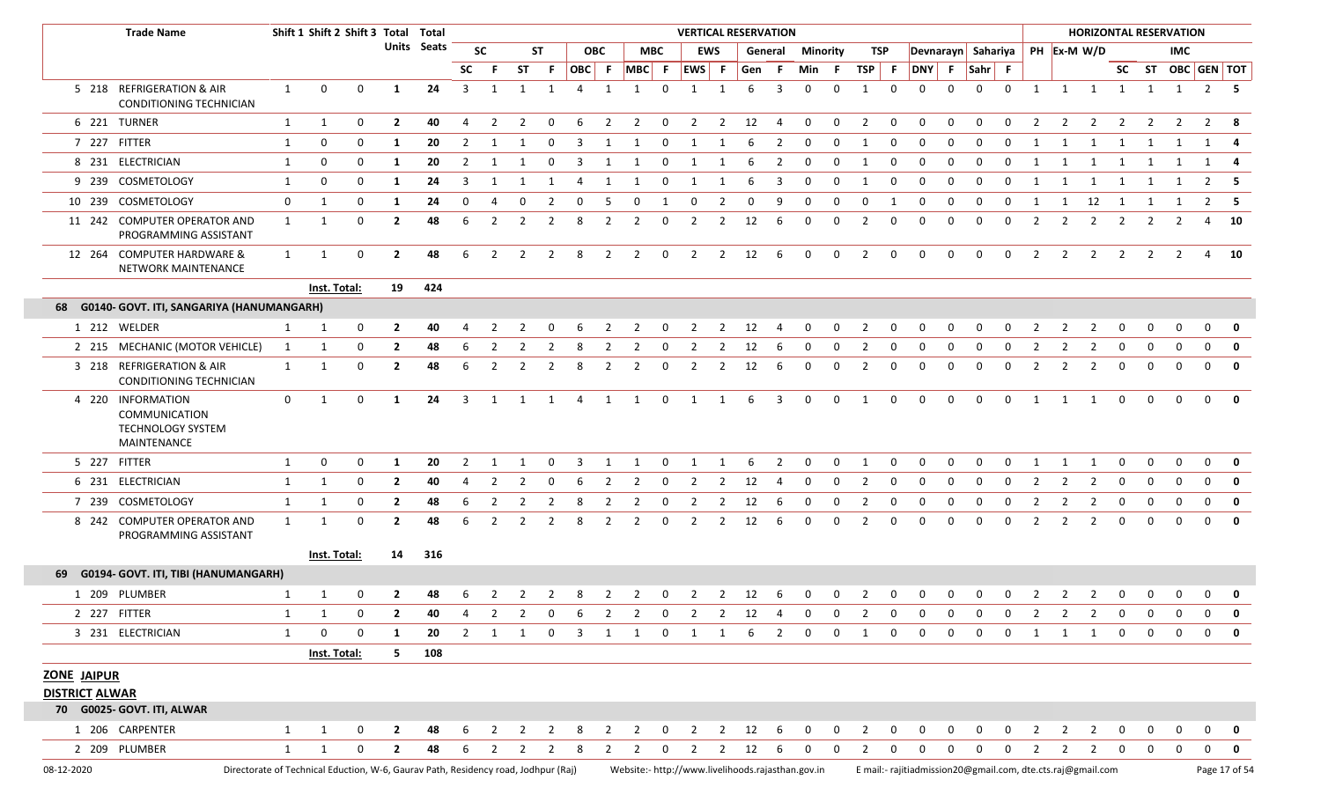|                                             | <b>Trade Name</b>                                                                  |              | Shift 1 Shift 2 Shift 3 Total Total |             |                                                                     |             |                         |                |                |                |                |                |                                                   |                         | <b>VERTICAL RESERVATION</b> |                |                                 |                         |                |              |                         |                         |                                                             |              |                         |                |                |                |                                  |                         |                | <b>HORIZONTAL RESERVATION</b> |               |                         |
|---------------------------------------------|------------------------------------------------------------------------------------|--------------|-------------------------------------|-------------|---------------------------------------------------------------------|-------------|-------------------------|----------------|----------------|----------------|----------------|----------------|---------------------------------------------------|-------------------------|-----------------------------|----------------|---------------------------------|-------------------------|----------------|--------------|-------------------------|-------------------------|-------------------------------------------------------------|--------------|-------------------------|----------------|----------------|----------------|----------------------------------|-------------------------|----------------|-------------------------------|---------------|-------------------------|
|                                             |                                                                                    |              |                                     |             |                                                                     | Units Seats |                         | <b>SC</b>      |                | <b>ST</b>      |                | <b>OBC</b>     |                                                   | <b>MBC</b>              |                             | EWS            |                                 | General                 | Minority       |              |                         | TSP                     |                                                             |              |                         |                |                |                | Devnarayn Sahariya   PH Ex-M W/D |                         |                | IMC.                          |               |                         |
|                                             |                                                                                    |              |                                     |             |                                                                     |             | <b>SC</b>               | - F            | ST             | -F.            | OBC F          |                | MBC F EWS F                                       |                         |                             |                | Gen F                           |                         | Min F          |              | TSP F                   |                         | DNY F                                                       |              | $\vert$ Sahr $\vert$ F  |                |                |                |                                  |                         |                | SC ST OBC GEN TOT             |               |                         |
|                                             | 5 218 REFRIGERATION & AIR<br>CONDITIONING TECHNICIAN                               | 1            | $\mathbf{0}$                        | $\mathbf 0$ | 1                                                                   | 24          | $\overline{\mathbf{3}}$ | 1              | 1              | 1              | $\overline{4}$ | 1              | 1                                                 | $\Omega$                | 1                           | 1              | 6                               | 3                       | $\Omega$       | 0            | $\overline{1}$          | $\mathbf 0$             | $\Omega$                                                    | 0            | $\mathbf 0$             | $\mathbf 0$    | 1              |                | 1 1 1                            |                         |                | 1 1 2 5                       |               |                         |
|                                             | 6 221 TURNER                                                                       | 1            | 1                                   | 0           | $\overline{2}$                                                      | 40          | $\overline{4}$          | $\overline{2}$ | $\overline{2}$ | $\mathbf 0$    | - 6            | $\overline{2}$ | $\overline{2}$                                    | $\overline{0}$          |                             |                | $2 \qquad 2 \qquad 12$          | $\overline{4}$          | $\overline{0}$ | $\mathbf 0$  | $\overline{2}$          | $\overline{0}$          | $\mathbf 0$                                                 | $\mathbf 0$  | $\mathbf 0$             | $\mathbf 0$    | 2              | $\overline{2}$ | $\overline{2}$                   | $\overline{2}$          | $\overline{2}$ | $\mathbf{2}$                  | 2 8           |                         |
|                                             | 7 227 FITTER                                                                       | 1            | 0                                   | $\mathbf 0$ | -1                                                                  | 20          | 2                       |                |                | 0              | 3              |                |                                                   | 0                       |                             |                |                                 | 2                       | 0              | <sup>0</sup> |                         | 0                       | 0                                                           | $\Omega$     | 0                       | $\Omega$       |                |                |                                  |                         |                |                               |               |                         |
|                                             | 8 231 ELECTRICIAN                                                                  | $\mathbf{1}$ | 0                                   | 0           | 1                                                                   | 20          | 2                       |                |                | 0              | 3              | 1              |                                                   | $\mathbf 0$             |                             |                | 6                               | 2                       | 0              | 0            | 1                       | $\mathbf{0}$            | $\mathbf 0$                                                 | 0            | $\mathbf 0$             | $\Omega$       |                |                | 1                                | 1                       | 1              | 1                             | 1             | -4                      |
|                                             | 9 239 COSMETOLOGY                                                                  | $\mathbf{1}$ | 0                                   | 0           | 1                                                                   | 24          | 3                       |                |                | 1              | 4              | -1             |                                                   | 0                       |                             | 1              | 6                               | 3                       | $\mathbf 0$    | 0            | 1                       | 0                       | 0                                                           | $\Omega$     | 0                       | 0              |                |                |                                  |                         |                |                               |               | - 5                     |
|                                             | 10 239 COSMETOLOGY                                                                 | $\mathbf 0$  | 1                                   | 0           | 1                                                                   | 24          | $\mathbf 0$             | $\overline{4}$ | $\mathbf 0$    | $\overline{2}$ | $\mathbf 0$    | - 5            | $\mathbf 0$                                       | 1                       | $\overline{0}$              | $\overline{2}$ | $\mathbf 0$                     | 9                       | $\mathbf 0$    | $\mathbf 0$  | $\mathbf 0$             | 1                       | $\mathbf 0$                                                 | 0            | $\mathbf 0$             | $\mathbf 0$    | 1              | 1              | 12 1                             |                         | 1              | 1                             | $2 \quad 5$   |                         |
|                                             | 11 242 COMPUTER OPERATOR AND<br>PROGRAMMING ASSISTANT                              | $\mathbf{1}$ | 1                                   | 0           | $\overline{2}$                                                      | 48          | 6                       | 2              | 2              | $\overline{2}$ | 8              | 2              | 2                                                 | 0                       | 2                           | 2              | 12                              | 6                       | $\mathbf 0$    | 0            | 2                       | $\mathbf 0$             | $\Omega$                                                    | $\Omega$     | $\Omega$                | $\mathbf 0$    | $\overline{2}$ |                | 2                                |                         |                |                               | 4             | - 10                    |
|                                             | 12 264 COMPUTER HARDWARE &<br>NETWORK MAINTENANCE                                  | 1            | 1                                   | $\mathbf 0$ | $\mathbf{2}$                                                        | 48          | 6                       | 2              | 2              | $\overline{2}$ | 8              | $\overline{2}$ | $\overline{2}$                                    | $\overline{\mathbf{0}}$ | 2                           |                | 2 12 6                          |                         | $\mathbf{0}$   | $\mathbf{0}$ | 2                       | $\overline{0}$          | $\mathbf 0$                                                 | $\mathbf 0$  | $\mathbf 0$             | $\mathbf 0$    | 2              |                | $2 \quad 2$                      | $\overline{2}$          | 2              | 2                             | 4 10          |                         |
|                                             |                                                                                    |              | Inst. Total:                        |             | 19                                                                  | 424         |                         |                |                |                |                |                |                                                   |                         |                             |                |                                 |                         |                |              |                         |                         |                                                             |              |                         |                |                |                |                                  |                         |                |                               |               |                         |
|                                             | 68 G0140- GOVT. ITI, SANGARIYA (HANUMANGARH)                                       |              |                                     |             |                                                                     |             |                         |                |                |                |                |                |                                                   |                         |                             |                |                                 |                         |                |              |                         |                         |                                                             |              |                         |                |                |                |                                  |                         |                |                               |               |                         |
|                                             | 1 212 WELDER                                                                       | $\mathbf{1}$ | 1                                   | $\mathbf 0$ | $\overline{2}$                                                      | 40          | 4                       | 2              | $\overline{2}$ | $\mathbf 0$    | 6              | $\overline{2}$ | $\overline{2}$                                    | $\overline{\mathbf{0}}$ |                             |                | $2 \qquad 2 \qquad 12 \qquad 4$ |                         | $\mathbf 0$    | $\mathbf 0$  | $\overline{2}$          | $\overline{\mathbf{0}}$ | $\mathbf 0$                                                 | 0            | $\mathbf 0$             | $\mathbf 0$    | 2              | $\overline{2}$ | $\overline{2}$                   | $\mathbf 0$             | 0              | $\mathbf 0$                   | $\mathbf 0$   | 0                       |
|                                             | 2 215 MECHANIC (MOTOR VEHICLE)                                                     | 1            | 1                                   | 0           | $\overline{2}$                                                      | 48          |                         |                |                |                |                |                |                                                   | $\Omega$                |                             | 2              | 12                              | 6                       | $\Omega$       | 0            | 2                       | $\Omega$                | $\Omega$                                                    | <sup>0</sup> | $\Omega$                |                |                |                |                                  |                         |                |                               | $\Omega$      | $\mathbf{0}$            |
|                                             | 3 218 REFRIGERATION & AIR<br>CONDITIONING TECHNICIAN                               | $\mathbf{1}$ | 1                                   | $\mathbf 0$ | $\mathbf{2}$                                                        | 48          | 6                       | 2              | $\overline{2}$ | $\overline{2}$ | 8              | $\overline{2}$ | 2                                                 | $\mathbf 0$             | $\overline{2}$              | $\overline{2}$ | 12                              | 6                       | $\mathbf 0$    | 0            | 2                       | $\mathbf 0$             | $\mathbf 0$                                                 | $\Omega$     | $\mathbf 0$             | $\mathbf 0$    | 2              | $\overline{2}$ | 2                                | 0                       | 0              | $\Omega$                      | $\mathbf{0}$  | $\mathbf{0}$            |
|                                             | 4 220 INFORMATION<br>COMMUNICATION<br><b>TECHNOLOGY SYSTEM</b><br>MAINTENANCE      | $\mathbf 0$  | 1                                   | $\mathbf 0$ | 1                                                                   | 24          |                         | 3 1 1 1 4      |                |                |                |                | 1 1                                               | $\overline{\mathbf{0}}$ | 1 1                         |                | 6                               | $\overline{\mathbf{3}}$ | $\overline{0}$ | $\mathbf 0$  | $\overline{\mathbf{1}}$ | $\overline{0}$          | $\mathbf{0}$                                                | $\Omega$     | $\mathbf 0$             | $\mathbf 0$    | $\mathbf{1}$   |                | 1 1                              | $\mathbf 0$             | $\Omega$       | $\Omega$                      | $\Omega$      | $\mathbf{0}$            |
|                                             | 5 227 FITTER                                                                       | 1            | 0                                   | 0           | -1                                                                  | 20          | 2                       |                |                | $\Omega$       | 3              |                | 1                                                 | $\Omega$                | $\mathbf{1}$                | 1              | 6                               | 2                       | 0              | 0            | $\overline{1}$          | 0                       | $\Omega$                                                    | $\Omega$     | $\Omega$                | $\Omega$       |                |                |                                  |                         | $\Omega$       | $\Omega$                      | $\mathbf{0}$  | 0                       |
|                                             | 6 231 ELECTRICIAN                                                                  | 1            | 1                                   | 0           | $\mathbf{2}$                                                        | 40          | 4                       | 2              | 2              | 0              | 6              | 2              | 2                                                 | $\mathbf 0$             | 2                           | 2              | 12                              | $\overline{4}$          | 0              | 0            | 2                       | 0                       | 0                                                           | 0            | 0                       | 0              | 2              | $\mathbf{2}$   | 2                                | 0                       | 0              | $\Omega$                      | $\mathbf{0}$  | 0                       |
|                                             | 7 239 COSMETOLOGY                                                                  | 1            | 1                                   | 0           | $\mathbf{2}$                                                        | 48          | 6                       | 2              | 2              | 2              | 8              | 2              | 2                                                 | $\mathbf 0$             | 2                           | 2              | 12                              | 6                       | $\mathbf 0$    | 0            | $\overline{2}$          | 0                       | $\mathbf 0$                                                 | 0            | 0                       | $\Omega$       | 2              | 2              | 2                                | 0                       | 0              | $\Omega$                      | $\mathbf{0}$  | 0                       |
|                                             | 8 242 COMPUTER OPERATOR AND<br>PROGRAMMING ASSISTANT                               | 1            | 1                                   | 0           | $\mathbf{2}$                                                        | 48          | 6                       |                | $\mathcal{P}$  | $\mathcal{P}$  | 8              | 2              | 2                                                 | $\mathbf 0$             | 2                           | 2              | 12                              | 6                       | 0              | 0            | 2                       | 0                       | $\Omega$                                                    | $\Omega$     | $\Omega$                | 0              | 2              | 2              | 2                                | 0                       | $\Omega$       |                               | $\mathbf{0}$  | 0                       |
|                                             |                                                                                    |              | Inst. Total:                        |             | 14                                                                  | 316         |                         |                |                |                |                |                |                                                   |                         |                             |                |                                 |                         |                |              |                         |                         |                                                             |              |                         |                |                |                |                                  |                         |                |                               |               |                         |
|                                             | 69 G0194- GOVT. ITI, TIBI (HANUMANGARH)                                            |              |                                     |             |                                                                     |             |                         |                |                |                |                |                |                                                   |                         |                             |                |                                 |                         |                |              |                         |                         |                                                             |              |                         |                |                |                |                                  |                         |                |                               |               |                         |
|                                             | 1 209 PLUMBER                                                                      | 1            | 1                                   | $\mathbf 0$ | $\mathbf{2}$                                                        | 48          | 6                       | $\overline{2}$ |                | $2 \quad 2$    | 8              | $\overline{2}$ | $\overline{2}$                                    |                         | 0 2 2 12 6                  |                |                                 |                         | $\mathbf{0}$   | $\mathbf{0}$ | $2 \t 0$                |                         | $\mathbf 0$                                                 | $\mathbf{0}$ | $\overline{\mathbf{0}}$ | $\overline{0}$ | $\overline{2}$ |                | $2 \quad 2$                      | $\overline{\mathbf{0}}$ | $\mathbf 0$    | $\mathbf 0$                   | $\mathbf{0}$  | $\overline{\mathbf{0}}$ |
|                                             | 2 227 FITTER                                                                       | 1            |                                     |             | 1 0 2 40 4 2 2 0 6 2 2 0 2 2 12 4 0 0 2 0 0 0 0 0 2 2 2 0 0 0 0 0 0 |             |                         |                |                |                |                |                |                                                   |                         |                             |                |                                 |                         |                |              |                         |                         |                                                             |              |                         |                |                |                |                                  |                         |                |                               |               |                         |
|                                             | 3 231 ELECTRICIAN                                                                  | $\mathbf{1}$ | $\mathbf 0$                         | $\mathbf 0$ | 1                                                                   | 20          |                         |                |                |                |                |                | 2 1 1 0 3 1 1 0 1 1 6 2 0                         |                         |                             |                |                                 |                         |                |              |                         |                         | $0$ 1 0 0                                                   |              |                         |                |                |                | 0 0 0 1 1 1 0                    |                         |                | $0\qquad 0$                   | $0$ 0         |                         |
|                                             |                                                                                    |              | Inst. Total:                        |             | $5 -$                                                               | 108         |                         |                |                |                |                |                |                                                   |                         |                             |                |                                 |                         |                |              |                         |                         |                                                             |              |                         |                |                |                |                                  |                         |                |                               |               |                         |
| <b>ZONE JAIPUR</b><br><b>DISTRICT ALWAR</b> |                                                                                    |              |                                     |             |                                                                     |             |                         |                |                |                |                |                |                                                   |                         |                             |                |                                 |                         |                |              |                         |                         |                                                             |              |                         |                |                |                |                                  |                         |                |                               |               |                         |
|                                             | 70 G0025- GOVT. ITI, ALWAR                                                         |              |                                     |             |                                                                     |             |                         |                |                |                |                |                |                                                   |                         |                             |                |                                 |                         |                |              |                         |                         |                                                             |              |                         |                |                |                |                                  |                         |                |                               |               |                         |
|                                             | 1 206 CARPENTER                                                                    | 1            | 1                                   | 0           | $\mathbf{2}$                                                        | 48          | 6                       | $\overline{2}$ | $\overline{2}$ | 2              | 8              | 2              | $\overline{2}$                                    | $\overline{\mathbf{0}}$ |                             |                | $2 \qquad 2 \qquad 12$          | - 6                     | 0              | 0            | 2                       | 0                       | 0                                                           | 0            | 0                       | 0              | 2              | $\mathbf{2}$   | 2                                | 0                       | 0              | 0                             | 0             | 0                       |
|                                             | 2 209 PLUMBER                                                                      | 1            | 1                                   | 0           | $\mathbf{2}$                                                        | 48          | 6                       | 2              | $\overline{2}$ |                | 2 8            | 2              |                                                   |                         | 2 0 2 2 12 6                |                |                                 |                         | $\overline{0}$ | 0            | 2                       | $\mathbf 0$             | 0                                                           | $\mathbf 0$  | 0                       | $\mathbf 0$    | 2              |                | $2 \quad 2 \quad 0$              |                         | 0              | 0                             | $\mathbf{0}$  | $\overline{\mathbf{0}}$ |
| 08-12-2020                                  | Directorate of Technical Eduction, W-6, Gaurav Path, Residency road, Jodhpur (Raj) |              |                                     |             |                                                                     |             |                         |                |                |                |                |                | Website:- http://www.livelihoods.rajasthan.gov.in |                         |                             |                |                                 |                         |                |              |                         |                         | E mail:- rajitiadmission20@gmail.com, dte.cts.raj@gmail.com |              |                         |                |                |                |                                  |                         |                |                               | Page 17 of 54 |                         |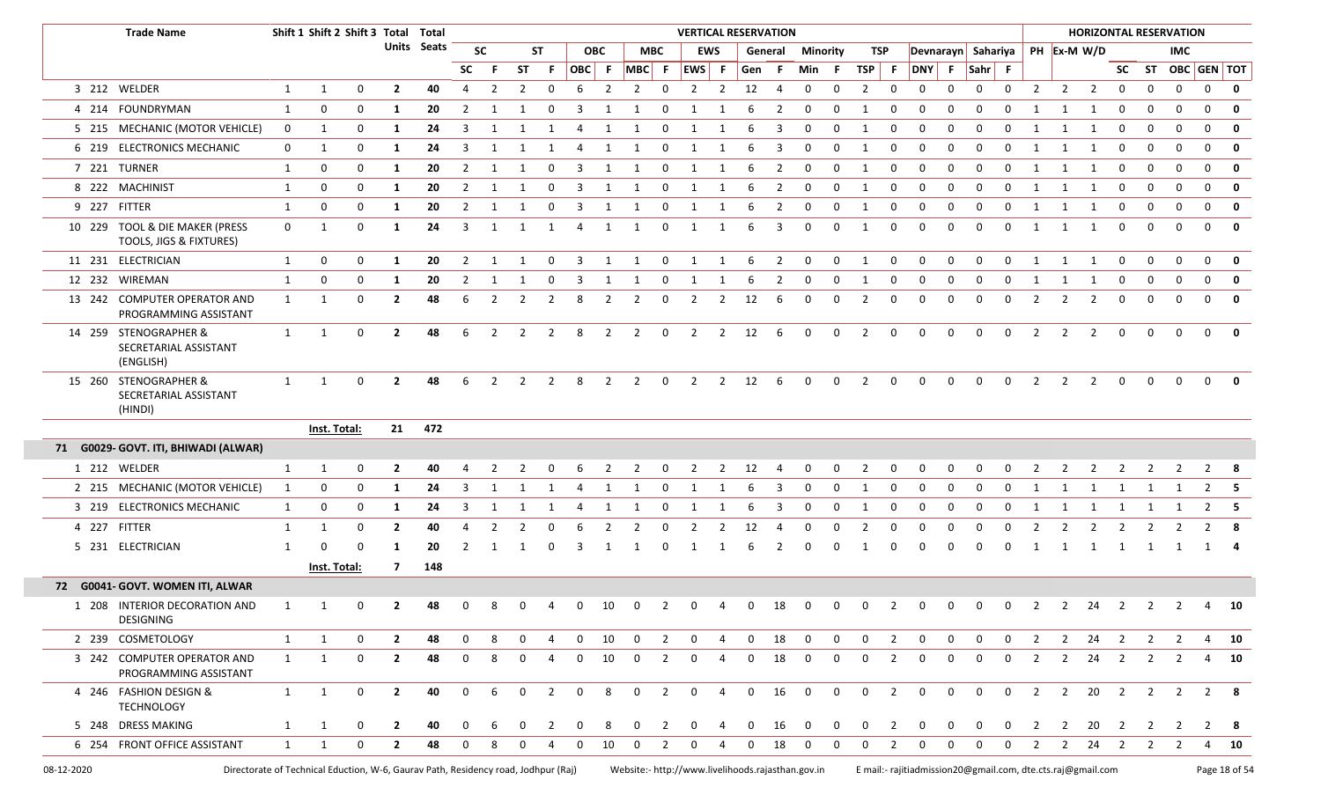| <b>Trade Name</b>                                           |              | Shift 1 Shift 2 Shift 3 Total Total |             |                |             |                |                |                |                          |              |                |                       |                          | <b>VERTICAL RESERVATION</b> |                |                        |                |                |                |                |                |                                  |             |                |                |                |                |                         |                         |                | <b>HORIZONTAL RESERVATION</b> |                    |              |
|-------------------------------------------------------------|--------------|-------------------------------------|-------------|----------------|-------------|----------------|----------------|----------------|--------------------------|--------------|----------------|-----------------------|--------------------------|-----------------------------|----------------|------------------------|----------------|----------------|----------------|----------------|----------------|----------------------------------|-------------|----------------|----------------|----------------|----------------|-------------------------|-------------------------|----------------|-------------------------------|--------------------|--------------|
|                                                             |              |                                     |             |                | Units Seats |                | <b>SC</b>      |                | <b>ST</b>                |              | <b>OBC</b>     |                       | <b>MBC</b>               | <b>EWS</b>                  |                |                        | General        | Minority       |                | TSP            |                | Devnarayn Sahariya   PH Ex-M W/D |             |                |                |                |                |                         |                         |                | <b>IMC</b>                    |                    |              |
|                                                             |              |                                     |             |                |             | <b>SC</b>      | -F.            | <b>ST</b>      | -F.                      | OBC F        |                |                       |                          | $MBC$ F EWS F               |                | Gen F                  |                | Min            | - F            | TSP F          |                | <b>DNY</b>                       | F           | Sahr F         |                |                |                |                         |                         |                |                               | SC ST OBC GEN TOT  |              |
| 3 212 WELDER                                                | 1            | $\mathbf{1}$                        | $\mathbf 0$ | $\overline{2}$ | 40          | $\overline{4}$ | 2              | $\overline{2}$ | 0                        | 6            | 2              | 2                     | 0                        | $\overline{2}$              | $\overline{2}$ | 12                     | $\overline{4}$ | $\mathbf 0$    | $\mathbf 0$    | $\overline{2}$ | $\mathbf 0$    | $\mathbf 0$                      | $\mathbf 0$ | 0              | $\mathbf 0$    | $\overline{2}$ |                | $2 \quad 2$             | $\mathbf 0$             | 0              | $\mathbf 0$                   | $\mathbf 0$        | $\mathbf{0}$ |
| 4 214 FOUNDRYMAN                                            | 1            | 0                                   | 0           | 1              | 20          | 2              | 1              |                | 0                        |              |                |                       | 0                        |                             | -1             | 6                      | 2              | 0              | 0              | $\mathbf{1}$   | 0              | 0                                | $\Omega$    | $\Omega$       |                |                |                |                         | 0                       | 0              | $\mathbf 0$                   | 0                  | 0            |
| 5 215 MECHANIC (MOTOR VEHICLE)                              | $\mathbf{0}$ | 1                                   | 0           | -1             | 24          | 3              | 1              |                |                          | 4            |                |                       | 0                        | 1                           | 1              | 6                      | 3              | 0              | 0              | $\overline{1}$ | 0              | 0                                | $\Omega$    | 0              | $\Omega$       |                |                | $\mathbf{1}$            | 0                       | 0              | 0                             | 0                  | 0            |
| 6 219 ELECTRONICS MECHANIC                                  | $\mathbf{0}$ | 1                                   | 0           | -1             | 24          | 3              | 1              |                | 1                        | 4            | 1              |                       | 0                        | 1                           | 1              | 6                      | 3              | 0              | $\mathbf{0}$   | $\overline{1}$ | 0              | 0                                | $\mathbf 0$ | $\mathbf 0$    | $\Omega$       |                |                | -1                      | 0                       | $\mathbf 0$    | $\mathbf 0$                   | 0                  | $\mathbf 0$  |
| 7 221 TURNER                                                | 1            | 0                                   | 0           | $\mathbf{1}$   | 20          | $\overline{2}$ | $\mathbf{1}$   | 1              | 0                        | 3            | 1              | 1                     | 0                        | 1                           | 1              | 6                      | $\overline{2}$ | $\mathbf 0$    | $\mathbf 0$    | 1              | 0              | 0                                | 0           | $\mathbf 0$    | $\mathbf 0$    | 1              | 1              | 1                       | $\mathbf 0$             | $\mathbf 0$    | $\mathbf 0$                   | 0                  | 0            |
| 8 222 MACHINIST                                             | 1            | 0                                   | 0           | 1              | 20          | 2              | 1              |                | $\Omega$                 |              |                |                       | $\Omega$                 |                             | $\mathbf{1}$   | 6                      | 2              | 0              | 0              | $\mathbf{1}$   | 0              | $\mathbf 0$                      | $\mathbf 0$ | $\Omega$       | $\Omega$       |                |                |                         | 0                       | $\Omega$       | $\mathbf 0$                   | 0                  | $\mathbf 0$  |
| 9 227 FITTER                                                | 1            | 0                                   | 0           | -1             | 20          | $\overline{2}$ | 1              |                | $\Omega$                 | 3            |                |                       | 0                        | 1                           | $\mathbf{1}$   | 6                      | 2              | 0              | 0              | 1              | $\Omega$       | $\mathbf 0$                      | $\Omega$    | $\mathbf 0$    | $\Omega$       | 1              |                |                         | 0                       | 0              | $\mathbf 0$                   | 0                  | $\mathbf{0}$ |
| 10 229 TOOL & DIE MAKER (PRESS<br>TOOLS, JIGS & FIXTURES)   | $\mathbf 0$  | $\mathbf{1}$                        | 0           | -1             | 24          | 3              | 1              |                | 1                        | 4            | 1              | $\mathbf{1}$          | 0                        | 1                           | 1              | 6                      | 3              | $\mathbf{0}$   | 0              | 1              | 0              | $\mathbf 0$                      | $\mathbf 0$ | $\mathbf 0$    | $\Omega$       | 1              |                | -1                      | 0                       | $\mathbf{0}$   | $\Omega$                      | $\mathbf 0$        | 0            |
| 11 231 ELECTRICIAN                                          | $\mathbf{1}$ | 0                                   | 0           | 1              | 20          | $\overline{2}$ | 1              | -1             | 0                        | 3            | 1              | -1                    | 0                        | 1                           | 1              | -6                     | $\overline{2}$ | $\mathbf 0$    | $\mathbf{0}$   | 1              | $\mathbf 0$    | 0                                | $\mathbf 0$ | $\mathbf 0$    | $\Omega$       | 1              | $\mathbf{1}$   | 1                       | 0                       | 0              | $\Omega$                      | 0                  | 0            |
| 12 232 WIREMAN                                              | 1            | 0                                   | 0           | 1              | 20          | 2              | 1              | 1              | 0                        | 3            | 1              | 1                     | 0                        | 1                           | 1              | -6                     | 2              | 0              | 0              | -1             | 0              | 0                                | $\mathbf 0$ | 0              | 0              | 1              |                | -1                      | 0                       | 0              | $\mathbf 0$                   | 0                  | $\mathbf 0$  |
| 13 242 COMPUTER OPERATOR AND<br>PROGRAMMING ASSISTANT       | 1            | 1                                   | 0           | $\overline{2}$ | 48          | 6              | 2              | 2              | 2                        | 8            | 2              | 2                     | 0                        | 2                           | 2              | 12                     | 6              | 0              | 0              | 2              | 0              | $\Omega$                         | $\Omega$    | $\Omega$       | $\Omega$       | 2              | 2              | $\overline{2}$          | 0                       | 0              |                               | $\mathbf{0}$       | 0            |
| 14 259 STENOGRAPHER &<br>SECRETARIAL ASSISTANT<br>(ENGLISH) | $\mathbf{1}$ | $\mathbf{1}$                        | 0           | $\overline{2}$ | 48          | 6              | $\overline{2}$ | $\overline{2}$ | $\overline{\phantom{a}}$ | 8            | $\overline{2}$ | $\overline{2}$        | $\overline{0}$           | $\overline{2}$              |                | $2 \t12$               | $6^{\circ}$    | $\mathbf 0$    | $\mathbf 0$    | $\overline{2}$ | $\mathbf 0$    | $\mathbf 0$                      | $\mathbf 0$ | $\mathbf 0$    | $\mathbf 0$    | $\overline{2}$ | $\overline{2}$ | $\overline{2}$          | 0                       | 0              | $\mathbf 0$                   | $\mathbf{0}$       | $\mathbf 0$  |
| 15 260 STENOGRAPHER &<br>SECRETARIAL ASSISTANT<br>(HINDI)   | $\mathbf{1}$ | $\mathbf{1}$                        | 0           | $\overline{2}$ | 48          | 6              | $\overline{2}$ |                | $2 \quad 2$              | 8            |                | $2 \qquad 2 \qquad 0$ |                          | $\overline{2}$              |                | $2 \qquad 12 \qquad 6$ |                | $\overline{0}$ | $\overline{0}$ | $\overline{2}$ | $\mathbf{0}$   | $\mathbf 0$                      | $\mathbf 0$ | $\mathbf 0$    | $\mathbf 0$    | $\overline{2}$ | $\overline{2}$ | $\overline{\mathbf{2}}$ | $\mathsf{O}$            | 0              | $\mathbf{0}$                  | $\mathbf 0$        | $\mathbf{0}$ |
|                                                             |              | Inst. Total:                        |             | 21             | 472         |                |                |                |                          |              |                |                       |                          |                             |                |                        |                |                |                |                |                |                                  |             |                |                |                |                |                         |                         |                |                               |                    |              |
| 71 G0029- GOVT. ITI, BHIWADI (ALWAR)                        |              |                                     |             |                |             |                |                |                |                          |              |                |                       |                          |                             |                |                        |                |                |                |                |                |                                  |             |                |                |                |                |                         |                         |                |                               |                    |              |
| 1 212 WELDER                                                | 1            | 1                                   | 0           | $\overline{2}$ | 40          |                |                | 2              | 0                        | 6            | 2              | 2                     | 0                        | 2                           | 2              | 12                     | 4              | 0              | 0              | 2              | 0              | 0                                | 0           | 0              | 0              | 2              | 2              | 2                       |                         | 2              | 2                             | $\overline{2}$     | - 8          |
| 2 215 MECHANIC (MOTOR VEHICLE)                              | 1            | 0                                   | 0           | -1             | 24          | 3              |                |                |                          |              |                |                       | $\Omega$                 |                             |                |                        | 3              | O              | 0              | -1             | 0              | 0                                | $\Omega$    | $\Omega$       | 0              | 1              |                | 1                       |                         |                | -1                            | $\overline{2}$     | - 5          |
| 3 219 ELECTRONICS MECHANIC                                  | $\mathbf{1}$ | 0                                   | 0           | -1             | 24          | 3              | -1             |                |                          | 4            |                |                       | $\Omega$                 | 1                           | -1             | 6                      | 3              | 0              | 0              | 1              | 0              | 0                                | 0           | 0              | $\Omega$       | 1              |                | -1                      |                         |                |                               | $\overline{2}$     | - 5          |
| 4 227 FITTER                                                | 1            | 1                                   | 0           | $\overline{2}$ | 40          | 4              |                |                |                          |              |                |                       | 0                        |                             | 2              | 12                     | 4              |                |                | $\overline{2}$ | $\Omega$       | $\Omega$                         | 0           | $\Omega$       | $\Omega$       | 2              |                | 2                       |                         |                |                               |                    |              |
| 5 231 ELECTRICIAN                                           | 1            | $\Omega$                            | $\Omega$    | -1             | 20          | 2              |                |                |                          |              |                |                       | $\Omega$                 | -1                          |                | -6                     | 2              |                |                |                | O              | $\Omega$                         | $\Omega$    | റ              |                |                | 1              | 1                       | 1                       | 1              | -1                            |                    |              |
|                                                             |              | Inst. Total:                        |             | 7              | 148         |                |                |                |                          |              |                |                       |                          |                             |                |                        |                |                |                |                |                |                                  |             |                |                |                |                |                         |                         |                |                               |                    |              |
| 72 G0041- GOVT. WOMEN ITI, ALWAR                            |              |                                     |             |                |             |                |                |                |                          |              |                |                       |                          |                             |                |                        |                |                |                |                |                |                                  |             |                |                |                |                |                         |                         |                |                               |                    |              |
| 1 208 INTERIOR DECORATION AND<br><b>DESIGNING</b>           | 1            | 1                                   | 0           | $\mathbf{2}$   | 48          | 0              | 8              | 0              | 4                        | $\Omega$     | 10             | 0                     | 2                        | 0                           | 4              | $\mathbf 0$            | 18             | 0              | 0              | $\mathbf 0$    | 2              | 0                                | $\mathbf 0$ | $\mathbf 0$    | $\mathbf 0$    | $\overline{2}$ | $\overline{2}$ | 24                      | $\overline{\mathbf{2}}$ | $\overline{2}$ | 2                             | 4                  | 10           |
| 2 239 COSMETOLOGY                                           | $\mathbf{1}$ | 1                                   | 0           | $\overline{2}$ | 48          | $\mathbf 0$    | 8              | $\mathbf{0}$   | 4                        | $\mathbf{0}$ | 10             |                       | $0\qquad 2$              | $\overline{0}$              | 4              |                        | $0$ 18         | $\mathbf{0}$   | $\overline{0}$ | $0\qquad 2$    |                | $\mathbf 0$                      | $\mathbf 0$ | $\mathbf 0$    | $\mathbf{0}$   | $\overline{2}$ |                | $2 \quad 24 \quad 2$    |                         |                | 2 2                           |                    | 4 10         |
| 3 242 COMPUTER OPERATOR AND<br>PROGRAMMING ASSISTANT        | 1            | 1                                   | $\mathbf 0$ | $\overline{2}$ | 48          | $\mathbf 0$    | 8              | $\Omega$       | 4                        | $\mathbf 0$  | 10             | $\mathbf 0$           | 2                        | $\mathbf 0$                 | 4              | $\mathbf 0$            | 18             | $\mathbf 0$    | $\mathbf 0$    | $\mathbf{0}$   | 2              | $\mathbf 0$                      | $\mathbf 0$ | $\mathbf 0$    | $\mathbf{0}$   | 2              | $\overline{2}$ | 24                      | $\overline{2}$          | 2              | 2                             |                    | 4 10         |
| 4 246 FASHION DESIGN &<br><b>TECHNOLOGY</b>                 | 1            | 1                                   | 0           | $\overline{2}$ | 40          | $\mathbf 0$    | 6              | $\mathbf 0$    | $\overline{2}$           | $\mathbf 0$  | 8              | $\mathbf 0$           | $\overline{\mathbf{2}}$  | $\mathbf 0$                 | $\overline{4}$ |                        | $0\qquad 16$   | $\overline{0}$ | $\mathbf{0}$   | $\overline{0}$ | $\overline{2}$ | $\mathbf 0$                      | $\mathbf 0$ | $\overline{0}$ | $\overline{0}$ | $\overline{2}$ |                | 2 20                    | $\overline{\mathbf{2}}$ |                |                               | 2 2 2 8            |              |
| 5 248 DRESS MAKING                                          | 1            | 1                                   | 0           | $\mathbf{2}$   | 40          | $\mathbf{0}$   | 6              | $\mathbf 0$    | $\overline{\mathbf{2}}$  | $\mathbf{0}$ | 8              | $\mathbf{0}$          | $\overline{\phantom{a}}$ | $\overline{0}$              | 4              |                        | $0\qquad 16$   | $\overline{0}$ | $\overline{0}$ | $0\qquad 2$    |                | $\mathbf{0}$                     |             | $0\qquad 0$    |                |                |                |                         |                         |                | 0 2 2 20 2 2 2                | 2 8                |              |
| 6 254 FRONT OFFICE ASSISTANT                                | 1            | 1                                   | $\mathbf 0$ | $\overline{2}$ | 48          | $\mathbf 0$    | 8              | $\Omega$       | 4                        | $\Omega$     | 10             | 0                     | 2                        | $\mathbf{0}$                | -4             | 0                      | 18             | $\mathbf{0}$   | $\mathbf 0$    | $\mathbf{0}$   | 2              | $\mathbf 0$                      | $\mathbf 0$ | $\mathbf 0$    | $\mathbf 0$    | $\overline{2}$ | $2^{\circ}$    |                         |                         |                |                               | 24  2  2  2  4  10 |              |
|                                                             |              |                                     |             |                |             |                |                |                |                          |              |                |                       |                          |                             |                |                        |                |                |                |                |                |                                  |             |                |                |                |                |                         |                         |                |                               |                    |              |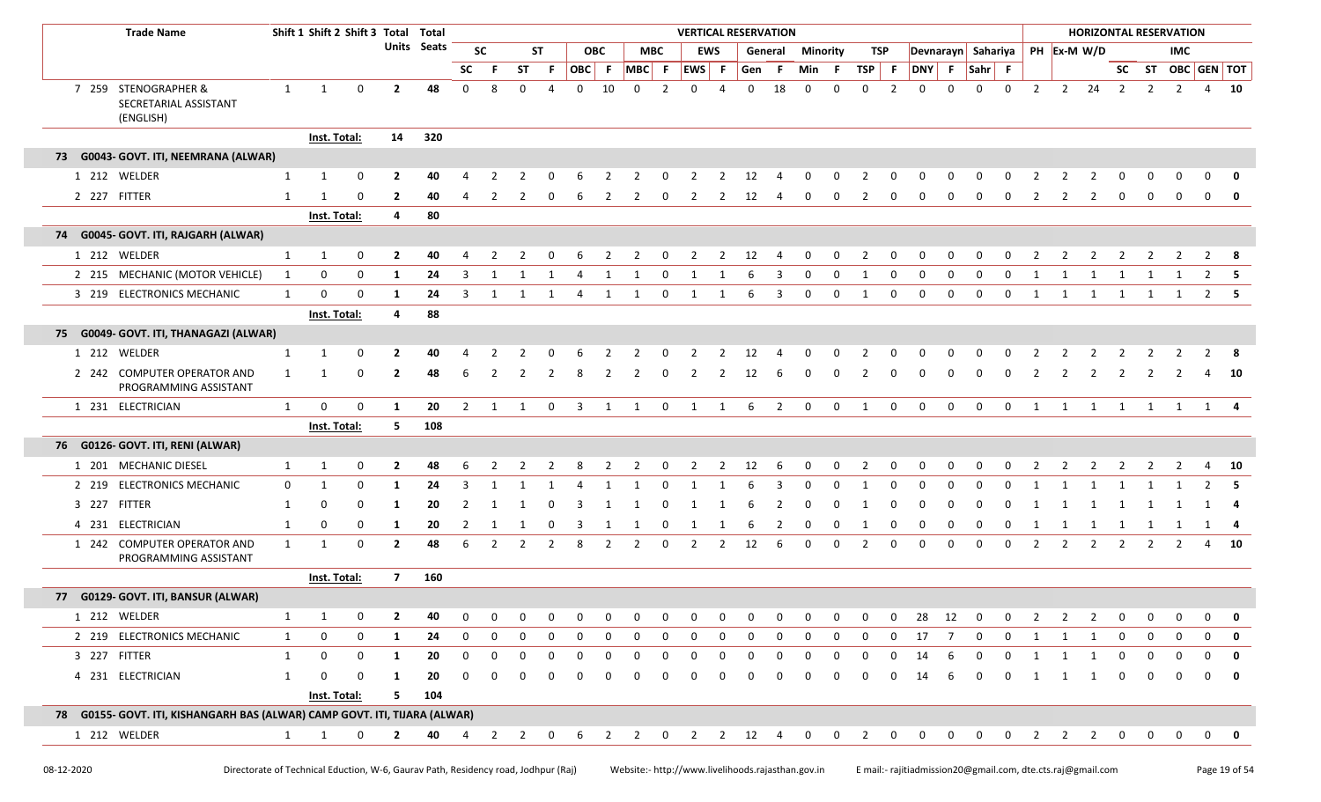| <b>Trade Name</b>                                                          |              |                     |                                                                                           |                |     |                |                |              |                |                |                         |                |                | <b>VERTICAL RESERVATION</b> |                |                        |              |              |              |                |                |                    |             |              |              |                |                |                   |                |                | <b>HORIZONTAL RESERVATION</b> |              |              |
|----------------------------------------------------------------------------|--------------|---------------------|-------------------------------------------------------------------------------------------|----------------|-----|----------------|----------------|--------------|----------------|----------------|-------------------------|----------------|----------------|-----------------------------|----------------|------------------------|--------------|--------------|--------------|----------------|----------------|--------------------|-------------|--------------|--------------|----------------|----------------|-------------------|----------------|----------------|-------------------------------|--------------|--------------|
|                                                                            |              |                     | Shift 1 Shift 2 Shift 3 Total Total<br>Units Seats<br>0<br>$\overline{2}$<br>$\mathbf{1}$ |                |     |                | <b>SC</b>      |              | <b>ST</b>      | <b>OBC</b>     |                         |                | <b>MBC</b>     |                             | <b>EWS</b>     | General                |              | Minority     |              | TSP            |                | Devnarayn Sahariya |             |              |              |                |                | PH Ex-M W/D       |                |                | IMC                           |              |              |
|                                                                            |              |                     |                                                                                           |                |     | <b>SC</b>      | -F.            | <b>ST</b>    | F.             | OBC F          |                         | MBC F          |                | <b>EWS</b>                  | - F            | Gen F                  |              | Min          | - F          | <b>TSP</b>     | F.             | DNY                | F           | Sahr F       |              |                |                |                   |                |                | SC ST OBC GEN TOT             |              |              |
| 7 259 STENOGRAPHER &<br>SECRETARIAL ASSISTANT<br>(ENGLISH)                 | $\mathbf{1}$ |                     |                                                                                           |                | 48  | 0              | 8              | $\mathbf 0$  | 4              | 0              | 10                      | $\mathbf 0$    | $\overline{2}$ | 0                           | 4              | 0                      | 18           | 0            | 0            | 0              | $\overline{2}$ | 0                  | 0           | $\Omega$     | $\mathbf{0}$ | $\overline{2}$ |                | $2 \overline{24}$ | $\overline{2}$ | $\overline{2}$ | $\overline{2}$                |              | 4 10         |
|                                                                            |              | Inst. Total:        |                                                                                           | 14             | 320 |                |                |              |                |                |                         |                |                |                             |                |                        |              |              |              |                |                |                    |             |              |              |                |                |                   |                |                |                               |              |              |
| 73 G0043- GOVT. ITI, NEEMRANA (ALWAR)                                      |              |                     |                                                                                           |                |     |                |                |              |                |                |                         |                |                |                             |                |                        |              |              |              |                |                |                    |             |              |              |                |                |                   |                |                |                               |              |              |
| 1 212 WELDER                                                               | 1            | $\mathbf{1}$        | 0                                                                                         | $\overline{2}$ | 40  | 4              | 2              | 2            |                |                | 2                       | 2              | 0              | 2                           | 2              | 12                     | 4            | 0            | 0            | 2              | 0              | 0                  | 0           | 0            | 0            | 2              | 2              | $\overline{2}$    | 0              | 0              | 0                             | 0            | $\mathbf 0$  |
| 2 227 FITTER                                                               | 1            |                     | 0                                                                                         | $\overline{2}$ | 40  | 4              |                | 2            | 0              | 6              |                         | 2              | 0              | 2                           | 2              | 12                     | 4            | 0            | 0            | 2              | 0              | 0                  | 0           | 0            | 0            | 2              | 2              | 2                 | $\mathbf 0$    | 0              | 0                             | 0            | 0            |
|                                                                            |              | Inst. Total:        |                                                                                           | 4              | 80  |                |                |              |                |                |                         |                |                |                             |                |                        |              |              |              |                |                |                    |             |              |              |                |                |                   |                |                |                               |              |              |
| 74 G0045- GOVT. ITI, RAJGARH (ALWAR)                                       |              |                     |                                                                                           |                |     |                |                |              |                |                |                         |                |                |                             |                |                        |              |              |              |                |                |                    |             |              |              |                |                |                   |                |                |                               |              |              |
| 1 212 WELDER                                                               | $\mathbf{1}$ | 1                   | 0                                                                                         | $\overline{2}$ | 40  | 4              | $\overline{2}$ | 2            | 0              | 6              | $\overline{2}$          | $\overline{2}$ | $\mathbf{0}$   | $\overline{2}$              | $\overline{2}$ | 12                     | 4            | 0            | $\mathbf 0$  | $\overline{2}$ | 0              | 0                  | 0           | 0            | $\mathbf 0$  | $\overline{2}$ | $\overline{2}$ | $\overline{2}$    | $\overline{2}$ | $\overline{2}$ | $\overline{2}$                | $2 \times 8$ |              |
| 2 215 MECHANIC (MOTOR VEHICLE)                                             | 1            | 0                   | 0                                                                                         | 1              | 24  | 3              | -1             | 1            | $\mathbf{1}$   | 4              | $\mathbf{1}$            | 1              | 0              | $\mathbf{1}$                | -1             | 6                      | 3            | 0            | 0            | 1              | 0              | 0                  | 0           | 0            | 0            | 1              | -1             | $\mathbf{1}$      | $\mathbf{1}$   |                |                               | $\mathbf{2}$ |              |
| 3 219 ELECTRONICS MECHANIC                                                 | 1            | $\mathbf 0$         | 0                                                                                         | 1              | 24  | 3              | 1              | 1            | 1              | $\overline{4}$ | 1                       | $\overline{1}$ | $\mathbf 0$    | 1                           | $\mathbf{1}$   | 6                      | 3            | 0            | 0            | 1              | 0              | 0                  | $\mathbf 0$ | $\mathbf 0$  | $\mathbf 0$  | $\mathbf{1}$   | 1              | $\overline{1}$    | 1              | 1              | 1                             |              | $2 \quad 5$  |
|                                                                            |              | Inst. Total:        |                                                                                           | 4              | 88  |                |                |              |                |                |                         |                |                |                             |                |                        |              |              |              |                |                |                    |             |              |              |                |                |                   |                |                |                               |              |              |
| 75 G0049- GOVT. ITI, THANAGAZI (ALWAR)                                     |              |                     |                                                                                           |                |     |                |                |              |                |                |                         |                |                |                             |                |                        |              |              |              |                |                |                    |             |              |              |                |                |                   |                |                |                               |              |              |
| 1 212 WELDER                                                               | 1            | 1                   | 0                                                                                         | $\overline{2}$ | 40  |                |                |              |                |                |                         |                |                |                             |                | 12                     |              |              |              |                |                |                    |             |              |              |                |                |                   |                |                |                               |              |              |
| 2 242 COMPUTER OPERATOR AND<br>PROGRAMMING ASSISTANT                       | 1            |                     | 0                                                                                         | $\overline{2}$ | 48  | 6              |                |              |                |                |                         |                | 0              | 2                           | 2              | 12                     | 6            | 0            |              |                | 0              |                    | 0           | $\Omega$     | 0            |                |                | 2                 | 2              |                |                               |              | - 10         |
| 1 231 ELECTRICIAN                                                          | 1            | 0                   | $\mathbf 0$                                                                               | 1              | 20  | $\overline{2}$ | 1              | 1            | $\mathbf 0$    | $\mathbf{3}$   | $\mathbf{1}$            | $\overline{1}$ | $\mathbf 0$    | $\overline{\mathbf{1}}$     | $\overline{1}$ | - 6                    | 2            | $\mathbf 0$  | $\mathbf 0$  | 1              | $\mathbf 0$    | $\mathbf 0$        | $\mathbf 0$ | $\mathbf 0$  | $\mathbf 0$  | 1              | 1              | $\overline{1}$    | $\overline{1}$ |                | 1 1 1 4                       |              |              |
|                                                                            |              | Inst. Total:        |                                                                                           | 5              | 108 |                |                |              |                |                |                         |                |                |                             |                |                        |              |              |              |                |                |                    |             |              |              |                |                |                   |                |                |                               |              |              |
| 76 G0126- GOVT. ITI, RENI (ALWAR)                                          |              |                     |                                                                                           |                |     |                |                |              |                |                |                         |                |                |                             |                |                        |              |              |              |                |                |                    |             |              |              |                |                |                   |                |                |                               |              |              |
| 1 201 MECHANIC DIESEL                                                      | 1            | 1                   | 0                                                                                         | $\mathbf{2}$   | 48  | 6              | 2              | 2            | $\overline{2}$ | 8              | $\overline{2}$          | $\overline{2}$ | $\mathbf{0}$   | $\overline{2}$              | $\overline{2}$ | 12                     | - 6          | $\mathbf{0}$ | $\mathbf{0}$ | $\overline{2}$ | $\mathbf 0$    | 0                  | 0           | $\mathbf 0$  | $\mathbf 0$  | $\overline{2}$ | $\overline{2}$ | $\overline{2}$    | $\overline{2}$ | $\overline{2}$ | $\overline{2}$                |              | 4 10         |
| 2 219 ELECTRONICS MECHANIC                                                 | 0            | 1                   | 0                                                                                         | 1              | 24  | 3              | $\overline{1}$ | $\mathbf{1}$ | -1             | 4              | $\overline{\mathbf{1}}$ | -1             | 0              | $\mathbf{1}$                | - 1            | 6                      | 3            | 0            | 0            | 1              | $\mathbf 0$    | 0                  | 0           | 0            | 0            |                |                |                   |                |                |                               | 2            | -5           |
| 3 227 FITTER                                                               | -1           | $\Omega$            | $\Omega$                                                                                  | 1              | 20  |                | -1             | -1           | 0              |                | -1                      | -1             | 0              | -1                          |                | 6                      |              | 0            |              |                |                |                    |             |              |              |                |                |                   |                |                |                               | 1            | - 4          |
| 4 231 ELECTRICIAN                                                          | 1            | 0                   | 0                                                                                         | 1              | 20  | 2              | -1             | 1            | $\mathbf 0$    | 3              | 1                       | 1              | $\mathbf 0$    | 1                           | -1             | 6                      | 2            | 0            | 0            | 1              | 0              | 0                  | 0           | 0            | 0            | 1              | 1              | 1                 | 1              | 1              | -1                            | 1            | - 4          |
| 1 242 COMPUTER OPERATOR AND<br>PROGRAMMING ASSISTANT                       | 1            | 1                   | $\mathbf 0$                                                                               | $\mathbf{2}$   | 48  | 6              | $\mathcal{P}$  | 2            | 2              | 8              | 2                       | 2              | 0              | 2                           | 2              | 12                     | 6            | 0            | 0            | 2              | 0              | 0                  | 0           | 0            | 0            | $\overline{2}$ | 2              | 2                 | $\overline{2}$ | $\overline{2}$ | 2                             |              | 4 10         |
|                                                                            |              | Inst. Total:        |                                                                                           | $\overline{7}$ | 160 |                |                |              |                |                |                         |                |                |                             |                |                        |              |              |              |                |                |                    |             |              |              |                |                |                   |                |                |                               |              |              |
| 77 G0129- GOVT. ITI, BANSUR (ALWAR)                                        |              |                     |                                                                                           |                |     |                |                |              |                |                |                         |                |                |                             |                |                        |              |              |              |                |                |                    |             |              |              |                |                |                   |                |                |                               |              |              |
| 1 212 WELDER                                                               | 1            | 1                   | 0                                                                                         | $\overline{2}$ | 40  | $\mathbf 0$    | 0              | 0            | 0              | $\mathbf{0}$   | 0                       | 0              | 0              | $\mathbf{0}$                | 0              | 0                      | $\mathbf{0}$ | $\mathbf{0}$ | $\mathbf{0}$ | $\mathbf{0}$   | $\mathbf{0}$   | 28                 | 12          | 0            | 0            | 2              |                | 2                 | 0              | 0              | $\mathbf 0$                   | 0            | 0            |
| 2 219 ELECTRONICS MECHANIC                                                 | 1            | 0                   | 0                                                                                         | 1              | 24  | 0              |                | 0            |                |                |                         | $\Omega$       |                | $\Omega$                    |                |                        |              |              | 0            | 0              |                | 17                 |             | 0            |              |                |                |                   | $\Omega$       | $\Omega$       | <sup>0</sup>                  | O.           | 0            |
| 3 227 FITTER                                                               | 1            | 0                   | $\mathbf 0$                                                                               | 1              | 20  | 0              |                | 0            | 0              | 0              | $\Omega$                | 0              | 0              | 0                           |                | 0                      | 0            | 0            | 0            | 0              | 0              | 14                 | 6           | 0            | 0            | 1              | 1              | 1                 | 0              | 0              |                               | 0            | $\mathbf 0$  |
| 4 231 ELECTRICIAN                                                          | 1            |                     | $\mathbf 0$                                                                               | 1              | 20  | 0              |                |              |                |                |                         |                |                |                             |                | O                      |              |              | 0            | 0              | 0              | 14                 | 6           | 0            | 0            | 1              | 1              | 1                 | 0              | 0              | $\Omega$                      | 0            | $\mathbf{0}$ |
|                                                                            |              | <b>Inst. Total:</b> |                                                                                           | 5              | 104 |                |                |              |                |                |                         |                |                |                             |                |                        |              |              |              |                |                |                    |             |              |              |                |                |                   |                |                |                               |              |              |
| 78 G0155- GOVT. ITI, KISHANGARH BAS (ALWAR) CAMP GOVT. ITI, TIJARA (ALWAR) |              |                     |                                                                                           |                |     |                |                |              |                |                |                         |                |                |                             |                |                        |              |              |              |                |                |                    |             |              |              |                |                |                   |                |                |                               |              |              |
| 1 212 WELDER                                                               | $\mathbf{1}$ | $\mathbf{1}$        | 0                                                                                         | $\overline{2}$ | 40  | 4              | $2 \quad 2$    |              | $\mathbf 0$    | 6              |                         | $2 \quad 2$    | $\overline{0}$ |                             |                | $2 \qquad 2 \qquad 12$ | 4            | 0            | $\mathbf{0}$ | $\overline{2}$ | $\mathbf{0}$   | 0                  | $\mathbf 0$ | $\mathbf{0}$ | $\mathbf 0$  | $\overline{2}$ |                | $2 \quad 2$       | $\mathbf{0}$   | $\mathbf{0}$   | $\mathbf{0}$                  | $\mathbf{0}$ |              |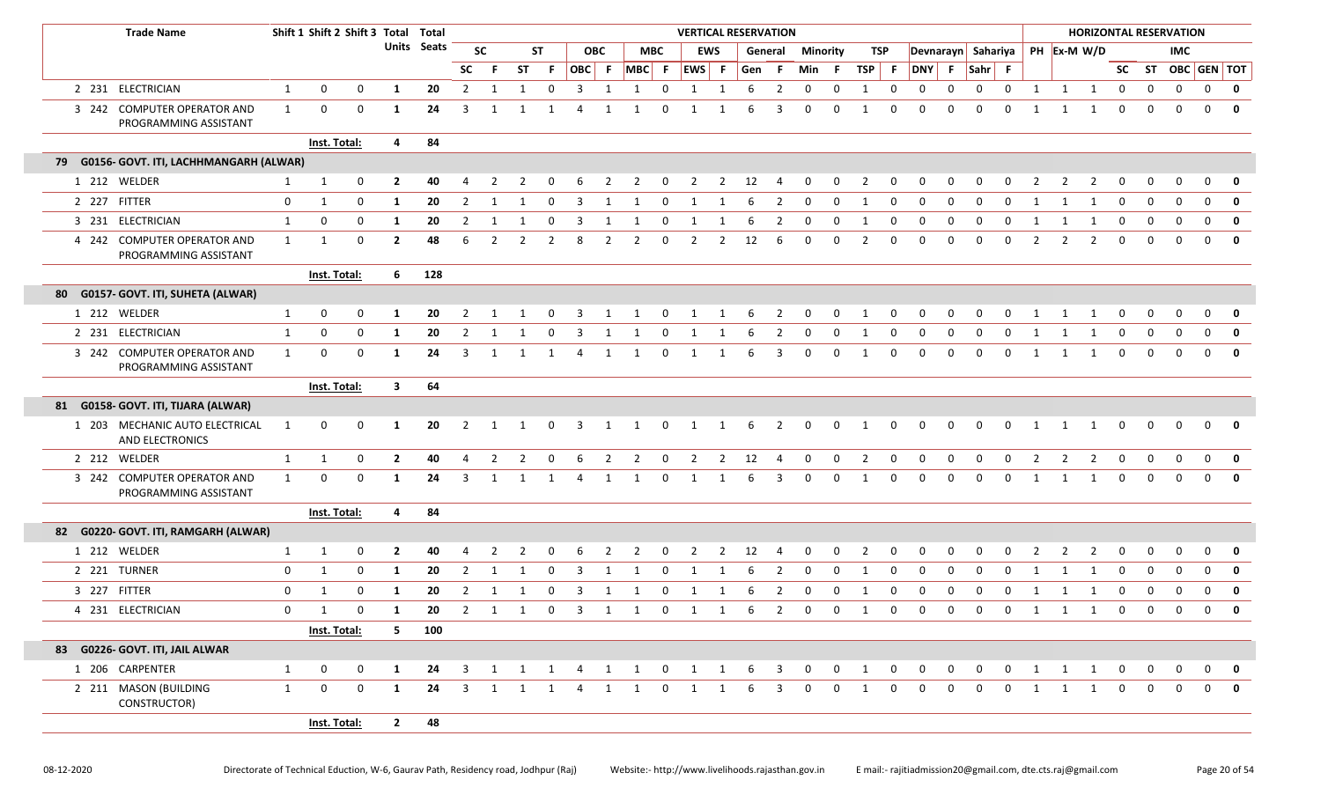|    | <b>Trade Name</b>                                    |              | Shift 1 Shift 2 Shift 3 Total Total |              |                |             |                         |                |                                |              |                         |            |                     |                         | <b>VERTICAL RESERVATION</b> |                |       |                         |                         |                 |                |                         |                |          |             |              |                |                |                                  |                         | <b>HORIZONTAL RESERVATION</b> |                         |                   |              |
|----|------------------------------------------------------|--------------|-------------------------------------|--------------|----------------|-------------|-------------------------|----------------|--------------------------------|--------------|-------------------------|------------|---------------------|-------------------------|-----------------------------|----------------|-------|-------------------------|-------------------------|-----------------|----------------|-------------------------|----------------|----------|-------------|--------------|----------------|----------------|----------------------------------|-------------------------|-------------------------------|-------------------------|-------------------|--------------|
|    |                                                      |              |                                     |              |                | Units Seats |                         | <b>SC</b>      |                                | ST           |                         | <b>OBC</b> |                     | <b>MBC</b>              |                             | <b>EWS</b>     |       | General                 |                         | <b>Minority</b> |                | TSP                     |                |          |             |              |                |                | Devnarayn Sahariya   PH Ex-M W/D |                         |                               | <b>IMC</b>              |                   |              |
|    |                                                      |              |                                     |              |                |             | <b>SC</b>               | F.             | ST                             | F.           | OBC F                   |            |                     |                         | MBC F EWS F                 |                | Gen F |                         | Min                     | - F             | TSP F          |                         | DNY F          |          | $ Sahr $ F  |              |                |                |                                  |                         |                               |                         | SC ST OBC GEN TOT |              |
|    | 2 231 ELECTRICIAN                                    | $\mathbf{1}$ | 0                                   | 0            | 1              | 20          | $\overline{2}$          | 1              | 1                              | $\mathbf 0$  | 3                       | 1          | 1                   | 0                       | 1                           | 1              | 6     | $\overline{2}$          | $\mathbf 0$             | 0               | 1              | $\mathbf 0$             | 0              | 0        | $\mathbf 0$ | $\mathbf 0$  | 1              | 1              | 1                                | $\mathbf 0$             | 0                             | 0                       | 0                 | $\mathbf 0$  |
|    | 3 242 COMPUTER OPERATOR AND<br>PROGRAMMING ASSISTANT | 1            | $\mathbf 0$                         | 0            | -1             | 24          | 3                       | 1              |                                | $\mathbf{1}$ |                         |            |                     | $\Omega$                |                             |                | 6     | 3                       | 0                       | 0               |                | 0                       | $\Omega$       | 0        | $\Omega$    | $\Omega$     |                |                | $\mathbf{1}$                     |                         |                               |                         | $\mathbf 0$       | $\mathbf{0}$ |
|    |                                                      |              | Inst. Total:                        |              | 4              | 84          |                         |                |                                |              |                         |            |                     |                         |                             |                |       |                         |                         |                 |                |                         |                |          |             |              |                |                |                                  |                         |                               |                         |                   |              |
|    | 79 G0156- GOVT. ITI, LACHHMANGARH (ALWAR)            |              |                                     |              |                |             |                         |                |                                |              |                         |            |                     |                         |                             |                |       |                         |                         |                 |                |                         |                |          |             |              |                |                |                                  |                         |                               |                         |                   |              |
|    | 1 212 WELDER                                         | $\mathbf{1}$ | 1                                   | 0            | $\overline{2}$ | 40          | 4                       | -2             | 2                              | 0            | 6                       | 2          | $\overline{2}$      | $\overline{\mathbf{0}}$ | $\overline{2}$              |                | 2 12  | $\overline{4}$          | $\mathbf 0$             | $\mathbf 0$     | $\overline{2}$ | $\mathbf 0$             | $\mathbf 0$    | 0        | 0           | $\mathbf 0$  | 2              | 2              | 2                                | 0                       | 0                             |                         | 0                 | 0            |
|    | 2 227 FITTER                                         | 0            | 1                                   | 0            | -1             | 20          | 2                       | -1             | 1                              | - 0          | 3                       | 1          | 1                   | 0                       | 1                           | 1              | 6     | 2                       | 0                       | 0               | -1             | 0                       | 0              | $\Omega$ | $\Omega$    | $\Omega$     | -1             |                |                                  | 0                       | $\Omega$                      |                         | $\Omega$          | 0            |
|    | 3 231 ELECTRICIAN                                    | $\mathbf{1}$ | 0                                   | 0            | -1             | 20          | $\overline{2}$          | 1              |                                | $\Omega$     | 3                       |            |                     | 0                       | 1                           | -1             | 6     | 2                       | 0                       | <sup>0</sup>    |                | 0                       | $\Omega$       | O        | $\Omega$    | $\Omega$     |                |                | -1                               | $\Omega$                | 0                             |                         | $\Omega$          | $\mathbf 0$  |
|    | 4 242 COMPUTER OPERATOR AND<br>PROGRAMMING ASSISTANT | $\mathbf{1}$ | 1                                   | 0            | $\overline{2}$ | 48          | 6                       | $\overline{2}$ | $\mathcal{P}$                  | 2            | 8                       | 2          | 2                   | $\mathbf 0$             | 2                           | $\overline{2}$ | 12    | -6                      | $\mathbf 0$             | 0               | $\overline{2}$ | 0                       | 0              | $\Omega$ | $\Omega$    | $\Omega$     | $\overline{2}$ | 2              | 2                                | $\Omega$                | $\Omega$                      | $\Omega$                | $\Omega$          | $\mathbf{0}$ |
|    |                                                      |              | Inst. Total:                        |              | 6              | 128         |                         |                |                                |              |                         |            |                     |                         |                             |                |       |                         |                         |                 |                |                         |                |          |             |              |                |                |                                  |                         |                               |                         |                   |              |
| 80 | G0157- GOVT. ITI, SUHETA (ALWAR)                     |              |                                     |              |                |             |                         |                |                                |              |                         |            |                     |                         |                             |                |       |                         |                         |                 |                |                         |                |          |             |              |                |                |                                  |                         |                               |                         |                   |              |
|    | 1 212 WELDER                                         | $\mathbf{1}$ | 0                                   | 0            | -1             | 20          | 2                       |                |                                |              |                         |            |                     |                         |                             |                |       | 2                       |                         | 0               |                | 0                       |                | 0        | O           |              |                |                |                                  |                         |                               |                         | $\Omega$          | 0            |
|    | 2 231 ELECTRICIAN                                    | $\mathbf{1}$ | 0                                   | 0            | 1              | 20          | $\overline{2}$          | -1             |                                | $\Omega$     | 3                       |            |                     | 0                       | 1                           |                |       | 2                       | 0                       | 0               |                | 0                       | 0              | 0        | $\mathbf 0$ | 0            |                |                |                                  | $\Omega$                | $\Omega$                      | $\Omega$                | 0                 | $\mathbf 0$  |
|    | 3 242 COMPUTER OPERATOR AND<br>PROGRAMMING ASSISTANT | $\mathbf{1}$ | 0                                   | 0            | 1              | 24          | 3                       | -1             |                                | 1            | 4                       | 1          | 1                   | 0                       | 1                           | 1              | 6     | 3                       | 0                       | 0               |                | 0                       | $\Omega$       | $\Omega$ | $\mathbf 0$ | $\mathbf 0$  | $\mathbf{1}$   |                | 1                                | $\Omega$                |                               | $\Omega$                | 0                 | $\mathbf{0}$ |
|    |                                                      |              | Inst. Total:                        |              | $\mathbf{3}$   | 64          |                         |                |                                |              |                         |            |                     |                         |                             |                |       |                         |                         |                 |                |                         |                |          |             |              |                |                |                                  |                         |                               |                         |                   |              |
|    | 81 G0158- GOVT. ITI, TIJARA (ALWAR)                  |              |                                     |              |                |             |                         |                |                                |              |                         |            |                     |                         |                             |                |       |                         |                         |                 |                |                         |                |          |             |              |                |                |                                  |                         |                               |                         |                   |              |
|    | 1 203 MECHANIC AUTO ELECTRICAL<br>AND ELECTRONICS    | 1            | 0                                   | 0            | -1             | 20          | $\overline{2}$          | 1              | 1                              | 0            | $\overline{\mathbf{3}}$ | 1          | 1                   | $\overline{0}$          | $\overline{1}$              | $\mathbf{1}$   | 6     | $\overline{2}$          | $\mathbf{0}$            | 0               | 1              | $\mathbf 0$             | $\mathbf 0$    | 0        | 0           | $\mathbf 0$  | 1              | 1              | 1                                | $\mathbf 0$             | 0                             | 0                       | $\mathbf 0$       | 0            |
|    | 2 212 WELDER                                         | $\mathbf{1}$ | 1                                   | 0            | $\overline{2}$ | 40          | $\overline{4}$          | $\overline{2}$ | $\overline{2}$                 | 0            | 6                       | 2          | 2                   | 0                       | $\overline{2}$              | $\overline{2}$ | 12    | $\overline{4}$          | 0                       | 0               | $\overline{2}$ | 0                       | 0              | 0        | 0           | $\mathbf 0$  | $\overline{2}$ | $\overline{2}$ | $\overline{2}$                   | 0                       | 0                             | $\mathbf 0$             | 0                 | $\mathbf{0}$ |
|    | 3 242 COMPUTER OPERATOR AND<br>PROGRAMMING ASSISTANT | $\mathbf{1}$ | 0                                   | 0            | 1              | 24          | 3                       | 1              |                                | 1            | 4                       | 1          | 1                   | 0                       | 1                           | $\mathbf{1}$   | 6     | 3                       | 0                       | 0               | -1             | 0                       | 0              | $\Omega$ | $\mathbf 0$ | $\mathbf 0$  | 1              | 1              | 1                                | $\Omega$                | $\Omega$                      | $\Omega$                | $\mathbf 0$       | $\mathbf{0}$ |
|    |                                                      |              | Inst. Total:                        |              | 4              | 84          |                         |                |                                |              |                         |            |                     |                         |                             |                |       |                         |                         |                 |                |                         |                |          |             |              |                |                |                                  |                         |                               |                         |                   |              |
|    | 82 G0220- GOVT. ITI, RAMGARH (ALWAR)                 |              |                                     |              |                |             |                         |                |                                |              |                         |            |                     |                         |                             |                |       |                         |                         |                 |                |                         |                |          |             |              |                |                |                                  |                         |                               |                         |                   |              |
|    | 1 212 WELDER                                         | 1            | 1                                   | 0            | $\mathbf{2}$   | 40          |                         |                |                                |              | -6                      | 2          | 2                   | 0                       | -2                          | 2              | 12    | $\overline{4}$          | 0                       | 0               | 2              | 0                       | - 0            | $\Omega$ | $\Omega$    | <sup>0</sup> |                |                | $\mathcal{L}$                    |                         |                               |                         | $\Omega$          | 0            |
|    | 2 221 TURNER                                         | 0            | 1                                   | 0            | -1             | 20          | 2                       | -1             |                                | - 0          | 3                       | 1          |                     | 0                       | 1                           | 1              | b     | 2                       | 0                       | 0               | -1             | $\Omega$                | $\Omega$       | $\Omega$ | $\Omega$    | $\Omega$     | -1             |                |                                  | 0                       | $\Omega$                      |                         | $\Omega$          | $\mathbf 0$  |
|    | 3 227 FITTER                                         | $\mathbf 0$  | 1                                   | 0            | -1             | 20          | 2                       | -1             | 1                              | 0            | 3                       | 1          | 1                   | 0                       | 1                           | 1              | 6     | $\overline{2}$          | $\mathbf 0$             | 0               | 1              | 0                       | 0              | 0        | 0           | 0            | 1              | 1              | 1                                | 0                       | 0                             |                         | 0                 | $\mathbf 0$  |
|    | 4 231 ELECTRICIAN                                    | $\mathbf{0}$ | $\mathbf{1}$                        | $\mathbf 0$  | $\mathbf{1}$   | 20          |                         |                | $2 \qquad 1 \qquad 1 \qquad 0$ |              |                         |            | 3 1 1 0 1 1 6 2     |                         |                             |                |       |                         | $\overline{\mathbf{0}}$ | $0\qquad 1$     |                | $\overline{\mathbf{0}}$ | $\overline{0}$ |          | $0\qquad 0$ |              |                |                | 0 1 1 1 0                        |                         | $\overline{0}$                | $\overline{\mathbf{0}}$ | $\overline{0}$    | 0            |
|    |                                                      |              | Inst. Total:                        |              | 5 -            | 100         |                         |                |                                |              |                         |            |                     |                         |                             |                |       |                         |                         |                 |                |                         |                |          |             |              |                |                |                                  |                         |                               |                         |                   |              |
|    | 83 G0226- GOVT. ITI, JAIL ALWAR                      |              |                                     |              |                |             |                         |                |                                |              |                         |            |                     |                         |                             |                |       |                         |                         |                 |                |                         |                |          |             |              |                |                |                                  |                         |                               |                         |                   |              |
|    | 1 206 CARPENTER                                      | $\mathbf{1}$ | 0                                   | $\mathbf{0}$ | 1              | 24          | $\overline{\mathbf{3}}$ |                |                                |              |                         |            | 1 1 1 4 1 1 0 1 1 6 |                         |                             |                |       | $\overline{\mathbf{3}}$ | $\overline{0}$          | $\mathbf 0$     | $\overline{1}$ | $\overline{\mathbf{0}}$ | $\overline{0}$ | 0        | 0           | $\mathbf 0$  |                | 1 1            | $\overline{1}$                   | $\overline{\mathbf{0}}$ | 0                             | $\mathbf 0$             | $\mathbf 0$       | 0            |
|    | 2 211 MASON (BUILDING<br>CONSTRUCTOR)                | $\mathbf{1}$ | 0                                   | $\mathbf 0$  | 1              | 24          | 3                       | 1              | 1                              | 1            | 4                       | 1          | $\mathbf{1}$        | 0                       | 1                           | 1              | 6     | 3                       | $\mathbf 0$             | $\Omega$        | 1              | $\Omega$                | $\mathbf 0$    | 0        | $\Omega$    | $\mathbf 0$  | 1              | 1              | $\overline{1}$                   | $\mathbf{0}$            | $\mathbf 0$                   | 0                       | $\mathbf{0}$      | 0            |
|    |                                                      |              | Inst. Total:                        |              | $\mathbf{2}$   | 48          |                         |                |                                |              |                         |            |                     |                         |                             |                |       |                         |                         |                 |                |                         |                |          |             |              |                |                |                                  |                         |                               |                         |                   |              |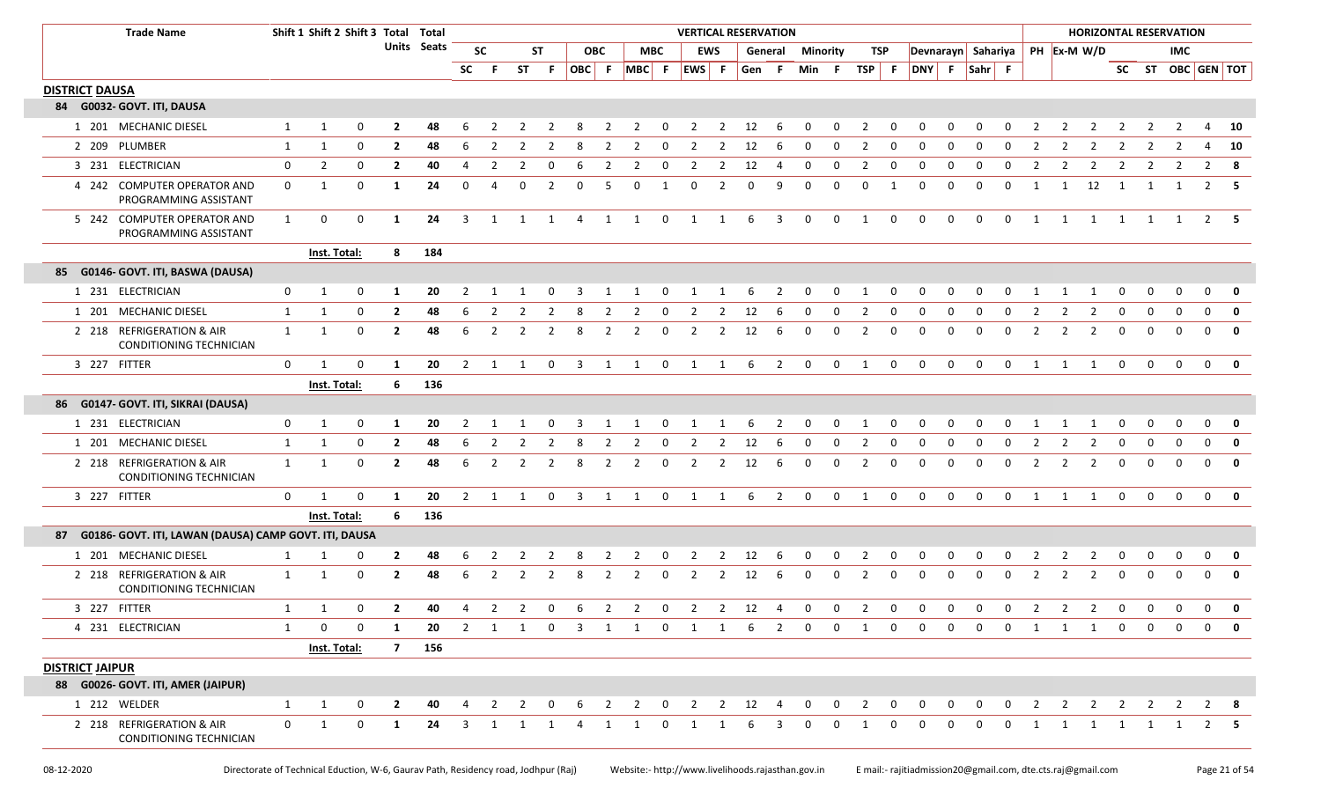|                        | <b>Trade Name</b>                                           |              | Shift 1 Shift 2 Shift 3 Total Total |              |                |             |                |                     |                |                |                         |                |                |                | <b>VERTICAL RESERVATION</b> |                |             |                |              |              |                         |                |                                  |              |             |                |                |                |                |                |                | <b>HORIZONTAL RESERVATION</b> |                |                         |
|------------------------|-------------------------------------------------------------|--------------|-------------------------------------|--------------|----------------|-------------|----------------|---------------------|----------------|----------------|-------------------------|----------------|----------------|----------------|-----------------------------|----------------|-------------|----------------|--------------|--------------|-------------------------|----------------|----------------------------------|--------------|-------------|----------------|----------------|----------------|----------------|----------------|----------------|-------------------------------|----------------|-------------------------|
|                        |                                                             |              |                                     |              |                | Units Seats |                | <b>SC</b>           |                | <b>ST</b>      |                         | <b>OBC</b>     |                | <b>MBC</b>     |                             | <b>EWS</b>     |             | General        | Minority     |              | <b>TSP</b>              |                | Devnarayn Sahariya   PH Ex-M W/D |              |             |                |                |                |                |                |                | <b>IMC</b>                    |                |                         |
|                        |                                                             |              |                                     |              |                |             | <b>SC</b>      | - F                 | ST             | - F            | OBC F                   |                | $MBC$ F        |                | EWS F                       |                | Gen F       |                | Min F        |              | TSP                     | F              | DNY F Sahr F                     |              |             |                |                |                |                |                |                |                               |                | SC ST OBC GEN TOT       |
| <b>DISTRICT DAUSA</b>  |                                                             |              |                                     |              |                |             |                |                     |                |                |                         |                |                |                |                             |                |             |                |              |              |                         |                |                                  |              |             |                |                |                |                |                |                |                               |                |                         |
|                        | 84 G0032- GOVT. ITI, DAUSA                                  |              |                                     |              |                |             |                |                     |                |                |                         |                |                |                |                             |                |             |                |              |              |                         |                |                                  |              |             |                |                |                |                |                |                |                               |                |                         |
|                        | 1 201 MECHANIC DIESEL                                       | 1            | 1                                   | 0            | $\mathbf{2}$   | 48          |                |                     |                |                |                         |                |                |                |                             |                | 12          |                |              | 0            |                         |                |                                  |              | $\Omega$    |                |                |                |                |                |                |                               |                | 10                      |
|                        | 2 209 PLUMBER                                               | 1            | 1                                   | 0            | $\overline{2}$ | 48          | 6              |                     | 2              |                | 8                       | 2              | $\overline{2}$ | $\mathbf 0$    | 2                           |                | 12          | 6              | 0            | 0            | $\overline{2}$          | $\mathbf 0$    | 0                                | 0            | 0           | $\mathbf 0$    | 2              |                | $\overline{2}$ | 2              | 2              | $\overline{2}$                | $\overline{4}$ | 10                      |
|                        | 3 231 ELECTRICIAN                                           | 0            | $\overline{2}$                      | 0            | $\mathbf{2}$   | 40          | $\overline{4}$ |                     | $\overline{2}$ | 0              | 6                       | $\overline{2}$ | $\overline{2}$ | 0              | $\overline{2}$              | $\overline{2}$ | 12          | 4              | 0            | 0            | $\overline{2}$          | 0              | 0                                | 0            | 0           | 0              | $\overline{2}$ | $\overline{2}$ | $\overline{2}$ | 2              | $\overline{2}$ | 2                             | $\overline{2}$ | 8                       |
|                        | 4 242 COMPUTER OPERATOR AND<br>PROGRAMMING ASSISTANT        | 0            | 1                                   | 0            | 1              | 24          | $\mathbf 0$    | 4                   | $\mathbf 0$    | 2              | $\mathbf 0$             | 5              | $\mathbf 0$    | 1              | $\mathbf 0$                 | 2              | $\mathbf 0$ | 9              | $\mathbf 0$  | 0            | 0                       | 1              | 0                                | 0            | $\mathbf 0$ | $\mathbf 0$    | 1              | $\mathbf{1}$   | 12             | $\overline{1}$ | 1              | $\mathbf{1}$                  |                | $2 \quad 5$             |
|                        | 5 242 COMPUTER OPERATOR AND<br>PROGRAMMING ASSISTANT        | $\mathbf{1}$ | $\mathbf 0$                         | 0            | 1              | 24          | 3              | 1                   | $\overline{1}$ | $\overline{1}$ | $\overline{4}$          | 1              | $\overline{1}$ | $\mathbf 0$    | 1                           | $\overline{1}$ | 6           | 3              | $\mathbf 0$  | $\mathbf 0$  | 1                       | $\mathbf 0$    | $\mathbf 0$                      | $\mathbf 0$  | $\mathbf 0$ | $\mathbf 0$    | 1              | 1              | $\overline{1}$ | $\overline{1}$ |                | 1 1                           |                | $2 \quad 5$             |
|                        |                                                             |              | Inst. Total:                        |              | 8              | 184         |                |                     |                |                |                         |                |                |                |                             |                |             |                |              |              |                         |                |                                  |              |             |                |                |                |                |                |                |                               |                |                         |
|                        | 85 G0146- GOVT. ITI, BASWA (DAUSA)                          |              |                                     |              |                |             |                |                     |                |                |                         |                |                |                |                             |                |             |                |              |              |                         |                |                                  |              |             |                |                |                |                |                |                |                               |                |                         |
|                        | 1 231 ELECTRICIAN                                           | 0            | 1                                   | 0            | 1              | 20          | 2              |                     |                |                |                         |                |                |                |                             |                | 6           |                | 0            | 0            |                         |                | 0                                | $\Omega$     | $\Omega$    |                |                |                |                | 0              | 0              | 0                             | 0              | $\mathbf 0$             |
|                        | 1 201 MECHANIC DIESEL                                       | 1            | 1                                   | $\mathbf 0$  | $\overline{2}$ | 48          | 6              | $\overline{2}$      | 2              | $\overline{2}$ | 8                       | $\overline{2}$ | $\overline{2}$ | $\mathbf 0$    | $\overline{2}$              | $\overline{2}$ | 12          | 6              | $\mathbf 0$  | $\mathbf 0$  | $\overline{2}$          | $\mathbf{0}$   | 0                                | 0            | $\mathbf 0$ | $\mathbf 0$    | $\overline{2}$ | $\overline{2}$ | $\overline{2}$ | $\mathbf 0$    | 0              | $\mathbf 0$                   | $\overline{0}$ | $\overline{\mathbf{0}}$ |
|                        | 2 218 REFRIGERATION & AIR<br><b>CONDITIONING TECHNICIAN</b> | 1            | 1                                   | 0            | $\overline{2}$ | 48          | 6              | $\overline{2}$      | 2              | 2              | 8                       | 2              | $\overline{2}$ | 0              | $\overline{2}$              | 2              | 12          | 6              | 0            | 0            | $\overline{2}$          | 0              | 0                                | 0            | $\mathbf 0$ | 0              | 2              | 2              | 2              | $\mathbf 0$    | $\mathbf 0$    | $\Omega$                      | $\mathbf 0$    | $\mathbf{0}$            |
|                        | 3 227 FITTER                                                | $\mathbf 0$  | 1                                   | 0            | 1              | 20          |                | $2 \quad 1 \quad 1$ |                | $\overline{0}$ |                         |                |                |                | 3 1 1 0 1 1                 |                | 6           | $\overline{2}$ | $\mathbf 0$  | $\mathbf 0$  | $\overline{1}$          | $\mathbf 0$    | $\mathbf 0$                      | $\mathbf 0$  | $\mathbf 0$ | $\mathbf 0$    | 1 1            |                | $\overline{1}$ | $\overline{0}$ | $\mathbf 0$    | $\mathbf{0}$                  |                | $0$ 0                   |
|                        |                                                             |              | Inst. Total:                        |              | 6              | 136         |                |                     |                |                |                         |                |                |                |                             |                |             |                |              |              |                         |                |                                  |              |             |                |                |                |                |                |                |                               |                |                         |
| 86                     | G0147- GOVT. ITI, SIKRAI (DAUSA)                            |              |                                     |              |                |             |                |                     |                |                |                         |                |                |                |                             |                |             |                |              |              |                         |                |                                  |              |             |                |                |                |                |                |                |                               |                |                         |
|                        | 1 231 ELECTRICIAN                                           | 0            | 1                                   | 0            | 1              | 20          | 2              |                     |                |                |                         |                |                |                |                             |                | 6           | 2              | 0            | 0            |                         | 0              | 0                                | 0            |             |                |                |                |                | 0              | 0              | $\Omega$                      | 0              | $\mathbf 0$             |
|                        | 1 201 MECHANIC DIESEL                                       | 1            | 1                                   | 0            | $\mathbf{2}$   | 48          | -6             |                     | 2              |                |                         | 2              | 2              | $\Omega$       | -2                          | 2              | 12          | -6             | $\Omega$     | 0            | 2                       | 0              | $\Omega$                         | 0            | $\Omega$    | <sup>0</sup>   |                |                |                | 0              | $\Omega$       | $\Omega$                      | $\mathbf 0$    | $\mathbf 0$             |
|                        | 2 218 REFRIGERATION & AIR<br>CONDITIONING TECHNICIAN        | 1            | 1                                   | $\mathbf 0$  | $\mathbf{2}$   | 48          | -6             | 2                   | 2              | 2              | -8                      | $\overline{2}$ | $\overline{2}$ | $\mathbf 0$    | $\overline{2}$              | 2              | 12          | 6              | 0            | 0            | $\overline{2}$          | $\mathbf 0$    | $\mathbf 0$                      | $\Omega$     | 0           | 0              | 2              | 2              | 2              | $\mathbf 0$    | 0              | $\Omega$                      | $\mathbf 0$    | $\mathbf 0$             |
|                        | 3 227 FITTER                                                | $\mathbf 0$  | $\mathbf{1}$                        | 0            | 1              | 20          | 2              |                     | 1              | 0              | 3                       | $\mathbf{1}$   | 1              | 0              | 1                           | $\mathbf{1}$   | 6           | 2              | $\mathbf 0$  | $\mathbf{0}$ | 1                       | $\mathbf 0$    | $\mathbf 0$                      | $\mathsf{O}$ | $\mathbf 0$ | $\mathbf 0$    | 1              | 1              | 1              | $\mathbf{0}$   | $\mathbf 0$    | $\mathbf 0$                   | $\mathbf{0}$   | $\mathbf{0}$            |
|                        |                                                             |              | <b>Inst. Total:</b>                 |              | 6              | 136         |                |                     |                |                |                         |                |                |                |                             |                |             |                |              |              |                         |                |                                  |              |             |                |                |                |                |                |                |                               |                |                         |
| 87                     | G0186- GOVT. ITI, LAWAN (DAUSA) CAMP GOVT. ITI, DAUSA       |              |                                     |              |                |             |                |                     |                |                |                         |                |                |                |                             |                |             |                |              |              |                         |                |                                  |              |             |                |                |                |                |                |                |                               |                |                         |
|                        | 1 201 MECHANIC DIESEL                                       | 1            | 1                                   | 0            | $\mathbf{2}$   | 48          | 6              | 2                   | 2              | 2              | 8                       | $\overline{2}$ | $\overline{2}$ | $\mathbf 0$    | $\overline{2}$              | $\overline{2}$ | 12          | - 6            | $\mathbf 0$  | $\mathbf 0$  | $\overline{2}$          | $\mathbf 0$    | 0                                | 0            | 0           | $\mathbf 0$    | 2              | $\overline{2}$ | $\overline{2}$ | $\mathbf 0$    | 0              | 0                             | $\mathbf 0$    | 0                       |
|                        | 2 218 REFRIGERATION & AIR<br>CONDITIONING TECHNICIAN        | 1            | 1                                   | 0            | $\mathbf{2}$   | 48          | 6              | 2                   | 2              | 2              | 8                       | 2              | 2              | 0              | $\overline{2}$              | 2              | 12          | 6              | 0            | $\mathbf 0$  | 2                       | 0              | 0                                | 0            | 0           | $\mathbf 0$    | 2              | $\overline{2}$ | 2              | $\mathbf 0$    | $\mathbf 0$    | $\Omega$                      | $\mathbf{0}$   | $\mathbf{0}$            |
|                        | 3 227 FITTER                                                | 1            | $\mathbf{1}$                        | 0            | $\mathbf{2}$   | 40          | 4              |                     | $2 \quad 2$    | $\mathbf 0$    | 6                       |                | $2 \quad 2$    | $\overline{0}$ |                             |                | 2 2 12 4    |                | $\mathbf{0}$ | $0\qquad 2$  |                         | $\overline{0}$ | $\mathbf{0}$                     | $\mathbf{0}$ | $\mathbf 0$ | $\overline{0}$ | $\overline{2}$ | $2^{\circ}$    | $\overline{2}$ | $\mathbf{0}$   | $\mathbf 0$    | $\mathbf{0}$                  | $\mathbf 0$    | $\mathbf 0$             |
|                        | 4 231 ELECTRICIAN                                           | 1            | $\Omega$                            | $\Omega$     | 1              | 20          | 2              |                     | 1 1 0          |                | $\overline{\mathbf{3}}$ |                | 1 1            | $\overline{0}$ | $\overline{1}$              | $\overline{1}$ | 6           | 2              | $\Omega$     | $\Omega$     | 1                       | $\Omega$       | $\Omega$                         | $\Omega$     | 0           | $\Omega$       | 1              | 1              | $\mathbf{1}$   | $\mathbf 0$    | $\mathbf 0$    | $\Omega$                      | $\Omega$       | 0                       |
|                        |                                                             |              | Inst. Total:                        |              |                | 7 156       |                |                     |                |                |                         |                |                |                |                             |                |             |                |              |              |                         |                |                                  |              |             |                |                |                |                |                |                |                               |                |                         |
| <b>DISTRICT JAIPUR</b> |                                                             |              |                                     |              |                |             |                |                     |                |                |                         |                |                |                |                             |                |             |                |              |              |                         |                |                                  |              |             |                |                |                |                |                |                |                               |                |                         |
|                        | 88 G0026- GOVT. ITI, AMER (JAIPUR)                          |              |                                     |              |                |             |                |                     |                |                |                         |                |                |                |                             |                |             |                |              |              |                         |                |                                  |              |             |                |                |                |                |                |                |                               |                |                         |
|                        | 1 212 WELDER                                                | 1            | 1                                   | 0            | $\overline{2}$ | 40          |                | $\overline{2}$      | 2              | $\Omega$       |                         | 2              | 2              | $\mathbf{0}$   | 2                           |                | $2 \t12$    | $\overline{4}$ | $\mathbf 0$  | $\mathbf{0}$ | $\overline{\mathbf{2}}$ | $\mathbf{0}$   | 0                                | $\mathbf 0$  | 0           | $\mathbf 0$    | 2              | $\overline{2}$ | $\overline{2}$ | $\overline{2}$ | 2              | 2                             |                | $2 \times 8$            |
|                        | 2 218 REFRIGERATION & AIR<br>CONDITIONING TECHNICIAN        | $\mathbf 0$  | 1                                   | $\mathsf{O}$ | 1              | 24          | 3              |                     |                |                | $\Delta$                |                | 1              | $\Omega$       |                             |                | 6           | 3              | $\Omega$     | $\Omega$     | 1                       | $\Omega$       | $\Omega$                         | $\Omega$     | $\Omega$    | $\Omega$       |                |                | 1              |                |                |                               |                |                         |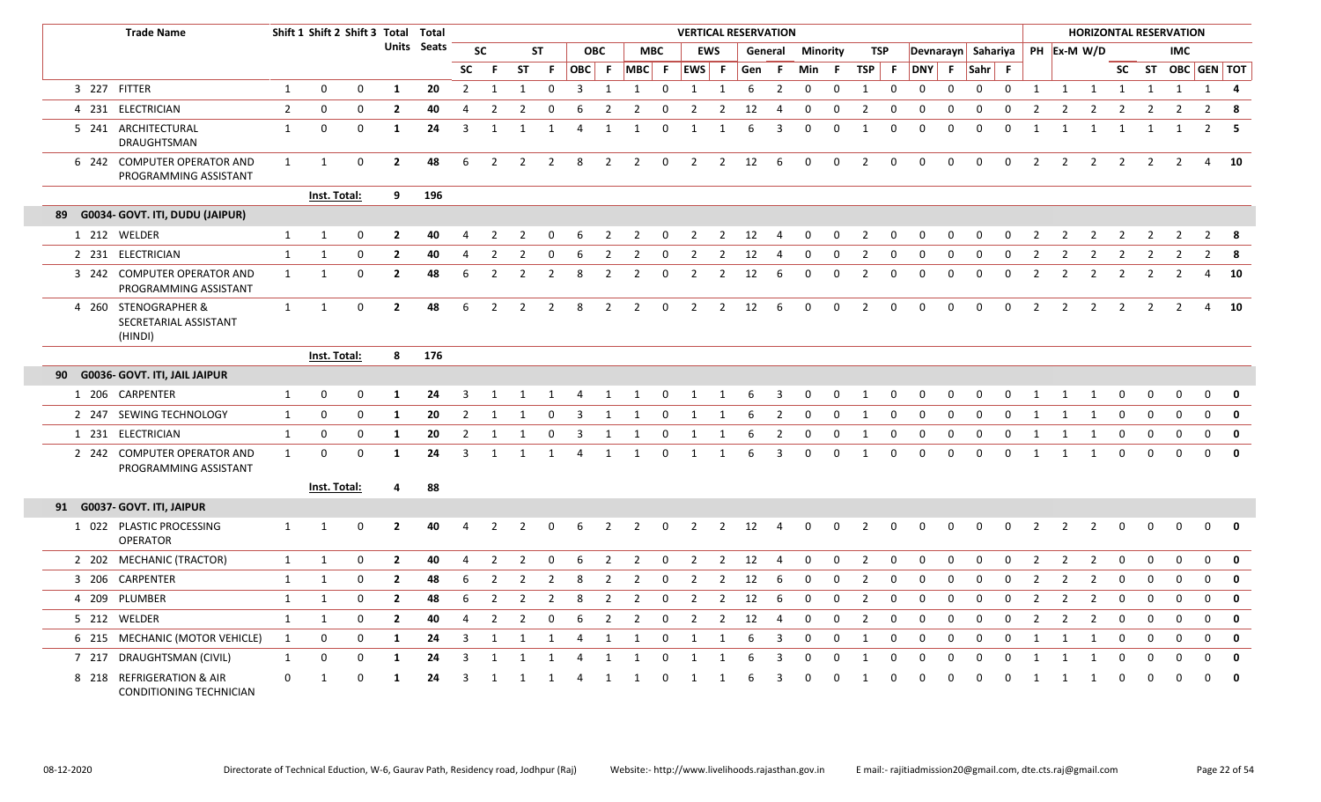|  | <b>Trade Name</b>                                        |                | Shift 1 Shift 2 Shift 3 Total |             |                | Total       |                |                |                |                |                |                |                |              | <b>VERTICAL RESERVATION</b> |                         |         |                |                 |              |                |             |                    |              |              |              |                |                |                         |                |                | <b>HORIZONTAL RESERVATION</b> |                |             |
|--|----------------------------------------------------------|----------------|-------------------------------|-------------|----------------|-------------|----------------|----------------|----------------|----------------|----------------|----------------|----------------|--------------|-----------------------------|-------------------------|---------|----------------|-----------------|--------------|----------------|-------------|--------------------|--------------|--------------|--------------|----------------|----------------|-------------------------|----------------|----------------|-------------------------------|----------------|-------------|
|  |                                                          |                |                               |             |                | Units Seats |                | <b>SC</b>      |                | <b>ST</b>      | <b>OBC</b>     |                | <b>MBC</b>     |              | <b>EWS</b>                  |                         | General |                | <b>Minority</b> |              | TSP            |             | Devnarayn Sahariya |              |              |              |                | PH Ex-M W/D    |                         |                |                | <b>IMC</b>                    |                |             |
|  |                                                          |                |                               |             |                |             | <b>SC</b>      | F.             | <b>ST</b>      | F.             | OBC F          |                | MBC F          |              | $ EWS $ F                   |                         | Gen     | -F.            | Min F           |              | <b>TSP</b>     | - F         | <b>DNY</b>         | F.           | Sahr F       |              |                |                |                         |                |                | SC ST OBC GEN TOT             |                |             |
|  | 3 227 FITTER                                             | 1              | 0                             | $\mathbf 0$ | $\mathbf{1}$   | 20          | 2              | 1              | 1              | 0              | 3              | 1              | 1              | 0            | 1                           | 1                       | 6       | $\overline{2}$ | 0               | 0            | 1              | $\mathbf 0$ | 0                  | $\Omega$     | $\mathbf 0$  | 0            | 1              | 1              | $\overline{1}$          | $\overline{1}$ | 1              | 1                             |                | $1 \quad 4$ |
|  | 4 231 ELECTRICIAN                                        | $\overline{2}$ | $\mathbf 0$                   | $\mathbf 0$ | $\overline{2}$ | 40          | 4              | $\overline{2}$ | $\overline{2}$ | $\Omega$       | 6              | $\overline{2}$ | 2              | $\Omega$     | $\overline{2}$              | $\overline{2}$          | 12      | $\overline{4}$ | 0               | 0            | $\overline{2}$ | 0           | 0                  | $\Omega$     | $\Omega$     | $\Omega$     | $\overline{2}$ | $\overline{2}$ | 2                       | 2              | $\overline{2}$ | $\overline{2}$                | $2^{\circ}$    | - 8         |
|  | 5 241 ARCHITECTURAL<br>DRAUGHTSMAN                       | $\mathbf{1}$   | $\mathbf{0}$                  | $\Omega$    | 1              | 24          | 3              | $\mathbf{1}$   | 1              | $\mathbf{1}$   | 4              | $\mathbf{1}$   | 1              | $\mathbf 0$  | 1                           | 1                       | 6       | 3              | $\Omega$        | $\Omega$     | 1              | 0           | $\mathbf{0}$       | $\mathbf{0}$ | $\mathbf{0}$ | $\Omega$     | $\mathbf{1}$   | 1              | 1                       | 1              | 1              | 1                             | 2              | 5           |
|  | 6 242 COMPUTER OPERATOR AND<br>PROGRAMMING ASSISTANT     | $\mathbf{1}$   | 1                             | $\Omega$    | $\overline{2}$ | 48          | 6              | $\overline{2}$ | $\overline{2}$ | 2              | 8              | $\overline{2}$ | $\overline{2}$ | $\mathbf{0}$ | $\overline{2}$              | $\overline{\mathbf{2}}$ | 12      | 6              | $\mathbf 0$     | $\mathbf 0$  | $\overline{2}$ | $\mathbf 0$ | $\mathbf 0$        | $\Omega$     | $\mathbf 0$  | $\mathbf 0$  | 2              | $\overline{2}$ | $\overline{\mathbf{2}}$ | $\overline{2}$ | $\overline{2}$ | 2                             |                | 4 10        |
|  |                                                          |                | Inst. Total:                  |             | 9              | 196         |                |                |                |                |                |                |                |              |                             |                         |         |                |                 |              |                |             |                    |              |              |              |                |                |                         |                |                |                               |                |             |
|  | 89 G0034- GOVT. ITI, DUDU (JAIPUR)                       |                |                               |             |                |             |                |                |                |                |                |                |                |              |                             |                         |         |                |                 |              |                |             |                    |              |              |              |                |                |                         |                |                |                               |                |             |
|  | 1 212 WELDER                                             | $\mathbf{1}$   | 1                             | 0           | $\mathbf{2}$   | 40          | 4              | 2              | 2              | 0              | 6              | 2              | 2              | $\mathbf 0$  | 2                           | $\overline{2}$          | 12      | -4             | 0               | $\mathbf 0$  | 2              | 0           | 0                  | $\Omega$     | 0            | 0            | 2              | 2              | 2                       | 2              | 2              | $\overline{2}$                | $2^{\circ}$    | 8           |
|  | 2 231 ELECTRICIAN                                        | 1              | 1                             | 0           | $\mathbf{2}$   | 40          | 4              | 2              | 2              | 0              | 6              | $\overline{2}$ | 2              | 0            | 2                           | $\overline{2}$          | 12      | $\overline{4}$ | 0               | $\Omega$     | $\overline{2}$ | 0           | 0                  | $\Omega$     | $\Omega$     | 0            | 2              | 2              | 2                       | 2              | 2              | 2                             | $\overline{2}$ | 8           |
|  | 3 242 COMPUTER OPERATOR AND<br>PROGRAMMING ASSISTANT     | $\mathbf{1}$   | 1                             | $\Omega$    | $\overline{2}$ | 48          | 6              | $\overline{2}$ | $\overline{2}$ | $\overline{2}$ | 8              | $\overline{2}$ | $\overline{2}$ | $\mathsf 0$  | $\overline{2}$              | $\overline{2}$          | 12      | 6              | 0               | $\mathsf{O}$ | $\overline{2}$ | $\mathbf 0$ | $\Omega$           | $\Omega$     | 0            | 0            | $\overline{2}$ | $\overline{2}$ | $\overline{2}$          | $\overline{2}$ | $\overline{2}$ | $\overline{2}$                | $\overline{4}$ | 10          |
|  | 4 260 STENOGRAPHER &<br>SECRETARIAL ASSISTANT<br>(HINDI) | $\mathbf{1}$   | 1                             | 0           | $\overline{2}$ | 48          | 6              | $\overline{2}$ | $\overline{2}$ | $\overline{2}$ | 8              | $\overline{2}$ | $\overline{2}$ | $\mathbf 0$  | $2 \quad 2$                 |                         | 12      | 6              | 0               | $\mathbf 0$  | $\overline{2}$ | $\mathbf 0$ | $\mathbf 0$        | $\mathbf 0$  | $\mathbf 0$  | $\mathbf 0$  | $\overline{2}$ | $\overline{2}$ | $\overline{2}$          | $\overline{2}$ | $\overline{2}$ | 2                             |                | 4 10        |
|  |                                                          |                | Inst. Total:                  |             | 8              | 176         |                |                |                |                |                |                |                |              |                             |                         |         |                |                 |              |                |             |                    |              |              |              |                |                |                         |                |                |                               |                |             |
|  | 90 G0036- GOVT. ITI, JAIL JAIPUR                         |                |                               |             |                |             |                |                |                |                |                |                |                |              |                             |                         |         |                |                 |              |                |             |                    |              |              |              |                |                |                         |                |                |                               |                |             |
|  | 1 206 CARPENTER                                          | 1              | 0                             | 0           | 1              | 24          | 3              |                |                |                |                |                |                |              |                             |                         |         | З              | 0               | 0            | -1             | 0           | 0                  |              |              |              |                |                |                         |                |                | n                             | $\Omega$       | $\mathbf 0$ |
|  | 2 247 SEWING TECHNOLOGY                                  | 1              | $\Omega$                      | 0           | 1              | 20          | 2              | 1              | -1             | 0              | 3              | 1              | 1              | 0            |                             |                         | 6       | $\overline{2}$ | 0               | 0            | 1              | 0           | 0                  | $\Omega$     | 0            | 0            | -1             |                | 1                       | 0              | $\Omega$       | $\Omega$                      | $\mathbf 0$    | $\mathbf 0$ |
|  | 1 231 ELECTRICIAN                                        | 1              | 0                             | 0           | 1              | 20          | $\overline{2}$ | $\mathbf{1}$   | 1              | $\mathbf 0$    | 3              | 1              | 1              | $\Omega$     | $\mathbf{1}$                | $\overline{1}$          | 6       | $\overline{2}$ | 0               | $\mathbf 0$  | 1              | 0           | 0                  | $\Omega$     | 0            | 0            | 1              |                | 1                       | $\mathbf 0$    | $\mathbf 0$    | $\mathbf 0$                   | $\mathbf 0$    | $\mathbf 0$ |
|  | 2 242 COMPUTER OPERATOR AND<br>PROGRAMMING ASSISTANT     | $\mathbf{1}$   | $\Omega$                      | $\Omega$    | 1              | 24          | 3              | $\mathbf{1}$   | 1              | 1              | 4              | $\mathbf{1}$   | 1              | $\mathbf 0$  | 1                           | $\mathbf{1}$            | 6       | $\overline{3}$ | $\Omega$        | $\Omega$     | $\mathbf{1}$   | 0           | $\Omega$           | $\Omega$     | $\Omega$     | $\Omega$     | 1              | 1              | 1                       | $\Omega$       | $\Omega$       | $\Omega$                      | $\Omega$       | $\mathbf 0$ |
|  |                                                          |                | Inst. Total:                  |             | 4              | 88          |                |                |                |                |                |                |                |              |                             |                         |         |                |                 |              |                |             |                    |              |              |              |                |                |                         |                |                |                               |                |             |
|  | 91 G0037- GOVT. ITI, JAIPUR                              |                |                               |             |                |             |                |                |                |                |                |                |                |              |                             |                         |         |                |                 |              |                |             |                    |              |              |              |                |                |                         |                |                |                               |                |             |
|  | 1 022 PLASTIC PROCESSING<br><b>OPERATOR</b>              | 1              | 1                             | 0           | $\overline{2}$ | 40          | 4              | $\overline{2}$ | 2              | 0              | 6              | $\overline{2}$ | 2              | 0            | $\overline{2}$              | $\overline{2}$          | 12      | $\overline{4}$ | 0               | $\mathbf 0$  | 2              | $\mathbf 0$ | 0                  | $\mathbf{0}$ | 0            | 0            | $\overline{2}$ | 2              | 2                       | $\Omega$       | $\Omega$       | $\Omega$                      | $\mathbf 0$    | 0           |
|  | 2 202 MECHANIC (TRACTOR)                                 | $\mathbf{1}$   | 1                             | 0           | $\overline{2}$ | 40          | 4              | $\overline{2}$ | $\overline{2}$ | 0              | 6              | $\overline{2}$ | 2              | $\mathbf 0$  | 2                           | 2                       | 12      | -4             | 0               | $\mathbf 0$  | $\overline{2}$ | $\mathbf 0$ | 0                  | $\Omega$     | 0            | 0            | 2              | 2              | 2                       | $\mathbf 0$    | 0              | 0                             | $\mathbf 0$    | $\mathbf 0$ |
|  | 3 206 CARPENTER                                          | $\mathbf{1}$   | 1                             | 0           | $\overline{2}$ | 48          | 6              | $\overline{2}$ | $\overline{2}$ | 2              | 8              | $\overline{2}$ | 2              | $\mathbf 0$  | 2                           | $\overline{2}$          | 12      | 6              | 0               | 0            | $\overline{2}$ | 0           | 0                  | $\Omega$     | 0            | 0            | 2              | 2              | $\overline{2}$          | $\mathbf 0$    | 0              | $\mathbf 0$                   | $\mathbf 0$    | $\mathbf 0$ |
|  | 4 209 PLUMBER                                            | $\mathbf{1}$   | $\mathbf{1}$                  | 0           | $\mathbf{2}$   | 48          | 6              | $\overline{2}$ | $\overline{2}$ | $\overline{2}$ | 8              | $\overline{2}$ | $\overline{2}$ | 0            | $\overline{2}$              | $\overline{2}$          | 12      | 6              | 0               | 0            | $\overline{2}$ | 0           | 0                  | $\mathbf{0}$ | $\mathbf{0}$ | $\Omega$     | $\overline{2}$ | 2              | $\overline{2}$          | $\Omega$       | $\Omega$       | $\Omega$                      | 0              | $\mathbf 0$ |
|  | 5 212 WELDER                                             | $\mathbf{1}$   | 1                             | 0           | $\overline{2}$ | 40          | $\overline{a}$ | 2              | 2              | 0              | 6              | $\overline{2}$ | 2              | $\mathbf 0$  | 2                           | 2                       | 12      | -4             | 0               | 0            | $\overline{2}$ | $\mathbf 0$ | $\mathbf 0$        | $\Omega$     | $\mathbf 0$  | 0            | 2              | 2              | 2                       | 0              | $\mathbf 0$    | 0                             | $\mathbf 0$    | $\mathbf 0$ |
|  | 6 215 MECHANIC (MOTOR VEHICLE)                           | 1              | 0                             | 0           | 1              | 24          | 3              | 1              | -1             | 1              | $\overline{4}$ | $\mathbf{1}$   | 1              | 0            | 1                           | -1                      | 6       | 3              | 0               | 0            | 1              | 0           | 0                  | $\mathbf{0}$ | 0            | $\mathbf 0$  | $\mathbf{1}$   |                | 1                       | $\mathbf 0$    | $\mathbf 0$    | $\Omega$                      | $\mathbf 0$    | $\mathbf 0$ |
|  | 7 217 DRAUGHTSMAN (CIVIL)                                | 1              | $\Omega$                      | $\Omega$    | -1             | 24          | 3              | -1             | -1             |                |                | -1             | 1              | $\Omega$     |                             |                         | 6       | 3              | O               |              | -1             | $\Omega$    | $\Omega$           |              | $\Omega$     | <sup>0</sup> |                |                |                         | $\Omega$       | $\Omega$       |                               | $\Omega$       | $\mathbf 0$ |
|  | 8 218 REFRIGERATION & AIR<br>CONDITIONING TECHNICIAN     | $\mathbf 0$    | -1                            | $\Omega$    | 1              | 24          | 3              | 1              | 1              | -1             | Δ              | -1             | 1              | $\Omega$     | -1                          |                         | 6       | 3              | <sup>0</sup>    | 0            | 1              | 0           | $\Omega$           | $\Omega$     | 0            | 0            | 1              | 1              | 1                       | 0              | 0              | $\Omega$                      | 0              | $\mathbf 0$ |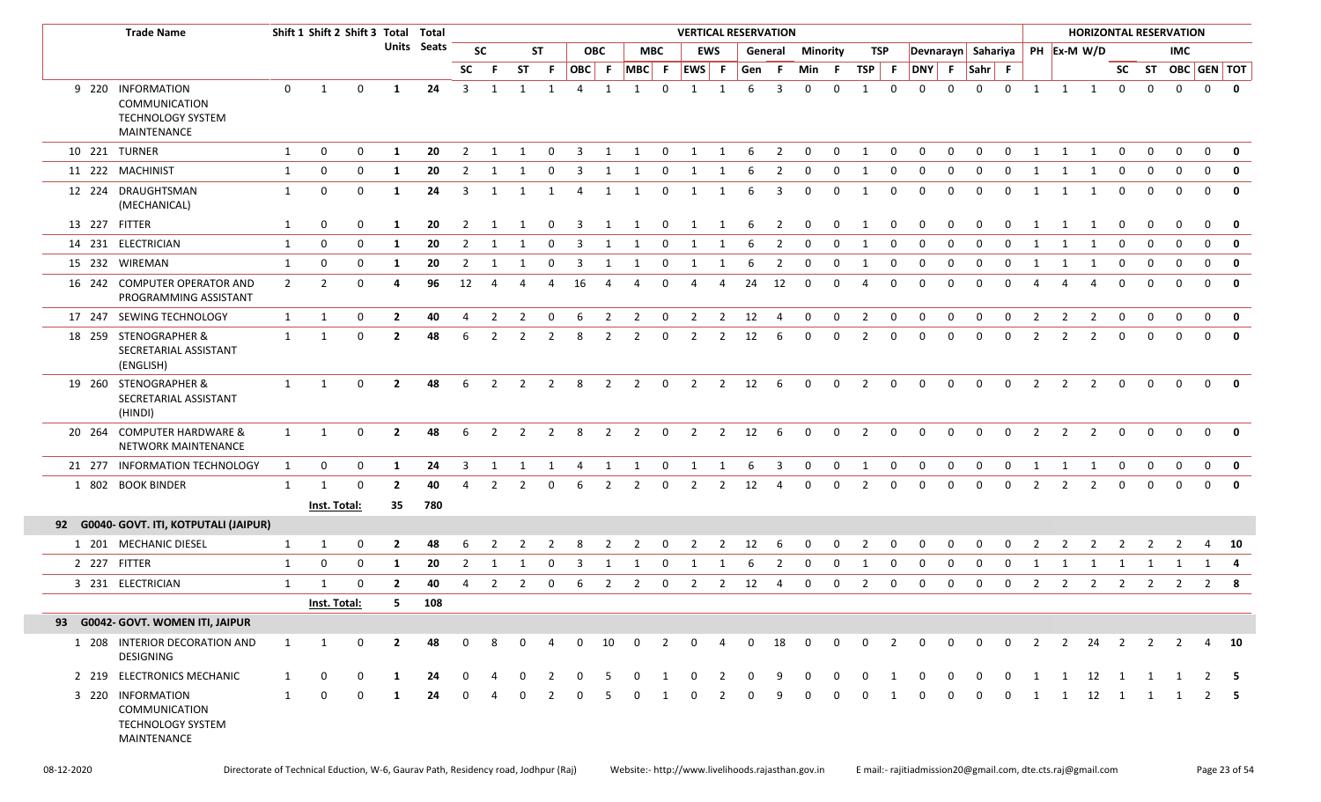|               | <b>Trade Name</b><br>Shift 1 Shift 2 Shift 3 Total Total                             |                |                |             |                |                    |                |                |              |                |                |                |                |                | <b>VERTICAL RESERVATION</b> |                |              |                         |             |             |                |                |                    |              |              |              |                |                |                   |                |                | <b>HORIZONTAL RESERVATION</b> |                   |                         |
|---------------|--------------------------------------------------------------------------------------|----------------|----------------|-------------|----------------|--------------------|----------------|----------------|--------------|----------------|----------------|----------------|----------------|----------------|-----------------------------|----------------|--------------|-------------------------|-------------|-------------|----------------|----------------|--------------------|--------------|--------------|--------------|----------------|----------------|-------------------|----------------|----------------|-------------------------------|-------------------|-------------------------|
|               |                                                                                      |                |                |             |                | <b>Units</b> Seats |                | <b>SC</b>      |              | <b>ST</b>      |                | <b>OBC</b>     |                | <b>MBC</b>     |                             | <b>EWS</b>     |              | <b>General Minority</b> |             |             | TSP            |                | Devnarayn Sahariya |              |              |              |                | PH Ex-M W/D    |                   |                |                | IMC.                          |                   |                         |
|               |                                                                                      |                |                |             |                |                    | <b>SC</b>      | - F            | ST           | -F.            | OBC F          |                | $MBC$ F        |                | EWS F                       |                | Gen F        |                         | Min F       |             | $TSP$ F        |                | DNY F              |              | $Sahr$ F     |              |                |                |                   |                |                |                               | SC ST OBC GEN TOT |                         |
|               | 9 220 INFORMATION<br><b>COMMUNICATION</b><br><b>TECHNOLOGY SYSTEM</b><br>MAINTENANCE | $\Omega$       | 1              | 0           | 1              | 24                 | $\overline{3}$ | 1              | 1            | 1              | $\overline{4}$ | 1              | $\overline{1}$ | $\Omega$       | 1                           | 1              | 6            | $\overline{3}$          | $\Omega$    | $\Omega$    | $\overline{1}$ | $\Omega$       | $\Omega$           | $\Omega$     | $\Omega$     | $\Omega$     | 1              |                | $1 \quad 1$       | $\mathbf 0$    | $\Omega$       | $\Omega$                      |                   | $0 \qquad$ 0            |
|               | 10 221 TURNER                                                                        | $\mathbf{1}$   | 0              | 0           | 1              | 20                 | 2              | 1              | 1            | 0              | 3              | 1              | 1              | $\mathbf 0$    | $\mathbf{1}$                | 1 6            |              | $\overline{2}$          | $\mathbf 0$ | $\mathbf 0$ | 1              | $\mathbf 0$    | 0                  | 0            | $\mathbf 0$  | $\mathbf 0$  | 1              | 1              | 1                 | 0              | 0              | $\Omega$                      | $\mathbf 0$       | 0                       |
|               | 11 222 MACHINIST                                                                     | $\mathbf{1}$   | 0              | 0           | 1              | 20                 | 2              | -1             |              | $\Omega$       | -3             | -1             | 1              | 0              | 1                           |                |              | 2                       | 0           | 0           | - 1            | 0              | 0                  | <sup>0</sup> |              | <sup>0</sup> | 1              | 1              | 1                 | 0              | 0              | $\Omega$                      | $\Omega$          | $\mathbf 0$             |
|               | 12 224 DRAUGHTSMAN<br>(MECHANICAL)                                                   | 1              | 0              | 0           | -1             | 24                 | 3              | 1              | 1            | 1              | -4             | 1              | 1              | $\Omega$       | 1                           | 1              | -6           | 3                       | $\Omega$    | 0           | - 1            | 0              | $\Omega$           | <sup>0</sup> | <sup>0</sup> | $\Omega$     | 1              |                | 1                 | 0              | $\Omega$       | $\Omega$                      | $\Omega$          | 0                       |
| 13 227 FITTER |                                                                                      | 1              | 0              | 0           | 1              | 20                 | 2              | 1              |              | $\Omega$       | 3              | 1              |                | $\Omega$       | 1                           | 1              | 6            | 2                       | 0           | $\mathbf 0$ | -1             | 0              | 0                  | 0            |              | 0            | 1              | 1              | 1                 | 0              |                | 0                             | $\mathbf 0$       | $\mathbf{0}$            |
|               | 14 231 ELECTRICIAN                                                                   | 1              | 0              | 0           | 1              | 20                 | 2              |                |              | 0              | -3             | 1              |                | $\Omega$       |                             |                |              | 2                       | 0           | 0           | -1             | 0              | 0                  | 0            | $\Omega$     | $\mathbf 0$  | 1              |                | 1                 | 0              | $\Omega$       | $\Omega$                      | $\Omega$          | 0                       |
|               | 15 232 WIREMAN                                                                       | 1              | 0              | 0           | 1              | 20                 | $\overline{2}$ | 1              | $\mathbf{1}$ | $\mathbf 0$    | $\overline{3}$ | 1              | 1              | 0              | $\mathbf{1}$                | 1              | 6            | $\overline{2}$          | $\mathbf 0$ | $\mathbf 0$ | 1              | $\mathbf 0$    | $\mathbf 0$        | $\mathbf 0$  | $\mathbf 0$  | $\mathbf 0$  | 1              | $\mathbf{1}$   | 1                 | $\mathbf 0$    | $\mathbf 0$    | $\mathbf 0$                   | $\mathbf{0}$      | $\overline{\mathbf{0}}$ |
|               | 16 242 COMPUTER OPERATOR AND<br>PROGRAMMING ASSISTANT                                | $\overline{2}$ | $\overline{2}$ | 0           | 4              | 96                 | 12             | 4              |              |                | 16             | 4              | Δ              | $\Omega$       |                             | 4              | 24           | 12                      | $\mathbf 0$ | $\Omega$    | $\Delta$       | $\Omega$       | $\Omega$           | <sup>0</sup> | n            | $\Omega$     |                |                |                   | $\Omega$       |                | $\Omega$                      | $\Omega$          | $\mathbf 0$             |
|               | 17 247 SEWING TECHNOLOGY                                                             | 1              | 1              | 0           | $\mathbf{2}$   | 40                 | 4              | 2              | 2            | 0              | - 6            | 2              | 2              | $\mathbf 0$    | 2                           | 2              | 12           | -4                      | $\mathbf 0$ | 0           | $\overline{2}$ | $\mathbf 0$    | 0                  | $\Omega$     | 0            | $\mathbf 0$  | 2              | $\overline{2}$ | $\overline{2}$    | $\mathbf 0$    | $\Omega$       | $\Omega$                      | $\Omega$          | 0                       |
|               | 18 259 STENOGRAPHER &<br>SECRETARIAL ASSISTANT<br>(ENGLISH)                          | $\mathbf{1}$   | 1              | 0           | $\overline{2}$ | 48                 | 6              | 2              | 2            | 2              | 8              | 2              | 2              | $\mathbf 0$    | 2                           | 2              | 12           | 6                       | $\Omega$    | $\Omega$    | 2              | 0              | $\Omega$           | <sup>0</sup> | $\Omega$     | $\Omega$     | $\overline{2}$ | 2              | 2                 | $\mathbf 0$    | $\Omega$       | $\Omega$                      | $\Omega$          | $\mathbf 0$             |
|               | 19 260 STENOGRAPHER &<br>SECRETARIAL ASSISTANT<br>(HINDI)                            | $\mathbf{1}$   | 1              | $\Omega$    | $\overline{2}$ | 48                 | 6              | $\overline{2}$ | 2            | $\overline{2}$ | 8              | $\overline{2}$ | $\overline{2}$ | $\overline{0}$ | $\overline{2}$              |                | 2 12 6       |                         | $\Omega$    | $\Omega$    | 2              | $\Omega$       | $\Omega$           | $\Omega$     | $\Omega$     | $\Omega$     | 2              | 2              | 2                 | $\mathbf{0}$   | $\Omega$       | $\Omega$                      | $\Omega$          |                         |
|               | 20 264 COMPUTER HARDWARE &<br>NETWORK MAINTENANCE                                    | 1              | 1              | 0           | $\overline{2}$ | 48                 | 6              | 2              | 2            | 2              | 8              | 2              | $\overline{2}$ | 0              | $\overline{2}$              | $\overline{2}$ | 12           | 6                       | $\Omega$    | $\mathbf 0$ | 2              | $\mathbf 0$    | $\Omega$           | $\Omega$     | $\Omega$     | $\mathbf 0$  | 2              | 2              | 2                 | $\mathbf 0$    | $\Omega$       | $\Omega$                      | $\Omega$          | 0                       |
|               | 21 277 INFORMATION TECHNOLOGY                                                        | 1              | 0              | 0           | 1              | 24                 | 3              |                |              |                |                | 1              | 1              | $\Omega$       | 1                           | 1              |              | 3                       | 0           | 0           | 1              | $\mathbf 0$    | $\Omega$           | 0            | n            | $\Omega$     | -1             |                | 1                 | 0              |                |                               | 0                 | $\mathbf 0$             |
|               | 1 802 BOOK BINDER                                                                    | 1              | 1              | 0           | $\mathbf{2}$   | 40                 | $\Delta$       | $\mathcal{L}$  |              | $\Omega$       | 6              | 2              | 2              | $\Omega$       | 2                           | 2              | 12           | 4                       | $\Omega$    | $\Omega$    | $\mathcal{P}$  | $\Omega$       | $\Omega$           | <sup>0</sup> | $\Omega$     | $\Omega$     | 2              | 2              | 2                 | $\Omega$       |                |                               | $\Omega$          | $\mathbf{0}$            |
|               |                                                                                      |                | Inst. Total:   |             | 35             | 780                |                |                |              |                |                |                |                |                |                             |                |              |                         |             |             |                |                |                    |              |              |              |                |                |                   |                |                |                               |                   |                         |
|               | 92 G0040- GOVT. ITI, KOTPUTALI (JAIPUR)                                              |                |                |             |                |                    |                |                |              |                |                |                |                |                |                             |                |              |                         |             |             |                |                |                    |              |              |              |                |                |                   |                |                |                               |                   |                         |
|               | 1 201 MECHANIC DIESEL                                                                | 1              | 1              | 0           | $\mathbf{2}$   | 48                 | 6              |                | 2            | 2              | 8              | 2              | 2              | 0              | 2                           | $\overline{2}$ | 12           | -6                      | $\mathbf 0$ | $\mathbf 0$ | $\overline{2}$ | $\mathbf 0$    | 0                  | 0            | 0            | 0            | 2              | 2              | 2                 | 2              | 2              | $\mathbf{2}$                  | 4                 | - 10                    |
|               | 2 227 FITTER                                                                         | 1              | 0              | 0           | -1             | 20                 | 2              |                |              | $\Omega$       | 3              |                |                | $\Omega$       |                             |                |              | 2                       | $\Omega$    | 0           | - 1            | 0              | $\Omega$           | <sup>0</sup> | <sup>0</sup> | <sup>0</sup> |                |                | 1                 | 1              | 1              |                               | 1 4               |                         |
|               | 3 231 ELECTRICIAN                                                                    | 1              |                | 0           |                | 40                 |                |                | 2            | 0              | 6              | 2              | 2              | 0              | 2                           | $\overline{2}$ | 12           | 4                       | 0           | 0           | 2              | 0              | 0                  | 0            | 0            | 0            | 2              | 2              | $\overline{2}$    | $\overline{2}$ | 2              | $\overline{2}$                |                   | $2 \times 8$            |
|               |                                                                                      |                | Inst. Total:   |             | 5.             | 108                |                |                |              |                |                |                |                |                |                             |                |              |                         |             |             |                |                |                    |              |              |              |                |                |                   |                |                |                               |                   |                         |
|               | 93 G0042- GOVT. WOMEN ITI, JAIPUR                                                    |                |                |             |                |                    |                |                |              |                |                |                |                |                |                             |                |              |                         |             |             |                |                |                    |              |              |              |                |                |                   |                |                |                               |                   |                         |
|               | 1 208 INTERIOR DECORATION AND<br><b>DESIGNING</b>                                    | 1              | 1              | $\mathbf 0$ | $\overline{2}$ | 48                 | $\Omega$       |                | $\Omega$     |                | $\mathbf 0$    | 10             | $\mathbf 0$    | $\overline{2}$ | $\Omega$                    | $\overline{4}$ | $\mathbf{0}$ | 18                      | $\Omega$    | $\mathbf 0$ | $\Omega$       | 2              | $\Omega$           | $\Omega$     | $\Omega$     | $\mathbf 0$  | 2              |                | $2 \overline{24}$ | $\overline{2}$ | 2              | $\overline{2}$                |                   | 4 10                    |
|               | 2 219 ELECTRONICS MECHANIC                                                           | 1              | $\mathbf 0$    | 0           | -1             | 24                 |                |                |              | $\mathcal{P}$  | $\Omega$       |                |                |                |                             |                |              | q                       | $\Omega$    | $\Omega$    | $\Omega$       | $\overline{1}$ | $\Omega$           |              | $\Omega$     | $\Omega$     | 1              | 1              | 12                | $\overline{1}$ |                |                               |                   | - 5                     |
|               | 3 220 INFORMATION<br>COMMUNICATION<br>TECHNOLOGY SYSTEM<br>MAINTENANCE               | 1              | $\mathbf 0$    | 0           | -1             | 24                 | $\Omega$       |                | 0            | 2              | 0              | -5             | 0              |                | $\Omega$                    | 2              |              | 9                       | 0           | 0           | 0              | 1              | 0                  | 0            | 0            | $\mathbf 0$  | 1              | $\mathbf{1}$   | 12 1              |                | $\overline{1}$ | 1                             |                   | $2 \quad 5$             |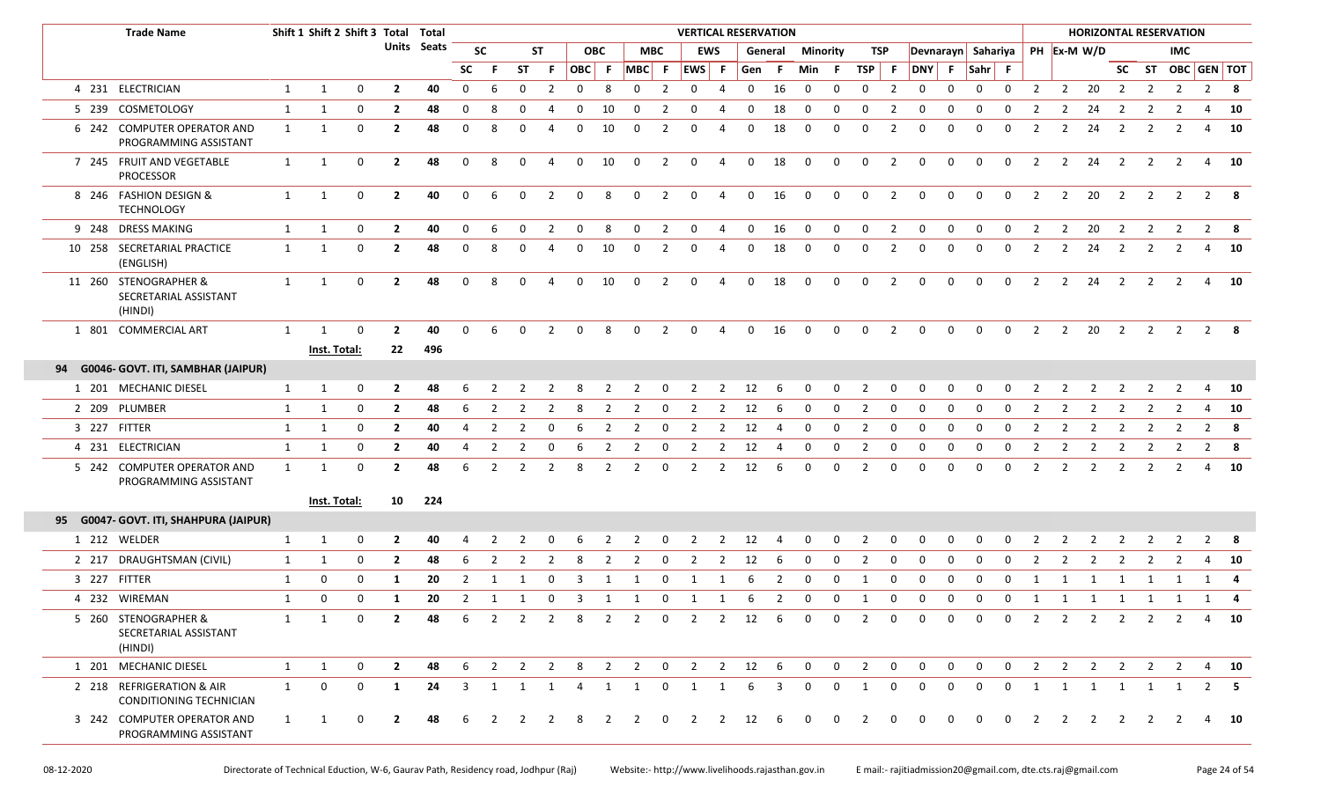| <b>Trade Name</b>                                         |              |                     |             | Shift 1 Shift 2 Shift 3 Total Total |             |             |                |                |                |              |                |                     |                | <b>VERTICAL RESERVATION</b> |                |             |         |              |                |                |                |                    |              |              |                         |                |                | <b>HORIZONTAL RESERVATION</b> |                         |                         |                   |             |              |
|-----------------------------------------------------------|--------------|---------------------|-------------|-------------------------------------|-------------|-------------|----------------|----------------|----------------|--------------|----------------|---------------------|----------------|-----------------------------|----------------|-------------|---------|--------------|----------------|----------------|----------------|--------------------|--------------|--------------|-------------------------|----------------|----------------|-------------------------------|-------------------------|-------------------------|-------------------|-------------|--------------|
|                                                           |              |                     |             |                                     | Units Seats |             | <b>SC</b>      |                | ST             |              | <b>OBC</b>     |                     | <b>MBC</b>     |                             | <b>EWS</b>     |             | General | Minority     |                | TSP            |                | Devnarayn Sahariya |              |              |                         |                |                | PH Ex-M W/D                   |                         |                         | IMC               |             |              |
|                                                           |              |                     |             |                                     |             | <b>SC</b>   | F.             | <b>ST</b>      | F.             |              |                | $OBC$ $F$ $MBC$ $F$ |                | $ EWS $ F                   |                | Gen F       |         | Min F        |                | TSP F          |                | DNY F Sahr F       |              |              |                         |                |                |                               |                         |                         | SC ST OBC GEN TOT |             |              |
| 4 231 ELECTRICIAN                                         | $\mathbf{1}$ | $\mathbf{1}$        | $\mathbf 0$ | $\mathbf{2}$                        | 40          | 0           | 6              | 0              | $\overline{2}$ | $\mathbf 0$  | 8              | 0                   | $\overline{2}$ | $\mathbf 0$                 | 4              | $\mathbf 0$ | 16      | 0            | $\mathbf 0$    | $\mathbf 0$    | $\overline{2}$ | $\mathbf 0$        | 0            | $\mathbf 0$  | $\mathbf 0$             | $\overline{2}$ | $\overline{2}$ | 20                            | $\overline{2}$          | $\overline{2}$          | $\overline{2}$    |             | $2 \times 8$ |
| 5 239 COSMETOLOGY                                         | 1            | $\mathbf{1}$        | 0           | $\mathbf{2}$                        | 48          | 0           | -8             | $\Omega$       |                | 0            | 10             | 0                   | $\overline{2}$ | 0                           | 4              | $\Omega$    | 18      | 0            | 0              | $\Omega$       | $\overline{2}$ | 0                  | $\Omega$     | $\Omega$     |                         |                | 2              | 24                            |                         |                         |                   |             | - 10         |
| 6 242 COMPUTER OPERATOR AND<br>PROGRAMMING ASSISTANT      | $\mathbf{1}$ | $\mathbf{1}$        | 0           | $\mathbf{2}$                        | 48          | 0           | 8              | $\Omega$       | 4              | 0            | 10             | $\mathbf 0$         | $\overline{2}$ | 0                           | 4              | $\mathbf 0$ | 18      | $\mathbf 0$  | $\mathbf 0$    | 0              | $\overline{2}$ | $\Omega$           | $\Omega$     | $\Omega$     | $\Omega$                | 2              | 2              | 24                            | $\overline{2}$          | 2                       | 2                 |             | 4 10         |
| 7 245 FRUIT AND VEGETABLE<br>PROCESSOR                    | $\mathbf{1}$ | 1                   | 0           | $\mathbf{2}$                        | 48          | 0           | 8              | $\mathbf 0$    | $\overline{4}$ | $\mathsf{O}$ | 10             | $\mathbf 0$         | $\overline{2}$ | $\mathbf 0$                 | $\overline{4}$ | $\mathbf 0$ | 18      | $\mathbf{0}$ | $\mathbf 0$    | $\mathbf 0$    | $\overline{2}$ | $\mathbf 0$        | 0            | $\mathbf 0$  | $\overline{\mathbf{0}}$ | $\overline{2}$ | $\overline{2}$ | $24$ 2                        |                         | $\overline{2}$          | 2                 |             | $4$ 10       |
| 8 246 FASHION DESIGN &<br><b>TECHNOLOGY</b>               | $\mathbf{1}$ | 1                   | 0           | $\overline{2}$                      | 40          | $\mathbf 0$ | 6              | $\mathbf 0$    | 2              | $\mathbf 0$  | 8              | $\mathbf 0$         | $\overline{2}$ | $\mathbf 0$                 | $\overline{4}$ | $\mathbf 0$ | 16      | 0            | $\mathbf 0$    | $\mathbf 0$    | $\overline{2}$ | $\mathsf{o}$       | $\Omega$     | $\mathbf 0$  | $\Omega$                | 2              | 2              | 20                            | $\overline{2}$          | $\overline{2}$          | 2                 | $2^{\circ}$ | - 8          |
| 9 248 DRESS MAKING                                        | 1            | 1                   | 0           | $\mathbf{2}$                        | 40          | $\mathbf 0$ | -6             | 0              | $\mathcal{P}$  | 0            | 8              | 0                   | 2              | 0                           | 4              | $\mathbf 0$ | 16      | 0            | $\mathbf 0$    | $\Omega$       | 2              | $\mathbf 0$        | $\Omega$     | $\Omega$     | $\Omega$                | $\overline{2}$ | 2              | 20                            | $\overline{2}$          | 2                       | 2                 |             | $2 \times 8$ |
| 10 258 SECRETARIAL PRACTICE<br>(ENGLISH)                  | $\mathbf{1}$ | 1                   | 0           | $\mathbf{2}$                        | 48          | 0           | -8             |                |                | 0            | 10             | 0                   | 2              | 0                           | 4              | 0           | 18      | $\mathbf 0$  | 0              | $\Omega$       | 2              | $\Omega$           |              |              | $\Omega$                | 2              | 2              | 24                            | 2                       | 2                       | 2                 |             | 4 10         |
| 11 260 STENOGRAPHER &<br>SECRETARIAL ASSISTANT<br>(HINDI) | $\mathbf{1}$ | 1                   | 0           | $\overline{2}$                      | 48          | $\Omega$    | 8              | 0              | 4              | $\mathbf 0$  | 10             | $\mathbf 0$         | $\overline{2}$ | $\mathbf 0$                 | 4              | $\mathbf 0$ | 18      | 0            | $\overline{0}$ | $\mathbf 0$    | $\overline{2}$ | $\mathbf 0$        | $\mathbf{0}$ | $\Omega$     | $\mathbf 0$             | 2              | 2              | 24                            | $\overline{\mathbf{2}}$ | $\overline{2}$          | 2                 |             | 4 10         |
| 1 801 COMMERCIAL ART                                      | 1            | $\mathbf{1}$        | 0           | $\overline{2}$                      | 40          | $\Omega$    | -6             | 0              | 2              | $\Omega$     | 8              | $\Omega$            | 2              | $\mathbf{0}$                | 4              | $\mathbf 0$ | 16      | $\mathbf 0$  | $\mathbf 0$    | $\mathbf{0}$   | 2              | $\mathbf 0$        | $\Omega$     | $\Omega$     | $\Omega$                | 2              | 2              | 20                            | $\overline{2}$          | $\overline{2}$          | 2                 |             | $2 \times 8$ |
|                                                           |              | Inst. Total:        |             | 22                                  | 496         |             |                |                |                |              |                |                     |                |                             |                |             |         |              |                |                |                |                    |              |              |                         |                |                |                               |                         |                         |                   |             |              |
| 94 G0046- GOVT. ITI, SAMBHAR (JAIPUR)                     |              |                     |             |                                     |             |             |                |                |                |              |                |                     |                |                             |                |             |         |              |                |                |                |                    |              |              |                         |                |                |                               |                         |                         |                   |             |              |
| 1 201 MECHANIC DIESEL                                     | $\mathbf{1}$ | $\mathbf{1}$        | 0           | $\overline{2}$                      | 48          | 6           | $\overline{2}$ | 2              | $\overline{2}$ | 8            | $\overline{2}$ | $\overline{2}$      | $\mathbf 0$    | $\overline{\mathbf{2}}$     | $\overline{2}$ | 12          | 6       | $\mathbf 0$  | $\mathbf 0$    | $\overline{2}$ | 0              | $\mathbf 0$        | 0            | $\mathbf 0$  | $\mathbf 0$             | $\overline{2}$ | $\overline{2}$ | 2                             | $\overline{2}$          | $\overline{2}$          | 2                 |             | $4\quad 10$  |
| 2 209 PLUMBER                                             | $\mathbf{1}$ | 1                   | 0           | $\mathbf{2}$                        | 48          | 6           | 2              | 2              |                | 8            | -2             | 2                   | 0              | 2                           | -2             | 12          | 6       | 0            | 0              | 2              | 0              | 0                  | $\Omega$     | $\Omega$     | $\Omega$                |                | 2              |                               | 2                       |                         |                   |             | 10           |
| 3 227 FITTER                                              | $\mathbf{1}$ | 1                   | 0           | $\mathbf{2}$                        | 40          | 4           | $\overline{2}$ | $\overline{2}$ | 0              | 6            | $\overline{2}$ | $\overline{2}$      | 0              | $\overline{2}$              | $\overline{2}$ | 12          | 4       | 0            | 0              | $\overline{2}$ | 0              | 0                  | 0            | 0            | 0                       | 2              | 2              | 2                             | 2                       | 2                       | 2                 |             | $2 \times 8$ |
| 4 231 ELECTRICIAN                                         | $\mathbf{1}$ | 1                   | 0           | $\overline{2}$                      | 40          | 4           | $\overline{2}$ |                | 0              | 6            | $\overline{2}$ | 2                   | 0              | $\overline{2}$              | $\overline{2}$ | 12          |         | 0            | 0              | 2              | 0              | 0                  | 0            | 0            | $\Omega$                | 2              | 2              | $\overline{2}$                | $\overline{2}$          |                         | 2                 |             | $2 \times 8$ |
| 5 242 COMPUTER OPERATOR AND<br>PROGRAMMING ASSISTANT      | $\mathbf{1}$ | 1                   | 0           | $\mathbf{2}$                        | 48          | 6           | $\overline{2}$ | $\overline{2}$ | $\overline{2}$ | 8            | 2              | 2                   | 0              | $\overline{2}$              | $\overline{2}$ | 12          | 6       | $\mathbf 0$  | 0              | $\overline{2}$ | 0              | 0                  | 0            | $\Omega$     | $\mathbf 0$             | $\overline{2}$ | 2              | $\overline{2}$                | $\overline{\mathbf{2}}$ | $\overline{2}$          | 2                 |             | 4 10         |
|                                                           |              | <b>Inst. Total:</b> |             |                                     | 10 224      |             |                |                |                |              |                |                     |                |                             |                |             |         |              |                |                |                |                    |              |              |                         |                |                |                               |                         |                         |                   |             |              |
| 95 G0047- GOVT. ITI, SHAHPURA (JAIPUR)                    |              |                     |             |                                     |             |             |                |                |                |              |                |                     |                |                             |                |             |         |              |                |                |                |                    |              |              |                         |                |                |                               |                         |                         |                   |             |              |
| 1 212 WELDER                                              | $\mathbf{1}$ | 1                   | 0           | $\mathbf{2}$                        | 40          |             |                |                |                |              |                |                     |                | $\mathcal{P}$               | $\overline{2}$ | 12          |         | 0            |                |                |                |                    |              |              |                         |                |                |                               |                         |                         |                   |             | $2 \times 8$ |
| 2 217 DRAUGHTSMAN (CIVIL)                                 | $\mathbf{1}$ | 1                   | 0           | $\mathbf{2}$                        | 48          | 6           | 2              | 2              | 2              | 8            | 2              | 2                   | $\mathbf 0$    | 2                           | 2              | 12          | -6      | $\mathbf 0$  | 0              | $\overline{2}$ | 0              | $\mathbf 0$        | 0            | $\Omega$     | $\Omega$                | 2              | 2              | 2                             | 2                       | 2                       | 2                 |             | $4\quad 10$  |
| 3 227 FITTER                                              | 1            | 0                   | 0           | 1                                   | 20          | 2           | -1             |                |                |              |                |                     |                |                             | 1              | 6           |         | $\Omega$     | $\Omega$       | 1              | $\Omega$       | $\Omega$           | $\Omega$     | <sup>0</sup> | $\Omega$                |                |                | 1                             | 1                       | 1                       | 1                 |             | 1 4          |
| 4 232 WIREMAN                                             | $\mathbf{1}$ | 0                   | 0           | 1                                   | 20          | 2           | -1             | 1              | 0              | - 3          | -1             |                     | 0              | 1                           | 1              | 6           | 2       | 0            | 0              | 1              | 0              | 0                  | 0            | $\Omega$     | 0                       | 1              |                | 1 1 1                         |                         | $\overline{\mathbf{1}}$ | 1                 |             | 1 4          |
| 5 260 STENOGRAPHER &<br>SECRETARIAL ASSISTANT<br>(HINDI)  | 1            | 1                   | $\mathbf 0$ | $\mathbf{2}$                        | 48          | -6          | $\overline{2}$ | 2              | $\overline{2}$ | 8            | 2              | 2                   | $\mathbf 0$    | 2                           | 2              | 12          | 6       | $\mathbf 0$  | $\mathbf 0$    | 2              | $\mathbf 0$    | $\mathbf 0$        | $\mathbf 0$  | $\mathbf 0$  | 0                       | $\overline{2}$ | 2              | 2                             | $\overline{2}$          | $\overline{2}$          | 2                 |             | 4 10         |
| 1 201 MECHANIC DIESEL                                     | $\mathbf{1}$ | 1                   | 0           | $\overline{2}$                      | 48          | 6           | 2              | 2              | $\overline{2}$ | 8            | $\overline{2}$ | $\overline{2}$      | $\mathbf 0$    | $\overline{2}$              | 2              | 12          | -6      | $\mathbf 0$  | $\mathbf 0$    | $\overline{2}$ | $\mathbf 0$    | $\mathbf 0$        | $\mathbf 0$  | $\mathbf 0$  | $\mathbf 0$             | 2              | 2              | $\overline{2}$                | $\overline{\mathbf{2}}$ | $\overline{2}$          | 2                 |             | 4 10         |
| 2 218 REFRIGERATION & AIR<br>CONDITIONING TECHNICIAN      | 1            | 0                   | $\mathbf 0$ | 1                                   | 24          | 3           | 1              | 1              | 1              | 4            | 1              | 1                   | $\mathbf 0$    | 1                           | 1              | 6           | 3       | $\Omega$     | $\Omega$       | 1              | $\Omega$       | $\Omega$           | $\Omega$     | $\Omega$     | $\Omega$                | 1              | 1              |                               |                         | 1 1 1                   | 1                 |             | $2 \quad 5$  |
| 3 242 COMPUTER OPERATOR AND<br>PROGRAMMING ASSISTANT      | 1            | $\mathbf{1}$        | 0           |                                     | 48          | 6           |                |                |                | 8            | 2              | 2                   | $\Omega$       | 2                           | 2              | 12          | 6       | $\mathbf 0$  | 0              | 2              | 0              | $\mathbf 0$        | $\Omega$     | $\Omega$     | 0                       | 2              | 2              | 2                             | 2                       | 2                       | <sup>2</sup>      |             | 4 10         |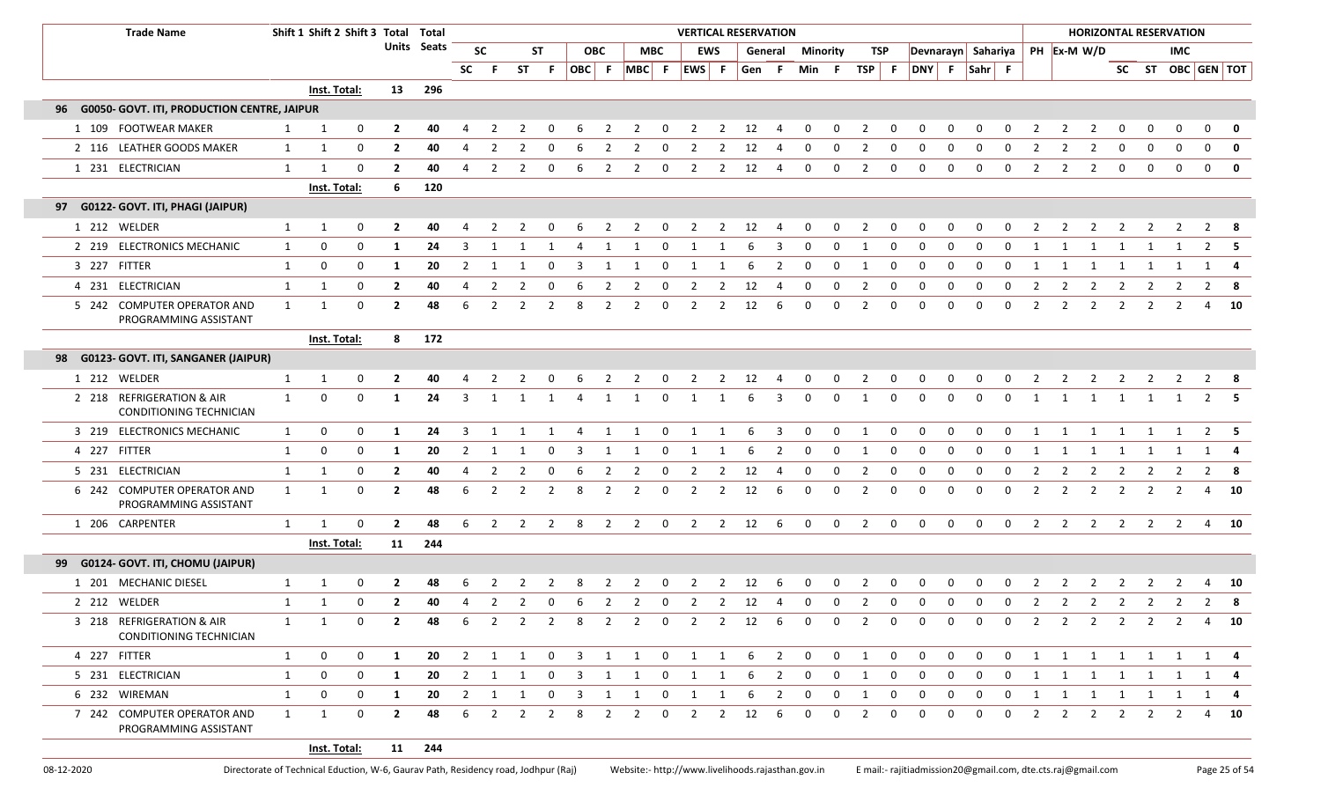| <b>Trade Name</b>                                        |              | Shift 1 Shift 2 Shift 3 Total Total |             |                |                    |                |                         |                |                |                         |                |                   |              |                |                | <b>VERTICAL RESERVATION</b> |                         |                         |             |                         |              |                    |              |                |              |                |                |                |                |                | <b>HORIZONTAL RESERVATION</b> |                   |              |
|----------------------------------------------------------|--------------|-------------------------------------|-------------|----------------|--------------------|----------------|-------------------------|----------------|----------------|-------------------------|----------------|-------------------|--------------|----------------|----------------|-----------------------------|-------------------------|-------------------------|-------------|-------------------------|--------------|--------------------|--------------|----------------|--------------|----------------|----------------|----------------|----------------|----------------|-------------------------------|-------------------|--------------|
|                                                          |              |                                     |             |                | <b>Units Seats</b> |                | <b>SC</b>               |                | ST             |                         | <b>OBC</b>     |                   | <b>MBC</b>   |                | <b>EWS</b>     |                             |                         | <b>General Minority</b> |             | TSP                     |              | Devnarayn Sahariya |              |                |              |                |                | PH Ex-M W/D    |                |                | <b>IMC</b>                    |                   |              |
|                                                          |              |                                     |             |                |                    | SC             | -F.                     |                | ST F           |                         |                | OBC F MBC F EWS F |              |                |                | Gen F                       |                         | Min F                   |             | TSP F                   |              | DNY F Sahr F       |              |                |              |                |                |                |                |                |                               | SC ST OBC GEN TOT |              |
|                                                          |              | Inst. Total:                        |             | 13             | 296                |                |                         |                |                |                         |                |                   |              |                |                |                             |                         |                         |             |                         |              |                    |              |                |              |                |                |                |                |                |                               |                   |              |
| <b>G0050- GOVT. ITI, PRODUCTION CENTRE, JAIPUR</b><br>96 |              |                                     |             |                |                    |                |                         |                |                |                         |                |                   |              |                |                |                             |                         |                         |             |                         |              |                    |              |                |              |                |                |                |                |                |                               |                   |              |
| 1 109 FOOTWEAR MAKER                                     | 1            | 1                                   | 0           | $\mathbf{2}$   | 40                 |                |                         | 2              |                |                         |                | 2                 | 0            | 2              | 2              | 12                          | 4                       | 0                       | 0           | 2                       | 0            |                    |              |                | 0            |                | $\overline{2}$ | 2              | 0              |                | 0                             | 0                 | $\mathbf 0$  |
| 2 116 LEATHER GOODS MAKER                                | $\mathbf{1}$ | 1                                   | 0           | $\overline{2}$ | 40                 | 4              |                         |                |                |                         |                |                   |              |                | 2              | 12                          |                         | 0                       | 0           |                         | 0            |                    |              |                |              |                |                |                | 0              |                |                               | $\Omega$          | $\mathbf 0$  |
| 1 231 ELECTRICIAN                                        | $\mathbf{1}$ | 1                                   | 0           | $\overline{2}$ | 40                 | 4              | $\overline{2}$          | 2              | 0              | 6                       | $\overline{2}$ | 2                 | $\mathbf 0$  | $\overline{2}$ | $\overline{2}$ | 12                          | 4                       | $\mathbf 0$             | $\mathbf 0$ | $\overline{2}$          | 0            | $\mathbf 0$        | $\Omega$     | 0              | 0            | $\overline{2}$ | 2              | $\overline{2}$ | $\mathbf 0$    | $\mathbf 0$    | $\mathbf 0$                   | $\mathbf{0}$      | $\mathbf{0}$ |
|                                                          |              | Inst. Total:                        |             | -6             | 120                |                |                         |                |                |                         |                |                   |              |                |                |                             |                         |                         |             |                         |              |                    |              |                |              |                |                |                |                |                |                               |                   |              |
| 97 G0122- GOVT. ITI, PHAGI (JAIPUR)                      |              |                                     |             |                |                    |                |                         |                |                |                         |                |                   |              |                |                |                             |                         |                         |             |                         |              |                    |              |                |              |                |                |                |                |                |                               |                   |              |
| 1 212 WELDER                                             | $\mathbf{1}$ | 1                                   | 0           | $\overline{2}$ | 40                 |                |                         |                |                |                         |                |                   |              |                | 2              | 12                          | 4                       | 0                       | 0           | 2                       | 0            |                    |              |                | 0            |                | 2              | -2             |                |                |                               | 2                 | -8           |
| 2 219 ELECTRONICS MECHANIC                               | 1            | 0                                   | 0           | 1              | 24                 | 3              | $\mathbf{1}$            |                | 1              | 4                       | 1              | 1                 | $\mathbf 0$  | 1              | 1              | 6                           | 3                       | $\mathbf 0$             | $\mathbf 0$ | $\overline{1}$          | 0            | $\mathbf 0$        | 0            | $\mathbf 0$    | $\mathbf 0$  | 1              | 1              | 1              | 1              | 1              |                               |                   | $2 \quad 5$  |
| 3 227 FITTER                                             | $\mathbf{1}$ | 0                                   | 0           | -1             | 20                 | $\overline{2}$ |                         |                | $\Omega$       |                         |                |                   |              |                |                |                             | 2                       | 0                       | 0           | -1                      | 0            |                    |              |                | 0            |                |                |                |                |                |                               | 1                 |              |
| 4 231 ELECTRICIAN                                        | $\mathbf{1}$ | 1                                   | 0           | $\overline{2}$ | 40                 | $\overline{4}$ | $\overline{2}$          | $\overline{2}$ | $\mathbf 0$    | 6                       | $\overline{2}$ | $\overline{2}$    | $\Omega$     | $\overline{2}$ | 2              | 12                          |                         | 0                       | 0           | $\overline{2}$          | 0            | 0                  | $\Omega$     | 0              | 0            | $\overline{2}$ | $\overline{2}$ | $\overline{2}$ | $\overline{2}$ | 2              | 2                             | $2^{\circ}$       | 8            |
| 5 242 COMPUTER OPERATOR AND<br>PROGRAMMING ASSISTANT     | $\mathbf{1}$ | $\mathbf{1}$                        | 0           | $\overline{2}$ | 48                 | 6              | $\overline{2}$          | $\overline{2}$ | $\overline{2}$ | 8                       | $\overline{2}$ | 2                 | $\Omega$     | $\overline{2}$ | $\overline{2}$ | 12                          | 6                       | 0                       | 0           | 2                       | 0            | $\Omega$           | $\Omega$     | $\mathbf 0$    | 0            | $\overline{2}$ | 2              | $\overline{2}$ | $\overline{2}$ | $\overline{2}$ |                               | 4                 | 10           |
|                                                          |              | Inst. Total:                        |             | 8              | 172                |                |                         |                |                |                         |                |                   |              |                |                |                             |                         |                         |             |                         |              |                    |              |                |              |                |                |                |                |                |                               |                   |              |
| 98 G0123- GOVT. ITI, SANGANER (JAIPUR)                   |              |                                     |             |                |                    |                |                         |                |                |                         |                |                   |              |                |                |                             |                         |                         |             |                         |              |                    |              |                |              |                |                |                |                |                |                               |                   |              |
| 1 212 WELDER                                             | $\mathbf{1}$ | 1                                   | 0           | $\mathbf{2}$   | 40                 |                | 2                       | 2              | 0              | -6                      | 2              | 2                 | 0            | 2              | 2              | 12                          | 4                       | $\mathbf 0$             | $\mathbf 0$ | $\overline{2}$          | $\mathbf 0$  | 0                  | 0            | 0              | $\mathbf 0$  | 2              | 2              | 2              | 2              | 2              | 2                             |                   | 2 8          |
| 2 218 REFRIGERATION & AIR<br>CONDITIONING TECHNICIAN     | $\mathbf{1}$ | $\Omega$                            | $\mathbf 0$ | 1              | 24                 | 3              | $\overline{1}$          |                |                |                         | 1              | -1                | $\Omega$     | $\mathbf{1}$   |                |                             | 3                       | $\Omega$                | $\Omega$    | 1                       | 0            | $\Omega$           | $\Omega$     | $\Omega$       | $\Omega$     | 1              | 1              | -1             |                | 1              |                               | 2                 |              |
| 3 219 ELECTRONICS MECHANIC                               | $\mathbf{1}$ | 0                                   | 0           | 1              | 24                 | 3              |                         |                | 1              |                         | 1              | 1                 | 0            | 1              | 1              | 6                           | 3                       | 0                       | 0           | $\overline{\mathbf{1}}$ | 0            | $\Omega$           | $\Omega$     | 0              | $\mathbf 0$  | 1              | 1              | 1              |                | 1              |                               | $\overline{2}$    | - 5          |
| 4 227 FITTER                                             | $\mathbf{1}$ | 0                                   | 0           | 1              | 20                 | $\overline{2}$ | -1                      | 1              | 0              | 3                       | 1              | 1                 | $\mathbf 0$  | 1              | 1              | 6                           | 2                       | 0                       | 0           | -1                      | 0            | $\mathbf 0$        | 0            | $\mathbf 0$    | $\mathbf 0$  | 1              | 1              | 1              | 1              | 1              | 1                             |                   | $1 \quad 4$  |
| 5 231 ELECTRICIAN                                        | $\mathbf{1}$ | 1                                   | 0           | $\overline{2}$ | 40                 | 4              | $\overline{2}$          |                | $\Omega$       | 6                       | 2              | 2                 | 0            | 2              | 2              | 12                          |                         |                         | 0           |                         | 0            |                    |              |                | 0            | 2              | 2              | 2              | 2              | -2             | $\mathbf{2}$                  | $\overline{2}$    | - 8          |
| 6 242 COMPUTER OPERATOR AND<br>PROGRAMMING ASSISTANT     | $\mathbf{1}$ | $\mathbf{1}$                        | 0           | $\overline{2}$ | 48                 | 6              | $\overline{2}$          | 2              | $\overline{2}$ | 8                       | $\overline{2}$ | $\overline{2}$    | 0            | $\overline{2}$ | $\overline{2}$ | 12                          | 6                       | $\mathbf{0}$            | 0           | 2                       | 0            | 0                  | $\Omega$     | 0              | $\mathbf 0$  | $\overline{2}$ | $\overline{2}$ | $\overline{2}$ | 2              | 2              | 2                             | 4                 | 10           |
| 1 206 CARPENTER                                          | $\mathbf{1}$ | 1                                   | 0           | $\overline{2}$ | 48                 | 6              | $\overline{\mathbf{2}}$ | 2              | $\overline{2}$ | 8                       | 2              | $\overline{2}$    | 0            | $\overline{2}$ | 2              | 12                          | 6                       | $\mathbf 0$             | $\mathbf 0$ | $\overline{2}$          | $\mathbf 0$  | $\mathbf 0$        | $\mathbf 0$  | $\mathbf 0$    | $\mathbf 0$  | 2              | $\overline{2}$ | 2              | $\overline{2}$ | $\overline{2}$ | 2                             |                   | 4 10         |
|                                                          |              | Inst. Total:                        |             |                | 11 244             |                |                         |                |                |                         |                |                   |              |                |                |                             |                         |                         |             |                         |              |                    |              |                |              |                |                |                |                |                |                               |                   |              |
| 99 G0124- GOVT. ITI, CHOMU (JAIPUR)                      |              |                                     |             |                |                    |                |                         |                |                |                         |                |                   |              |                |                |                             |                         |                         |             |                         |              |                    |              |                |              |                |                |                |                |                |                               |                   |              |
| 1 201 MECHANIC DIESEL                                    | $\mathbf{1}$ | 1                                   | 0           |                | 48                 | 6              | $\mathcal{L}$           | 2              |                |                         |                |                   | n            | 2              | 2              | 12                          | -6                      | <sup>0</sup>            | $\Omega$    | 2                       | 0            |                    |              |                |              |                |                |                |                |                |                               |                   | 10           |
| 2 212 WELDER                                             | $\mathbf{1}$ | 1                                   | $\mathbf 0$ | $\overline{2}$ | 40                 | 4              | 2                       | 2              | $\Omega$       | 6                       | $\overline{2}$ | $\overline{2}$    | $\mathbf 0$  | $\overline{2}$ | 2              | 12                          | 4                       | $\Omega$                | $\mathbf 0$ | 2                       | $\mathbf 0$  | $\Omega$           | $\Omega$     | $\Omega$       | $\Omega$     | $\overline{2}$ | $\overline{2}$ | 2              | 2              | 2              | $\overline{2}$                |                   | $2 \times 8$ |
| 3 218 REFRIGERATION & AIR<br>CONDITIONING TECHNICIAN     | $\mathbf{1}$ | 1                                   | $\mathbf 0$ | $\mathbf{2}$   | 48                 | 6              | 2                       | $\overline{2}$ | $\overline{2}$ | 8                       | $\overline{2}$ | $\overline{2}$    | $\mathbf 0$  |                |                | 2 2 12 6                    |                         | $\mathbf 0$             | $\mathbf 0$ | $\overline{2}$          | $\mathbf 0$  | $\mathbf{0}$       | $\mathbf{0}$ | $\mathbf 0$    | $\mathbf 0$  | 2              |                |                |                |                | 2 2 2 2 2                     |                   | 4 10         |
| 4 227 FITTER                                             | $\mathbf{1}$ | 0                                   | 0           | 1              | 20                 | $\overline{2}$ | 1                       | 1              | $\overline{0}$ | $\overline{\mathbf{3}}$ |                | 1 1               | $\mathbf{0}$ | $\mathbf{1}$   | $\overline{1}$ | - 6                         | $\overline{\mathbf{2}}$ | $\mathbf{0}$            | $\mathbf 0$ | $\mathbf{1}$            | $\mathbf{0}$ | $\mathbf{0}$       | $\mathbf{0}$ | $\overline{0}$ | $\mathbf{0}$ | $\overline{1}$ |                | 1 1 1 1 1      |                |                |                               |                   | 1 4          |
| 5 231 ELECTRICIAN                                        | $\mathbf{1}$ | 0                                   | 0           | -1             | 20                 | $\overline{2}$ | -1                      |                | 0              | $\overline{\mathbf{3}}$ | 1              | 1                 | 0            | 1              | 1              | 6                           | $\overline{2}$          | 0                       | 0           | 1                       | 0            | 0                  | 0            | 0              | 0            | 1              | 1              | 1              | 1              | 1              | 1                             |                   | 1 4          |
| 6 232 WIREMAN                                            | 1            | 0                                   | 0           | 1              | 20                 | $\overline{2}$ | 1                       | $\mathbf{1}$   | $\mathbf 0$    | $\overline{3}$          | 1              | 1                 | 0            | $\mathbf{1}$   | $\overline{1}$ | 6                           | $\overline{2}$          | 0                       | $\mathbf 0$ | 1                       | 0            | $\mathbf 0$        | $\mathbf{0}$ | $\mathbf 0$    | $\mathbf 0$  | 1              | 1              | 1              | $\overline{1}$ | $\mathbf{1}$   | 1                             |                   | 1 4          |
| 7 242 COMPUTER OPERATOR AND<br>PROGRAMMING ASSISTANT     | 1            | 1                                   | 0           | $\overline{2}$ | 48                 | 6              | 2                       | 2              | 2              | 8                       | 2              | 2                 | 0            | $\overline{2}$ | 2              | 12                          | 6                       | $\Omega$                | 0           | $\overline{2}$          | $\mathbf 0$  | $\Omega$           | 0            | $\mathbf 0$    | 0            | 2              | 2              | 2              | 2              | 2              | $\mathbf{2}$                  |                   | 4 10         |
|                                                          |              | Inst. Total:                        |             |                | 11 244             |                |                         |                |                |                         |                |                   |              |                |                |                             |                         |                         |             |                         |              |                    |              |                |              |                |                |                |                |                |                               |                   |              |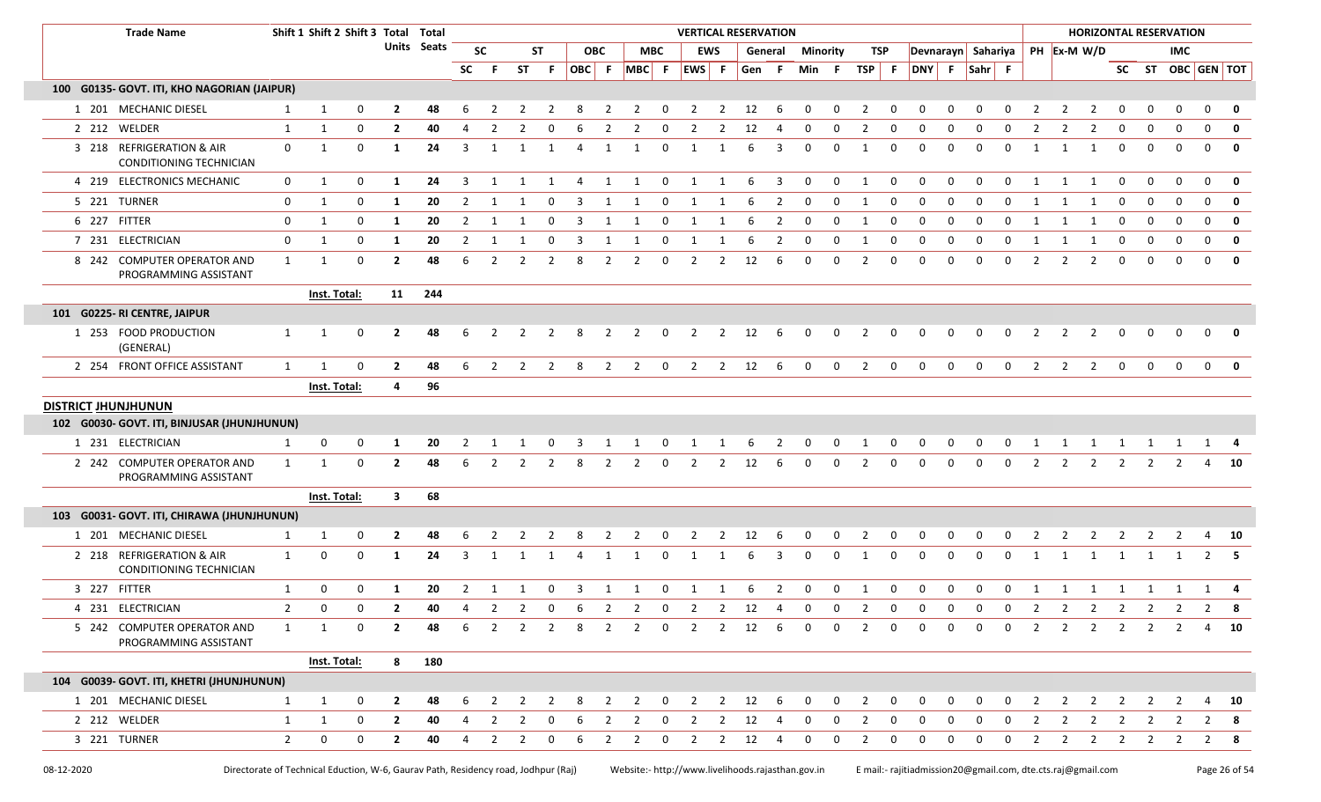|  | <b>Trade Name</b>                                    |                | Shift 1 Shift 2 Shift 3 Total Total |             |                         |             |                |                |                |                        |       |                |                |                         | <b>VERTICAL RESERVATION</b> |                |                        |                |                 |              |                |              |              |                |                    |              |                |                |                |                |                | <b>HORIZONTAL RESERVATION</b> |              |                         |
|--|------------------------------------------------------|----------------|-------------------------------------|-------------|-------------------------|-------------|----------------|----------------|----------------|------------------------|-------|----------------|----------------|-------------------------|-----------------------------|----------------|------------------------|----------------|-----------------|--------------|----------------|--------------|--------------|----------------|--------------------|--------------|----------------|----------------|----------------|----------------|----------------|-------------------------------|--------------|-------------------------|
|  |                                                      |                |                                     |             |                         | Units Seats |                | <b>SC</b>      |                | <b>ST</b>              |       | <b>OBC</b>     |                | MBC                     |                             | <b>EWS</b>     |                        | General        | <b>Minority</b> |              | TSP            |              |              |                | Devnarayn Sahariya |              |                |                | PH Ex-M W/D    |                |                | IMC.                          |              |                         |
|  |                                                      |                |                                     |             |                         |             | SC             | -F             | ST             | $\blacksquare$<br>Fig. | OBC F |                |                |                         | MBC F EWS F                 |                | Gen F                  |                | Min F           |              | TSP F          |              | DNY F        |                | $Sahr$ F           |              |                |                |                |                |                | SC ST OBC GEN TOT             |              |                         |
|  | 100 G0135- GOVT. ITI, KHO NAGORIAN (JAIPUR)          |                |                                     |             |                         |             |                |                |                |                        |       |                |                |                         |                             |                |                        |                |                 |              |                |              |              |                |                    |              |                |                |                |                |                |                               |              |                         |
|  | 1 201 MECHANIC DIESEL                                | $\mathbf{1}$   | 1                                   | $\Omega$    | $\overline{2}$          | 48          | 6              |                |                |                        |       |                |                | $\Omega$                | $\mathcal{L}$               | 2              | 12                     | 6              | $\Omega$        | $\Omega$     |                | $\Omega$     |              |                |                    |              |                |                | $\mathcal{P}$  |                |                |                               |              | $\mathbf 0$             |
|  | 2 212 WELDER                                         | 1              | 1                                   | $\mathbf 0$ | $\overline{2}$          | 40          |                | $\overline{2}$ |                | റ                      | 6     | $\mathcal{P}$  |                | $\Omega$                | 2                           | 2              | 12                     |                | $\Omega$        | $\Omega$     | $\mathcal{P}$  | <sup>0</sup> | <sup>0</sup> |                | റ                  | <sup>0</sup> | $\mathcal{P}$  | 2              | $\overline{2}$ | $\Omega$       | $\Omega$       |                               | $\Omega$     | $\mathbf 0$             |
|  | 3 218 REFRIGERATION & AIR<br>CONDITIONING TECHNICIAN | 0              | 1                                   | $\mathbf 0$ | 1                       | 24          | $\overline{3}$ | 1              |                | $\mathbf{1}$           | 4     | 1              |                | $\mathbf 0$             | -1                          | -1             | 6                      | 3              | $\Omega$        | $\Omega$     | -1             | 0            | $\Omega$     | $\Omega$       | $\Omega$           | $\Omega$     | $\overline{1}$ |                | 1              | $\Omega$       | $\Omega$       | $\Omega$                      | $\mathbf{0}$ | $\mathbf 0$             |
|  | 4 219 ELECTRONICS MECHANIC                           | $\mathbf 0$    | 1                                   | 0           | 1                       | 24          | $\overline{3}$ | $\overline{1}$ | $\mathbf{1}$   | $\mathbf{1}$           | 4     | 1              | $\overline{1}$ | 0                       | 1                           | 1              | 6                      | 3              | $\Omega$        | $\Omega$     | $\overline{1}$ | $\Omega$     | $\mathbf{0}$ | $\Omega$       | $\Omega$           | $\mathbf{0}$ | $\overline{1}$ |                | $\overline{1}$ | $\Omega$       |                | $\Omega$                      | $\mathbf{0}$ | $\mathbf 0$             |
|  | 5 221 TURNER                                         | 0              | 1                                   | $\mathbf 0$ | 1                       | 20          | $\overline{2}$ | 1              | 1              | $\mathbf 0$            | 3     | 1              | 1              | 0                       | 1                           | 1              | 6                      | $\overline{2}$ | $\mathbf 0$     | 0            | 1              | 0            | $\Omega$     | $\Omega$       | $\mathbf 0$        | $\mathbf{0}$ | 1              | 1              | -1             | 0              | $\Omega$       | $\Omega$                      | $\mathbf{0}$ | $\mathbf 0$             |
|  | 6 227 FITTER                                         | 0              | 1                                   | $\mathbf 0$ | -1                      | 20          | 2              | 1              |                | $\Omega$               | 3     |                |                | 0                       | 1                           | -1             |                        | 2              | $\Omega$        | 0            | -1             | 0            |              |                | $\Omega$           | $\Omega$     |                |                | $\mathbf{1}$   | $\Omega$       |                | ŋ                             | $\Omega$     | $\mathbf 0$             |
|  | 7 231 ELECTRICIAN                                    | 0              | 1                                   | 0           | 1                       | 20          | $\overline{2}$ | 1              | -1             | 0                      | 3     | -1             | -1             | 0                       | 1                           | 1              | 6                      | 2              | 0               | 0            | -1             | 0            | $\Omega$     | 0              | $\Omega$           | $\Omega$     |                | -1             | -1             | 0              | $\Omega$       | $\Omega$                      | $\mathbf{0}$ | $\mathbf{0}$            |
|  | 8 242 COMPUTER OPERATOR AND<br>PROGRAMMING ASSISTANT | 1              | 1                                   | 0           | $\overline{2}$          | 48          | 6              | 2              | $\overline{2}$ | 2                      | 8     | $\overline{2}$ | $\overline{2}$ | 0                       | 2                           | 2              | 12                     | 6              | 0               | 0            | 2              | 0            | $\Omega$     | 0              | $\Omega$           | 0            | $\mathcal{P}$  | 2              | $\overline{2}$ | $\Omega$       |                | $\Omega$                      | $\mathbf{0}$ | $\mathbf{0}$            |
|  |                                                      |                | Inst. Total:                        |             | 11                      | 244         |                |                |                |                        |       |                |                |                         |                             |                |                        |                |                 |              |                |              |              |                |                    |              |                |                |                |                |                |                               |              |                         |
|  | 101 G0225- RI CENTRE, JAIPUR                         |                |                                     |             |                         |             |                |                |                |                        |       |                |                |                         |                             |                |                        |                |                 |              |                |              |              |                |                    |              |                |                |                |                |                |                               |              |                         |
|  | 1 253 FOOD PRODUCTION<br>(GENERAL)                   | $\mathbf{1}$   | 1                                   | $\mathbf 0$ | $\overline{2}$          | 48          | 6              | 2              | $\overline{2}$ | 2                      | 8     | $\overline{2}$ | $\overline{2}$ | $\overline{\mathbf{0}}$ | $\overline{2}$              |                | $2 \t 12$              | - 6            | $\mathbf 0$     | $\mathbf 0$  | 2              | 0            | $\mathbf 0$  | 0              | 0                  | 0            | 2              | 2              | $\overline{2}$ | $\mathbf 0$    | $\Omega$       | $\Omega$                      | $\Omega$     | 0                       |
|  | 2 254 FRONT OFFICE ASSISTANT                         | $\mathbf{1}$   | $\mathbf{1}$                        | $\mathbf 0$ | $\overline{2}$          | 48          | 6              | $\overline{2}$ | $\overline{2}$ | $\overline{2}$         | 8     | $\overline{2}$ | $\overline{2}$ | $\overline{\mathbf{0}}$ |                             |                | $2 \qquad 2 \qquad 12$ | 6              | $\mathbf 0$     | $\mathbf 0$  | $\overline{2}$ | $\mathbf 0$  | $\mathsf{O}$ | $\mathbf 0$    | $\mathbf 0$        | $\mathbf 0$  | $\overline{2}$ | $2^{\circ}$    | $\overline{2}$ | $\mathbf 0$    | $\mathbf 0$    | $\mathbf{0}$                  | $\mathbf{0}$ | $\overline{\mathbf{0}}$ |
|  |                                                      |                | Inst. Total:                        |             | 4                       | 96          |                |                |                |                        |       |                |                |                         |                             |                |                        |                |                 |              |                |              |              |                |                    |              |                |                |                |                |                |                               |              |                         |
|  | <b>DISTRICT JHUNJHUNUN</b>                           |                |                                     |             |                         |             |                |                |                |                        |       |                |                |                         |                             |                |                        |                |                 |              |                |              |              |                |                    |              |                |                |                |                |                |                               |              |                         |
|  | 102 G0030- GOVT. ITI, BINJUSAR (JHUNJHUNUN)          |                |                                     |             |                         |             |                |                |                |                        |       |                |                |                         |                             |                |                        |                |                 |              |                |              |              |                |                    |              |                |                |                |                |                |                               |              |                         |
|  | 1 231 ELECTRICIAN                                    | $\mathbf{1}$   | 0                                   | $\mathbf 0$ | -1                      | 20          | 2              |                |                | റ                      | 3     |                |                | $\mathbf 0$             | 1                           | 1              | -6                     | 2              | 0               | 0            | -1             | $\mathbf{0}$ | 0            | 0              | $\mathbf 0$        | $\mathbf 0$  | -1             | 1              | 1              | 1              | 1              |                               |              |                         |
|  | 2 242 COMPUTER OPERATOR AND<br>PROGRAMMING ASSISTANT | $\mathbf{1}$   | $\mathbf{1}$                        | $\mathbf 0$ | $\overline{2}$          | 48          | 6              | $\overline{2}$ | 2              | 2                      | 8     | 2              | 2              | $\mathbf 0$             | 2                           | 2              | 12                     | 6              | $\Omega$        | 0            | 2              | 0            | $\Omega$     | $\Omega$       | $\Omega$           | 0            | $\overline{2}$ | $\overline{2}$ | $\overline{2}$ | 2              | 2              |                               |              | 10                      |
|  |                                                      |                | Inst. Total:                        |             | $\overline{\mathbf{3}}$ | 68          |                |                |                |                        |       |                |                |                         |                             |                |                        |                |                 |              |                |              |              |                |                    |              |                |                |                |                |                |                               |              |                         |
|  | 103 G0031- GOVT. ITI, CHIRAWA (JHUNJHUNUN)           |                |                                     |             |                         |             |                |                |                |                        |       |                |                |                         |                             |                |                        |                |                 |              |                |              |              |                |                    |              |                |                |                |                |                |                               |              |                         |
|  | 1 201 MECHANIC DIESEL                                | 1              | 1                                   | 0           | $\mathbf{2}$            | 48          |                |                |                |                        |       |                |                | 0                       |                             | 2              | 12                     | 6              |                 | 0            |                | 0            |              |                |                    |              |                |                |                |                |                |                               |              | 10                      |
|  | 2 218 REFRIGERATION & AIR<br>CONDITIONING TECHNICIAN | $\mathbf{1}$   | $\mathbf 0$                         | $\mathbf 0$ | 1                       | 24          | 3              |                |                |                        |       |                |                | $\Omega$                |                             |                |                        | 3              | $\Omega$        | 0            |                | 0            | $\Omega$     | 0              | $\Omega$           | $\Omega$     |                |                |                | -1             |                |                               |              | $2 \quad 5$             |
|  | 3 227 FITTER                                         | $\mathbf{1}$   | 0                                   | $\Omega$    | 1                       | 20          | $\overline{2}$ | 1              | $\overline{1}$ | $\mathbf 0$            | ्र    | $\mathbf{1}$   | $\mathbf 1$    | $\Omega$                | $\overline{1}$              | $\mathbf{1}$   | 6                      | $\overline{2}$ | $\Omega$        | $\Omega$     | $\overline{1}$ | $\Omega$     | $\Omega$     | $\Omega$       | $\Omega$           | $\Omega$     | $\overline{1}$ | $\mathbf{1}$   | 1              |                |                |                               |              |                         |
|  | 4 231 ELECTRICIAN                                    | 2              | 0                                   | 0           | 2                       | 40          | 4              | 2              |                |                        |       |                | 2 0 6 2 2 0    |                         |                             |                | 2 2 12 4               |                | $\mathbf{0}$    | $\mathbf{0}$ | $\overline{2}$ | $\mathbf 0$  | $\mathbf{0}$ | $\overline{0}$ | $\mathbf 0$        | $\mathbf 0$  | $\overline{2}$ |                |                |                |                | 2 2 2 2 2                     | 2            | - 8                     |
|  | 5 242 COMPUTER OPERATOR AND<br>PROGRAMMING ASSISTANT | $\mathbf{1}$   | 1                                   | 0           | $\mathbf{2}$            | 48          | 6              | 2              | $\overline{2}$ | 2                      | 8     | 2              | 2              | $\overline{\mathbf{0}}$ | $\overline{2}$              | 2              | 12                     | 6              | $\Omega$        | $\Omega$     | 2              | 0            | 0            | $\Omega$       | $\Omega$           | 0            | 2              | 2              | 2              | 2              | 2              | 2                             | 4            | 10                      |
|  |                                                      |                | Inst. Total:                        |             | 8                       | 180         |                |                |                |                        |       |                |                |                         |                             |                |                        |                |                 |              |                |              |              |                |                    |              |                |                |                |                |                |                               |              |                         |
|  | 104 G0039- GOVT. ITI, KHETRI (JHUNJHUNUN)            |                |                                     |             |                         |             |                |                |                |                        |       |                |                |                         |                             |                |                        |                |                 |              |                |              |              |                |                    |              |                |                |                |                |                |                               |              |                         |
|  | 1 201 MECHANIC DIESEL                                | $\mathbf{1}$   | $\mathbf{1}$                        | 0           | $\mathbf{2}$            | 48          |                |                |                |                        |       |                |                | 0                       | 2                           | 2              | 12                     | 6              |                 | <sup>0</sup> |                | <sup>0</sup> |              |                |                    |              |                | 2              |                |                | 2              | 2                             | 4            | <b>10</b>               |
|  | 2 212 WELDER                                         | $\mathbf{1}$   | 1                                   | 0           | $\overline{2}$          | 40          | 4              | $\overline{2}$ | $\overline{2}$ | 0                      | 6     | $\overline{2}$ | 2              | 0                       | $\overline{2}$              | $\overline{2}$ | 12                     | 4              | $\mathbf 0$     | $\mathbf 0$  | $\overline{2}$ | 0            | 0            | 0              | 0                  | 0            | $\overline{2}$ | $\overline{2}$ | $\overline{2}$ | $\overline{2}$ | $\overline{2}$ | 2                             |              | $2 \times 8$            |
|  | 3 221 TURNER                                         | $\overline{2}$ | 0                                   | 0           | $\overline{2}$          | 40          | 4              | $\overline{2}$ | $\overline{2}$ | 0                      | 6     | $\overline{2}$ | $\overline{2}$ | $\mathbf{0}$            | $\overline{2}$              | $\overline{2}$ | 12                     | 4              | $\mathbf 0$     | 0            | 2              | 0            | 0            | 0              | 0                  | 0            | 2              | $\overline{2}$ | $\overline{2}$ | $\overline{2}$ | $\overline{2}$ | $\overline{2}$                |              | $2 \times 8$            |
|  |                                                      |                |                                     |             |                         |             |                |                |                |                        |       |                |                |                         |                             |                |                        |                |                 |              |                |              |              |                |                    |              |                |                |                |                |                |                               |              |                         |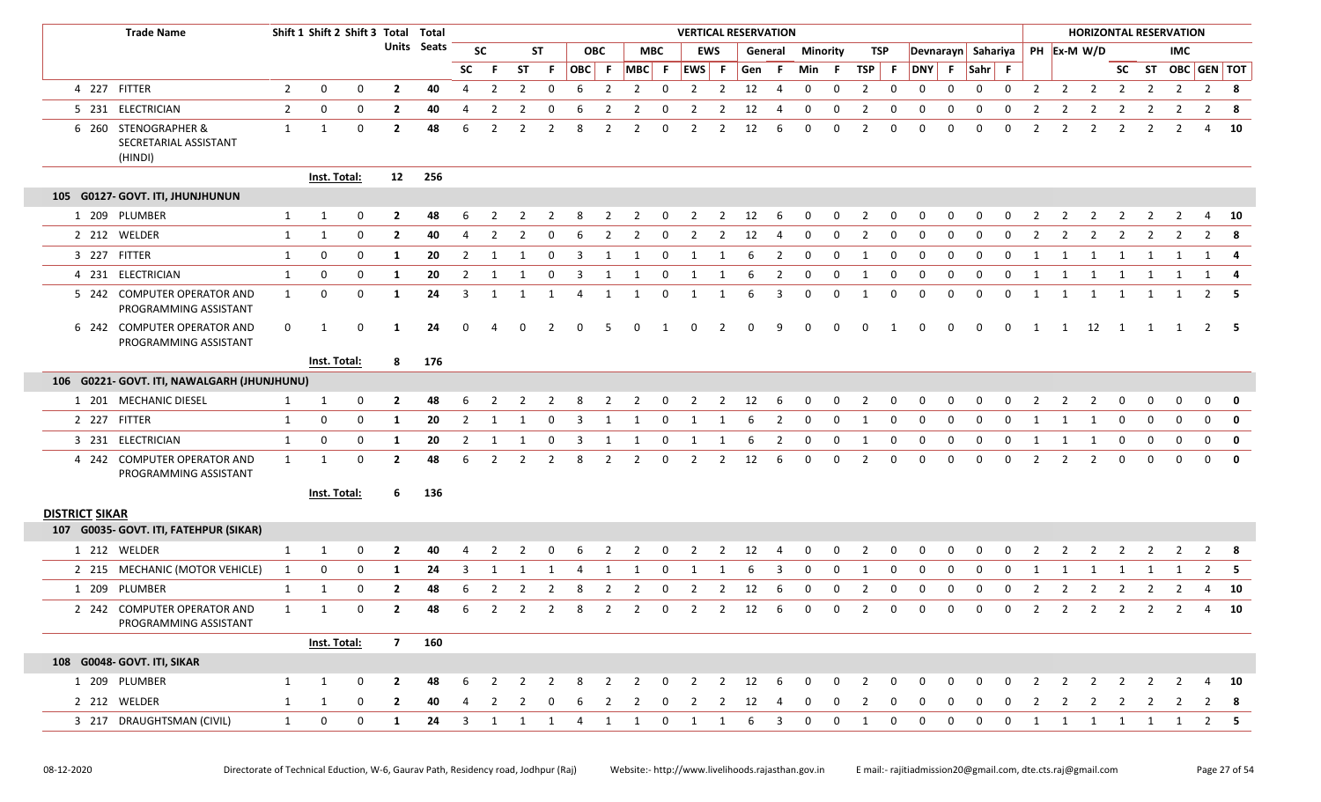|                       | <b>Trade Name</b>                                        |                | Shift 1 Shift 2 Shift 3 Total Total |             |                |                    |                         |                |                |                |                |                |                |                         | <b>VERTICAL RESERVATION</b> |                |       |                |                 |             |                |              |                                        |              |              |              |                |                |                |                         | <b>HORIZONTAL RESERVATION</b>    |             |                |                |              |
|-----------------------|----------------------------------------------------------|----------------|-------------------------------------|-------------|----------------|--------------------|-------------------------|----------------|----------------|----------------|----------------|----------------|----------------|-------------------------|-----------------------------|----------------|-------|----------------|-----------------|-------------|----------------|--------------|----------------------------------------|--------------|--------------|--------------|----------------|----------------|----------------|-------------------------|----------------------------------|-------------|----------------|----------------|--------------|
|                       |                                                          |                |                                     |             |                | <b>Units</b> Seats |                         | <b>SC</b>      |                | ST             |                | <b>OBC</b>     |                | <b>MBC</b>              |                             | <b>EWS</b>     |       | General        | <b>Minority</b> |             | TSP            |              | Devnarayn Sahariya                     |              |              |              |                |                | PH Ex-M W/D    |                         |                                  |             | <b>IMC</b>     |                |              |
|                       |                                                          |                |                                     |             |                |                    | <b>SC</b>               | -F.            | <b>ST</b>      | -F.            | OBC F          |                |                |                         | $MBC$ F $EWS$ F             |                | Gen F |                | Min F           |             | TSP F          |              | DNY F                                  |              | Sahr F       |              |                |                |                |                         | SC ST OBC GEN TOT                |             |                |                |              |
|                       | 4 227 FITTER                                             | $\overline{2}$ | 0                                   | $\mathbf 0$ | $\overline{2}$ | 40                 | $\overline{4}$          | $\overline{2}$ | $\overline{2}$ | 0              | 6              | $\overline{2}$ | $\overline{2}$ | $\mathbf 0$             | $\overline{2}$              | $\overline{2}$ | 12    | $\overline{4}$ | $\mathbf 0$     | 0           | $\overline{2}$ | 0            | $\mathbf 0$                            | $\mathbf 0$  | 0            | 0            | $\overline{2}$ |                | $2 \quad 2$    |                         | $\overline{2}$<br>$\overline{2}$ |             | $\overline{2}$ | $2 \times 8$   |              |
|                       | 5 231 ELECTRICIAN                                        | $\overline{2}$ | 0                                   | $\mathbf 0$ | $\overline{2}$ | 40                 | 4                       | $\overline{2}$ |                | 0              |                |                |                | 0                       |                             | 2              | 12    | -4             | $\mathbf 0$     | 0           | 2              | 0            | 0                                      | 0            | 0            | 0            | -2             | 2              | $\overline{2}$ |                         | -2                               |             |                | 2              | - 8          |
|                       | 6 260 STENOGRAPHER &<br>SECRETARIAL ASSISTANT<br>(HINDI) | $\mathbf{1}$   | 1                                   | 0           | $\mathbf{2}$   | 48                 | 6                       | $\overline{2}$ | $\overline{2}$ | $\overline{2}$ | 8              | $\overline{2}$ | 2              | 0                       | 2                           | $\overline{2}$ | 12    | 6              | 0               | 0           | 2              | 0            | 0                                      | 0            | $\mathbf 0$  | $\mathbf 0$  | $\overline{2}$ | $\overline{2}$ | $\overline{2}$ | 2                       | $\overline{2}$                   |             | 2              | 4              | 10           |
|                       |                                                          |                | Inst. Total:                        |             | 12             | 256                |                         |                |                |                |                |                |                |                         |                             |                |       |                |                 |             |                |              |                                        |              |              |              |                |                |                |                         |                                  |             |                |                |              |
|                       | 105 G0127- GOVT. ITI, JHUNJHUNUN                         |                |                                     |             |                |                    |                         |                |                |                |                |                |                |                         |                             |                |       |                |                 |             |                |              |                                        |              |              |              |                |                |                |                         |                                  |             |                |                |              |
|                       | 1 209 PLUMBER                                            | 1              | 1                                   | $\mathbf 0$ | $\overline{2}$ | 48                 | 6                       | $\overline{2}$ | $\overline{2}$ | $\overline{2}$ | 8              | $\overline{2}$ | $\overline{2}$ | $\overline{\mathbf{0}}$ | $\overline{2}$              | $\overline{2}$ | 12    | 6              | $\mathbf 0$     | $\mathbf 0$ | $\overline{2}$ | $\mathbf{0}$ | $\mathbf{0}$                           | $\mathbf{0}$ | $\mathbf{0}$ | $\mathbf{0}$ | $\overline{2}$ | $\overline{2}$ | $\overline{2}$ |                         | $\overline{2}$<br>$\overline{2}$ |             | $\overline{2}$ | 4              | <b>10</b>    |
|                       | 2 212 WELDER                                             | 1              | 1                                   | 0           | $\mathbf{2}$   | 40                 | 4                       | 2              | 2              | 0              |                | 2              |                | 0                       | 2                           | 2              | 12    | 4              | $\mathbf 0$     | 0           | 2              | 0            | 0                                      | 0            | 0            | 0            | 2              | 2              | 2              | 2                       | 2                                |             |                | $\overline{2}$ | - 8          |
|                       | 3 227 FITTER                                             | 1              | 0                                   | 0           | $\mathbf{1}$   | 20                 | $\overline{2}$          | 1              |                | 0              | 3              |                |                | 0                       |                             |                | 6     | $\overline{2}$ | 0               | 0           | -1             | 0            | 0                                      | 0            | 0            | 0            | 1              |                | 1              |                         | 1                                |             |                | $1 \quad 4$    |              |
|                       | 4 231 ELECTRICIAN                                        | 1              | 0                                   | 0           | $\mathbf{1}$   | 20                 | $\overline{2}$          | 1              |                | 0              |                |                |                | 0                       |                             |                |       | 2              | 0               | 0           |                | 0            | 0                                      | 0            | 0            | 0            | 1              |                | 1              |                         |                                  |             |                |                |              |
|                       | 5 242 COMPUTER OPERATOR AND<br>PROGRAMMING ASSISTANT     | $\mathbf{1}$   | 0                                   | 0           | 1              | 24                 | 3                       | 1              | 1              | 1              | $\overline{4}$ | 1              |                | 0                       | $\mathbf{1}$                | 1              | 6     | 3              | 0               | 0           | -1             | 0            | $\mathbf 0$                            | 0            | $\mathbf 0$  | $\mathbf 0$  | $\mathbf{1}$   | $\mathbf{1}$   | 1              | $\overline{1}$          | 1                                |             |                | $2 \quad 5$    |              |
|                       | 6 242 COMPUTER OPERATOR AND<br>PROGRAMMING ASSISTANT     | 0              | 1                                   | 0           | -1             | 24                 | $\Omega$                |                | O              | 2              | $\Omega$       | -5             | $\Omega$       | 1                       | 0                           | 2              | O     | 9              | $\Omega$        | 0           | 0              | 1            | 0                                      | 0            | - 0          | 0            | 1              | 1              | 12             | $\overline{\mathbf{1}}$ | 1                                |             | 1              | $2 \quad 5$    |              |
|                       |                                                          |                | Inst. Total:                        |             | 8              | 176                |                         |                |                |                |                |                |                |                         |                             |                |       |                |                 |             |                |              |                                        |              |              |              |                |                |                |                         |                                  |             |                |                |              |
|                       | 106 G0221- GOVT. ITI, NAWALGARH (JHUNJHUNU)              |                |                                     |             |                |                    |                         |                |                |                |                |                |                |                         |                             |                |       |                |                 |             |                |              |                                        |              |              |              |                |                |                |                         |                                  |             |                |                |              |
|                       | 1 201 MECHANIC DIESEL                                    | 1              | 1                                   | 0           | $\mathbf{2}$   | 48                 | 6                       |                |                |                |                |                |                | 0                       |                             | 2              | 12    | 6              | 0               | 0           | 2              | 0            |                                        |              |              |              |                |                |                |                         |                                  |             |                | $\Omega$       | 0            |
|                       | 2 227 FITTER                                             | 1              | 0                                   | 0           | 1              | 20                 | $\overline{2}$          | 1              | 1              | $\mathbf 0$    | 3              | 1              | 1              | $\mathbf 0$             | 1                           | $\mathbf{1}$   | 6     | $\overline{2}$ | $\mathbf 0$     | $\mathbf 0$ | 1              | $\mathbf 0$  | $\mathbf 0$                            | $\mathbf 0$  | $\mathbf 0$  | 0            | 1              | 1              | $\mathbf{1}$   |                         | 0<br>0                           | $\mathbf 0$ |                | $\mathbf 0$    | $\mathbf{0}$ |
|                       | 3 231 ELECTRICIAN                                        | $\mathbf{1}$   | 0                                   | 0           | -1             | 20                 | $\overline{2}$          | 1              |                | 0              |                |                |                | 0                       |                             |                |       | 2              | 0               | 0           |                | 0            | 0                                      | 0            | 0            | 0            |                |                | 1              | 0                       | 0                                |             | $\Omega$       | 0              | $\mathbf 0$  |
|                       | 4 242 COMPUTER OPERATOR AND<br>PROGRAMMING ASSISTANT     | $\mathbf{1}$   | 1                                   | 0           | $\overline{2}$ | 48                 | 6                       | 2              | $\overline{2}$ | $\overline{2}$ | 8              | $\overline{2}$ | $\overline{2}$ | 0                       | $\overline{2}$              | $\overline{2}$ | 12    | 6              | 0               | 0           | $\overline{2}$ | 0            | 0                                      | 0            | 0            | 0            | $\overline{2}$ | $\overline{2}$ | $\overline{2}$ |                         | 0<br>0                           |             | $\Omega$       | 0              | $\mathbf{0}$ |
|                       |                                                          |                | Inst. Total:                        |             | 6              | 136                |                         |                |                |                |                |                |                |                         |                             |                |       |                |                 |             |                |              |                                        |              |              |              |                |                |                |                         |                                  |             |                |                |              |
| <b>DISTRICT SIKAR</b> |                                                          |                |                                     |             |                |                    |                         |                |                |                |                |                |                |                         |                             |                |       |                |                 |             |                |              |                                        |              |              |              |                |                |                |                         |                                  |             |                |                |              |
|                       | 107 G0035- GOVT. ITI, FATEHPUR (SIKAR)                   |                |                                     |             |                |                    |                         |                |                |                |                |                |                |                         |                             |                |       |                |                 |             |                |              |                                        |              |              |              |                |                |                |                         |                                  |             |                |                |              |
|                       | 1 212 WELDER                                             | 1              | 1                                   | 0           | 2              | 40                 |                         |                |                |                |                |                |                | 0                       |                             | 2              | 12    |                |                 | 0           |                | 0            |                                        |              |              |              |                |                |                |                         |                                  |             |                |                |              |
|                       | 2 215 MECHANIC (MOTOR VEHICLE)                           | 1              | 0                                   | 0           | 1              | 24                 | 3                       | 1              |                |                | 4              |                |                | 0                       |                             |                |       | 3              | 0               | 0           | -1             | 0            | $\mathbf 0$                            | 0            | 0            | 0            | 1              |                | 1              |                         |                                  |             |                | $2 \quad 5$    |              |
|                       | 1 209 PLUMBER                                            | 1              | 1                                   | 0           | $\overline{2}$ | 48                 | 6                       | $\overline{2}$ | 2              | $\overline{2}$ | 8              | $\overline{2}$ | $\overline{2}$ | 0                       | $\overline{2}$              | $\overline{2}$ | 12    | 6              | 0               | 0           | $\overline{2}$ | 0            | 0                                      | 0            | 0            | 0            | $\overline{2}$ | $\overline{2}$ | $\overline{2}$ | 2                       | 2                                |             |                | 4              | 10           |
|                       | 2 242 COMPUTER OPERATOR AND<br>PROGRAMMING ASSISTANT     | 1              | 1                                   | $\Omega$    | $\mathbf{2}$   | 48                 |                         | 6 2            |                |                |                |                |                |                         |                             |                |       |                |                 |             |                |              | 2 2 8 2 2 0 2 2 12 6 0 0 2 0 0 0 0 0 2 |              |              |              |                |                |                |                         | 2 2 2 2 2 4 10                   |             |                |                |              |
|                       |                                                          |                | Inst. Total:                        |             |                | 7 160              |                         |                |                |                |                |                |                |                         |                             |                |       |                |                 |             |                |              |                                        |              |              |              |                |                |                |                         |                                  |             |                |                |              |
|                       | 108 G0048- GOVT. ITI, SIKAR                              |                |                                     |             |                |                    |                         |                |                |                |                |                |                |                         |                             |                |       |                |                 |             |                |              |                                        |              |              |              |                |                |                |                         |                                  |             |                |                |              |
|                       | 1 209 PLUMBER                                            | 1              | $\mathbf{1}$                        | $\mathbf 0$ | $\mathbf{2}$   | 48                 | 6                       | 2              | 2              | -2             | -8             | 2              | 2              | 0                       | 2                           | 2              | 12    | 6              | $\Omega$        | $\Omega$    | 2              | 0            |                                        |              |              | O            |                | 2              | 2              | 2                       | 2                                |             |                |                | 10           |
|                       | 2 212 WELDER                                             | 1              | 1                                   | 0           | 2              | 40                 | 4                       | -2             |                |                | b              |                |                | 0                       | <sup>2</sup>                | 2              | 12    | -4             | 0               |             |                | 0            |                                        |              |              |              |                |                | 2              |                         | 2<br>2                           |             |                | 2<br>8         |              |
|                       | 3 217 DRAUGHTSMAN (CIVIL)                                | $\mathbf{1}$   | 0                                   | 0           | 1              | 24                 | $\overline{\mathbf{3}}$ | 1              | 1              | 1              | 4              | 1              | $\mathbf{1}$   | $\mathbf 0$             | 1                           | 1              | 6     | 3              | $\mathbf 0$     | $\mathbf 0$ | 1              | 0            | 0                                      | $\mathbf 0$  | $\mathbf 0$  | $\mathbf 0$  | 1              | 1              | 1              | $\mathbf{1}$            | $\mathbf{1}$                     | 1           |                | $2 \quad 5$    |              |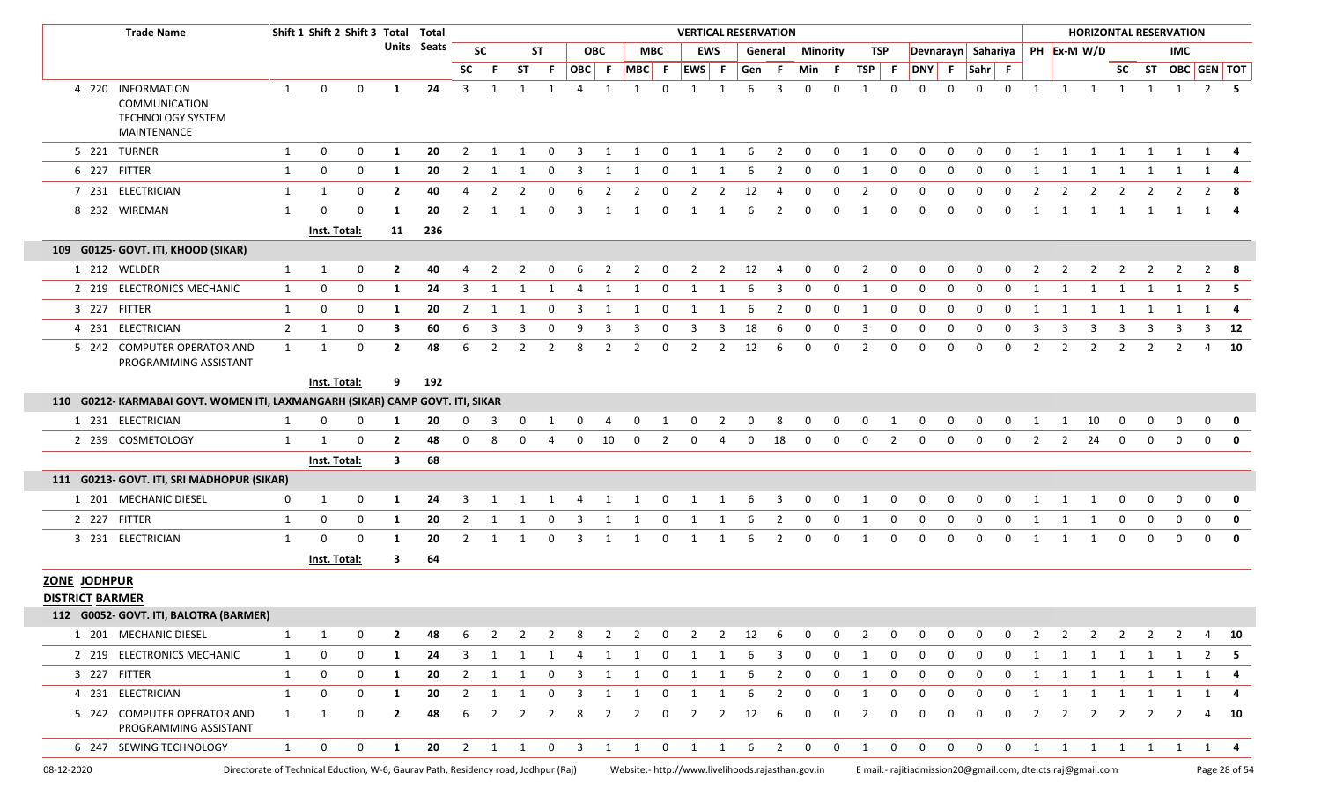|                        | <b>Trade Name</b>                                                                  |              | Shift 1 Shift 2 Shift 3 Total Total |              |              |             |                |                |                         |                          |                |                |              |              |                                         |                         | <b>VERTICAL RESERVATION</b>                       |                         |                |                |                |              |                                                             |              |                    |              |                                   |                |                |                         |                         | <b>HORIZONTAL RESERVATION</b> |                   |               |
|------------------------|------------------------------------------------------------------------------------|--------------|-------------------------------------|--------------|--------------|-------------|----------------|----------------|-------------------------|--------------------------|----------------|----------------|--------------|--------------|-----------------------------------------|-------------------------|---------------------------------------------------|-------------------------|----------------|----------------|----------------|--------------|-------------------------------------------------------------|--------------|--------------------|--------------|-----------------------------------|----------------|----------------|-------------------------|-------------------------|-------------------------------|-------------------|---------------|
|                        |                                                                                    |              |                                     |              |              | Units Seats |                | <b>SC</b>      |                         | <b>ST</b>                |                | <b>OBC</b>     |              | <b>MBC</b>   |                                         | <b>EWS</b>              | General                                           |                         | Minority       |                | TSP            |              |                                                             |              | Devnarayn Sahariya |              |                                   | PH Ex-M W/D    |                |                         |                         | <b>IMC</b>                    |                   |               |
|                        |                                                                                    |              |                                     |              |              |             | <b>SC</b>      | - F            | <b>ST</b>               | -F                       | OBC F          |                | $MBC$ F      |              | EWS F                                   |                         | Gen F                                             |                         | Min            | - F            | TSP F          |              | <b>DNY</b>                                                  | F            | Sahr F             |              |                                   |                |                |                         |                         |                               | SC ST OBC GEN TOT |               |
|                        | 4 220 INFORMATION<br>COMMUNICATION<br><b>TECHNOLOGY SYSTEM</b><br>MAINTENANCE      | 1            | $\mathbf 0$                         | $\Omega$     | -1           | 24          | $\overline{3}$ | 1              | 1                       | 1                        | $\overline{4}$ | 1              | 1            | $\Omega$     | 1                                       | 1                       | 6                                                 | 3                       | $\mathbf 0$    | $\mathbf 0$    | 1              | $\mathbf{0}$ | $\mathbf 0$                                                 | $\Omega$     | $\Omega$           | $\mathbf 0$  | 1                                 | $\overline{1}$ | $\overline{1}$ |                         |                         | 1 1 1                         | $2 \quad 5$       |               |
|                        | 5 221 TURNER                                                                       | 1            | 0                                   | $\mathbf{0}$ | 1            | 20          | 2              | 1              | 1                       | 0                        | 3              | 1              | 1            | $\mathbf 0$  | 1                                       | 1                       | -6                                                | $\overline{2}$          | $\mathbf 0$    | $\mathbf 0$    | 1              | $\mathbf{0}$ | $\mathbf 0$                                                 | $\mathbf 0$  | $\mathbf 0$        | $\mathbf 0$  | 1                                 | 1              | 1              | 1                       | 1                       | 1                             | 1                 |               |
|                        | 6 227 FITTER                                                                       | $\mathbf{1}$ | 0                                   | $\mathbf{0}$ | 1            | 20          | 2              | 1              | 1                       | 0                        | 3              | 1              | 1            | 0            | -1                                      |                         | 6                                                 | 2                       | 0              | 0              | -1             | 0            | 0                                                           | 0            | 0                  | 0            | -1                                | 1              | 1              | 1                       | 1                       | 1                             | 1                 |               |
|                        | 7 231 ELECTRICIAN                                                                  | 1            | 1                                   | $\Omega$     | $\mathbf{2}$ | 40          | 4              | 2              |                         |                          |                | 2              |              |              |                                         | 2                       | 12                                                |                         |                | <sup>0</sup>   | -2             |              |                                                             | <sup>0</sup> | $\Omega$           | n            |                                   | 2              |                |                         |                         | 2                             | 2                 | -8            |
|                        | 8 232 WIREMAN                                                                      | 1            | 0                                   | $\Omega$     | -1           | 20          |                |                |                         |                          |                |                |              |              |                                         |                         |                                                   |                         | n              | $\Omega$       |                | n            | n                                                           | $\Omega$     | 0                  |              |                                   |                | -1             |                         | -1                      | 1                             | 1                 |               |
|                        |                                                                                    |              | Inst. Total:                        |              | 11           | 236         |                |                |                         |                          |                |                |              |              |                                         |                         |                                                   |                         |                |                |                |              |                                                             |              |                    |              |                                   |                |                |                         |                         |                               |                   |               |
|                        | 109 G0125- GOVT. ITI, KHOOD (SIKAR)                                                |              |                                     |              |              |             |                |                |                         |                          |                |                |              |              |                                         |                         |                                                   |                         |                |                |                |              |                                                             |              |                    |              |                                   |                |                |                         |                         |                               |                   |               |
|                        | 1 212 WELDER                                                                       | 1            | 1                                   | 0            | 2            | 40          | 4              |                |                         | 0                        | 6              | 2              |              | 0            | 2                                       | 2                       | 12                                                | -4                      | 0              | $\mathbf 0$    | 2              | 0            | 0                                                           | 0            | 0                  | 0            |                                   | 2              |                |                         |                         | 2                             |                   | - 8           |
|                        | 2 219 ELECTRONICS MECHANIC                                                         | 1            | 0                                   | 0            | 1            | 24          | 3              | 1              |                         |                          | 4              | 1              | -1           | 0            |                                         |                         | 6                                                 | 3                       | $\Omega$       | 0              | -1             | 0            | $\Omega$                                                    | 0            | 0                  | 0            |                                   |                |                |                         |                         |                               | $\overline{2}$    | -5            |
|                        | 3 227 FITTER                                                                       | 1            | 0                                   | 0            | 1            | 20          | 2              | 1              | 1                       | 0                        | 3              | 1              | 1            | $\mathbf 0$  | 1                                       | 1                       | 6                                                 | 2                       | $\mathbf 0$    | $\mathbf 0$    | 1              | 0            | 0                                                           | 0            | 0                  | 0            | 1                                 | 1              | 1              | 1                       | 1                       | 1                             | 1                 | -4            |
|                        | 4 231 ELECTRICIAN                                                                  | $2^{\circ}$  | 1                                   | $\mathbf 0$  | 3            | 60          | 6              | 3              | 3                       | 0                        | 9              | 3              | 3            | 0            | 3                                       | 3                       | 18                                                | 6                       | 0              | $\mathbf{0}$   | 3              | 0            | 0                                                           | 0            | 0                  | 0            | 3                                 | 3              | -3             | 3                       | 3                       | 3                             | 3                 | 12            |
|                        | 5 242 COMPUTER OPERATOR AND<br>PROGRAMMING ASSISTANT                               | $\mathbf{1}$ | -1                                  | 0            | $\mathbf{2}$ | 48          | 6              | 2              | 2                       | $\overline{2}$           | -8             | 2              | 2            | 0            | 2                                       | 2                       | 12                                                | 6                       | 0              | $\mathbf{0}$   | 2              | 0            | 0                                                           | 0            | $\Omega$           | 0            | 2                                 | 2              | 2              | 2                       | 2                       | 2                             | 4 10              |               |
|                        |                                                                                    |              | Inst. Total:                        |              | 9            | 192         |                |                |                         |                          |                |                |              |              |                                         |                         |                                                   |                         |                |                |                |              |                                                             |              |                    |              |                                   |                |                |                         |                         |                               |                   |               |
|                        | 110 G0212- KARMABAI GOVT. WOMEN ITI, LAXMANGARH (SIKAR) CAMP GOVT. ITI, SIKAR      |              |                                     |              |              |             |                |                |                         |                          |                |                |              |              |                                         |                         |                                                   |                         |                |                |                |              |                                                             |              |                    |              |                                   |                |                |                         |                         |                               |                   |               |
|                        | 1 231 ELECTRICIAN                                                                  | 1            | 0                                   | 0            | 1            | 20          | 0              | $\overline{3}$ | $\overline{0}$          | $\overline{1}$           | $\overline{0}$ | $\overline{4}$ | $\mathbf 0$  | $\mathbf{1}$ | $\overline{0}$                          | $\overline{\mathbf{c}}$ | $\overline{0}$                                    | 8                       | $\overline{0}$ | $\overline{0}$ | $\overline{0}$ | $\mathbf{1}$ | $\mathbf 0$                                                 | $\mathbf 0$  | $\mathbf 0$        | $\mathbf{0}$ | $\overline{1}$                    | $\mathbf{1}$   | 10             | $\mathbf 0$             | $\mathbf 0$             | $\mathbf 0$                   | $\mathbf{0}$      | 0             |
|                        | 2 239 COSMETOLOGY                                                                  | 1            | 1                                   | 0            | $\mathbf{2}$ | 48          | $\Omega$       | 8              | 0                       | $\boldsymbol{\varDelta}$ | $\mathbf 0$    | 10             | $\mathbf{0}$ | 2            | $\Omega$                                | 4                       | $\mathbf{0}$                                      | 18                      | $\Omega$       | $\Omega$       | $\Omega$       | 2            | $\Omega$                                                    | 0            | $\Omega$           | $\Omega$     | 2                                 | $\overline{2}$ | 24             | $\Omega$                | $\Omega$                | $\Omega$                      | $\mathbf 0$       | 0             |
|                        |                                                                                    |              | Inst. Total:                        |              | 3            | 68          |                |                |                         |                          |                |                |              |              |                                         |                         |                                                   |                         |                |                |                |              |                                                             |              |                    |              |                                   |                |                |                         |                         |                               |                   |               |
|                        | 111 G0213- GOVT. ITI, SRI MADHOPUR (SIKAR)                                         |              |                                     |              |              |             |                |                |                         |                          |                |                |              |              |                                         |                         |                                                   |                         |                |                |                |              |                                                             |              |                    |              |                                   |                |                |                         |                         |                               |                   |               |
|                        | 1 201 MECHANIC DIESEL                                                              | $\mathbf 0$  | 1                                   | $\mathbf{0}$ | 1            | 24          | 3              | 1              | 1                       | 1                        | $\overline{4}$ | $\overline{1}$ | 1            |              | $0\qquad 1$                             | $\overline{\mathbf{1}}$ | 6                                                 | $\overline{\mathbf{3}}$ | $\mathbf{0}$   | $\mathbf 0$    | 1              | $\mathbf 0$  | $\mathbf 0$                                                 | $\mathbf 0$  | $\mathbf 0$        | $\mathbf{0}$ | $\begin{bmatrix} 1 \end{bmatrix}$ | $\overline{1}$ | 1              | $\mathbf 0$             | $\mathbf 0$             | $\mathbf 0$                   | $\mathbf{0}$      | 0             |
|                        | 2 227 FITTER                                                                       | 1            | 0                                   | $\mathbf{0}$ | 1            | 20          | 2              | 1              | -1                      | 0                        | -3             |                |              | 0            |                                         |                         | 6                                                 | 2                       | $\mathbf{0}$   | $\mathbf{0}$   | 1              | 0            | $\Omega$                                                    | 0            | 0                  | 0            | -1                                | 1              | -1             | 0                       | 0                       | $\mathbf{0}$                  | $\mathbf 0$       | 0             |
|                        | 3 231 ELECTRICIAN                                                                  | $\mathbf{1}$ | 0                                   | 0            | 1            | 20          | 2              | 1              | 1                       | 0                        | 3              | 1              | 1            | 0            | 1                                       | 1                       | 6                                                 | $\overline{2}$          | 0              | 0              | 1              | 0            | 0                                                           | 0            | $\mathbf 0$        | 0            | -1                                | 1              | -1             | 0                       | $\mathbf 0$             | $\mathbf{0}$                  | $\mathbf 0$       | 0             |
|                        |                                                                                    |              | Inst. Total:                        |              | 3            | 64          |                |                |                         |                          |                |                |              |              |                                         |                         |                                                   |                         |                |                |                |              |                                                             |              |                    |              |                                   |                |                |                         |                         |                               |                   |               |
| ZONE JODHPUR           |                                                                                    |              |                                     |              |              |             |                |                |                         |                          |                |                |              |              |                                         |                         |                                                   |                         |                |                |                |              |                                                             |              |                    |              |                                   |                |                |                         |                         |                               |                   |               |
| <b>DISTRICT BARMER</b> |                                                                                    |              |                                     |              |              |             |                |                |                         |                          |                |                |              |              |                                         |                         |                                                   |                         |                |                |                |              |                                                             |              |                    |              |                                   |                |                |                         |                         |                               |                   |               |
|                        | 112 G0052- GOVT. ITI, BALOTRA (BARMER)                                             |              |                                     |              |              |             |                |                |                         |                          |                |                |              |              |                                         |                         |                                                   |                         |                |                |                |              |                                                             |              |                    |              |                                   |                |                |                         |                         |                               |                   |               |
|                        | 1 201 MECHANIC DIESEL                                                              | 1            | 1                                   | 0            | $\mathbf{2}$ | 48          | 6              | 2              | 2                       | $\overline{2}$           | 8              | $\overline{2}$ | 2            | $\mathbf 0$  | $\overline{2}$                          | $\overline{2}$          | 12                                                | 6                       | $\mathbf 0$    | 0              | 2              | 0            | 0                                                           | 0            | <sup>0</sup>       | 0            | 2                                 | 2              | 2              | 2                       | 2                       | 2                             |                   | - 10          |
|                        | 2 219 ELECTRONICS MECHANIC                                                         | 1            | 0                                   | $\mathbf{0}$ | 1            | 24          | 3              |                | 1 1                     | 1                        | 4              | 1              | 1            |              | 0 1 1                                   |                         | -6                                                | $\overline{\mathbf{3}}$ | 0              | $\mathbf 0$    | 1              | 0            | 0                                                           | 0            | 0                  | 0            | 1                                 |                |                |                         |                         | 1 1 1 1 1                     | 2                 | - 5           |
|                        | 3 227 FITTER                                                                       | $\mathbf{1}$ | 0                                   | 0            | 1            | 20          | $\overline{2}$ | $\overline{1}$ | 1                       | $\mathbf 0$              | 3              | 1              | $\mathbf{1}$ | $\mathbf{0}$ | 1                                       | 1                       | 6                                                 | $\overline{2}$          | $\mathbf 0$    | $\mathbf 0$    | 1              | $\mathbf{0}$ | $\mathbf 0$                                                 | $\mathbf 0$  | 0                  | $\mathbf 0$  | 1                                 | 1              | $\mathbf{1}$   | $\overline{\mathbf{1}}$ | $\overline{\mathbf{1}}$ | 1                             | 1                 | -4            |
|                        | 4 231 ELECTRICIAN                                                                  | 1            | 0                                   | $\mathbf 0$  | 1            | 20          | 2              | 1              | 1                       | 0                        | 3              | 1              | 1            | 0            | 1                                       | 1                       | 6                                                 | 2                       | $\mathbf{0}$   | $\mathbf 0$    | 1              | 0            | 0                                                           | 0            | 0                  | 0            | 1                                 | $\overline{1}$ | 1              | 1                       | 1                       | $\overline{1}$                | 1                 | 4             |
|                        | 5 242 COMPUTER OPERATOR AND<br>PROGRAMMING ASSISTANT                               | $\mathbf{1}$ | 1                                   | 0            | $\mathbf{2}$ | 48          | 6              | 2              | 2                       | 2                        | -8             | 2              | 2            | 0            | 2                                       | 2                       | 12                                                | 6                       | 0              | 0              | 2              | 0            | 0                                                           | 0            | 0                  | 0            | 2                                 | 2              | $\overline{2}$ | 2                       | 2                       | <sup>2</sup>                  | 4                 | - 10          |
|                        | 6 247 SEWING TECHNOLOGY                                                            | $\mathbf{1}$ | 0                                   | $\mathbf{0}$ | 1            | 20          |                | $2 \quad 1$    | $\overline{\mathbf{1}}$ |                          | $0 \quad 3$    | $\overline{1}$ | 1            |              | $\begin{matrix} 0 & 1 & 1 \end{matrix}$ |                         | 6                                                 | $\overline{2}$          | $\overline{0}$ | $\mathbf 0$    | 1              | $\mathbf 0$  | $\mathbf 0$                                                 | $\mathbf 0$  | $\mathbf 0$        |              | $0\qquad 1$                       | $\overline{1}$ | $\overline{1}$ | 1                       | $\mathbf{1}$            | $\overline{1}$                | $1 \quad 4$       |               |
| 08-12-2020             | Directorate of Technical Eduction, W-6, Gaurav Path, Residency road, Jodhpur (Raj) |              |                                     |              |              |             |                |                |                         |                          |                |                |              |              |                                         |                         | Website:- http://www.livelihoods.rajasthan.gov.in |                         |                |                |                |              | E mail:- rajitiadmission20@gmail.com, dte.cts.raj@gmail.com |              |                    |              |                                   |                |                |                         |                         |                               |                   | Page 28 of 54 |

Г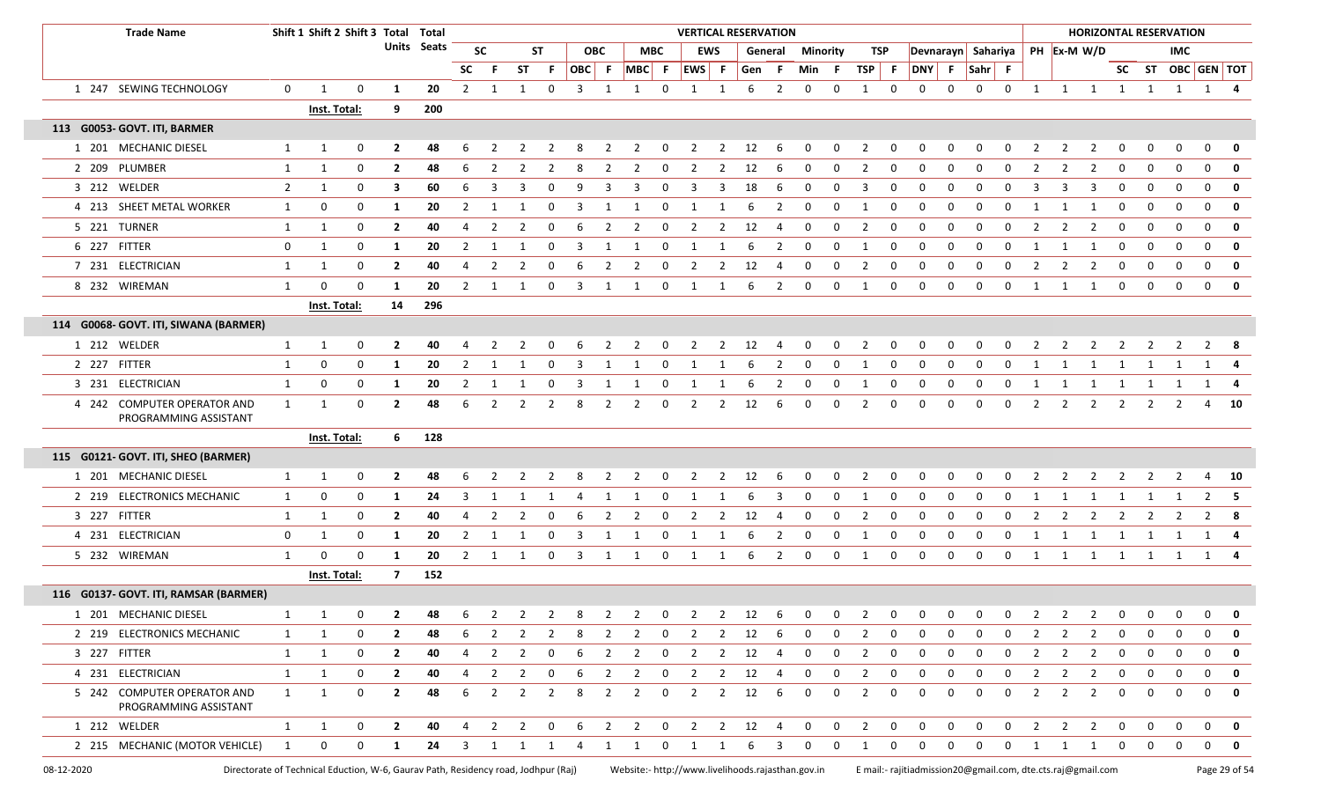| <b>Trade Name</b>                                                                                |                | Shift 1 Shift 2 Shift 3 Total Total |              |                |                    |           |                |                |                |    |                |                                                   |              |                |                | <b>VERTICAL RESERVATION</b> |         |              |              |                |             |                                                             |              |                    |             |                |                |                |              |               | <b>HORIZONTAL RESERVATION</b> |                   |               |
|--------------------------------------------------------------------------------------------------|----------------|-------------------------------------|--------------|----------------|--------------------|-----------|----------------|----------------|----------------|----|----------------|---------------------------------------------------|--------------|----------------|----------------|-----------------------------|---------|--------------|--------------|----------------|-------------|-------------------------------------------------------------|--------------|--------------------|-------------|----------------|----------------|----------------|--------------|---------------|-------------------------------|-------------------|---------------|
|                                                                                                  |                |                                     |              |                | <b>Units</b> Seats |           | <b>SC</b>      |                | ST             |    | <b>OBC</b>     |                                                   | МВС          |                | EWS            |                             | General |              | Minority     | TSP            |             |                                                             |              | Devnarayn Sahariya |             |                | PH Ex-M W/D    |                |              |               | <b>IMC</b>                    |                   |               |
|                                                                                                  |                |                                     |              |                |                    | <b>SC</b> |                | ST             | - F            |    | OBC F          | $MBC$ F                                           |              | EWS F          |                | Gen                         | - F     | Min          | - F          | <b>TSP</b>     | - F         |                                                             |              | DNY F Sahr F       |             |                |                |                |              |               |                               | SC ST OBC GEN TOT |               |
| 1 247 SEWING TECHNOLOGY                                                                          | $\mathbf 0$    | 1                                   | $\mathbf 0$  | 1              | 20                 | 2         | 1              | 1              | $\mathbf 0$    | 3  | 1              | 1                                                 | $\mathbf 0$  | 1              | 1              | 6                           | 2       | $\mathbf 0$  | $\Omega$     | 1              | $\mathbf 0$ | 0                                                           | $\Omega$     | 0                  | 0           | $\mathbf{1}$   | 1              | $\overline{1}$ | $\mathbf{1}$ | $\mathbf{1}$  | $\mathbf{1}$                  | 1                 | - 4           |
|                                                                                                  |                | Inst. Total:                        |              | 9              | 200                |           |                |                |                |    |                |                                                   |              |                |                |                             |         |              |              |                |             |                                                             |              |                    |             |                |                |                |              |               |                               |                   |               |
| 113 G0053- GOVT. ITI, BARMER                                                                     |                |                                     |              |                |                    |           |                |                |                |    |                |                                                   |              |                |                |                             |         |              |              |                |             |                                                             |              |                    |             |                |                |                |              |               |                               |                   |               |
| 1 201 MECHANIC DIESEL                                                                            | 1              | $\mathbf{1}$                        | 0            | $\mathbf{2}$   | 48                 |           |                |                |                |    | 2              | 2                                                 | 0            | -2             | 2              | 12                          | -6      | 0            | 0            | 2              | 0           |                                                             |              | 0                  |             | 2              | -2             |                |              | 0             | 0                             | $\Omega$          | 0             |
| 2 209 PLUMBER                                                                                    | 1              | 1                                   | $\mathbf 0$  | $\overline{2}$ | 48                 | 6         | 2              | 2              | 2              | 8  | 2              | $\overline{2}$                                    | $\mathbf 0$  | $\overline{2}$ | 2              | 12                          | 6       | 0            | 0            | $\overline{2}$ | 0           | 0                                                           | $\Omega$     | 0                  | 0           | 2              | 2              | 2              | 0            | 0             | 0                             | $\mathbf 0$       | 0             |
| 3 212 WELDER                                                                                     | $\overline{2}$ | $\mathbf{1}$                        | 0            | 3              | 60                 | -6        | 3              | 3              | 0              |    |                | 3                                                 | 0            | 3              | 3              | 18                          | -6      | 0            | 0            | 3              | 0           | $\Omega$                                                    |              | $\Omega$           | 0           | 3              | 3              |                | 0            | 0             | 0                             | $\mathbf 0$       | 0             |
| 4 213 SHEET METAL WORKER                                                                         | 1              | 0                                   | 0            | 1              | 20                 | 2         | 1              |                | 0              | 3  |                |                                                   | 0            | -1             |                | 6                           | 2       | 0            | 0            | 1              | $\Omega$    | 0                                                           | 0            | $\Omega$           | 0           |                |                |                | $\Omega$     | 0             | 0                             | $\mathbf 0$       | $\mathbf 0$   |
| 5 221 TURNER                                                                                     | 1              | $\mathbf{1}$                        | 0            | $\overline{2}$ | 40                 |           | $\overline{2}$ | 2              | 0              | 6  | 2              | $\overline{2}$                                    | 0            | $\overline{2}$ | 2              | 12                          | -4      | 0            | 0            | $\overline{2}$ | 0           | 0                                                           | $\Omega$     | 0                  | $\Omega$    | 2              | $\overline{2}$ | 2              | 0            | 0             | 0                             | $\mathbf 0$       | $\mathbf 0$   |
| 6 227 FITTER                                                                                     | $\mathbf 0$    | 1                                   | 0            | 1              | 20                 | 2         | 1              | -1             | 0              | 3  | 1              | 1                                                 | $\mathbf 0$  | 1              | 1              | 6                           | 2       | 0            | 0            | -1             | 0           | 0                                                           | 0            | 0                  | 0           | 1              | 1              | 1              | 0            | 0             | 0                             | $\mathbf 0$       | $\mathbf 0$   |
| 7 231 ELECTRICIAN                                                                                | 1              | $\mathbf{1}$                        | 0            | $\overline{2}$ | 40                 |           | 2              |                | $\Omega$       |    | 2              | $\overline{2}$                                    | 0            |                |                | 12                          |         | $\Omega$     | 0            | $\overline{2}$ | 0           |                                                             |              | $\Omega$           | 0           | 2              | $\overline{2}$ |                | 0            | 0             | 0                             | $\mathbf 0$       | 0             |
| 8 232 WIREMAN                                                                                    | $\mathbf{1}$   | 0                                   | 0            | 1              | 20                 | 2         | 1              | -1             | 0              | 3  | 1              | 1                                                 | 0            | 1              | 1              | 6                           | 2       | 0            | 0            | 1              | 0           | $\Omega$                                                    | 0            | 0                  | 0           | 1              | 1              | 1              | 0            | 0             | 0                             | 0                 | 0             |
|                                                                                                  |                | Inst. Total:                        |              | 14             | 296                |           |                |                |                |    |                |                                                   |              |                |                |                             |         |              |              |                |             |                                                             |              |                    |             |                |                |                |              |               |                               |                   |               |
| 114 G0068- GOVT. ITI, SIWANA (BARMER)                                                            |                |                                     |              |                |                    |           |                |                |                |    |                |                                                   |              |                |                |                             |         |              |              |                |             |                                                             |              |                    |             |                |                |                |              |               |                               |                   |               |
| 1 212 WELDER                                                                                     | 1              | $\mathbf{1}$                        | 0            | $\overline{2}$ | 40                 |           |                |                |                |    |                |                                                   |              |                | 2              | 12                          |         | 0            | 0            | 2              | 0           |                                                             |              |                    |             |                |                |                |              |               |                               | 2                 | -8            |
| 2 227 FITTER                                                                                     | $\mathbf{1}$   | 0                                   | 0            | 1              | 20                 | 2         | $\mathbf{1}$   |                | 0              | 3  |                |                                                   | 0            | 1              |                | 6                           | 2       | 0            | 0            | -1             | $\Omega$    | 0                                                           | 0            | $\Omega$           | 0           | 1              | 1              |                |              |               |                               | 1                 |               |
| 3 231 ELECTRICIAN                                                                                | 1              | 0                                   | 0            | 1              | 20                 | 2         |                |                | 0              | 3  |                |                                                   | 0            |                |                |                             |         | 0            | 0            | 1              | 0           | 0                                                           | 0            | $\Omega$           | 0           |                |                |                |              |               |                               | 1                 | 4             |
| 4 242 COMPUTER OPERATOR AND<br>PROGRAMMING ASSISTANT                                             | $\mathbf{1}$   | 1                                   | $\mathbf 0$  | $\overline{2}$ | 48                 | 6         | 2              | 2              | 2              | 8  | 2              | $\overline{2}$                                    | $\mathbf 0$  | $\overline{2}$ | 2              | 12                          | 6       | $\mathbf 0$  | 0            | 2              | $\mathbf 0$ | $\Omega$                                                    | $\Omega$     | $\mathbf 0$        | 0           | $\overline{2}$ | $\overline{2}$ | 2              | 2            | 2             | 2                             |                   | 4 10          |
|                                                                                                  |                | <b>Inst. Total:</b>                 |              | 6              | 128                |           |                |                |                |    |                |                                                   |              |                |                |                             |         |              |              |                |             |                                                             |              |                    |             |                |                |                |              |               |                               |                   |               |
| 115 G0121- GOVT. ITI, SHEO (BARMER)                                                              |                |                                     |              |                |                    |           |                |                |                |    |                |                                                   |              |                |                |                             |         |              |              |                |             |                                                             |              |                    |             |                |                |                |              |               |                               |                   |               |
| 1 201 MECHANIC DIESEL                                                                            | 1              | $\mathbf{1}$                        | 0            | $\overline{2}$ | 48                 |           |                |                |                |    |                | $\mathcal{P}$                                     | $\Omega$     |                | 2              | 12                          | -6      | $\Omega$     | 0            | 2              |             |                                                             |              |                    |             |                |                |                |              |               |                               |                   | -10           |
| 2 219 ELECTRONICS MECHANIC                                                                       | 1              | 0                                   | 0            | 1              | 24                 | 3         | 1              | 1              | 1              | -4 | 1              | 1                                                 | $\mathbf 0$  | 1              | 1              | 6                           | 3       | 0            | 0            | 1              | $\mathbf 0$ | 0                                                           | 0            | 0                  | 0           | 1              | 1              | 1              | 1            | 1             | 1                             | $\overline{2}$    | - 5           |
| 3 227 FITTER                                                                                     | 1              | 1                                   | $\mathbf 0$  | $\overline{2}$ | 40                 | 4         | 2              | $\mathcal{L}$  | <sup>0</sup>   | 6  | 2              | -2                                                | 0            | 2              | 2              | 12                          | -4      | 0            | $\Omega$     | 2              | 0           | 0                                                           | <sup>0</sup> | $\Omega$           | $\Omega$    | 2              | -2             | 2              | 2            | $\mathcal{L}$ | $\mathcal{L}$                 | 2                 | -8            |
| 4 231 ELECTRICIAN                                                                                | $\mathbf 0$    | 1                                   | 0            | 1              | 20                 | 2         | 1              | -1             | 0              | -3 |                | 1                                                 | 0            | 1              |                | 6                           | 2       | 0            | 0            | -1             | 0           | 0                                                           | 0            | 0                  | $\Omega$    | 1              | 1              | 1              | 1            | 1             | 1                             | 1                 |               |
| 5 232 WIREMAN                                                                                    | 1              | $\Omega$                            | $\Omega$     | 1              | 20                 | 2         |                |                | 0              | 3  |                | 1                                                 | 0            | 1              |                | 6                           | 2       | 0            | 0            | 1              | 0           | 0                                                           | 0            | 0                  | 0           | 1              | 1              | <sup>1</sup>   | 1            | 1             | 1                             | 1                 |               |
|                                                                                                  |                | <b>Inst. Total:</b>                 |              | $\overline{7}$ | 152                |           |                |                |                |    |                |                                                   |              |                |                |                             |         |              |              |                |             |                                                             |              |                    |             |                |                |                |              |               |                               |                   |               |
| 116 G0137- GOVT. ITI, RAMSAR (BARMER)                                                            |                |                                     |              |                |                    |           |                |                |                |    |                |                                                   |              |                |                |                             |         |              |              |                |             |                                                             |              |                    |             |                |                |                |              |               |                               |                   |               |
| 1 201 MECHANIC DIESEL                                                                            |                |                                     | 0            | $\overline{2}$ | 48                 | 6         |                |                |                | 8  | $\overline{2}$ | $\overline{2}$                                    | 0            | $\overline{2}$ | $\overline{2}$ | 12                          | 6       | 0            | 0            | $\overline{2}$ | 0           | 0                                                           | 0            | 0                  | 0           |                |                |                |              |               | 0                             | $\mathbf 0$       | $\mathbf 0$   |
| 2 219 ELECTRONICS MECHANIC                                                                       | 1              | 1                                   | $\mathbf 0$  | $\mathbf{2}$   | 48                 |           | 2              | 2              | 2              | 8  | 2              | 2                                                 | $\mathbf 0$  | 2              | $\mathbf{2}$   | 12                          | - 6     | 0            | $\Omega$     | 2              | 0           |                                                             |              | <sup>0</sup>       | 0           |                | -2             | 2              | 0            | 0             | $\Omega$                      | $\Omega$          | 0             |
| 3 227 FITTER                                                                                     | 1              | 1                                   | 0            | $\mathbf{2}$   | 40                 | 4         | 2              | 2              | 0              | 6  | 2              | $\overline{2}$                                    | $\mathbf 0$  | $\overline{2}$ | $2^{\circ}$    | 12                          | - 4     | 0            | 0            | $\overline{2}$ | $\mathbf 0$ | 0                                                           | 0            | 0                  | 0           | 2              | 2              | $\overline{2}$ | 0            | 0             | 0                             | $\mathbf 0$       | 0             |
| 4 231 ELECTRICIAN                                                                                | $\mathbf{1}$   | $\mathbf{1}$                        | $\mathbf 0$  | $\overline{2}$ | 40                 | 4         | 2              | 2              | 0              | 6  | $\overline{2}$ | $\overline{2}$                                    | $\mathbf 0$  | $\overline{2}$ | $\mathbf{2}$   | 12                          | - 4     | 0            | 0            | $\overline{2}$ | $\mathbf 0$ | 0                                                           | 0            | $\mathbf{0}$       | 0           | 2              | 2              | 2              | $\mathbf 0$  | 0             | 0                             | $\mathbf 0$       | $\mathbf{0}$  |
| 5 242 COMPUTER OPERATOR AND<br>PROGRAMMING ASSISTANT                                             | 1              | $\mathbf{1}$                        | $\mathbf{0}$ | $\overline{2}$ | 48                 | -6        | 2              | 2              | $\overline{2}$ | 8  | 2              | $\overline{2}$                                    | $\mathbf 0$  | $\overline{2}$ | $\overline{2}$ | 12                          | - 6     | 0            | $\mathbf{0}$ | 2              | 0           | 0                                                           | $\Omega$     | $\Omega$           | $\Omega$    | 2              | $\overline{2}$ | $\overline{2}$ | 0            | $\mathbf 0$   | $\mathbf 0$                   | $\mathbf 0$       | 0             |
| 1 212 WELDER                                                                                     | $\mathbf{1}$   | 1                                   | $\mathbf{0}$ | $\overline{2}$ | 40                 | 4         | $\overline{2}$ | $\overline{2}$ | $\mathbf 0$    | 6  |                | 2 2 0 2 2 12 4                                    |              |                |                |                             |         | $\mathbf{0}$ | $\mathbf{0}$ | $\overline{2}$ | $\mathbf 0$ | $\mathbf 0$                                                 | $\mathbf{0}$ | $\mathbf 0$        | $\mathbf 0$ | $\overline{2}$ | $\overline{2}$ | $\overline{2}$ | $\mathbf 0$  | $\mathbf 0$   | $\mathbf 0$                   | $\mathbf 0$       | $\mathbf{0}$  |
| 2 215 MECHANIC (MOTOR VEHICLE)                                                                   | $\mathbf{1}$   | $\mathbf 0$                         | $\mathbf 0$  | 1              | 24                 | 3         | $\mathbf{1}$   | 1              | 1              | -4 | 1              | 1                                                 | $\mathbf{0}$ | 1              | 1              | 6                           | 3       | 0            | 0            | 1              | $\mathbf 0$ | 0                                                           | 0            | 0                  | 0           | 1              | 1              | 1              | 0            | $\mathbf 0$   | $\mathbf 0$                   | $\mathbf 0$       | 0             |
| 08-12-2020<br>Directorate of Technical Eduction, W-6, Gaurav Path, Residency road, Jodhpur (Raj) |                |                                     |              |                |                    |           |                |                |                |    |                | Website:- http://www.livelihoods.rajasthan.gov.in |              |                |                |                             |         |              |              |                |             | E mail:- rajitiadmission20@gmail.com, dte.cts.raj@gmail.com |              |                    |             |                |                |                |              |               |                               |                   | Page 29 of 54 |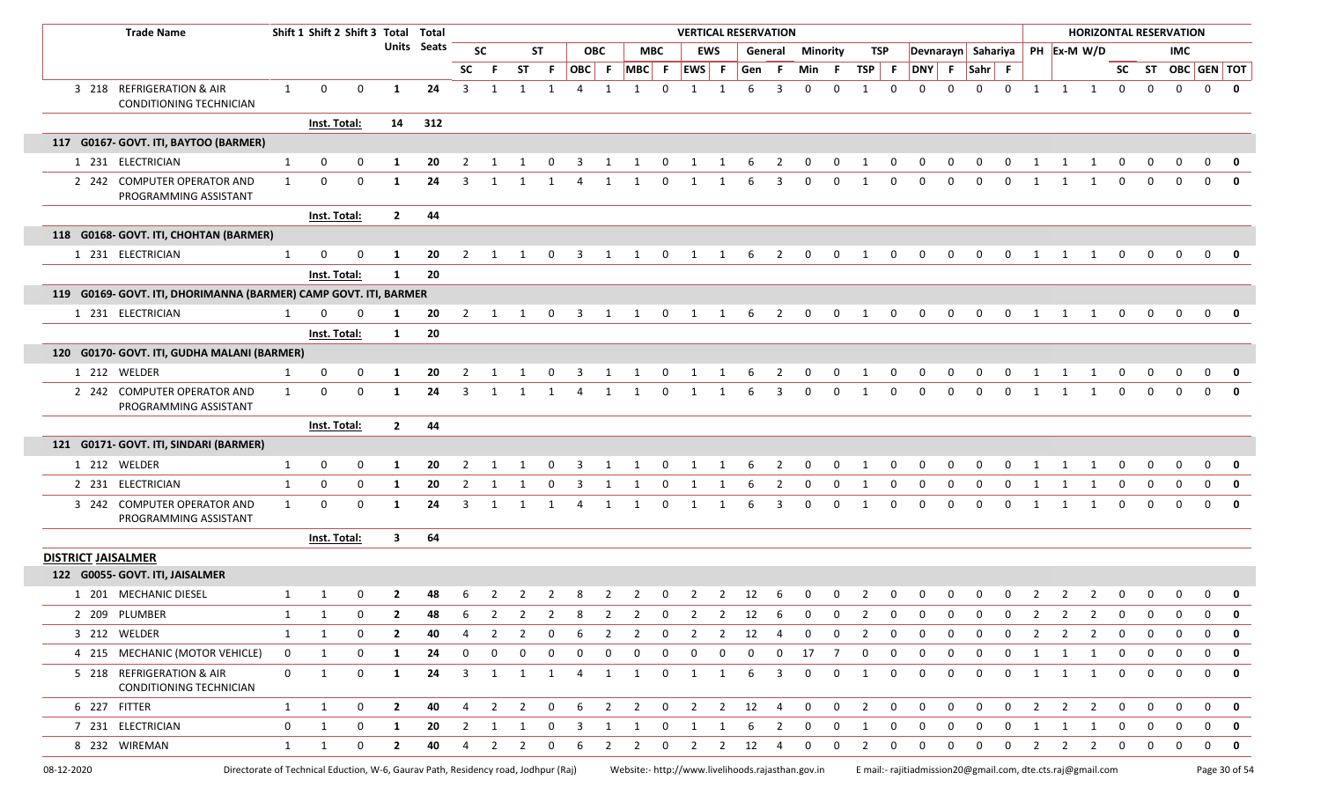|                           | <b>Trade Name</b>                                                                  |              | Shift 1 Shift 2 Shift 3 Total Total |              |                         |                    |                |                |                |                |                         |                         |                |                |                |                         | <b>VERTICAL RESERVATION</b>                       |                |                |                 |                |              |              |                    |              |              |                                                             |                         |                |              |              | <b>HORIZONTAL RESERVATION</b> |                   |               |
|---------------------------|------------------------------------------------------------------------------------|--------------|-------------------------------------|--------------|-------------------------|--------------------|----------------|----------------|----------------|----------------|-------------------------|-------------------------|----------------|----------------|----------------|-------------------------|---------------------------------------------------|----------------|----------------|-----------------|----------------|--------------|--------------|--------------------|--------------|--------------|-------------------------------------------------------------|-------------------------|----------------|--------------|--------------|-------------------------------|-------------------|---------------|
|                           |                                                                                    |              |                                     |              |                         | <b>Units</b> Seats |                | <b>SC</b>      |                | <b>ST</b>      |                         | <b>OBC</b>              |                | <b>MBC</b>     |                | EWS                     |                                                   | General        |                | <b>Minority</b> |                | TSP          |              | Devnarayn Sahariya |              |              |                                                             | PH Ex-M W/D             |                |              |              | IMC                           |                   |               |
|                           |                                                                                    |              |                                     |              |                         |                    | <b>SC</b>      | - F            | <b>ST</b>      | F.             | OBC F                   |                         | $MBC$ F        |                | EWS F          |                         | Gen                                               | - F            | Min F          |                 | TSP            | $\vert$ F    | <b>DNY</b>   | - F                | Sahr F       |              |                                                             |                         |                |              |              |                               | SC ST OBC GEN TOT |               |
|                           | 3 218 REFRIGERATION & AIR<br>CONDITIONING TECHNICIAN                               | 1            | $\mathbf{0}$                        | $\mathbf 0$  | 1                       | 24                 | 3              | 1              | 1              |                |                         |                         |                | U              |                |                         | 6                                                 | 3              | $\Omega$       | 0               |                | $\Omega$     | <sup>0</sup> | $\Omega$           | $\Omega$     | 0            | $\overline{1}$                                              | 1                       | 1              | 0            | $\mathbf 0$  | $\mathbf 0$                   | $\mathbf{0}$      | 0             |
|                           |                                                                                    |              | Inst. Total:                        |              | 14                      | 312                |                |                |                |                |                         |                         |                |                |                |                         |                                                   |                |                |                 |                |              |              |                    |              |              |                                                             |                         |                |              |              |                               |                   |               |
|                           | 117 G0167- GOVT. ITI, BAYTOO (BARMER)                                              |              |                                     |              |                         |                    |                |                |                |                |                         |                         |                |                |                |                         |                                                   |                |                |                 |                |              |              |                    |              |              |                                                             |                         |                |              |              |                               |                   |               |
|                           | 1 231 ELECTRICIAN                                                                  | 1            | 0                                   | 0            | 1                       | 20                 | 2              |                |                |                |                         |                         |                |                |                |                         |                                                   | 2              |                |                 |                |              |              |                    |              | O            |                                                             |                         |                |              |              |                               | $\Omega$          |               |
|                           | 2 242 COMPUTER OPERATOR AND<br>PROGRAMMING ASSISTANT                               | 1            | 0                                   | 0            | 1                       | 24                 | 3              |                |                |                |                         |                         |                | 0              | -1             |                         | 6                                                 | 3              | $\Omega$       | 0               |                | <sup>0</sup> | <sup>0</sup> | 0                  | $\Omega$     | 0            | $\overline{1}$                                              | 1                       | -1             | 0            | 0            | 0                             | $\mathbf 0$       | 0             |
|                           |                                                                                    |              | Inst. Total:                        |              | $\overline{2}$          | 44                 |                |                |                |                |                         |                         |                |                |                |                         |                                                   |                |                |                 |                |              |              |                    |              |              |                                                             |                         |                |              |              |                               |                   |               |
|                           | 118 G0168- GOVT. ITI, CHOHTAN (BARMER)                                             |              |                                     |              |                         |                    |                |                |                |                |                         |                         |                |                |                |                         |                                                   |                |                |                 |                |              |              |                    |              |              |                                                             |                         |                |              |              |                               |                   |               |
|                           | 1 231 ELECTRICIAN                                                                  | 1            | 0                                   | $\Omega$     | 1                       | 20                 | 2              | 1              | 1              | $\mathbf 0$    | $\overline{\mathbf{3}}$ | 1                       | -1             | $\mathbf 0$    | 1              | 1                       | 6                                                 | $\overline{2}$ | $\mathbf{0}$   | $\mathbf{0}$    | 1              | $\mathbf 0$  | $\mathbf 0$  | $\mathbf 0$        | $\mathbf 0$  | $\mathbf{0}$ | $\overline{1}$                                              | 1                       | 1              | $\mathbf 0$  | $\mathbf{0}$ | $\mathbf 0$                   | $\overline{0}$    | 0             |
|                           |                                                                                    |              | Inst. Total:                        |              | $\mathbf{1}$            | 20                 |                |                |                |                |                         |                         |                |                |                |                         |                                                   |                |                |                 |                |              |              |                    |              |              |                                                             |                         |                |              |              |                               |                   |               |
|                           | 119 G0169- GOVT. ITI, DHORIMANNA (BARMER) CAMP GOVT. ITI, BARMER                   |              |                                     |              |                         |                    |                |                |                |                |                         |                         |                |                |                |                         |                                                   |                |                |                 |                |              |              |                    |              |              |                                                             |                         |                |              |              |                               |                   |               |
|                           | 1 231 ELECTRICIAN                                                                  | 1            | <sup>0</sup>                        |              |                         | 20                 | 2              |                |                |                |                         |                         |                |                |                |                         |                                                   | 2              | $\Omega$       | 0               |                |              |              | <sup>0</sup>       |              |              |                                                             |                         |                | <sup>0</sup> | $\Omega$     | $\Omega$                      | $\Omega$          | 0             |
|                           |                                                                                    |              | Inst. Total:                        |              | 1                       | 20                 |                |                |                |                |                         |                         |                |                |                |                         |                                                   |                |                |                 |                |              |              |                    |              |              |                                                             |                         |                |              |              |                               |                   |               |
|                           | 120 G0170- GOVT. ITI, GUDHA MALANI (BARMER)                                        |              |                                     |              |                         |                    |                |                |                |                |                         |                         |                |                |                |                         |                                                   |                |                |                 |                |              |              |                    |              |              |                                                             |                         |                |              |              |                               |                   |               |
|                           | 1 212 WELDER                                                                       | 1            | 0                                   | $\mathbf 0$  | 1                       | 20                 | $\overline{2}$ | 1              | 1              | $\mathbf 0$    | 3                       | 1                       | 1              | $\mathbf 0$    | 1              | 1                       | 6                                                 | $\overline{2}$ | $\mathbf{0}$   | $\mathbf 0$     | 1              | 0            | $\mathbf 0$  | $\mathbf 0$        | $\mathbf 0$  | $\mathbf 0$  | 1                                                           | 1                       | 1              | $\mathbf 0$  | $\mathbf 0$  | $\mathbf 0$                   | $\mathbf{0}$      | 0             |
|                           | 2 242 COMPUTER OPERATOR AND<br>PROGRAMMING ASSISTANT                               | 1            | 0                                   | $\mathbf 0$  | 1                       | 24                 | 3              |                |                |                |                         |                         |                | 0              |                |                         |                                                   |                | 0              | 0               |                |              | <sup>0</sup> | <sup>0</sup>       | $\Omega$     | 0            |                                                             |                         |                |              | $\Omega$     | 0                             | $\Omega$          |               |
|                           |                                                                                    |              | Inst. Total:                        |              | $\overline{2}$          | 44                 |                |                |                |                |                         |                         |                |                |                |                         |                                                   |                |                |                 |                |              |              |                    |              |              |                                                             |                         |                |              |              |                               |                   |               |
|                           | 121 G0171- GOVT. ITI, SINDARI (BARMER)                                             |              |                                     |              |                         |                    |                |                |                |                |                         |                         |                |                |                |                         |                                                   |                |                |                 |                |              |              |                    |              |              |                                                             |                         |                |              |              |                               |                   |               |
|                           | 1 212 WELDER                                                                       | 1            | 0                                   | 0            | 1                       | 20                 | 2              |                |                | 0              | -3                      | 1                       | 1              | $\mathbf 0$    | 1              | 1                       | -6                                                | $\overline{2}$ | 0              | $\mathbf 0$     | 1              | 0            | 0            | 0                  | 0            | 0            | -1                                                          | 1                       | -1             | 0            | 0            | 0                             | 0                 | 0             |
|                           | 2 231 ELECTRICIAN                                                                  | 1            | 0                                   | $\mathbf{0}$ | 1                       | 20                 | 2              |                |                | <sup>0</sup>   | -3                      |                         |                |                |                |                         |                                                   | $\mathcal{L}$  | 0              | 0               |                | 0            |              | <sup>0</sup>       | $\Omega$     | 0            |                                                             |                         | -1             | 0            | <sup>0</sup> | 0                             | 0                 | 0             |
|                           | 3 242 COMPUTER OPERATOR AND<br>PROGRAMMING ASSISTANT                               | $\mathbf{1}$ | 0                                   | $\mathbf{0}$ | 1                       | 24                 | 3              | 1              | 1              |                | -4                      | 1                       | 1              | 0              | -1             | 1                       | -6                                                | 3              | $\Omega$       | 0               | 1              | 0            | $\Omega$     | 0                  | 0            | 0            | 1                                                           | 1                       | 1              | $\Omega$     | $\mathbf 0$  | $\Omega$                      | $\mathbf{0}$      | 0             |
|                           |                                                                                    |              | Inst. Total:                        |              | $\overline{\mathbf{3}}$ | 64                 |                |                |                |                |                         |                         |                |                |                |                         |                                                   |                |                |                 |                |              |              |                    |              |              |                                                             |                         |                |              |              |                               |                   |               |
| <b>DISTRICT JAISALMER</b> |                                                                                    |              |                                     |              |                         |                    |                |                |                |                |                         |                         |                |                |                |                         |                                                   |                |                |                 |                |              |              |                    |              |              |                                                             |                         |                |              |              |                               |                   |               |
|                           | 122 G0055- GOVT. ITI, JAISALMER                                                    |              |                                     |              |                         |                    |                |                |                |                |                         |                         |                |                |                |                         |                                                   |                |                |                 |                |              |              |                    |              |              |                                                             |                         |                |              |              |                               |                   |               |
|                           | 1 201 MECHANIC DIESEL                                                              |              |                                     |              | 2                       | 48                 |                |                |                |                |                         | 2                       |                | 0              |                |                         | 12                                                |                |                |                 |                |              |              |                    |              |              |                                                             |                         |                |              |              |                               | 0                 | 0             |
|                           | 2 209 PLUMBER                                                                      | 1            |                                     | 0            | $\mathbf{2}$            | 48                 | -6             | $\overline{2}$ | $\overline{2}$ | $\overline{2}$ | -8                      | $\overline{2}$          | $\overline{2}$ | $\mathbf 0$    | $\overline{2}$ | $\overline{2}$          | 12                                                | 6              | $\mathbf 0$    | $\mathbf 0$     | $\overline{2}$ | 0            | $\mathbf 0$  | $\mathbf 0$        | $\mathbf 0$  | $\mathbf 0$  | $\overline{2}$                                              | 2                       | $\overline{2}$ | $\mathbf 0$  | $\mathbf 0$  | 0                             | 0                 | $\mathbf 0$   |
|                           | 3 212 WELDER                                                                       | 1            | 1                                   | $\mathbf 0$  | $\mathbf{2}$            | 40                 | 4              | 2              | 2              | $\mathbf 0$    | 6                       | $\overline{2}$          | $\overline{2}$ | $\mathbf 0$    | 2              | $\overline{2}$          | 12                                                | -4             | $\mathbf 0$    | $\mathbf 0$     | $\overline{2}$ | $\mathbf 0$  | $\mathbf 0$  | $\mathbf 0$        | $\mathbf{0}$ | $\mathbf 0$  | 2                                                           | $\overline{2}$          | $\overline{2}$ | $\mathbf 0$  | $\mathbf 0$  | $\mathbf 0$                   | $\mathbf 0$       | $\mathbf 0$   |
|                           | 4 215 MECHANIC (MOTOR VEHICLE)                                                     | $\mathbf 0$  | 1                                   | $\mathbf{0}$ | 1                       | 24                 | 0              | 0              | 0              | 0              | $\mathbf 0$             | $\mathbf 0$             | $\mathbf 0$    | 0              | $\mathbf 0$    | $\mathbf 0$             | $\mathbf 0$                                       | $\mathbf 0$    | 17             | 7               | $\mathbf{0}$   | 0            | $\mathbf 0$  | 0                  | 0            | $\mathbf{0}$ | 1                                                           | $\overline{1}$          | $\overline{1}$ | $\mathbf 0$  | $\mathbf{0}$ | $\mathbf 0$                   | $\mathbf 0$       | 0             |
|                           | 5 218 REFRIGERATION & AIR<br>CONDITIONING TECHNICIAN                               | $\mathbf 0$  | 1                                   | $\mathbf 0$  | 1                       | 24                 | $\overline{3}$ | 1              | 1              | 1              | 4                       | 1                       | $\mathbf{1}$   | $\mathbf 0$    | 1              | 1                       | 6                                                 | 3              | $\mathbf 0$    | $\mathbf 0$     | 1              | $\mathbf 0$  | $\mathbf 0$  | $\mathbf 0$        | $\mathbf 0$  | $\mathbf 0$  | 1                                                           | $\overline{1}$          | 1              | $\mathbf 0$  | $\mathbf 0$  | $\mathbf 0$                   | $\mathbf 0$       | 0             |
|                           | 6 227 FITTER                                                                       | $\mathbf{1}$ | 1                                   | $\mathbf 0$  | $\overline{2}$          | 40                 | 4              | $\overline{2}$ | $\overline{2}$ | $\mathbf{0}$   | 6                       | $\overline{2}$          | $\overline{2}$ | $\overline{0}$ | $2 \quad 2$    |                         | 12                                                | $\overline{4}$ | $\overline{0}$ | $\mathbf{0}$    | $\overline{2}$ | $\mathbf 0$  | $\mathbf 0$  | $\mathbf 0$        | $\mathbf 0$  | $\mathbf{0}$ | $\overline{2}$                                              | $\overline{2}$          | $\overline{2}$ | $\mathbf 0$  | $\mathbf 0$  | $\mathbf 0$                   | $\mathbf{0}$      | $\mathbf{0}$  |
|                           | 7 231 ELECTRICIAN                                                                  | $\mathbf 0$  | 1                                   | $\mathbf 0$  | 1                       | 20                 |                | $2 \quad 1$    | $\mathbf{1}$   | $\mathbf{0}$   | $\overline{\mathbf{3}}$ | $\overline{\mathbf{1}}$ | 1              |                | $0 \quad 1$    | $\overline{\mathbf{1}}$ | 6                                                 | $\overline{2}$ | $\overline{0}$ | $\overline{0}$  | 1              | $\mathbf 0$  | $\mathbf 0$  | $\mathbf 0$        | $\mathbf 0$  | $\mathbf 0$  | 1                                                           | $\overline{\mathbf{1}}$ | 1              | $\mathbf 0$  | $\mathbf 0$  | $\mathbf 0$                   | $\mathbf{0}$      | 0             |
|                           | 8 232 WIREMAN                                                                      | $\mathbf{1}$ | 1                                   | $\mathbf 0$  | $\overline{2}$          | 40                 | 4              | $\overline{2}$ | $\overline{2}$ | $\mathbf 0$    | 6                       | $\overline{2}$          | $\overline{2}$ | $\mathbf{0}$   | $\overline{2}$ | $\overline{2}$          | 12                                                | 4              | $\mathbf{0}$   | $\mathbf{0}$    | 2              | $\mathbf{0}$ | $\mathbf{0}$ | $\mathbf 0$        | $\mathbf 0$  | $\mathbf 0$  | 2                                                           | $\overline{2}$          | $\overline{2}$ | $\mathbf 0$  | $\mathbf{0}$ | $\mathbf 0$                   | $\mathbf{0}$      | 0             |
| 08-12-2020                | Directorate of Technical Eduction, W-6, Gaurav Path, Residency road, Jodhpur (Raj) |              |                                     |              |                         |                    |                |                |                |                |                         |                         |                |                |                |                         | Website:- http://www.livelihoods.rajasthan.gov.in |                |                |                 |                |              |              |                    |              |              | E mail:- rajitiadmission20@gmail.com, dte.cts.raj@gmail.com |                         |                |              |              |                               |                   | Page 30 of 54 |

 $\Box$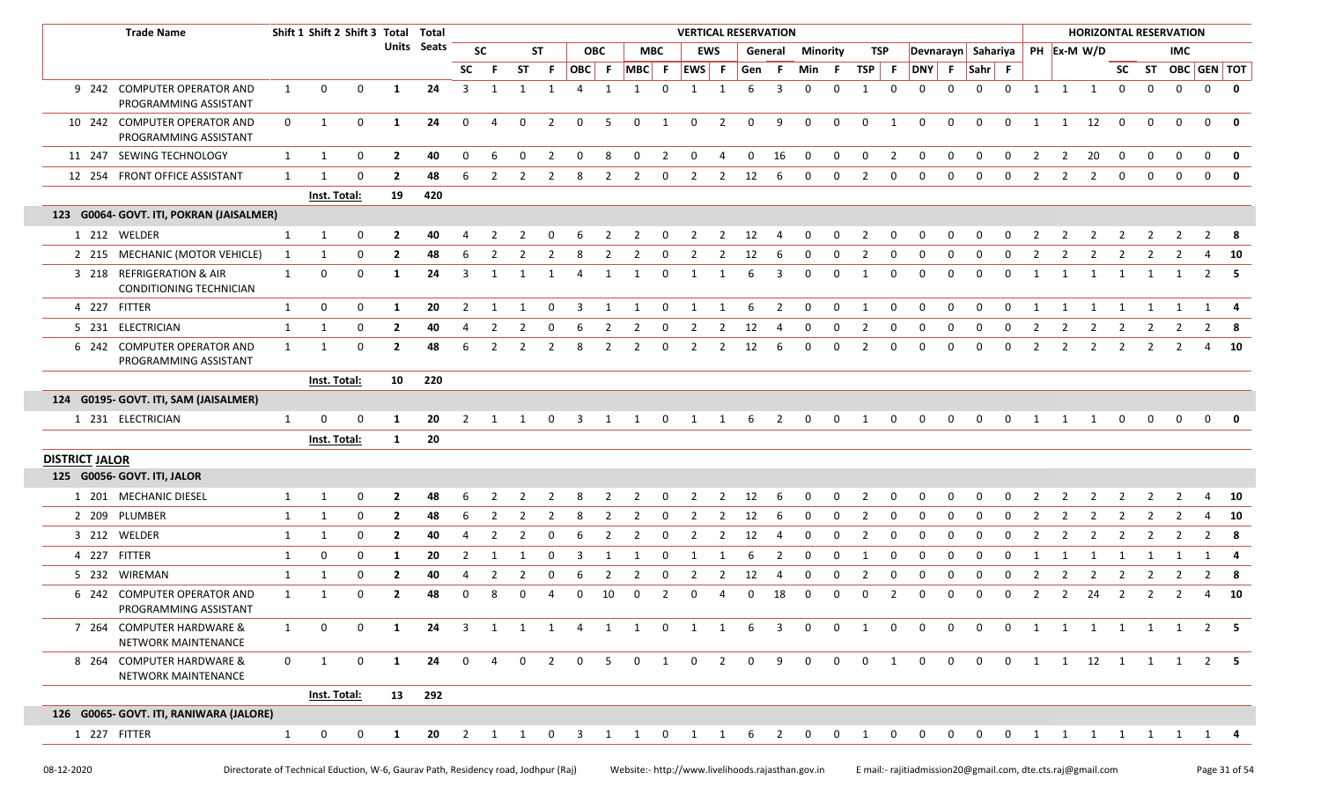|                       | <b>Trade Name</b>                                     |              | Shift 1 Shift 2 Shift 3 Total |              |                | Total       |                |                |                |                |                |                |                |                | <b>VERTICAL RESERVATION</b> |                |             |                |              |               |                |                |                    |                     |          |                |                |              | <b>HORIZONTAL RESERVATION</b>  |                |             |             |                                                     |                         |
|-----------------------|-------------------------------------------------------|--------------|-------------------------------|--------------|----------------|-------------|----------------|----------------|----------------|----------------|----------------|----------------|----------------|----------------|-----------------------------|----------------|-------------|----------------|--------------|---------------|----------------|----------------|--------------------|---------------------|----------|----------------|----------------|--------------|--------------------------------|----------------|-------------|-------------|-----------------------------------------------------|-------------------------|
|                       |                                                       |              |                               |              |                | Units Seats |                | <b>SC</b>      |                | <b>ST</b>      |                | <b>OBC</b>     | <b>MBC</b>     |                |                             | <b>EWS</b>     |             | General        | Minority     |               | TSP            |                | Devnarayn Sahariya |                     |          |                |                |              | PH Ex-M W/D                    |                |             | IMC.        |                                                     |                         |
|                       |                                                       |              |                               |              |                |             | <b>SC</b>      | - F            | <b>ST</b>      | F.             | OBC F MBC F    |                |                |                | $ EWS $ F                   |                | Gen F       |                | Min F        |               | $TSP$ F        |                | DNY F              |                     | Sahr F   |                |                |              |                                |                |             |             | SC ST OBC GEN TOT                                   |                         |
|                       | 9 242 COMPUTER OPERATOR AND<br>PROGRAMMING ASSISTANT  | 1            | 0                             | $\mathbf 0$  | 1              | 24          | 3              | $\overline{1}$ | 1              | 1              | $\overline{a}$ | 1              | 1              | $\Omega$       | 1                           | 1              | 6           | 3              | $\Omega$     | $\Omega$      | 1              | $\Omega$       | 0                  | $\Omega$            | $\Omega$ | $\mathbf 0$    | 1              | 1            | $\overline{1}$                 | $\mathbf 0$    | $\mathbf 0$ | $\mathbf 0$ | $\mathbf 0$                                         | $\overline{\mathbf{0}}$ |
|                       | 10 242 COMPUTER OPERATOR AND<br>PROGRAMMING ASSISTANT | $\mathbf 0$  | 1                             | $\mathbf 0$  | 1              | 24          | $\mathbf 0$    | $\overline{4}$ | $\mathbf 0$    | $\overline{2}$ | $\mathbf 0$    | 5              | $\mathbf 0$    | 1              | 0                           | $\overline{2}$ | 0           | 9              | 0            | 0             | $\mathbf 0$    | 1              | 0                  | 0                   | 0        | $\mathbf 0$    | 1              | 1            | 12                             | $\mathbf 0$    | 0           | $\mathbf 0$ | $\mathbf 0$                                         | 0                       |
|                       | 11 247 SEWING TECHNOLOGY                              | 1            | 1                             | 0            | $\overline{2}$ | 40          | 0              | 6              | $\Omega$       | 2              | $\Omega$       | 8              | 0              | $\overline{2}$ | $\mathbf 0$                 | 4              | 0           | 16             | 0            | $\mathbf 0$   | $\mathbf 0$    | $\overline{2}$ | 0                  | $\mathbf 0$         | 0        | $\mathbf 0$    | 2              | 2            | 20                             | $\mathbf 0$    | 0           | $\mathbf 0$ | $\mathbf 0$                                         | 0                       |
|                       | 12 254 FRONT OFFICE ASSISTANT                         | 1            | -1                            | $\Omega$     | $\overline{2}$ | 48          | 6              | 2              | $\overline{2}$ | 2              | 8              | $\overline{2}$ | 2              | 0              | 2                           | 2              | 12          | 6              | 0            | $\mathbf 0$   | 2              | $\mathbf 0$    | $\Omega$           | $\Omega$            | $\Omega$ | $\Omega$       | 2              | 2            | 2                              | $\mathbf{0}$   | $\Omega$    | $\Omega$    | $\mathbf 0$                                         | $\overline{\mathbf{0}}$ |
|                       |                                                       |              | <b>Inst. Total:</b>           |              | 19             | 420         |                |                |                |                |                |                |                |                |                             |                |             |                |              |               |                |                |                    |                     |          |                |                |              |                                |                |             |             |                                                     |                         |
|                       | 123 G0064- GOVT. ITI, POKRAN (JAISALMER)              |              |                               |              |                |             |                |                |                |                |                |                |                |                |                             |                |             |                |              |               |                |                |                    |                     |          |                |                |              |                                |                |             |             |                                                     |                         |
|                       | 1 212 WELDER                                          | 1            | 1                             | $\Omega$     | $\overline{2}$ | 40          |                | $\mathcal{L}$  |                |                |                |                |                |                | 2                           | -2             | 12          |                | 0            | $\Omega$      | 2              | $\Omega$       |                    |                     |          |                |                |              |                                |                |             |             | $\mathcal{P}$                                       | - 8                     |
|                       | 2 215 MECHANIC (MOTOR VEHICLE)                        | 1            | 1                             | $\Omega$     | $\overline{2}$ | 48          | 6              | 2              | 2              |                |                | 2              | $\overline{2}$ | $\Omega$       | 2                           | 2              | 12          | -6             | $\Omega$     | 0             | 2              | $\Omega$       | 0                  | $\Omega$            | 0        | 0              |                |              | 2                              | 2              | 2           | 2           | 4                                                   | <b>10</b>               |
|                       | 3 218 REFRIGERATION & AIR<br>CONDITIONING TECHNICIAN  | 1            | 0                             | $\mathbf 0$  | 1              | 24          | 3              | -1             | -1             | 1              | 4              | 1              | 1              | $\mathbf 0$    | 1                           | 1              | 6           | 3              | $\mathbf 0$  | $\mathbf 0$   | 1              | $\mathbf 0$    | $\Omega$           | $\Omega$            | 0        | 0              | 1              | -1           | - 1                            | -1             | -1          | - 1         | 2                                                   | - 5                     |
|                       | 4 227 FITTER                                          | 1            | 0                             | $\mathbf{0}$ | 1              | 20          | $\overline{2}$ | -1             | 1              | $\Omega$       | 3              | 1              | -1             | 0              | 1                           | $\mathbf{1}$   | 6           | $\overline{2}$ | 0            | 0             | 1              | 0              | 0                  | $\Omega$            | 0        | $\Omega$       | 1              | -1           | 1                              | -1             |             | -1          | 1                                                   | -4                      |
|                       | 5 231 ELECTRICIAN                                     | 1            | 1                             | $\mathbf{0}$ | $\overline{2}$ | 40          | 4              | 2              | 2              | 0              | 6              | $\overline{2}$ | $\overline{2}$ | 0              | 2                           | $\overline{2}$ | 12          | -4             | 0            | 0             | 2              | $\mathbf 0$    | 0                  | $\mathbf 0$         | 0        | $\mathbf 0$    | 2              | 2            | 2                              | 2              | 2           | 2           | $\overline{2}$                                      | - 8                     |
|                       | 6 242 COMPUTER OPERATOR AND<br>PROGRAMMING ASSISTANT  | $\mathbf{1}$ | $\mathbf 1$                   | $\Omega$     | $\overline{2}$ | 48          | 6              | 2              | 2              | $\overline{2}$ | 8              | 2              | 2              | $\Omega$       | 2                           | 2              | 12          | 6              | 0            | $\mathbf 0$   | 2              | 0              | 0                  | $\Omega$            | 0        | 0              | 2              | 2            | 2                              | 2              | 2           | 2           | 4                                                   | <b>10</b>               |
|                       |                                                       |              | Inst. Total:                  |              | 10             | 220         |                |                |                |                |                |                |                |                |                             |                |             |                |              |               |                |                |                    |                     |          |                |                |              |                                |                |             |             |                                                     |                         |
|                       | 124 G0195- GOVT. ITI, SAM (JAISALMER)                 |              |                               |              |                |             |                |                |                |                |                |                |                |                |                             |                |             |                |              |               |                |                |                    |                     |          |                |                |              |                                |                |             |             |                                                     |                         |
|                       | 1 231 ELECTRICIAN                                     | 1            | $\Omega$                      | $\mathbf 0$  | 1              | 20          |                | $2 \quad 1$    | $\overline{1}$ | $\overline{0}$ |                | $3 \quad 1$    | $\overline{1}$ |                | 0 1 1 6 2                   |                |             |                |              | $0 \t 0 \t 1$ |                | $\overline{0}$ | $\overline{0}$     | $0\qquad 0$         |          |                |                |              | $0 \qquad 1 \qquad 1 \qquad 1$ | $\mathbf{0}$   | $\mathbf 0$ | $\mathbf 0$ | $\begin{array}{ccc} & & 0 & \mathbf{0} \end{array}$ |                         |
|                       |                                                       |              | Inst. Total:                  |              | $\mathbf{1}$   | 20          |                |                |                |                |                |                |                |                |                             |                |             |                |              |               |                |                |                    |                     |          |                |                |              |                                |                |             |             |                                                     |                         |
| <b>DISTRICT JALOR</b> |                                                       |              |                               |              |                |             |                |                |                |                |                |                |                |                |                             |                |             |                |              |               |                |                |                    |                     |          |                |                |              |                                |                |             |             |                                                     |                         |
|                       | 125 G0056- GOVT. ITI, JALOR                           |              |                               |              |                |             |                |                |                |                |                |                |                |                |                             |                |             |                |              |               |                |                |                    |                     |          |                |                |              |                                |                |             |             |                                                     |                         |
|                       | 1 201 MECHANIC DIESEL                                 | $\mathbf{1}$ | 1                             | 0            | $\mathbf{2}$   | 48          | 6              |                |                |                |                | 2              | 2              | 0              | 2                           | 2              | 12          | 6              | 0            | 0             | 2              | 0              | 0                  |                     | 0        |                |                |              | 2                              |                |             |             | 4                                                   | 10                      |
|                       | 2 209 PLUMBER                                         | $\mathbf{1}$ | 1                             | 0            | $\overline{2}$ | 48          | 6              | $\overline{2}$ | 2              | 2              | 8              | $\overline{2}$ | 2              | 0              | 2                           | $\overline{2}$ | 12          | 6              | 0            | $\mathbf 0$   | 2              | 0              | $\Omega$           | 0                   | 0        | 0              | 2              | 2            | $\overline{2}$                 | 2              | 2           | 2           | 4                                                   | 10                      |
|                       | 3 212 WELDER                                          | 1            | 1                             | 0            | $\mathbf{2}$   | 40          |                | 2              | 2              | $\Omega$       | 6              | 2              | 2              | 0              | 2                           | 2              | 12          | -4             | 0            | 0             | 2              | 0              | 0                  | $\Omega$            | 0        | $\Omega$       | 2              | 2            | 2                              | 2              | 2           | 2           | $\overline{2}$                                      | - 8                     |
|                       | 4 227 FITTER                                          | 1            | 0                             | 0            | 1              | 20          | 2              | -1             | 1              | 0              | 3              | 1              | 1              | 0              | 1                           |                | 6           | $\overline{2}$ | 0            | 0             | 1              | 0              | 0                  | 0                   | 0        | 0              | 1              | -1           | -1                             | -1             | -1          | -1          | 1                                                   | -4                      |
|                       | 5 232 WIREMAN                                         | 1            | 1                             | 0            | $\mathbf{2}$   | 40          |                | 2              | 2              |                | 6              | 2              | 2              | $\Omega$       | 2                           | 2              | 12          | -4             | 0            | 0             | 2              | 0              | 0                  | $\Omega$            | 0        | 0              | 2              | 2            | 2                              | 2              | 2           | 2           | $\overline{2}$                                      | -8                      |
|                       | 6 242 COMPUTER OPERATOR AND<br>PROGRAMMING ASSISTANT  | 1            | -1                            | $\Omega$     | $\mathbf{2}$   | 48          | 0              | 8              | 0              | 4              | $\Omega$       | 10             | 0              | 2              | 0                           | -4             | 0           | 18             | 0            | 0             | 0              | 2              | 0                  | $\Omega$            | 0        | 0              | 2              | 2            | 24                             | 2              | 2           | 2           | 4                                                   | 10                      |
|                       | 7 264 COMPUTER HARDWARE &<br>NETWORK MAINTENANCE      | 1            | $\Omega$                      |              |                | 24          | 3              |                |                |                |                | 1              |                | $\Omega$       |                             |                |             |                | $\Omega$     | $\Omega$      |                |                |                    | $\Omega$            | $\Omega$ | $\Omega$       | $\overline{1}$ | $\mathbf{1}$ | 1                              | $\overline{1}$ |             | 1 1         |                                                     | $2 \quad 5$             |
|                       | 8 264 COMPUTER HARDWARE &<br>NETWORK MAINTENANCE      | $\mathbf 0$  | 1                             | $\mathbf 0$  | 1              | 24          | $\mathbf{0}$   | $\overline{4}$ | $\Omega$       | $\overline{2}$ | $\Omega$       | 5 <sub>5</sub> | $\overline{0}$ | $\mathbf{1}$   | $\mathbf 0$                 | 2              | $\mathbf 0$ | -9             | $\mathbf{0}$ | $\mathbf{0}$  | $\mathbf{0}$   | 1              | $\mathbf 0$        | $\mathbf{0}$        | $\Omega$ | $\overline{0}$ |                |              | 1 1 12 1 1 1                   |                |             |             |                                                     | 2 5                     |
|                       |                                                       |              | <b>Inst. Total:</b>           |              | 13             | 292         |                |                |                |                |                |                |                |                |                             |                |             |                |              |               |                |                |                    |                     |          |                |                |              |                                |                |             |             |                                                     |                         |
|                       | 126 G0065- GOVT. ITI, RANIWARA (JALORE)               |              |                               |              |                |             |                |                |                |                |                |                |                |                |                             |                |             |                |              |               |                |                |                    |                     |          |                |                |              |                                |                |             |             |                                                     |                         |
|                       | 1 227 FITTER                                          | 1            | 0                             | $\mathbf 0$  | 1              | 20          |                | 2 1 1          |                | $\overline{0}$ |                |                |                |                | 3 1 1 0 1 1 6               |                |             | $\overline{2}$ |              | $0\qquad 0$   | $\overline{1}$ | $\overline{0}$ |                    | $0\qquad 0\qquad 0$ |          |                |                |              | 0 1 1 1 1 1 1 1 4              |                |             |             |                                                     |                         |

E

E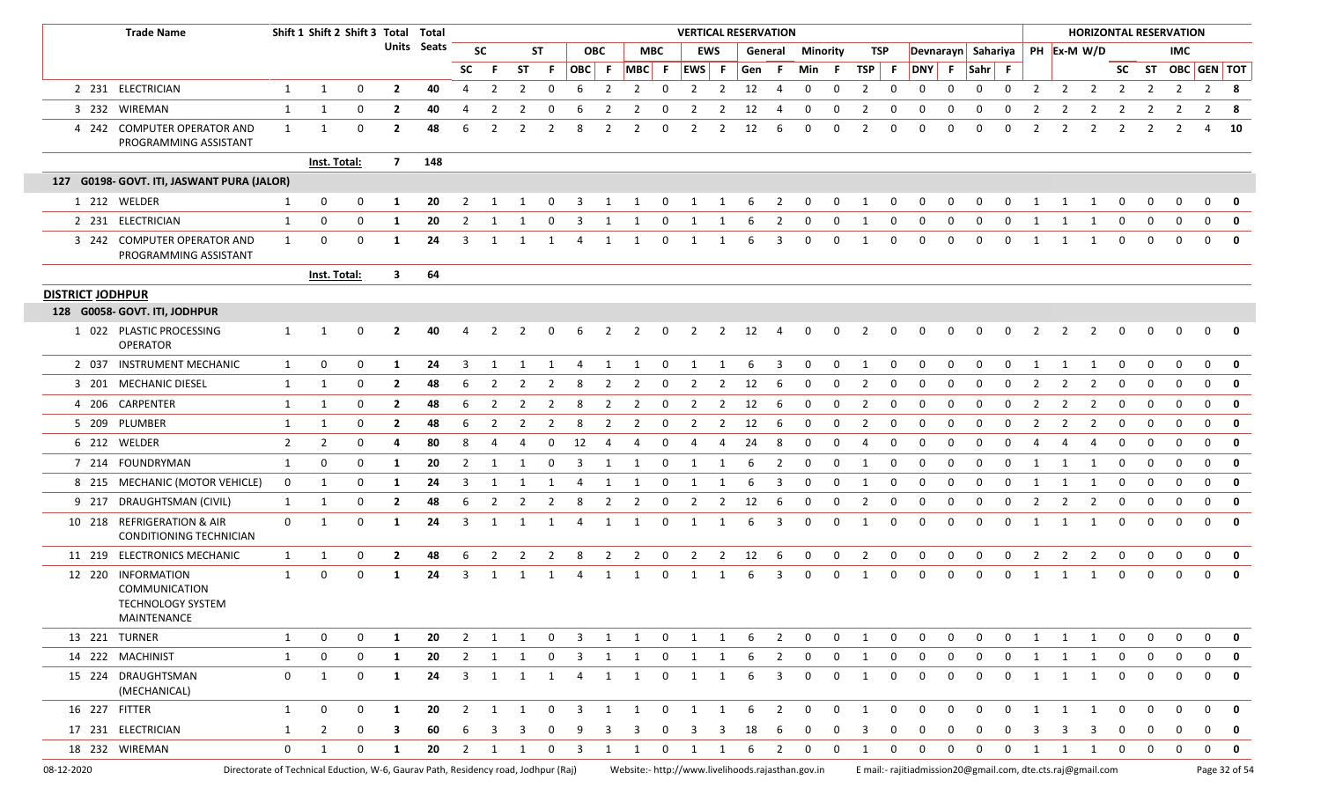|                         | <b>Trade Name</b>                                                                  |                | Shift 1 Shift 2 Shift 3 Total Total |             |                |             |                |                         |                |                |                         |                         |                |              |                                         |                | <b>VERTICAL RESERVATION</b>                       |                |                 |                |                |              |                                                             |              |                    |              |                                           |                |                |              | <b>HORIZONTAL RESERVATION</b> |                |                |               |
|-------------------------|------------------------------------------------------------------------------------|----------------|-------------------------------------|-------------|----------------|-------------|----------------|-------------------------|----------------|----------------|-------------------------|-------------------------|----------------|--------------|-----------------------------------------|----------------|---------------------------------------------------|----------------|-----------------|----------------|----------------|--------------|-------------------------------------------------------------|--------------|--------------------|--------------|-------------------------------------------|----------------|----------------|--------------|-------------------------------|----------------|----------------|---------------|
|                         |                                                                                    |                |                                     |             |                | Units Seats |                | <b>SC</b>               |                | <b>ST</b>      |                         | <b>OBC</b>              |                | <b>MBC</b>   |                                         | <b>EWS</b>     |                                                   | General        | <b>Minority</b> |                |                | TSP          |                                                             |              | Devnarayn Sahariya |              |                                           | PH Ex-M W/D    |                |              |                               | <b>IMC</b>     |                |               |
|                         |                                                                                    |                |                                     |             |                |             | SC .           | - F                     | <b>ST</b>      | F.             | OBC F                   |                         | $MBC$ F        |              | EWS F                                   |                | Gen F                                             |                | Min F           |                | TSP F          |              | <b>DNY</b>                                                  | - F          | Sahr F             |              |                                           |                |                | <b>SC</b>    |                               |                | ST OBC GEN TOT |               |
|                         | 2 231 ELECTRICIAN                                                                  | 1              | 1                                   | 0           | $\mathbf{2}$   | 40          | 4              | 2                       | 2              | $\Omega$       | 6                       | 2                       | 2              | $\Omega$     | 2                                       | 2              | 12                                                | 4              | $\mathbf 0$     | $\mathbf 0$    | 2              | 0            | 0                                                           | 0            | 0                  | 0            | 2                                         | $\overline{2}$ | $\overline{2}$ | 2            | 2                             | $\overline{2}$ | 2              | - 8           |
|                         | 3 232 WIREMAN                                                                      | 1              | 1                                   | 0           | $\mathbf{2}$   | 40          | 4              | 2                       | 2              | $\Omega$       | 6                       | 2                       | 2              | 0            | -2                                      | -2             | 12                                                | 4              | 0               | 0              | -2             | 0            |                                                             | 0            | 0                  | 0            | -2                                        | 2              | -2             | 2            | 2                             | 2              | 2              | -8            |
|                         | 4 242 COMPUTER OPERATOR AND<br>PROGRAMMING ASSISTANT                               | 1              | 1                                   | $\Omega$    | $\overline{2}$ | 48          | 6              | 2                       | $\overline{2}$ | $\overline{2}$ | 8                       | 2                       | $\overline{2}$ | $\Omega$     | $\overline{2}$                          | 2              | 12                                                | 6              | 0               | $\mathbf 0$    | 2              | 0            | $\Omega$                                                    | 0            | $\Omega$           | 0            | $\overline{2}$                            | $\overline{2}$ | $\overline{2}$ | 2            | $\overline{2}$                | $\overline{2}$ | 4              | - 10          |
|                         |                                                                                    |                | <b>Inst. Total:</b>                 |             | $\overline{7}$ | 148         |                |                         |                |                |                         |                         |                |              |                                         |                |                                                   |                |                 |                |                |              |                                                             |              |                    |              |                                           |                |                |              |                               |                |                |               |
|                         | 127 G0198- GOVT. ITI, JASWANT PURA (JALOR)                                         |                |                                     |             |                |             |                |                         |                |                |                         |                         |                |              |                                         |                |                                                   |                |                 |                |                |              |                                                             |              |                    |              |                                           |                |                |              |                               |                |                |               |
|                         | 1 212 WELDER                                                                       | 1              | 0                                   | 0           | 1              | 20          | 2              | 1                       |                | $\Omega$       | 3                       | 1                       | -1             | 0            | 1                                       | 1              | 6                                                 | $\overline{2}$ | $\mathbf 0$     | $\mathbf 0$    | -1             | 0            | 0                                                           | 0            | 0                  | 0            | -1                                        | 1              | $\mathbf{1}$   | 0            | 0                             | $\mathbf 0$    | $\mathbf 0$    | $\mathbf 0$   |
|                         | 2 231 ELECTRICIAN                                                                  | 1              | 0                                   | 0           | 1              | 20          | 2              |                         |                |                | -3                      |                         |                |              |                                         |                |                                                   |                |                 | 0              |                |              |                                                             |              |                    |              |                                           |                |                |              | 0                             | 0              | $\mathbf 0$    | 0             |
|                         | 3 242 COMPUTER OPERATOR AND<br>PROGRAMMING ASSISTANT                               | 1              | 0                                   | 0           | 1              | 24          | 3              | 1                       | 1              | 1              | 4                       | 1                       | 1              | 0            | -1                                      |                | 6                                                 | 3              | 0               | $\mathbf 0$    | 1              | 0            | $\Omega$                                                    | 0            | $\mathbf 0$        | 0            | -1                                        | 1              | -1             | 0            | 0                             | 0              | $\mathbf 0$    | 0             |
|                         |                                                                                    |                | <b>Inst. Total:</b>                 |             | $\mathbf{3}$   | 64          |                |                         |                |                |                         |                         |                |              |                                         |                |                                                   |                |                 |                |                |              |                                                             |              |                    |              |                                           |                |                |              |                               |                |                |               |
| <b>DISTRICT JODHPUR</b> |                                                                                    |                |                                     |             |                |             |                |                         |                |                |                         |                         |                |              |                                         |                |                                                   |                |                 |                |                |              |                                                             |              |                    |              |                                           |                |                |              |                               |                |                |               |
|                         | 128 G0058- GOVT. ITI, JODHPUR                                                      |                |                                     |             |                |             |                |                         |                |                |                         |                         |                |              |                                         |                |                                                   |                |                 |                |                |              |                                                             |              |                    |              |                                           |                |                |              |                               |                |                |               |
|                         | 1 022 PLASTIC PROCESSING<br><b>OPERATOR</b>                                        | 1              | 1                                   |             | $\overline{2}$ | 40          |                | 2                       |                | 0              | -6                      | 2                       | 2              | 0            | -2                                      | 2              | 12                                                | 4              | 0               | 0              | -2             |              |                                                             |              |                    |              | 2                                         | 2              | 2              | 0            | 0                             | $\Omega$       | $\mathbf 0$    | 0             |
|                         | 2 037 INSTRUMENT MECHANIC                                                          | $\mathbf{1}$   | 0                                   | 0           | -1             | 24          | 3              | 1                       | 1              |                |                         | 1                       | 1              | 0            | 1                                       | 1              | -6                                                | -3             | 0               | $\mathbf 0$    | -1             | 0            | <sup>0</sup>                                                | <sup>0</sup> |                    | 0            | -1                                        | 1              | -1             | 0            | 0                             | 0              | $\mathbf 0$    | 0             |
|                         | 3 201 MECHANIC DIESEL                                                              | 1              | 1                                   | 0           | $\mathbf{2}$   | 48          | 6              | 2                       | -2             | 2              | -8                      | 2                       | -2             | 0            | -2                                      | -2             | 12                                                | 6              | 0               | 0              | -2             | 0            |                                                             | 0            | 0                  | 0            | 2                                         | 2              | -2             | 0            | 0                             | 0              | 0              | 0             |
|                         | 4 206 CARPENTER                                                                    | 1              | 1                                   | 0           | $\overline{2}$ | 48          | 6              | 2                       | 2              | 2              | 8                       | 2                       | $\overline{2}$ | $\Omega$     | $\overline{2}$                          | 2              | 12                                                | -6             | $\mathbf 0$     | $\mathbf 0$    | $\overline{2}$ | 0            | $\Omega$                                                    | $\Omega$     | $\Omega$           | 0            | 2                                         | $\overline{2}$ | $\overline{2}$ | 0            | 0                             | $\mathbf 0$    | $\mathbf 0$    | 0             |
|                         | 5 209 PLUMBER                                                                      | 1              | 1                                   | 0           | $\overline{2}$ | 48          | -6             | 2                       | $\overline{z}$ | $\mathcal{L}$  | 8                       | 2                       | -2             | O            | -2                                      | -2             | 12                                                | 6              | -0              | $\Omega$       | $\overline{2}$ | O            |                                                             |              | <sup>0</sup>       | O            | -2                                        | 2              | -2             | 0            | O                             | 0              | $\Omega$       | 0             |
|                         | 6 212 WELDER                                                                       | $\overline{2}$ | $\overline{2}$                      | 0           | 4              | 80          | 8              |                         |                | ŋ              | 12                      |                         |                |              |                                         |                | 24                                                | 8              | <sup>0</sup>    | $\Omega$       |                |              |                                                             | 0            |                    |              |                                           | Д              | $\overline{a}$ | O            | 0                             | 0              | $\Omega$       | 0             |
|                         | 7 214 FOUNDRYMAN                                                                   | 1              | 0                                   | 0           | 1              | 20          | $\overline{2}$ | 1                       | 1              | <sup>0</sup>   | 3                       |                         |                | 0            |                                         |                | -6                                                | 2              | 0               | 0              | - 1            | 0            |                                                             | O            | $\Omega$           | O            |                                           | -1             | -1             | 0            | 0                             | $\Omega$       | $\Omega$       | $\mathbf 0$   |
|                         | 8 215 MECHANIC (MOTOR VEHICLE)                                                     | $\mathbf 0$    | 1                                   | $\Omega$    | -1             | 24          | 3              | 1                       | 1              | 1              | -4                      | 1                       | 1              | $\Omega$     | -1                                      | 1              | -6                                                | 3              | 0               | $\mathbf 0$    | -1             | 0            | 0                                                           | $\mathbf 0$  | $\Omega$           | 0            | -1                                        | 1              | -1             | 0            | 0                             | $\mathbf 0$    | $\mathbf 0$    | 0             |
|                         | 9 217 DRAUGHTSMAN (CIVIL)                                                          | 1              | 1                                   | 0           | $\mathbf{2}$   | 48          | -6             | 2                       | -2             | 2              | -8                      | 2                       | 2              | 0            | -2                                      | -2             | 12                                                | -6             | 0               | 0              | -2             |              |                                                             | 0            | -0                 | 0            | 2                                         | 2              | -2             | 0            | 0                             | 0              | $\mathbf 0$    | 0             |
|                         | 10 218 REFRIGERATION & AIR<br>CONDITIONING TECHNICIAN                              | $\mathbf 0$    | 1                                   | 0           | 1              | 24          | 3              | 1                       | 1              |                |                         | 1                       | 1              | $\Omega$     | 1                                       | 1              | -6                                                | 3              | 0               | $\mathbf 0$    | 1              | 0            | 0                                                           | 0            | $\Omega$           | 0            | 1                                         | 1              | 1              | 0            | 0                             | $\mathbf 0$    | $\mathbf 0$    | 0             |
|                         | 11 219 ELECTRONICS MECHANIC                                                        | 1              | 1                                   | 0           | $\overline{2}$ | 48          | 6              | $\overline{2}$          | $\overline{2}$ | $\overline{2}$ | 8                       | $\overline{2}$          | $\overline{2}$ | 0            | $\overline{2}$                          | $\overline{2}$ | 12                                                | 6              | $\mathbf 0$     | $\mathbf{0}$   | $\overline{2}$ | 0            | 0                                                           | $\mathbf 0$  | 0                  | 0            | $\overline{2}$                            | $\overline{2}$ | $\overline{2}$ | 0            | 0                             | $\mathbf 0$    | $\mathbf 0$    | $\mathbf 0$   |
|                         | 12 220 INFORMATION<br>COMMUNICATION<br><b>TECHNOLOGY SYSTEM</b><br>MAINTENANCE     | 1              | 0                                   | $\mathbf 0$ | 1              | 24          | 3              | 1                       |                |                |                         |                         |                | 0            |                                         |                | 6                                                 | 3              | 0               | $\Omega$       |                | 0            | 0                                                           | 0            | $\Omega$           | 0            |                                           |                |                | 0            | 0                             | 0              | $\mathbf 0$    | $\mathbf 0$   |
|                         | 13 221 TURNER                                                                      | 1              | 0                                   | $\mathbf 0$ | 1              | 20          | $\overline{2}$ | $\overline{\mathbf{1}}$ | $\mathbf{1}$   | $\mathbf{0}$   | $\overline{\mathbf{3}}$ | $\overline{\mathbf{1}}$ | $\mathbf{1}$   |              | $0 \qquad 1 \qquad 1$                   |                | 6                                                 | $\overline{2}$ |                 | $0\qquad 0$    | 1              | $\mathbf 0$  | $\mathbf 0$                                                 | $\mathbf 0$  | $\mathbf 0$        | $\mathbf 0$  | 1                                         | 1              | 1              | $\mathbf{0}$ | $\mathbf{0}$                  | $\mathbf 0$    | $\Omega$       | $\mathbf 0$   |
|                         | 14 222 MACHINIST                                                                   | 1              | 0                                   | $\mathbf 0$ | $\mathbf{1}$   | 20          |                | $2 \quad 1$             | $\mathbf{1}$   | $\mathbf{0}$   | $3 \quad 1$             |                         | $\mathbf{1}$   |              | $\begin{matrix} 0 & 1 & 1 \end{matrix}$ |                | 6                                                 | $\overline{2}$ | $\overline{0}$  | $\overline{0}$ | $\mathbf{1}$   | $\mathbf{0}$ | $\mathbf{0}$                                                | $\mathbf{0}$ | $\mathbf{0}$       |              | $\begin{matrix} 0 && 1 && 1 \end{matrix}$ |                | 1              | $\mathbf{0}$ | $\mathbf{0}$                  | $\mathbf{0}$   | $\mathbf{0}$   | $\mathbf 0$   |
|                         | 15 224 DRAUGHTSMAN<br>(MECHANICAL)                                                 | $\mathbf{0}$   | $\mathbf{1}$                        | $\mathbf 0$ | $\mathbf{1}$   | 24          | 3              | 1                       | 1              | 1              | $\overline{4}$          | 1                       | 1              | 0            | 1                                       | 1              | 6                                                 | 3              | $\mathbf 0$     | $\mathbf 0$    | 1              | $\mathbf 0$  | $\mathbf 0$                                                 | $\mathbf 0$  | $\mathbf 0$        | 0            | 1                                         | $\mathbf{1}$   | 1              | $\mathbf 0$  | $\mathbf 0$                   | $\mathbf 0$    | $\mathbf{0}$   | $\mathbf 0$   |
| 16 227 FITTER           |                                                                                    | $\mathbf{1}$   | 0                                   | 0           | 1              | 20          | $\overline{2}$ | $\overline{\mathbf{1}}$ | 1              | 0              | $\overline{\mathbf{3}}$ | 1                       | 1              | $\mathbf{0}$ | $\overline{\mathbf{1}}$                 | $\mathbf{1}$   | 6                                                 | $\overline{2}$ | $\mathbf{0}$    | $\mathbf{0}$   | $\mathbf{1}$   | $\mathbf 0$  | $\mathbf 0$                                                 | $\mathbf 0$  | $\mathbf 0$        | $\mathbf 0$  | 1                                         | $\overline{1}$ | 1              | $\mathbf 0$  | $\mathbf 0$                   | $\mathbf 0$    | $\mathbf 0$    | 0             |
|                         | 17 231 ELECTRICIAN                                                                 | 1              | $\overline{2}$                      | $\mathbf 0$ | 3              | 60          | 6              | 3                       | -3             | 0              | 9                       | 3                       | 3              | 0            | 3                                       | 3              | 18                                                | -6             | 0               | 0              | 3              | 0            | 0                                                           | 0            | 0                  | 0            | 3                                         | 3              | 3              | 0            | 0                             | 0              | $\mathbf 0$    | $\mathbf{0}$  |
|                         | 18 232 WIREMAN                                                                     | $\mathbf{0}$   | 1                                   | 0           | 1              | 20          |                | $2 \quad 1$             | 1              | $\mathbf 0$    | $\overline{\mathbf{3}}$ | $\mathbf{1}$            | 1              |              | $0\qquad 1$                             | $\overline{1}$ | 6                                                 | $\overline{2}$ |                 | $0\qquad 0$    | 1              | $\mathbf 0$  | $\mathbf 0$                                                 | $\mathbf 0$  | $\mathbf 0$        | $\mathbf{0}$ | 1 1                                       |                | 1              | $\mathbf 0$  | $\mathbf{0}$                  | $\overline{0}$ | $\mathbf 0$    | $\mathbf 0$   |
| 08-12-2020              | Directorate of Technical Eduction, W-6, Gaurav Path, Residency road, Jodhpur (Raj) |                |                                     |             |                |             |                |                         |                |                |                         |                         |                |              |                                         |                | Website:- http://www.livelihoods.rajasthan.gov.in |                |                 |                |                |              | E mail:- rajitiadmission20@gmail.com, dte.cts.raj@gmail.com |              |                    |              |                                           |                |                |              |                               |                |                | Page 32 of 54 |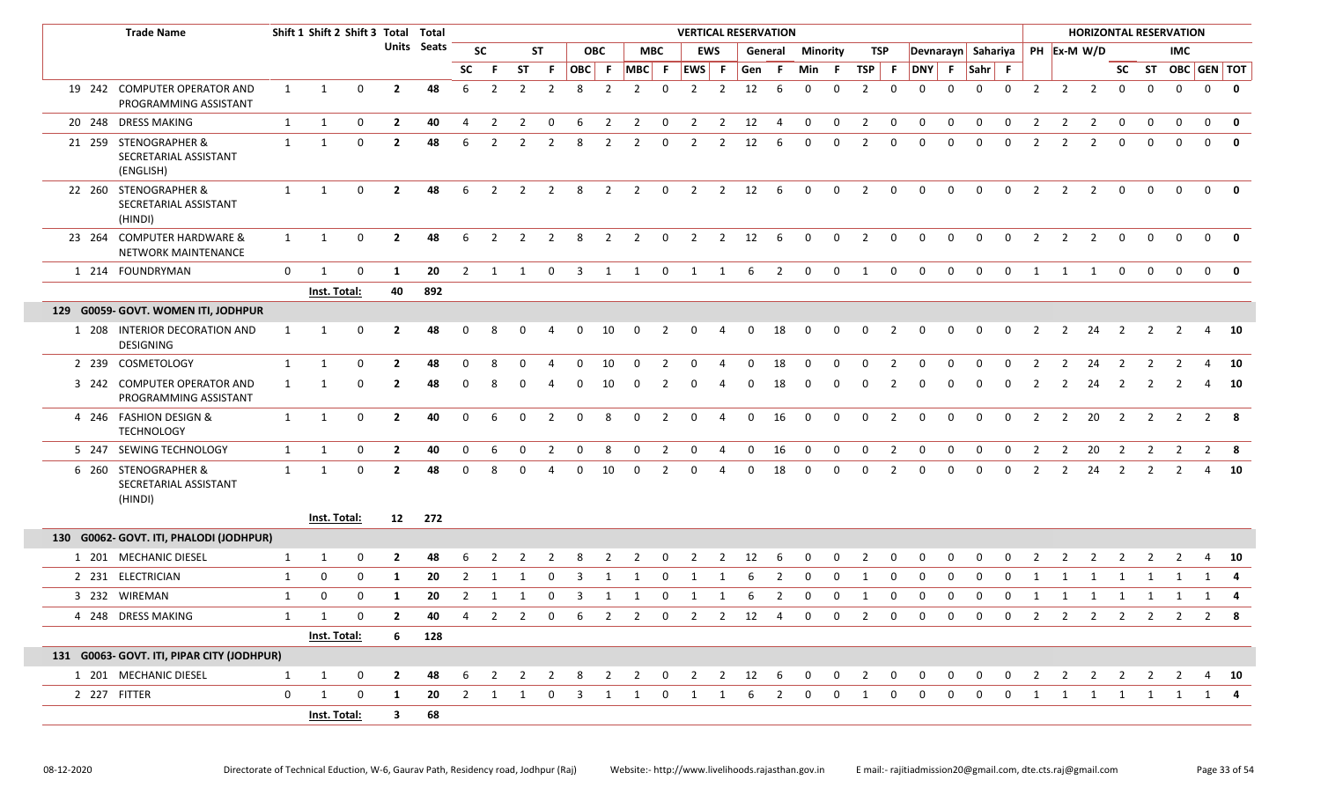|              | <b>Trade Name</b>                                           |              | Shift 1 Shift 2 Shift 3 Total Total |                |                         |                    |                |                         |                |                         |                         |                         |                            |                | <b>VERTICAL RESERVATION</b> |                         |             |                         |                         |              |                |                         |                                   |                |                |             |                |                |                                |                |                | <b>HORIZONTAL RESERVATION</b> |                |                         |
|--------------|-------------------------------------------------------------|--------------|-------------------------------------|----------------|-------------------------|--------------------|----------------|-------------------------|----------------|-------------------------|-------------------------|-------------------------|----------------------------|----------------|-----------------------------|-------------------------|-------------|-------------------------|-------------------------|--------------|----------------|-------------------------|-----------------------------------|----------------|----------------|-------------|----------------|----------------|--------------------------------|----------------|----------------|-------------------------------|----------------|-------------------------|
|              |                                                             |              |                                     |                |                         | <b>Units</b> Seats |                | <b>SC</b>               |                | <b>ST</b>               |                         | <b>OBC</b>              |                            | <b>MBC</b>     |                             | <b>EWS</b>              |             | General                 | <b>Minority</b>         |              | TSP            |                         |                                   |                |                |             |                |                | Devnarayn Sahariya PH Ex-M W/D |                |                | <b>IMC</b>                    |                |                         |
|              |                                                             |              |                                     |                |                         |                    | <b>SC</b>      | -F                      | <b>ST</b>      | -F.                     | OBC F                   |                         | $MBC$ F                    |                | EWS F                       |                         | Gen F       |                         | Min F                   |              | $TSP$ F        |                         | DNY F                             |                | $Sahr$ F       |             |                |                |                                |                |                | SC ST OBC GEN TOT             |                |                         |
|              | 19 242 COMPUTER OPERATOR AND<br>PROGRAMMING ASSISTANT       | 1            | 1                                   | 0              | $\mathbf{2}$            | 48                 | 6              | 2                       | 2              | $\overline{2}$          | 8                       | 2                       | $\overline{2}$             | $\Omega$       | 2                           | 2                       | 12          | -6                      | $\Omega$                | $\Omega$     | 2              | $\Omega$                | $\Omega$                          | $\Omega$       | $\Omega$       | $\Omega$    | 2              | 2              | 2                              | $\mathbf 0$    | $\mathbf 0$    | $\Omega$                      | $\mathbf 0$    | $\overline{\mathbf{0}}$ |
|              | 20 248 DRESS MAKING                                         | $\mathbf{1}$ | $\mathbf{1}$                        | 0              | $\overline{2}$          | 40                 | 4              | $\overline{2}$          | 2              | $\mathbf 0$             | 6                       | $\overline{2}$          | $\overline{2}$             | $\mathbf 0$    | $\overline{2}$              | $\overline{2}$          | 12          | 4                       | $\mathbf 0$             | 0            | $\overline{2}$ | $\mathbf 0$             | 0                                 | 0              | $\mathbf 0$    | $\mathbf 0$ | 2              | 2              | 2                              | $\mathbf 0$    | $\mathbf 0$    | $\mathbf 0$                   | $\mathbf 0$    | $\mathbf{0}$            |
|              | 21 259 STENOGRAPHER &<br>SECRETARIAL ASSISTANT<br>(ENGLISH) | 1            | -1                                  | 0              |                         | 48                 |                |                         |                |                         | 8                       |                         | 2                          | $\Omega$       |                             | 2                       | 12          | 6                       |                         |              |                | 0                       |                                   |                |                |             |                |                |                                |                |                |                               | $\Omega$       |                         |
|              | 22 260 STENOGRAPHER &<br>SECRETARIAL ASSISTANT<br>(HINDI)   | 1            | 1                                   | $\mathbf 0$    | $\mathbf{2}$            | 48                 | 6              | $\overline{2}$          | 2              | 2                       | 8                       | $\overline{2}$          | $\overline{2}$             | $\mathbf 0$    | $\overline{2}$              | $2^{\circ}$             | 12          | 6                       | $\mathbf 0$             | $\mathbf{0}$ | $\overline{2}$ | $\mathbf 0$             | $\Omega$                          | 0              | $\Omega$       | $\mathbf 0$ | 2              | 2              | 2                              | $\Omega$       | $\Omega$       |                               | $\mathbf{0}$   |                         |
|              | 23 264 COMPUTER HARDWARE &<br>NETWORK MAINTENANCE           | $\mathbf{1}$ | 1                                   | 0              | $\mathbf{2}$            | 48                 | 6              | 2                       | 2              | $\overline{2}$          | 8                       | $\overline{2}$          | $\overline{2}$             | $\mathbf 0$    | 2                           | $2^{\circ}$             | 12          | 6                       | 0                       | $\mathbf{0}$ | $\overline{2}$ | $\overline{0}$          | $\mathbf 0$                       | 0              | $\mathbf{0}$   | $\mathbf 0$ | 2              | $\overline{2}$ | 2                              | $\mathbf 0$    | $\Omega$       | $\Omega$                      | $\mathbf 0$    |                         |
|              | 1 214 FOUNDRYMAN                                            | $\mathbf 0$  | 1                                   | 0              | 1                       | 20                 | $\overline{2}$ | 1                       | $\overline{1}$ | $\overline{0}$          | $\overline{\mathbf{3}}$ |                         | 1 1                        | $\mathbf{0}$   | $\overline{1}$              | $\overline{\mathbf{1}}$ | 6           | $\overline{\mathbf{2}}$ | $\mathsf{O}$            | $\mathbf 0$  | 1              | $\overline{\mathbf{0}}$ | $\mathbf 0$                       | $\mathsf{o}$   | $\overline{0}$ |             | 0 1 1 1        |                |                                | $\mathbf 0$    | $\mathbf 0$    | $\mathbf 0$                   | $\overline{0}$ | $\overline{\mathbf{0}}$ |
|              |                                                             |              | Inst. Total:                        |                | 40                      | 892                |                |                         |                |                         |                         |                         |                            |                |                             |                         |             |                         |                         |              |                |                         |                                   |                |                |             |                |                |                                |                |                |                               |                |                         |
|              | 129 G0059- GOVT. WOMEN ITI, JODHPUR                         |              |                                     |                |                         |                    |                |                         |                |                         |                         |                         |                            |                |                             |                         |             |                         |                         |              |                |                         |                                   |                |                |             |                |                |                                |                |                |                               |                |                         |
|              | 1 208 INTERIOR DECORATION AND<br><b>DESIGNING</b>           | 1            | 1                                   | $\Omega$       |                         | 48                 |                |                         |                |                         |                         | 10                      |                            |                |                             |                         | 0           | 18                      |                         |              | $\Omega$       |                         |                                   |                |                |             |                | 2              | 24                             | 2              |                |                               | 4              | 10                      |
|              | 2 239 COSMETOLOGY                                           | 1            |                                     | n              |                         | 48                 |                |                         |                |                         |                         | 10                      |                            |                |                             |                         |             | 18                      |                         |              |                |                         |                                   |                |                |             |                | $\mathcal{L}$  | 24                             |                |                |                               |                | 10                      |
|              | 3 242 COMPUTER OPERATOR AND<br>PROGRAMMING ASSISTANT        | 1            |                                     |                |                         | 48                 |                |                         |                |                         |                         | 10                      |                            |                |                             |                         |             | 18                      |                         |              |                | 2                       |                                   |                |                |             | $\mathcal{L}$  | $\mathcal{L}$  | 24                             | 2              |                |                               | 4              | 10                      |
|              | 4 246 FASHION DESIGN &<br><b>TECHNOLOGY</b>                 | $\mathbf{1}$ | 1                                   | 0              | $\overline{2}$          | 40                 | $\Omega$       |                         |                | $\mathcal{P}$           | $\Omega$                | 8                       | $\mathbf 0$                | 2              | $\Omega$                    | $\Delta$                | $\Omega$    | 16                      | $\mathbf 0$             | $\mathbf{0}$ | $\mathbf{0}$   | 2                       | $\Omega$                          | $\Omega$       | $\Omega$       | $\Omega$    | 2              | 2              | 20                             | $\overline{2}$ | 2              | 2                             | 2              | - 8                     |
|              | 5 247 SEWING TECHNOLOGY                                     | $\mathbf{1}$ | $\mathbf{1}$                        | 0              | $\overline{2}$          | 40                 | $\mathbf 0$    | 6                       | $\mathbf 0$    | 2                       | $\mathbf 0$             | 8                       | $\mathbf 0$                | $\overline{2}$ | $\mathbf 0$                 | 4                       | $\mathbf 0$ | 16                      | $\overline{\mathbf{0}}$ | $\mathbf{0}$ | $\mathbf 0$    | $\overline{2}$          | $\mathbf 0$                       | $\mathbf 0$    | $\mathbf 0$    | $\mathbf 0$ | 2              | $\overline{2}$ | 20                             | $\overline{2}$ | 2              | $\overline{2}$                |                | $2 \times 8$            |
|              | 6 260 STENOGRAPHER &<br>SECRETARIAL ASSISTANT<br>(HINDI)    | $\mathbf{1}$ | 1                                   | 0              | $\overline{2}$          | 48                 |                |                         |                |                         | <sup>0</sup>            | 10                      | $\Omega$                   | 2              | $\Omega$                    | 4                       | $\Omega$    | 18                      | 0                       | $\Omega$     | $\Omega$       | 2                       | 0                                 | <sup>0</sup>   | 0              | 0           | 2              | 2              | 24                             | 2              | 2              | 2                             | 4              | 10                      |
|              |                                                             |              | Inst. Total:                        |                |                         | 12 272             |                |                         |                |                         |                         |                         |                            |                |                             |                         |             |                         |                         |              |                |                         |                                   |                |                |             |                |                |                                |                |                |                               |                |                         |
|              | 130 G0062- GOVT. ITI, PHALODI (JODHPUR)                     |              |                                     |                |                         |                    |                |                         |                |                         |                         |                         |                            |                |                             |                         |             |                         |                         |              |                |                         |                                   |                |                |             |                |                |                                |                |                |                               |                |                         |
|              | 1 201 MECHANIC DIESEL                                       | 1            | 1                                   | 0              | $\mathbf{2}$            | 48                 |                |                         |                |                         |                         |                         |                            |                |                             |                         | 12          |                         |                         |              |                | O                       |                                   |                |                |             |                |                |                                |                |                |                               |                | 10                      |
|              | 2 231 ELECTRICIAN                                           | 1            | 0                                   | 0              | -1                      | 20                 | 2              | $\overline{1}$          |                | $\Omega$                | 3                       | $\overline{\mathbf{1}}$ |                            | $\Omega$       |                             |                         | -6          | 2                       | $\Omega$                | $\Omega$     | $\mathbf 1$    | $\mathbf 0$             | $\Omega$                          | $\Omega$       | $\Omega$       | $\Omega$    | -1             |                | 1                              | 1              |                |                               | 1              | 4                       |
|              | 3 232 WIREMAN                                               | 1            | 0                                   | $\Omega$       | -1                      | 20                 | 2              |                         |                |                         |                         |                         |                            |                |                             |                         |             |                         |                         | <sup>0</sup> |                | 0                       | 0                                 | <sup>0</sup>   | <sup>0</sup>   | 0           |                |                | 1                              |                |                |                               | 1              |                         |
|              | 4 248 DRESS MAKING                                          | $\mathbf{1}$ | 1                                   | 0              | $\overline{2}$          | 40                 |                |                         |                |                         |                         |                         | 4 2 2 0 6 2 2 0 2 2 12 4 0 |                |                             |                         |             |                         |                         |              |                |                         | $0\qquad 2\qquad 0\qquad 0$       |                |                |             |                |                |                                |                |                | 0 0 0 2 2 2 2 2 2 2 8         |                |                         |
|              |                                                             |              | <b>Inst. Total:</b>                 |                | $6 -$                   | 128                |                |                         |                |                         |                         |                         |                            |                |                             |                         |             |                         |                         |              |                |                         |                                   |                |                |             |                |                |                                |                |                |                               |                |                         |
|              | 131 G0063- GOVT. ITI, PIPAR CITY (JODHPUR)                  |              |                                     |                |                         |                    |                |                         |                |                         |                         |                         |                            |                |                             |                         |             |                         |                         |              |                |                         |                                   |                |                |             |                |                |                                |                |                |                               |                |                         |
|              | 1 201 MECHANIC DIESEL                                       | $\mathbf{1}$ | $\mathbf{1}$                        | $\mathbf 0$    | $\overline{\mathbf{2}}$ | 48                 | 6              | $\overline{\mathbf{2}}$ | $\overline{2}$ | $\overline{\mathbf{2}}$ | - 8                     | $\overline{2}$          | $\overline{2}$             | $\overline{0}$ | $\overline{\mathbf{2}}$     | $2 \t 12$               |             | $6^{\circ}$             | 0                       | $\mathbf 0$  | $\overline{2}$ | $\mathbf 0$             | $\mathbf 0$                       | 0              | $\mathbf 0$    | $\mathbf 0$ | $\overline{2}$ | $\overline{2}$ | $2 \t2$                        |                | $\overline{2}$ | 2                             |                | 4 10                    |
| 2 227 FITTER |                                                             | $\mathbf 0$  | $\mathbf{1}$                        | $\overline{0}$ | 1                       | 20                 |                |                         |                |                         |                         |                         |                            |                |                             |                         |             |                         |                         |              |                |                         | 2 1 1 0 3 1 1 0 1 1 6 2 0 0 1 0 0 | $\overline{0}$ |                |             |                |                |                                |                |                | 0 0 1 1 1 1 1 1 1 1 4         |                |                         |
|              |                                                             |              | Inst. Total:                        |                | $\overline{\mathbf{3}}$ | 68                 |                |                         |                |                         |                         |                         |                            |                |                             |                         |             |                         |                         |              |                |                         |                                   |                |                |             |                |                |                                |                |                |                               |                |                         |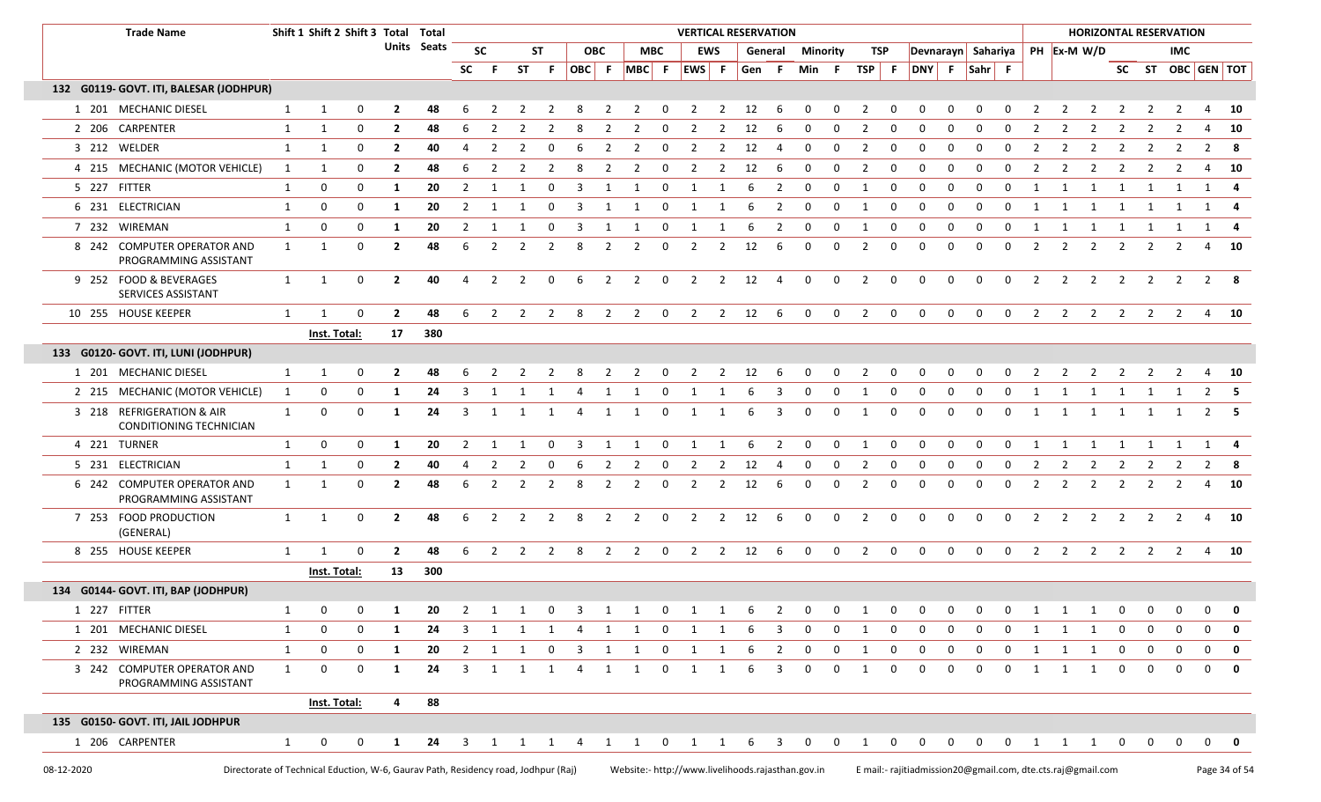|            | <b>Trade Name</b>                                                                  |              | Shift 1 Shift 2 Shift 3 Total Total |              |                |                    |                |                |                |                         |                         |                |                                                                                                    |                         | <b>VERTICAL RESERVATION</b> |                |           |                |                         |                 |                |                         |                                                             |              |                    |             |                |                         | <b>HORIZONTAL RESERVATION</b> |                |                   |                |                   |                                 |
|------------|------------------------------------------------------------------------------------|--------------|-------------------------------------|--------------|----------------|--------------------|----------------|----------------|----------------|-------------------------|-------------------------|----------------|----------------------------------------------------------------------------------------------------|-------------------------|-----------------------------|----------------|-----------|----------------|-------------------------|-----------------|----------------|-------------------------|-------------------------------------------------------------|--------------|--------------------|-------------|----------------|-------------------------|-------------------------------|----------------|-------------------|----------------|-------------------|---------------------------------|
|            |                                                                                    |              |                                     |              |                | <b>Units</b> Seats |                | <b>SC</b>      |                | ST                      |                         | <b>OBC</b>     |                                                                                                    | <b>MBC</b>              |                             | <b>EWS</b>     |           | General        |                         | <b>Minority</b> | TSP            |                         |                                                             |              | Devnarayn Sahariya |             |                |                         | PH Ex-M W/D                   |                |                   | <b>IMC</b>     |                   |                                 |
|            |                                                                                    |              |                                     |              |                |                    | <b>SC</b>      | -F.            |                | ST F                    | OBC F                   |                | $MBC$ F                                                                                            |                         | EWS F                       |                | Gen F     |                | Min F                   |                 | TSP F          |                         |                                                             |              | DNY F Sahr F       |             |                |                         |                               |                |                   |                | SC ST OBC GEN TOT |                                 |
|            | 132 G0119- GOVT. ITI, BALESAR (JODHPUR)                                            |              |                                     |              |                |                    |                |                |                |                         |                         |                |                                                                                                    |                         |                             |                |           |                |                         |                 |                |                         |                                                             |              |                    |             |                |                         |                               |                |                   |                |                   |                                 |
|            | 1 201 MECHANIC DIESEL                                                              | 1            | -1                                  | 0            | -2             | 48                 |                |                |                |                         |                         |                |                                                                                                    |                         |                             |                | 12        |                |                         |                 | 2              | 0                       |                                                             |              |                    |             |                |                         |                               |                |                   |                |                   | - 10                            |
|            | 2 206 CARPENTER                                                                    | 1            | $\mathbf{1}$                        | 0            | $\overline{2}$ | 48                 |                |                |                |                         |                         |                |                                                                                                    | O                       | -2                          |                | 12        |                | $\Omega$                | <sup>0</sup>    | 2              | 0                       | <sup>0</sup>                                                | n            | $\Omega$           | $\Omega$    | 2              | 2                       |                               |                |                   | 2              | 4                 | - 10                            |
|            | 3 212 WELDER                                                                       | $\mathbf{1}$ | 1                                   | 0            | $\overline{2}$ | 40                 | 4              | 2              | 2              | 0                       | -6                      | 2              | 2                                                                                                  | 0                       | 2                           | $\overline{2}$ | 12        | 4              | 0                       | 0               | 2              | 0                       | 0                                                           | 0            | 0                  | 0           | 2              | 2                       |                               | 2              |                   | 2              | 2                 | -8                              |
|            | 4 215 MECHANIC (MOTOR VEHICLE)                                                     | $\mathbf{1}$ | 1                                   | 0            | $\overline{2}$ | 48                 | 6              | 2              | 2              | $\overline{2}$          | 8                       | $\overline{2}$ | $\overline{2}$                                                                                     | $\mathbf 0$             | $\overline{2}$              | $\overline{2}$ | 12        | - 6            | $\mathbf 0$             | 0               | $\overline{2}$ | $\mathbf 0$             | 0                                                           | $\mathbf 0$  | $\mathbf 0$        | 0           | $\overline{2}$ | $\overline{2}$          | $\overline{2}$                | $\overline{2}$ | 2                 | $\overline{2}$ | 4                 | - 10                            |
|            | 5 227 FITTER                                                                       | 1            | 0                                   | 0            | 1              | 20                 | 2              |                |                | 0                       | -3                      | -1             | 1                                                                                                  | 0                       | 1                           |                | -6        |                | 0                       | 0               | 1              | $\mathbf 0$             | 0                                                           | 0            | 0                  | 0           | 1              | 1                       | 1                             |                |                   | 1              | 1                 |                                 |
|            | 6 231 ELECTRICIAN                                                                  | 1            | $\mathbf 0$                         | 0            | 1              | 20                 | 2              | -1             |                | 0                       | -3                      | 1              | -1                                                                                                 | 0                       | 1                           |                | 6         | 2              | 0                       | 0               | 1              | $\mathbf 0$             | 0                                                           | 0            | $\mathbf 0$        | 0           | 1              | 1                       | 1                             | 1              | 1                 | 1              | 1                 |                                 |
|            | 7 232 WIREMAN                                                                      | 1            | 0                                   | 0            | 1              | 20                 | 2              |                |                | 0                       | -3                      |                |                                                                                                    | 0                       | 1                           |                | -6        | 2              | 0                       | 0               | 1              | 0                       | 0                                                           | 0            | 0                  | 0           | 1              | -1                      | 1                             |                |                   |                | -1                |                                 |
|            | 8 242 COMPUTER OPERATOR AND<br>PROGRAMMING ASSISTANT                               | 1            | $\mathbf{1}$                        | 0            | $\overline{2}$ | 48                 | 6              | $\overline{2}$ | 2              | $\overline{2}$          | 8                       | $\overline{2}$ | $\overline{2}$                                                                                     | $\mathbf 0$             | $\overline{2}$              | $\overline{2}$ | 12        | 6              | $\mathbf 0$             | $\mathbf 0$     | $\overline{2}$ | 0                       | 0                                                           | $\mathbf 0$  | 0                  | $\mathbf 0$ | $\overline{2}$ | $\overline{2}$          | $\overline{2}$                | $\overline{2}$ | 2                 | 2              |                   | 4 10                            |
|            | 9 252 FOOD & BEVERAGES<br>SERVICES ASSISTANT                                       | 1            | $\mathbf{1}$                        | $\mathbf{0}$ | $\overline{2}$ | 40                 | 4              | $\overline{2}$ | $\overline{2}$ | $\mathbf 0$             | -6                      | $\overline{2}$ | $\overline{2}$                                                                                     | $\mathbf 0$             | $\overline{2}$              | $\overline{2}$ | 12        | 4              | $\mathbf 0$             | $\mathbf 0$     | $\overline{2}$ | $\mathbf 0$             | 0                                                           | 0            | $\mathbf 0$        | $\mathbf 0$ | $\overline{2}$ | 2                       | $\overline{2}$                | 2              | $\overline{2}$    | $\overline{2}$ | $\overline{2}$    | - 8                             |
|            | 10 255 HOUSE KEEPER                                                                | 1            | -1                                  | 0            | $\overline{2}$ | 48                 | -6             | 2              | 2              | 2                       | 8                       | $\overline{2}$ | $\overline{2}$                                                                                     | $\mathbf 0$             | 2                           |                | $2 \t12$  | - 6            | $\mathbf 0$             | $\mathbf{0}$    | 2              | $\overline{0}$          | $\mathbf 0$                                                 | $\mathbf{0}$ | $\Omega$           | $\mathbf 0$ | $\overline{2}$ | 2                       | 2                             | 2              | 2                 | $\overline{2}$ |                   | 4 10                            |
|            |                                                                                    |              | Inst. Total:                        |              | 17             | 380                |                |                |                |                         |                         |                |                                                                                                    |                         |                             |                |           |                |                         |                 |                |                         |                                                             |              |                    |             |                |                         |                               |                |                   |                |                   |                                 |
|            | 133 G0120- GOVT. ITI, LUNI (JODHPUR)                                               |              |                                     |              |                |                    |                |                |                |                         |                         |                |                                                                                                    |                         |                             |                |           |                |                         |                 |                |                         |                                                             |              |                    |             |                |                         |                               |                |                   |                |                   |                                 |
|            | 1 201 MECHANIC DIESEL                                                              | 1            | 1                                   | $\mathbf 0$  | $\overline{2}$ | 48                 | 6              | 2              | 2              | $\overline{2}$          | 8                       | $\overline{2}$ | $\overline{2}$                                                                                     | $\overline{\mathbf{0}}$ | $\overline{2}$              |                | $2 \t 12$ | - 6            | $\mathbf 0$             | $\mathbf 0$     | $\overline{2}$ | $\overline{0}$          | 0                                                           | $\mathbf 0$  | $\mathbf 0$        | 0           | $\overline{2}$ | $\overline{\mathbf{2}}$ | $\overline{2}$                | $\overline{2}$ |                   | 2 2            |                   | 4 10                            |
|            | 2 215 MECHANIC (MOTOR VEHICLE)                                                     | 1            | 0                                   | 0            | -1             | 24                 |                |                |                | -1                      |                         |                |                                                                                                    | 0                       | 1                           |                |           |                | 0                       | <sup>0</sup>    | 1              | 0                       | 0                                                           | <sup>0</sup> | <sup>0</sup>       | $\Omega$    |                | -1                      |                               |                |                   |                |                   |                                 |
|            | 3 218 REFRIGERATION & AIR<br>CONDITIONING TECHNICIAN                               | 1            | $\mathbf 0$                         | $\mathbf{0}$ | -1             | 24                 | 3              | 1              | 1              | $\overline{\mathbf{1}}$ | 4                       | 1              | 1                                                                                                  | $\mathbf{0}$            | 1                           | 1              | 6         | 3              | $\mathbf 0$             | 0               | $\overline{1}$ | $\mathbf 0$             | 0                                                           | 0            | $\mathbf 0$        | 0           | 1              | 1                       | 1                             | 1              |                   | 1 1            | 2                 | - 5                             |
|            | 4 221 TURNER                                                                       | 1            | $\mathbf 0$                         | 0            | -1             | 20                 | $\overline{2}$ | $\mathbf{1}$   | -1             | 0                       | 3                       | 1              | -1                                                                                                 | $\mathbf 0$             | 1                           | 1              | 6         | $\overline{2}$ | $\mathbf 0$             | $\mathbf 0$     | 1              | $\mathbf 0$             | 0                                                           | 0            | $\mathbf 0$        | $\mathbf 0$ | 1              | 1                       | 1                             | 1              |                   | 1              | 1                 | -4                              |
|            | 5 231 ELECTRICIAN                                                                  | 1            | 1                                   | 0            | $\overline{2}$ | 40                 | -4             | 2              |                | 0                       | -6                      | 2              | 2                                                                                                  | 0                       | 2                           | 2              | 12        | 4              | 0                       | 0               | 2              | 0                       | 0                                                           | 0            | 0                  | 0           | $\mathbf{2}$   | 2                       | 2                             | 2              | 2                 | 2              | $\mathbf{2}$      | -8                              |
|            | 6 242 COMPUTER OPERATOR AND<br>PROGRAMMING ASSISTANT                               | 1            | - 1                                 | 0            | $\overline{2}$ | 48                 | -6             | 2              | 2              | 2                       | 8                       | 2              | $\overline{2}$                                                                                     | 0                       | $\overline{2}$              | 2              | 12        | 6              | 0                       | 0               | 2              | 0                       | 0                                                           | $\Omega$     | $\mathbf 0$        | 0           | $\overline{2}$ | $\overline{2}$          | 2                             | 2              | 2                 | 2              | 4                 | 10                              |
|            | 7 253 FOOD PRODUCTION<br>(GENERAL)                                                 | 1            | $\mathbf{1}$                        | $\mathbf{0}$ | $\overline{2}$ | 48                 | -6             | 2              | 2              | 2                       | 8                       | 2              | $\overline{2}$                                                                                     | $\mathsf{o}$            | $\overline{2}$              | $\overline{2}$ | 12        | 6              | $\mathbf 0$             | 0               | 2              | $\mathbf 0$             | 0                                                           | $\mathbf 0$  | $\mathbf 0$        | 0           | $\overline{2}$ | 2                       | 2                             | 2              | 2                 | $\overline{2}$ | 4                 | - 10                            |
|            | 8 255 HOUSE KEEPER                                                                 | $\mathbf{1}$ | -1                                  | 0            | $\mathbf{2}$   | 48                 | -6             | 2              | 2              | $\overline{2}$          | -8                      | 2              | $\overline{2}$                                                                                     | $\mathbf{0}$            | $\overline{2}$              |                | 2 12      | -6             | 0                       | $\mathbf 0$     | $\overline{2}$ | $\overline{\mathbf{0}}$ | $\mathbf 0$                                                 | $\mathbf 0$  | $\mathbf{0}$       | 0           |                | $2 \quad 2$             | $\overline{2}$                | 2              |                   | $2 \quad 2$    |                   | 4 10                            |
|            |                                                                                    |              | Inst. Total:                        |              | 13             | 300                |                |                |                |                         |                         |                |                                                                                                    |                         |                             |                |           |                |                         |                 |                |                         |                                                             |              |                    |             |                |                         |                               |                |                   |                |                   |                                 |
|            | 134 G0144- GOVT. ITI, BAP (JODHPUR)                                                |              |                                     |              |                |                    |                |                |                |                         |                         |                |                                                                                                    |                         |                             |                |           |                |                         |                 |                |                         |                                                             |              |                    |             |                |                         |                               |                |                   |                |                   |                                 |
|            | 1 227 FITTER                                                                       |              | $\Omega$                            |              |                | 20                 |                | 1 1            |                | $\overline{0}$          | $\overline{\mathbf{3}}$ |                | $\overline{\phantom{a}}$                                                                           | $\mathbf 0$             | 1                           |                |           |                | $\Omega$                |                 |                | $\Omega$                | $\Omega$                                                    |              | $\cap$             |             |                |                         |                               |                | $0\quad 0\quad 0$ |                |                   | $\begin{matrix}0&0\end{matrix}$ |
|            | 1 201 MECHANIC DIESEL                                                              | $\mathbf{1}$ | 0                                   | 0            | -1             | 24                 | 3              | 1              | 1              | $\mathbf{1}$            | 4                       | 1              | 1                                                                                                  | $\mathbf{0}$            | 1                           | 1              | -6        | 3              | 0                       | 0               | 1              | 0                       | 0                                                           | <sup>0</sup> | 0                  | 0           | 1              | 1                       | 1                             | 0              | 0                 | 0              | 0                 | 0                               |
|            | 2 232 WIREMAN                                                                      | $\mathbf{1}$ | $\mathbf 0$                         | $\mathbf{0}$ | 1              | 20                 |                | $2 \quad 1$    | $\mathbf{1}$   | $\overline{0}$          |                         | 3 1            | 1                                                                                                  | $\mathbf{0}$            | $\overline{1}$              | $\mathbf{1}$   | 6         | $\overline{2}$ | $\overline{\mathbf{0}}$ | $\mathbf 0$     | 1              | $\overline{0}$          | $\mathbf 0$                                                 | $\mathbf{0}$ | $\mathbf 0$        | $\mathbf 0$ | 1              | 1                       | $\overline{1}$                | $\mathbf 0$    | 0                 | $\mathbf 0$    | $\mathbf 0$       | $\mathbf{0}$                    |
|            | 3 242 COMPUTER OPERATOR AND<br>PROGRAMMING ASSISTANT                               | 1            | $\mathbf{0}$                        | $\mathbf{0}$ | -1             | 24                 | 3              | 1              | 1              | $\mathbf{1}$            | 4                       | 1              | 1                                                                                                  | $\mathbf 0$             | 1                           | 1              | 6         | 3              | 0                       | 0               | 1              | $\mathbf 0$             | 0                                                           | $\Omega$     | 0                  | 0           | 1              | 1                       | 1                             | 0              | 0                 | 0              | $\mathbf 0$       | 0                               |
|            |                                                                                    |              | Inst. Total:                        |              | $\overline{a}$ | 88                 |                |                |                |                         |                         |                |                                                                                                    |                         |                             |                |           |                |                         |                 |                |                         |                                                             |              |                    |             |                |                         |                               |                |                   |                |                   |                                 |
|            | 135 G0150- GOVT. ITI, JAIL JODHPUR                                                 |              |                                     |              |                |                    |                |                |                |                         |                         |                |                                                                                                    |                         |                             |                |           |                |                         |                 |                |                         |                                                             |              |                    |             |                |                         |                               |                |                   |                |                   |                                 |
|            | 1 206 CARPENTER                                                                    | $\mathbf{1}$ | $\mathbf 0$                         | $\mathbf{0}$ | $\mathbf{1}$   |                    |                |                |                |                         |                         |                | 24   3   1   1   4   1   1   0   1   1   6   3   0   0   1   0   0   0   0   0   1   1   0   0   0 |                         |                             |                |           |                |                         |                 |                |                         |                                                             |              |                    |             |                |                         |                               |                |                   |                |                   | $0$ 0                           |
| 08-12-2020 | Directorate of Technical Eduction, W-6, Gaurav Path, Residency road, Jodhpur (Raj) |              |                                     |              |                |                    |                |                |                |                         |                         |                | Website:- http://www.livelihoods.rajasthan.gov.in                                                  |                         |                             |                |           |                |                         |                 |                |                         | E mail:- rajitiadmission20@gmail.com, dte.cts.raj@gmail.com |              |                    |             |                |                         |                               |                |                   |                |                   | Page 34 of 54                   |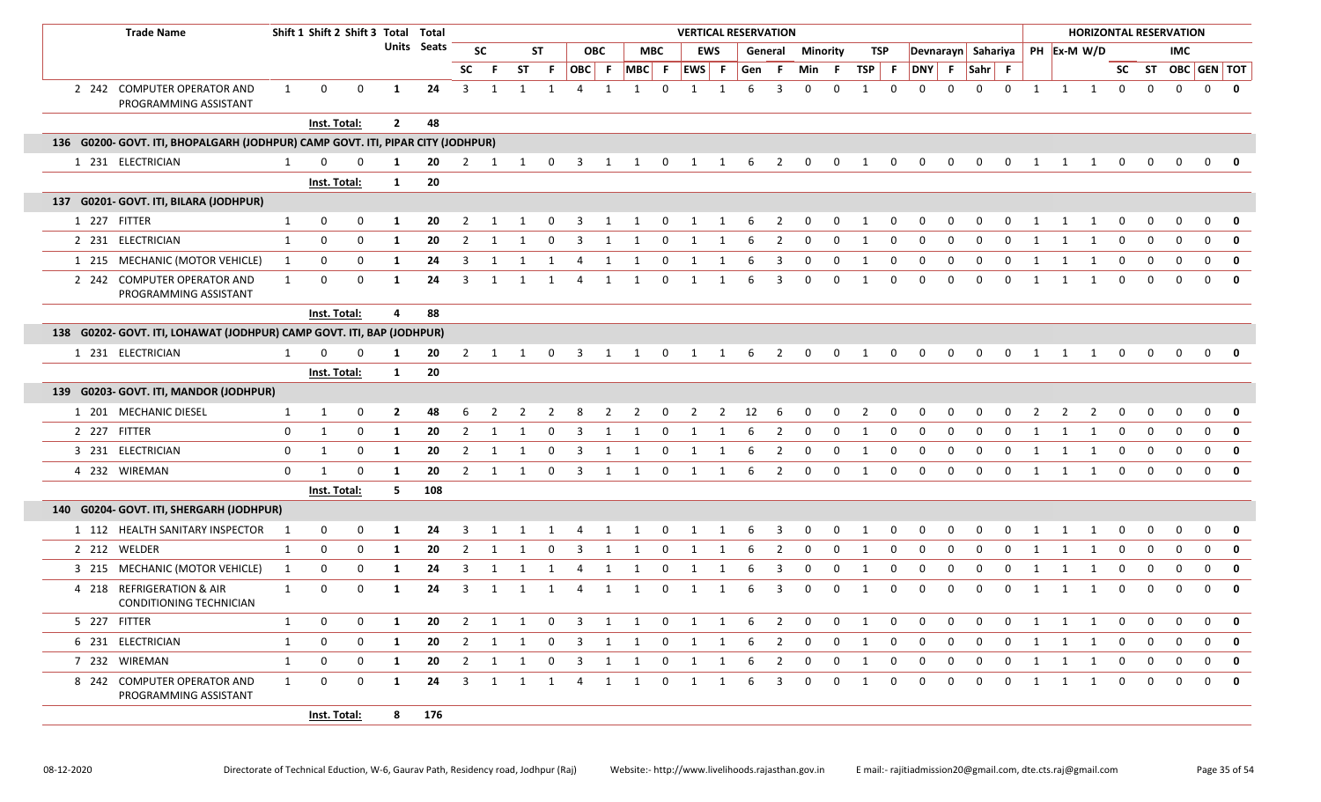| <b>Trade Name</b>                                                               |                | Shift 1 Shift 2 Shift 3 Total Total |             |                |             |                         |              |                |                |                         |              |                         |                         |                |                | <b>VERTICAL RESERVATION</b> |                         |                |                 |                |              |              |              |                                  |              |    |    |                |    |              |             | <b>HORIZONTAL RESERVATION</b> |                |                         |
|---------------------------------------------------------------------------------|----------------|-------------------------------------|-------------|----------------|-------------|-------------------------|--------------|----------------|----------------|-------------------------|--------------|-------------------------|-------------------------|----------------|----------------|-----------------------------|-------------------------|----------------|-----------------|----------------|--------------|--------------|--------------|----------------------------------|--------------|----|----|----------------|----|--------------|-------------|-------------------------------|----------------|-------------------------|
|                                                                                 |                |                                     |             |                | Units Seats |                         | <b>SC</b>    |                | <b>ST</b>      |                         | <b>OBC</b>   |                         | MBC                     |                | <b>EWS</b>     |                             | General                 |                | <b>Minority</b> | TSP            |              |              |              | Devnarayn Sahariya   PH Ex-M W/D |              |    |    |                |    |              |             | <b>IMC</b>                    |                |                         |
|                                                                                 |                |                                     |             |                |             | <b>SC</b>               | -F.          | <b>ST</b>      | F.             | OBC F                   |              | $MBC$ F $EWS$ F         |                         |                |                | Gen                         | - F                     | Min            | - F             | TSP F          |              | DNY F        |              | Sahr F                           |              |    |    |                |    |              |             | SC ST OBC GEN TOT             |                |                         |
| 2 242 COMPUTER OPERATOR AND<br>PROGRAMMING ASSISTANT                            | 1              | 0                                   | $\mathbf 0$ | 1              | 24          | $\mathbf{3}$            | 1            | 1              | 1              | $\overline{4}$          | $\mathbf{1}$ |                         | $\mathbf 0$             | $\mathbf 1$    |                |                             | 3                       | $\Omega$       | $\Omega$        | -1             | $\Omega$     | $\Omega$     | 0            | $\mathbf 0$                      | $\mathbf 0$  |    | 1  | 1 1            |    | $\mathbf 0$  | 0           | $\mathbf 0$                   | $\mathbf 0$    | $\overline{\mathbf{0}}$ |
|                                                                                 |                | Inst. Total:                        |             | $\overline{2}$ | 48          |                         |              |                |                |                         |              |                         |                         |                |                |                             |                         |                |                 |                |              |              |              |                                  |              |    |    |                |    |              |             |                               |                |                         |
| 136 G0200- GOVT. ITI, BHOPALGARH (JODHPUR) CAMP GOVT. ITI, PIPAR CITY (JODHPUR) |                |                                     |             |                |             |                         |              |                |                |                         |              |                         |                         |                |                |                             |                         |                |                 |                |              |              |              |                                  |              |    |    |                |    |              |             |                               |                |                         |
| 1 231 ELECTRICIAN                                                               | 1              | $\Omega$                            | 0           | -1             | 20          | 2                       | $\mathbf{1}$ | 1              | 0              | 3                       | 1            | 1                       | $\mathbf 0$             | 1              |                | 6                           | 2                       | 0              | 0               | 1              | $\Omega$     | 0            | 0            | 0                                | $\Omega$     |    | -1 | 1              | 1  | 0            | 0           | $\Omega$                      | 0              |                         |
|                                                                                 |                | Inst. Total:                        |             | 1              | 20          |                         |              |                |                |                         |              |                         |                         |                |                |                             |                         |                |                 |                |              |              |              |                                  |              |    |    |                |    |              |             |                               |                |                         |
| 137 G0201- GOVT. ITI, BILARA (JODHPUR)                                          |                |                                     |             |                |             |                         |              |                |                |                         |              |                         |                         |                |                |                             |                         |                |                 |                |              |              |              |                                  |              |    |    |                |    |              |             |                               |                |                         |
| 1 227 FITTER                                                                    | $\mathbf{1}$   | 0                                   | $\mathbf 0$ | 1              | 20          | 2                       | 1            | 1              | 0              | 3                       | 1            | 1                       | $\overline{\mathbf{0}}$ | 1              | 1              | 6                           | 2                       | 0              | 0               | -1             | 0            | 0            | 0            | 0                                | $\Omega$     |    |    |                | 1  | 0            |             |                               | $\Omega$       | 0                       |
| 2 231 ELECTRICIAN                                                               | $\mathbf{1}$   | 0                                   | $\mathbf 0$ | -1             | 20          | 2                       | -1           | 1              | 0              | 3                       | 1            |                         | 0                       | 1              | 1              |                             | 2                       | 0              | 0               | 1              | 0            | <sup>0</sup> | 0            | - 0                              | $\Omega$     |    | 1  |                | -1 | $\Omega$     | 0           | n                             | $\Omega$       | 0                       |
| 1 215 MECHANIC (MOTOR VEHICLE)                                                  | 1              | 0                                   | 0           | -1             | 24          | $\mathbf{3}$            | 1            | 1              | 1              | 4                       | 1            | 1                       | $\mathbf{0}$            | 1              | 1              | 6                           | $\overline{\mathbf{3}}$ | $\mathbf 0$    | 0               | 1              | 0            | 0            | 0            | 0                                | 0            |    | 1  | 1              | 1  | 0            | 0           | $\Omega$                      | $\Omega$       | 0                       |
| 2 242 COMPUTER OPERATOR AND<br>PROGRAMMING ASSISTANT                            | 1              | 0                                   | $\mathbf 0$ | -1             | 24          | 3                       | 1            |                | -1             | 4                       | 1            |                         | 0                       |                |                |                             | 3                       | $\Omega$       | 0               | -1             | <sup>0</sup> | <sup>0</sup> | <sup>0</sup> | - 0                              | n            |    |    |                | 1  | 0            | $\Omega$    | $\Omega$                      | $\Omega$       | 0                       |
|                                                                                 |                | Inst. Total:                        |             | 4              | 88          |                         |              |                |                |                         |              |                         |                         |                |                |                             |                         |                |                 |                |              |              |              |                                  |              |    |    |                |    |              |             |                               |                |                         |
| 138 G0202- GOVT. ITI, LOHAWAT (JODHPUR) CAMP GOVT. ITI, BAP (JODHPUR)           |                |                                     |             |                |             |                         |              |                |                |                         |              |                         |                         |                |                |                             |                         |                |                 |                |              |              |              |                                  |              |    |    |                |    |              |             |                               |                |                         |
| 1 231 ELECTRICIAN                                                               | 1              | 0                                   | 0           | -1             | 20          | $\overline{2}$          | 1            | 1              | $\mathbf 0$    | 3                       | 1            | 1                       | $\mathbf 0$             | 1              |                | 6                           | 2                       | 0              | 0               | 1              | 0            | 0            | 0            | 0                                | 0            |    | 1  | 1              | 1  | 0            | 0           | 0                             | 0              |                         |
|                                                                                 |                | Inst. Total:                        |             | 1              | 20          |                         |              |                |                |                         |              |                         |                         |                |                |                             |                         |                |                 |                |              |              |              |                                  |              |    |    |                |    |              |             |                               |                |                         |
| 139 G0203- GOVT. ITI, MANDOR (JODHPUR)                                          |                |                                     |             |                |             |                         |              |                |                |                         |              |                         |                         |                |                |                             |                         |                |                 |                |              |              |              |                                  |              |    |    |                |    |              |             |                               |                |                         |
| 1 201 MECHANIC DIESEL                                                           | $\mathbf{1}$   | 1                                   | 0           | $\overline{2}$ | 48          | 6                       | 2            | $\overline{2}$ | $\overline{2}$ | 8                       | 2            | $\overline{2}$          | $\overline{\mathbf{0}}$ | $\overline{2}$ | $\overline{2}$ | 12                          | 6                       | 0              | 0               | $\overline{2}$ | $\mathbf 0$  | 0            | 0            | 0                                | 0            |    | 2  | $\overline{2}$ | 2  | 0            |             | $\Omega$                      | $\Omega$       | 0                       |
| 2 227 FITTER                                                                    | 0              | 1                                   | 0           | 1              | 20          | $\overline{2}$          | 1            |                | 0              | 3                       |              |                         | 0                       |                |                |                             | 2                       | 0              | 0               |                | 0            | $\Omega$     | 0            | 0                                | $\Omega$     | -1 |    |                |    | $\Omega$     |             | $\Omega$                      | $\Omega$       | $\mathbf{0}$            |
| 3 231 ELECTRICIAN                                                               | $\mathbf 0$    | 1                                   | $\mathbf 0$ | 1              | 20          | $\overline{2}$          | 1            | 1              | 0              | 3                       | 1            | 1                       | $\mathbf 0$             | 1              | 1              | 6                           | 2                       | $\mathbf 0$    | 0               | 1              | $\mathbf 0$  | $\mathbf 0$  | 0            | 0                                | $\mathbf 0$  |    | 1  | 1              | 1  | 0            | $\mathbf 0$ | $\mathbf 0$                   | $\overline{0}$ | $\overline{\mathbf{0}}$ |
| 4 232 WIREMAN                                                                   | $\mathbf 0$    | 1                                   | $\mathbf 0$ | -1             | 20          | 2                       | 1            | 1              | $\mathbf 0$    | 3                       | 1            | 1                       | 0                       | 1              | 1              | 6                           | $\overline{2}$          | $\mathbf 0$    | 0               | $\overline{1}$ | 0            | $\Omega$     | $\Omega$     | $\Omega$                         | $\Omega$     |    | 1  | 1              | 1  | $\Omega$     | $\Omega$    | $\Omega$                      | $\Omega$       | 0                       |
|                                                                                 |                | Inst. Total:                        |             | 5              | 108         |                         |              |                |                |                         |              |                         |                         |                |                |                             |                         |                |                 |                |              |              |              |                                  |              |    |    |                |    |              |             |                               |                |                         |
| 140 G0204- GOVT. ITI, SHERGARH (JODHPUR)                                        |                |                                     |             |                |             |                         |              |                |                |                         |              |                         |                         |                |                |                             |                         |                |                 |                |              |              |              |                                  |              |    |    |                |    |              |             |                               |                |                         |
| 1 112 HEALTH SANITARY INSPECTOR                                                 | $\overline{1}$ | 0                                   | $\mathbf 0$ | 1              | 24          | 3                       | 1            | 1              | 1              | $\overline{4}$          | $\mathbf{1}$ | 1                       | $\overline{\mathbf{0}}$ | 1              | 1              | 6                           | $\overline{\mathbf{3}}$ | $\mathbf 0$    | $\mathbf{0}$    | 1              | $\mathbf 0$  | $\mathbf 0$  | $\mathbf 0$  | $\mathbf{0}$                     | $\mathbf 0$  |    | 1  | 1              | 1  | 0            | 0           | $\mathbf 0$                   | $\mathbf 0$    | $\mathbf{0}$            |
| 2 212 WELDER                                                                    | 1              | $\mathbf 0$                         | $\mathbf 0$ | -1             | 20          | 2                       | 1            |                | 0              |                         |              |                         | 0                       |                |                |                             | 2                       | $\Omega$       | 0               |                | 0            | $\Omega$     | $\Omega$     | $\Omega$                         | <sup>0</sup> |    |    |                |    | $\Omega$     | $\Omega$    | $\Omega$                      | 0              | 0                       |
| 3 215 MECHANIC (MOTOR VEHICLE)                                                  | 1              | 0                                   | 0           | 1              | 24          | 3                       | 1            | 1              | -1             | 4                       | 1            |                         | 0                       | 1              |                |                             | 3                       | 0              | 0               | -1             | 0            | 0            | 0            | 0                                | 0            |    | 1  |                |    | 0            | 0           | $\mathbf 0$                   | $\Omega$       | $\mathbf{0}$            |
| 4 218 REFRIGERATION & AIR<br>CONDITIONING TECHNICIAN                            | 1              | 0                                   | 0           | -1             | 24          | 3                       |              |                |                | 4                       |              |                         | $\Omega$                |                |                |                             | 3                       | 0              | $\Omega$        |                | 0            |              |              | $\Omega$                         | $\Omega$     |    |    |                |    |              |             |                               | $\Omega$       | $\mathbf{0}$            |
| 5 227 FITTER                                                                    | 1              | 0                                   | 0           | 1              | 20          | $\overline{2}$          | 1            | 1              | $\mathbf{0}$   | 3                       | $\mathbf{1}$ | $\overline{\mathbf{1}}$ | $\overline{\mathbf{0}}$ | 1              | 1              | 6                           | 2                       | 0              | 0               | -1             | 0            | 0            | 0            | 0                                | 0            |    | 1  | 1              | 1  | 0            |             |                               | $\Omega$       | 0                       |
| 6 231 ELECTRICIAN                                                               | $\mathbf{1}$   | 0                                   | $\mathbf 0$ | 1              | 20          | $\overline{2}$          | 1            | 1              | 0              | 3                       | $\mathbf{1}$ | 1                       | $\mathbf 0$             | 1              | 1              | 6                           | $\overline{2}$          | $\mathbf 0$    | $\mathbf 0$     | 1              | 0            | 0            | 0            | 0                                | 0            |    | 1  | 1              | 1  | $\mathbf 0$  | 0           | 0                             | 0              | $\mathbf{0}$            |
| 7 232 WIREMAN                                                                   | $\mathbf{1}$   | 0                                   | $\mathbf 0$ | 1              | 20          | $\overline{2}$          | $\mathbf{1}$ | 1              | $\mathbf 0$    | $\overline{\mathbf{3}}$ | 1            | $\mathbf{1}$            | $\overline{0}$          | 1              | 1              | 6                           | $\overline{2}$          | $\overline{0}$ | $\mathbf 0$     | 1              | $\mathbf{0}$ | $\mathbf{0}$ | $\mathbf 0$  | $\mathbf 0$                      | 0            |    | 1  | $\mathbf{1}$   | 1  | $\mathbf{0}$ | 0           | 0                             | $\mathbf 0$    | $\mathbf 0$             |
| 8 242 COMPUTER OPERATOR AND<br>PROGRAMMING ASSISTANT                            | 1              | 0                                   | $\mathbf 0$ | 1              | 24          | $\overline{\mathbf{3}}$ | $\mathbf{1}$ | 1              | 1              | 4                       | 1            | $\mathbf{1}$            | $\overline{\mathbf{0}}$ | 1              | 1              | 6                           | 3                       | $\mathbf 0$    | $\mathbf 0$     | 1              | 0            | $\mathbf 0$  | $\mathbf 0$  | $\mathbf 0$                      | 0            |    | 1  | 1              | 1  | $\mathbf 0$  | $\mathbf 0$ | $\mathbf 0$                   | $\mathbf{0}$   | $\overline{\mathbf{0}}$ |
|                                                                                 |                | <b>Inst. Total:</b>                 |             |                | 8 176       |                         |              |                |                |                         |              |                         |                         |                |                |                             |                         |                |                 |                |              |              |              |                                  |              |    |    |                |    |              |             |                               |                |                         |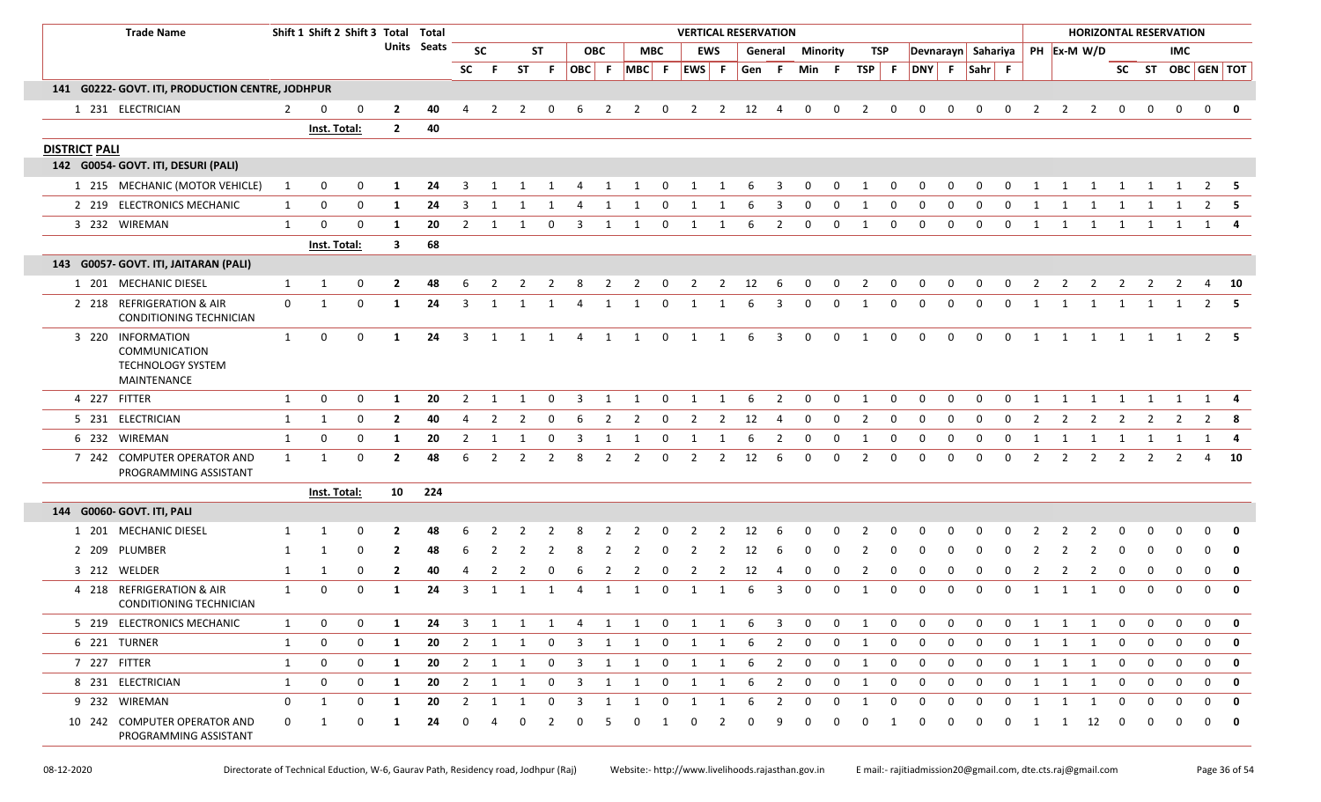|                      | <b>Trade Name</b>                                                                    |                | Shift 1 Shift 2 Shift 3 Total Total |          |                |                    |                |                |           |                |                         |                |                   |                |                |                | <b>VERTICAL RESERVATION</b> |                         |                         |             |                |              |                    |              |             |              |                |                |                |                |             | <b>HORIZONTAL RESERVATION</b> |                |              |
|----------------------|--------------------------------------------------------------------------------------|----------------|-------------------------------------|----------|----------------|--------------------|----------------|----------------|-----------|----------------|-------------------------|----------------|-------------------|----------------|----------------|----------------|-----------------------------|-------------------------|-------------------------|-------------|----------------|--------------|--------------------|--------------|-------------|--------------|----------------|----------------|----------------|----------------|-------------|-------------------------------|----------------|--------------|
|                      |                                                                                      |                |                                     |          |                | <b>Units Seats</b> |                | <b>SC</b>      |           | <b>ST</b>      |                         | <b>OBC</b>     |                   | <b>MBC</b>     |                | <b>EWS</b>     |                             |                         | <b>General Minority</b> |             | TSP            |              | Devnarayn Sahariya |              |             |              |                | PH Ex-M W/D    |                |                |             | IMC                           |                |              |
|                      |                                                                                      |                |                                     |          |                |                    | <b>SC</b>      | -F.            | <b>ST</b> | -F.            |                         |                | OBC F MBC F EWS F |                |                |                | Gen F                       |                         | Min F                   |             | TSP F          |              | DNY F Sahr F       |              |             |              |                |                |                |                |             | SC ST OBC GEN TOT             |                |              |
|                      | 141 G0222- GOVT. ITI, PRODUCTION CENTRE, JODHPUR                                     |                |                                     |          |                |                    |                |                |           |                |                         |                |                   |                |                |                |                             |                         |                         |             |                |              |                    |              |             |              |                |                |                |                |             |                               |                |              |
|                      | 1 231 ELECTRICIAN                                                                    | $\overline{2}$ | 0                                   | 0        | 2              | 40                 | 4              | 2              | 2         | 0              | 6                       | 2              | $\overline{2}$    | 0              | $\overline{2}$ | $\mathbf{2}$   | 12                          | 4                       | $\mathbf 0$             | 0           | $\overline{2}$ | $\mathbf{0}$ | 0                  | 0            | 0           | $\mathbf 0$  | 2              | $\overline{2}$ | 2              | $\mathbf 0$    |             | 0                             | $\mathbf 0$    |              |
|                      |                                                                                      |                | Inst. Total:                        |          | $\overline{2}$ | 40                 |                |                |           |                |                         |                |                   |                |                |                |                             |                         |                         |             |                |              |                    |              |             |              |                |                |                |                |             |                               |                |              |
| <b>DISTRICT PALI</b> |                                                                                      |                |                                     |          |                |                    |                |                |           |                |                         |                |                   |                |                |                |                             |                         |                         |             |                |              |                    |              |             |              |                |                |                |                |             |                               |                |              |
|                      | 142 G0054- GOVT. ITI, DESURI (PALI)                                                  |                |                                     |          |                |                    |                |                |           |                |                         |                |                   |                |                |                |                             |                         |                         |             |                |              |                    |              |             |              |                |                |                |                |             |                               |                |              |
|                      | 1 215 MECHANIC (MOTOR VEHICLE)                                                       | 1              | 0                                   | $\Omega$ | -1             | 24                 |                |                |           |                |                         |                |                   |                |                |                |                             |                         |                         |             |                |              |                    |              |             |              |                |                |                |                |             |                               |                | - 5          |
|                      | 2 219 ELECTRONICS MECHANIC                                                           | $\mathbf{1}$   | 0                                   | 0        | -1             | 24                 | 3              |                |           |                |                         |                |                   | $\Omega$       |                |                |                             | 3                       |                         | $\Omega$    | -1             | $\Omega$     |                    |              |             |              |                |                |                |                |             |                               |                | $2 \quad 5$  |
|                      | 3 232 WIREMAN                                                                        | $\mathbf{1}$   | $\Omega$                            | 0        | -1             | 20                 | 2              | -1             |           | $\Omega$       | -3                      | -1             |                   | $\Omega$       | 1              | 1              | 6                           | 2                       | 0                       | 0           | $\mathbf{1}$   | 0            | 0                  | $\Omega$     | $\Omega$    | $\Omega$     | 1              | 1              | 1              | 1              | 1           |                               | 1              |              |
|                      |                                                                                      |                | Inst. Total:                        |          | 3              | 68                 |                |                |           |                |                         |                |                   |                |                |                |                             |                         |                         |             |                |              |                    |              |             |              |                |                |                |                |             |                               |                |              |
|                      | 143 G0057- GOVT. ITI, JAITARAN (PALI)                                                |                |                                     |          |                |                    |                |                |           |                |                         |                |                   |                |                |                |                             |                         |                         |             |                |              |                    |              |             |              |                |                |                |                |             |                               |                |              |
|                      | 1 201 MECHANIC DIESEL                                                                | 1              | 1                                   | 0        | 2              | 48                 | 6              | -2             | 2         | 2              | 8                       | 2              | 2                 | $\mathbf 0$    | $\overline{2}$ | 2              | 12                          | -6                      | $\mathbf{0}$            | $\mathbf 0$ | $\overline{2}$ | $\mathbf 0$  | 0                  | 0            | 0           | $\mathbf 0$  | 2              | 2              | 2              | 2              | 2           | 2                             | 4              | <b>10</b>    |
|                      | 2 218 REFRIGERATION & AIR<br>CONDITIONING TECHNICIAN                                 | $\mathbf 0$    | 1                                   | 0        | 1              | 24                 | -3             | -1             |           | 1              | $\Delta$                | 1              | 1                 | $\Omega$       | 1              | 1              |                             | 3                       | $\Omega$                | $\Omega$    | - 1            | $\Omega$     | $\Omega$           | 0            | $\Omega$    | $\Omega$     | -1             | 1              | 1              | 1              | 1           |                               |                | $2 \quad 5$  |
|                      | 3 220 INFORMATION<br><b>COMMUNICATION</b><br><b>TECHNOLOGY SYSTEM</b><br>MAINTENANCE | 1              | 0                                   | 0        | 1              | 24                 | $\overline{3}$ | 1              |           | 1              | $\overline{4}$          | 1              | 1                 | $\mathbf 0$    | $\mathbf{1}$   | 1              | 6                           | $\overline{3}$          | $\mathbf 0$             | $\mathbf 0$ | 1              | $\mathbf 0$  | $\mathbf 0$        | $\mathbf{0}$ | $\mathbf 0$ | $\mathbf 0$  | 1              | 1              | 1              | 1              | 1           |                               |                | $2 \quad 5$  |
|                      | 4 227 FITTER                                                                         | $\mathbf{1}$   | 0                                   | 0        | 1              | 20                 | $\mathcal{P}$  |                |           | $\Omega$       | 3                       |                |                   | $\Omega$       |                |                |                             | 2                       | $\Omega$                | $\Omega$    | -1             | 0            | $\Omega$           | $\Omega$     | $\Omega$    | $\Omega$     | $\overline{1}$ |                |                |                |             |                               |                |              |
|                      | 5 231 ELECTRICIAN                                                                    | 1              | $\mathbf{1}$                        | 0        | $\overline{2}$ | 40                 | $\overline{4}$ | 2              | 2         | 0              | 6                       | $\overline{2}$ | $\overline{2}$    | $\mathbf 0$    | $\overline{2}$ | $\overline{2}$ | 12                          | $\overline{4}$          | $\mathbf 0$             | $\mathbf 0$ | $\overline{2}$ | $\mathbf 0$  | $\mathbf 0$        | $\mathbf 0$  | $\mathbf 0$ | $\mathbf 0$  | $\overline{2}$ | $\overline{2}$ | $\overline{2}$ | $\overline{2}$ | 2           | $\overline{2}$                |                | $2 \times 8$ |
|                      | 6 232 WIREMAN                                                                        | $\mathbf{1}$   | 0                                   | 0        | 1              | 20                 | 2              |                |           | 0              |                         |                |                   | 0              |                |                |                             | 2                       | 0                       | 0           | -1             | 0            | 0                  | 0            | $\Omega$    | 0            | -1             |                | -1             |                |             |                               | $\mathbf{1}$   |              |
|                      | 7 242 COMPUTER OPERATOR AND<br>PROGRAMMING ASSISTANT                                 | $\mathbf{1}$   | 1                                   | 0        | $\overline{2}$ | 48                 | 6              | $\overline{2}$ | 2         | $\overline{2}$ | 8                       | $\overline{2}$ | 2                 | 0              | $\overline{2}$ | 2              | 12                          | 6                       | 0                       | 0           | 2              | 0            | $\mathbf 0$        | 0            | $\mathbf 0$ | $\mathbf 0$  | $\overline{2}$ | $\overline{2}$ | $\overline{2}$ | $\overline{2}$ | 2           | $\overline{2}$                | $\overline{4}$ | 10           |
|                      |                                                                                      |                | Inst. Total:                        |          |                | 10 224             |                |                |           |                |                         |                |                   |                |                |                |                             |                         |                         |             |                |              |                    |              |             |              |                |                |                |                |             |                               |                |              |
|                      | 144 G0060- GOVT. ITI, PALI                                                           |                |                                     |          |                |                    |                |                |           |                |                         |                |                   |                |                |                |                             |                         |                         |             |                |              |                    |              |             |              |                |                |                |                |             |                               |                |              |
|                      | 1 201 MECHANIC DIESEL                                                                |                | 1                                   | 0        |                | 48                 |                |                |           |                |                         |                |                   |                |                |                | 12                          |                         |                         |             |                |              |                    |              |             |              |                |                |                |                |             |                               |                | 0            |
|                      | 2 209 PLUMBER                                                                        | -1             |                                     | $\Omega$ |                | 48                 |                |                |           |                |                         |                |                   |                |                |                | 12                          |                         |                         |             |                |              |                    |              |             |              |                |                |                |                |             |                               |                | $\mathbf 0$  |
|                      | 3 212 WELDER                                                                         | 1              | 1                                   | 0        | $\mathbf{2}$   | 40                 | $\overline{a}$ |                |           |                |                         |                |                   |                | 2              | 2              | 12                          | 4                       | 0                       | 0           | 2              | 0            | <sup>0</sup>       |              |             |              |                |                |                | 0              |             |                               | $\Omega$       | $\mathbf{0}$ |
|                      | 4 218 REFRIGERATION & AIR<br>CONDITIONING TECHNICIAN                                 | 1              | 0                                   | 0        | 1              | 24                 | 3              |                |           | 1              |                         | -1             |                   | $\Omega$       | 1              | -1             | 6                           | 3                       | $\Omega$                | 0           | -1             | $\Omega$     | 0                  | <sup>0</sup> |             | $\Omega$     | 1              |                | 1              | 0              | $\Omega$    | $\Omega$                      | $\Omega$       | $\mathbf 0$  |
|                      | 5 219 ELECTRONICS MECHANIC                                                           | $\mathbf{1}$   | 0                                   | 0        | 1              | 24                 | 3              | 1              |           | 1 1            | $\overline{4}$          |                | 1 1               | $\overline{0}$ |                | $1 \quad 1$    | - 6                         | $\overline{\mathbf{3}}$ | $\mathbf 0$             | 0           | 1              | 0            | $\mathbf 0$        | 0            | $\mathbf 0$ | $\mathbf 0$  | 1              | 1              | 1              | $\mathbf 0$    | 0           | 0                             | 0              | $\mathbf{0}$ |
|                      | 6 221 TURNER                                                                         | 1              | 0                                   | 0        | 1              | 20                 | $\overline{2}$ | 1              | 1         | 0              | $\overline{3}$          | 1              | 1                 | 0              | 1              | $\mathbf{1}$   | 6                           | $\overline{2}$          | 0                       | 0           | 1              | 0            | $\mathbf{0}$       | 0            | 0           | $\mathbf{0}$ | 1              | $\mathbf{1}$   | 1              | $\mathbf 0$    | 0           | $\mathbf{0}$                  | 0              | $\mathbf 0$  |
|                      | 7 227 FITTER                                                                         | $\mathbf{1}$   | 0                                   | 0        | 1              | 20                 |                | $2 \quad 1$    | 1         | $\overline{0}$ | $\overline{\mathbf{3}}$ | 1              | 1                 | $\mathbf{0}$   | $\overline{1}$ | 1              | - 6                         | $\overline{2}$          | $\mathbf 0$             | $\mathbf 0$ | 1              | 0            | $\mathbf{0}$       | $\mathbf{0}$ | $\mathbf 0$ | $\mathbf{0}$ | $\mathbf{1}$   | $\mathbf{1}$   | $\mathbf{1}$   | $\mathbf{0}$   | $\mathbf 0$ | $\mathbf 0$                   | $\mathbf 0$    | $\mathbf{0}$ |
|                      | 8 231 ELECTRICIAN                                                                    | $\mathbf{1}$   | 0                                   | 0        | 1              | 20                 | $\overline{2}$ | 1              | 1         | 0              | $\overline{\mathbf{3}}$ | 1              | 1                 | 0              | 1              | 1              | 6                           | $\overline{2}$          | $\mathbf 0$             | $\mathbf 0$ | 1              | $\mathbf 0$  | $\mathbf 0$        | 0            | $\mathbf 0$ | $\mathbf 0$  | 1              | $\mathbf{1}$   | 1              | $\mathbf 0$    | 0           | $\mathbf 0$                   | 0              | $\mathbf 0$  |
|                      | 9 232 WIREMAN                                                                        | 0              | 1                                   | 0        | 1              | 20                 | $\overline{2}$ | 1              | 1         | 0              | $\overline{3}$          | 1              | 1                 | 0              | 1              | 1              | 6                           | $\overline{2}$          | 0                       | 0           | -1             | 0            | 0                  | 0            | 0           | $\mathbf 0$  | $\mathbf{1}$   | $\mathbf{1}$   | $\mathbf{1}$   | 0              | 0           | 0                             | 0              | $\mathbf{0}$ |
|                      | 10 242 COMPUTER OPERATOR AND<br>PROGRAMMING ASSISTANT                                | $\mathbf 0$    | 1                                   | 0        | -1             | 24                 | $\Omega$       | 4              | 0         | 2              | $\mathbf 0$             | -5             | $\mathbf{0}$      | 1              | $\mathbf 0$    | 2              | 0                           | 9                       | 0                       | 0           | 0              | 1            | 0                  | 0            | $\mathbf 0$ | $\mathbf 0$  | 1              | 1              | 12             | 0              | 0           | $\Omega$                      | $\Omega$       | $\mathbf{0}$ |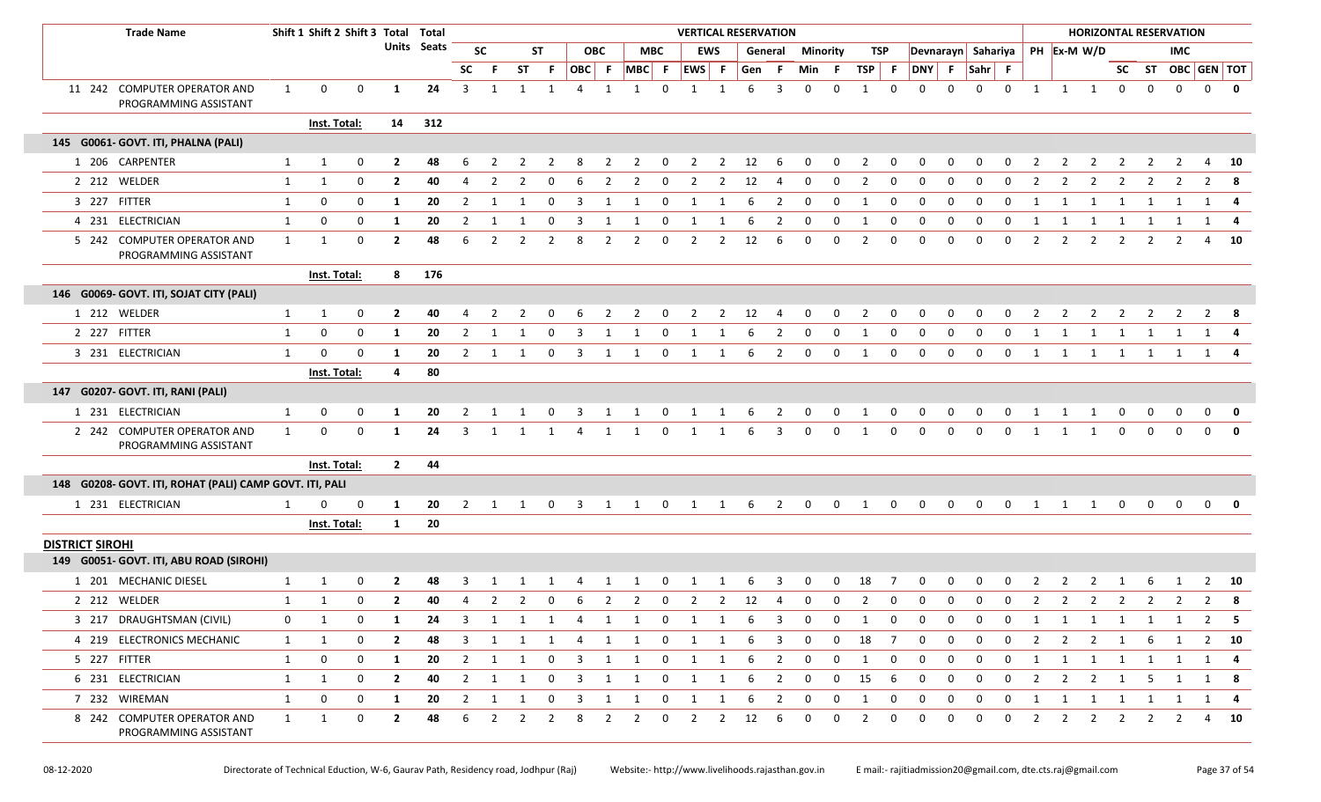| <b>Trade Name</b>                                       |              | Shift 1 Shift 2 Shift 3 Total Total |             |                |             |                |                |                |                |                         |                |                |             |                |                | <b>VERTICAL RESERVATION</b> |                |                         |             |                         |                         |                    |             |              |              |                |                                  |                |                |                | <b>HORIZONTAL RESERVATION</b> |                   |                         |
|---------------------------------------------------------|--------------|-------------------------------------|-------------|----------------|-------------|----------------|----------------|----------------|----------------|-------------------------|----------------|----------------|-------------|----------------|----------------|-----------------------------|----------------|-------------------------|-------------|-------------------------|-------------------------|--------------------|-------------|--------------|--------------|----------------|----------------------------------|----------------|----------------|----------------|-------------------------------|-------------------|-------------------------|
|                                                         |              |                                     |             |                | Units Seats |                | <b>SC</b>      |                | <b>ST</b>      |                         | <b>OBC</b>     |                | <b>MBC</b>  |                | <b>EWS</b>     |                             | General        | Minority                |             | TSP                     |                         | Devnarayn Sahariya |             |              |              |                | PH Ex-M W/D                      |                |                |                | <b>IMC</b>                    |                   |                         |
|                                                         |              |                                     |             |                |             | <b>SC</b>      |                | <b>ST</b>      | F.             | OBC F                   |                | $MBC$ F        |             | EWS F          |                | Gen                         | - F            | Min                     | - F         | TSP F                   |                         | DNY F              |             | Sahr F       |              |                |                                  |                |                |                |                               | SC ST OBC GEN TOT |                         |
| 11 242 COMPUTER OPERATOR AND<br>PROGRAMMING ASSISTANT   | $\mathbf{1}$ | $\mathbf 0$                         | $\mathbf 0$ | 1              | 24          | $\overline{3}$ | 1              | 1              | $\overline{1}$ | 4                       |                |                | $\Omega$    |                |                | 6                           | 3              | $\Omega$                | $\Omega$    | -1                      | 0                       | $\Omega$           | 0           | $\Omega$     | $\mathbf 0$  | 1              | $\mathbf{1}$<br>1                |                | $\mathbf 0$    | 0              | $\mathbf 0$                   | 0                 | $\bf{0}$                |
|                                                         |              | Inst. Total:                        |             |                | 14 312      |                |                |                |                |                         |                |                |             |                |                |                             |                |                         |             |                         |                         |                    |             |              |              |                |                                  |                |                |                |                               |                   |                         |
| 145 G0061- GOVT. ITI, PHALNA (PALI)                     |              |                                     |             |                |             |                |                |                |                |                         |                |                |             |                |                |                             |                |                         |             |                         |                         |                    |             |              |              |                |                                  |                |                |                |                               |                   |                         |
| 1 206 CARPENTER                                         | $\mathbf{1}$ | 1                                   | 0           | $\overline{2}$ | 48          | 6              |                |                |                |                         |                |                |             |                | $\mathcal{L}$  | 12                          | -6             | <sup>0</sup>            | $\Omega$    |                         | $\Omega$                |                    |             |              |              | - 2            | $\mathcal{P}$                    |                |                |                |                               |                   | 10                      |
| 2 212 WELDER                                            | $\mathbf{1}$ | $\mathbf{1}$                        | 0           | $\overline{2}$ | 40          | 4              | 2              | 2              | 0              | -6                      | 2              | 2              | $\mathbf 0$ | 2              | 2              | 12                          | 4              | $\mathbf 0$             | $\mathbf 0$ | 2                       | 0                       | 0                  | 0           | $\Omega$     | 0            | $\overline{2}$ | $\overline{2}$<br>2              |                | 2              | 2              | 2                             | 2                 | -8                      |
| 3 227 FITTER                                            | $\mathbf{1}$ | 0                                   | $\mathbf 0$ | - 1            | 20          | 2              | 1              |                | $\Omega$       | 3                       | -1             |                | $\Omega$    |                |                | 6                           | 2              | $\Omega$                | $\mathbf 0$ | 1                       | $\mathbf 0$             | $\mathbf 0$        | $\Omega$    | $\Omega$     | <sup>0</sup> |                |                                  |                |                |                |                               | 1                 | -4                      |
| 4 231 ELECTRICIAN                                       | $\mathbf{1}$ | 0                                   | $\mathbf 0$ | -1             | 20          | 2              | 1              |                | $\Omega$       | -3                      |                |                | $\Omega$    | 1              | -1             | 6                           | 2              | $\Omega$                | 0           | -1                      | 0                       | $\Omega$           | $\Omega$    |              | 0            | - 1            | 1                                |                | 1              | -1             |                               | 1                 | $\overline{\mathbf{4}}$ |
| 5 242 COMPUTER OPERATOR AND<br>PROGRAMMING ASSISTANT    | 1            | 1                                   | 0           | $\overline{2}$ | 48          | 6              | $\overline{2}$ |                | -2             | 8                       | 2              | 2              | $\Omega$    | 2              | 2              | 12                          | 6              | $\Omega$                | $\Omega$    | 2                       | 0                       | $\Omega$           | $\Omega$    | $\Omega$     | $\mathbf 0$  | $\overline{2}$ | $\overline{2}$<br>2              |                | 2              | -2             | $\mathcal{L}$                 | 4                 | 10                      |
|                                                         |              | Inst. Total:                        |             | 8              | 176         |                |                |                |                |                         |                |                |             |                |                |                             |                |                         |             |                         |                         |                    |             |              |              |                |                                  |                |                |                |                               |                   |                         |
| 146 G0069- GOVT. ITI, SOJAT CITY (PALI)                 |              |                                     |             |                |             |                |                |                |                |                         |                |                |             |                |                |                             |                |                         |             |                         |                         |                    |             |              |              |                |                                  |                |                |                |                               |                   |                         |
| 1 212 WELDER                                            | $\mathbf{1}$ | 1                                   | 0           | $\overline{2}$ | 40          |                |                |                |                |                         |                |                |             |                | $\mathcal{L}$  | 12                          |                |                         | $\Omega$    |                         | $\Omega$                |                    |             |              |              |                |                                  |                |                |                |                               |                   |                         |
| 2 227 FITTER                                            | $\mathbf{1}$ | 0                                   | 0           | $\mathbf{1}$   | 20          | 2              | 1              |                | $\Omega$       | -3                      |                |                | $\Omega$    |                |                |                             | 2              | 0                       | 0           | -1                      | 0                       | 0                  | $\Omega$    | 0            | $\Omega$     |                | 1                                |                | 1              |                |                               | 1                 |                         |
| 3 231 ELECTRICIAN                                       | 1            | 0                                   | 0           | -1             | 20          | 2              | 1              |                | 0              | 3                       | 1              |                | $\Omega$    | -1             |                | 6                           | 2              | 0                       | 0           | -1                      | 0                       | 0                  | $\Omega$    | 0            | $\Omega$     |                | 1                                |                | 1              | -1             |                               | 1                 |                         |
|                                                         |              | Inst. Total:                        |             | 4              | 80          |                |                |                |                |                         |                |                |             |                |                |                             |                |                         |             |                         |                         |                    |             |              |              |                |                                  |                |                |                |                               |                   |                         |
| 147 G0207- GOVT. ITI, RANI (PALI)                       |              |                                     |             |                |             |                |                |                |                |                         |                |                |             |                |                |                             |                |                         |             |                         |                         |                    |             |              |              |                |                                  |                |                |                |                               |                   |                         |
| 1 231 ELECTRICIAN                                       | $\mathbf{1}$ | 0                                   | 0           | -1             | 20          | 2              | 1              | 1              | 0              | 3                       | 1              | 1              | $\mathbf 0$ | 1              | -1             | 6                           | 2              | 0                       | 0           | -1                      | 0                       | $\Omega$           | $\Omega$    | $\Omega$     | $\mathbf 0$  |                |                                  |                | 0              | 0              | 0                             | 0                 | $\mathbf 0$             |
| 2 242 COMPUTER OPERATOR AND<br>PROGRAMMING ASSISTANT    | $\mathbf{1}$ | 0                                   | 0           | 1              | 24          | 3              | 1              |                | 1              | 4                       | 1              | 1              | $\mathbf 0$ | 1              | 1              | 6                           | 3              | 0                       | 0           | 1                       | 0                       | 0                  | $\Omega$    | 0            | $\mathbf 0$  | 1              | 1                                |                | $\Omega$       | $\Omega$       | $\Omega$                      | $\Omega$          |                         |
|                                                         |              | Inst. Total:                        |             | $\overline{2}$ | 44          |                |                |                |                |                         |                |                |             |                |                |                             |                |                         |             |                         |                         |                    |             |              |              |                |                                  |                |                |                |                               |                   |                         |
| 148 G0208- GOVT. ITI, ROHAT (PALI) CAMP GOVT. ITI, PALI |              |                                     |             |                |             |                |                |                |                |                         |                |                |             |                |                |                             |                |                         |             |                         |                         |                    |             |              |              |                |                                  |                |                |                |                               |                   |                         |
| 1 231 ELECTRICIAN                                       | 1            | <sup>0</sup>                        | $\mathbf 0$ | -1             | 20          | 2              |                | 1 1 0          |                |                         |                | 3 1 1 0 1 1 6  |             |                |                |                             | $\overline{2}$ | $\overline{\mathbf{0}}$ | $\mathbf 0$ | $\overline{\mathbf{1}}$ | $\overline{\mathbf{0}}$ | $\overline{0}$     | $\mathbf 0$ |              | $0\qquad 0$  |                | 1 1 1 0                          |                |                | $\mathbf 0$    | $\mathbf{0}$                  | $\mathbf{0}$      | $\overline{\mathbf{0}}$ |
|                                                         |              | Inst. Total:                        |             | 1              | 20          |                |                |                |                |                         |                |                |             |                |                |                             |                |                         |             |                         |                         |                    |             |              |              |                |                                  |                |                |                |                               |                   |                         |
| <b>DISTRICT SIROHI</b>                                  |              |                                     |             |                |             |                |                |                |                |                         |                |                |             |                |                |                             |                |                         |             |                         |                         |                    |             |              |              |                |                                  |                |                |                |                               |                   |                         |
| 149 G0051- GOVT. ITI, ABU ROAD (SIROHI)                 |              |                                     |             |                |             |                |                |                |                |                         |                |                |             |                |                |                             |                |                         |             |                         |                         |                    |             |              |              |                |                                  |                |                |                |                               |                   |                         |
| 1 201 MECHANIC DIESEL                                   | $\mathbf{1}$ | 1                                   | 0           | -2             | 48          |                |                |                |                |                         |                |                |             |                |                |                             |                |                         |             | 18                      |                         |                    |             |              |              |                |                                  |                |                |                |                               |                   | 10                      |
| 2 212 WELDER                                            | $\mathbf{1}$ | 1                                   | 0           | $\overline{2}$ | 40          | 4              | $\overline{2}$ | $\overline{2}$ | 0              | 6                       | $\overline{2}$ | $\overline{2}$ | 0           | $\overline{2}$ | $\overline{2}$ | 12                          | 4              | 0                       | 0           | 2                       | 0                       | 0                  | 0           | 0            | 0            | $\overline{2}$ | $\overline{2}$<br>$\overline{2}$ |                | $\overline{2}$ | $\overline{2}$ | $\overline{2}$                | $\overline{2}$    | 8                       |
| 3 217 DRAUGHTSMAN (CIVIL)                               | 0            | 1                                   | 0           | -1             | 24          | 3              | 1              | 1              | 1              | 4                       | 1              | 1              | 0           | 1              | 1              |                             | 3              | 0                       | 0           |                         | 0                       |                    | 0           | 0            | 0            |                | 1<br>1                           |                | 1              | 1              | 1                             | 2                 | - 5                     |
| 4 219 ELECTRONICS MECHANIC                              | 1            | $\mathbf{1}$                        | 0           | $\mathbf{2}$   | 48          | 3              | 1              | 1              | 1              | 4                       | 1              | 1              | 0           | 1              | 1              | 6                           | 3              | 0                       | $\mathbf 0$ | 18                      | $\overline{7}$          | 0                  | 0           | 0            | 0            | $\overline{2}$ | $\overline{2}$<br>$\overline{2}$ |                | 1              | 6              | 1                             |                   | $2 \t 10$               |
| 5 227 FITTER                                            | 1            | 0                                   | 0           | -1             | 20          | $\overline{2}$ | 1              | 1              | 0              | 3                       | $\mathbf{1}$   | 1              | $\mathbf 0$ | 1              | 1              | 6                           | $\overline{2}$ | 0                       | 0           | 1                       | 0                       | $\mathbf 0$        | 0           | 0            | $\mathbf{0}$ | 1              | 1<br>$\mathbf{1}$                |                | $\mathbf{1}$   | 1              | 1                             | 1                 | $\overline{4}$          |
| 6 231 ELECTRICIAN                                       | 1            | 1                                   | 0           | $\overline{2}$ | 40          | $\overline{2}$ | $\mathbf{1}$   | 1              | $\mathbf{0}$   | $\overline{\mathbf{3}}$ | 1              | 1              | $\mathbf 0$ | $\mathbf{1}$   | $\mathbf{1}$   | 6                           | $\overline{2}$ | 0                       | 0           | 15                      | 6                       | $\mathbf{0}$       | 0           | $\mathbf{0}$ | $\mathbf{0}$ | $\overline{2}$ | $\overline{2}$<br>$\overline{2}$ |                | $\overline{1}$ | 5              | 1                             |                   | 1 8                     |
| 7 232 WIREMAN                                           | $\mathbf{1}$ | 0                                   | 0           | 1              | 20          | $\overline{2}$ | 1              | 1              | 0              | 3                       | 1              | 1              | $\mathbf 0$ | 1              | 1              | 6                           | $\overline{2}$ | $\mathbf 0$             | 0           | $\mathbf{1}$            | 0                       | $\mathbf 0$        | 0           | 0            | $\mathbf{0}$ | $\mathbf{1}$   | 1<br>1                           |                | $\mathbf{1}$   | 1              | 1                             | 1                 | 4                       |
| 8 242 COMPUTER OPERATOR AND<br>PROGRAMMING ASSISTANT    | $\mathbf{1}$ | $\mathbf{1}$                        | 0           | $\overline{2}$ | 48          | 6              | $\overline{2}$ | $\overline{2}$ | $\overline{2}$ | 8                       | $\overline{2}$ | $\overline{2}$ | $\mathbf 0$ | $\overline{2}$ | $\overline{2}$ | 12                          | 6              | 0                       | 0           | $\overline{2}$          | 0                       | $\mathbf 0$        | 0           | $\mathbf 0$  | $\mathbf{0}$ | $\overline{2}$ | $\overline{2}$                   | $\overline{2}$ | $\overline{2}$ | $\overline{2}$ | $\overline{2}$                |                   | 4 10                    |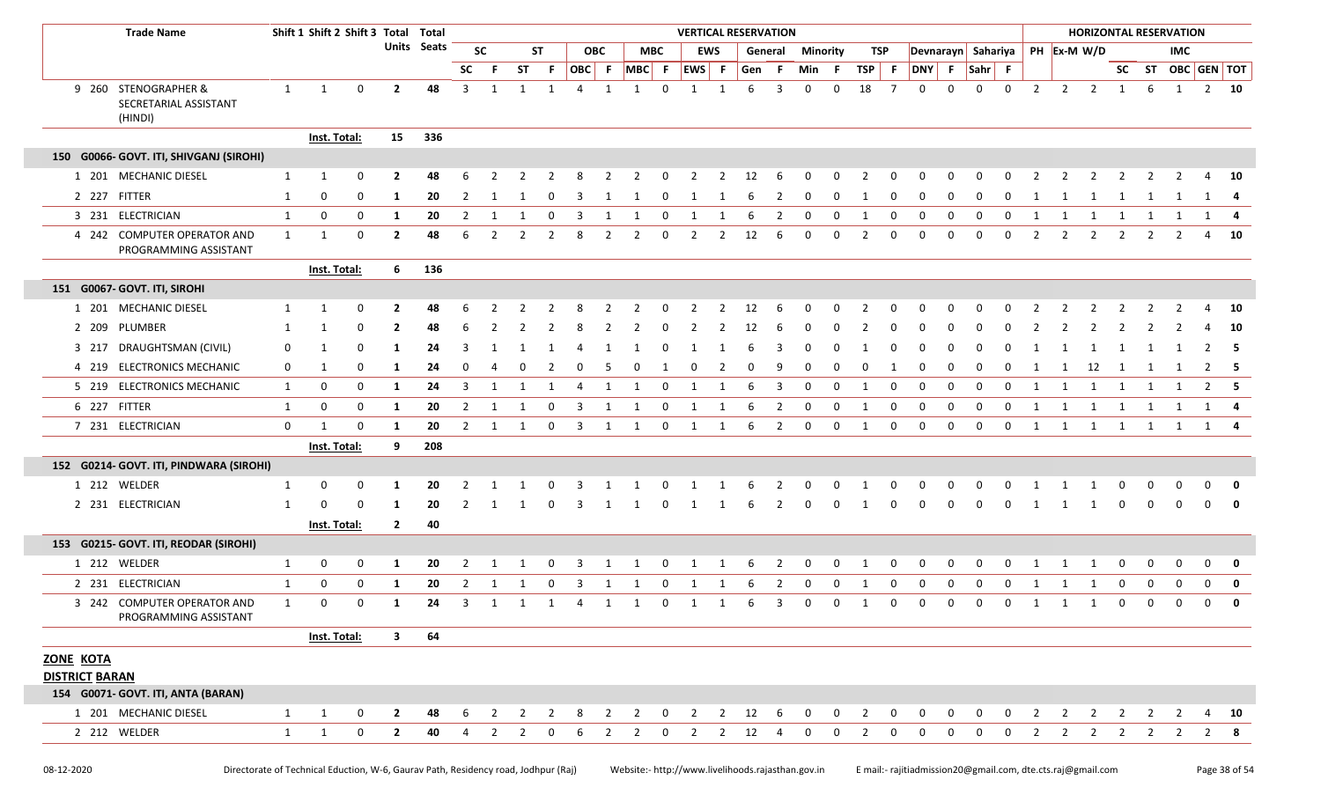| <b>Trade Name</b>                                        |              | Shift 1 Shift 2 Shift 3 Total Total |             |                         |             |                |                |                |                |                |            |                |                | <b>VERTICAL RESERVATION</b> |            |                        |                         |              |              |                |             |             |              |             |              |              |                |                                |                         |          | <b>HORIZONTAL RESERVATION</b> |                |              |
|----------------------------------------------------------|--------------|-------------------------------------|-------------|-------------------------|-------------|----------------|----------------|----------------|----------------|----------------|------------|----------------|----------------|-----------------------------|------------|------------------------|-------------------------|--------------|--------------|----------------|-------------|-------------|--------------|-------------|--------------|--------------|----------------|--------------------------------|-------------------------|----------|-------------------------------|----------------|--------------|
|                                                          |              |                                     |             |                         | Units Seats |                | <b>SC</b>      |                | <b>ST</b>      |                | <b>OBC</b> |                | <b>MBC</b>     |                             | <b>EWS</b> |                        | General                 | Minority     |              | TSP            |             |             |              |             |              |              |                | Devnarayn Sahariya PH Ex-M W/D |                         |          | <b>IMC</b>                    |                |              |
|                                                          |              |                                     |             |                         |             | <b>SC</b>      | -F             | ST             | -F             | OBC F          |            |                | MBC F          | EWS F                       |            | Gen F                  |                         | Min F        |              | TSP F          |             | DNY F       |              | Sahr F      |              |              |                |                                |                         |          | SC ST OBC GEN TOT             |                |              |
| 9 260 STENOGRAPHER &<br>SECRETARIAL ASSISTANT<br>(HINDI) | $\mathbf{1}$ | 1                                   | 0           | $\overline{2}$          | 48          | 3              | 1              | $\mathbf{1}$   | 1              | 4              | 1          | $\mathbf{1}$   | $\mathbf 0$    | $\mathbf{1}$                | 1          | 6                      | $\overline{\mathbf{3}}$ | $\mathbf{0}$ | $\mathbf{0}$ | 18             | 7           | $\Omega$    | $\Omega$     | $\Omega$    | $\mathbf 0$  | 2            |                | $2 \quad 2$                    | 1                       | 6        | 1                             |                | $2 \quad 10$ |
|                                                          |              | Inst. Total:                        |             | 15                      | 336         |                |                |                |                |                |            |                |                |                             |            |                        |                         |              |              |                |             |             |              |             |              |              |                |                                |                         |          |                               |                |              |
| 150 G0066- GOVT. ITI, SHIVGANJ (SIROHI)                  |              |                                     |             |                         |             |                |                |                |                |                |            |                |                |                             |            |                        |                         |              |              |                |             |             |              |             |              |              |                |                                |                         |          |                               |                |              |
| 1 201 MECHANIC DIESEL                                    | 1            | 1                                   | 0           | $\overline{2}$          | 48          |                |                |                |                |                |            |                | 0              | 2                           | 2          | 12                     | - 6                     | 0            | $\Omega$     | 2              | $\Omega$    |             |              |             |              |              |                | 2                              | -2                      | 2        |                               | 4              | <b>10</b>    |
| 2 227 FITTER                                             | 1            | 0                                   | $\Omega$    | -1                      | 20          | 2              | 1              |                | 0              |                |            |                | 0              | 1                           | -1         | 6                      | 2                       | 0            | 0            | -1             | 0           | 0           | 0            | 0           | <sup>0</sup> | -1           |                | -1                             | 1                       |          |                               | 1              | - 4          |
| 3 231 ELECTRICIAN                                        | $\mathbf{1}$ | 0                                   | 0           | -1                      | 20          | $\overline{2}$ | 1              | 1              | $\mathbf 0$    | $\overline{3}$ | 1          | 1              | $\mathbf 0$    | 1                           | 1          | 6                      | $\overline{2}$          | $\mathbf 0$  | $\mathbf 0$  | 1              | $\mathbf 0$ | $\mathbf 0$ | 0            | $\mathbf 0$ | $\mathbf{0}$ | $\mathbf{1}$ |                | 1 1 1                          |                         | 1        | $\overline{1}$                | 1 4            |              |
| 4 242 COMPUTER OPERATOR AND<br>PROGRAMMING ASSISTANT     | $\mathbf{1}$ | 1                                   | 0           | $\overline{2}$          | 48          | 6              | $\overline{2}$ | 2              | -2             |                | 2          | 2              | 0              | 2                           | 2          | 12                     | 6                       | $\Omega$     | 0            | 2              | $\mathbf 0$ | $\Omega$    | $\Omega$     | $\Omega$    | 0            | 2            | 2              | 2                              | 2                       | 2        | 2                             | 4              | - 10         |
|                                                          |              | Inst. Total:                        |             | 6                       | 136         |                |                |                |                |                |            |                |                |                             |            |                        |                         |              |              |                |             |             |              |             |              |              |                |                                |                         |          |                               |                |              |
| 151 G0067- GOVT. ITI, SIROHI                             |              |                                     |             |                         |             |                |                |                |                |                |            |                |                |                             |            |                        |                         |              |              |                |             |             |              |             |              |              |                |                                |                         |          |                               |                |              |
| 1 201 MECHANIC DIESEL                                    | 1            | 1                                   | 0           | -2                      | 48          |                |                |                |                |                |            |                |                |                             |            | 12                     | 6                       |              |              |                |             |             |              |             |              |              |                |                                |                         |          |                               |                | - 10         |
| 2 209 PLUMBER                                            | 1            | 1                                   | 0           | $\mathbf{2}$            | 48          | 6              |                |                |                |                |            |                |                |                             |            | 12                     |                         |              |              |                |             |             |              |             |              |              |                |                                |                         |          |                               |                | - 10         |
| 3 217 DRAUGHTSMAN (CIVIL)                                | 0            | 1                                   | $\Omega$    | -1                      | 24          |                |                |                |                |                |            |                |                |                             |            |                        |                         |              |              |                |             |             |              |             |              |              |                |                                |                         |          |                               | 2              | - 5          |
| 4 219 ELECTRONICS MECHANIC                               | 0            | 1                                   | 0           | 1                       | 24          | 0              |                |                | 2              |                |            |                |                |                             |            |                        | 9                       |              | 0            | 0              | 1           | 0           | 0            | 0           |              | -1           | -1             | 12                             | 1                       | 1        | -1                            | 2              | - 5          |
| 5 219 ELECTRONICS MECHANIC                               | $\mathbf{1}$ | 0                                   | 0           | 1                       | 24          | 3              | 1              |                | -1             | 4              | 1          | 1              | 0              | 1                           | 1          | 6                      | 3                       | 0            | 0            | 1              | 0           | $\mathbf 0$ | $\Omega$     | $\mathbf 0$ | $\Omega$     | 1            | 1              | 1                              | 1                       | 1        | 1                             | $\overline{2}$ | 5            |
| 6 227 FITTER                                             | $\mathbf{1}$ | 0                                   | 0           | 1                       | 20          | $\overline{2}$ | 1              | 1              | 0              | 3              | 1          | 1              | 0              | 1                           | 1          | 6                      | $\overline{2}$          | 0            | 0            | 1              | 0           | 0           | 0            | 0           | $\mathbf 0$  | 1            | 1              | 1                              | 1                       | 1        | 1                             | 1              | -4           |
| 7 231 ELECTRICIAN                                        | $\mathbf 0$  | 1                                   | 0           | 1                       | 20          | $\mathbf{2}$   | 1              | 1              | $\mathbf 0$    | 3              | 1          | 1              | 0              | 1                           | 1          | 6                      | $\overline{2}$          | 0            | 0            | 1              | 0           | 0           | $\mathbf 0$  | 0           | $\mathbf 0$  | 1            | 1              | $\overline{1}$                 | 1                       | 1        | 1                             |                | 1 4          |
|                                                          |              | Inst. Total:                        |             | 9                       | 208         |                |                |                |                |                |            |                |                |                             |            |                        |                         |              |              |                |             |             |              |             |              |              |                |                                |                         |          |                               |                |              |
| 152 G0214- GOVT. ITI, PINDWARA (SIROHI)                  |              |                                     |             |                         |             |                |                |                |                |                |            |                |                |                             |            |                        |                         |              |              |                |             |             |              |             |              |              |                |                                |                         |          |                               |                |              |
| 1 212 WELDER                                             | 1            | 0                                   | 0           | -1                      | 20          |                |                |                |                |                |            |                |                |                             |            |                        |                         |              |              |                |             |             |              |             |              |              |                |                                |                         |          |                               | 0              | $\mathbf 0$  |
| 2 231 ELECTRICIAN                                        | 1            | $\Omega$                            | $\Omega$    | -1                      | 20          |                |                |                |                |                |            |                |                |                             |            |                        |                         |              |              |                |             |             |              |             |              |              |                |                                |                         |          |                               | 0              | 0            |
|                                                          |              | <b>Inst. Total:</b>                 |             | $\mathbf{2}$            | 40          |                |                |                |                |                |            |                |                |                             |            |                        |                         |              |              |                |             |             |              |             |              |              |                |                                |                         |          |                               |                |              |
| 153 G0215- GOVT. ITI, REODAR (SIROHI)                    |              |                                     |             |                         |             |                |                |                |                |                |            |                |                |                             |            |                        |                         |              |              |                |             |             |              |             |              |              |                |                                |                         |          |                               |                |              |
| 1 212 WELDER                                             | 1            | 0                                   | 0           | -1                      | 20          | 2              | -1             |                | $\Omega$       |                |            | -1             | 0              | 1                           | -1         | 6                      | 2                       | 0            | 0            | 1              | 0           | $\Omega$    | 0            | 0           | $\Omega$     | 1            | 1              | 1                              | 0                       | 0        | 0                             | 0              | 0            |
| 2 231 ELECTRICIAN                                        | $\mathbf{1}$ | 0                                   | 0           | -1                      | 20          | 2              |                |                |                |                |            |                |                |                             |            |                        | 2                       |              |              | -1             | 0           | $\Omega$    | <sup>0</sup> | n           |              |              |                | -1                             | $\Omega$                | $\Omega$ |                               | 0              | $\mathbf 0$  |
| 3 242 COMPUTER OPERATOR AND<br>PROGRAMMING ASSISTANT     | 1            | $\mathbf 0$                         | 0           | -1                      | 24          | 3              | 1              | 1              | 1              | 4              | 1          | 1              | 0              | 1                           | 1          | 6                      | 3                       | 0            | 0            | 1              | 0           | 0           | 0            | $\mathbf 0$ | $\Omega$     | 1            | -1             | 1                              | 0                       | 0        | 0                             | $\mathbf 0$    | $\mathbf 0$  |
|                                                          |              | Inst. Total:                        |             | $\overline{\mathbf{3}}$ | 64          |                |                |                |                |                |            |                |                |                             |            |                        |                         |              |              |                |             |             |              |             |              |              |                |                                |                         |          |                               |                |              |
| ZONE KOTA<br><b>DISTRICT BARAN</b>                       |              |                                     |             |                         |             |                |                |                |                |                |            |                |                |                             |            |                        |                         |              |              |                |             |             |              |             |              |              |                |                                |                         |          |                               |                |              |
| 154 G0071- GOVT. ITI, ANTA (BARAN)                       |              |                                     |             |                         |             |                |                |                |                |                |            |                |                |                             |            |                        |                         |              |              |                |             |             |              |             |              |              |                |                                |                         |          |                               |                |              |
| 1 201 MECHANIC DIESEL                                    | $\mathbf{1}$ | 1                                   | 0           | $\overline{2}$          | 48          | 6              | 2              | $\overline{2}$ | $\overline{2}$ | 8              | 2          | $\overline{2}$ | $\overline{0}$ | $\overline{2}$              |            | $2 \qquad 12 \qquad 6$ |                         | $\mathbf{0}$ | $\mathbf 0$  | $\overline{2}$ | $\mathbf 0$ | $\mathbf 0$ | $\mathbf 0$  | 0           | 0            | 2            | $\overline{2}$ | 2                              | 2                       | 2        |                               | 4              | <b>10</b>    |
| 2 212 WELDER                                             | $\mathbf{1}$ | 1                                   | $\mathbf 0$ | $\mathbf{2}$            | 40          | 4              | 2              | 2              | 0              | 6              | 2          | $\mathbf{2}$   | 0              | 2                           |            | $2 \t12$               | 4                       | $\Omega$     | 0            | 2              | 0           | $\Omega$    | 0            | $\Omega$    | $\Omega$     | 2            |                | $2 \quad 2$                    | $\overline{\mathbf{c}}$ |          | $2 \quad 2$                   |                | 28           |
|                                                          |              |                                     |             |                         |             |                |                |                |                |                |            |                |                |                             |            |                        |                         |              |              |                |             |             |              |             |              |              |                |                                |                         |          |                               |                |              |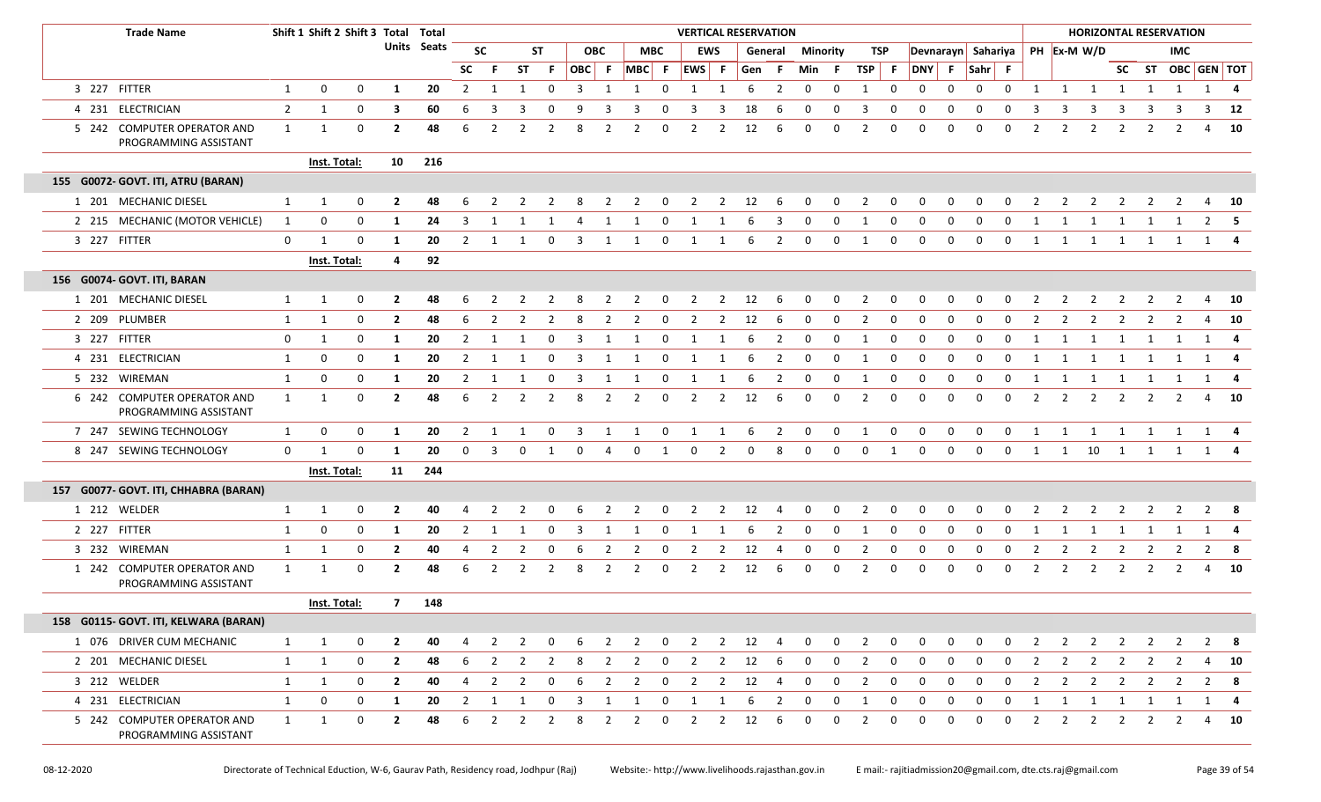| <b>Trade Name</b>                                    |                | Shift 1 Shift 2 Shift 3 Total Total |          |                |                    |                |                |                |                |                         |                |                |                | <b>VERTICAL RESERVATION</b> |                |              |                |                 |             |                |              |              |              |                    |              |                |                |                        |                |                | <b>HORIZONTAL RESERVATION</b> |       |              |
|------------------------------------------------------|----------------|-------------------------------------|----------|----------------|--------------------|----------------|----------------|----------------|----------------|-------------------------|----------------|----------------|----------------|-----------------------------|----------------|--------------|----------------|-----------------|-------------|----------------|--------------|--------------|--------------|--------------------|--------------|----------------|----------------|------------------------|----------------|----------------|-------------------------------|-------|--------------|
|                                                      |                |                                     |          |                | <b>Units Seats</b> |                | <b>SC</b>      |                | ST             |                         | <b>OBC</b>     |                | <b>MBC</b>     |                             | <b>EWS</b>     |              | General        | <b>Minority</b> |             |                | TSP          |              |              | Devnarayn Sahariya |              |                |                | PH Ex-M W/D            |                |                | IMC.                          |       |              |
|                                                      |                |                                     |          |                |                    | <b>SC</b>      | -F             | <b>ST</b>      | -F.            |                         |                | OBC F MBC F    |                | EWS F                       |                | Gen          | - F            | Min F           |             | TSP F          |              | DNY F        |              | Sahr F             |              |                |                |                        |                |                | SC ST OBC GEN TOT             |       |              |
| 3 227 FITTER                                         | 1              | 0                                   | 0        | 1              | 20                 | $\overline{2}$ | -1             | 1              | 0              | $\overline{\mathbf{3}}$ | 1              | 1              | 0              | 1                           | 1              | 6            | $\overline{2}$ | 0               | 0           | 1              | 0            | 0            | 0            | 0                  | $\mathbf 0$  | 1              |                | $1 \quad 1$            | 1              | 1              | $\mathbf{1}$                  |       | $1 \quad 4$  |
| 4 231 ELECTRICIAN                                    | $\overline{2}$ | 1                                   | 0        | 3              | 60                 | 6              | 3              |                | $\Omega$       |                         |                |                |                |                             | 3              | 18           | 6              | 0               | 0           | 3              | 0            | 0            | 0            | 0                  | 0            | 3              | 3              | -3                     |                |                |                               | 3     | 12           |
| 5 242 COMPUTER OPERATOR AND<br>PROGRAMMING ASSISTANT | $\mathbf{1}$   | 1                                   | 0        | $\overline{2}$ | 48                 | 6              | $\overline{2}$ | 2              | $\overline{2}$ | 8                       | $\overline{2}$ | 2              | $\Omega$       | $\overline{2}$              | $\overline{2}$ | 12           | 6              | 0               | 0           | 2              | 0            | $\mathbf 0$  | $\Omega$     | 0                  | 0            | $\overline{2}$ | $\overline{2}$ | $\overline{2}$         | 2              | 2              |                               | 4     | - 10         |
|                                                      |                | Inst. Total:                        |          | 10             | 216                |                |                |                |                |                         |                |                |                |                             |                |              |                |                 |             |                |              |              |              |                    |              |                |                |                        |                |                |                               |       |              |
| 155 G0072- GOVT. ITI, ATRU (BARAN)                   |                |                                     |          |                |                    |                |                |                |                |                         |                |                |                |                             |                |              |                |                 |             |                |              |              |              |                    |              |                |                |                        |                |                |                               |       |              |
| 1 201 MECHANIC DIESEL                                | $\mathbf{1}$   | 1                                   | 0        | $\mathbf{2}$   | 48                 | 6              |                |                |                |                         |                | 2              | 0              | 2                           | 2              | 12           | 6              | 0               | 0           | 2              | 0            | 0            | 0            | 0                  | 0            |                | $\mathbf{2}$   | 2                      | 2              | 2              | 2                             | 4     | - 10         |
| 2 215 MECHANIC (MOTOR VEHICLE)                       | 1              | 0                                   | 0        | -1             | 24                 | 3              |                |                |                |                         |                |                |                |                             |                |              | 3              | <sup>0</sup>    | 0           | -1             | 0            | 0            |              |                    |              |                |                |                        |                |                |                               | 2     | - 5          |
| 3 227 FITTER                                         | 0              | $\mathbf{1}$                        | 0        | -1             | 20                 | $\overline{2}$ | -1             |                | 0              | 3                       | 1              | 1              | 0              | 1                           | 1              | 6            | 2              | $\mathbf{0}$    | 0           | 1              | 0            | $\mathbf 0$  | 0            | 0                  | 0            | 1              | 1              | 1                      | 1              | 1              | 1                             |       | $1 \quad 4$  |
|                                                      |                | Inst. Total:                        |          | 4              | 92                 |                |                |                |                |                         |                |                |                |                             |                |              |                |                 |             |                |              |              |              |                    |              |                |                |                        |                |                |                               |       |              |
| 156 G0074- GOVT. ITI, BARAN                          |                |                                     |          |                |                    |                |                |                |                |                         |                |                |                |                             |                |              |                |                 |             |                |              |              |              |                    |              |                |                |                        |                |                |                               |       |              |
| 1 201 MECHANIC DIESEL                                | $\mathbf{1}$   | 1                                   | 0        | 2              | 48                 | 6              |                |                |                | 8                       |                | 2              | 0              | 2                           | 2              | 12           | 6              | 0               | 0           | 2              | 0            | 0            | 0            | <sup>0</sup>       | <sup>0</sup> |                | 2              |                        |                |                | 2                             | 4     | 10           |
| 2 209 PLUMBER                                        | $\mathbf{1}$   | 1                                   | 0        | $\mathbf{2}$   | 48                 | 6              | -2             | 2              | 2              | 8                       | 2              | 2              | 0              | 2                           | 2              | 12           | -6             | 0               | 0           | 2              | 0            | 0            | 0            | O                  | 0            | 2              | 2              | 2                      | 2              | 2              | $\mathcal{L}$                 | 4     | 10           |
| 3 227 FITTER                                         | 0              | 1                                   | 0        | 1              | 20                 | 2              | -1             |                | 0              | 3                       | 1              | 1              | 0              | 1                           | 1              | -6           | $\overline{2}$ | $\mathbf 0$     | $\mathbf 0$ | 1              | 0            | 0            | 0            | 0                  | 0            | 1              | 1              | 1                      | 1              | 1              | $\mathbf{1}$                  |       | 1 4          |
| 4 231 ELECTRICIAN                                    | 1              | 0                                   | 0        | 1              | 20                 | $\overline{2}$ | -1             |                | $\Omega$       | 3                       | -1             | 1              | $\Omega$       | 1                           | 1              | 6            | 2              | $\mathbf 0$     | 0           | 1              | 0            | 0            | 0            | 0                  | 0            | 1              | 1              | 1                      | 1              | 1              | 1                             |       | 1 4          |
| 5 232 WIREMAN                                        | 1              | 0                                   | 0        | -1             | 20                 | 2              |                |                | $\Omega$       |                         |                |                | 0              |                             |                |              | 2              | 0               | 0           | -1             | 0            | 0            | <sup>0</sup> |                    | <sup>0</sup> |                |                | 1                      | 1              | -1             |                               |       | 1 4          |
| 6 242 COMPUTER OPERATOR AND<br>PROGRAMMING ASSISTANT | $\mathbf{1}$   | $\mathbf{1}$                        | $\Omega$ | $\mathbf{2}$   | 48                 | 6              | $\overline{2}$ | 2              | $\overline{2}$ | 8                       | 2              | 2              | 0              | $\overline{2}$              | $\overline{2}$ | 12           | 6              | 0               | 0           | $\overline{2}$ | 0            | 0            | $\Omega$     | 0                  | 0            | $\overline{2}$ | 2              | $\overline{2}$         | 2              | 2              | 2                             | 4     | - 10         |
| 7 247 SEWING TECHNOLOGY                              | $\mathbf{1}$   | 0                                   | 0        | -1             | 20                 | 2              |                |                | 0              | 3                       | 1              |                | 0              |                             |                | 6            | 2              | 0               | 0           | -1             | 0            | 0            | $\Omega$     | $\Omega$           | $\Omega$     | 1              | 1              | 1                      | 1              | 1              |                               |       | 1 4          |
| 8 247 SEWING TECHNOLOGY                              | $\mathbf 0$    | $\mathbf 1$                         | 0        | 1              | 20                 | $\mathbf 0$    | 3              | $\mathbf 0$    | 1              | $\mathbf 0$             | 4              | $\mathbf 0$    | $\mathbf{1}$   | $\mathbf 0$                 | $\overline{2}$ | $\mathbf 0$  | 8              | $\mathbf 0$     | $\mathbf 0$ | $\mathbf 0$    | 1            | $\mathbf 0$  | $\mathbf 0$  | $\mathbf 0$        | $\mathbf 0$  | $\mathbf{1}$   |                | $1 \qquad 10 \qquad 1$ |                | $\mathbf{1}$   |                               | 1 1 4 |              |
|                                                      |                | Inst. Total:                        |          |                | 11 244             |                |                |                |                |                         |                |                |                |                             |                |              |                |                 |             |                |              |              |              |                    |              |                |                |                        |                |                |                               |       |              |
| 157 G0077- GOVT. ITI, CHHABRA (BARAN)                |                |                                     |          |                |                    |                |                |                |                |                         |                |                |                |                             |                |              |                |                 |             |                |              |              |              |                    |              |                |                |                        |                |                |                               |       |              |
| 1 212 WELDER                                         | $\mathbf{1}$   | -1                                  | 0        | $\mathbf{2}$   | 40                 |                |                |                |                |                         |                |                |                |                             | 2              | 12           |                | $\Omega$        | $\Omega$    |                |              |              |              |                    |              |                |                |                        |                |                |                               |       | - 8          |
| 2 227 FITTER                                         | 1              | 0                                   | 0        | 1              | 20                 | $\overline{2}$ | 1              | 1              | $\mathbf 0$    | $\overline{\mathbf{3}}$ | 1              | 1              | $\mathbf 0$    | 1                           | 1              | 6            | 2              | $\mathbf 0$     | $\mathbf 0$ | 1              | 0            | $\mathbf 0$  | $\mathbf 0$  | $\mathbf 0$        | $\mathbf 0$  | 1              | 1              | 1                      | $\overline{1}$ | 1              | 1                             |       | $1 \quad 4$  |
| 3 232 WIREMAN                                        | $\mathbf{1}$   | 1                                   | 0        | $\mathbf{2}$   | 40                 | 4              | $\overline{2}$ | 2              | 0              |                         |                |                | 0              |                             | 2              | 12           |                | $\Omega$        | 0           |                | 0            | 0            | <sup>0</sup> | $\Omega$           | 0            | 2              | 2              | 2                      |                | -2             |                               | 2     | - 8          |
| 1 242 COMPUTER OPERATOR AND<br>PROGRAMMING ASSISTANT | $\mathbf{1}$   | 1                                   | 0        | $\overline{2}$ | 48                 | 6              | 2              | 2              | $\overline{2}$ | 8                       | $\overline{2}$ | 2              | 0              | $\overline{2}$              | $\overline{2}$ | 12           | 6              | 0               | 0           | 2              | 0            | 0            | 0            | 0                  | 0            | 2              | $\overline{2}$ | $\overline{2}$         | $\overline{2}$ | 2              | 2                             | 4     | 10           |
|                                                      |                | Inst. Total:                        |          | 7              | 148                |                |                |                |                |                         |                |                |                |                             |                |              |                |                 |             |                |              |              |              |                    |              |                |                |                        |                |                |                               |       |              |
| 158 G0115- GOVT. ITI, KELWARA (BARAN)                |                |                                     |          |                |                    |                |                |                |                |                         |                |                |                |                             |                |              |                |                 |             |                |              |              |              |                    |              |                |                |                        |                |                |                               |       |              |
| 1 076 DRIVER CUM MECHANIC                            | $\mathbf{1}$   | 1                                   | 0        | $\mathbf{2}$   | 40                 | 4              | $\overline{2}$ | $\overline{2}$ | 0              | 6                       | $\overline{2}$ | $\overline{2}$ | $\overline{0}$ | $\overline{2}$              |                | $2 \t12 \t4$ |                | $\mathbf 0$     | $\mathbf 0$ | $\overline{2}$ | $\mathbf{0}$ | 0            | 0            | 0                  | $\mathbf{0}$ | $\overline{2}$ | $\overline{2}$ | $\overline{2}$         | $\overline{2}$ | $\overline{2}$ | $\overline{2}$                |       | $2 \times 8$ |
| 2 201 MECHANIC DIESEL                                | $\mathbf{1}$   | 1                                   | 0        | $\mathbf{2}$   | 48                 | 6              | 2              | 2              | $\overline{2}$ | 8                       | $\overline{2}$ | $\overline{2}$ | $\mathbf{0}$   | $\overline{2}$              | $\overline{2}$ | 12           | - 6            | $\mathbf 0$     | $\mathbf 0$ | $\overline{2}$ | $\mathbf{0}$ | 0            | 0            | 0                  | $\mathbf 0$  | $\overline{2}$ | $\overline{2}$ | $\overline{2}$         | $\overline{2}$ | $\overline{2}$ | 2                             |       | 4 10         |
| 3 212 WELDER                                         | $\mathbf{1}$   | 1                                   | 0        | $\mathbf{2}$   | 40                 | $\overline{4}$ | $\overline{2}$ | $\overline{2}$ | 0              | 6                       | $\overline{2}$ | $\overline{2}$ | 0              | $\overline{2}$              | $\overline{2}$ | 12           | 4              | 0               | $\mathbf 0$ | $\overline{2}$ | $\mathbf{0}$ | $\mathbf{0}$ | 0            | $\mathbf 0$        | $\mathbf 0$  | $\overline{2}$ | $\overline{2}$ | $\overline{2}$         | $\overline{2}$ | $\overline{2}$ | $\overline{2}$                |       | $2 \times 8$ |
| 4 231 ELECTRICIAN                                    | $\mathbf{1}$   | 0                                   | 0        | 1              | 20                 | $\overline{2}$ | 1              | -1             | 0              | 3                       | 1              | 1              | 0              | 1                           | $\mathbf{1}$   | 6            | $\overline{2}$ | 0               | $\mathbf 0$ | 1              | 0            | 0            | 0            | 0                  | 0            | 1              | $\mathbf{1}$   | 1                      | 1              | 1              | 1                             |       | 1 4          |
| 5 242 COMPUTER OPERATOR AND<br>PROGRAMMING ASSISTANT | $\mathbf{1}$   | $\mathbf{1}$                        | 0        | $\mathbf{2}$   | 48                 | 6              | 2              | 2              | 2              | 8                       | $\overline{2}$ | $\overline{2}$ | 0              | $\overline{2}$              | $\overline{2}$ | 12           | 6              | 0               | 0           | $\overline{2}$ | 0            | 0            | 0            | 0                  | $\mathbf 0$  | 2              | 2              | $\overline{2}$         | 2              | 2              | 2                             | 4     | <b>10</b>    |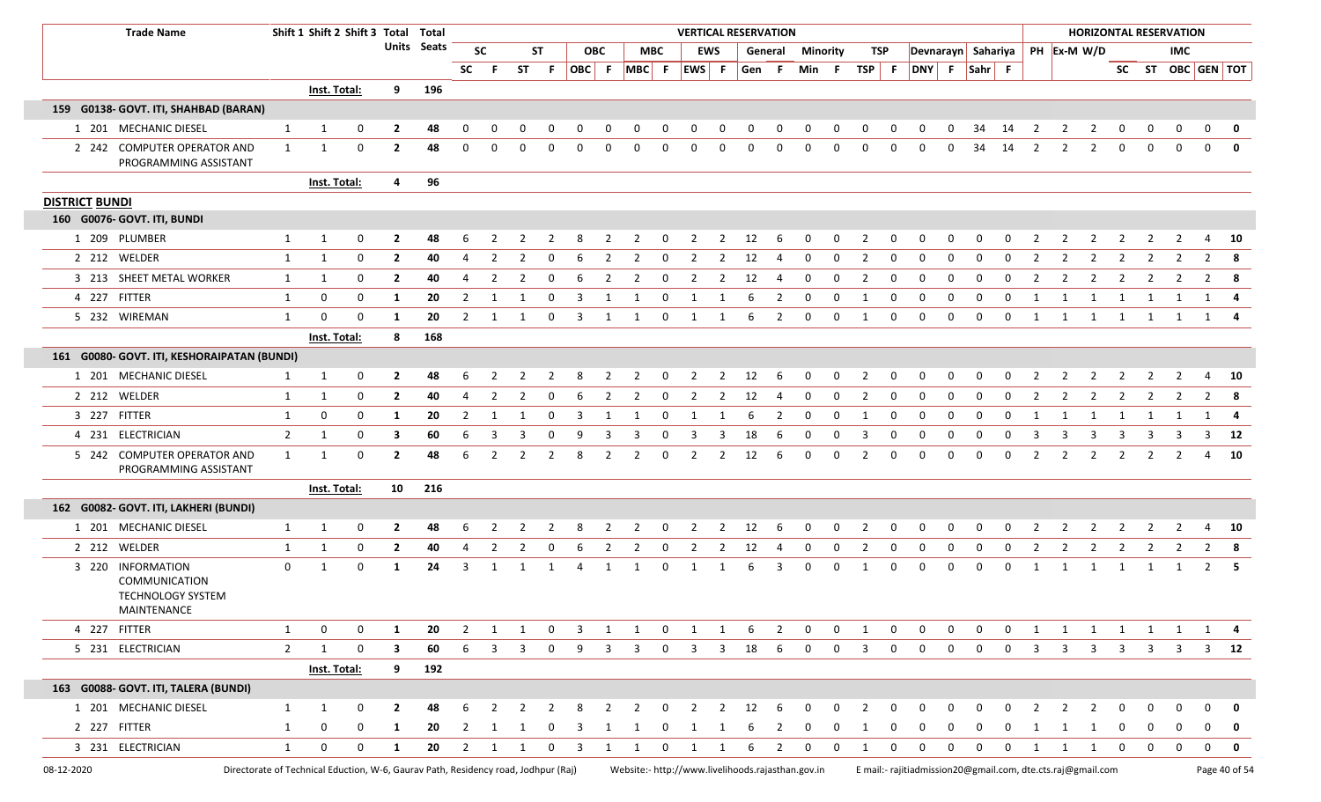|                       | <b>Trade Name</b>                                                                  |                | Shift 1 Shift 2 Shift 3 Total |                |                         | Total       |                |                |                |              |                         |                |                    |              |                |                | <b>VERTICAL RESERVATION</b>                                                                                  |                |             |                |                     |                |                                |                |                |                |                |                |                |                |               | <b>HORIZONTAL RESERVATION</b> |                |               |
|-----------------------|------------------------------------------------------------------------------------|----------------|-------------------------------|----------------|-------------------------|-------------|----------------|----------------|----------------|--------------|-------------------------|----------------|--------------------|--------------|----------------|----------------|--------------------------------------------------------------------------------------------------------------|----------------|-------------|----------------|---------------------|----------------|--------------------------------|----------------|----------------|----------------|----------------|----------------|----------------|----------------|---------------|-------------------------------|----------------|---------------|
|                       |                                                                                    |                |                               |                |                         | Units Seats |                | <b>SC</b>      |                | <b>ST</b>    |                         | <b>OBC</b>     |                    | <b>MBC</b>   |                | <b>EWS</b>     | General                                                                                                      |                | Minority    |                | TSP                 |                | Devnarayn Sahariya PH Ex-M W/D |                |                |                |                |                |                |                |               | IMC                           |                |               |
|                       |                                                                                    |                |                               |                |                         |             |                | SC F           | ST             | - F          | OBC F                   |                | MBC F              |              | EWS F          |                | Gen F                                                                                                        |                |             | Min F          | $TSP$ F             |                |                                |                | DNY F Sahr F   |                |                |                |                |                |               | SC ST OBC GEN TOT             |                |               |
|                       |                                                                                    |                | Inst. Total:                  |                | 9                       | 196         |                |                |                |              |                         |                |                    |              |                |                |                                                                                                              |                |             |                |                     |                |                                |                |                |                |                |                |                |                |               |                               |                |               |
|                       | 159 G0138- GOVT. ITI, SHAHBAD (BARAN)                                              |                |                               |                |                         |             |                |                |                |              |                         |                |                    |              |                |                |                                                                                                              |                |             |                |                     |                |                                |                |                |                |                |                |                |                |               |                               |                |               |
|                       | 1 201 MECHANIC DIESEL                                                              | 1              | 1                             | 0              | 2                       | 48          | 0              | 0              |                | 0            | 0                       | 0              | 0                  | 0            | 0              | 0              | 0                                                                                                            | 0              | 0           | 0              | 0                   | 0              | 0                              | 0              | 34             | 14             | 2              | 2              | 2              | 0              | 0             | 0                             | 0              | 0             |
|                       | 2 242 COMPUTER OPERATOR AND<br>PROGRAMMING ASSISTANT                               | 1              | 1                             | 0              | $\mathbf{2}$            | 48          | $\Omega$       | <sup>0</sup>   | <sup>0</sup>   | <sup>0</sup> | n                       | 0              | 0                  | 0            | n              | $\Omega$       | 0                                                                                                            | $\Omega$       | 0           | 0              | 0                   | 0              | $\Omega$                       | 0              | 34             | 14             | 2              | 2              | 2              | 0              | $\Omega$      | $\Omega$                      | $\mathbf{0}$   | $\mathbf 0$   |
|                       |                                                                                    |                | <b>Inst. Total:</b>           |                | 4                       | 96          |                |                |                |              |                         |                |                    |              |                |                |                                                                                                              |                |             |                |                     |                |                                |                |                |                |                |                |                |                |               |                               |                |               |
| <b>DISTRICT BUNDI</b> |                                                                                    |                |                               |                |                         |             |                |                |                |              |                         |                |                    |              |                |                |                                                                                                              |                |             |                |                     |                |                                |                |                |                |                |                |                |                |               |                               |                |               |
|                       | 160 G0076- GOVT. ITI, BUNDI                                                        |                |                               |                |                         |             |                |                |                |              |                         |                |                    |              |                |                |                                                                                                              |                |             |                |                     |                |                                |                |                |                |                |                |                |                |               |                               |                |               |
| 1 209 PLUMBER         |                                                                                    | 1              | $\mathbf 1$                   | 0              | 2                       | 48          | 6              | 2              |                |              | 8                       | 2              | 2                  | 0            | 2              | 2              | 12                                                                                                           | 6              | 0           | $\mathbf 0$    | 2                   | 0              | 0                              | 0              | 0              | 0              | 2              | 2              |                |                |               | 2                             | 4              | - 10          |
| 2 212 WELDER          |                                                                                    | 1              | 1                             | 0              | $\overline{2}$          | 40          | 4              | 2              | 2              | 0            | 6                       | 2              | 2                  | 0            | 2              | 2              | 12                                                                                                           | 4              | 0           | 0              | 2                   | 0              | 0                              | 0              | $\mathbf 0$    | 0              | 2              | 2              | 2              | 2              |               | 2                             | 2              | - 8           |
|                       | 3 213 SHEET METAL WORKER                                                           | 1              | $\mathbf 1$                   | 0              | $\mathbf{2}$            | 40          | 4              | 2              | $\overline{2}$ | 0            | 6                       | $\overline{2}$ | $\overline{2}$     | 0            | $\overline{2}$ | $\overline{2}$ | 12                                                                                                           | 4              | 0           | 0              | 2                   | 0              | 0                              | $\mathbf 0$    | 0              | 0              | $\overline{2}$ | 2              | 2              | 2              | 2             | 2                             | $\overline{2}$ | - 8           |
| 4 227 FITTER          |                                                                                    | 1              | 0                             | 0              | 1                       | 20          | 2              | -1             | -1             | 0            | 3                       | 1              | -1                 | 0            | -1             | 1              | 6                                                                                                            | 2              | 0           | 0              | -1                  | 0              | 0                              | $\mathbf 0$    | $\mathbf 0$    | 0              | 1              | 1              | 1              | 1              | 1             | 1                             | 1              | 4             |
| 5 232 WIREMAN         |                                                                                    | 1              | 0                             | $\Omega$       | 1                       | 20          | 2              | 1              | 1              | 0            | -3                      | 1              | 1                  | 0            | 1              | 1              | 6                                                                                                            | 2              | 0           | 0              | 1                   | 0              | 0                              | 0              | $\Omega$       | 0              | 1              | 1              | 1              | 1              | 1             | $\mathbf{1}$                  | 1 4            |               |
|                       |                                                                                    |                | Inst. Total:                  |                | 8                       | 168         |                |                |                |              |                         |                |                    |              |                |                |                                                                                                              |                |             |                |                     |                |                                |                |                |                |                |                |                |                |               |                               |                |               |
|                       | 161 G0080- GOVT. ITI, KESHORAIPATAN (BUNDI)                                        |                |                               |                |                         |             |                |                |                |              |                         |                |                    |              |                |                |                                                                                                              |                |             |                |                     |                |                                |                |                |                |                |                |                |                |               |                               |                |               |
|                       | 1 201 MECHANIC DIESEL                                                              | 1              | 1                             | 0              | $\mathbf{2}$            | 48          | 6              |                |                |              |                         |                |                    | o            |                | 2              | 12                                                                                                           | 6              | 0           | 0              |                     | 0              |                                | 0              |                | 0              |                | 2              |                | 2              |               | $\mathcal{P}$                 | 4              | 10            |
| 2 212 WELDER          |                                                                                    | 1              | -1                            | 0              | $\mathbf{2}$            | 40          | 4              | 2              | 2              | 0            |                         | 2              | -2                 | <sup>0</sup> |                | 2              | 12                                                                                                           | 4              | 0           | 0              | 2                   | 0              | 0                              | 0              | <sup>0</sup>   | <sup>0</sup>   | 2              | 2              | 2              | 2              | $\mathcal{L}$ | 2                             | $\mathbf{2}$   | - 8           |
| 3 227 FITTER          |                                                                                    | 1              | 0                             | 0              | 1                       | 20          | $\overline{2}$ | -1             | -1             | 0            | 3                       | 1              | -1                 | 0            |                |                | 6                                                                                                            | 2              | 0           | 0              | -1                  | 0              | 0                              | 0              | 0              | 0              | -1             | -1             | -1             | 1              | -1            | 1                             | 1              | -4            |
|                       | 4 231 ELECTRICIAN                                                                  | $\overline{2}$ | 1                             | $\mathbf 0$    | 3                       | 60          | 6              | 3              | 3              | $\mathbf{0}$ | 9                       | 3              | 3                  | <sup>0</sup> | 3              | 3              | 18                                                                                                           | 6              | 0           | 0              | 3                   | 0              | 0                              | 0              | 0              | 0              | 3              | 3              | 3              | 3              | 3             | 3                             | 3              | - 12          |
|                       | 5 242 COMPUTER OPERATOR AND<br>PROGRAMMING ASSISTANT                               | $\mathbf{1}$   | 1                             | 0              | $\mathbf{2}$            | 48          | 6              | 2              | 2              | 2            | 8                       | 2              | 2                  | 0            | 2              | 2              | 12                                                                                                           | 6              | 0           | 0              | 2                   | 0              | $\Omega$                       | 0              | $\Omega$       | 0              | 2              | 2              | 2              | 2              | 2             | 2                             | 4              | - 10          |
|                       |                                                                                    |                | <b>Inst. Total:</b>           |                | 10                      | 216         |                |                |                |              |                         |                |                    |              |                |                |                                                                                                              |                |             |                |                     |                |                                |                |                |                |                |                |                |                |               |                               |                |               |
|                       | 162 G0082- GOVT. ITI, LAKHERI (BUNDI)                                              |                |                               |                |                         |             |                |                |                |              |                         |                |                    |              |                |                |                                                                                                              |                |             |                |                     |                |                                |                |                |                |                |                |                |                |               |                               |                |               |
|                       | 1 201 MECHANIC DIESEL                                                              | 1              | -1                            | 0              | 2                       | 48          |                |                |                |              |                         |                |                    |              |                |                | 12                                                                                                           | 6              | 0           | 0              |                     | 0              | 0                              | 0              | $\Omega$       | 0              |                |                |                |                |               |                               |                | 10            |
| 2 212 WELDER          |                                                                                    | 1              | $\mathbf{1}$                  | $\mathbf 0$    | $\overline{2}$          | 40          | $\overline{4}$ | $\overline{2}$ | $\overline{2}$ | 0            | 6                       | 2              | 2                  | 0            | 2              | $\overline{2}$ | 12                                                                                                           | $\overline{4}$ | $\mathbf 0$ | $\mathbf 0$    | $\overline{2}$      | 0              | 0                              | 0              | $\mathbf 0$    | $\mathbf 0$    | $\overline{2}$ | $\overline{2}$ | 2              | 2              | 2             | 2                             | $\overline{2}$ | - 8           |
|                       | 3 220 INFORMATION<br>COMMUNICATION<br><b>TECHNOLOGY SYSTEM</b><br>MAINTENANCE      | $\mathbf{0}$   | 1                             | 0              | 1                       | 24          | 3              | 1              | -1             |              | -4                      | 1              | -1                 | 0            | -1             | -1             | 6                                                                                                            | 3              | 0           | 0              | -1                  | 0              | 0                              | 0              | 0              | 0              | $\mathbf{1}$   | 1              | 1              | 1              | 1             | 1                             | $\mathbf{2}$   | - 5           |
| 4 227 FITTER          |                                                                                    | 1              | 0                             | $\mathbf 0$    | 1                       | 20          | $\overline{2}$ | 1              | 1              | $\mathbf 0$  | $\overline{\mathbf{3}}$ | 1              | $\overline{1}$     |              | $0\qquad 1$    | $\overline{1}$ | - 6                                                                                                          | $\overline{2}$ | $\mathbf 0$ | $\overline{0}$ | <sup>1</sup>        | $\mathbf 0$    | $\mathbf 0$                    | $\mathbf 0$    | $\mathbf 0$    | $\mathbf 0$    | 1              | $\overline{1}$ |                |                |               | 1 1 1 1 1 4                   |                |               |
|                       | 5 231 ELECTRICIAN                                                                  | $\overline{2}$ | 1                             | $\mathsf{O}$   | $\overline{\mathbf{3}}$ | 60          | 6              | $3 \quad 3$    |                |              |                         |                | $0 \t 9 \t 3 \t 3$ |              |                |                | $0 \qquad 3 \qquad 3 \qquad 18 \qquad 6$                                                                     |                |             |                | $0 \quad 0 \quad 3$ | $\overline{0}$ |                                |                |                |                |                |                |                |                |               | 0 0 0 0 3 3 3 3 3 3 3 12      |                |               |
|                       |                                                                                    |                | <b>Inst. Total:</b>           |                | $9^{\circ}$             | 192         |                |                |                |              |                         |                |                    |              |                |                |                                                                                                              |                |             |                |                     |                |                                |                |                |                |                |                |                |                |               |                               |                |               |
|                       | 163 G0088- GOVT. ITI, TALERA (BUNDI)                                               |                |                               |                |                         |             |                |                |                |              |                         |                |                    |              |                |                |                                                                                                              |                |             |                |                     |                |                                |                |                |                |                |                |                |                |               |                               |                |               |
|                       | 1 201 MECHANIC DIESEL                                                              | 1              | 1                             | $\mathbf 0$    | $\mathbf{2}$            | 48          | 6              |                |                |              | 8                       | 2              | $\overline{2}$     | 0            | 2              | 2              | 12                                                                                                           | - 6            | $\mathbf 0$ | $\mathbf 0$    | 2                   | 0              | 0                              | 0              |                | 0              |                | 2              | <sup>2</sup>   | $\Omega$       |               |                               |                | 0             |
| 2 227 FITTER          |                                                                                    | 1              | $\mathbf 0$                   | $\mathbf{0}$   | 1                       | 20          |                | 2 1 1          |                |              |                         |                | 0 3 1 1            |              |                |                | 0 1 1 6 2                                                                                                    |                |             | $0\qquad 0$    | 1                   | $\mathbf 0$    | $\mathbf{0}$                   | $\mathbf{0}$   | $\overline{0}$ | $\mathbf{0}$   | 1              | $\overline{1}$ | $\overline{1}$ | $\overline{0}$ | 0             | 0                             |                | $\mathbf{0}$  |
|                       | 3 231 ELECTRICIAN                                                                  | $\mathbf{1}$   | $\mathsf{O}$                  | $\overline{0}$ | $\mathbf{1}$            |             |                |                |                |              |                         |                |                    |              |                |                | 20 2 1 1 0 3 1 1 0 1 1 6 2                                                                                   |                |             | $0\qquad 0$    | $\overline{1}$      | $\mathbf{0}$   | $\overline{0}$                 | $\overline{0}$ | $\overline{0}$ | $\overline{0}$ |                | 1 1 1 0        |                |                | $0\qquad 0$   |                               |                | $0$ 0         |
| 08-12-2020            | Directorate of Technical Eduction, W-6, Gaurav Path, Residency road, Jodhpur (Raj) |                |                               |                |                         |             |                |                |                |              |                         |                |                    |              |                |                | Website:- http://www.livelihoods.rajasthan.gov.in Email:- rajitiadmission20@gmail.com, dte.cts.raj@gmail.com |                |             |                |                     |                |                                |                |                |                |                |                |                |                |               |                               |                | Page 40 of 54 |

I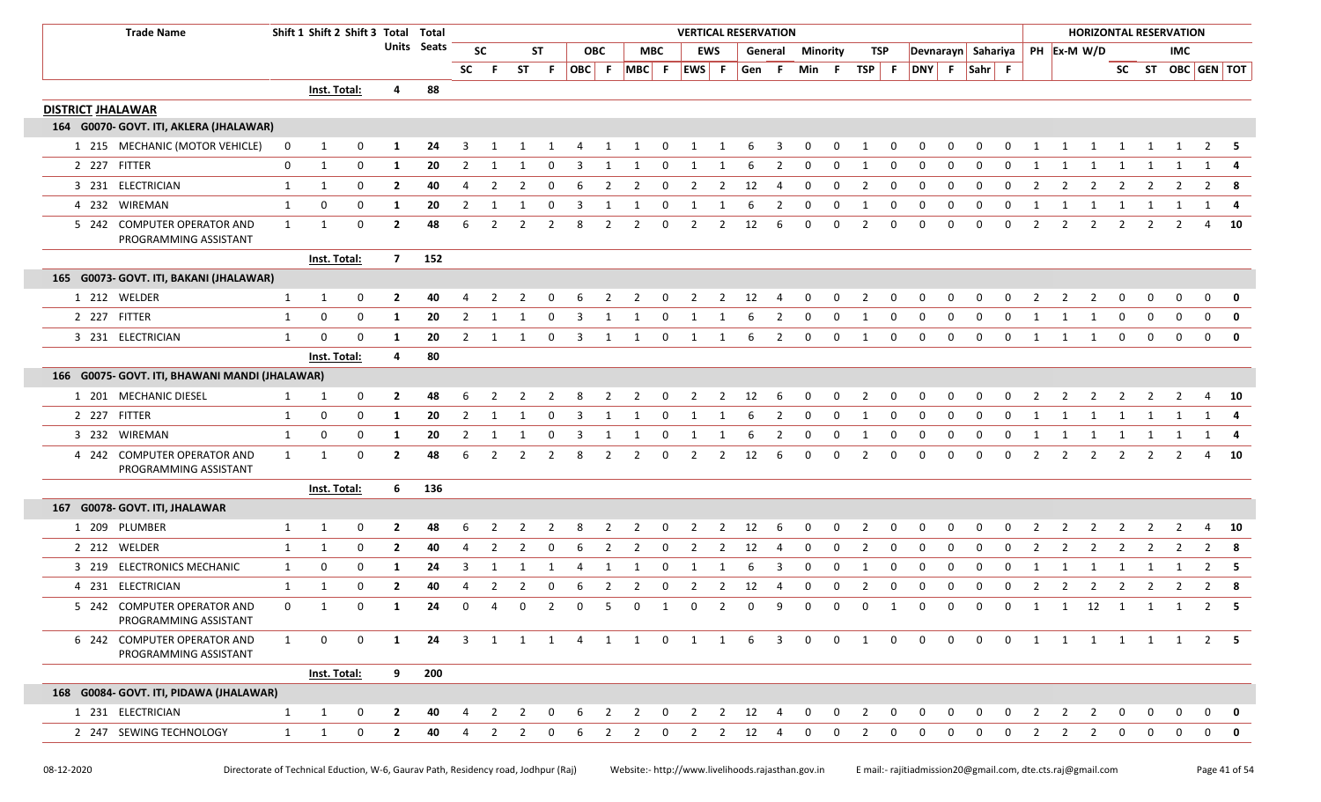|                          | <b>Trade Name</b>                                    |              | Shift 1 Shift 2 Shift 3 Total Total |              |                |             |                |                |                |             |                |                |                |             | <b>VERTICAL RESERVATION</b> |                |          |                         |              |              |                          |                         |              |             |             |              |                                |                |                |                |                | <b>HORIZONTAL RESERVATION</b> |                   |             |
|--------------------------|------------------------------------------------------|--------------|-------------------------------------|--------------|----------------|-------------|----------------|----------------|----------------|-------------|----------------|----------------|----------------|-------------|-----------------------------|----------------|----------|-------------------------|--------------|--------------|--------------------------|-------------------------|--------------|-------------|-------------|--------------|--------------------------------|----------------|----------------|----------------|----------------|-------------------------------|-------------------|-------------|
|                          |                                                      |              |                                     |              |                | Units Seats |                | <b>SC</b>      |                | ST          |                | <b>OBC</b>     |                | <b>MBC</b>  | <b>EWS</b>                  |                | General  |                         | Minority     |              | TSP                      |                         |              |             |             |              | Devnarayn Sahariya PH Ex-M W/D |                |                |                |                | <b>IMC</b>                    |                   |             |
|                          |                                                      |              |                                     |              |                |             | <b>SC</b>      | -F.            | <b>ST</b>      | -F.         | OBC F          |                | MBC F          |             | EWS F                       |                | Gen F    |                         | Min          | - F          | $TSP$ F                  |                         | DNY F Sahr F |             |             |              |                                |                |                |                |                |                               | SC ST OBC GEN TOT |             |
|                          |                                                      |              | Inst. Total:                        |              | 4              | 88          |                |                |                |             |                |                |                |             |                             |                |          |                         |              |              |                          |                         |              |             |             |              |                                |                |                |                |                |                               |                   |             |
| <b>DISTRICT JHALAWAR</b> |                                                      |              |                                     |              |                |             |                |                |                |             |                |                |                |             |                             |                |          |                         |              |              |                          |                         |              |             |             |              |                                |                |                |                |                |                               |                   |             |
|                          | 164 G0070- GOVT. ITI, AKLERA (JHALAWAR)              |              |                                     |              |                |             |                |                |                |             |                |                |                |             |                             |                |          |                         |              |              |                          |                         |              |             |             |              |                                |                |                |                |                |                               |                   |             |
|                          | 1 215 MECHANIC (MOTOR VEHICLE)                       | 0            | $\mathbf{1}$                        | 0            | -1             | 24          | 3              |                |                |             |                | 1              | 1              | 0           | 1                           | 1              | 6        | 3                       | 0            | 0            | 1                        | 0                       | $\Omega$     | $\Omega$    | 0           | 0            |                                | -1             | 1              | 1              | 1              | - 1                           | 2                 | - 5         |
|                          | 2 227 FITTER                                         | 0            | $\mathbf{1}$                        | 0            | -1             | 20          | 2              | -1             |                | $\Omega$    | 3              | -1             | 1              | 0           | 1                           | 1              | 6        | 2                       | 0            | 0            | 1                        | 0                       | 0            | $\Omega$    | 0           | 0            | 1                              | -1             | 1              | 1              | 1              | -1                            | -1                |             |
|                          | 3 231 ELECTRICIAN                                    | 1            | 1                                   | 0            | $\overline{2}$ | 40          | 4              | 2              | 2              | 0           | 6              | 2              | 2              | 0           | 2                           | $\overline{2}$ | 12       | 4                       | 0            | 0            | $\overline{2}$           | $\mathbf 0$             | 0            | $\mathbf 0$ | 0           | $\Omega$     | 2                              | 2              | $\overline{2}$ | 2              | 2              | 2                             | $\overline{2}$    | - 8         |
|                          | 4 232 WIREMAN                                        | $\mathbf{1}$ | 0                                   | 0            | 1              | 20          | 2              | 1              |                | $\Omega$    |                |                |                | 0           | 1                           |                | 6        | 2                       | 0            | 0            | -1                       | 0                       | 0            | $\Omega$    | 0           | 0            | -1                             |                | 1              | 1              | 1              | 1                             | 1                 |             |
|                          | 5 242 COMPUTER OPERATOR AND<br>PROGRAMMING ASSISTANT | 1            | 1                                   | $\mathbf 0$  | $\overline{2}$ | 48          | 6              | $\overline{2}$ | 2              | 2           | 8              | 2              | $\overline{2}$ | 0           | 2                           | 2              | 12       | 6                       | 0            | 0            | $\overline{2}$           | 0                       | 0            | $\Omega$    | $\mathbf 0$ | $\mathbf 0$  | 2                              | 2              | 2              | 2              | 2              | 2                             | 4                 | 10          |
|                          |                                                      |              | Inst. Total:                        |              | $\overline{7}$ | 152         |                |                |                |             |                |                |                |             |                             |                |          |                         |              |              |                          |                         |              |             |             |              |                                |                |                |                |                |                               |                   |             |
|                          | 165 G0073- GOVT. ITI, BAKANI (JHALAWAR)              |              |                                     |              |                |             |                |                |                |             |                |                |                |             |                             |                |          |                         |              |              |                          |                         |              |             |             |              |                                |                |                |                |                |                               |                   |             |
|                          | 1 212 WELDER                                         | 1            | $\mathbf{1}$                        | 0            | $\overline{2}$ | 40          |                |                |                |             |                |                |                |             |                             | 2              | 12       |                         |              |              | -2                       | O                       |              |             |             |              |                                |                | $\mathcal{L}$  |                | O              |                               | 0                 | 0           |
|                          | 2 227 FITTER                                         | 1            | 0                                   | 0            | -1             | 20          | 2              | 1              |                | $\Omega$    | 3              |                |                | $\Omega$    | 1                           |                | 6        | 2                       | 0            | 0            | 1                        | $\Omega$                | $\Omega$     | $\Omega$    | $\Omega$    | <sup>0</sup> |                                |                | -1             | 0              | $\Omega$       | 0                             | 0                 | 0           |
|                          | 3 231 ELECTRICIAN                                    | $\mathbf{1}$ | $\Omega$                            | $\mathbf 0$  | -1             | 20          | 2              |                |                | $\Omega$    | 3              |                |                | 0           | -1                          | -1             | 6        | 2                       | 0            | 0            | 1                        | 0                       | $\mathbf 0$  | 0           | $\Omega$    | 0            |                                |                | -1             | 0              | $\mathbf 0$    | $\mathbf 0$                   | 0                 | $\mathbf 0$ |
|                          |                                                      |              | Inst. Total:                        |              | 4              | 80          |                |                |                |             |                |                |                |             |                             |                |          |                         |              |              |                          |                         |              |             |             |              |                                |                |                |                |                |                               |                   |             |
|                          | 166 G0075- GOVT. ITI, BHAWANI MANDI (JHALAWAR)       |              |                                     |              |                |             |                |                |                |             |                |                |                |             |                             |                |          |                         |              |              |                          |                         |              |             |             |              |                                |                |                |                |                |                               |                   |             |
|                          | 1 201 MECHANIC DIESEL                                | 1            | 1                                   | 0            | $\overline{2}$ | 48          | 6              | -2             | 2              | -2          | -8             | 2              | 2              | $\mathbf 0$ | $\overline{2}$              | 2 12           |          | 6                       | $\mathbf 0$  | $\mathbf 0$  | $\overline{\phantom{a}}$ | $\overline{\mathbf{0}}$ | 0            | $\mathbf 0$ | $\mathbf 0$ | $\Omega$     | 2                              | 2              | 2              | 2              | 2              | 2                             | 4                 | <b>10</b>   |
|                          | 2 227 FITTER                                         | 1            | 0                                   | $\mathbf{0}$ | -1             | 20          | $\overline{2}$ | -1             |                | $\Omega$    | 3              |                |                | $\Omega$    | 1                           | -1             | 6        | 2                       | 0            | 0            | 1                        | 0                       | $\mathbf 0$  | $\mathbf 0$ | 0           | $\Omega$     | -1                             |                | -1             |                |                |                               | - 1               |             |
|                          | 3 232 WIREMAN                                        | 1            | 0                                   | 0            | -1             | 20          | $\overline{2}$ | 1              | 1              | $\mathbf 0$ | $\overline{3}$ | 1              | 1              | $\mathbf 0$ | 1                           | 1              | 6        | $\overline{2}$          | $\mathbf 0$  | $\mathbf 0$  | 1                        | $\mathbf 0$             | $\mathbf 0$  | $\mathbf 0$ | $\mathbf 0$ | $\mathbf 0$  | 1                              | 1              | 1 1            |                | 1              | $\overline{1}$                | 1                 | 4           |
|                          | 4 242 COMPUTER OPERATOR AND<br>PROGRAMMING ASSISTANT | $\mathbf{1}$ | 1                                   | $\mathbf 0$  | $\overline{2}$ | 48          | 6              | $\overline{2}$ | 2              | 2           | 8              | 2              | 2              | 0           | 2                           | 2              | 12       | -6                      | $\Omega$     | $\Omega$     | 2                        | $\mathbf 0$             | $\Omega$     | $\Omega$    | $\Omega$    | $\Omega$     | 2                              | 2              | 2              | 2              | 2              | 2                             | 4                 | - 10        |
|                          |                                                      |              | Inst. Total:                        |              | 6              | 136         |                |                |                |             |                |                |                |             |                             |                |          |                         |              |              |                          |                         |              |             |             |              |                                |                |                |                |                |                               |                   |             |
|                          | 167 G0078- GOVT. ITI, JHALAWAR                       |              |                                     |              |                |             |                |                |                |             |                |                |                |             |                             |                |          |                         |              |              |                          |                         |              |             |             |              |                                |                |                |                |                |                               |                   |             |
|                          | 1 209 PLUMBER                                        | $\mathbf{1}$ | $\mathbf{1}$                        | 0            | $\overline{2}$ | 48          | 6              |                |                |             |                |                |                | 0           |                             | 2              | 12       | 6                       | 0            | 0            | $\overline{2}$           | 0                       | 0            | 0           | $\Omega$    |              |                                |                |                |                |                |                               | 4                 | - 10        |
|                          | 2 212 WELDER                                         | 1            | $\mathbf{1}$                        | 0            | $\overline{2}$ | 40          | 4              | $\overline{2}$ | $\overline{2}$ | $\Omega$    | 6              | $\overline{2}$ | $\overline{2}$ | 0           | 2                           | 2              | 12       | 4                       | 0            | 0            | $\overline{2}$           | 0                       | $\mathbf 0$  | $\mathbf 0$ | $\mathbf 0$ | $\Omega$     | 2                              | $\overline{2}$ | 2              | 2              | 2              | 2                             | $\overline{2}$    | - 8         |
|                          | 3 219 ELECTRONICS MECHANIC                           | $\mathbf{1}$ | 0                                   | 0            | -1             | 24          | 3              | -1             |                |             |                |                |                | 0           | -1                          |                | -6       | 3                       | $\Omega$     | $\Omega$     | -1                       | $\Omega$                | $\Omega$     | $\Omega$    | $\Omega$    |              | -1                             |                | -1             | -1             |                | - 1                           | 2                 | - 5         |
|                          | 4 231 ELECTRICIAN                                    | 1            | 1                                   | $\mathbf 0$  | $\overline{2}$ | 40          | 4              | $\overline{2}$ | 2              | 0           | 6              | 2              | 2              | 0           | 2                           | $\overline{2}$ | 12       | 4                       | 0            | 0            | $\overline{2}$           | 0                       | $\mathbf 0$  | $\mathbf 0$ | $\mathbf 0$ | $\mathbf 0$  | $\overline{2}$                 | 2              | $\overline{2}$ | $\overline{2}$ | $\overline{2}$ | 2                             | $\overline{2}$    | 8           |
|                          | 5 242 COMPUTER OPERATOR AND<br>PROGRAMMING ASSISTANT | $\mathbf 0$  | $\mathbf 1$                         | 0            | -1             | 24          | 0              | 4              | 0              | 2           | $\Omega$       | -5             | 0              | 1           | 0                           | 2              | $\Omega$ | q                       | 0            | 0            | 0                        | 1                       | $\Omega$     | $\Omega$    | 0           | $\mathbf 0$  | 1                              | 1              | 12             | $\overline{1}$ | 1              | 1                             | 2                 | - 5         |
|                          | 6 242 COMPUTER OPERATOR AND<br>PROGRAMMING ASSISTANT | $\mathbf{1}$ | 0                                   | $\mathbf 0$  | 1              | 24          | $\overline{3}$ |                |                |             |                |                |                |             | 1 1 1 4 1 1 0 1 1           |                | - 6      | $\overline{\mathbf{3}}$ | $\Omega$     | $\Omega$     | $\overline{1}$           | $\Omega$                | $\Omega$     | $\Omega$    | $\Omega$    | $\Omega$     | 1                              |                |                |                |                |                               | 1 1 1 1 1 2 5     |             |
|                          |                                                      |              | Inst. Total:                        |              | 9              | 200         |                |                |                |             |                |                |                |             |                             |                |          |                         |              |              |                          |                         |              |             |             |              |                                |                |                |                |                |                               |                   |             |
|                          | 168 G0084- GOVT. ITI, PIDAWA (JHALAWAR)              |              |                                     |              |                |             |                |                |                |             |                |                |                |             |                             |                |          |                         |              |              |                          |                         |              |             |             |              |                                |                |                |                |                |                               |                   |             |
|                          | 1 231 ELECTRICIAN                                    | 1            | $\mathbf{1}$                        | 0            | $\overline{2}$ | 40          | 4              | 2              | 2              | 0           |                | $\mathcal{P}$  | 2              | $\mathbf 0$ | 2                           | $\overline{2}$ | 12       | -4                      | $\mathbf{0}$ | $\mathbf{0}$ | 2                        | $\mathbf 0$             | 0            | $\mathbf 0$ | 0           | 0            | 2                              | 2              | 2              | 0              | 0              | 0                             | 0                 | 0           |
|                          | 2 247 SEWING TECHNOLOGY                              | $\mathbf{1}$ | 1                                   | 0            | $\overline{2}$ | 40          |                | 2              |                |             |                |                |                | $\Omega$    |                             | 2              | 12       |                         |              |              |                          | $\Omega$                |              | O           | $\Omega$    |              | 2                              | 2              | 2              |                | 0              |                               | 0                 | 0           |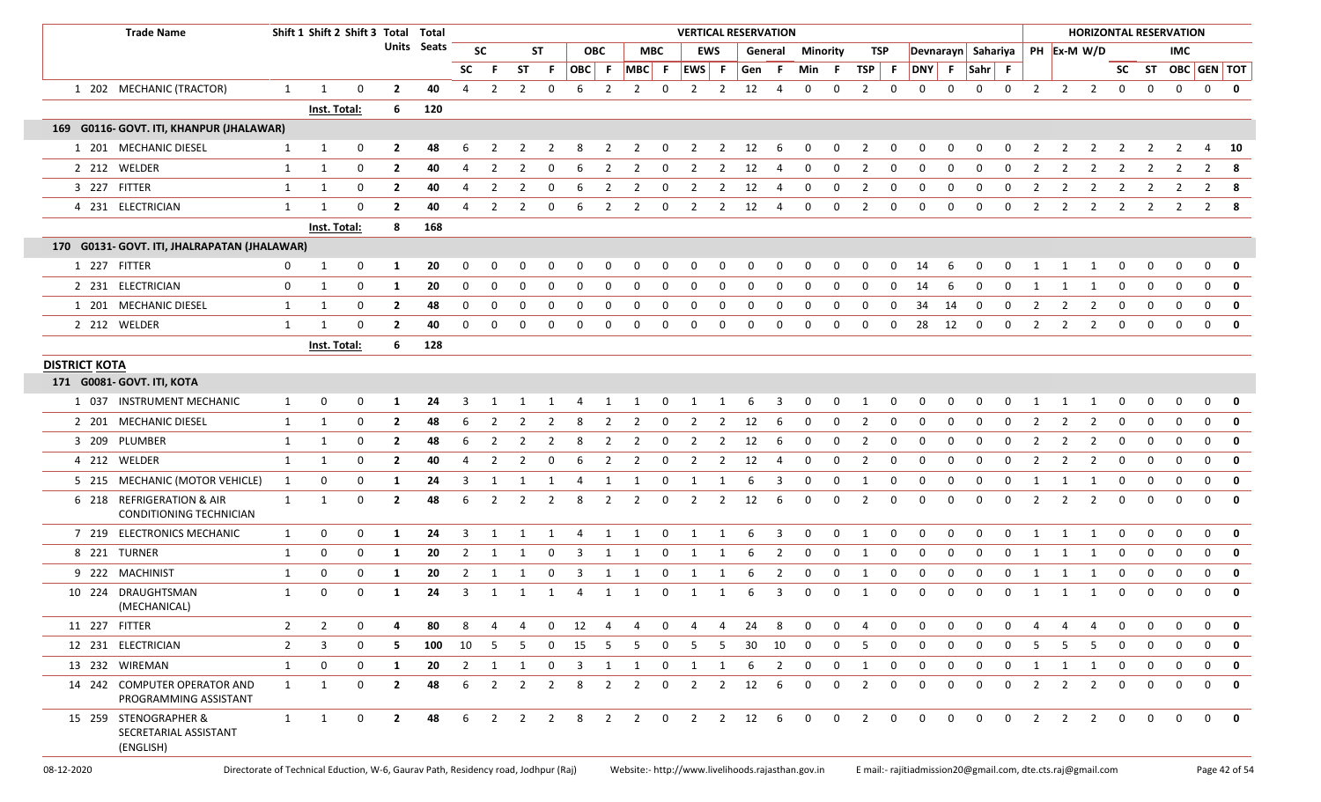|                      | <b>Trade Name</b>                                           |                |                | Shift 1 Shift 2 Shift 3 Total Total |                |             |             |                |                |                         |                         |                |                |                         | <b>VERTICAL RESERVATION</b> |                |                        |                         |                         |              |                |                |                    |             |              |              |               |                |                     |                |              | <b>HORIZONTAL RESERVATION</b> |                          |                         |
|----------------------|-------------------------------------------------------------|----------------|----------------|-------------------------------------|----------------|-------------|-------------|----------------|----------------|-------------------------|-------------------------|----------------|----------------|-------------------------|-----------------------------|----------------|------------------------|-------------------------|-------------------------|--------------|----------------|----------------|--------------------|-------------|--------------|--------------|---------------|----------------|---------------------|----------------|--------------|-------------------------------|--------------------------|-------------------------|
|                      |                                                             |                |                |                                     |                | Units Seats |             | <b>SC</b>      |                | ST                      |                         | <b>OBC</b>     |                | MBC                     |                             | <b>EWS</b>     |                        | General                 | Minority                |              | TSP            |                | Devnarayn Sahariya |             |              |              |               |                | PH Ex-M W/D         |                |              | <b>IMC</b>                    |                          |                         |
|                      |                                                             |                |                |                                     |                |             | <b>SC</b>   | -F             | <b>ST</b>      | - F                     | OBC F                   |                | $MBC$ F        |                         | EWS F                       |                | Gen                    | - F                     | Min F                   |              | TSP            | - F            | DNY F Sahr F       |             |              |              |               |                |                     |                |              |                               | SC ST OBC GEN TOT        |                         |
|                      | 1 202 MECHANIC (TRACTOR)                                    | 1              | $\mathbf{1}$   | 0                                   | $\overline{2}$ | 40          | 4           | 2              | $\overline{2}$ | 0                       | 6                       | 2              | 2              | 0                       | 2                           | $\overline{2}$ | 12                     | 4                       | 0                       | 0            | $\overline{2}$ | 0              | 0                  | $\Omega$    | $\mathbf 0$  | $\mathbf 0$  | 2             | $\overline{2}$ | $\overline{2}$      | 0              | 0            | $\mathbf 0$                   | $\mathbf 0$              | 0                       |
|                      |                                                             |                | Inst. Total:   |                                     | 6              | 120         |             |                |                |                         |                         |                |                |                         |                             |                |                        |                         |                         |              |                |                |                    |             |              |              |               |                |                     |                |              |                               |                          |                         |
|                      | 169 G0116- GOVT. ITI, KHANPUR (JHALAWAR)                    |                |                |                                     |                |             |             |                |                |                         |                         |                |                |                         |                             |                |                        |                         |                         |              |                |                |                    |             |              |              |               |                |                     |                |              |                               |                          |                         |
|                      | 1 201 MECHANIC DIESEL                                       | $\mathbf{1}$   | 1              | 0                                   | $\mathbf{2}$   | 48          | 6           | 2              |                |                         |                         |                | 2              | 0                       | -2                          | 2              | 12                     | -6                      | 0                       | 0            | 2              | 0              |                    | 0           | 0            |              |               | 2              | 2                   |                |              |                               | 4                        | 10                      |
|                      | 2 212 WELDER                                                | $\mathbf{1}$   | 1              | 0                                   | $\overline{2}$ | 40          | 4           | 2              | 2              | 0                       | 6                       | 2              | $\overline{2}$ | 0                       | $\overline{2}$              | $\overline{2}$ | 12                     | 4                       | 0                       | $\mathbf 0$  | $\overline{2}$ | 0              | 0                  | $\mathbf 0$ | 0            | $\mathbf 0$  | 2             | 2              | 2                   | $\overline{2}$ | 2            | 2                             | $\overline{2}$           | - 8                     |
|                      | 3 227 FITTER                                                | $\mathbf{1}$   | $\mathbf{1}$   | 0                                   | $\overline{2}$ | 40          | 4           | 2              |                | 0                       |                         |                | 2              | 0                       |                             | 2              | 12                     | 4                       | 0                       | 0            | $\overline{2}$ | 0              |                    | $\Omega$    | 0            |              |               |                | 2                   |                | 2            | 2                             | 2                        | -8                      |
|                      | 4 231 ELECTRICIAN                                           | $\mathbf{1}$   | $\overline{1}$ | 0                                   | $\overline{2}$ | 40          | 4           | $\overline{2}$ | 2              | 0                       | 6                       | 2              | $\overline{2}$ | 0                       | $\overline{2}$              | $\overline{2}$ | 12                     | 4                       | 0                       | 0            | $\overline{2}$ | 0              | 0                  | $\mathbf 0$ | $\mathbf 0$  | $\mathbf 0$  | 2             | 2              | $\overline{2}$      | 2              | 2            | $\overline{2}$                | $2 \times 8$             |                         |
|                      |                                                             |                | Inst. Total:   |                                     | 8              | 168         |             |                |                |                         |                         |                |                |                         |                             |                |                        |                         |                         |              |                |                |                    |             |              |              |               |                |                     |                |              |                               |                          |                         |
|                      | 170 G0131- GOVT. ITI, JHALRAPATAN (JHALAWAR)                |                |                |                                     |                |             |             |                |                |                         |                         |                |                |                         |                             |                |                        |                         |                         |              |                |                |                    |             |              |              |               |                |                     |                |              |                               |                          |                         |
|                      | 1 227 FITTER                                                | 0              | $\mathbf{1}$   | 0                                   | -1             | 20          |             |                |                | <sup>0</sup>            |                         | <sup>0</sup>   | <sup>0</sup>   | 0                       |                             |                |                        | O                       |                         | $\Omega$     | 0              |                | 14                 |             |              |              |               |                |                     |                |              | 0                             | 0                        | 0                       |
|                      | 2 231 ELECTRICIAN                                           | 0              | $\mathbf{1}$   | 0                                   | -1             | 20          | $\Omega$    | $\Omega$       |                | 0                       | $\Omega$                | 0              | 0              | 0                       | 0                           |                |                        | 0                       | $\Omega$                | 0            | 0              | $\Omega$       | 14                 |             | 0            | $\Omega$     |               |                |                     | 0              |              | 0                             | $\mathbf 0$              | $\mathbf{0}$            |
|                      | 1 201 MECHANIC DIESEL                                       | $\mathbf{1}$   | $\mathbf{1}$   | 0                                   | $\overline{2}$ | 48          | 0           | $\Omega$       |                | 0                       | $\Omega$                | 0              | 0              | 0                       | 0                           | 0              | 0                      | 0                       | 0                       | 0            | 0              | 0              | 34                 | 14          | 0            | 0            | 2             | 2              | $\overline{2}$      | 0              | 0            | 0                             | 0                        | $\mathbf 0$             |
|                      | 2 212 WELDER                                                | $\mathbf{1}$   | -1             | 0                                   | $\overline{2}$ | 40          | $\mathbf 0$ | 0              | 0              | 0                       | $\mathbf 0$             | 0              | $\mathbf 0$    | 0                       | 0                           | 0              | 0                      | 0                       | $\mathbf 0$             | 0            | 0              | $\mathbf 0$    | 28                 | 12          | 0            | $\mathbf 0$  | 2             | 2              | 2                   | 0              | $\mathbf{0}$ | $\mathbf 0$                   | $\mathbf{0}$             | 0                       |
|                      |                                                             |                | Inst. Total:   |                                     | 6              | 128         |             |                |                |                         |                         |                |                |                         |                             |                |                        |                         |                         |              |                |                |                    |             |              |              |               |                |                     |                |              |                               |                          |                         |
| <b>DISTRICT KOTA</b> |                                                             |                |                |                                     |                |             |             |                |                |                         |                         |                |                |                         |                             |                |                        |                         |                         |              |                |                |                    |             |              |              |               |                |                     |                |              |                               |                          |                         |
|                      | 171 G0081- GOVT. ITI, KOTA                                  |                |                |                                     |                |             |             |                |                |                         |                         |                |                |                         |                             |                |                        |                         |                         |              |                |                |                    |             |              |              |               |                |                     |                |              |                               |                          |                         |
|                      | 1 037 INSTRUMENT MECHANIC                                   | 1              | $\mathbf{0}$   | $\mathbf 0$                         | -1             | 24          | 3           | 1              | 1              | $\mathbf{1}$            | 4                       |                | 1 1            | $\overline{\mathbf{0}}$ | $\overline{1}$              | 1              | -6                     | $\overline{\mathbf{3}}$ | $\mathbf 0$             | $\mathbf 0$  | $\overline{1}$ | $\mathbf 0$    | 0                  | 0           | $\mathbf 0$  | 0            | 1             | 1              | $\overline{1}$      | 0              | 0            | 0                             | $\mathbf 0$              | 0                       |
|                      | 2 201 MECHANIC DIESEL                                       | 1              | 1              | $\mathbf{0}$                        | -2             | 48          | 6           | 2              | 2              | <sup>2</sup>            | 8                       | 2              | 2              | 0                       | 2                           | 2              | 12                     | -6                      | 0                       | 0            | 2              | 0              | $\Omega$           | 0           | 0            | <sup>0</sup> | 2             |                | 2                   | 0              | O            |                               | 0                        | 0                       |
|                      | 3 209 PLUMBER                                               | $\mathbf{1}$   | 1              | 0                                   | $\overline{2}$ | 48          | 6           | 2              | 2              | 2                       | 8                       | 2              | 2              | 0                       | 2                           | 2              | 12                     | -6                      | 0                       | $\Omega$     | 2              | $\Omega$       | n                  | n           | <sup>0</sup> | <sup>0</sup> | 2             | 2              | 2                   | 0              | O            | <sup>0</sup>                  | 0                        | 0                       |
|                      | 4 212 WELDER                                                | 1              | $\mathbf{1}$   | 0                                   | $\overline{2}$ | 40          | 4           | 2              | 2              | 0                       | 6                       | 2              | 2              | 0                       | $\overline{2}$              | $\overline{2}$ | 12                     | 4                       | 0                       | $\mathbf 0$  | 2              | 0              | $\Omega$           | $\Omega$    | 0            | $\Omega$     | 2             | 2              | 2                   | 0              | 0            | 0                             | $\mathbf 0$              | 0                       |
|                      | 5 215 MECHANIC (MOTOR VEHICLE)                              | 1              | $\mathbf 0$    | 0                                   | -1             | 24          | 3           | 1              | 1              | 1                       | 4                       | 1              | 1              | $\mathbf 0$             | 1                           | 1              | -6                     | 3                       | $\mathbf 0$             | $\mathbf 0$  | 1              | 0              | $\Omega$           | $\Omega$    | 0            | 0            | 1             | 1              | 1                   | 0              | 0            | 0                             | $\mathbf 0$              | 0                       |
|                      | 6 218 REFRIGERATION & AIR<br>CONDITIONING TECHNICIAN        | $\mathbf{1}$   | 1              | 0                                   | $\overline{2}$ | 48          | 6           | 2              |                | 2                       | 8                       | 2              | 2              | 0                       | 2                           | 2              | 12                     | -6                      | 0                       | $\Omega$     | 2              | $\Omega$       | $\Omega$           |             | <sup>0</sup> | <sup>0</sup> | $\mathcal{L}$ | $\mathcal{L}$  | 2                   | 0              | 0            | 0                             | $\mathbf 0$              | $\mathbf 0$             |
|                      | 7 219 ELECTRONICS MECHANIC                                  | 1              | $\mathbf 0$    | 0                                   | -1             | 24          | 3           | 1              |                | 1                       | 4                       | 1              | 1              | $\mathbf 0$             | 1                           | 1              | 6                      | 3                       | 0                       | $\mathbf 0$  | 1              | $\Omega$       | $\Omega$           | $\Omega$    | $\mathbf 0$  | $\Omega$     | 1             | $\mathbf{1}$   | -1                  | 0              | 0            | $\mathbf 0$                   | $\mathbf 0$              | 0                       |
|                      | 8 221 TURNER                                                | 1              | 0              | 0                                   | -1             | 20          | 2           | 1              |                | 0                       | 3                       | 1              | 1              | 0                       | -1                          |                | 6                      | $\overline{2}$          | 0                       | 0            | 1              | 0              | $\Omega$           | 0           | 0            | $\mathbf 0$  | 1             | -1             | -1                  | 0              | 0            | 0                             | 0                        | 0                       |
|                      | 9 222 MACHINIST                                             | $\mathbf{1}$   | $\mathbf 0$    | 0                                   | -1             | 20          | 2           |                |                | 0                       | 3                       | 1              | -1             | 0                       |                             |                | 6                      | 2                       | 0                       | 0            | 1              | 0              |                    | $\Omega$    | 0            | 0            | 1             |                |                     | 0              |              | 0                             | 0                        | $\mathbf 0$             |
|                      | 10 224 DRAUGHTSMAN<br>(MECHANICAL)                          | $\mathbf{1}$   | $\mathbf 0$    | $\mathbf{0}$                        | 1              | 24          | 3           | 1              | 1              | 1                       | 4                       | 1              | 1              | 0                       | 1                           | 1              | 6                      | 3                       | 0                       | $\mathbf 0$  | 1              | 0              | $\Omega$           | $\Omega$    | 0            | $\mathbf 0$  | 1             | 1              | 1                   | 0              | 0            | 0                             | $\mathbf{0}$             | 0                       |
| 11 227 FITTER        |                                                             | $\overline{2}$ | $\overline{2}$ | 0                                   |                | 80          | -8          | 4              | 4              | $\mathbf 0$             | 12                      | $\overline{4}$ | 4              | $\mathbf{0}$            | -4                          | -4             | 24                     | -8                      | $\Omega$                | $\Omega$     | 4              | $\Omega$       | $\Omega$           | $\Omega$    | $\Omega$     | $\Omega$     | 4             | 4              | 4                   | $\Omega$       | $\Omega$     | $\Omega$                      | $\Omega$                 | 0                       |
|                      | 12 231 ELECTRICIAN                                          | $\overline{2}$ | 3              | $\mathbf 0$                         | - 5            | 100         | 10          | - 5            | 5              | $\overline{\mathbf{0}}$ | 15                      | 5              |                | $5 \qquad 0$            | 5                           |                | 5 30 10                |                         | $\overline{\mathbf{0}}$ | $\mathbf 0$  | - 5            | $\overline{0}$ | 0                  | 0           | $\mathbf 0$  | 0            | -5            | 5              | 5                   | $\mathbf 0$    | 0            | 0                             | $\Omega$                 | 0                       |
|                      | 13 232 WIREMAN                                              | $\mathbf{1}$   | $\mathbf 0$    | $\mathbf 0$                         | 1              | 20          | 2           | $\overline{1}$ | $\mathbf{1}$   | $\overline{\mathbf{0}}$ | $\overline{\mathbf{3}}$ | 1              |                | 1 0                     | $\overline{1}$              | 1              | - 6                    | $\overline{2}$          | $\mathbf 0$             | $\mathbf{0}$ | $\overline{1}$ | $\overline{0}$ | $\mathbf 0$        | $\mathbf 0$ | $\mathbf 0$  | 0            | 1             | 1              | $\overline{1}$      | $\overline{0}$ | 0            | $\mathbf 0$                   | $\mathbf{0}$             | 0                       |
|                      | 14 242 COMPUTER OPERATOR AND<br>PROGRAMMING ASSISTANT       | $\mathbf{1}$   | 1              | $\mathbf 0$                         | $\overline{2}$ | 48          | 6           | 2              | 2              | $\overline{\mathbf{2}}$ | 8                       | 2              | 2              | $\mathbf 0$             | 2                           |                | $2 \qquad 12 \qquad 6$ |                         | $\Omega$                | $\Omega$     | $\overline{2}$ | $\mathbf 0$    | $\Omega$           | $\Omega$    | 0            | 0            | 2             | 2              | $\overline{2}$      | $\mathbf 0$    | $\Omega$     | $\Omega$                      | $\Omega$                 | $\overline{\mathbf{0}}$ |
|                      | 15 259 STENOGRAPHER &<br>SECRETARIAL ASSISTANT<br>(ENGLISH) |                | $1 \quad 1$    | $\overline{0}$                      | $\overline{2}$ | 48          |             |                |                |                         |                         |                |                |                         | 6 2 2 2 8 2 2 0 2 2 12 6    |                |                        |                         |                         |              | 0 0 2 0        |                | $\overline{0}$     |             | $0\qquad 0$  | $\mathbf 0$  |               |                | $2 \quad 2 \quad 2$ | $\mathbf{0}$   |              |                               | $0\quad 0\quad 0\quad 0$ |                         |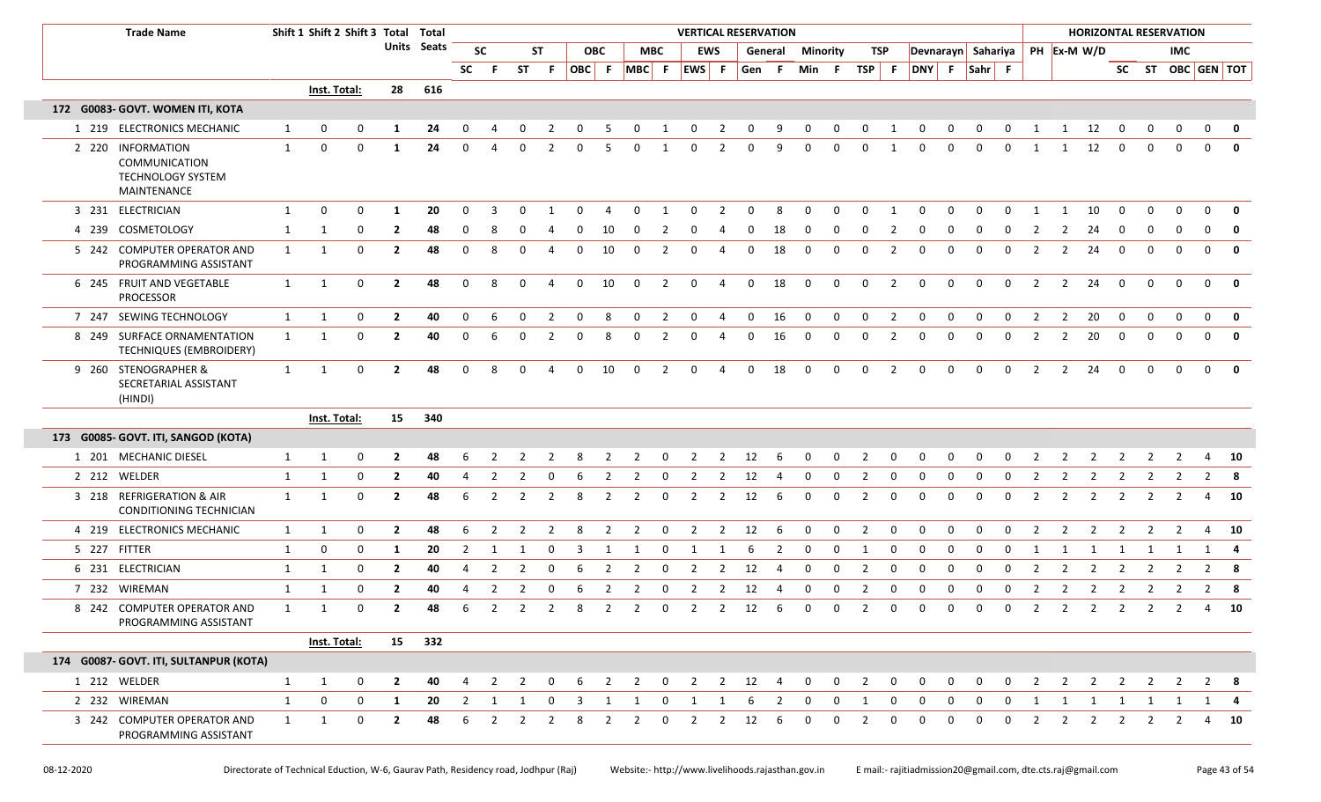| <b>Trade Name</b>                                                      |              | Shift 1 Shift 2 Shift 3 Total Total |             |                |             |                |                |                |                |              |                |                |                         | <b>VERTICAL RESERVATION</b> |                |                        |         |                         |              |                |                |                    |              |             |                |                |                |                |                |                | <b>HORIZONTAL RESERVATION</b> |              |              |
|------------------------------------------------------------------------|--------------|-------------------------------------|-------------|----------------|-------------|----------------|----------------|----------------|----------------|--------------|----------------|----------------|-------------------------|-----------------------------|----------------|------------------------|---------|-------------------------|--------------|----------------|----------------|--------------------|--------------|-------------|----------------|----------------|----------------|----------------|----------------|----------------|-------------------------------|--------------|--------------|
|                                                                        |              |                                     |             |                | Units Seats |                | <b>SC</b>      |                | <b>ST</b>      |              | <b>OBC</b>     |                | MBC                     |                             | <b>EWS</b>     |                        | General | <b>Minority</b>         |              | TSP            |                | Devnarayn Sahariya |              |             |                |                |                | PH Ex-M W/D    |                |                | <b>IMC</b>                    |              |              |
|                                                                        |              |                                     |             |                |             | <b>SC</b>      | -F             |                | ST F           | $ OBC $ F    |                | MBC F          |                         | EWS F                       |                | Gen F                  |         | Min F                   |              | $TSP$ F        |                | DNY F              |              | Sahr F      |                |                |                |                |                |                | SC ST OBC GEN TOT             |              |              |
|                                                                        |              | Inst. Total:                        |             | 28             | 616         |                |                |                |                |              |                |                |                         |                             |                |                        |         |                         |              |                |                |                    |              |             |                |                |                |                |                |                |                               |              |              |
| 172 G0083- GOVT. WOMEN ITI, KOTA                                       |              |                                     |             |                |             |                |                |                |                |              |                |                |                         |                             |                |                        |         |                         |              |                |                |                    |              |             |                |                |                |                |                |                |                               |              |              |
| 1 219 ELECTRONICS MECHANIC                                             | 1            | 0                                   | 0           | 1              | 24          | $\Omega$       |                | 0              | 2              | 0            | 5              | $\mathbf 0$    | 1                       | $\mathbf 0$                 | $\overline{2}$ | 0                      | 9       | 0                       | 0            | $\mathbf 0$    | 1              | 0                  | $\mathbf{0}$ | $\mathbf 0$ | $\mathbf 0$    | $\mathbf{1}$   | $\mathbf{1}$   | 12             | $\mathbf 0$    | 0              | 0                             | 0            | 0            |
| 2 220 INFORMATION<br>COMMUNICATION<br>TECHNOLOGY SYSTEM<br>MAINTENANCE | $\mathbf{1}$ | 0                                   | 0           | -1             | 24          | 0              | 4              | 0              | 2              | 0            | -5             | 0              | 1                       | 0                           | 2              | 0                      | 9       | 0                       | 0            | 0              | 1              | $\Omega$           | 0            | 0           | 0              | 1              | 1              | 12             | $\mathbf 0$    | $\Omega$       | $\Omega$                      | $\Omega$     | $\mathbf{0}$ |
| 3 231 ELECTRICIAN                                                      | $\mathbf{1}$ | 0                                   | $\Omega$    | -1             | 20          | $\Omega$       | 3              |                |                |              |                | O              |                         | $\Omega$                    | $\mathcal{P}$  | O                      | 8       | $\Omega$                | $\Omega$     | $\Omega$       |                | $\Omega$           |              |             |                |                |                | 10             | $\Omega$       |                |                               | $\Omega$     |              |
| 4 239 COSMETOLOGY                                                      | 1            | 1                                   | 0           | $\mathbf{2}$   | 48          | 0              | -8             |                |                |              | 10             |                | 2                       |                             |                | O                      | 18      | 0                       | 0            | $\Omega$       |                |                    |              |             |                | -2             | 2              | 24             |                |                |                               |              | $\mathbf{0}$ |
| 5 242 COMPUTER OPERATOR AND<br>PROGRAMMING ASSISTANT                   | 1            | 1                                   | 0           | $\overline{2}$ | 48          | $\Omega$       | 8              | <sup>0</sup>   |                | <sup>0</sup> | 10             | $\Omega$       | 2                       | 0                           | Δ              | 0                      | 18      | $\mathbf 0$             | $\Omega$     | $\Omega$       | 2              | $\Omega$           | <sup>0</sup> | റ           | $\Omega$       | $\overline{2}$ | 2              | 24             | $\Omega$       | $\Omega$       | $\Omega$                      | $\mathbf{0}$ | $\mathbf{0}$ |
| 6 245 FRUIT AND VEGETABLE<br><b>PROCESSOR</b>                          | 1            | 1                                   | 0           | $\overline{2}$ | 48          | $\mathbf 0$    | 8              | 0              | 4              | $\mathbf{0}$ | 10             | $\mathbf 0$    | 2                       | $\mathbf 0$                 | 4              | $\mathbf 0$            | 18      | $\overline{\mathbf{0}}$ | $\mathbf 0$  | $\mathbf 0$    | 2              | $\mathbf 0$        | 0            | $\mathbf 0$ | $\mathbf 0$    | 2              | $\overline{2}$ | 24             | $\mathbf 0$    |                | $\Omega$                      | $\mathbf 0$  | $\mathbf 0$  |
| 7 247 SEWING TECHNOLOGY                                                | $\mathbf{1}$ | 1                                   | $\mathbf 0$ | $\overline{2}$ | 40          | 0              | 6              | 0              | $\overline{2}$ | $\mathbf 0$  | 8              | 0              | $\overline{2}$          | $\mathbf 0$                 | 4              | $\mathbf 0$            | 16      | $\overline{\mathbf{0}}$ | 0            | $\mathbf{0}$   | $\overline{2}$ | 0                  | 0            | $\mathbf 0$ | 0              | 2              | $\overline{2}$ | 20             | $\mathbf 0$    | $\Omega$       | $\mathbf 0$                   | $\mathbf{0}$ | $\mathbf{0}$ |
| 8 249 SURFACE ORNAMENTATION<br>TECHNIQUES (EMBROIDERY)                 | $\mathbf{1}$ | 1                                   | 0           | $\overline{2}$ | 40          | 0              | 6              | 0              | 2              | 0            | 8              | 0              | 2                       | 0                           | 4              | 0                      | 16      | $\mathbf 0$             | 0            | 0              | 2              | 0                  | 0            | 0           | 0              | 2              | $\overline{2}$ | 20             | 0              |                |                               | $\mathbf{0}$ | $\mathbf 0$  |
| 9 260 STENOGRAPHER &<br>SECRETARIAL ASSISTANT<br>(HINDI)               | 1            | 1                                   | $\mathbf 0$ | $\overline{2}$ | 48          | $\mathbf 0$    | 8              | $\Omega$       | 4              | $\mathbf{0}$ | 10             | $\Omega$       | 2                       | $\mathbf 0$                 | 4              | $\mathbf 0$            | 18      | $\mathbf 0$             | 0            | 0              | $\overline{2}$ | $\Omega$           | 0            | $\Omega$    | $\mathbf 0$    | 2              | 2              | 24             | $\mathbf 0$    | $\Omega$       | $\Omega$                      | $\Omega$     | 0            |
|                                                                        |              | Inst. Total:                        |             | 15             | 340         |                |                |                |                |              |                |                |                         |                             |                |                        |         |                         |              |                |                |                    |              |             |                |                |                |                |                |                |                               |              |              |
| 173 G0085- GOVT. ITI, SANGOD (KOTA)                                    |              |                                     |             |                |             |                |                |                |                |              |                |                |                         |                             |                |                        |         |                         |              |                |                |                    |              |             |                |                |                |                |                |                |                               |              |              |
| 1 201 MECHANIC DIESEL                                                  | $\mathbf{1}$ | 1                                   | 0           | 2              | 48          |                |                |                |                |              |                | 2              | $\mathbf 0$             | 2                           | 2              | 12                     | -6      | 0                       | 0            | 2              | $\overline{0}$ | 0                  | 0            |             |                |                |                |                |                |                | 2                             | 4            | 10           |
| 2 212 WELDER                                                           | $\mathbf{1}$ | 1                                   | $\mathbf 0$ | $\mathbf{2}$   | 40          | 4              | 2              | 2              | 0              | 6            | 2              | $\mathbf{2}$   | $\mathbf 0$             | 2                           | 2              | 12                     | 4       | $\mathbf 0$             | 0            | 2              | 0              | 0                  | 0            | 0           | 0              | 2              | 2              | 2              | 2              | 2              | 2                             |              | $2 \times 8$ |
| 3 218 REFRIGERATION & AIR<br>CONDITIONING TECHNICIAN                   | 1            | 1                                   | $\mathbf 0$ | $\overline{2}$ | 48          | 6              | 2              | $\overline{2}$ | $\overline{2}$ | 8            | 2              | $\overline{2}$ | $\overline{\mathbf{0}}$ | $\overline{2}$              | $\overline{2}$ | 12                     | -6      | $\mathbf 0$             | 0            | 2              | $\mathbf 0$    | 0                  | 0            | $\mathbf 0$ | 0              | 2              | 2              | $\overline{2}$ | 2              | $\overline{2}$ | 2                             |              | 4 10         |
| 4 219 ELECTRONICS MECHANIC                                             | $\mathbf{1}$ | 1                                   | 0           | $\overline{2}$ | 48          | 6              | 2              | $\overline{2}$ | $\overline{2}$ | 8            | $\overline{2}$ | $\overline{2}$ | $\overline{0}$          | $\overline{2}$              | $\overline{2}$ | 12                     | 6       | $\mathbf 0$             | $\mathbf{0}$ | $\overline{2}$ | $\mathbf 0$    | $\mathbf 0$        | $\mathbf 0$  | $\mathbf 0$ | $\mathbf 0$    | $\overline{2}$ | $\overline{2}$ | $\overline{2}$ | $\overline{2}$ | $\overline{2}$ | $\overline{2}$                |              | $4\quad 10$  |
| 5 227 FITTER                                                           | 1            | 0                                   | $\mathbf 0$ | 1              | 20          | 2              | 1              |                | 0              |              |                |                | 0                       |                             |                |                        | 2       | 0                       | 0            |                | 0              | 0                  | 0            | 0           | $\Omega$       |                |                |                |                |                |                               |              |              |
| 6 231 ELECTRICIAN                                                      | 1            | 1                                   | 0           | $\overline{2}$ | 40          | 4              | $\overline{2}$ | $\overline{2}$ | 0              | 6            | $\overline{2}$ |                | 0                       | $\overline{2}$              | 2              | 12                     | 4       | 0                       | 0            | $\overline{2}$ | 0              | 0                  | 0            | 0           | 0              | $\overline{2}$ | 2              | $\overline{2}$ | $\overline{2}$ | 2              |                               |              | $2 \times 8$ |
| 7 232 WIREMAN                                                          | 1            | 1                                   | 0           | $\overline{2}$ | 40          |                | $\overline{2}$ | 2              | 0              | 6            | $\overline{2}$ |                | 0                       | $\overline{2}$              | 2              | 12                     | 4       | $\mathbf 0$             | 0            | 2              | 0              | 0                  | 0            | 0           | 0              | $\overline{2}$ | 2              | $\overline{2}$ | 2              | 2              |                               |              |              |
| 8 242 COMPUTER OPERATOR AND<br>PROGRAMMING ASSISTANT                   | 1            | $\mathbf{1}$                        | $\Omega$    | $\mathbf{2}$   | 48          | 6              | 2              |                | $2 \quad 2$    |              | 82             |                |                         | 2 0 2 2 12 6 0 0 2          |                |                        |         |                         |              |                |                | $0\quad 0$         |              | $0\quad 0$  | $\overline{0}$ | 2              |                | $2 \quad 2$    |                |                | 2 2 2 4 10                    |              |              |
|                                                                        |              | Inst. Total:                        |             |                | 15 332      |                |                |                |                |              |                |                |                         |                             |                |                        |         |                         |              |                |                |                    |              |             |                |                |                |                |                |                |                               |              |              |
| 174 G0087- GOVT. ITI, SULTANPUR (KOTA)                                 |              |                                     |             |                |             |                |                |                |                |              |                |                |                         |                             |                |                        |         |                         |              |                |                |                    |              |             |                |                |                |                |                |                |                               |              |              |
| 1 212 WELDER                                                           | $\mathbf{1}$ | $\mathbf{1}$                        | $\mathbf 0$ | $\overline{2}$ | 40          | 4              | 2              | $\overline{2}$ | 0              | 6            | $\overline{2}$ | $\overline{2}$ | $\overline{\mathbf{0}}$ | $\overline{2}$              |                | $2 \qquad 12 \qquad 4$ |         | $\overline{0}$          | $\mathbf 0$  | $\overline{2}$ | $\mathbf 0$    | 0                  | $\mathbf 0$  | $\mathbf 0$ | 0              | 2              | $\overline{2}$ | $\overline{2}$ | 2              | 2              | 2                             |              | $2 \times 8$ |
| 2 232 WIREMAN                                                          | $\mathbf{1}$ | 0                                   | $\mathbf 0$ | 1              | 20          | $\overline{2}$ | 1              | 1              | 0              | 3            | 1              | 1              | 0                       | 1                           | -1             | 6                      | 2       | 0                       | 0            | 1              | 0              | 0                  |              |             | 0              | 1              | 1              |                | 1 1            | $\mathbf{1}$   | $\overline{1}$                |              | 1 4          |
| 3 242 COMPUTER OPERATOR AND<br>PROGRAMMING ASSISTANT                   | 1            | 1                                   | $\mathbf 0$ | $\mathbf{2}$   | 48          | 6              | 2              | 2              | 2              | 8            | 2              | $\mathbf{2}$   | $\mathbf 0$             | 2                           | 2              | 12                     | 6       | $\Omega$                | 0            | 2              | 0              | 0                  | 0            | 0           | 0              | 2              | 2              | $\overline{2}$ | 2              | 2              | 2                             |              | 4 10         |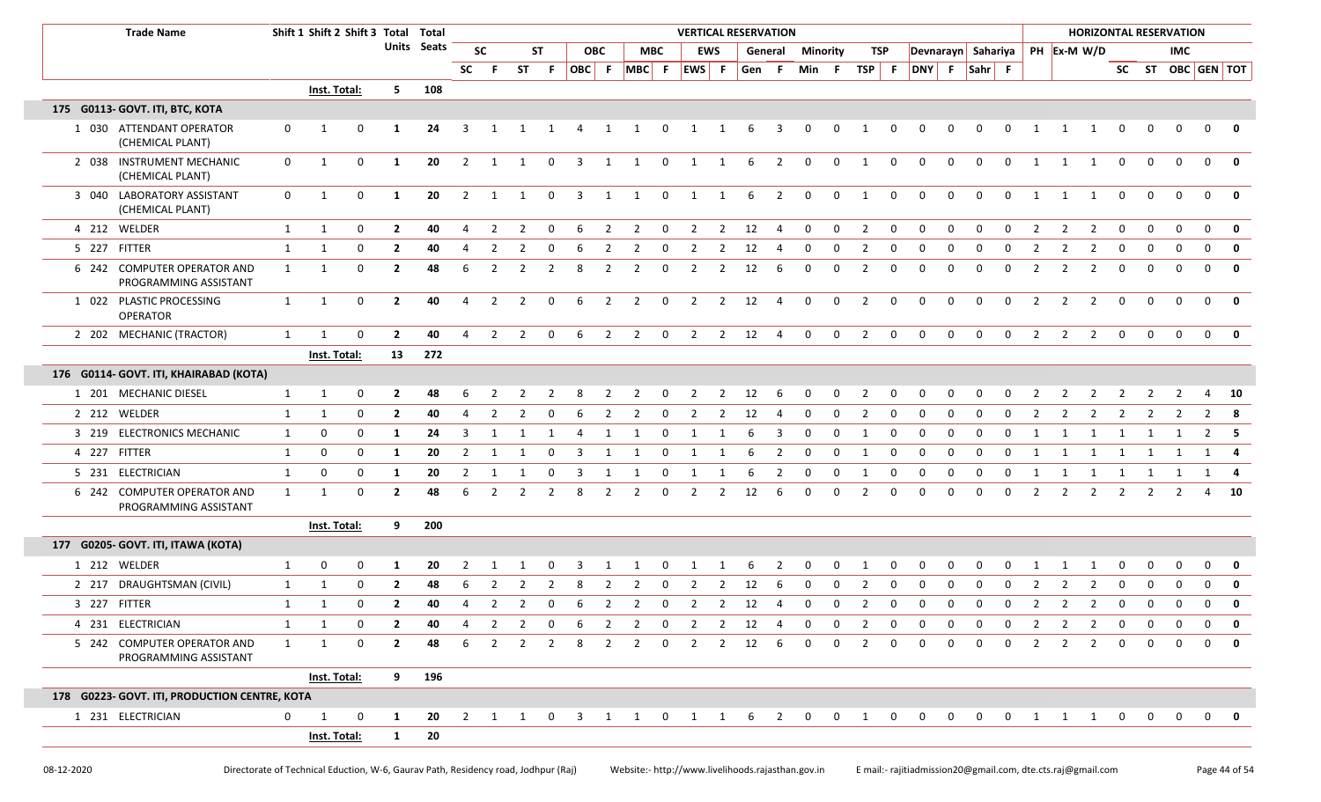| <b>Trade Name</b>                                    |              | Shift 1 Shift 2 Shift 3 Total Total |             |                |             |                |                |                |                |    |                |                 |                         | <b>VERTICAL RESERVATION</b> |                |           |                         |             |             |                |                         |                    |              |             |                |                |                |                |                         |             | <b>HORIZONTAL RESERVATION</b> |                          |              |
|------------------------------------------------------|--------------|-------------------------------------|-------------|----------------|-------------|----------------|----------------|----------------|----------------|----|----------------|-----------------|-------------------------|-----------------------------|----------------|-----------|-------------------------|-------------|-------------|----------------|-------------------------|--------------------|--------------|-------------|----------------|----------------|----------------|----------------|-------------------------|-------------|-------------------------------|--------------------------|--------------|
|                                                      |              |                                     |             |                | Units Seats |                | <b>SC</b>      |                | ST             |    | <b>OBC</b>     |                 | <b>MBC</b>              |                             | <b>EWS</b>     |           | General                 | Minority    |             | TSP            |                         | Devnarayn Sahariya |              |             |                |                |                | PH Ex-M W/D    |                         |             | IMC.                          |                          |              |
|                                                      |              |                                     |             |                |             | SC             | F.             | <b>ST</b>      | -F.            |    |                | OBC F MBC F     |                         | EWS F                       |                | Gen       | $-$ F                   | Min F       |             | TSP            | F                       | DNY F Sahr F       |              |             |                |                |                |                |                         |             |                               | SC ST OBC GEN TOT        |              |
|                                                      |              | <b>Inst. Total:</b>                 |             | 5.             | 108         |                |                |                |                |    |                |                 |                         |                             |                |           |                         |             |             |                |                         |                    |              |             |                |                |                |                |                         |             |                               |                          |              |
| 175 G0113- GOVT. ITI, BTC, KOTA                      |              |                                     |             |                |             |                |                |                |                |    |                |                 |                         |                             |                |           |                         |             |             |                |                         |                    |              |             |                |                |                |                |                         |             |                               |                          |              |
| 1 030 ATTENDANT OPERATOR<br>(CHEMICAL PLANT)         | $\mathbf 0$  | 1                                   | 0           | -1             | 24          | 3              | 1              |                |                | 4  | 1              | 1               | $\mathbf 0$             | 1                           | 1              | 6         | - 3                     | 0           | 0           | 1              | 0                       | 0                  | 0            | $\mathbf 0$ | 0              | 1              | 1              | -1             | 0                       | 0           | $\mathbf 0$                   | $\mathbf{0}$             | $\mathbf 0$  |
| 2 038 INSTRUMENT MECHANIC<br>(CHEMICAL PLANT)        | $\mathbf{0}$ | 1                                   | 0           | 1              | 20          | $\overline{2}$ | 1              | $\overline{1}$ | $\mathbf 0$    | 3  | 1              | 1               | $\mathbf 0$             | 1                           | 1              | 6         | 2                       | $\mathbf 0$ | $\mathbf 0$ | 1              | $\mathbf 0$             | $\mathbf 0$        | $\mathbf 0$  | $\mathbf 0$ | $\mathbf 0$    | 1              | 1              | 1              | $\mathbf 0$             | $\Omega$    | $\mathbf 0$                   | $\Omega$                 | 0            |
| 3 040 LABORATORY ASSISTANT<br>(CHEMICAL PLANT)       | $\mathbf{0}$ | 1                                   | $\mathbf 0$ | 1              | 20          | $\overline{2}$ | 1              | 1              | $\mathbf 0$    | 3  | 1              | 1               | $\mathbf 0$             | 1                           | 1              | 6         | $\overline{2}$          | $\mathbf 0$ | $\mathbf 0$ | 1              | $\mathbf 0$             | $\mathbf 0$        | $\Omega$     | $\Omega$    | $\Omega$       | 1              | 1              | 1              | $\mathbf 0$             | $\Omega$    | $\Omega$                      | $\mathbf{0}$             | 0            |
| 4 212 WELDER                                         | $\mathbf{1}$ | 1                                   | $\mathbf 0$ | $\overline{2}$ | 40          | $\overline{4}$ | 2              | 2              | $\Omega$       | -6 | 2              | 2               | $\overline{\mathbf{0}}$ | $\overline{2}$              |                | $2 \t 12$ | $\overline{4}$          | $\mathbf 0$ | $\mathbf 0$ | 2              | $\mathsf{O}$            | $\mathbf 0$        | $\Omega$     | $\Omega$    | $\mathbf 0$    | 2              | $\overline{2}$ | 2              | $\mathbf 0$             | $\Omega$    | $\mathbf 0$                   | $\mathbf 0$              | 0            |
| 5 227 FITTER                                         | $\mathbf{1}$ | 1                                   | $\mathbf 0$ | $\overline{2}$ | 40          | 4              | 2              | $\mathcal{L}$  |                |    | 2              | $\mathcal{L}$   | 0                       | 2                           | 2              | 12        | 4                       | 0           | $\Omega$    | 2              | 0                       | - 0                | <sup>0</sup> | $\Omega$    | <sup>0</sup>   | 2              | 2              | 2              | 0                       | $\Omega$    |                               | $\mathbf{0}$             | 0            |
| 6 242 COMPUTER OPERATOR AND<br>PROGRAMMING ASSISTANT | 1            | 1                                   | $\mathbf 0$ | $\overline{2}$ | 48          | 6              | 2              | 2              | 2              | 8  | 2              | 2               | $\mathbf 0$             | 2                           | $\overline{2}$ | 12        | 6                       | $\mathbf 0$ | $\Omega$    | $\overline{2}$ | $\Omega$                | $\Omega$           | $\Omega$     | $\Omega$    | $\Omega$       | 2              | 2              | $\overline{2}$ | $\mathbf 0$             | $\Omega$    | $\Omega$                      | $\mathbf 0$              | 0            |
| 1 022 PLASTIC PROCESSING<br><b>OPERATOR</b>          | $\mathbf{1}$ | 1                                   | 0           | $\overline{2}$ | 40          | 4              | $\overline{2}$ | $\overline{2}$ | 0              | 6  | $\overline{2}$ | $\overline{2}$  | $\mathbf 0$             | $\overline{2}$              | $\overline{2}$ | 12        | $\overline{4}$          | $\mathbf 0$ | $\mathbf 0$ | $\overline{2}$ | $\mathbf 0$             | 0                  | $\mathbf 0$  | 0           | $\mathbf 0$    | 2              | 2              | $\overline{2}$ | $\mathbf 0$             | 0           | $\mathbf 0$                   | $\mathbf{0}$             | 0            |
| 2 202 MECHANIC (TRACTOR)                             | 1            | $\mathbf{1}$                        | $\Omega$    | $\overline{2}$ | 40          | $\overline{4}$ | 2              | 2              | $\mathbf 0$    | 6  | $\overline{2}$ | $\overline{2}$  | $\overline{\mathbf{0}}$ | $\overline{2}$              |                | 2 12      | $\overline{4}$          | $\mathbf 0$ | $\mathbf 0$ | $\overline{2}$ | $\mathsf{O}$            | $\mathbf 0$        | $\mathbf 0$  | $\mathbf 0$ | $\mathbf 0$    | $\overline{2}$ | 2              | $\overline{2}$ | $\mathbf 0$             | $\mathbf 0$ | $\mathbf{0}$                  | $0$ 0                    |              |
|                                                      |              | Inst. Total:                        |             |                | 13 272      |                |                |                |                |    |                |                 |                         |                             |                |           |                         |             |             |                |                         |                    |              |             |                |                |                |                |                         |             |                               |                          |              |
| 176 G0114- GOVT. ITI, KHAIRABAD (KOTA)               |              |                                     |             |                |             |                |                |                |                |    |                |                 |                         |                             |                |           |                         |             |             |                |                         |                    |              |             |                |                |                |                |                         |             |                               |                          |              |
| 1 201 MECHANIC DIESEL                                | $\mathbf{1}$ | $\mathbf{1}$                        | 0           | $\mathbf{2}$   | 48          |                |                |                |                |    | 2              | 2               | 0                       | 2                           | 2              | 12        | 6                       | 0           | 0           | 2              | 0                       | - 0                | 0            | $\Omega$    | 0              | 2              | 2              | 2              | 2                       | 2           | 2                             | 4                        | - 10         |
| 2 212 WELDER                                         | $\mathbf{1}$ | $\mathbf{1}$                        | $\mathbf 0$ | $\overline{2}$ | 40          | 4              | 2              | 2              | 0              |    | 2              | 2               | 0                       | 2                           | 2              | 12        | -4                      | 0           | 0           | 2              | $\mathbf 0$             | $\mathbf 0$        | $\Omega$     | $\Omega$    | 0              | 2              | 2              | 2              | 2                       | 2           | 2                             | $\overline{2}$           | - 8          |
| 3 219 ELECTRONICS MECHANIC                           | 1            | 0                                   | $\mathbf 0$ | 1              | 24          | 3              | 1              | 1              | 1              | 4  | 1              | 1               | $\mathbf 0$             | 1                           | 1              | 6         | $\overline{\mathbf{3}}$ | $\mathbf 0$ | $\mathbf 0$ | 1              | $\mathbf 0$             | $\mathbf 0$        | $\Omega$     | $\mathbf 0$ | 0              | 1              | 1              | 1              | 1                       | 1           | 1                             | $2 \quad 5$              |              |
| 4 227 FITTER                                         | $\mathbf{1}$ | 0                                   | $\mathbf 0$ | -1             | 20          | 2              | 1              | -1             | $\Omega$       |    |                | -1              | 0                       | -1                          | -1             | 6         | $\overline{2}$          | 0           | $\Omega$    | 1              | $\mathbf 0$             | $\mathbf 0$        | $\Omega$     | $\Omega$    | $\Omega$       | 1              | 1              | -1             | -1                      |             |                               | 1                        |              |
| 5 231 ELECTRICIAN                                    | $\mathbf{1}$ | 0                                   | $\mathbf 0$ | -1             | 20          | $\overline{2}$ | 1              |                | $\Omega$       | 3  |                |                 | 0                       | - 1                         |                | 6         | $\overline{2}$          | 0           | $\Omega$    | 1              | $\mathbf 0$             | 0                  | <sup>0</sup> | $\Omega$    | 0              | 1              | 1              | 1              | -1                      | 1           | 1                             | 1                        |              |
| 6 242 COMPUTER OPERATOR AND<br>PROGRAMMING ASSISTANT | $\mathbf{1}$ | $\mathbf{1}$                        | 0           | $\overline{2}$ | 48          | 6              | 2              | $\mathcal{P}$  | 2              | 8  | 2              | 2               | $\mathbf 0$             | 2                           | 2              | 12        | 6                       | $\mathbf 0$ | 0           | $\overline{2}$ | 0                       | $\mathbf 0$        | $\Omega$     | $\Omega$    | $\mathbf 0$    | 2              | 2              | 2              | 2                       | 2           | 2                             | 4                        | 10           |
|                                                      |              | Inst. Total:                        |             | 9              | 200         |                |                |                |                |    |                |                 |                         |                             |                |           |                         |             |             |                |                         |                    |              |             |                |                |                |                |                         |             |                               |                          |              |
| 177 G0205- GOVT. ITI, ITAWA (KOTA)                   |              |                                     |             |                |             |                |                |                |                |    |                |                 |                         |                             |                |           |                         |             |             |                |                         |                    |              |             |                |                |                |                |                         |             |                               |                          |              |
| 1 212 WELDER                                         | $\mathbf{1}$ | 0                                   | 0           | -1             | 20          |                |                |                |                |    |                |                 | 0                       |                             |                |           | 2                       |             | 0           |                | 0                       |                    |              |             |                |                |                |                |                         |             |                               | 0                        | 0            |
| 2 217 DRAUGHTSMAN (CIVIL)                            | 1            | $\mathbf{1}$                        | $\mathbf 0$ | $\overline{2}$ | 48          | 6              | 2              | 2              | $\overline{2}$ | 8  | 2              | 2               | 0                       | 2                           | $\overline{2}$ | 12        | 6                       | 0           | $\Omega$    | $\overline{2}$ | 0                       | $\mathbf 0$        | $\Omega$     | $\Omega$    | $\Omega$       | 2              | $\mathcal{P}$  | 2              | 0                       | $\Omega$    | $\Omega$                      | $\mathbf 0$              | $\mathbf 0$  |
| 3 227 FITTER                                         | 1            | 1                                   | 0           | $\overline{2}$ | 40          | 4              | 2              | 2              | 0              | 6  | 2              | 2               | $\mathbf 0$             | 2                           | $\overline{2}$ | 12        | 4                       | 0           | $\mathbf 0$ | $\overline{2}$ | 0                       | 0                  | $\Omega$     | $\Omega$    | $\mathbf 0$    | 2              | 2              | 2              | 0                       | $\Omega$    | $\Omega$                      | $\mathbf 0$              | $\mathbf{o}$ |
| 4 231 ELECTRICIAN                                    | $\mathbf{1}$ | 1                                   | $\mathbf 0$ | $\overline{2}$ | 40          |                | 2              | 2              | $\Omega$       | 6  | 2              | 2               | $\mathbf 0$             | 2                           | 2              | 12        | -4                      | $\Omega$    | $\Omega$    | $\overline{2}$ | $\mathbf 0$             | $\Omega$           | $\Omega$     |             | $\Omega$       | 2              | $\mathcal{P}$  | $\overline{2}$ | $\Omega$                | $\Omega$    | $\Omega$                      | $\Omega$                 | $\mathbf{0}$ |
| 5 242 COMPUTER OPERATOR AND<br>PROGRAMMING ASSISTANT | $\mathbf{1}$ | 1                                   | 0           | $\overline{2}$ | 48          | 6              | 2              | 2              | 2              |    | 2              | 2               | $\mathbf 0$             | $\mathcal{P}$               | 2              | 12        | 6                       | $\Omega$    | $\Omega$    | $\overline{2}$ | 0                       | $\Omega$           | $\Omega$     | $\Omega$    | 0              | 2              | 2              | 2              | 0                       |             |                               |                          |              |
|                                                      |              | Inst. Total:                        |             | 9              | 196         |                |                |                |                |    |                |                 |                         |                             |                |           |                         |             |             |                |                         |                    |              |             |                |                |                |                |                         |             |                               |                          |              |
| 178 G0223- GOVT. ITI, PRODUCTION CENTRE, KOTA        |              |                                     |             |                |             |                |                |                |                |    |                |                 |                         |                             |                |           |                         |             |             |                |                         |                    |              |             |                |                |                |                |                         |             |                               |                          |              |
| 1 231 ELECTRICIAN                                    | $\mathbf 0$  | 1                                   | $\mathbf 0$ | 1              | 20          |                |                | 2 1 1 0 3      |                |    |                | 1 1 0 1 1 6 2 0 |                         |                             |                |           |                         |             |             | $0\qquad 1$    | $\overline{\mathbf{0}}$ | $\mathbf 0$        |              | $0\qquad 0$ | $\overline{0}$ |                |                | 1 1 1          | $\overline{\mathbf{0}}$ |             |                               | $0\quad 0\quad 0\quad 0$ |              |
|                                                      |              | Inst. Total:                        |             | $\mathbf{1}$   | 20          |                |                |                |                |    |                |                 |                         |                             |                |           |                         |             |             |                |                         |                    |              |             |                |                |                |                |                         |             |                               |                          |              |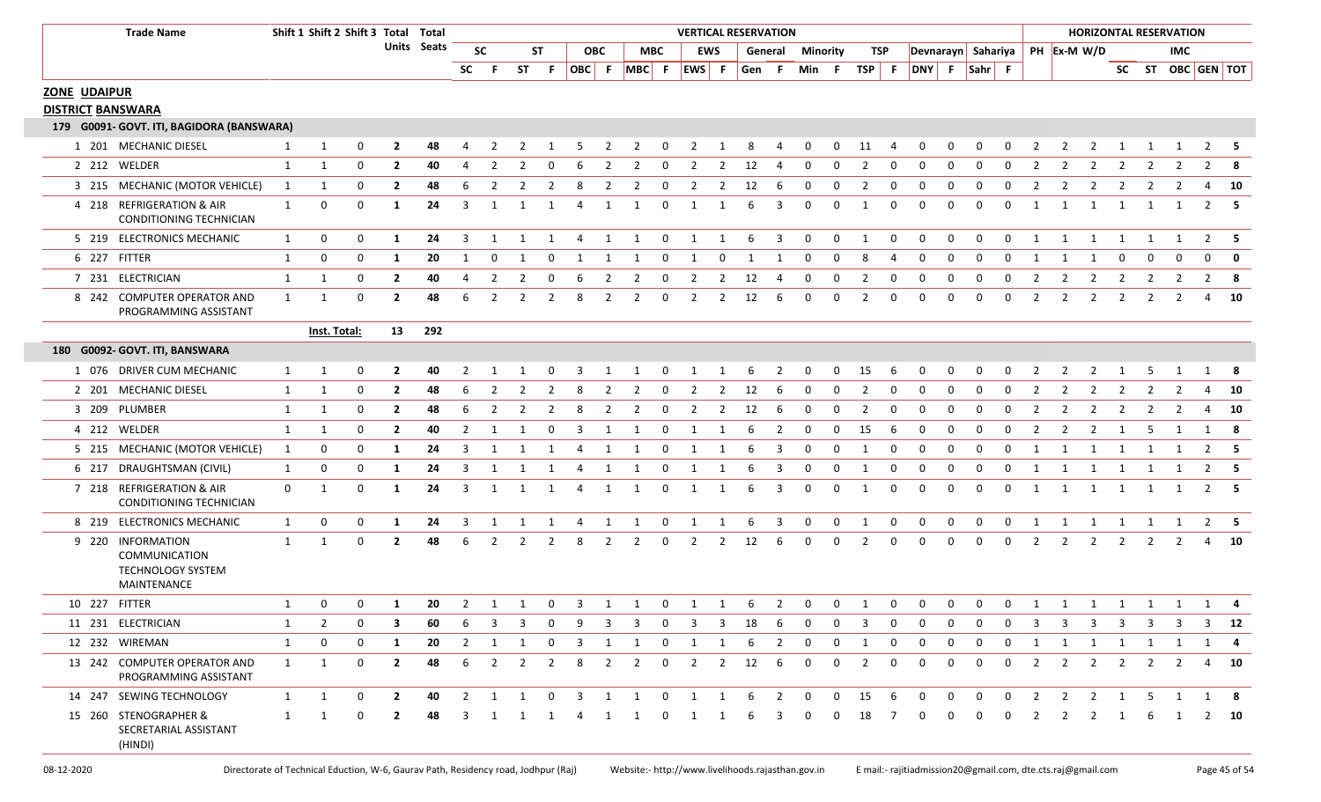|                          | <b>Trade Name</b>                                                |              | Shift 1 Shift 2 Shift 3 Total Total |             |                |             |                |                |                |                |              |                |                |                | <b>VERTICAL RESERVATION</b> |                          |           |                         |              |              |                |              |                    |              |             |             |                |                |                         | <b>HORIZONTAL RESERVATION</b> |                |                |                |                   |
|--------------------------|------------------------------------------------------------------|--------------|-------------------------------------|-------------|----------------|-------------|----------------|----------------|----------------|----------------|--------------|----------------|----------------|----------------|-----------------------------|--------------------------|-----------|-------------------------|--------------|--------------|----------------|--------------|--------------------|--------------|-------------|-------------|----------------|----------------|-------------------------|-------------------------------|----------------|----------------|----------------|-------------------|
|                          |                                                                  |              |                                     |             |                | Units Seats | <b>SC</b>      |                | <b>ST</b>      |                |              | ОВС            | MBC            |                | <b>EWS</b>                  |                          | General   |                         | Minority     |              | TSP            |              | Devnarayn Sahariya |              |             |             |                | PH Ex-M W/D    |                         |                               |                | <b>IMC</b>     |                |                   |
|                          |                                                                  |              |                                     |             |                |             | SC             | - F            | <b>ST</b>      | - F            |              |                | OBC F MBC F    |                | EWS F                       |                          | Gen F     |                         | Min F        |              | $TSP$ F        |              | DNY F Sahr F       |              |             |             |                |                |                         |                               |                |                |                | SC ST OBC GEN TOT |
| <b>ZONE UDAIPUR</b>      |                                                                  |              |                                     |             |                |             |                |                |                |                |              |                |                |                |                             |                          |           |                         |              |              |                |              |                    |              |             |             |                |                |                         |                               |                |                |                |                   |
| <b>DISTRICT BANSWARA</b> |                                                                  |              |                                     |             |                |             |                |                |                |                |              |                |                |                |                             |                          |           |                         |              |              |                |              |                    |              |             |             |                |                |                         |                               |                |                |                |                   |
|                          | 179 G0091- GOVT. ITI, BAGIDORA (BANSWARA)                        |              |                                     |             |                |             |                |                |                |                |              |                |                |                |                             |                          |           |                         |              |              |                |              |                    |              |             |             |                |                |                         |                               |                |                |                |                   |
|                          | 1 201 MECHANIC DIESEL                                            | 1            | 1                                   | 0           | $\overline{2}$ | 48          | 4              |                |                |                |              | 2              | 2              | 0              | 2                           | -1                       | 8         |                         | 0            | 0            | 11             |              | 0                  | 0            | 0           |             | 2              | 2              | 2                       |                               |                |                | 2              | - 5               |
|                          | 2 212 WELDER                                                     | 1            | 1                                   | 0           | $\mathbf{2}$   | 40          | 4              |                | 2              | 0              | 6            | 2              | 2              | 0              | 2                           | 2                        | 12        | 4                       | 0            | 0            | 2              | 0            | 0                  | 0            | 0           | 0           | 2              | 2              | $\overline{2}$          | 2                             | 2              | 2              | $\overline{2}$ | -8                |
|                          | 3 215 MECHANIC (MOTOR VEHICLE)                                   | 1            | 1                                   | 0           | $\overline{2}$ | 48          | 6              | 2              | 2              | 2              | 8            | 2              | 2              | 0              | $\overline{2}$              | 2                        | 12        | -6                      | 0            | 0            | $\overline{2}$ | $\mathbf 0$  | 0                  | 0            | 0           | $\mathbf 0$ | 2              | 2              | 2                       | $\overline{2}$                | 2              | $\overline{2}$ | 4              | <b>10</b>         |
|                          | 4 218 REFRIGERATION & AIR<br><b>CONDITIONING TECHNICIAN</b>      | 1            | 0                                   | 0           | 1              | 24          | 3              | -1             | 1              | 1              | 4            | 1              | 1              | $\mathbf 0$    | 1                           | - 1                      | 6         | 3                       | 0            | 0            | 1              | $\mathbf 0$  | 0                  | 0            | 0           | $\Omega$    | 1              | -1             | 1                       | 1                             | 1              | 1              |                | $2 \quad 5$       |
|                          | 5 219 ELECTRONICS MECHANIC                                       | 1            | 0                                   | 0           | 1              | 24          | 3              | 1              | 1              | 1              | 4            | $\overline{1}$ | $\overline{1}$ | $\overline{0}$ | $\mathbf{1}$                | $\overline{\phantom{a}}$ | - 6       | 3                       | $\mathbf{0}$ | $\mathbf 0$  | $\overline{1}$ | $\mathbf 0$  | $\mathbf 0$        | $\mathbf 0$  | $\mathbf 0$ | $\mathbf 0$ | 1              | - 1            | $\mathbf{1}$            | 1                             | 1              | 1              | 2              | - 5               |
|                          | 6 227 FITTER                                                     | 1            | 0                                   | $\mathbf 0$ | 1              | 20          | $\mathbf 1$    | 0              | - 1            | 0              | -1           | -1             | -1             | 0              | -1                          | 0                        | -1        | -1                      | 0            | 0            | 8              | 4            | 0                  | 0            | 0           | $\mathbf 0$ | 1              | -1             | 1                       | 0                             | $\Omega$       | $\Omega$       | 0              | 0                 |
|                          | 7 231 ELECTRICIAN                                                | 1            | 1                                   | 0           | $\overline{2}$ | 40          | 4              | $\overline{2}$ | $\overline{2}$ | $\mathbf 0$    | 6            | $\overline{2}$ | $\overline{2}$ | $\mathbf{0}$   | $\overline{2}$              |                          | $2 \t 12$ | -4                      | $\mathbf 0$  | $\mathbf{0}$ | $\overline{2}$ | $\mathbf{0}$ | $\mathbf 0$        | $\mathbf 0$  | $\mathbf 0$ | $\mathbf 0$ | $\overline{2}$ | $\overline{2}$ | $\overline{\mathbf{2}}$ | $\overline{2}$                | $\overline{2}$ | $\overline{2}$ |                | $2 \times 8$      |
|                          | 8 242 COMPUTER OPERATOR AND<br>PROGRAMMING ASSISTANT             | 1            | -1                                  | 0           | $\overline{2}$ | 48          | 6              | $\mathcal{P}$  | 2              | 2              | 8            | 2              | 2              | $\mathbf 0$    | 2                           | 2                        | 12        | -6                      | 0            | $\mathbf 0$  | 2              | $\mathbf 0$  | 0                  | 0            | 0           | $\mathbf 0$ | 2              | 2              | 2                       | 2                             | 2              | 2              | 4              | - 10              |
|                          |                                                                  |              | Inst. Total:                        |             | 13             | 292         |                |                |                |                |              |                |                |                |                             |                          |           |                         |              |              |                |              |                    |              |             |             |                |                |                         |                               |                |                |                |                   |
|                          | 180 G0092- GOVT. ITI, BANSWARA                                   |              |                                     |             |                |             |                |                |                |                |              |                |                |                |                             |                          |           |                         |              |              |                |              |                    |              |             |             |                |                |                         |                               |                |                |                |                   |
|                          | 1 076 DRIVER CUM MECHANIC                                        | 1            | 1                                   | 0           | $\mathbf{2}$   | 40          | 2              |                |                |                | 3            |                |                | $\Omega$       | -1                          | -1                       | 6         | 2                       | 0            | 0            | 15             | 6            | 0                  | 0            | 0           |             | 2              |                | 2                       |                               | 5              |                |                | -8                |
|                          | 2 201 MECHANIC DIESEL                                            | 1            | 1                                   | 0           | $\mathbf{2}$   | 48          | 6              | 2              | 2              | 2              | 8            | 2              | 2              | 0              | 2                           | 2                        | 12        | -6                      | 0            | 0            | 2              | $\mathbf 0$  | 0                  | 0            | 0           | 0           | 2              | 2              | 2                       | 2                             | 2              | 2              | 4              | - 10              |
|                          | 3 209 PLUMBER                                                    | 1            | 1                                   | 0           | $\mathbf{2}$   | 48          | 6              |                | 2              |                | 8            | 2              | 2              | 0              | 2                           | 2                        | 12        | -6                      | 0            | 0            | 2              | 0            | 0                  | 0            | 0           | 0           | 2              | 2              | 2                       | 2                             | 2              | 2              | 4              | - 10              |
|                          | 4 212 WELDER                                                     | 1            | 1                                   | 0           | $\overline{2}$ | 40          | 2              | -1             | -1             | 0              | 3            | -1             | $\mathbf{1}$   | $\mathbf 0$    | -1                          | -1                       | 6         | 2                       | 0            | 0            | 15             | 6            | 0                  | 0            | 0           | $\Omega$    | 2              | 2              | 2                       | -1                            | -5             | -1             | 1              | - 8               |
|                          | 5 215 MECHANIC (MOTOR VEHICLE)                                   | 1            | 0                                   | 0           | 1              | 24          | 3              | -1             | -1             | - 1            | 4            | - 1            | 1              | 0              | -1                          | -1                       | 6         | 3                       | 0            | 0            | 1              | 0            | 0                  | 0            | 0           | $\Omega$    | 1              | -1             | 1                       | -1                            | 1              | -1             | $\overline{2}$ | - 5               |
| 6 217                    | DRAUGHTSMAN (CIVIL)                                              | 1            | 0                                   | 0           | 1              | 24          | 3              | -1             | -1             | -1             | 4            | 1              | 1              | 0              | -1                          | -1                       | 6         | 3                       | 0            | 0            | 1              | 0            | 0                  | 0            | 0           | $\mathbf 0$ | 1              | 1              | 1                       | 1                             | 1              | 1              | $\overline{2}$ | - 5               |
|                          | 7 218 REFRIGERATION & AIR<br>CONDITIONING TECHNICIAN             | 0            | 1                                   | 0           | 1              | 24          | 3              | 1              | 1              | 1              | 4            | 1              | 1              | $\mathbf 0$    | 1                           | 1                        | 6         | 3                       | 0            | $\mathbf 0$  | 1              | $\mathbf 0$  | 0                  | 0            | 0           | $\mathbf 0$ | 1              | 1              | 1                       | 1                             | 1              | 1              |                | 2 5               |
|                          | 8 219 ELECTRONICS MECHANIC                                       | 1            | 0                                   | $\mathbf 0$ | 1              | 24          | 3              | 1              | 1              | 1              | 4            | 1              | $\overline{1}$ | $\overline{0}$ | 1                           | $\mathbf{1}$             | 6         | $\overline{\mathbf{3}}$ | $\mathbf 0$  | $\mathbf{0}$ | $\mathbf{1}$   | $\mathbf{0}$ | $\mathbf 0$        | $\mathbf 0$  | $\mathbf 0$ | $\mathbf 0$ | 1              | 1              | $\overline{1}$          | $\overline{\mathbf{1}}$       | 1              | $\overline{1}$ |                | $2 \quad 5$       |
| 9 220                    | INFORMATION<br>COMMUNICATION<br>TECHNOLOGY SYSTEM<br>MAINTENANCE | 1            | $\mathbf 1$                         | $\mathbf 0$ | $\overline{2}$ | 48          | 6              | 2              | 2              | 2              | 8            | 2              | 2              | 0              | 2                           | 2                        | 12        | 6                       | 0            | 0            | 2              | 0            | 0                  | 0            | 0           | $\mathbf 0$ | 2              | 2              | 2                       | 2                             | 2              | 2              |                | 10                |
|                          | 10 227 FITTER                                                    | $\mathbf{1}$ | $\Omega$                            | $\mathbf 0$ | 1              | 20          | 2              | $\overline{1}$ | 1              | $\mathbf{0}$   | 3            | 1              | $\overline{1}$ | $\mathbf 0$    | 1                           | 1                        | - 6       | 2                       | $\mathbf 0$  | $\mathbf 0$  | $\mathbf{1}$   | $\mathbf 0$  | $\mathbf 0$        | $\mathbf 0$  | $\mathbf 0$ | $\mathbf 0$ | 1              | 1 1 1 1 1 1 4  |                         |                               |                |                |                |                   |
|                          | 11 231 ELECTRICIAN                                               | 1            | 2                                   | $\Omega$    | 3              | 60          | 6              | 3              | 3              | 0              | 9            | 3              | 3              | $\mathbf 0$    | 3                           | 3                        | 18        | -6                      | 0            | 0            | 3              | 0            | 0                  | 0            | 0           | 0           | 3              | 3              | 3                       | 3                             | 3              | 3              | 3              | 12                |
|                          | 12 232 WIREMAN                                                   | $\mathbf{1}$ | 0                                   | 0           | 1              | 20          | 2              | 1              | 1              | 0              | 3            | -1             | 1              | $\mathbf{0}$   | 1                           | -1                       | 6         | 2                       | 0            | 0            | 1              | 0            | 0                  | 0            | 0           | 0           | 1              | 1              | 1                       | 1                             | 1              | <sup>1</sup>   | 1              | -4                |
|                          | 13 242 COMPUTER OPERATOR AND<br>PROGRAMMING ASSISTANT            | 1            | 1                                   | 0           | $\overline{2}$ | 48          | 6              | $\overline{2}$ | $\overline{2}$ | $\overline{2}$ | 8            | $\overline{2}$ | $\overline{2}$ | $\mathbf 0$    | $\overline{2}$              | $\overline{2}$           | 12        | 6                       | 0            | $\mathbf 0$  | $\overline{2}$ | 0            | 0                  | 0            | $\mathbf 0$ | 0           | 2              | $\overline{2}$ | $\overline{2}$          | $\overline{2}$                | $\overline{2}$ | $\overline{2}$ |                | 4 10              |
|                          | 14 247 SEWING TECHNOLOGY                                         | $\mathbf{1}$ | 1                                   | 0           | $\overline{2}$ | 40          | $\overline{2}$ | 1              | $\mathbf{1}$   | $\mathbf{0}$   | $\mathbf{3}$ | 1              | $\overline{1}$ | $\mathbf{0}$   | $\overline{1}$              | 1                        | 6         | $\overline{2}$          | $\mathbf{0}$ | $\mathbf{0}$ | 15             | - 6          | 0                  | $\mathbf{0}$ | 0           | $\mathbf 0$ | $\overline{2}$ | $\overline{2}$ | $\overline{2}$          | 1                             | 5              | 1              | 1              | - 8               |
|                          | 15 260 STENOGRAPHER &<br>SECRETARIAL ASSISTANT<br>(HINDI)        | 1            |                                     | 0           | 2              | 48          | 3              |                | 1              | 1              | 4            | -1             | 1              | $\mathbf{0}$   | 1                           | -1                       | 6         | з                       | 0            | 0            | 18             | - 7          | 0                  | 0            | 0           | 0           | 2              | 2              | 2                       |                               | 6              |                | 2              | <b>10</b>         |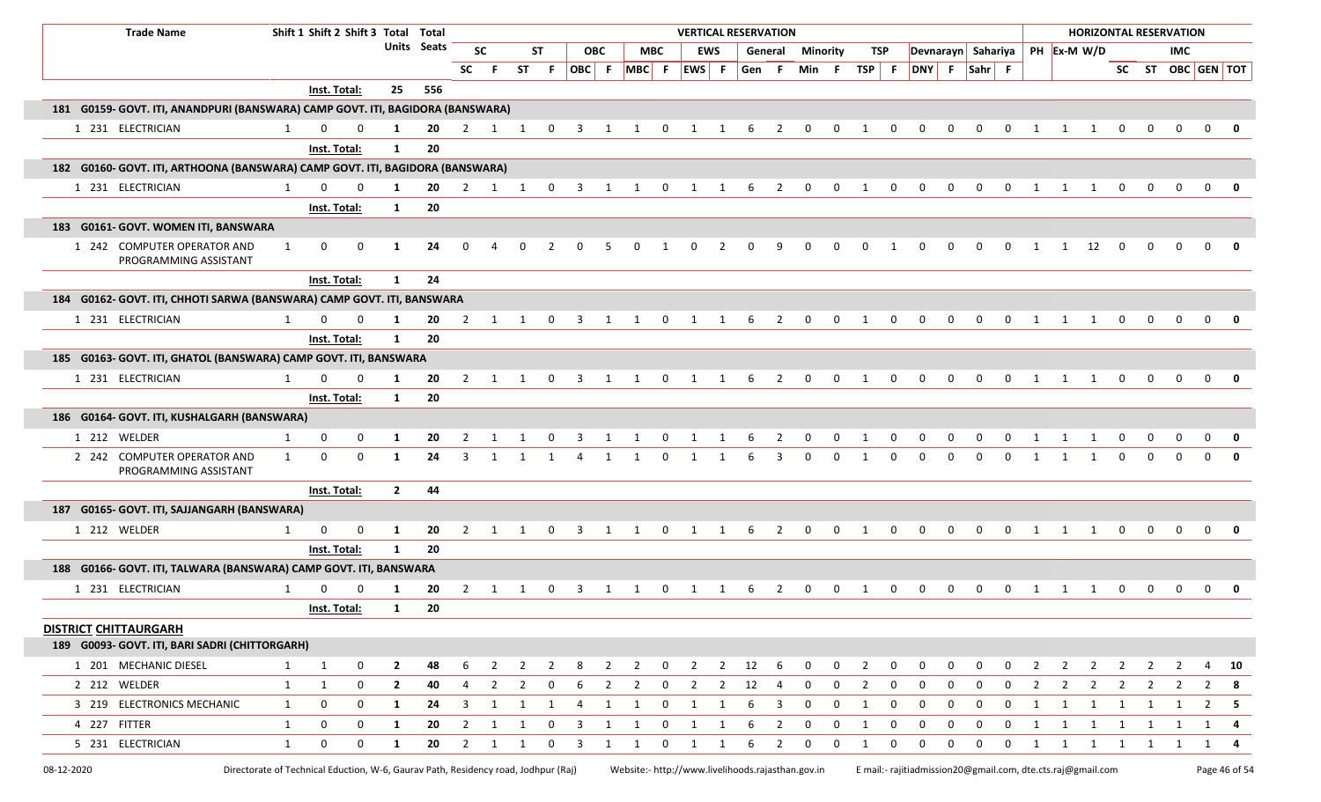| <b>Trade Name</b>                                                              |              | Shift 1 Shift 2 Shift 3 Total Total                                                |              |                |             |                |                |                |                |                         |                |                                                   |                | <b>VERTICAL RESERVATION</b> |              |                        |                         |                 |             |                |                |                                                             |                |                |                |                       |                |                         |                         |              | <b>HORIZONTAL RESERVATION</b> |                   |             |
|--------------------------------------------------------------------------------|--------------|------------------------------------------------------------------------------------|--------------|----------------|-------------|----------------|----------------|----------------|----------------|-------------------------|----------------|---------------------------------------------------|----------------|-----------------------------|--------------|------------------------|-------------------------|-----------------|-------------|----------------|----------------|-------------------------------------------------------------|----------------|----------------|----------------|-----------------------|----------------|-------------------------|-------------------------|--------------|-------------------------------|-------------------|-------------|
|                                                                                |              |                                                                                    |              |                | Units Seats |                | <b>SC</b>      |                | <b>ST</b>      |                         | <b>OBC</b>     |                                                   | <b>MBC</b>     |                             | <b>EWS</b>   |                        | General                 | <b>Minority</b> |             | TSP            |                | Devnarayn Sahariya                                          |                |                |                |                       | PH Ex-M W/D    |                         |                         |              | <b>IMC</b>                    |                   |             |
|                                                                                |              |                                                                                    |              |                |             | <b>SC</b>      | -F             |                | ST F           | OBC F                   |                | $MBC$ F                                           |                | EWS F                       |              | Gen F                  |                         | Min F           |             | TSP F          |                |                                                             |                | DNY F Sahr F   |                |                       |                |                         |                         |              |                               | SC ST OBC GEN TOT |             |
|                                                                                |              | Inst. Total:                                                                       |              | 25             | 556         |                |                |                |                |                         |                |                                                   |                |                             |              |                        |                         |                 |             |                |                |                                                             |                |                |                |                       |                |                         |                         |              |                               |                   |             |
| 181 G0159- GOVT. ITI, ANANDPURI (BANSWARA) CAMP GOVT. ITI, BAGIDORA (BANSWARA) |              |                                                                                    |              |                |             |                |                |                |                |                         |                |                                                   |                |                             |              |                        |                         |                 |             |                |                |                                                             |                |                |                |                       |                |                         |                         |              |                               |                   |             |
| 1 231 ELECTRICIAN                                                              | 1            | $\Omega$                                                                           | $\Omega$     | 1              | 20          |                |                |                |                |                         |                | 2 1 1 0 3 1 1 0 1 1 6                             |                |                             |              |                        | $\overline{2}$          | $\mathbf{0}$    |             | $0\qquad 1$    | $\overline{0}$ | $\mathbf 0$                                                 | $\mathbf 0$    | $\overline{0}$ |                | $0 \qquad 1 \qquad 1$ |                | $\overline{1}$          | $\Omega$                | 0            | $\Omega$                      | $\mathbf{0}$      | 0           |
|                                                                                |              | Inst. Total:                                                                       |              | 1              | 20          |                |                |                |                |                         |                |                                                   |                |                             |              |                        |                         |                 |             |                |                |                                                             |                |                |                |                       |                |                         |                         |              |                               |                   |             |
| 182 G0160- GOVT. ITI, ARTHOONA (BANSWARA) CAMP GOVT. ITI, BAGIDORA (BANSWARA)  |              |                                                                                    |              |                |             |                |                |                |                |                         |                |                                                   |                |                             |              |                        |                         |                 |             |                |                |                                                             |                |                |                |                       |                |                         |                         |              |                               |                   |             |
| 1 231 ELECTRICIAN                                                              | 1            | <sup>0</sup>                                                                       | <sup>0</sup> | -1             | 20          | 2              | 1              | 1              | 0              |                         |                |                                                   |                |                             |              |                        |                         |                 |             |                |                |                                                             |                |                |                |                       |                |                         |                         |              |                               | $\Omega$          |             |
|                                                                                |              | Inst. Total:                                                                       |              | 1              | 20          |                |                |                |                |                         |                |                                                   |                |                             |              |                        |                         |                 |             |                |                |                                                             |                |                |                |                       |                |                         |                         |              |                               |                   |             |
| 183 G0161- GOVT. WOMEN ITI, BANSWARA                                           |              |                                                                                    |              |                |             |                |                |                |                |                         |                |                                                   |                |                             |              |                        |                         |                 |             |                |                |                                                             |                |                |                |                       |                |                         |                         |              |                               |                   |             |
| 1 242 COMPUTER OPERATOR AND<br>PROGRAMMING ASSISTANT                           |              | $\mathbf 0$                                                                        | 0            | -1             | 24          | $\Omega$       | 4              | 0              | 2              | $\Omega$                | 5              | 0                                                 | 1              | 0                           | 2            | 0                      | 9                       | $\Omega$        | 0           | 0              | -1             | 0                                                           | 0              | 0              | 0              | 1                     | 1              | 12                      | $\Omega$                | <sup>0</sup> |                               | $\Omega$          | 0           |
|                                                                                |              | Inst. Total:                                                                       |              | $\mathbf{1}$   | 24          |                |                |                |                |                         |                |                                                   |                |                             |              |                        |                         |                 |             |                |                |                                                             |                |                |                |                       |                |                         |                         |              |                               |                   |             |
| 184 G0162- GOVT. ITI, CHHOTI SARWA (BANSWARA) CAMP GOVT. ITI, BANSWARA         |              |                                                                                    |              |                |             |                |                |                |                |                         |                |                                                   |                |                             |              |                        |                         |                 |             |                |                |                                                             |                |                |                |                       |                |                         |                         |              |                               |                   |             |
| 1 231 ELECTRICIAN                                                              | 1            |                                                                                    | 0            |                | 20          | 2              | 1              | 1              | $\mathbf 0$    | 3                       | -1             |                                                   | 0              |                             |              | 6                      |                         |                 |             |                |                | $\Omega$                                                    |                |                | $\Omega$       |                       |                |                         |                         |              | $\Omega$                      |                   |             |
|                                                                                |              | Inst. Total:                                                                       |              | 1              | 20          |                |                |                |                |                         |                |                                                   |                |                             |              |                        |                         |                 |             |                |                |                                                             |                |                |                |                       |                |                         |                         |              |                               |                   |             |
| 185 G0163- GOVT. ITI, GHATOL (BANSWARA) CAMP GOVT. ITI, BANSWARA               |              |                                                                                    |              |                |             |                |                |                |                |                         |                |                                                   |                |                             |              |                        |                         |                 |             |                |                |                                                             |                |                |                |                       |                |                         |                         |              |                               |                   |             |
| 1 231 ELECTRICIAN                                                              | 1            | <sup>0</sup>                                                                       | <sup>0</sup> |                | 20          | $\mathbf{2}$   | $\mathbf{1}$   | $\overline{1}$ | $\overline{0}$ | 3                       | -1             | 1                                                 | $\mathbf 0$    | 1                           | 1            | -6                     | 2                       | $\Omega$        | $\Omega$    | 1              | $\Omega$       | 0                                                           | <sup>0</sup>   | <sup>n</sup>   | $\Omega$       | $\mathbf{1}$          | 1              |                         |                         |              | $\Omega$                      |                   | 0           |
|                                                                                |              | Inst. Total:                                                                       |              | $\mathbf{1}$   | 20          |                |                |                |                |                         |                |                                                   |                |                             |              |                        |                         |                 |             |                |                |                                                             |                |                |                |                       |                |                         |                         |              |                               |                   |             |
| 186 G0164- GOVT. ITI, KUSHALGARH (BANSWARA)                                    |              |                                                                                    |              |                |             |                |                |                |                |                         |                |                                                   |                |                             |              |                        |                         |                 |             |                |                |                                                             |                |                |                |                       |                |                         |                         |              |                               |                   |             |
| 1 212 WELDER                                                                   | $\mathbf{1}$ | 0                                                                                  | 0            | -1             | 20          |                |                |                | $\Omega$       |                         |                |                                                   | <sup>0</sup>   |                             |              |                        |                         |                 |             |                |                |                                                             |                |                |                |                       |                |                         |                         |              |                               |                   |             |
| 2 242 COMPUTER OPERATOR AND<br>PROGRAMMING ASSISTANT                           | $\mathbf{1}$ | 0                                                                                  | 0            | -1             | 24          | 3              |                |                |                |                         | -1             | -1                                                | 0              |                             |              |                        |                         |                 |             |                |                |                                                             |                |                |                |                       |                |                         |                         |              |                               |                   |             |
|                                                                                |              | Inst. Total:                                                                       |              | $\overline{2}$ | 44          |                |                |                |                |                         |                |                                                   |                |                             |              |                        |                         |                 |             |                |                |                                                             |                |                |                |                       |                |                         |                         |              |                               |                   |             |
| 187 G0165- GOVT. ITI, SAJJANGARH (BANSWARA)                                    |              |                                                                                    |              |                |             |                |                |                |                |                         |                |                                                   |                |                             |              |                        |                         |                 |             |                |                |                                                             |                |                |                |                       |                |                         |                         |              |                               |                   |             |
| 1 212 WELDER                                                                   | 1            | $\mathbf 0$                                                                        | $\mathbf 0$  | 1              | 20          | $\overline{2}$ |                |                |                |                         |                | 1 1 0 3 1 1 0 1 1 6                               |                |                             |              |                        | $\overline{\mathbf{c}}$ | $\overline{0}$  |             | $0\qquad 1$    | $\mathbf 0$    | $\mathbf 0$                                                 | $\overline{0}$ | $\overline{0}$ | $\overline{0}$ |                       | 1 1            | $\overline{1}$          | $\mathbf 0$             | $\mathbf 0$  | $\Omega$                      | $\Omega$          | - 0         |
|                                                                                |              | Inst. Total:                                                                       |              | $\mathbf{1}$   | 20          |                |                |                |                |                         |                |                                                   |                |                             |              |                        |                         |                 |             |                |                |                                                             |                |                |                |                       |                |                         |                         |              |                               |                   |             |
| 188 G0166- GOVT. ITI, TALWARA (BANSWARA) CAMP GOVT. ITI, BANSWARA              |              |                                                                                    |              |                |             |                |                |                |                |                         |                |                                                   |                |                             |              |                        |                         |                 |             |                |                |                                                             |                |                |                |                       |                |                         |                         |              |                               |                   |             |
| 1 231 ELECTRICIAN                                                              | 1            |                                                                                    |              |                | 20          |                |                |                | 0              |                         |                |                                                   |                |                             |              |                        |                         |                 |             |                |                |                                                             |                |                |                |                       |                |                         |                         |              |                               |                   |             |
|                                                                                |              | Inst. Total:                                                                       |              | 1              | 20          |                |                |                |                |                         |                |                                                   |                |                             |              |                        |                         |                 |             |                |                |                                                             |                |                |                |                       |                |                         |                         |              |                               |                   |             |
| <b>DISTRICT CHITTAURGARH</b>                                                   |              |                                                                                    |              |                |             |                |                |                |                |                         |                |                                                   |                |                             |              |                        |                         |                 |             |                |                |                                                             |                |                |                |                       |                |                         |                         |              |                               |                   |             |
| 189 G0093- GOVT. ITI, BARI SADRI (CHITTORGARH)                                 |              |                                                                                    |              |                |             |                |                |                |                |                         |                |                                                   |                |                             |              |                        |                         |                 |             |                |                |                                                             |                |                |                |                       |                |                         |                         |              |                               |                   |             |
| 1 201 MECHANIC DIESEL                                                          | 1            | 1                                                                                  | $\mathbf 0$  | $\overline{2}$ | 48          | 6              | $\overline{2}$ |                | $2 \quad 2$    | -8                      | $\overline{2}$ | $\overline{2}$                                    | $\overline{0}$ | $\overline{\mathbf{2}}$     |              | $2 \qquad 12 \qquad 6$ |                         | 0               | $\mathbf 0$ | $\overline{2}$ | $\mathbf 0$    | 0                                                           | $\mathbf 0$    | 0              | $\mathbf 0$    | $\overline{2}$        | $\overline{2}$ | $\overline{2}$          | $\overline{2}$          |              | $2 \quad 2$                   | 4                 | - 10        |
| 2 212 WELDER                                                                   | $\mathbf{1}$ | 1                                                                                  | 0            | $\overline{2}$ | 40          | 4              | 2              | $\overline{2}$ | $\mathbf 0$    | 6                       | 2              | $\mathbf{2}$                                      | $\overline{0}$ | $\overline{\mathbf{c}}$     |              | $2 \t12$               | -4                      | $\mathbf 0$     | $\mathbf 0$ | $\overline{2}$ | 0              | $\mathbf 0$                                                 | $\mathbf 0$    | 0              | 0              | $\overline{2}$        | $\overline{2}$ | $\overline{\mathbf{c}}$ | $\overline{2}$          |              | $2 \quad 2$                   |                   | - 8         |
| 3 219 ELECTRONICS MECHANIC                                                     | $\mathbf{1}$ | 0                                                                                  | 0            | $\mathbf{1}$   | 24          | $\mathbf{3}$   | $\overline{1}$ | 1              | 1              | 4                       | $\mathbf{1}$   | 1                                                 | $\mathbf{0}$   | $\overline{1}$              | $\mathbf{1}$ | 6                      | 3                       | 0               | $\mathbf 0$ | 1              | $\mathbf 0$    | $\mathbf 0$                                                 | 0              | 0              | $\mathbf 0$    | $\mathbf{1}$          | 1              | $\overline{1}$          |                         | 1 1          | 1                             |                   | $2 \quad 5$ |
| 4 227 FITTER                                                                   | $\mathbf{1}$ | 0                                                                                  | 0            | 1              | 20          | $\overline{2}$ | $\overline{1}$ | 1              | $\mathbf 0$    | $\overline{\mathbf{3}}$ | 1              | $\mathbf{1}$                                      | $\overline{0}$ | 1                           | 1            | -6                     | $\overline{2}$          | 0               | $\mathbf 0$ | 1              | $\mathbf 0$    | 0                                                           | $\mathbf 0$    | 0              | $\mathbf 0$    | $\mathbf{1}$          |                | $1 \quad 1$             |                         | 1 1 1        |                               | 1                 | -4          |
| 5 231 ELECTRICIAN                                                              | $\mathbf{1}$ | 0                                                                                  | $\mathbf 0$  | $\mathbf{1}$   | 20          |                | $2 \quad 1$    | $\mathbf{1}$   | 0              | $\overline{\mathbf{3}}$ | 1              | $\mathbf{1}$                                      | $\mathbf{0}$   | $\overline{1}$              | 1            | 6                      | $\overline{2}$          | 0               | $\mathbf 0$ | 1              | 0              | 0                                                           | 0              | $\mathbf 0$    | $\mathbf 0$    | 1                     | $\overline{1}$ | $\overline{\mathbf{1}}$ | $\overline{\mathbf{1}}$ |              | 1 1                           | 1                 | - 4         |
| 08-12-2020                                                                     |              | Directorate of Technical Eduction, W-6, Gaurav Path, Residency road, Jodhpur (Raj) |              |                |             |                |                |                |                |                         |                | Website:- http://www.livelihoods.rajasthan.gov.in |                |                             |              |                        |                         |                 |             |                |                | E mail:- rajitiadmission20@gmail.com, dte.cts.raj@gmail.com |                |                |                |                       |                |                         |                         |              |                               | Page 46 of 54     |             |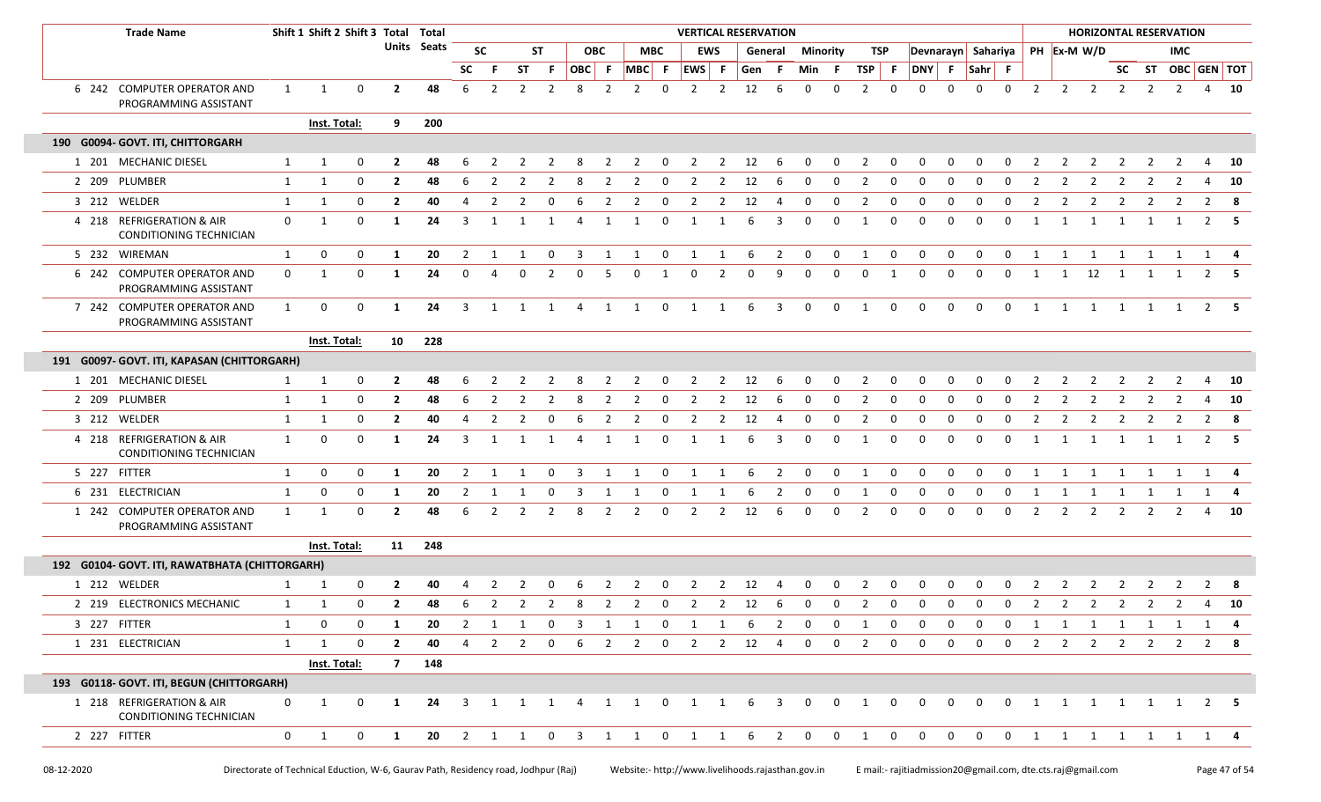| <b>Trade Name</b>                                           |              |              | Shift 1 Shift 2 Shift 3 Total Total |                |             |                |                |                |                |                         |                |                         |                         |                |                | <b>VERTICAL RESERVATION</b> |                |                         |              |                |                |                                                              |                |                    |                         |                |                |                |                | <b>HORIZONTAL RESERVATION</b> |                |                |              |
|-------------------------------------------------------------|--------------|--------------|-------------------------------------|----------------|-------------|----------------|----------------|----------------|----------------|-------------------------|----------------|-------------------------|-------------------------|----------------|----------------|-----------------------------|----------------|-------------------------|--------------|----------------|----------------|--------------------------------------------------------------|----------------|--------------------|-------------------------|----------------|----------------|----------------|----------------|-------------------------------|----------------|----------------|--------------|
|                                                             |              |              |                                     |                | Units Seats |                | <b>SC</b>      |                | ST             |                         | <b>OBC</b>     |                         | <b>MBC</b>              | <b>EWS</b>     |                |                             | General        | <b>Minority</b>         |              | TSP            |                |                                                              |                | Devnarayn Sahariya |                         |                |                | PH Ex-M W/D    |                |                               | <b>IMC</b>     |                |              |
|                                                             |              |              |                                     |                |             | <b>SC</b>      |                | <b>ST</b>      | F.             | OBC F                   |                | MBC F                   |                         | EWS F          |                | Gen                         | - F            | Min                     | - F          | $TSP$ F        |                | DNY F                                                        |                | Sahr F             |                         |                |                |                |                | SC ST OBC GEN TOT             |                |                |              |
| 6 242 COMPUTER OPERATOR AND<br>PROGRAMMING ASSISTANT        | 1            | 1            | $\mathbf 0$                         | $\overline{2}$ | 48          | 6              | 2              | $\overline{2}$ | $\overline{2}$ | 8                       | $\overline{2}$ | $\overline{2}$          | 0                       | 2              | 2              | 12                          | 6              | $\Omega$                | $\Omega$     | 2              | $\Omega$       | $\Omega$                                                     | $\Omega$       | $\Omega$           | $\mathbf 0$             | 2              | $\overline{2}$ | 2              | 2              | 2                             | $\overline{2}$ | $\overline{4}$ | - 10         |
|                                                             |              | Inst. Total: |                                     | 9              | 200         |                |                |                |                |                         |                |                         |                         |                |                |                             |                |                         |              |                |                |                                                              |                |                    |                         |                |                |                |                |                               |                |                |              |
| 190 G0094- GOVT. ITI, CHITTORGARH                           |              |              |                                     |                |             |                |                |                |                |                         |                |                         |                         |                |                |                             |                |                         |              |                |                |                                                              |                |                    |                         |                |                |                |                |                               |                |                |              |
| 1 201 MECHANIC DIESEL                                       | $\mathbf{1}$ | 1            | $\Omega$                            | $\mathbf{2}$   | 48          |                |                |                |                |                         |                |                         | <sup>0</sup>            | -2             | 2              | 12                          | -6             |                         | $\Omega$     |                |                |                                                              |                |                    |                         |                |                |                |                |                               |                |                | 10           |
| 2 209 PLUMBER                                               | 1            | 1            | $\mathbf 0$                         | $\mathbf{2}$   | 48          | 6              | 2              | 2              | 2              | -8                      | 2              | 2                       | $\mathbf 0$             | 2              | 2              | 12                          | 6              | 0                       | 0            | 2              | 0              | $\Omega$                                                     | 0              | 0                  | 0                       | 2              | 2              | 2              | 2              | 2                             | 2              | 4              | 10           |
| 3 212 WELDER                                                | $\mathbf{1}$ | 1            | $\mathbf 0$                         | $\mathbf{2}$   | 40          | 4              | 2              | 2              | 0              | 6                       | 2              | 2                       | 0                       | 2              | 2              | 12                          | 4              | 0                       | 0            | 2              | 0              | 0                                                            | <sup>0</sup>   | - 0                | 0                       | 2              | 2              | 2              | 2              | -2                            | 2              | 2              | - 8          |
| 4 218 REFRIGERATION & AIR<br>CONDITIONING TECHNICIAN        | $\mathbf 0$  | 1            | $\mathbf 0$                         | -1             | 24          | 3              | 1              | $\mathbf{1}$   | 1              | 4                       | 1              | $\overline{1}$          | $\mathbf 0$             | 1              | 1              | 6                           | 3              | $\mathbf 0$             | 0            | 1              | $\Omega$       | $\Omega$                                                     | 0              | $\Omega$           | $\Omega$                | 1              | $\mathbf{1}$   | 1              | 1              | 1                             |                |                | $2 \quad 5$  |
| 5 232 WIREMAN                                               | 1            | 0            | 0                                   | 1              | 20          | $\overline{2}$ | 1              | 1              | $\mathbf 0$    | $\overline{\mathbf{3}}$ | $\mathbf{1}$   | $\mathbf{1}$            | $\mathbf 0$             | 1              | 1              | 6                           | $\overline{2}$ | $\mathbf 0$             | 0            | 1              | 0              | $\mathbf 0$                                                  | 0              | $\mathbf 0$        | $\mathbf 0$             | 1              | $\mathbf{1}$   | 1              | 1              | 1                             | 1              |                | 1 4          |
| 6 242 COMPUTER OPERATOR AND<br>PROGRAMMING ASSISTANT        | $\mathbf 0$  | 1            | $\mathbf 0$                         | -1             | 24          | 0              | $\Delta$       | $\Omega$       | 2              | $\Omega$                | 5              | $\Omega$                | 1                       | $\mathbf 0$    | 2              | $\Omega$                    | 9              | $\Omega$                | 0            | 0              | 1              | 0                                                            | 0              | $\mathbf 0$        | 0                       | 1              | 1              | 12             | 1              | 1                             |                | 2              |              |
| 7 242 COMPUTER OPERATOR AND<br>PROGRAMMING ASSISTANT        | $\mathbf{1}$ | 0            | 0                                   | 1              | 24          | $\overline{3}$ | 1              | 1              | $\overline{1}$ | $\overline{4}$          | 1              | $\overline{1}$          | $\overline{\mathbf{0}}$ | 1              | 1              | 6                           | $\overline{3}$ | $\mathbf 0$             | $\mathbf 0$  | 1              | $\mathbf 0$    | $\mathbf 0$                                                  | $\mathbf 0$    | $\mathbf 0$        | $\mathbf 0$             | 1              | 1              | $\overline{1}$ | $\overline{1}$ | 1                             | $\overline{1}$ |                | $2 \quad 5$  |
|                                                             |              | Inst. Total: |                                     | 10             | 228         |                |                |                |                |                         |                |                         |                         |                |                |                             |                |                         |              |                |                |                                                              |                |                    |                         |                |                |                |                |                               |                |                |              |
| 191 G0097- GOVT. ITI, KAPASAN (CHITTORGARH)                 |              |              |                                     |                |             |                |                |                |                |                         |                |                         |                         |                |                |                             |                |                         |              |                |                |                                                              |                |                    |                         |                |                |                |                |                               |                |                |              |
| 1 201 MECHANIC DIESEL                                       |              | 1            | 0                                   | $\overline{2}$ | 48          | 6              |                |                |                |                         |                | 2                       | 0                       | 2              | 2              | 12                          | 6              | 0                       | 0            | $\overline{2}$ | 0              |                                                              | 0              | 0                  | 0                       |                | 2              |                |                | -2                            |                |                | 10           |
| 2 209 PLUMBER                                               | $\mathbf{1}$ | 1            | $\mathbf 0$                         | $\overline{2}$ | 48          | 6              |                |                |                | 8                       | 2              | 2                       | 0                       | $\overline{2}$ | 2              | 12                          | 6              | 0                       | 0            | $\overline{2}$ | $\Omega$       |                                                              |                | 0                  | $\Omega$                |                |                |                |                |                               |                | 4              | 10           |
| 3 212 WELDER                                                | 1            | 1            | 0                                   | $\overline{2}$ | 40          | 4              | $\overline{2}$ | $\overline{2}$ | 0              | 6                       | $\overline{2}$ | 2                       | 0                       | $\overline{2}$ | $\overline{2}$ | 12                          | 4              | $\mathbf 0$             | 0            | $\overline{2}$ | 0              | 0                                                            | 0              | 0                  | 0                       | $\overline{2}$ | 2              | $\overline{2}$ | 2              | 2                             | $\overline{2}$ | $\overline{2}$ | 8            |
| 4 218 REFRIGERATION & AIR<br><b>CONDITIONING TECHNICIAN</b> | 1            | 0            | $\mathbf 0$                         | 1              | 24          | 3              | 1              |                | 1              | 4                       | 1              |                         | 0                       |                | $\mathbf{1}$   | 6                           | 3              | $\mathbf 0$             | 0            | -1             | 0              | $\Omega$                                                     | $\Omega$       | $\Omega$           | $\Omega$                | 1              |                | $\mathbf{1}$   |                |                               |                | 2              | - 5          |
| 5 227 FITTER                                                | $\mathbf{1}$ | 0            | $\mathbf 0$                         | -1             | 20          | $\overline{2}$ | 1              | 1              | $\mathbf 0$    | -3                      | 1              | 1                       | $\overline{\mathbf{0}}$ | 1              | 1              | 6                           | $\overline{2}$ | $\mathbf 0$             | 0            | 1              | $\mathbf 0$    | 0                                                            | 0              | $\mathbf 0$        | 0                       | 1              | 1              | 1              | 1              | 1                             | 1              |                | 1 4          |
| 6 231 ELECTRICIAN                                           | $\mathbf{1}$ | 0            | $\mathbf 0$                         | -1             | 20          | 2              | 1              |                | 0              | 3                       |                |                         | 0                       |                | -1             | 6                           | 2              | $\mathbf 0$             | 0            | -1             | 0              | 0                                                            | 0              | 0                  | 0                       | 1              |                | -1             |                |                               |                |                |              |
| 1 242 COMPUTER OPERATOR AND<br>PROGRAMMING ASSISTANT        | 1            | 1            | $\mathbf 0$                         | $\overline{2}$ | 48          | 6              | 2              | $\overline{2}$ | 2              | 8                       | 2              | 2                       | $\mathbf 0$             | 2              | 2              | 12                          | 6              | $\mathbf 0$             | 0            | 2              | $\Omega$       | $\Omega$                                                     | $\Omega$       | $\Omega$           | $\Omega$                | $\overline{2}$ | $\overline{2}$ | $\overline{2}$ | 2              | 2                             | 2              | 4              | 10           |
|                                                             |              | Inst. Total: |                                     |                | 11 248      |                |                |                |                |                         |                |                         |                         |                |                |                             |                |                         |              |                |                |                                                              |                |                    |                         |                |                |                |                |                               |                |                |              |
| 192 G0104- GOVT. ITI, RAWATBHATA (CHITTORGARH)              |              |              |                                     |                |             |                |                |                |                |                         |                |                         |                         |                |                |                             |                |                         |              |                |                |                                                              |                |                    |                         |                |                |                |                |                               |                |                |              |
| 1 212 WELDER                                                |              | 1            | 0                                   | $\overline{2}$ | 40          |                |                |                |                |                         |                | 2                       | 0                       | 2              | 2              | 12                          | 4              | 0                       | 0            | $\overline{2}$ | 0              |                                                              |                | $\Omega$           | 0                       |                | 2              | 2              | 2              | 2                             | 2              | 2              | -8           |
| 2 219 ELECTRONICS MECHANIC                                  | 1            | 1            | 0                                   | $\overline{2}$ | 48          | 6              | 2              | 2              | 2              | 8                       | 2              | $\overline{2}$          | $\mathbf 0$             | 2              | 2              | 12                          | 6              | $\mathbf 0$             | $\mathbf 0$  | 2              | $\mathbf 0$    | $\mathbf 0$                                                  | $\mathbf{0}$   | 0                  | $\mathbf 0$             | 2              | $\overline{2}$ | 2              | 2              | 2                             | 2              | $\overline{4}$ | 10           |
| 3 227 FITTER                                                | 1            | 0            | $\mathbf 0$                         | 1              | 20          | $\overline{2}$ | $\mathbf{1}$   | $\overline{1}$ | $\overline{0}$ |                         |                | 3 1 1 0 1 1             |                         |                |                | 6                           | $\frac{1}{2}$  | $\overline{\mathbf{0}}$ | $\mathbf 0$  | 1              | $\mathbf{0}$   | $\mathbf 0$                                                  | $\mathbf 0$    | $\mathbf 0$        | $\mathbf 0$             | $\mathbf{1}$   | $\mathbf{1}$   |                |                | 1 1 1 1 1 4                   |                |                |              |
| 1 231 ELECTRICIAN                                           | $\mathbf{1}$ | 1            | $\mathbf 0$                         | $\overline{2}$ | 40          | $\overline{4}$ | 2              | $\overline{2}$ | $\mathbf 0$    | 6                       | 2              | 2                       | $\overline{\mathbf{0}}$ | $\overline{2}$ |                | $2 \qquad 12 \qquad 4$      |                | $\mathbf 0$             | $\mathbf 0$  | 2              | $\mathbf 0$    | $\mathbf 0$                                                  | $\mathbf 0$    | $\mathbf 0$        | $\mathbf 0$             | 2              | $\overline{2}$ | $\overline{2}$ | $\overline{2}$ | 2                             | 2              |                | $2 \times 8$ |
|                                                             |              | Inst. Total: |                                     | $\overline{7}$ | 148         |                |                |                |                |                         |                |                         |                         |                |                |                             |                |                         |              |                |                |                                                              |                |                    |                         |                |                |                |                |                               |                |                |              |
| 193 G0118- GOVT. ITI, BEGUN (CHITTORGARH)                   |              |              |                                     |                |             |                |                |                |                |                         |                |                         |                         |                |                |                             |                |                         |              |                |                |                                                              |                |                    |                         |                |                |                |                |                               |                |                |              |
| 1 218 REFRIGERATION & AIR<br>CONDITIONING TECHNICIAN        | $\mathbf 0$  | $\mathbf{1}$ | 0                                   | 1              | 24          |                |                |                |                |                         |                | 3 1 1 1 4 1 1 0 1 1 6 3 |                         |                |                |                             |                | $\overline{0}$          | $\mathbf{0}$ | $\overline{1}$ | $\overline{0}$ | $\overline{0}$                                               | $\overline{0}$ | $\overline{0}$     | $\overline{\mathbf{0}}$ |                |                |                |                | 1 1 1 1 1 1 2 5               |                |                |              |
| 2 227 FITTER                                                | $\mathbf{0}$ | $\mathbf{1}$ | $\mathbf 0$                         | $\mathbf{1}$   |             |                |                |                |                |                         |                |                         |                         |                |                |                             |                |                         |              |                |                | 20 2 1 1 0 3 1 1 0 1 1 6 2 0 0 1 0 0 0 0 0 0 1 1 1 1 1 1 1 4 |                |                    |                         |                |                |                |                |                               |                |                |              |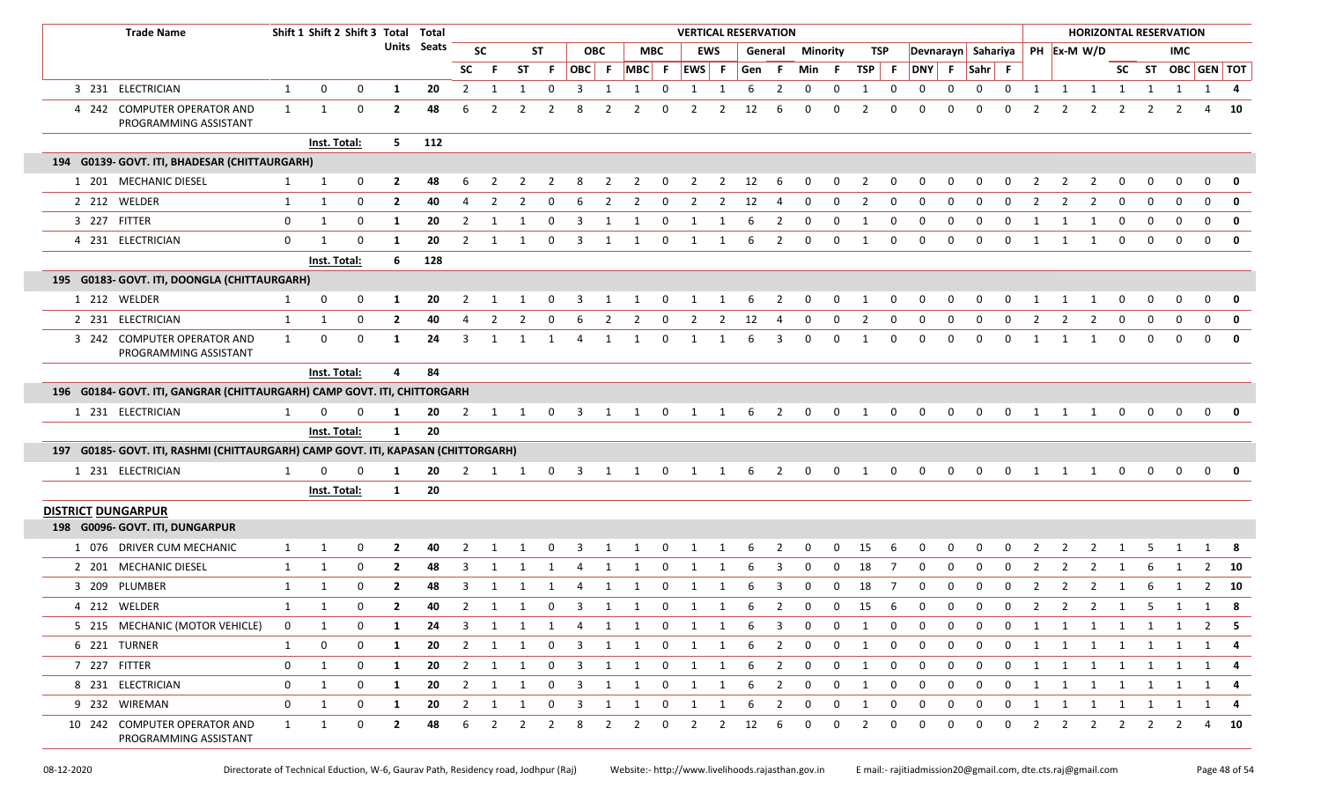| <b>Trade Name</b>                                                                 |              | Shift 1 Shift 2 Shift 3 Total Total |              |                |                    |                |                         |                |                |                         |                |                                             |                         | <b>VERTICAL RESERVATION</b> |                         |           |                         |                         |                |                |                |                |             |              |                |                |                | <b>HORIZONTAL RESERVATION</b>    |              |                |                   |              |                         |
|-----------------------------------------------------------------------------------|--------------|-------------------------------------|--------------|----------------|--------------------|----------------|-------------------------|----------------|----------------|-------------------------|----------------|---------------------------------------------|-------------------------|-----------------------------|-------------------------|-----------|-------------------------|-------------------------|----------------|----------------|----------------|----------------|-------------|--------------|----------------|----------------|----------------|----------------------------------|--------------|----------------|-------------------|--------------|-------------------------|
|                                                                                   |              |                                     |              |                | <b>Units Seats</b> |                | <b>SC</b>               |                | ST             |                         | <b>OBC</b>     |                                             | <b>MBC</b>              |                             | <b>EWS</b>              |           | General                 | Minority                |                |                | TSP            |                |             |              |                |                |                | Devnarayn Sahariya   PH Ex-M W/D |              |                | IMC               |              |                         |
|                                                                                   |              |                                     |              |                |                    | <b>SC</b>      | -F.                     | ST             | F.             |                         |                | OBC F MBC F EWS F Gen F                     |                         |                             |                         |           |                         | Min F                   |                | $TSP$ F        |                |                |             | DNY F Sahr F |                |                |                |                                  |              |                | SC ST OBC GEN TOT |              |                         |
| 3 231 ELECTRICIAN                                                                 | $\mathbf{1}$ | 0                                   | 0            | 1              | 20                 | $\overline{2}$ |                         |                | $\Omega$       | 3                       |                | -1                                          | റ                       |                             |                         | 6         | 2                       | 0                       | 0              | 1              | 0              | 0              | 0           | 0            | 0              | -1             | 1              | 1                                | 1            | -1             | 1                 |              | 1 4                     |
| 4 242 COMPUTER OPERATOR AND<br>PROGRAMMING ASSISTANT                              | 1            | 1                                   | 0            | $\mathbf{2}$   | 48                 | 6              | -2                      |                |                | 8                       |                | 2                                           | റ                       | 2                           | 2                       | 12        | -6                      | 0                       | 0              |                | 0              | $\Omega$       | 0           | $\Omega$     | 0              |                |                |                                  | 2            | 2              |                   |              | - 10                    |
|                                                                                   |              | Inst. Total:                        |              | 5 <sub>1</sub> | 112                |                |                         |                |                |                         |                |                                             |                         |                             |                         |           |                         |                         |                |                |                |                |             |              |                |                |                |                                  |              |                |                   |              |                         |
| 194 G0139- GOVT. ITI, BHADESAR (CHITTAURGARH)                                     |              |                                     |              |                |                    |                |                         |                |                |                         |                |                                             |                         |                             |                         |           |                         |                         |                |                |                |                |             |              |                |                |                |                                  |              |                |                   |              |                         |
| 1 201 MECHANIC DIESEL                                                             | 1            | 1                                   | 0            | $\mathbf{2}$   | 48                 | 6              | 2                       | 2              | $\overline{2}$ | 8                       | $\overline{2}$ | $\overline{2}$                              | $\overline{\mathbf{0}}$ | $\overline{\mathbf{2}}$     |                         | $2 \t 12$ | $6\overline{6}$         | $\overline{\mathbf{0}}$ | $\mathbf 0$    | $\overline{2}$ | $\overline{0}$ | $\mathbf{0}$   | 0           | 0            | $\mathbf{0}$   | $\overline{2}$ | $\overline{2}$ | $\overline{2}$                   | $\mathbf 0$  | $\mathbf 0$    | $\mathbf 0$       | $\mathbf{0}$ | $\overline{\mathbf{0}}$ |
| 2 212 WELDER                                                                      | $\mathbf{1}$ | 1                                   | 0            | $\overline{2}$ | 40                 | $\Delta$       | $\mathcal{P}$           |                | $\Omega$       |                         | 2              | 2                                           | $\Omega$                |                             | 2                       | 12        |                         |                         | $\Omega$       |                | $\Omega$       | $\Omega$       | $\Omega$    | $\Omega$     | 0              |                |                |                                  |              | $\Omega$       |                   | $\Omega$     | 0                       |
| 3 227 FITTER                                                                      | $\mathbf{0}$ | 1                                   | 0            | 1              | 20                 | $\overline{2}$ | $\overline{1}$          |                |                | 3                       | -1             |                                             | $\Omega$                | 1                           |                         |           | 2                       | $\Omega$                | 0              |                | 0              | 0              | 0           | $\Omega$     | 0              |                |                |                                  | 0            | $\Omega$       | $\Omega$          | $\mathbf 0$  | 0                       |
| 4 231 ELECTRICIAN                                                                 | 0            | -1                                  | $\Omega$     | -1             | 20                 | 2              | -1                      |                | 0              | -3                      | 1              |                                             | 0                       | 1                           | -1                      | 6         | 2                       | $\Omega$                | $\mathbf 0$    | $\mathbf{1}$   | $\mathbf 0$    | $\mathbf{0}$   | $\Omega$    | $\Omega$     | $\Omega$       |                |                |                                  | $\Omega$     | 0              | $\Omega$          | 0            | $\Omega$                |
|                                                                                   |              | Inst. Total:                        |              | 6              | 128                |                |                         |                |                |                         |                |                                             |                         |                             |                         |           |                         |                         |                |                |                |                |             |              |                |                |                |                                  |              |                |                   |              |                         |
| 195 G0183- GOVT. ITI, DOONGLA (CHITTAURGARH)                                      |              |                                     |              |                |                    |                |                         |                |                |                         |                |                                             |                         |                             |                         |           |                         |                         |                |                |                |                |             |              |                |                |                |                                  |              |                |                   |              |                         |
| 1 212 WELDER                                                                      |              | 0                                   | 0            | -1             | 20                 | $\overline{2}$ | -1                      |                | 0              | 3                       | 1              | 1                                           | $\mathbf 0$             | $\overline{1}$              | 1                       | 6         | $\overline{\mathbf{2}}$ | $\overline{\mathbf{0}}$ | $\mathbf{0}$   | 1              | 0              | $\mathbf 0$    | 0           | 0            | 0              |                |                |                                  | 0            | 0              | 0                 | $\mathbf 0$  | 0                       |
| 2 231 ELECTRICIAN                                                                 | 1            | 1                                   | 0            | $\overline{2}$ | 40                 | 4              | $\overline{2}$          |                | 0              | 6                       | $\overline{2}$ | $\overline{2}$                              | 0                       | 2                           | $\overline{2}$          | 12        | 4                       | 0                       | 0              | $\mathcal{L}$  | 0              | $\Omega$       | 0           | 0            | 0              |                |                |                                  | $\Omega$     | 0              |                   | $\mathbf 0$  |                         |
| 3 242 COMPUTER OPERATOR AND<br>PROGRAMMING ASSISTANT                              | 1            | 0                                   | 0            | 1              | 24                 | 3              | 1                       | 1              | 1              | 4                       | 1              | 1                                           | 0                       | 1                           | 1                       | 6         | 3                       | $\mathbf 0$             | 0              | -1             | 0              | 0              | 0           | 0            | 0              | 1              | 1              | -1                               | $\mathbf{0}$ | $\mathbf 0$    | $\Omega$          | $\mathbf{0}$ | $\mathbf{0}$            |
|                                                                                   |              | Inst. Total:                        |              | 4              | 84                 |                |                         |                |                |                         |                |                                             |                         |                             |                         |           |                         |                         |                |                |                |                |             |              |                |                |                |                                  |              |                |                   |              |                         |
| 196 G0184- GOVT. ITI, GANGRAR (CHITTAURGARH) CAMP GOVT. ITI, CHITTORGARH          |              |                                     |              |                |                    |                |                         |                |                |                         |                |                                             |                         |                             |                         |           |                         |                         |                |                |                |                |             |              |                |                |                |                                  |              |                |                   |              |                         |
| 1 231 ELECTRICIAN                                                                 | $\mathbf{1}$ |                                     | 0            | -1             | 20                 | 2              | 1                       | 1              | 0              | $\overline{\mathbf{3}}$ | 1              | 1                                           | $\mathbf 0$             | 1                           | 1                       | 6         | 2                       | 0                       | 0              | 1              | 0              | $\Omega$       | 0           | $\mathbf 0$  | 0              |                |                |                                  | 0            | 0              | 0                 | 0            |                         |
|                                                                                   |              | Inst. Total:                        |              | 1              | 20                 |                |                         |                |                |                         |                |                                             |                         |                             |                         |           |                         |                         |                |                |                |                |             |              |                |                |                |                                  |              |                |                   |              |                         |
| 197 G0185- GOVT. ITI, RASHMI (CHITTAURGARH) CAMP GOVT. ITI, KAPASAN (CHITTORGARH) |              |                                     |              |                |                    |                |                         |                |                |                         |                |                                             |                         |                             |                         |           |                         |                         |                |                |                |                |             |              |                |                |                |                                  |              |                |                   |              |                         |
| 1 231 ELECTRICIAN                                                                 | 1            | $\Omega$                            | <sup>0</sup> | -1             | 20                 | $\overline{2}$ |                         |                |                |                         |                | 1 1 0 3 1 1                                 | $\mathbf{0}$            | $\overline{1}$              | 1                       | 6         | $\overline{2}$          | $\mathbf{0}$            | $\mathbf 0$    | 1              | $\mathbf 0$    | 0              | 0           | 0            | $\mathbf 0$    | 1              | 1              | 1                                | $\mathbf 0$  | $\mathbf 0$    | $\mathbf 0$       | $\mathbf{0}$ |                         |
|                                                                                   |              | Inst. Total:                        |              | $\mathbf{1}$   | 20                 |                |                         |                |                |                         |                |                                             |                         |                             |                         |           |                         |                         |                |                |                |                |             |              |                |                |                |                                  |              |                |                   |              |                         |
| <b>DISTRICT DUNGARPUR</b>                                                         |              |                                     |              |                |                    |                |                         |                |                |                         |                |                                             |                         |                             |                         |           |                         |                         |                |                |                |                |             |              |                |                |                |                                  |              |                |                   |              |                         |
| 198 G0096- GOVT. ITI, DUNGARPUR                                                   |              |                                     |              |                |                    |                |                         |                |                |                         |                |                                             |                         |                             |                         |           |                         |                         |                |                |                |                |             |              |                |                |                |                                  |              |                |                   |              |                         |
| 1 076 DRIVER CUM MECHANIC                                                         | $\mathbf{1}$ | -1                                  | 0            | 2              | 40                 |                |                         |                |                |                         |                |                                             |                         |                             |                         |           |                         |                         | <sup>0</sup>   | 15             |                |                | ŋ           |              |                |                |                |                                  |              |                |                   |              |                         |
| 2 201 MECHANIC DIESEL                                                             | 1            | 1                                   | 0            | $\overline{2}$ | 48                 | 3              | -1                      |                |                |                         | -1             |                                             | 0                       | 1                           |                         |           | 3                       | 0                       | 0              | 18             | 7              | 0              | 0           | 0            | 0              | 2              | 2              | 2                                | 1            | 6              |                   |              | $2 \t 10$               |
| 3 209 PLUMBER                                                                     | $\mathbf{1}$ | 1                                   | 0            | $\mathbf{2}$   | 48                 | 3              |                         |                |                |                         | 1              |                                             | 0                       | 1                           |                         |           | 3                       | 0                       | 0              | 18             | -7             | 0              | 0           | 0            | 0              |                | 2              | 2                                |              |                |                   | 2            | - 10                    |
| 4 212 WELDER                                                                      | 1            |                                     | 0            | $\mathbf{2}$   | 40                 |                |                         |                |                | 2 1 1 0 3 1 1           |                |                                             |                         | 0 1 1 6 2                   |                         |           |                         | $\overline{0}$          |                | $0 \t15 \t6$   |                | 0              | $\mathbf 0$ |              |                |                |                | 0 0 2 2 2 1 5 1 1                |              |                |                   |              | - 8                     |
| 5 215 MECHANIC (MOTOR VEHICLE)                                                    | $\mathbf{0}$ | 1                                   | 0            | -1             | 24                 | 3              | 1                       |                |                |                         |                | $1 \quad 1 \quad 4 \quad 1 \quad 1 \quad 0$ |                         | $\overline{1}$              | $\overline{\mathbf{1}}$ | - 6       | $\overline{\mathbf{3}}$ | $\overline{0}$          | $\mathbf 0$    | 1              | 0              | $\mathbf 0$    | $\mathbf 0$ | $\mathbf 0$  | $\mathbf 0$    | 1              |                | 1 1 1 1                          |              |                | $\overline{1}$    |              | $2 \quad 5$             |
| 6 221 TURNER                                                                      | 1            | 0                                   | 0            | 1              | 20                 |                | 2 1 1                   |                |                |                         |                | 0 3 1 1 0 1 1 6 2 0                         |                         |                             |                         |           |                         |                         | $\overline{0}$ | 1              | 0              | $\overline{0}$ | $\mathbf 0$ | $\mathbf 0$  | $\overline{0}$ |                |                | 1 1 1 1 1 1                      |              |                |                   |              | 1 4                     |
| 7 227 FITTER                                                                      | 0            | 1                                   | $\mathbf 0$  | 1              | 20                 |                | 2 1                     | 1              | $\mathbf 0$    | $\overline{\mathbf{3}}$ | $\overline{1}$ | $\mathbf{1}$                                | $\overline{0}$          | $\overline{1}$              | 1                       | 6         | $\overline{2}$          | $\mathbf{0}$            | $\mathbf 0$    | 1              | 0              | $\mathbf 0$    | $\mathbf 0$ | $\mathbf 0$  | $\mathbf 0$    | 1              |                | 1 1 1 1                          |              |                | 1                 |              | 1 4                     |
| 8 231 ELECTRICIAN                                                                 | 0            | 1                                   | 0            | 1              | 20                 |                | $2 \quad 1$             | 1              | $\mathbf{0}$   | $\overline{\mathbf{3}}$ | $\mathbf{1}$   | 1                                           | $\mathbf{0}$            | $\overline{1}$              | 1                       | 6         | $\overline{\mathbf{2}}$ | $\mathbf 0$             | 0              | 1              | 0              | $\mathbf 0$    | 0           | 0            | $\mathbf 0$    |                |                | 1 1 1 1 1 1                      |              |                |                   |              | $1 \quad 4$             |
| 9 232 WIREMAN                                                                     | 0            | $\mathbf{1}$                        | 0            | 1              | 20                 | $\overline{2}$ | $\overline{\mathbf{1}}$ | 1              | $\mathbf{0}$   | $\overline{\mathbf{3}}$ | 1              | 1                                           | $\mathbf 0$             | $\overline{1}$              | 1                       | 6         | $\overline{2}$          | $\mathbf 0$             | $\mathbf{0}$   | 1              | 0              | $\mathbf 0$    | $\mathbf 0$ | $\mathbf 0$  | $\mathbf{0}$   | 1              | 1              |                                  | 1 1          | $\overline{1}$ | 1                 |              | 1 4                     |
| 10 242 COMPUTER OPERATOR AND<br>PROGRAMMING ASSISTANT                             | $\mathbf{1}$ | 1                                   | 0            | $\overline{2}$ | 48                 | 6              | $\overline{2}$          | $\overline{2}$ | $\overline{2}$ | 8                       | $\overline{2}$ | $\overline{2}$                              | $\mathbf 0$             | $\overline{2}$              | 2                       | 12        | 6                       | $\mathbf 0$             | 0              | $\overline{2}$ | 0              | 0              | 0           | 0            | $\mathbf{0}$   | $\overline{2}$ | $2^{\circ}$    |                                  | $2 \t2$      | $\overline{2}$ | $\overline{2}$    |              | 4 10                    |

08‐12‐2020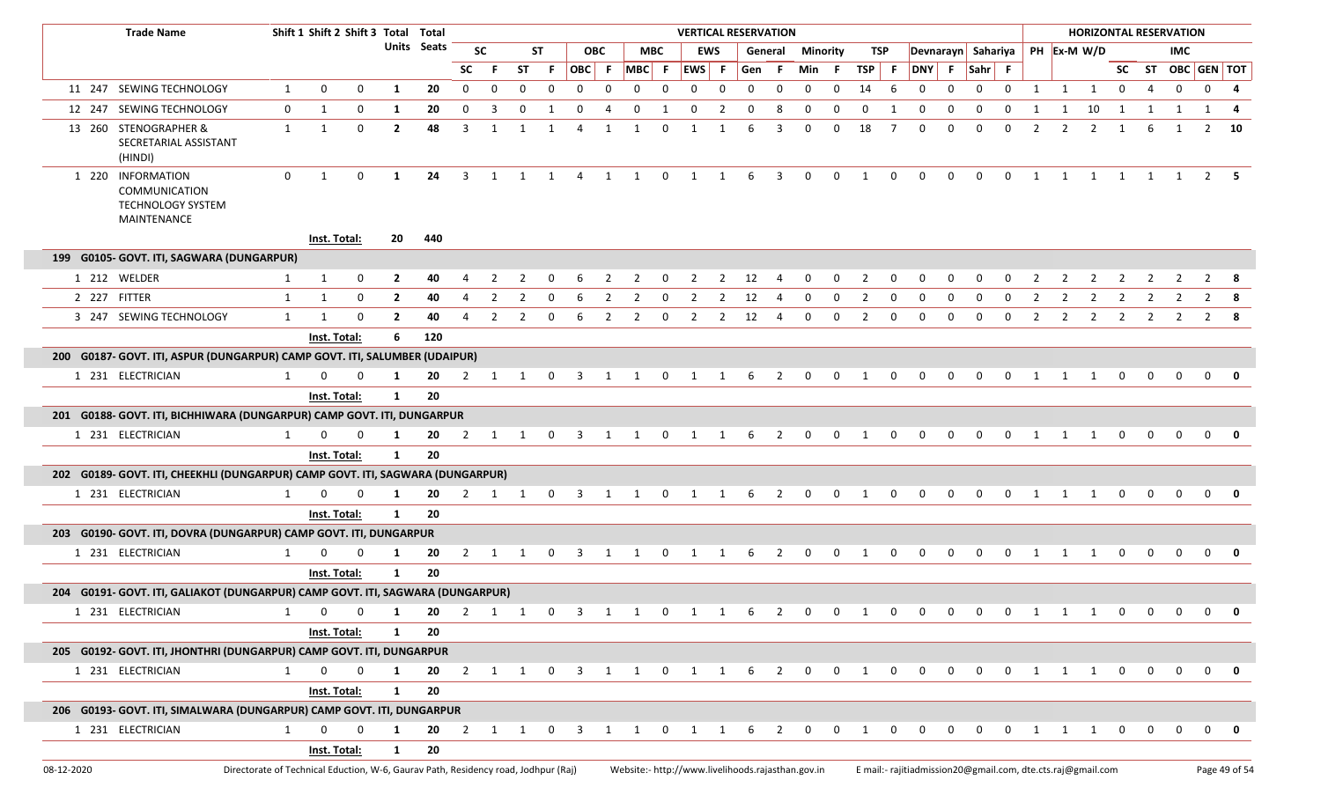| <b>Trade Name</b>                                                              |                                                                                                                                                                                            | Shift 1 Shift 2 Shift 3 Total Total |              |                |             |                         |             |                |                |                |            |                                                   |              |                                   |              | <b>VERTICAL RESERVATION</b> |                         |             |                 |                |             |                                                                |              |              |             |   |                         |                |              |              | <b>HORIZONTAL RESERVATION</b> |             |               |
|--------------------------------------------------------------------------------|--------------------------------------------------------------------------------------------------------------------------------------------------------------------------------------------|-------------------------------------|--------------|----------------|-------------|-------------------------|-------------|----------------|----------------|----------------|------------|---------------------------------------------------|--------------|-----------------------------------|--------------|-----------------------------|-------------------------|-------------|-----------------|----------------|-------------|----------------------------------------------------------------|--------------|--------------|-------------|---|-------------------------|----------------|--------------|--------------|-------------------------------|-------------|---------------|
|                                                                                |                                                                                                                                                                                            |                                     |              |                | Units Seats |                         | <b>SC</b>   |                | ST             |                | <b>OBC</b> |                                                   | МВС          |                                   | <b>EWS</b>   |                             | General                 |             | <b>Minority</b> |                | TSP         | Devnarayn Sahariya                                             |              |              |             |   |                         | PH Ex-M W/D    |              |              | IMC.                          |             |               |
|                                                                                |                                                                                                                                                                                            |                                     |              |                |             | <b>SC</b>               | - F         | <b>ST</b>      | - F            | OBC F          |            |                                                   | $MBC$ F      | <b>EWS</b>                        | $\mathsf{F}$ | Gen F                       |                         | Min F       |                 | TSP            | - F         | DNY F                                                          |              | $Sahr$ F     |             |   |                         |                |              |              | SC ST OBC GEN TOT             |             |               |
| 11 247 SEWING TECHNOLOGY                                                       | $\mathbf{1}$                                                                                                                                                                               | $\mathbf{0}$                        | 0            | 1              | 20          | $\Omega$                | $\Omega$    |                | 0              | 0              | $\Omega$   | $\Omega$                                          | $\mathbf 0$  | 0                                 | $\Omega$     | $\Omega$                    | 0                       | 0           | $\Omega$        | 14             | - 6         | 0                                                              | 0            | $\mathbf 0$  | 0           | 1 | 1 1                     |                | 0            |              | $\mathbf 0$                   | $\mathbf 0$ | 4             |
| 12 247 SEWING TECHNOLOGY                                                       | 0                                                                                                                                                                                          | 1                                   | 0            | 1              | 20          | 0                       | 3           |                |                |                |            | <sup>0</sup>                                      |              | -0                                |              |                             |                         | 0           |                 | <sup>0</sup>   |             |                                                                |              | <sup>0</sup> | $\Omega$    |   | 1                       | 10             | 1            |              | 1                             | 1           |               |
| 13 260 STENOGRAPHER &<br>SECRETARIAL ASSISTANT<br>(HINDI)                      | 1                                                                                                                                                                                          | 1                                   | $\mathbf 0$  | $\mathbf{2}$   | 48          | 3                       | 1           | -1             | -1             | 4              |            | 1                                                 | $\Omega$     | 1                                 |              | -6                          | 3                       | $\Omega$    | 0               | 18             | - 7         | <sup>0</sup>                                                   | <sup>0</sup> | $\Omega$     | $\Omega$    |   | 2                       | 2              |              |              | 1                             | 2           | - 10          |
| 1 220 INFORMATION<br>COMMUNICATION<br>TECHNOLOGY SYSTEM<br>MAINTENANCE         | $\mathbf 0$                                                                                                                                                                                | 1                                   | 0            | 1              | 24          | $\overline{\mathbf{3}}$ | 1           | $\mathbf{1}$   | $\overline{1}$ | $\overline{4}$ |            | $1 \quad 1$                                       | $\mathbf 0$  | <b>1</b>                          | 1            | 6                           | 3                       | 0           | $\mathbf 0$     | 1              | $\mathbf 0$ | $\mathbf{0}$                                                   | $\mathbf 0$  | $\mathbf 0$  | $\mathbf 0$ | 1 | $\overline{\mathbf{1}}$ |                |              |              | 1 1 1 1 2 5                   |             |               |
|                                                                                |                                                                                                                                                                                            |                                     | Inst. Total: | 20             | 440         |                         |             |                |                |                |            |                                                   |              |                                   |              |                             |                         |             |                 |                |             |                                                                |              |              |             |   |                         |                |              |              |                               |             |               |
| 199 G0105- GOVT. ITI, SAGWARA (DUNGARPUR)                                      |                                                                                                                                                                                            |                                     |              |                |             |                         |             |                |                |                |            |                                                   |              |                                   |              |                             |                         |             |                 |                |             |                                                                |              |              |             |   |                         |                |              |              |                               |             |               |
| 1 212 WELDER                                                                   | $\mathbf{1}$                                                                                                                                                                               | 1                                   | 0            | $\overline{2}$ | 40          |                         | 2           | 2              | 0              | 6              | 2          | 2                                                 | 0            | 2                                 | 2            | 12                          | -4                      | 0           | 0               | 2              | 0           | 0                                                              | 0            | 0            | 0           | 2 | 2                       | 2              | 2            | 2            | -2                            |             | - 8           |
| 2 227 FITTER                                                                   | 1                                                                                                                                                                                          | 1                                   | $\mathbf 0$  | $\overline{2}$ | 40          |                         | -2          |                |                |                | 2          | 2                                                 | 0            | -2                                | 2            | 12                          |                         | $\Omega$    |                 | 2              | 0           |                                                                |              |              | - 0         | 2 | 2                       | 2              | <sup>2</sup> | 2            | 2                             |             |               |
| 3 247 SEWING TECHNOLOGY                                                        | 1                                                                                                                                                                                          | -1                                  | 0            | 2              | 40          |                         | 2           | 2              | 0              | 6              | 2          | 2                                                 | $\mathbf{0}$ | 2                                 | $\mathbf{2}$ | 12                          | -4                      | 0           | 0               | 2              | $\mathbf 0$ | 0                                                              | 0            | 0            | $\Omega$    | 2 | 2                       | $\overline{2}$ | 2            | 2            | $\overline{2}$                | 2           | - 8           |
|                                                                                |                                                                                                                                                                                            |                                     |              | 6              | 120         |                         |             |                |                |                |            |                                                   |              |                                   |              |                             |                         |             |                 |                |             |                                                                |              |              |             |   |                         |                |              |              |                               |             |               |
|                                                                                | Inst. Total:<br>200 G0187- GOVT. ITI, ASPUR (DUNGARPUR) CAMP GOVT. ITI, SALUMBER (UDAIPUR)<br>20<br>$\Omega$<br><sup>n</sup><br>0<br>- 0<br>$\overline{2}$<br>1<br>-1<br><sup>0</sup><br>1 |                                     |              |                |             |                         |             |                |                |                |            |                                                   |              |                                   |              |                             |                         |             |                 |                |             |                                                                |              |              |             |   |                         |                |              |              |                               |             |               |
| 1 231 ELECTRICIAN                                                              |                                                                                                                                                                                            |                                     | Inst. Total: | 1              | 20          |                         |             |                |                |                |            |                                                   |              |                                   |              |                             |                         |             |                 |                |             |                                                                |              |              |             |   |                         |                |              | $\Omega$     | $\Omega$                      | $\Omega$    |               |
| 201 G0188- GOVT. ITI, BICHHIWARA (DUNGARPUR) CAMP GOVT. ITI, DUNGARPUR         |                                                                                                                                                                                            |                                     |              |                |             |                         |             |                |                |                |            |                                                   |              |                                   |              |                             |                         |             |                 |                |             |                                                                |              |              |             |   |                         |                |              |              |                               |             |               |
| 1 231 ELECTRICIAN                                                              | 1                                                                                                                                                                                          | 0                                   | 0            | 1              | 20          |                         |             |                |                |                |            | 2 1 1 0 3 1 1 0 1 1                               |              |                                   |              | 6                           | $\overline{\mathbf{2}}$ | $\mathbf 0$ | $\mathbf{0}$    | $\overline{1}$ | $\mathbf 0$ | $\mathbf{0}$                                                   | $\mathbf 0$  | $\mathbf{0}$ | $\mathbf 0$ | 1 | $\overline{\mathbf{1}}$ | $\overline{1}$ | $\Omega$     | $\Omega$     | $\Omega$                      | $\Omega$    | 0             |
|                                                                                |                                                                                                                                                                                            |                                     | Inst. Total: | 1              | 20          |                         |             |                |                |                |            |                                                   |              |                                   |              |                             |                         |             |                 |                |             |                                                                |              |              |             |   |                         |                |              |              |                               |             |               |
| 202 G0189- GOVT. ITI, CHEEKHLI (DUNGARPUR) CAMP GOVT. ITI, SAGWARA (DUNGARPUR) |                                                                                                                                                                                            |                                     |              |                |             |                         |             |                |                |                |            |                                                   |              |                                   |              |                             |                         |             |                 |                |             |                                                                |              |              |             |   |                         |                |              |              |                               |             |               |
| 1 231 ELECTRICIAN                                                              | 1                                                                                                                                                                                          |                                     | $\Omega$     | 1              | 20          | 2                       | 1           | $\overline{1}$ | 0              | -3             |            |                                                   | $\Omega$     |                                   |              |                             |                         | $\Omega$    | <sup>n</sup>    | -1             |             |                                                                |              |              |             |   |                         |                | $\Omega$     | 0            | $\Omega$                      | $\Omega$    |               |
|                                                                                |                                                                                                                                                                                            |                                     | Inst. Total: | 1              | 20          |                         |             |                |                |                |            |                                                   |              |                                   |              |                             |                         |             |                 |                |             |                                                                |              |              |             |   |                         |                |              |              |                               |             |               |
| 203 G0190- GOVT. ITI, DOVRA (DUNGARPUR) CAMP GOVT. ITI, DUNGARPUR              |                                                                                                                                                                                            |                                     |              |                |             |                         |             |                |                |                |            |                                                   |              |                                   |              |                             |                         |             |                 |                |             |                                                                |              |              |             |   |                         |                |              |              |                               |             |               |
| 1 231 ELECTRICIAN                                                              | 1                                                                                                                                                                                          |                                     | O            | 1              | 20          |                         |             |                |                | 2 1 1 0 3      | 1          | 1                                                 |              | $\begin{matrix}0&1&1\end{matrix}$ |              | 6                           | 2                       | $\mathbf 0$ | 0               | $\overline{1}$ | 0           | $\Omega$                                                       | $\Omega$     | $\Omega$     | $\Omega$    | 1 | $\overline{1}$          | 1              | $\Omega$     | 0            | $\Omega$                      | $\Omega$    | 0             |
|                                                                                |                                                                                                                                                                                            |                                     | Inst. Total: | 1              | 20          |                         |             |                |                |                |            |                                                   |              |                                   |              |                             |                         |             |                 |                |             |                                                                |              |              |             |   |                         |                |              |              |                               |             |               |
| 204 G0191- GOVT. ITI, GALIAKOT (DUNGARPUR) CAMP GOVT. ITI, SAGWARA (DUNGARPUR) |                                                                                                                                                                                            |                                     |              |                |             |                         |             |                |                |                |            |                                                   |              |                                   |              |                             |                         |             |                 |                |             |                                                                |              |              |             |   |                         |                |              |              |                               |             |               |
| 1 231 ELECTRICIAN                                                              |                                                                                                                                                                                            | 1 0 0 1 20 2 1 1 0 3 1 1 0          |              |                |             |                         |             |                |                |                |            |                                                   |              | $\mathbf{1}$                      |              | D                           |                         |             | <b>U</b>        |                |             |                                                                |              |              |             |   |                         |                |              |              |                               |             |               |
|                                                                                |                                                                                                                                                                                            |                                     | Inst. Total: | 1              | 20          |                         |             |                |                |                |            |                                                   |              |                                   |              |                             |                         |             |                 |                |             |                                                                |              |              |             |   |                         |                |              |              |                               |             |               |
| 205 G0192- GOVT. ITI, JHONTHRI (DUNGARPUR) CAMP GOVT. ITI, DUNGARPUR           |                                                                                                                                                                                            |                                     |              |                |             |                         |             |                |                |                |            |                                                   |              |                                   |              |                             |                         |             |                 |                |             |                                                                |              |              |             |   |                         |                |              |              |                               |             |               |
| 1 231 ELECTRICIAN                                                              |                                                                                                                                                                                            | 1<br>$\mathbf{0}$                   | 0            | $\mathbf{1}$   |             |                         |             |                |                |                |            |                                                   |              |                                   |              |                             |                         |             |                 |                |             | 20 2 1 1 0 3 1 1 0 1 1 6 2 0 0 1 0 0 0 0 0 0 1 1 1 0 0 0 0 0 0 |              |              |             |   |                         |                |              |              |                               |             |               |
|                                                                                |                                                                                                                                                                                            |                                     | Inst. Total: | $\mathbf{1}$   | 20          |                         |             |                |                |                |            |                                                   |              |                                   |              |                             |                         |             |                 |                |             |                                                                |              |              |             |   |                         |                |              |              |                               |             |               |
| 206 G0193- GOVT. ITI, SIMALWARA (DUNGARPUR) CAMP GOVT. ITI, DUNGARPUR          |                                                                                                                                                                                            |                                     |              |                |             |                         |             |                |                |                |            |                                                   |              |                                   |              |                             |                         |             |                 |                |             |                                                                |              |              |             |   |                         |                |              |              |                               |             |               |
| 1 231 ELECTRICIAN                                                              |                                                                                                                                                                                            | $\mathbf{0}$<br>1                   | $\mathbf 0$  | 1              | 20          | $\overline{2}$          | $1 \quad 1$ |                | $\mathbf 0$    | 3              |            | 1                                                 | $\mathbf 0$  | 1                                 | 1            | 6                           | 2                       | $\Omega$    | $\Omega$        | 1              | $\mathbf 0$ | 0                                                              | 0            | $\mathbf 0$  | 0           | 1 | 1                       | 1              | $\mathbf 0$  | $\mathbf{0}$ | $\Omega$                      | $\mathbf 0$ | 0             |
|                                                                                | 20<br>Inst. Total:<br>$\mathbf{1}$                                                                                                                                                         |                                     |              |                |             |                         |             |                |                |                |            |                                                   |              |                                   |              |                             |                         |             |                 |                |             |                                                                |              |              |             |   |                         |                |              |              |                               |             |               |
| 08-12-2020                                                                     | Directorate of Technical Eduction, W-6, Gaurav Path, Residency road, Jodhpur (Raj)                                                                                                         |                                     |              |                |             |                         |             |                |                |                |            | Website:- http://www.livelihoods.rajasthan.gov.in |              |                                   |              |                             |                         |             |                 |                |             | E mail:- rajitiadmission20@gmail.com, dte.cts.raj@gmail.com    |              |              |             |   |                         |                |              |              |                               |             | Page 49 of 54 |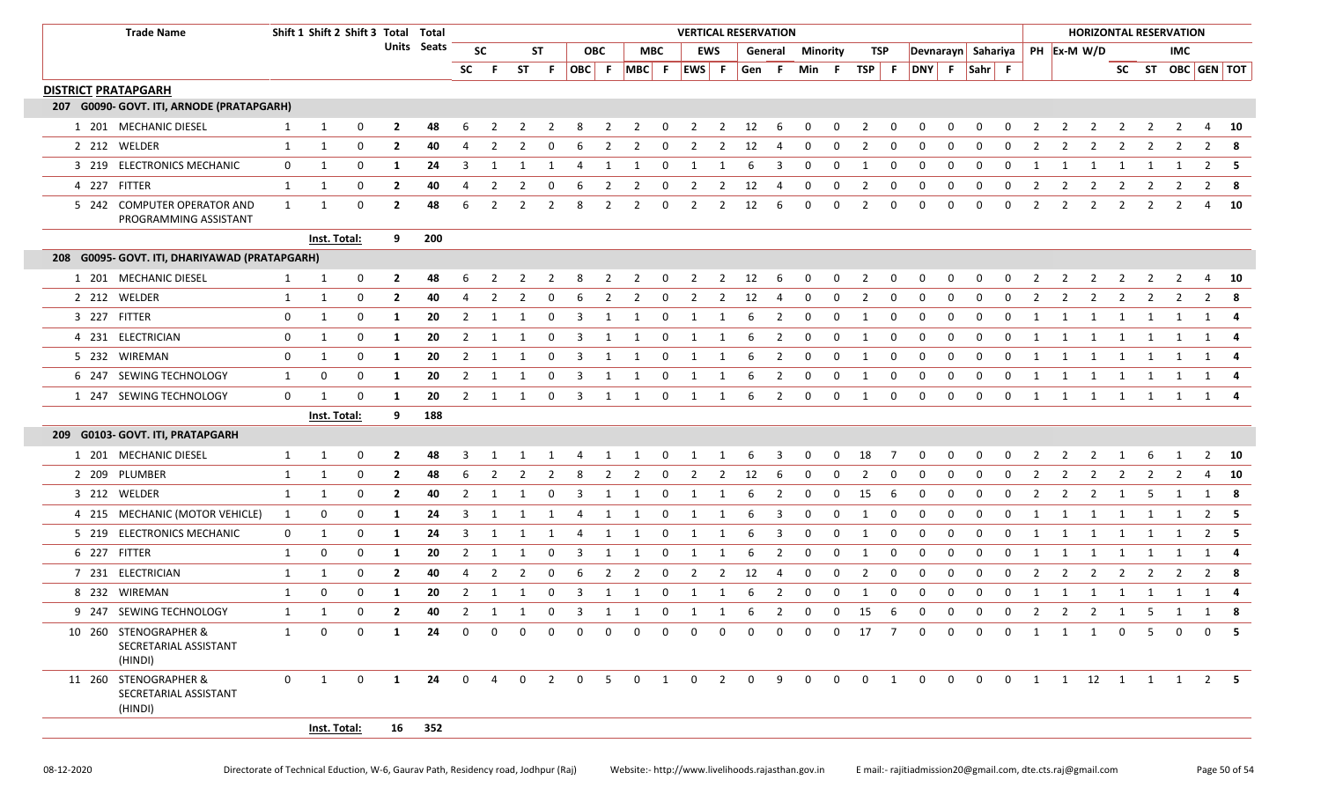|                            | <b>Trade Name</b>                                         |              |              |                                     |                |             |                |                |          |                |                         |                |                                        |                         | <b>VERTICAL RESERVATION</b>    |                |                |                         |                         |                |                         |                |                                  |              |              |                         |                |                |                          |                         |                | <b>HORIZONTAL RESERVATION</b> |                    |                         |
|----------------------------|-----------------------------------------------------------|--------------|--------------|-------------------------------------|----------------|-------------|----------------|----------------|----------|----------------|-------------------------|----------------|----------------------------------------|-------------------------|--------------------------------|----------------|----------------|-------------------------|-------------------------|----------------|-------------------------|----------------|----------------------------------|--------------|--------------|-------------------------|----------------|----------------|--------------------------|-------------------------|----------------|-------------------------------|--------------------|-------------------------|
|                            |                                                           |              |              | Shift 1 Shift 2 Shift 3 Total Total |                | Units Seats |                | <b>SC</b>      |          | ST             |                         | <b>OBC</b>     |                                        | MBC                     |                                | EWS            |                | General                 | <b>Minority</b>         |                | TSP                     |                | Devnarayn Sahariya   PH Ex-M W/D |              |              |                         |                |                |                          |                         |                | <b>IMC</b>                    |                    |                         |
|                            |                                                           |              |              |                                     |                |             | <b>SC</b>      | - F            |          | ST F           | OBC F                   |                |                                        |                         | $MBC$ F $EWS$ F                |                | Gen F          |                         | Min F                   |                | $TSP$ F                 |                | DNY F Sahr F                     |              |              |                         |                |                |                          |                         |                |                               | SC ST OBC GEN TOT  |                         |
| <b>DISTRICT PRATAPGARH</b> |                                                           |              |              |                                     |                |             |                |                |          |                |                         |                |                                        |                         |                                |                |                |                         |                         |                |                         |                |                                  |              |              |                         |                |                |                          |                         |                |                               |                    |                         |
|                            | 207 G0090- GOVT. ITI, ARNODE (PRATAPGARH)                 |              |              |                                     |                |             |                |                |          |                |                         |                |                                        |                         |                                |                |                |                         |                         |                |                         |                |                                  |              |              |                         |                |                |                          |                         |                |                               |                    |                         |
|                            | 1 201 MECHANIC DIESEL                                     | $\mathbf{1}$ | 1            | 0                                   | $\mathbf{2}$   | 48          |                |                |          |                |                         |                | 2                                      | 0                       |                                | 2              | 12             | 6                       | $\Omega$                | 0              | 2                       | 0              |                                  | 0            | 0            |                         |                |                |                          |                         |                |                               |                    | 10                      |
|                            | 2 212 WELDER                                              | 1            | 1            | 0                                   | $\mathbf{2}$   | 40          | 4              | 2              | 2        | 0              | 6                       | 2              | 2                                      | 0                       | 2                              | 2              | 12             | 4                       | 0                       | 0              | 2                       | 0              | 0                                | 0            | 0            | $\Omega$                | 2              | 2              | 2                        | 2                       | 2              | 2                             | $\overline{2}$     | $\overline{\mathbf{8}}$ |
|                            | 3 219 ELECTRONICS MECHANIC                                | $\mathbf{0}$ | 1            | 0                                   | 1              | 24          | 3              | 1              |          | -1             | 4                       | 1              | 1                                      | $\mathbf 0$             | 1                              | 1              | 6              | 3                       | 0                       | 0              | 1                       | 0              | 0                                | 0            | 0            | $\Omega$                | -1             |                | -1                       | 1                       | 1              |                               | $\overline{2}$     | - 5                     |
|                            | 4 227 FITTER                                              | 1            | 1            | $\mathbf 0$                         | $\overline{2}$ | 40          | 4              | $\overline{2}$ | 2        | 0              | 6                       | $\overline{2}$ | $\overline{2}$                         | $\mathbf 0$             | $\overline{2}$                 | $\overline{2}$ | 12             | 4                       | $\mathbf 0$             | 0              | $\overline{2}$          | 0              | 0                                | 0            | 0            | 0                       | $\overline{2}$ | $\overline{2}$ | $\overline{2}$           | 2                       | 2              | 2                             |                    | $2 \times 8$            |
|                            | 5 242 COMPUTER OPERATOR AND<br>PROGRAMMING ASSISTANT      | $\mathbf{1}$ | 1            | $\mathbf 0$                         | $\overline{2}$ | 48          | 6              | $\overline{2}$ | 2        | 2              | 8                       | $\overline{2}$ | 2                                      | $\mathbf 0$             | $\overline{2}$                 | 2              | 12             | 6                       | $\mathbf 0$             | 0              | 2                       | 0              | $\Omega$                         | 0            | 0            | 0                       | $\overline{2}$ | 2              | $\overline{2}$           | 2                       | 2              | 2                             | 4                  | - 10                    |
|                            |                                                           |              | Inst. Total: |                                     | 9              | 200         |                |                |          |                |                         |                |                                        |                         |                                |                |                |                         |                         |                |                         |                |                                  |              |              |                         |                |                |                          |                         |                |                               |                    |                         |
|                            | 208 G0095- GOVT. ITI, DHARIYAWAD (PRATAPGARH)             |              |              |                                     |                |             |                |                |          |                |                         |                |                                        |                         |                                |                |                |                         |                         |                |                         |                |                                  |              |              |                         |                |                |                          |                         |                |                               |                    |                         |
|                            | 1 201 MECHANIC DIESEL                                     | 1            | 1            | $\mathbf 0$                         | $\mathbf{2}$   | 48          | 6              | 2              | 2        | $\overline{2}$ | - 8                     | $\overline{2}$ |                                        | 2 0                     | 2 2 12 6                       |                |                |                         | $\overline{\mathbf{0}}$ | $\overline{0}$ | $\overline{\mathbf{c}}$ | $\mathbf 0$    | $\mathbf{0}$                     | $\mathbf{0}$ | $\mathbf{0}$ | $\overline{\mathbf{0}}$ | $\overline{2}$ | $\overline{2}$ | $\overline{\phantom{a}}$ | $\overline{\mathbf{2}}$ | $\overline{2}$ | $\overline{2}$                |                    | 4 10                    |
|                            | 2 212 WELDER                                              | 1            | 1            | $\mathbf 0$                         | $\overline{2}$ | 40          | 4              | 2              | 2        | $\Omega$       | -6                      | 2              | 2                                      | $\mathbf 0$             | 2                              | 2              | 12             | 4                       | 0                       | 0              | 2                       | 0              | $\mathbf 0$                      | 0            | $\Omega$     | 0                       | 2              | 2              | 2                        | 2                       | 2              |                               | 2                  | - 8                     |
|                            | 3 227 FITTER                                              | 0            | 1            | $\mathbf 0$                         | -1             | 20          | 2              | 1              |          | 0              | -3                      | 1              |                                        | $\mathbf 0$             | 1                              | 1              | 6              | 2                       | 0                       | 0              | -1                      | $\mathbf{0}$   | 0                                | 0            | $\Omega$     | $\Omega$                | 1              | 1              | 1                        | $\overline{1}$          | 1              |                               | -1                 |                         |
|                            | 4 231 ELECTRICIAN                                         | 0            | 1            | 0                                   | -1             | 20          | 2              | -1             | 1        | 0              | -3                      | 1              | 1                                      | $\mathbf 0$             | 1                              | 1              | -6             | 2                       | $\mathbf 0$             | 0              | 1                       | $\mathbf{0}$   | 0                                | $\mathbf 0$  | $\mathbf 0$  | 0                       | 1              | 1              | -1                       | 1                       | 1              |                               |                    |                         |
|                            | 5 232 WIREMAN                                             | 0            | 1            | $\mathbf 0$                         | -1             | 20          | $\overline{2}$ | 1              | 1        | $\mathbf 0$    | 3                       | $\mathbf{1}$   | 1                                      | $\overline{\mathbf{0}}$ | $\mathbf{1}$                   | 1              | 6              | $\overline{2}$          | $\overline{\mathbf{0}}$ | $\mathbf 0$    | 1                       | $\mathbf 0$    | $\mathbf 0$                      | $\mathbf 0$  | $\mathbf 0$  | $\mathbf 0$             | 1              | 1              | $\overline{1}$           | $\overline{1}$          | 1              | 1                             | 1 4                |                         |
|                            | 6 247 SEWING TECHNOLOGY                                   | 1            | 0            | 0                                   | -1             | 20          | 2              | -1             | 1        | 0              | 3                       | 1              |                                        | 0                       | 1                              | 1              | 6              | 2                       | 0                       | 0              | -1                      | 0              | 0                                | 0            | $\Omega$     | $\Omega$                | 1              | 1              | 1                        | 1                       | 1              |                               |                    | 1 4                     |
|                            | 1 247 SEWING TECHNOLOGY                                   | $\mathbf 0$  | $\mathbf{1}$ | $\mathbf 0$                         | -1             | 20          | $\overline{2}$ | 1              | 1        | $\mathbf 0$    | $\overline{\mathbf{3}}$ | 1              | 1                                      | $\overline{0}$          | 1                              | 1              | 6              | $\overline{2}$          | $\mathbf 0$             | $\mathbf 0$    | 1                       | $\mathbf 0$    | $\mathbf 0$                      | $\mathbf 0$  | $\mathbf 0$  | $\mathbf 0$             | 1              | $\mathbf{1}$   | $\overline{1}$           | $\overline{1}$          |                |                               | 1 1 1 4            |                         |
|                            |                                                           |              | Inst. Total: |                                     | 9              | 188         |                |                |          |                |                         |                |                                        |                         |                                |                |                |                         |                         |                |                         |                |                                  |              |              |                         |                |                |                          |                         |                |                               |                    |                         |
|                            | 209 G0103- GOVT. ITI, PRATAPGARH                          |              |              |                                     |                |             |                |                |          |                |                         |                |                                        |                         |                                |                |                |                         |                         |                |                         |                |                                  |              |              |                         |                |                |                          |                         |                |                               |                    |                         |
|                            | 1 201 MECHANIC DIESEL                                     | 1            | 1            | 0                                   | $\overline{2}$ | 48          |                |                |          |                |                         |                |                                        | <sup>0</sup>            |                                |                | 6              | 3                       | 0                       | 0              | 18                      |                | 0                                | O            | $\Omega$     |                         |                | 2              |                          |                         | -6             |                               | $\overline{2}$     | 10                      |
|                            | 2 209 PLUMBER                                             | 1            | 1            | 0                                   | $\mathbf{2}$   | 48          | 6              | 2              | 2        | 2              | -8                      | 2              | 2                                      | $\mathbf 0$             | 2                              | 2              | 12             | 6                       | 0                       | 0              | 2                       | 0              | 0                                | 0            | $\Omega$     | $\Omega$                | 2              | 2              | 2                        | 2                       | 2              | 2                             | 4                  | <b>10</b>               |
|                            | 3 212 WELDER                                              | $\mathbf{1}$ | 1            | 0                                   | $\mathbf{2}$   | 40          | 2              | -1             | 1        | 0              | 3                       | 1              | 1                                      | 0                       | 1                              | 1              | -6             | 2                       | $\mathbf 0$             | 0              | 15                      | 6              | 0                                | 0            | $\mathbf 0$  | 0                       | $\overline{2}$ | 2              | 2                        | 1                       | -5             |                               |                    | 1 8                     |
|                            | 4 215 MECHANIC (MOTOR VEHICLE)                            | 1            | 0            | $\mathbf 0$                         | 1              | 24          | 3              | 1              | 1        | $\mathbf{1}$   | 4                       | $\overline{1}$ | $\mathbf{1}$                           | $\overline{\mathbf{0}}$ | $\mathbf{1}$                   | 1              | 6              | $\overline{\mathbf{3}}$ | $\overline{\mathbf{0}}$ | $\mathbf 0$    | 1                       | $\mathbf 0$    | $\mathbf 0$                      | $\mathbf 0$  | $\mathbf 0$  | $\mathbf 0$             | 1              | 1              | $\mathbf{1}$             | $\overline{1}$          | 1              | 1                             |                    | $2 \quad 5$             |
|                            | 5 219 ELECTRONICS MECHANIC                                | $\mathbf{0}$ | 1            | 0                                   | -1             | 24          | 3              | -1             | 1        | -1             | 4                       | 1              | 1                                      | 0                       | 1                              | 1              | 6              | 3                       | 0                       | 0              | -1                      | 0              | 0                                | 0            | 0            | $\Omega$                | 1              | 1              | 1                        |                         | 1              |                               | $\overline{2}$     | - 5                     |
|                            | 6 227 FITTER                                              | 1            | 0            | 0                                   | -1             | 20          | $\overline{2}$ | 1              | 1        | 0              | 3                       | 1              | 1                                      | $\mathbf 0$             | 1                              | 1              | -6             | $\overline{2}$          | $\mathbf 0$             | 0              | -1                      | 0              | 0                                | 0            | $\mathbf 0$  | 0                       | 1              | 1              | 1                        | 1                       | 1              | 1                             |                    | 1 4                     |
|                            | 7 231 ELECTRICIAN                                         | 1            | 1            | 0                                   | $\overline{2}$ | 40          | 4              | 2              | 2        | 0              | -6                      | $\overline{2}$ | 2                                      | $\mathbf 0$             | 2                              | 2              | 12             | -4                      | $\mathbf 0$             | 0              | 2                       | 0              | $\mathbf 0$                      | 0            | $\mathbf 0$  | $\mathbf 0$             | $\overline{2}$ | $\overline{2}$ | $\overline{2}$           | 2                       | 2              |                               | 2                  |                         |
|                            | 8 232 WIREMAN                                             | 1            | 0            | 0                                   | -1             | 20          | $\overline{2}$ | 1              | 1        | 0              | $\overline{\mathbf{3}}$ | 1              | 1                                      | $\overline{\mathbf{0}}$ | $\mathbf{1}$                   | 1              | 6              | $\overline{2}$          | $\overline{0}$          | $\mathbf 0$    | 1                       | $\mathbf 0$    | $\mathbf 0$                      | $\mathbf 0$  | $\mathbf 0$  | $\mathbf 0$             | 1              | $\mathbf{1}$   | $\overline{1}$           | <sup>1</sup>            | $\mathbf{1}$   | $\overline{1}$                | 1 4                |                         |
|                            | 9 247 SEWING TECHNOLOGY                                   |              |              | $\mathbf 0$                         | $\overline{2}$ | 40          |                |                |          |                |                         |                | 2 1 1 0 3 1 1 0 1 1 6 2 0 0 15 6 0 0 0 |                         |                                |                |                |                         |                         |                |                         |                |                                  |              |              |                         |                |                |                          |                         |                |                               | 0 2 2 2 1 5 1 1    |                         |
|                            | 10 260 STENOGRAPHER &<br>SECRETARIAL ASSISTANT<br>(HINDI) | $\mathbf{1}$ | $\Omega$     | $\Omega$                            | 1              | 24          | $\Omega$       | $\Omega$       | $\Omega$ | $\Omega$       | $\Omega$                | $\Omega$       | $\Omega$                               | $\Omega$                | 0                              | $\Omega$       | <sup>n</sup>   | $\Omega$                | $\Omega$                | $\Omega$       | 17                      | $\overline{7}$ | $\Omega$                         | $\Omega$     | $\Omega$     | $\Omega$                | 1              | $\mathbf{1}$   | $\overline{1}$           | $\Omega$                | -5             | $\Omega$                      |                    | 0 <sub>5</sub>          |
|                            | 11 260 STENOGRAPHER &<br>SECRETARIAL ASSISTANT<br>(HINDI) | $\mathbf{0}$ | $\mathbf{1}$ | $\mathbf 0$                         | $\mathbf{1}$   | 24          | $\mathbf{0}$   | $\overline{4}$ |          | $0\qquad 2$    | $\overline{0}$          | 5 <sup>5</sup> |                                        |                         | $0 \qquad 1 \qquad 0 \qquad 2$ |                | $\overline{0}$ | 9                       | $\overline{0}$          | $\mathbf{0}$   | $0\qquad 1$             |                | $\overline{0}$                   |              | $0\qquad 0$  |                         |                |                |                          |                         |                |                               | 0 1 1 12 1 1 1 2 5 |                         |
|                            |                                                           |              | Inst. Total: |                                     |                | 16 352      |                |                |          |                |                         |                |                                        |                         |                                |                |                |                         |                         |                |                         |                |                                  |              |              |                         |                |                |                          |                         |                |                               |                    |                         |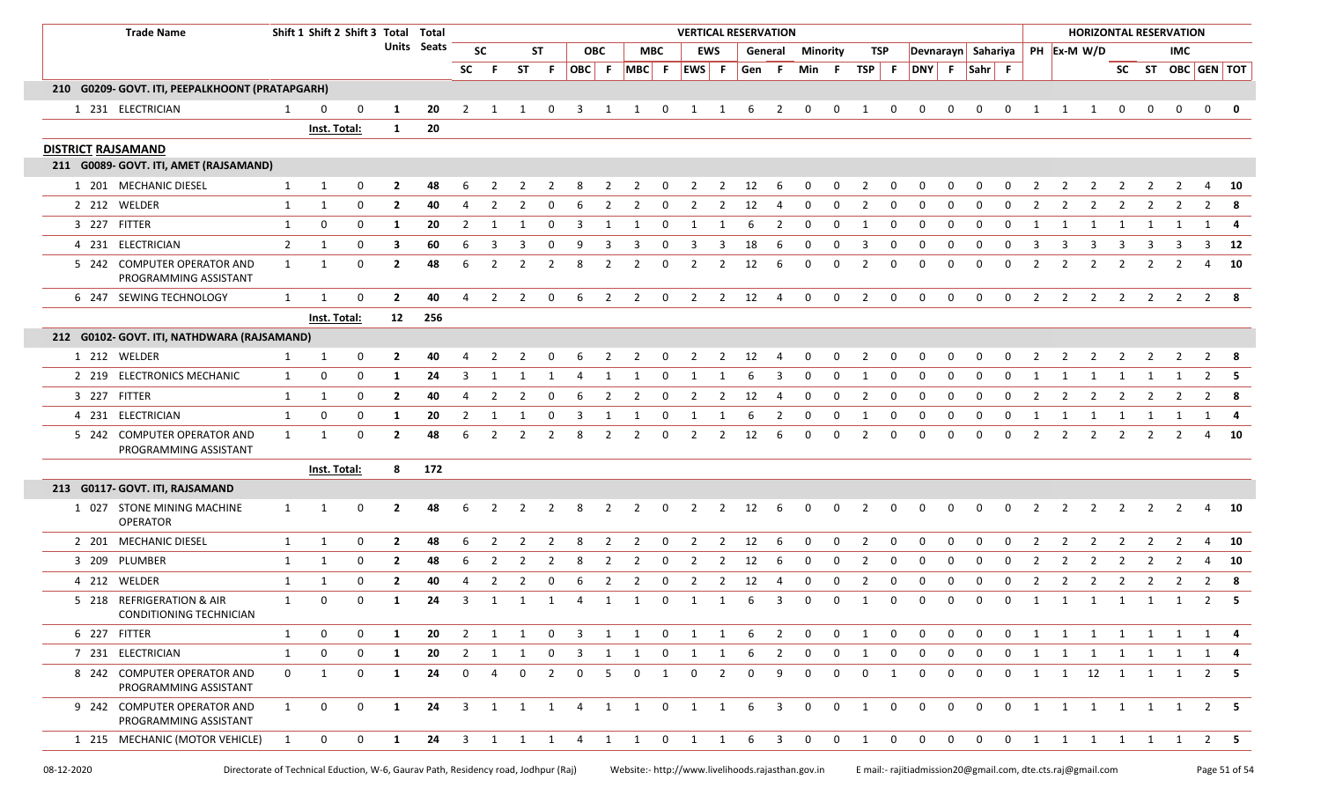|                           | <b>Trade Name</b>                                    |                |                | Shift 1 Shift 2 Shift 3 Total Total<br>Units Seats<br><b>SC</b> |                |     |              |                     |                |                |              |                |                         |                         |                |                | <b>VERTICAL RESERVATION</b> |                |                |                 |                         |                |                |                |                |                |                |                |                                  |                |                | <b>HORIZONTAL RESERVATION</b> |                   |           |
|---------------------------|------------------------------------------------------|----------------|----------------|-----------------------------------------------------------------|----------------|-----|--------------|---------------------|----------------|----------------|--------------|----------------|-------------------------|-------------------------|----------------|----------------|-----------------------------|----------------|----------------|-----------------|-------------------------|----------------|----------------|----------------|----------------|----------------|----------------|----------------|----------------------------------|----------------|----------------|-------------------------------|-------------------|-----------|
|                           |                                                      |                |                |                                                                 |                |     |              |                     |                | <b>ST</b>      |              | <b>OBC</b>     |                         | <b>MBC</b>              |                | <b>EWS</b>     |                             | General        |                | <b>Minority</b> | TSP                     |                |                |                |                |                |                |                | Devnarayn Sahariya   PH Ex-M W/D |                |                | <b>IMC</b>                    |                   |           |
|                           |                                                      |                |                |                                                                 |                |     | <b>SC</b>    | .F.                 | <b>ST</b>      | F.             | OBC F        |                |                         |                         | MBC F EWS F    |                | Gen F                       |                | Min            | - F             | TSP F                   |                | DNY F          |                | Sahr F         |                |                |                |                                  |                |                |                               | SC ST OBC GEN TOT |           |
|                           | 210 G0209- GOVT. ITI, PEEPALKHOONT (PRATAPGARH)      |                |                |                                                                 |                |     |              |                     |                |                |              |                |                         |                         |                |                |                             |                |                |                 |                         |                |                |                |                |                |                |                |                                  |                |                |                               |                   |           |
|                           | 1 231 ELECTRICIAN                                    | $\mathbf{1}$   | 0              | 0                                                               | -1             | 20  | 2            |                     |                |                |              |                |                         | 0                       |                |                | 6                           | 2              | 0              | 0               |                         | 0              | $\Omega$       | 0              | $\Omega$       | $\Omega$       |                |                |                                  |                |                | $\Omega$                      | 0                 |           |
|                           |                                                      |                | Inst. Total:   |                                                                 | 1              | 20  |              |                     |                |                |              |                |                         |                         |                |                |                             |                |                |                 |                         |                |                |                |                |                |                |                |                                  |                |                |                               |                   |           |
| <b>DISTRICT RAJSAMAND</b> |                                                      |                |                |                                                                 |                |     |              |                     |                |                |              |                |                         |                         |                |                |                             |                |                |                 |                         |                |                |                |                |                |                |                |                                  |                |                |                               |                   |           |
|                           | 211 G0089- GOVT. ITI, AMET (RAJSAMAND)               |                |                |                                                                 |                |     |              |                     |                |                |              |                |                         |                         |                |                |                             |                |                |                 |                         |                |                |                |                |                |                |                |                                  |                |                |                               |                   |           |
|                           | 1 201 MECHANIC DIESEL                                | 1              | 1              | 0                                                               | 2              | 48  |              |                     |                |                |              |                |                         | n                       |                | 2              | 12                          | 6              |                | 0               |                         | <sup>0</sup>   |                |                |                |                |                |                |                                  |                |                |                               |                   | 10        |
|                           | 2 212 WELDER                                         | $\mathbf{1}$   | 1              | 0                                                               | $\mathbf{2}$   | 40  |              |                     |                |                |              |                |                         | $\Omega$                | 2              | 2              | 12                          | 4              | 0              | 0               | 2                       | 0              | 0              | 0              | <sup>0</sup>   | n              |                |                |                                  |                |                | 2                             | $2^8$             |           |
|                           | 3 227 FITTER                                         | 1              | 0              | 0                                                               | -1             | 20  | 2            | -1                  |                | $\Omega$       | 3            | 1              |                         | 0                       | 1              | 1              | 6                           | 2              | 0              | 0               | 1                       | 0              | 0              | 0              | 0              | 0              | -1             | 1              | 1                                | 1              | 1              |                               | 1 4               |           |
|                           | 4 231 ELECTRICIAN                                    | $\overline{2}$ | 1              | $\mathbf 0$                                                     | 3              | 60  | 6            | 3                   |                | $\Omega$       | 9            | 3              | 3                       | 0                       | 3              | 3              | 18                          | 6              | 0              | 0               | 3                       | 0              | 0              | 0              | 0              | 0              | -3             | 3              | 3                                | 3              | 3              | 3                             |                   | $3$ 12    |
|                           | 5 242 COMPUTER OPERATOR AND<br>PROGRAMMING ASSISTANT | 1              | 1              | 0                                                               | $\mathbf{2}$   | 48  | 6            | 2                   | 2              | 2              | 8            | 2              | 2                       | 0                       | 2              | 2              | 12                          | 6              | 0              | 0               | 2                       | 0              | 0              | 0              | 0              | $\Omega$       | 2              | 2              | 2                                | 2              | 2              | 2                             | 4                 | - 10      |
|                           | 6 247 SEWING TECHNOLOGY                              | $\mathbf{1}$   | 1              | $\mathbf 0$                                                     | $\overline{2}$ | 40  | 4            | $\overline{2}$      | 2              | 0              | 6            | 2              | $\overline{2}$          | $\overline{0}$          | $\overline{2}$ | $\overline{2}$ | 12                          | $\overline{4}$ | $\mathbf 0$    | $\mathbf 0$     | 2                       | $\mathbf 0$    | $\mathbf 0$    | $\mathbf 0$    | $\mathbf 0$    | $\mathbf 0$    | 2              | $\overline{2}$ | 2                                | 2              | 2              | $\overline{2}$                | $2 \times 8$      |           |
|                           |                                                      |                | Inst. Total:   |                                                                 | 12             | 256 |              |                     |                |                |              |                |                         |                         |                |                |                             |                |                |                 |                         |                |                |                |                |                |                |                |                                  |                |                |                               |                   |           |
|                           | 212 G0102- GOVT. ITI, NATHDWARA (RAJSAMAND)          |                |                |                                                                 |                |     |              |                     |                |                |              |                |                         |                         |                |                |                             |                |                |                 |                         |                |                |                |                |                |                |                |                                  |                |                |                               |                   |           |
|                           | 1 212 WELDER                                         | $\mathbf{1}$   | 1              | 0                                                               | $\overline{2}$ | 40  | 4            | 2                   | $\overline{2}$ | 0              | 6            | $\overline{2}$ | $\overline{2}$          | $\overline{\mathbf{0}}$ | $\overline{2}$ |                | 2 12                        | $\overline{4}$ | $\mathbf 0$    | $\mathbf{0}$    | $\overline{2}$          | $\mathbf 0$    | $\mathbf 0$    | $\mathbf 0$    | 0              | 0              | $\overline{2}$ | $\overline{2}$ | $\overline{2}$                   | $\overline{2}$ | $\overline{2}$ | $\overline{2}$                | $2 \times 8$      |           |
|                           | 2 219 ELECTRONICS MECHANIC                           | 1              | 0              | $\mathbf 0$                                                     | -1             | 24  | 3            | 1                   |                |                | 4            |                |                         | 0                       |                |                |                             | 3              | 0              | 0               | -1                      | 0              | 0              | 0              | $\Omega$       | $\Omega$       | 1              |                | -1                               |                |                |                               | 2                 |           |
|                           | 3 227 FITTER                                         | $\mathbf{1}$   | 1              | 0                                                               | $\overline{2}$ | 40  | 4            | 2                   | $\overline{2}$ | 0              | 6            | $\overline{2}$ | 2                       | 0                       | $\overline{2}$ | $\overline{2}$ | 12                          | 4              | 0              | 0               | $\overline{2}$          | 0              | 0              | 0              | 0              | 0              | $\overline{2}$ | $\overline{2}$ | $\overline{2}$                   | 2              | 2              | 2                             | $2 \times 8$      |           |
|                           | 4 231 ELECTRICIAN                                    | $\mathbf{1}$   | 0              | 0                                                               | $\mathbf{1}$   | 20  | 2            | -1                  |                | 0              |              |                |                         | 0                       |                |                |                             | 2              | 0              | 0               |                         | 0              | 0              | 0              | 0              | 0              | -1             |                |                                  |                |                |                               |                   |           |
|                           | 5 242 COMPUTER OPERATOR AND<br>PROGRAMMING ASSISTANT | $\mathbf{1}$   | 1              | $\mathbf 0$                                                     | $\overline{2}$ | 48  | 6            | 2                   | $\overline{2}$ | $\overline{2}$ | 8            | 2              | 2                       | $\mathbf 0$             | 2              | $\overline{2}$ | 12                          | 6              | 0              | 0               | 2                       | 0              | $\mathbf 0$    | $\mathbf{0}$   | $\mathbf 0$    | $\mathbf 0$    | 2              | $\overline{2}$ | $\overline{2}$                   | $\overline{2}$ | 2              | 2                             | $\overline{4}$    | <b>10</b> |
|                           |                                                      |                | Inst. Total:   |                                                                 | 8              | 172 |              |                     |                |                |              |                |                         |                         |                |                |                             |                |                |                 |                         |                |                |                |                |                |                |                |                                  |                |                |                               |                   |           |
|                           | 213 G0117- GOVT. ITI, RAJSAMAND                      |                |                |                                                                 |                |     |              |                     |                |                |              |                |                         |                         |                |                |                             |                |                |                 |                         |                |                |                |                |                |                |                |                                  |                |                |                               |                   |           |
|                           | 1 027 STONE MINING MACHINE<br>OPERATOR               | 1              | 1              | 0                                                               | $\mathbf{2}$   | 48  | 6            |                     |                |                |              | 2              | 2                       | 0                       | 2              | 2              | 12                          | 6              | 0              | 0               | 2                       | 0              |                | 0              |                | $\Omega$       |                | 2              | 2                                | 2              | 2              | 2                             | 4                 | - 10      |
|                           | 2 201 MECHANIC DIESEL                                | $\mathbf{1}$   | 1              | 0                                                               | $\overline{2}$ | 48  | 6            |                     |                |                |              |                |                         | 0                       |                | 2              | 12                          | 6              | $\Omega$       | 0               | 2                       | $\Omega$       |                | $\Omega$       | $\Omega$       | $\Omega$       |                | 2              | 2                                |                |                |                               | 4                 | 10        |
|                           | 3 209 PLUMBER                                        | 1              | 1              | $\mathbf 0$                                                     | $\overline{2}$ | 48  | 6            | $\overline{2}$      | $\overline{2}$ | $\overline{2}$ | 8            | 2              | 2                       | $\mathbf 0$             | 2              | 2              | 12                          | 6              | $\mathbf 0$    | 0               | 2                       | 0              | $\mathbf 0$    | $\mathbf 0$    | $\mathbf 0$    | $\mathbf 0$    | 2              | $\overline{2}$ | $\overline{2}$                   | 2              | $\overline{2}$ | 2                             | 4                 | 10        |
|                           | 4 212 WELDER                                         | $\mathbf{1}$   | 1              | 0                                                               | $\mathbf{2}$   | 40  |              | 2                   |                | $\Omega$       |              |                |                         | 0                       |                | 2              | 12                          | 4              | $\Omega$       | $\Omega$        | 2                       | 0              | $\Omega$       | <sup>0</sup>   | $\Omega$       | $\Omega$       |                | 2              | 2                                |                | -2             |                               | 2                 | - 8       |
|                           | 5 218 REFRIGERATION & AIR<br>CONDITIONING TECHNICIAN | $\mathbf{1}$   | 0              | 0                                                               | 1              | 24  | 3            | 1                   | 1              | 1              | 4            | 1              |                         | 0                       | 1              | 1              | 6                           | 3              | 0              | 0               | -1                      | 0              | 0              | 0              | 0              | 0              | 1              | 1              | $\mathbf{1}$                     | 1              | 1              | 1                             | $2 \quad 5$       |           |
|                           | 6 227 FITTER                                         | 1              | $\mathbf 0$    | $\mathbf 0$                                                     | 1              | 20  | 2            | $1 \quad 1 \quad 0$ |                |                |              |                | 3 1 1 0 1 1 6 2 0       |                         |                |                |                             |                |                | $\mathbf{0}$    | $\overline{1}$          | $\mathbf 0$    | $\overline{0}$ | $\mathbf 0$    | $\mathbf 0$    | $\mathbf 0$    |                |                |                                  |                |                | 1 1 1 1 1 1 1                 | 1 4               |           |
|                           | 7 231 ELECTRICIAN                                    | $\mathbf{1}$   | 0              | 0                                                               | 1              | 20  |              | $2 \quad 1 \quad 1$ |                | $\mathbf{0}$   |              |                | 3 1 1 0 1               |                         |                | 1              | 6                           | 2              | $\mathbf{0}$   | $\mathbf 0$     | 1                       | $\mathbf 0$    | 0              | 0              | 0              | 0              |                |                |                                  |                |                |                               | 1 1 1 1 1 1 1 4   |           |
|                           | 8 242 COMPUTER OPERATOR AND<br>PROGRAMMING ASSISTANT | $\mathbf 0$    | 1              | $\mathbf 0$                                                     | 1              | 24  | $\mathbf{0}$ | $\overline{4}$      | $\mathbf 0$    | $\overline{2}$ | $\mathbf{0}$ | 5              | $\mathbf{0}$            | $\mathbf{1}$            | $\overline{0}$ | 2              | $\mathbf 0$                 | 9              | $\mathbf 0$    | $\mathbf 0$     | $\mathbf 0$             | 1              | $\mathbf 0$    | $\mathbf 0$    | $\mathbf 0$    | $\mathbf 0$    |                |                |                                  |                |                | 1 1 12 1 1 1                  | $2 \quad 5$       |           |
|                           | 9 242 COMPUTER OPERATOR AND<br>PROGRAMMING ASSISTANT | 1              | $\overline{0}$ | $\mathbf 0$                                                     | 1              | 24  |              |                     |                |                |              |                | 3 1 1 1 4 1 1 0 1 1     |                         |                |                |                             | 6 3 0          |                | $\overline{0}$  | $\overline{\mathbf{1}}$ | $\overline{0}$ | $\overline{0}$ | $\overline{0}$ | $\overline{0}$ | $\overline{0}$ |                |                |                                  |                |                |                               | 1 1 1 1 1 1 2 5   |           |
|                           | 1 215 MECHANIC (MOTOR VEHICLE)                       | 1              | $\mathbf{0}$   | $\mathbf 0$                                                     | $\mathbf{1}$   | 24  |              |                     |                |                |              |                | 3 1 1 1 4 1 1 0 1 1 6 3 |                         |                |                |                             |                | $\overline{0}$ | $\mathsf{O}$    | $\overline{1}$          | $\overline{0}$ | $\overline{0}$ |                | $0\qquad 0$    | $\overline{0}$ |                |                |                                  |                |                |                               | 1 1 1 1 1 1 1 2 5 |           |
|                           |                                                      |                |                |                                                                 |                |     |              |                     |                |                |              |                |                         |                         |                |                |                             |                |                |                 |                         |                |                |                |                |                |                |                |                                  |                |                |                               |                   |           |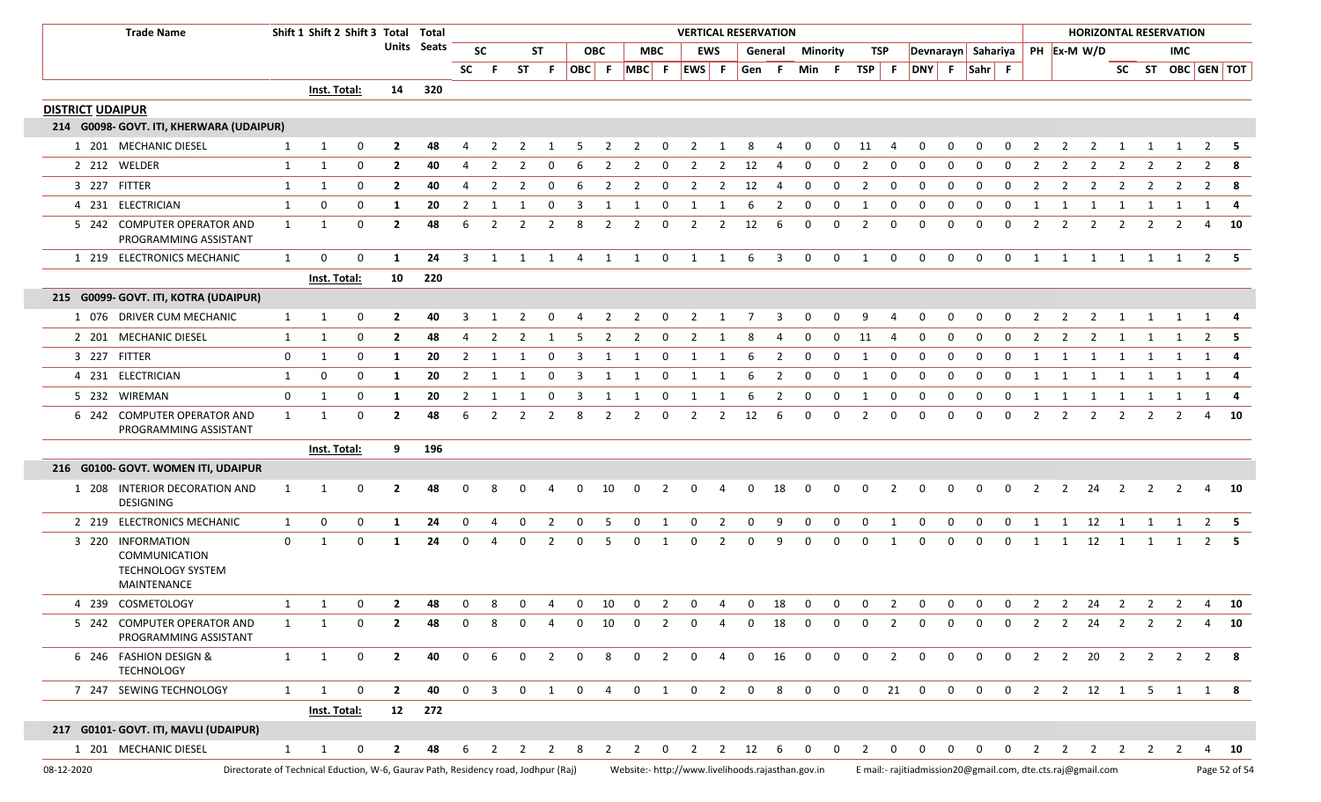|                         | <b>Trade Name</b>                                                             |              | Shift 1 Shift 2 Shift 3 Total                                                      |              |                | Total       |                |                |                |                |              |                |                |                | <b>VERTICAL RESERVATION</b> |                |             |                         |             |                |                |                |                    |                |                |                |                |                | <b>HORIZONTAL RESERVATION</b>                                                                                |                         |                |                |                |                   |
|-------------------------|-------------------------------------------------------------------------------|--------------|------------------------------------------------------------------------------------|--------------|----------------|-------------|----------------|----------------|----------------|----------------|--------------|----------------|----------------|----------------|-----------------------------|----------------|-------------|-------------------------|-------------|----------------|----------------|----------------|--------------------|----------------|----------------|----------------|----------------|----------------|--------------------------------------------------------------------------------------------------------------|-------------------------|----------------|----------------|----------------|-------------------|
|                         |                                                                               |              |                                                                                    |              |                | Units Seats |                | <b>SC</b>      |                | ST             |              | <b>OBC</b>     |                | MBC            |                             | <b>EWS</b>     |             | General                 | Minority    |                |                | TSP            | Devnarayn Sahariya |                |                |                |                |                | PH Ex-M W/D                                                                                                  |                         |                | <b>IMC</b>     |                |                   |
|                         |                                                                               |              |                                                                                    |              |                |             | SC             | - F            | <b>ST</b>      | - F            |              |                | OBC F MBC F    |                | EWS F                       |                | Gen F       |                         | Min F       |                | $TSP$ F        |                |                    |                | DNY F Sahr F   |                |                |                |                                                                                                              |                         |                |                |                | SC ST OBC GEN TOT |
|                         |                                                                               |              | Inst. Total:                                                                       |              | 14             | 320         |                |                |                |                |              |                |                |                |                             |                |             |                         |             |                |                |                |                    |                |                |                |                |                |                                                                                                              |                         |                |                |                |                   |
| <b>DISTRICT UDAIPUR</b> |                                                                               |              |                                                                                    |              |                |             |                |                |                |                |              |                |                |                |                             |                |             |                         |             |                |                |                |                    |                |                |                |                |                |                                                                                                              |                         |                |                |                |                   |
|                         | 214 G0098- GOVT. ITI, KHERWARA (UDAIPUR)                                      |              |                                                                                    |              |                |             |                |                |                |                |              |                |                |                |                             |                |             |                         |             |                |                |                |                    |                |                |                |                |                |                                                                                                              |                         |                |                |                |                   |
|                         | 1 201 MECHANIC DIESEL                                                         | 1            | -1                                                                                 | 0            | $\overline{2}$ | 48          | 4              | $\overline{2}$ | 2              |                | 5            | $\overline{2}$ | 2              | 0              | 2                           |                | 8           |                         | 0           | $\Omega$       | 11             | -4             | 0                  | 0              | 0              | 0              | $\overline{2}$ | 2              | 2                                                                                                            | 1                       | 1              |                | $\overline{2}$ | - 5               |
|                         | 2 212 WELDER                                                                  | 1            | $\mathbf{1}$                                                                       | 0            | $\overline{2}$ | 40          | 4              | $\overline{2}$ | 2              | 0              | 6            | 2              | 2              | 0              | 2                           | $\overline{2}$ | 12          | -4                      | 0           | 0              | $\overline{2}$ | 0              | 0                  | 0              | 0              | 0              | $\overline{2}$ | 2              | 2                                                                                                            | 2                       | 2              | 2              | $\overline{2}$ | -8                |
| 3 227 FITTER            |                                                                               | 1            | $\mathbf{1}$                                                                       | 0            | $\overline{2}$ | 40          | 4              | $\overline{2}$ | $\overline{2}$ | $\mathbf 0$    | 6            | $\overline{2}$ | $\overline{2}$ | $\mathbf 0$    | $\overline{2}$              | $\overline{2}$ | 12          | 4                       | 0           | $\mathbf 0$    | $\overline{2}$ | $\mathbf 0$    | 0                  | $\mathbf 0$    | $\mathbf 0$    | 0              | $\overline{2}$ | $\overline{2}$ | $\overline{2}$                                                                                               | $\overline{2}$          | $\overline{2}$ | 2              | $\overline{2}$ | - 8               |
|                         | 4 231 ELECTRICIAN                                                             | 1            | 0                                                                                  | 0            | 1              | 20          | 2              |                |                | $\Omega$       |              |                |                | 0              |                             |                |             | -2                      |             |                |                | 0              |                    |                | 0              |                |                |                |                                                                                                              |                         |                |                | 1              | -4                |
|                         | 5 242 COMPUTER OPERATOR AND<br>PROGRAMMING ASSISTANT                          | 1            | -1                                                                                 | 0            | $\overline{2}$ | 48          | 6              | $\overline{2}$ | 2              | $\overline{2}$ | 8            | $\overline{2}$ | 2              | 0              | 2                           | $\overline{2}$ | 12          | 6                       | 0           | $\Omega$       | 2              | 0              | 0                  | $\Omega$       | 0              | 0              | $\overline{2}$ | $\overline{2}$ | 2                                                                                                            | 2                       | 2              | $\overline{2}$ | 4              | - 10              |
|                         | 1 219 ELECTRONICS MECHANIC                                                    | 1            | $\Omega$                                                                           | 0            | -1             | 24          | -3             | 1              | 1              | 1              | 4            | 1              | $\overline{1}$ | $\mathbf 0$    | 1 1                         |                | - 6         | $\overline{\mathbf{3}}$ | $\mathbf 0$ | $\mathbf 0$    | 1              | $\mathbf 0$    | $\mathbf 0$        | $\mathbf{0}$   | $\mathbf 0$    | $\mathbf 0$    |                | 1 1            | $\overline{\mathbf{1}}$                                                                                      | $\overline{\mathbf{1}}$ |                | 1 1            |                | $2 \quad 5$       |
|                         |                                                                               |              | Inst. Total:                                                                       |              | 10             | 220         |                |                |                |                |              |                |                |                |                             |                |             |                         |             |                |                |                |                    |                |                |                |                |                |                                                                                                              |                         |                |                |                |                   |
|                         | 215 G0099- GOVT. ITI, KOTRA (UDAIPUR)                                         |              |                                                                                    |              |                |             |                |                |                |                |              |                |                |                |                             |                |             |                         |             |                |                |                |                    |                |                |                |                |                |                                                                                                              |                         |                |                |                |                   |
|                         | 1 076 DRIVER CUM MECHANIC                                                     | 1            | -1                                                                                 | 0            | $\overline{2}$ | 40          | 3              |                | 2              |                |              | -2             | 2              | 0              | 2                           | -1             | 7           | -3                      | 0           | 0              | 9              | -4             | 0                  | 0              | 0              | 0              | 2              | 2              | 2                                                                                                            | 1                       | 1              | 1              | 1              |                   |
|                         | 2 201 MECHANIC DIESEL                                                         | 1            | 1                                                                                  | 0            | $\overline{2}$ | 48          | 4              | -2             | -2             |                | -5           | $\overline{2}$ | 2              | - 0            | 2                           | -1             | 8           | -4                      | 0           | $\Omega$       | 11             | -4             | 0                  | 0              | 0              | 0              | 2              | 2              | $\overline{2}$                                                                                               | -1                      |                |                | 2              |                   |
| 3 227 FITTER            |                                                                               | 0            | -1                                                                                 | 0            | 1              | 20          | $\overline{2}$ | 1              | 1              | 0              | 3            | 1              | 1              | $\mathbf 0$    | 1                           | 1              | - 6         | $\overline{2}$          | $\mathbf 0$ | $\mathbf 0$    | 1              | $\mathbf 0$    | 0                  | 0              | $\mathbf 0$    | 0              | 1              | 1              | 1                                                                                                            | 1                       | 1              | 1              | 1              | -4                |
|                         | 4 231 ELECTRICIAN                                                             | 1            | 0                                                                                  | 0            | 1              | 20          | 2              | -1             | -1             | - 0            | 3            | -1             | -1             | - 0            | -1                          | -1             | 6           | $\overline{2}$          | 0           | 0              | -1             | $\mathbf 0$    | 0                  | $\Omega$       | 0              | 0              | 1              | -1             | -1                                                                                                           | -1                      |                |                | 1              |                   |
|                         | 5 232 WIREMAN                                                                 | 0            | -1                                                                                 | 0            | 1              | 20          | 2              | -1             |                | 0              | 3            | -1             | 1              | 0              | 1                           |                | 6           | 2                       | 0           | 0              | 1              | 0              | 0                  | 0              | 0              | 0              | 1              | 1              | 1                                                                                                            | 1                       | 1              | 1              | 1              |                   |
|                         | 6 242 COMPUTER OPERATOR AND<br>PROGRAMMING ASSISTANT                          | 1            | -1                                                                                 | 0            | $\overline{2}$ | 48          | 6              | $\mathcal{P}$  | 2              | -2             | 8            | 2              | 2              | 0              | 2                           | $\overline{2}$ | 12          | 6                       | 0           | 0              | $\overline{2}$ | 0              | 0                  | $\Omega$       | 0              | 0              | 2              | 2              | 2                                                                                                            | 2                       | 2              | 2              | 4              | - 10              |
|                         |                                                                               |              | Inst. Total:                                                                       |              | 9              | 196         |                |                |                |                |              |                |                |                |                             |                |             |                         |             |                |                |                |                    |                |                |                |                |                |                                                                                                              |                         |                |                |                |                   |
|                         | 216 G0100- GOVT. WOMEN ITI, UDAIPUR                                           |              |                                                                                    |              |                |             |                |                |                |                |              |                |                |                |                             |                |             |                         |             |                |                |                |                    |                |                |                |                |                |                                                                                                              |                         |                |                |                |                   |
|                         | 1 208 INTERIOR DECORATION AND<br><b>DESIGNING</b>                             | 1            | -1                                                                                 | 0            | $\overline{2}$ | 48          |                |                |                |                | 0            | 10             | 0              |                |                             | 4              | 0           | 18                      | 0           | 0              | 0              | $\overline{2}$ | 0                  | 0              | 0              |                | 2              | 2              | 24                                                                                                           | $\overline{2}$          | 2              | 2              | 4              | - 10              |
|                         | 2 219 ELECTRONICS MECHANIC                                                    | 1            | 0                                                                                  | 0            | 1              | 24          | 0              | -4             | 0              | 2              | 0            | -5             | $\mathbf 0$    | 1              | 0                           | $\overline{2}$ | $\mathbf 0$ | 9                       | 0           | $\mathbf 0$    | $\mathbf 0$    | 1              | 0                  | $\mathbf 0$    | $\mathbf 0$    | 0              | 1              | 1              | 12                                                                                                           | $\overline{1}$          | 1              | 1              |                | $2 \quad 5$       |
|                         | 3 220 INFORMATION<br>COMMUNICATION<br><b>TECHNOLOGY SYSTEM</b><br>MAINTENANCE | 0            | 1                                                                                  | 0            | 1              | 24          | $\Omega$       | Δ              | 0              | $\mathcal{P}$  | <sup>0</sup> | .5             | $\Omega$       | 1              | <sup>0</sup>                | $\mathcal{P}$  | $\Omega$    | q                       | $\Omega$    | $\Omega$       | 0              | 1              | $\Omega$           | $\Omega$       | $\Omega$       | 0              | 1              | 1              | 12                                                                                                           | 1                       | 1              | -1             | 2              |                   |
|                         | 4 239 COSMETOLOGY                                                             | 1            | 1                                                                                  | 0            | $\overline{2}$ | 48          | $\mathbf{0}$   | 8              | 0              | -4             | $\mathbf{0}$ | 10             | $\mathbf 0$    | 2              | $\mathbf{0}$                | 4              | $\mathbf 0$ | 18                      | $\mathbf 0$ | $\mathbf 0$    | $\mathbf 0$    | 2              | 0                  | $\mathbf 0$    | $\mathbf 0$    | $\mathbf{0}$   | 2              | $\overline{2}$ | 24                                                                                                           | $\overline{2}$          | $\mathbf{2}$   | $\overline{2}$ |                | 4 10              |
|                         | 5 242 COMPUTER OPERATOR AND<br>PROGRAMMING ASSISTANT                          | 1            |                                                                                    |              |                |             |                |                |                |                |              | 10             | <sup>0</sup>   |                |                             |                | 0           | 18                      |             |                | 0              |                |                    |                |                |                | 2              | 2              | 24                                                                                                           | 2                       | 2              | 2              | 4              | - 10              |
|                         | 6 246 FASHION DESIGN &<br><b>TECHNOLOGY</b>                                   | 1            | 1                                                                                  | $\mathbf{0}$ | $\overline{2}$ | 40          | $\mathbf 0$    | -6             | $\mathbf 0$    | $\overline{2}$ | $\mathbf 0$  | 8              | $\overline{0}$ | $\overline{2}$ | $\mathbf 0$                 | $\overline{4}$ | $\mathbf 0$ | 16                      | $\mathbf 0$ | $\overline{0}$ | $\overline{0}$ | $\overline{2}$ | $\overline{0}$     | $\mathsf{O}$   | $\mathbf 0$    | $\overline{0}$ |                |                | 2 2 20 2 2 2 2 8                                                                                             |                         |                |                |                |                   |
|                         | 7 247 SEWING TECHNOLOGY                                                       | $\mathbf{1}$ | 1                                                                                  | $\mathbf{0}$ | $\overline{2}$ | 40          | $\mathbf 0$    | $\overline{3}$ | $\mathbf 0$    |                |              |                |                |                | 1 0 4 0 1 0 2 0             |                |             | 8                       |             |                |                |                | 0 0 0 21 0         | $\overline{0}$ | $\overline{0}$ | $\overline{0}$ |                |                | 2 2 12 1 5 1 1 8                                                                                             |                         |                |                |                |                   |
|                         |                                                                               |              | Inst. Total:                                                                       |              |                | 12 272      |                |                |                |                |              |                |                |                |                             |                |             |                         |             |                |                |                |                    |                |                |                |                |                |                                                                                                              |                         |                |                |                |                   |
|                         | 217 G0101- GOVT. ITI, MAVLI (UDAIPUR)                                         |              |                                                                                    |              |                |             |                |                |                |                |              |                |                |                |                             |                |             |                         |             |                |                |                |                    |                |                |                |                |                |                                                                                                              |                         |                |                |                |                   |
|                         | 1 201 MECHANIC DIESEL                                                         | $\mathbf{1}$ | 1                                                                                  | 0            | $\mathbf{2}$   | 48          | 6              | 2              | $\overline{2}$ | 2              | -8           | 2              | 2              | $\overline{0}$ |                             |                | 2 2 12      | - 6                     | $0\qquad 0$ |                | $\overline{2}$ | $\mathbf{0}$   | $\mathbf{0}$       | $\mathbf{0}$   | $\overline{0}$ | $\mathbf 0$    | 2              | $\overline{2}$ |                                                                                                              |                         |                |                |                | 2 2 2 2 4 10      |
| 08-12-2020              |                                                                               |              | Directorate of Technical Eduction, W-6, Gaurav Path, Residency road, Jodhpur (Raj) |              |                |             |                |                |                |                |              |                |                |                |                             |                |             |                         |             |                |                |                |                    |                |                |                |                |                | Website:- http://www.livelihoods.rajasthan.gov.in Email:- rajitiadmission20@gmail.com, dte.cts.raj@gmail.com |                         |                |                |                | Page 52 of 54     |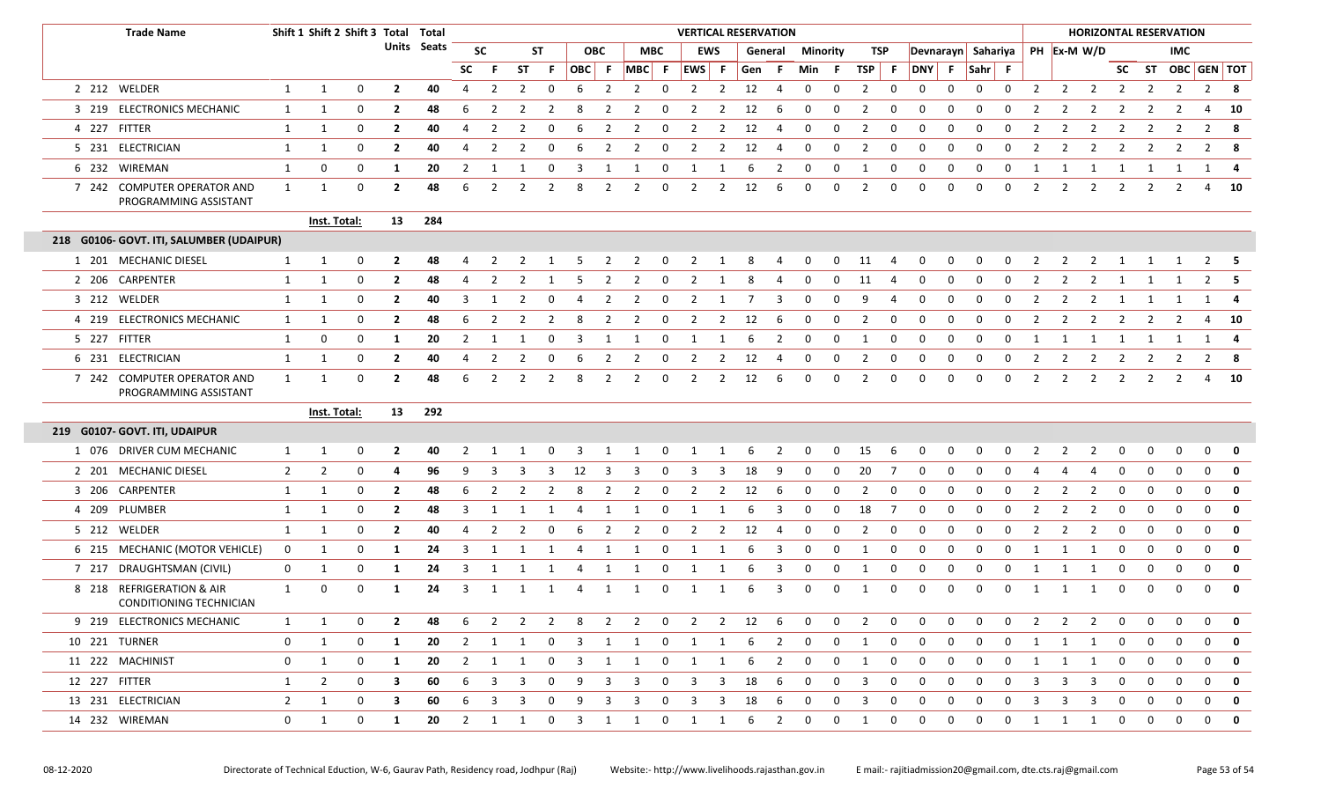|               | <b>Trade Name</b>                                    |                | Shift 1 Shift 2 Shift 3 Total Total |              |                |             |                |                |                |                |                         |                |                |                | <b>VERTICAL RESERVATION</b> |                |         |                |                 |              |                |     |                    |             |             |              |                |                |                         |                | <b>HORIZONTAL RESERVATION</b> |                         |                   |             |
|---------------|------------------------------------------------------|----------------|-------------------------------------|--------------|----------------|-------------|----------------|----------------|----------------|----------------|-------------------------|----------------|----------------|----------------|-----------------------------|----------------|---------|----------------|-----------------|--------------|----------------|-----|--------------------|-------------|-------------|--------------|----------------|----------------|-------------------------|----------------|-------------------------------|-------------------------|-------------------|-------------|
|               |                                                      |                |                                     |              |                | Units Seats |                | <b>SC</b>      |                | ST             |                         | <b>OBC</b>     | МВС            |                | <b>EWS</b>                  |                | General |                | <b>Minority</b> |              | TSP            |     | Devnarayn Sahariya |             |             |              |                | PH Ex-M W/D    |                         |                |                               | <b>IMC</b>              |                   |             |
|               |                                                      |                |                                     |              |                |             | <b>SC</b>      |                | ST             | - F            | OBC F                   |                | $MBC$ F        |                | EWS F                       |                | Gen F   |                | Min             | -F.          | $TSP$ F        |     | DNY F Sahr F       |             |             |              |                |                |                         |                |                               |                         | SC ST OBC GEN TOT |             |
|               | 2 212 WELDER                                         | 1              | 1                                   | $\mathbf{0}$ | $\overline{2}$ | 40          | 4              | 2              | 2              | $\mathbf 0$    | 6                       | $\overline{2}$ | $\overline{2}$ | $\mathbf 0$    | $\overline{2}$              | $\overline{2}$ | 12      | -4             | 0               | $\mathbf 0$  | $\overline{2}$ | 0   | 0                  | 0           | 0           | 0            | $\overline{2}$ | $\overline{2}$ | $\overline{2}$          | $\overline{2}$ | $\overline{2}$                | $\overline{2}$          | 2                 | 8           |
|               | 3 219 ELECTRONICS MECHANIC                           | $\mathbf{1}$   | $\mathbf{1}$                        | 0            | $\overline{2}$ | 48          | 6              | 2              |                | 2              | 8                       |                | 2              | 0              | 2                           | 2              | 12      | - 6            | 0               | 0            | 2              | 0   | 0                  | 0           | 0           | 0            |                | 2              |                         |                | 2                             | 2                       | 4                 | 10          |
|               | 4 227 FITTER                                         | $\mathbf{1}$   | $\mathbf{1}$                        | $\mathbf 0$  | $\overline{2}$ | 40          | 4              | 2              | $\overline{2}$ | 0              | -6                      | $\overline{2}$ | $\overline{2}$ | 0              | 2                           | 2              | 12      | 4              | 0               | 0            | $\overline{2}$ | 0   | $\Omega$           | 0           | $\Omega$    | 0            | 2              | 2              | -2                      | 2              | $\overline{2}$                | 2                       | 2                 | 8           |
|               | 5 231 ELECTRICIAN                                    | 1              | $\mathbf{1}$                        | 0            | $\overline{2}$ | 40          | 4              | 2              | $\overline{2}$ | 0              | -6                      | 2              | 2              | 0              | 2                           | 2              | 12      | 4              | 0               | $\mathbf 0$  | $\overline{2}$ | 0   | 0                  | 0           | $\Omega$    | 0            | $\overline{2}$ | 2              | -2                      | 2              | $\overline{2}$                | 2                       | $\overline{2}$    | 8           |
|               | 6 232 WIREMAN                                        | 1              | 0                                   | 0            | 1              | 20          | 2              | 1              | 1              | $\mathbf{0}$   | $\overline{\mathbf{3}}$ | 1              | 1              | $\mathbf 0$    | 1                           | 1              | 6       | $\overline{2}$ | $\mathbf 0$     | $\mathbf 0$  | 1              | 0   | 0                  | 0           | $\mathbf 0$ | $\mathbf 0$  | 1              | $\mathbf{1}$   | 1                       | 1              | 1                             | $\overline{\mathbf{1}}$ | $\mathbf{1}$      | 4           |
|               | 7 242 COMPUTER OPERATOR AND<br>PROGRAMMING ASSISTANT | 1              | 1                                   | $\mathbf 0$  | $\overline{2}$ | 48          | 6              |                | -2             | 2              | 8                       | 2              | 2              | 0              | 2                           | 2              | 12      | - 6            | 0               | $\mathbf 0$  | 2              | 0   | $\mathbf 0$        | $\Omega$    | $\Omega$    | 0            | 2              | 2              | 2                       | 2              | $\overline{2}$                | 2                       | 4                 | 10          |
|               |                                                      |                | Inst. Total:                        |              | 13             | 284         |                |                |                |                |                         |                |                |                |                             |                |         |                |                 |              |                |     |                    |             |             |              |                |                |                         |                |                               |                         |                   |             |
|               | 218 G0106- GOVT. ITI, SALUMBER (UDAIPUR)             |                |                                     |              |                |             |                |                |                |                |                         |                |                |                |                             |                |         |                |                 |              |                |     |                    |             |             |              |                |                |                         |                |                               |                         |                   |             |
|               | 1 201 MECHANIC DIESEL                                | 1              | 1                                   | $\mathbf 0$  | $\mathbf{2}$   | 48          |                | 2              | 2              | -1             | -5                      | 2              | 2              | $\mathbf 0$    | 2                           | 1              | 8       | -4             | 0               | $\mathbf 0$  | 11             | -4  | $\mathbf 0$        | $\mathbf 0$ | 0           | $\mathbf 0$  | $\overline{2}$ | $\overline{2}$ | 2                       | 1              | 1                             | $\overline{1}$          | $2 \quad 5$       |             |
|               | 2 206 CARPENTER                                      | 1              | 1                                   | $\mathbf 0$  | $\mathbf{2}$   | 48          | 4              | 2              | -2             |                | -5                      | 2              | 2              | 0              | 2                           |                | 8       | 4              | 0               | 0            | 11             | -4  | 0                  | $\Omega$    | $\Omega$    | 0            | 2              | 2              | 2                       | 1              |                               |                         |                   |             |
|               | 3 212 WELDER                                         | 1              | 1                                   | 0            | $\mathbf{2}$   | 40          | 3              |                |                | 0              |                         | 2              | 2              | 0              | 2                           | 1              | 7       | 3              | <sup>0</sup>    | 0            | 9              | 4   | $\Omega$           | റ           | 0           | 0            | 2              | 2              | 2                       | 1              | 1                             | 1                       | 1                 | 4           |
|               | 4 219 ELECTRONICS MECHANIC                           | $\mathbf{1}$   | $\mathbf{1}$                        | $\mathbf 0$  | $\mathbf{2}$   | 48          | 6              | 2              | 2              | 2              | 8                       | 2              | 2              | 0              | 2                           | 2              | 12      | - 6            | 0               | 0            | 2              | 0   | 0                  | $\Omega$    | $\Omega$    | 0            | 2              | 2              | 2                       | 2              | 2                             | 2                       | 4                 | 10          |
|               | 5 227 FITTER                                         | $\mathbf{1}$   | 0                                   | $\mathbf 0$  | 1              | 20          | 2              | 1              | 1              | $\mathbf 0$    | 3                       | 1              | 1              | 0              | 1                           | 1              | 6       | $\overline{2}$ | $\mathbf 0$     | $\mathbf 0$  | 1              | 0   | 0                  | 0           | 0           | 0            | 1              | 1              | 1                       | 1              | 1                             | $\overline{1}$          | 1                 | 4           |
|               | 6 231 ELECTRICIAN                                    | 1              | 1                                   | $\mathbf 0$  | $\mathbf{2}$   | 40          | 4              | 2              | -2             | 0              | -6                      | 2              | 2              | 0              | 2                           | 2              | 12      | -4             | 0               | 0            | 2              | 0   | 0                  | $\Omega$    | 0           | 0            | 2              | 2              | 2                       | 2              | $\overline{2}$                | 2                       | $\overline{2}$    | -8          |
|               | 7 242 COMPUTER OPERATOR AND<br>PROGRAMMING ASSISTANT | $\mathbf{1}$   | 1                                   | $\mathbf 0$  | $\mathbf{2}$   | 48          | 6              | 2              | 2              | 2              | -8                      | 2              | 2              | 0              | 2                           | 2              | 12      | - 6            | 0               | 0            | 2              | 0   | 0                  | $\Omega$    | 0           | 0            | 2              | 2              | 2                       | 2              | 2                             | 2                       | 4                 | 10          |
|               |                                                      |                | <b>Inst. Total:</b>                 |              | 13             | 292         |                |                |                |                |                         |                |                |                |                             |                |         |                |                 |              |                |     |                    |             |             |              |                |                |                         |                |                               |                         |                   |             |
|               | 219 G0107- GOVT. ITI, UDAIPUR                        |                |                                     |              |                |             |                |                |                |                |                         |                |                |                |                             |                |         |                |                 |              |                |     |                    |             |             |              |                |                |                         |                |                               |                         |                   |             |
|               | 1 076 DRIVER CUM MECHANIC                            | 1              | $\mathbf{1}$                        | $\mathbf{0}$ | $\overline{2}$ | 40          | 2              | 1              |                | $\mathbf 0$    | 3                       | 1              | $\overline{1}$ | $\overline{0}$ | $\mathbf{1}$                | $\mathbf{1}$   | 6       | $\overline{2}$ | $\mathbf{0}$    | $\mathbf 0$  | 15             | 6   | $\mathbf{0}$       | 0           | $\mathbf 0$ | 0            | $\overline{2}$ | $\overline{2}$ | $\overline{2}$          | $\mathbf 0$    | $\mathbf 0$                   | $\mathbf 0$             | $\mathbf 0$       | $\mathbf 0$ |
|               | 2 201 MECHANIC DIESEL                                | $\overline{2}$ | $\overline{2}$                      | 0            | 4              | 96          | 9              |                |                |                | 12                      |                | 3              |                | 3                           |                | 18      | -9             | 0               | $\mathbf 0$  | 20             | - 7 | 0                  | $\Omega$    |             | $\Omega$     |                | 4              |                         | $\Omega$       | 0                             | 0                       | $\mathbf 0$       | $\mathbf 0$ |
|               | 3 206 CARPENTER                                      | 1              | $\mathbf{1}$                        | $\mathbf 0$  | $\overline{2}$ | 48          | 6              | 2              | $\overline{2}$ | $\overline{2}$ | 8                       | $\overline{2}$ | $\overline{2}$ | $\mathbf 0$    | $\overline{2}$              | 2              | 12      | - 6            | 0               | 0            | $\overline{2}$ | 0   | 0                  | 0           | $\Omega$    | 0            | 2              | 2              | $\overline{2}$          | 0              | 0                             | $\mathbf 0$             | $\mathbf 0$       | $\mathbf 0$ |
|               | 4 209 PLUMBER                                        | 1              | $\mathbf{1}$                        | $\mathbf 0$  | $\overline{2}$ | 48          | 3              |                |                |                | 4                       |                | 1              | $\Omega$       |                             |                | 6       | -3             | 0               | $\mathbf 0$  | 18             | -7  | 0                  | 0           | $\Omega$    | 0            | 2              | 2              | -2                      | 0              | 0                             | 0                       | $\mathbf 0$       | $\mathbf 0$ |
|               | 5 212 WELDER                                         | $\mathbf{1}$   | $\mathbf{1}$                        | 0            | $\overline{2}$ | 40          | $\overline{4}$ | 2              | 2              | $\mathbf 0$    | 6                       | $\overline{2}$ | $\overline{2}$ | $\mathbf 0$    | $\overline{2}$              | $\overline{2}$ | 12      | $\overline{4}$ | 0               | $\mathbf 0$  | $\overline{2}$ | 0   | 0                  | $\mathbf 0$ | $\mathbf 0$ | 0            | 2              | 2              | 2                       | 0              | $\mathbf 0$                   | $\mathbf 0$             | $\mathbf 0$       | $\mathbf 0$ |
|               | 6 215 MECHANIC (MOTOR VEHICLE)                       | $\mathbf 0$    | 1                                   | $\mathbf 0$  | 1              | 24          | -3             |                |                |                |                         |                | -1             |                |                             |                | 6       | -3             | 0               | $\Omega$     | 1              | 0   | $\Omega$           | $\Omega$    | $\Omega$    | 0            | $\mathbf{1}$   | 1              | - 1                     | $\Omega$       | $\mathbf 0$                   | $\mathbf 0$             | $\mathbf 0$       | $\mathbf 0$ |
|               | 7 217 DRAUGHTSMAN (CIVIL)                            | $\mathbf{0}$   | 1                                   | 0            | 1              | 24          | 3              | 1              | -1             | 1              | 4                       | 1              | 1              | $\mathbf 0$    | 1                           |                | 6       | 3              | 0               | 0            | 1              | 0   | 0                  | 0           | $\mathbf 0$ | 0            | 1              | 1              | -1                      | 0              | 0                             | $\mathbf 0$             | $\mathbf 0$       | $\mathbf 0$ |
|               | 8 218 REFRIGERATION & AIR<br>CONDITIONING TECHNICIAN | $\mathbf{1}$   | $\mathbf 0$                         | $\mathbf 0$  | 1              | 24          | 3              |                |                | 1              | $\overline{4}$          | 1              | 1              | 0              |                             |                | 6       | 3              | 0               | $\mathbf 0$  | 1              | 0   | $\mathbf 0$        | 0           | 0           | 0            | 1              | 1              | - 1                     | 0              | $\mathbf 0$                   | 0                       | $\mathbf 0$       | $\mathbf 0$ |
|               | 9 219 ELECTRONICS MECHANIC                           | $\mathbf{1}$   | -1                                  | $\mathbf 0$  | $\mathbf{2}$   | 48          | 6              | $\overline{2}$ | $\overline{2}$ | $\overline{2}$ | 8                       | $\mathbf{2}$   | $\overline{2}$ | $\overline{0}$ | $\overline{2}$              | $\overline{2}$ | 12      | - 6            | 0               | 0            | $\overline{2}$ | 0   | 0                  | 0           | 0           | 0            | 2              | 2              | 2                       | 0              | 0                             | 0                       | 0                 | 0           |
|               | 10 221 TURNER                                        | $\mathbf{0}$   | 1                                   | $\mathbf 0$  | 1              | 20          | $\overline{2}$ | 1              | 1              | $\mathbf{0}$   | 3                       | 1              | 1              | $\overline{0}$ | $\mathbf{1}$                | 1              | 6       | 2              | 0               | 0            | 1              | 0   | 0                  | 0           | 0           | 0            | 1              | 1              | <sup>1</sup>            | 0              | 0                             | 0                       | 0                 | 0           |
|               | 11 222 MACHINIST                                     | $\mathbf{0}$   | 1                                   | $\mathbf 0$  | 1              | 20          | $\overline{2}$ | 1              | 1              | $\mathbf 0$    | 3                       | 1              | 1              | $\mathbf 0$    | 1                           | 1              | 6       | 2              | 0               | $\mathbf{0}$ | 1              | 0   | 0                  | 0           | 0           | 0            | 1              | 1              | 1                       | 0              | $\mathbf 0$                   | 0                       | 0                 | 0           |
| 12 227 FITTER |                                                      | 1              | $\overline{2}$                      | $\mathbf{0}$ | 3              | 60          | 6              | 3              | 3              | $\mathbf 0$    | 9                       | 3              | 3              | 0              | 3                           | 3              | 18      | - 6            | $\mathbf 0$     | $\mathbf 0$  | 3              | 0   | 0                  | 0           | 0           | 0            | 3              | 3              | $\overline{\mathbf{3}}$ | 0              | 0                             | 0                       | $\mathbf 0$       | 0           |
|               | 13 231 ELECTRICIAN                                   | $\overline{2}$ | 1                                   | $\mathbf{0}$ | 3              | 60          | 6              | 3              | -3             | $\mathbf{0}$   | -9                      | 3              | 3              | 0              | 3                           | 3              | 18      | - 6            | 0               | 0            | 3              | 0   | 0                  | 0           | 0           | 0            | 3              | 3              | -3                      | 0              | 0                             | 0                       | 0                 | $\mathbf 0$ |
|               | 14 232 WIREMAN                                       | $\mathbf{0}$   | $\mathbf{1}$                        | 0            | 1              | 20          | $\overline{2}$ | 1              | 1              | $\mathbf 0$    | 3                       | 1              | 1              | $\mathbf 0$    | 1                           | 1              | 6       | 2              | $\mathbf{0}$    | 0            | 1              | 0   | 0                  | 0           | 0           | $\mathbf{0}$ | 1              | 1              | $\mathbf{1}$            | $\mathbf{0}$   | $\mathbf 0$                   | 0                       | $\mathbf 0$       | $\mathbf 0$ |